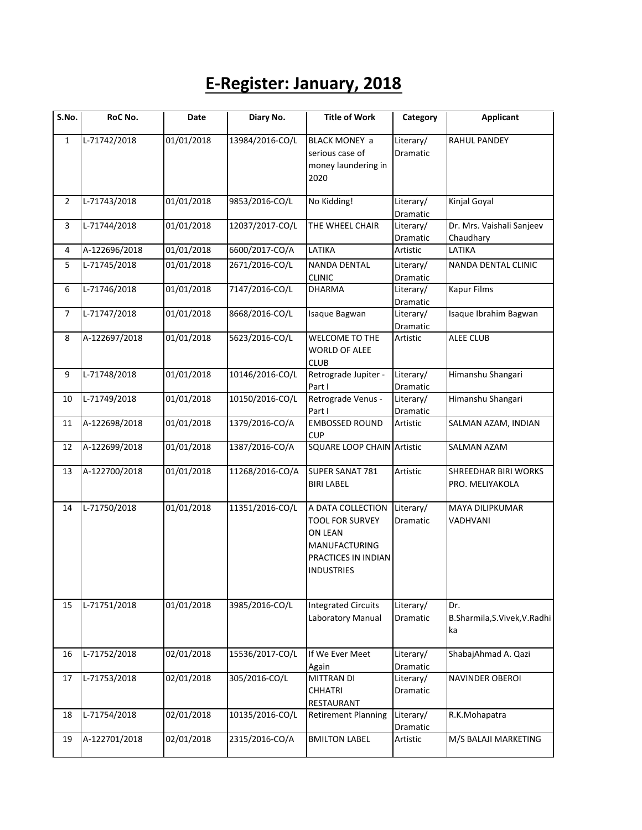## **E-Register: January, 2018**

| S.No.          | RoC No.       | Date       | Diary No.       | <b>Title of Work</b>                                                                                                       | Category                     | <b>Applicant</b>                               |
|----------------|---------------|------------|-----------------|----------------------------------------------------------------------------------------------------------------------------|------------------------------|------------------------------------------------|
| $\mathbf{1}$   | L-71742/2018  | 01/01/2018 | 13984/2016-CO/L | <b>BLACK MONEY a</b><br>serious case of<br>money laundering in<br>2020                                                     | Literary/<br>Dramatic        | <b>RAHUL PANDEY</b>                            |
| $\overline{2}$ | L-71743/2018  | 01/01/2018 | 9853/2016-CO/L  | No Kidding!                                                                                                                | Literary/<br>Dramatic        | Kinjal Goyal                                   |
| 3              | L-71744/2018  | 01/01/2018 | 12037/2017-CO/L | THE WHEEL CHAIR                                                                                                            | Literary/<br>Dramatic        | Dr. Mrs. Vaishali Sanjeev<br>Chaudhary         |
| $\overline{4}$ | A-122696/2018 | 01/01/2018 | 6600/2017-CO/A  | LATIKA                                                                                                                     | Artistic                     | LATIKA                                         |
| 5              | L-71745/2018  | 01/01/2018 | 2671/2016-CO/L  | <b>NANDA DENTAL</b><br><b>CLINIC</b>                                                                                       | Literary/<br>Dramatic        | NANDA DENTAL CLINIC                            |
| 6              | L-71746/2018  | 01/01/2018 | 7147/2016-CO/L  | <b>DHARMA</b>                                                                                                              | Literary/<br>Dramatic        | <b>Kapur Films</b>                             |
| $\overline{7}$ | L-71747/2018  | 01/01/2018 | 8668/2016-CO/L  | Isaque Bagwan                                                                                                              | Literary/<br>Dramatic        | Isaque Ibrahim Bagwan                          |
| 8              | A-122697/2018 | 01/01/2018 | 5623/2016-CO/L  | WELCOME TO THE<br><b>WORLD OF ALEE</b><br><b>CLUB</b>                                                                      | Artistic                     | <b>ALEE CLUB</b>                               |
| 9              | L-71748/2018  | 01/01/2018 | 10146/2016-CO/L | Retrograde Jupiter -<br>Part I                                                                                             | Literary/<br><b>Dramatic</b> | Himanshu Shangari                              |
| 10             | L-71749/2018  | 01/01/2018 | 10150/2016-CO/L | Retrograde Venus -<br>Part I                                                                                               | Literary/<br>Dramatic        | Himanshu Shangari                              |
| 11             | A-122698/2018 | 01/01/2018 | 1379/2016-CO/A  | <b>EMBOSSED ROUND</b><br><b>CUP</b>                                                                                        | Artistic                     | SALMAN AZAM, INDIAN                            |
| 12             | A-122699/2018 | 01/01/2018 | 1387/2016-CO/A  | <b>SQUARE LOOP CHAIN Artistic</b>                                                                                          |                              | SALMAN AZAM                                    |
| 13             | A-122700/2018 | 01/01/2018 | 11268/2016-CO/A | SUPER SANAT 781<br><b>BIRI LABEL</b>                                                                                       | Artistic                     | <b>SHREEDHAR BIRI WORKS</b><br>PRO. MELIYAKOLA |
| 14             | L-71750/2018  | 01/01/2018 | 11351/2016-CO/L | A DATA COLLECTION<br><b>TOOL FOR SURVEY</b><br>ON LEAN<br><b>MANUFACTURING</b><br>PRACTICES IN INDIAN<br><b>INDUSTRIES</b> | Literary/<br>Dramatic        | MAYA DILIPKUMAR<br>VADHVANI                    |
| 15             | L-71751/2018  | 01/01/2018 | 3985/2016-CO/L  | <b>Integrated Circuits</b><br>Laboratory Manual                                                                            | Literary/<br>Dramatic        | Dr.<br>B.Sharmila,S.Vivek,V.Radhi<br>ka        |
| 16             | L-71752/2018  | 02/01/2018 | 15536/2017-CO/L | If We Ever Meet<br>Again                                                                                                   | Literary/<br>Dramatic        | ShabajAhmad A. Qazi                            |
| 17             | L-71753/2018  | 02/01/2018 | 305/2016-CO/L   | <b>MITTRAN DI</b><br><b>CHHATRI</b><br>RESTAURANT                                                                          | Literary/<br>Dramatic        | NAVINDER OBEROI                                |
| 18             | L-71754/2018  | 02/01/2018 | 10135/2016-CO/L | <b>Retirement Planning</b>                                                                                                 | Literary/<br>Dramatic        | R.K.Mohapatra                                  |
| 19             | A-122701/2018 | 02/01/2018 | 2315/2016-CO/A  | <b>BMILTON LABEL</b>                                                                                                       | Artistic                     | M/S BALAJI MARKETING                           |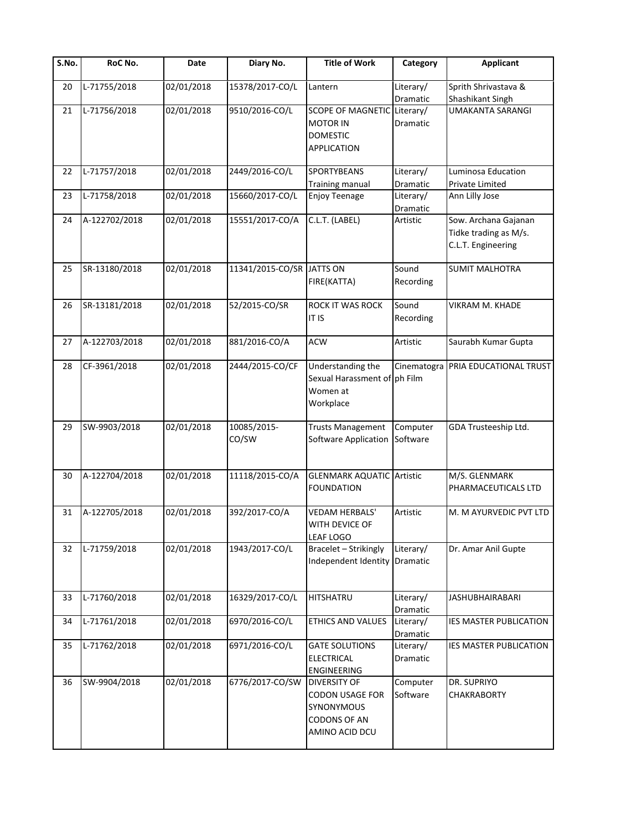| $\overline{\mathsf{S}}.\mathsf{No}.$ | RoC No.       | Date       | Diary No.                 | <b>Title of Work</b>                                                                                 | Category              | <b>Applicant</b>                                                    |
|--------------------------------------|---------------|------------|---------------------------|------------------------------------------------------------------------------------------------------|-----------------------|---------------------------------------------------------------------|
| 20                                   | L-71755/2018  | 02/01/2018 | 15378/2017-CO/L           | Lantern                                                                                              | Literary/<br>Dramatic | Sprith Shrivastava &<br>Shashikant Singh                            |
| 21                                   | L-71756/2018  | 02/01/2018 | 9510/2016-CO/L            | SCOPE OF MAGNETIC Literary/<br><b>MOTOR IN</b><br><b>DOMESTIC</b><br><b>APPLICATION</b>              | Dramatic              | <b>UMAKANTA SARANGI</b>                                             |
| 22                                   | L-71757/2018  | 02/01/2018 | 2449/2016-CO/L            | <b>SPORTYBEANS</b><br><b>Training manual</b>                                                         | Literary/<br>Dramatic | Luminosa Education<br>Private Limited                               |
| 23                                   | L-71758/2018  | 02/01/2018 | 15660/2017-CO/L           | <b>Enjoy Teenage</b>                                                                                 | Literary/<br>Dramatic | Ann Lilly Jose                                                      |
| 24                                   | A-122702/2018 | 02/01/2018 | 15551/2017-CO/A           | C.L.T. (LABEL)                                                                                       | Artistic              | Sow. Archana Gajanan<br>Tidke trading as M/s.<br>C.L.T. Engineering |
| 25                                   | SR-13180/2018 | 02/01/2018 | 11341/2015-CO/SR JATTS ON | FIRE(KATTA)                                                                                          | Sound<br>Recording    | <b>SUMIT MALHOTRA</b>                                               |
| 26                                   | SR-13181/2018 | 02/01/2018 | 52/2015-CO/SR             | ROCK IT WAS ROCK<br><b>IT IS</b>                                                                     | Sound<br>Recording    | <b>VIKRAM M. KHADE</b>                                              |
| 27                                   | A-122703/2018 | 02/01/2018 | 881/2016-CO/A             | <b>ACW</b>                                                                                           | Artistic              | Saurabh Kumar Gupta                                                 |
| 28                                   | CF-3961/2018  | 02/01/2018 | 2444/2015-CO/CF           | Understanding the<br>Sexual Harassment of ph Film<br>Women at<br>Workplace                           | Cinematogra           | PRIA EDUCATIONAL TRUST                                              |
| 29                                   | SW-9903/2018  | 02/01/2018 | 10085/2015-<br>CO/SW      | <b>Trusts Management</b><br>Software Application                                                     | Computer<br>Software  | GDA Trusteeship Ltd.                                                |
| 30                                   | A-122704/2018 | 02/01/2018 | 11118/2015-CO/A           | <b>GLENMARK AQUATIC Artistic</b><br><b>FOUNDATION</b>                                                |                       | M/S. GLENMARK<br>PHARMACEUTICALS LTD                                |
| 31                                   | A-122705/2018 | 02/01/2018 | 392/2017-CO/A             | <b>VEDAM HERBALS'</b><br>WITH DEVICE OF<br>LEAF LOGO                                                 | Artistic              | M. M AYURVEDIC PVT LTD                                              |
| 32                                   | L-71759/2018  | 02/01/2018 | 1943/2017-CO/L            | Bracelet - Strikingly<br>Independent Identity Dramatic                                               | Literary/             | Dr. Amar Anil Gupte                                                 |
| 33                                   | L-71760/2018  | 02/01/2018 | 16329/2017-CO/L           | HITSHATRU                                                                                            | Literary/<br>Dramatic | <b>JASHUBHAIRABARI</b>                                              |
| 34                                   | L-71761/2018  | 02/01/2018 | 6970/2016-CO/L            | ETHICS AND VALUES                                                                                    | Literary/<br>Dramatic | IES MASTER PUBLICATION                                              |
| 35                                   | L-71762/2018  | 02/01/2018 | 6971/2016-CO/L            | <b>GATE SOLUTIONS</b><br><b>ELECTRICAL</b><br><b>ENGINEERING</b>                                     | Literary/<br>Dramatic | <b>IES MASTER PUBLICATION</b>                                       |
| 36                                   | SW-9904/2018  | 02/01/2018 | 6776/2017-CO/SW           | <b>DIVERSITY OF</b><br><b>CODON USAGE FOR</b><br>SYNONYMOUS<br><b>CODONS OF AN</b><br>AMINO ACID DCU | Computer<br>Software  | DR. SUPRIYO<br><b>CHAKRABORTY</b>                                   |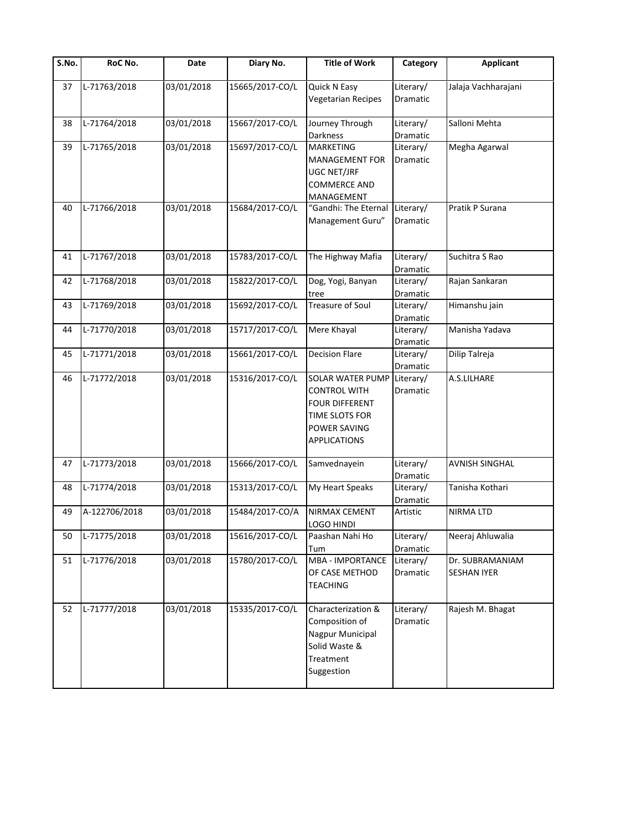| S.No. | RoC No.       | Date       | Diary No.       | <b>Title of Work</b>                                                                                                             | Category              | Applicant                             |
|-------|---------------|------------|-----------------|----------------------------------------------------------------------------------------------------------------------------------|-----------------------|---------------------------------------|
| 37    | L-71763/2018  | 03/01/2018 | 15665/2017-CO/L | Quick N Easy<br><b>Vegetarian Recipes</b>                                                                                        | Literary/<br>Dramatic | Jalaja Vachharajani                   |
| 38    | L-71764/2018  | 03/01/2018 | 15667/2017-CO/L | Journey Through<br>Darkness                                                                                                      | Literary/<br>Dramatic | Salloni Mehta                         |
| 39    | L-71765/2018  | 03/01/2018 | 15697/2017-CO/L | <b>MARKETING</b><br>MANAGEMENT FOR<br>UGC NET/JRF<br><b>COMMERCE AND</b><br>MANAGEMENT                                           | Literary/<br>Dramatic | Megha Agarwal                         |
| 40    | L-71766/2018  | 03/01/2018 | 15684/2017-CO/L | "Gandhi: The Eternal<br>Management Guru"                                                                                         | Literary/<br>Dramatic | Pratik P Surana                       |
| 41    | L-71767/2018  | 03/01/2018 | 15783/2017-CO/L | The Highway Mafia                                                                                                                | Literary/<br>Dramatic | Suchitra S Rao                        |
| 42    | L-71768/2018  | 03/01/2018 | 15822/2017-CO/L | Dog, Yogi, Banyan<br>tree                                                                                                        | Literary/<br>Dramatic | Rajan Sankaran                        |
| 43    | L-71769/2018  | 03/01/2018 | 15692/2017-CO/L | <b>Treasure of Soul</b>                                                                                                          | Literary/<br>Dramatic | Himanshu jain                         |
| 44    | L-71770/2018  | 03/01/2018 | 15717/2017-CO/L | Mere Khayal                                                                                                                      | Literary/<br>Dramatic | Manisha Yadava                        |
| 45    | L-71771/2018  | 03/01/2018 | 15661/2017-CO/L | <b>Decision Flare</b>                                                                                                            | Literary/<br>Dramatic | Dilip Talreja                         |
| 46    | L-71772/2018  | 03/01/2018 | 15316/2017-CO/L | <b>SOLAR WATER PUMP</b><br><b>CONTROL WITH</b><br><b>FOUR DIFFERENT</b><br>TIME SLOTS FOR<br>POWER SAVING<br><b>APPLICATIONS</b> | Literary/<br>Dramatic | A.S.LILHARE                           |
| 47    | L-71773/2018  | 03/01/2018 | 15666/2017-CO/L | Samvednayein                                                                                                                     | Literary/<br>Dramatic | <b>AVNISH SINGHAL</b>                 |
| 48    | L-71774/2018  | 03/01/2018 | 15313/2017-CO/L | My Heart Speaks                                                                                                                  | Literary/<br>Dramatic | Tanisha Kothari                       |
| 49    | A-122706/2018 | 03/01/2018 | 15484/2017-CO/A | NIRMAX CEMENT<br>LOGO HINDI                                                                                                      | Artistic              | <b>NIRMA LTD</b>                      |
| 50    | L-71775/2018  | 03/01/2018 | 15616/2017-CO/L | Paashan Nahi Ho<br>Tum                                                                                                           | Literary/<br>Dramatic | Neeraj Ahluwalia                      |
| 51    | L-71776/2018  | 03/01/2018 | 15780/2017-CO/L | <b>MBA - IMPORTANCE</b><br>OF CASE METHOD<br><b>TEACHING</b>                                                                     | Literary/<br>Dramatic | Dr. SUBRAMANIAM<br><b>SESHAN IYER</b> |
| 52    | L-71777/2018  | 03/01/2018 | 15335/2017-CO/L | Characterization &<br>Composition of<br>Nagpur Municipal<br>Solid Waste &<br>Treatment<br>Suggestion                             | Literary/<br>Dramatic | Rajesh M. Bhagat                      |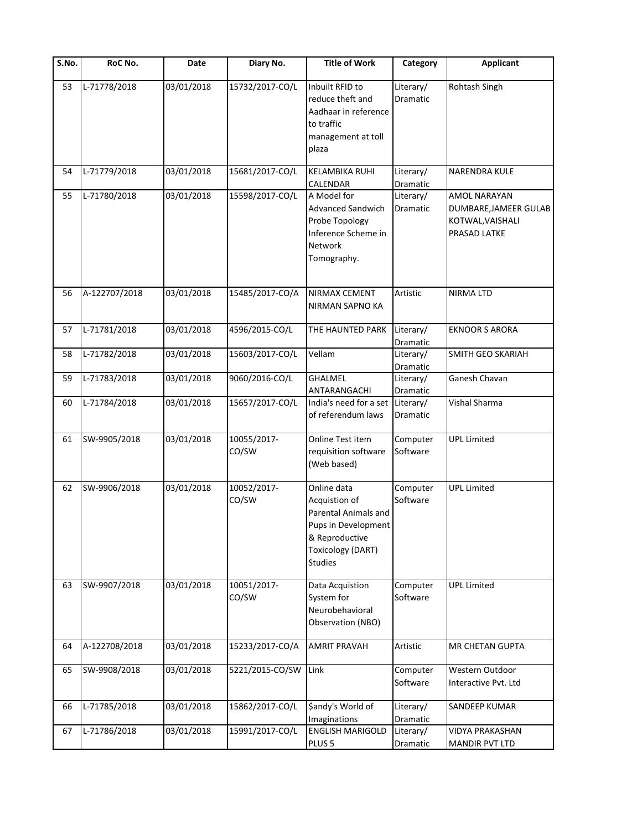| $\overline{\mathsf{S}}$ . No. | RoC No.       | Date       | Diary No.            | <b>Title of Work</b>                                                                                                                 | Category              | <b>Applicant</b>                                                                 |
|-------------------------------|---------------|------------|----------------------|--------------------------------------------------------------------------------------------------------------------------------------|-----------------------|----------------------------------------------------------------------------------|
| 53                            | L-71778/2018  | 03/01/2018 | 15732/2017-CO/L      | Inbuilt RFID to<br>reduce theft and<br>Aadhaar in reference<br>to traffic<br>management at toll<br>plaza                             | Literary/<br>Dramatic | Rohtash Singh                                                                    |
| 54                            | L-71779/2018  | 03/01/2018 | 15681/2017-CO/L      | <b>KELAMBIKA RUHI</b><br>CALENDAR                                                                                                    | Literary/<br>Dramatic | <b>NARENDRA KULE</b>                                                             |
| 55                            | L-71780/2018  | 03/01/2018 | 15598/2017-CO/L      | A Model for<br><b>Advanced Sandwich</b><br>Probe Topology<br>Inference Scheme in<br>Network<br>Tomography.                           | Literary/<br>Dramatic | <b>AMOL NARAYAN</b><br>DUMBARE, JAMEER GULAB<br>KOTWAL, VAISHALI<br>PRASAD LATKE |
| 56                            | A-122707/2018 | 03/01/2018 | 15485/2017-CO/A      | NIRMAX CEMENT<br>NIRMAN SAPNO KA                                                                                                     | Artistic              | <b>NIRMA LTD</b>                                                                 |
| 57                            | L-71781/2018  | 03/01/2018 | 4596/2015-CO/L       | THE HAUNTED PARK                                                                                                                     | Literary/<br>Dramatic | <b>EKNOOR S ARORA</b>                                                            |
| 58                            | L-71782/2018  | 03/01/2018 | 15603/2017-CO/L      | Vellam                                                                                                                               | Literary/<br>Dramatic | SMITH GEO SKARIAH                                                                |
| 59                            | L-71783/2018  | 03/01/2018 | 9060/2016-CO/L       | <b>GHALMEL</b><br>ANTARANGACHI                                                                                                       | Literary/<br>Dramatic | Ganesh Chavan                                                                    |
| 60                            | L-71784/2018  | 03/01/2018 | 15657/2017-CO/L      | India's need for a set<br>of referendum laws                                                                                         | Literary/<br>Dramatic | Vishal Sharma                                                                    |
| 61                            | SW-9905/2018  | 03/01/2018 | 10055/2017-<br>CO/SW | Online Test item<br>requisition software<br>(Web based)                                                                              | Computer<br>Software  | <b>UPL Limited</b>                                                               |
| 62                            | SW-9906/2018  | 03/01/2018 | 10052/2017-<br>CO/SW | Online data<br>Acquistion of<br>Parental Animals and<br>Pups in Development<br>& Reproductive<br>Toxicology (DART)<br><b>Studies</b> | Computer<br>Software  | <b>UPL Limited</b>                                                               |
| 63                            | SW-9907/2018  | 03/01/2018 | 10051/2017-<br>CO/SW | Data Acquistion<br>System for<br>Neurobehavioral<br>Observation (NBO)                                                                | Computer<br>Software  | <b>UPL Limited</b>                                                               |
| 64                            | A-122708/2018 | 03/01/2018 | 15233/2017-CO/A      | <b>AMRIT PRAVAH</b>                                                                                                                  | Artistic              | MR CHETAN GUPTA                                                                  |
| 65                            | SW-9908/2018  | 03/01/2018 | 5221/2015-CO/SW      | Link                                                                                                                                 | Computer<br>Software  | Western Outdoor<br>Interactive Pvt. Ltd                                          |
| 66                            | L-71785/2018  | 03/01/2018 | 15862/2017-CO/L      | \$andy's World of<br>Imaginations                                                                                                    | Literary/<br>Dramatic | SANDEEP KUMAR                                                                    |
| 67                            | L-71786/2018  | 03/01/2018 | 15991/2017-CO/L      | <b>ENGLISH MARIGOLD</b><br>PLUS <sub>5</sub>                                                                                         | Literary/<br>Dramatic | <b>VIDYA PRAKASHAN</b><br><b>MANDIR PVT LTD</b>                                  |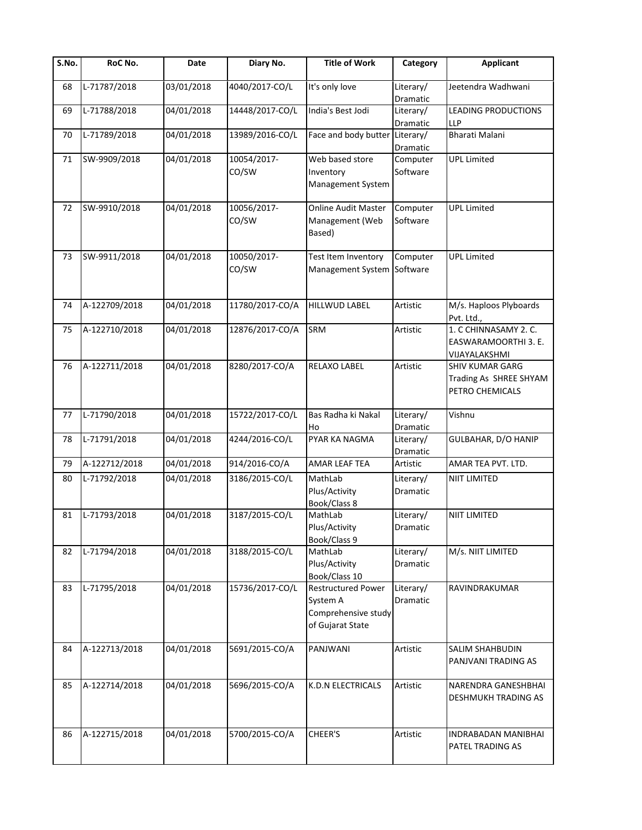| S.No. | RoC No.       | Date       | Diary No.            | <b>Title of Work</b>                                                             | Category                     | <b>Applicant</b>                                                    |
|-------|---------------|------------|----------------------|----------------------------------------------------------------------------------|------------------------------|---------------------------------------------------------------------|
| 68    | L-71787/2018  | 03/01/2018 | 4040/2017-CO/L       | It's only love                                                                   | Literary/<br>Dramatic        | Jeetendra Wadhwani                                                  |
| 69    | L-71788/2018  | 04/01/2018 | 14448/2017-CO/L      | India's Best Jodi                                                                | Literary/<br>Dramatic        | LEADING PRODUCTIONS<br><b>LLP</b>                                   |
| 70    | L-71789/2018  | 04/01/2018 | 13989/2016-CO/L      | Face and body butter Literary/                                                   | Dramatic                     | <b>Bharati Malani</b>                                               |
| 71    | SW-9909/2018  | 04/01/2018 | 10054/2017-<br>CO/SW | Web based store<br>Inventory<br>Management System                                | Computer<br>Software         | <b>UPL Limited</b>                                                  |
| 72    | SW-9910/2018  | 04/01/2018 | 10056/2017-<br>CO/SW | Online Audit Master<br>Management (Web<br>Based)                                 | Computer<br>Software         | <b>UPL Limited</b>                                                  |
| 73    | SW-9911/2018  | 04/01/2018 | 10050/2017-<br>CO/SW | Test Item Inventory<br>Management System Software                                | Computer                     | <b>UPL Limited</b>                                                  |
| 74    | A-122709/2018 | 04/01/2018 | 11780/2017-CO/A      | <b>HILLWUD LABEL</b>                                                             | Artistic                     | M/s. Haploos Plyboards<br>Pvt. Ltd.,                                |
| 75    | A-122710/2018 | 04/01/2018 | 12876/2017-CO/A      | SRM                                                                              | Artistic                     | 1. C CHINNASAMY 2. C.<br>EASWARAMOORTHI 3. E.<br>VIJAYALAKSHMI      |
| 76    | A-122711/2018 | 04/01/2018 | 8280/2017-CO/A       | RELAXO LABEL                                                                     | Artistic                     | <b>SHIV KUMAR GARG</b><br>Trading As SHREE SHYAM<br>PETRO CHEMICALS |
| 77    | L-71790/2018  | 04/01/2018 | 15722/2017-CO/L      | Bas Radha ki Nakal<br>Ho                                                         | Literary/<br>Dramatic        | Vishnu                                                              |
| 78    | L-71791/2018  | 04/01/2018 | 4244/2016-CO/L       | PYAR KA NAGMA                                                                    | Literary/<br>Dramatic        | GULBAHAR, D/O HANIP                                                 |
| 79    | A-122712/2018 | 04/01/2018 | 914/2016-CO/A        | <b>AMAR LEAF TEA</b>                                                             | Artistic                     | AMAR TEA PVT. LTD.                                                  |
| 80    | L-71792/2018  | 04/01/2018 | 3186/2015-CO/L       | MathLab<br>Plus/Activity<br>Book/Class 8                                         | Literary/<br><b>Dramatic</b> | NIIT LIMITED                                                        |
| 81    | L-71793/2018  | 04/01/2018 | 3187/2015-CO/L       | MathLab<br>Plus/Activity<br>Book/Class 9                                         | Literary/<br>Dramatic        | NIIT LIMITED                                                        |
| 82    | L-71794/2018  | 04/01/2018 | 3188/2015-CO/L       | MathLab<br>Plus/Activity<br>Book/Class 10                                        | Literary/<br>Dramatic        | M/s. NIIT LIMITED                                                   |
| 83    | L-71795/2018  | 04/01/2018 | 15736/2017-CO/L      | <b>Restructured Power</b><br>System A<br>Comprehensive study<br>of Gujarat State | Literary/<br>Dramatic        | RAVINDRAKUMAR                                                       |
| 84    | A-122713/2018 | 04/01/2018 | 5691/2015-CO/A       | PANJWANI                                                                         | Artistic                     | SALIM SHAHBUDIN<br>PANJVANI TRADING AS                              |
| 85    | A-122714/2018 | 04/01/2018 | 5696/2015-CO/A       | K.D.N ELECTRICALS                                                                | Artistic                     | NARENDRA GANESHBHAI<br>DESHMUKH TRADING AS                          |
| 86    | A-122715/2018 | 04/01/2018 | 5700/2015-CO/A       | CHEER'S                                                                          | Artistic                     | INDRABADAN MANIBHAI<br>PATEL TRADING AS                             |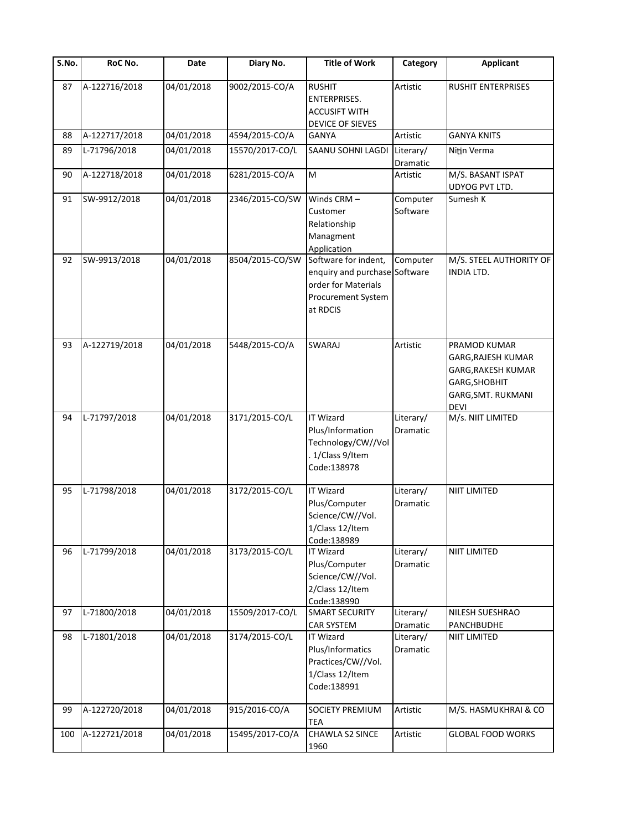| S.No. | RoC No.       | Date       | Diary No.       | <b>Title of Work</b>                                                                                           | Category              | <b>Applicant</b>                                                                                                      |
|-------|---------------|------------|-----------------|----------------------------------------------------------------------------------------------------------------|-----------------------|-----------------------------------------------------------------------------------------------------------------------|
| 87    | A-122716/2018 | 04/01/2018 | 9002/2015-CO/A  | <b>RUSHIT</b><br><b>ENTERPRISES.</b><br><b>ACCUSIFT WITH</b><br>DEVICE OF SIEVES                               | Artistic              | <b>RUSHIT ENTERPRISES</b>                                                                                             |
| 88    | A-122717/2018 | 04/01/2018 | 4594/2015-CO/A  | <b>GANYA</b>                                                                                                   | Artistic              | <b>GANYA KNITS</b>                                                                                                    |
| 89    | L-71796/2018  | 04/01/2018 | 15570/2017-CO/L | SAANU SOHNI LAGDI                                                                                              | Literary/<br>Dramatic | Nitin Verma                                                                                                           |
| 90    | A-122718/2018 | 04/01/2018 | 6281/2015-CO/A  | M                                                                                                              | Artistic              | M/S. BASANT ISPAT<br>UDYOG PVT LTD.                                                                                   |
| 91    | SW-9912/2018  | 04/01/2018 | 2346/2015-CO/SW | Winds CRM-<br>Customer<br>Relationship<br>Managment<br>Application                                             | Computer<br>Software  | Sumesh K                                                                                                              |
| 92    | SW-9913/2018  | 04/01/2018 | 8504/2015-CO/SW | Software for indent,<br>enquiry and purchase Software<br>order for Materials<br>Procurement System<br>at RDCIS | Computer              | M/S. STEEL AUTHORITY OF<br><b>INDIA LTD.</b>                                                                          |
| 93    | A-122719/2018 | 04/01/2018 | 5448/2015-CO/A  | <b>SWARAJ</b>                                                                                                  | Artistic              | PRAMOD KUMAR<br><b>GARG, RAJESH KUMAR</b><br>GARG, RAKESH KUMAR<br>GARG, SHOBHIT<br>GARG, SMT. RUKMANI<br><b>DEVI</b> |
| 94    | L-71797/2018  | 04/01/2018 | 3171/2015-CO/L  | <b>IT Wizard</b><br>Plus/Information<br>Technology/CW//Vol<br>1/Class 9/Item<br>Code:138978                    | Literary/<br>Dramatic | M/s. NIIT LIMITED                                                                                                     |
| 95    | L-71798/2018  | 04/01/2018 | 3172/2015-CO/L  | <b>IT Wizard</b><br>Plus/Computer<br>Science/CW//Vol.<br>1/Class 12/Item<br>Code:138989                        | Literary/<br>Dramatic | <b>NIIT LIMITED</b>                                                                                                   |
| 96    | L-71799/2018  | 04/01/2018 | 3173/2015-CO/L  | <b>IT Wizard</b><br>Plus/Computer<br>Science/CW//Vol.<br>2/Class 12/Item<br>Code:138990                        | Literary/<br>Dramatic | <b>NIIT LIMITED</b>                                                                                                   |
| 97    | L-71800/2018  | 04/01/2018 | 15509/2017-CO/L | <b>SMART SECURITY</b><br><b>CAR SYSTEM</b>                                                                     | Literary/<br>Dramatic | NILESH SUESHRAO<br><b>PANCHBUDHE</b>                                                                                  |
| 98    | L-71801/2018  | 04/01/2018 | 3174/2015-CO/L  | <b>IT Wizard</b><br>Plus/Informatics<br>Practices/CW//Vol.<br>1/Class 12/Item<br>Code:138991                   | Literary/<br>Dramatic | <b>NIIT LIMITED</b>                                                                                                   |
| 99    | A-122720/2018 | 04/01/2018 | 915/2016-CO/A   | <b>SOCIETY PREMIUM</b><br><b>TEA</b>                                                                           | Artistic              | M/S. HASMUKHRAI & CO                                                                                                  |
| 100   | A-122721/2018 | 04/01/2018 | 15495/2017-CO/A | <b>CHAWLA S2 SINCE</b><br>1960                                                                                 | Artistic              | <b>GLOBAL FOOD WORKS</b>                                                                                              |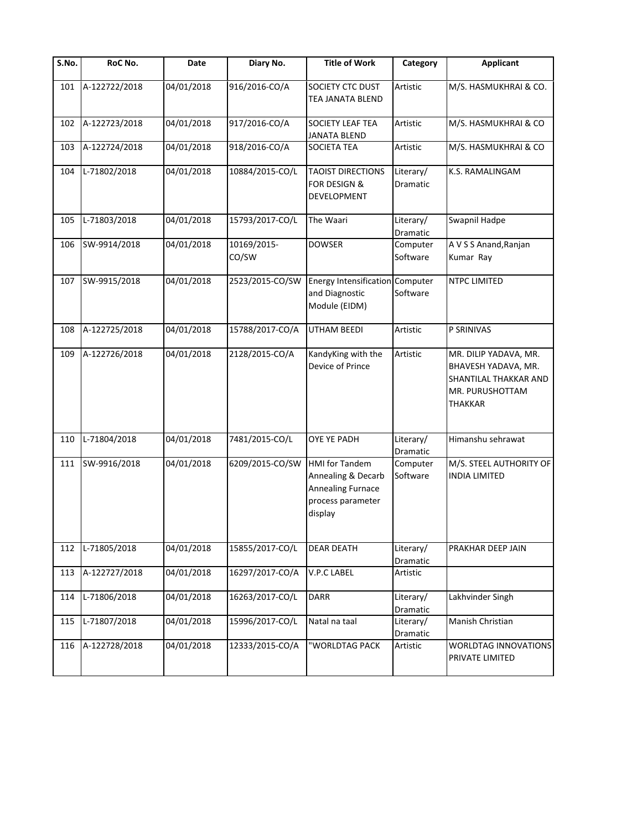| S.No. | RoC No.       | Date       | Diary No.            | <b>Title of Work</b>                                                                                    | Category              | <b>Applicant</b>                                                                                           |
|-------|---------------|------------|----------------------|---------------------------------------------------------------------------------------------------------|-----------------------|------------------------------------------------------------------------------------------------------------|
| 101   | A-122722/2018 | 04/01/2018 | 916/2016-CO/A        | SOCIETY CTC DUST<br>TEA JANATA BLEND                                                                    | Artistic              | M/S. HASMUKHRAI & CO.                                                                                      |
| 102   | A-122723/2018 | 04/01/2018 | 917/2016-CO/A        | SOCIETY LEAF TEA<br><b>JANATA BLEND</b>                                                                 | Artistic              | M/S. HASMUKHRAI & CO                                                                                       |
| 103   | A-122724/2018 | 04/01/2018 | 918/2016-CO/A        | <b>SOCIETA TEA</b>                                                                                      | Artistic              | M/S. HASMUKHRAI & CO                                                                                       |
| 104   | L-71802/2018  | 04/01/2018 | 10884/2015-CO/L      | <b>TAOIST DIRECTIONS</b><br><b>FOR DESIGN &amp;</b><br>DEVELOPMENT                                      | Literary/<br>Dramatic | K.S. RAMALINGAM                                                                                            |
| 105   | L-71803/2018  | 04/01/2018 | 15793/2017-CO/L      | The Waari                                                                                               | Literary/<br>Dramatic | Swapnil Hadpe                                                                                              |
| 106   | SW-9914/2018  | 04/01/2018 | 10169/2015-<br>CO/SW | <b>DOWSER</b>                                                                                           | Computer<br>Software  | A V S S Anand, Ranjan<br>Kumar Ray                                                                         |
| 107   | SW-9915/2018  | 04/01/2018 | 2523/2015-CO/SW      | Energy Intensification Computer<br>and Diagnostic<br>Module (EIDM)                                      | Software              | NTPC LIMITED                                                                                               |
| 108   | A-122725/2018 | 04/01/2018 | 15788/2017-CO/A      | UTHAM BEEDI                                                                                             | Artistic              | P SRINIVAS                                                                                                 |
| 109   | A-122726/2018 | 04/01/2018 | 2128/2015-CO/A       | KandyKing with the<br>Device of Prince                                                                  | Artistic              | MR. DILIP YADAVA, MR.<br>BHAVESH YADAVA, MR.<br>SHANTILAL THAKKAR AND<br>MR. PURUSHOTTAM<br><b>THAKKAR</b> |
| 110   | L-71804/2018  | 04/01/2018 | 7481/2015-CO/L       | OYE YE PADH                                                                                             | Literary/<br>Dramatic | Himanshu sehrawat                                                                                          |
| 111   | SW-9916/2018  | 04/01/2018 | 6209/2015-CO/SW      | <b>HMI</b> for Tandem<br>Annealing & Decarb<br><b>Annealing Furnace</b><br>process parameter<br>display | Computer<br>Software  | M/S. STEEL AUTHORITY OF<br><b>INDIA LIMITED</b>                                                            |
| 112   | L-71805/2018  | 04/01/2018 | 15855/2017-CO/L      | <b>DEAR DEATH</b>                                                                                       | Literary/<br>Dramatic | PRAKHAR DEEP JAIN                                                                                          |
| 113   | A-122727/2018 | 04/01/2018 | 16297/2017-CO/A      | V.P.C LABEL                                                                                             | Artistic              |                                                                                                            |
| 114   | L-71806/2018  | 04/01/2018 | 16263/2017-CO/L      | <b>DARR</b>                                                                                             | Literary/<br>Dramatic | Lakhvinder Singh                                                                                           |
| 115   | L-71807/2018  | 04/01/2018 | 15996/2017-CO/L      | Natal na taal                                                                                           | Literary/<br>Dramatic | Manish Christian                                                                                           |
| 116   | A-122728/2018 | 04/01/2018 | 12333/2015-CO/A      | "WORLDTAG PACK                                                                                          | Artistic              | WORLDTAG INNOVATIONS<br>PRIVATE LIMITED                                                                    |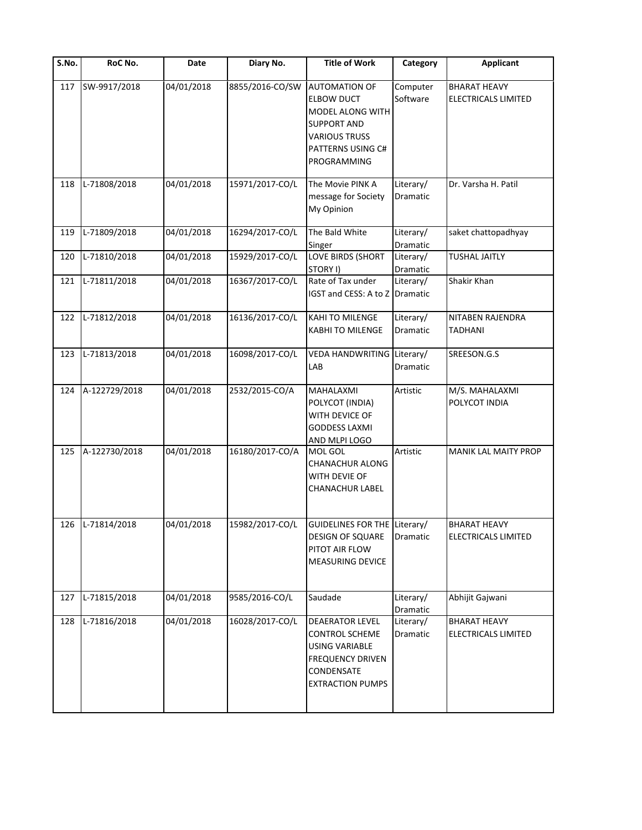| <b>S.No.</b> | RoC No.          | Date       | Diary No.       | <b>Title of Work</b>                                                                                                                            | Category              | <b>Applicant</b>                           |
|--------------|------------------|------------|-----------------|-------------------------------------------------------------------------------------------------------------------------------------------------|-----------------------|--------------------------------------------|
| 117          | SW-9917/2018     | 04/01/2018 | 8855/2016-CO/SW | <b>AUTOMATION OF</b><br><b>ELBOW DUCT</b><br>MODEL ALONG WITH<br><b>SUPPORT AND</b><br><b>VARIOUS TRUSS</b><br>PATTERNS USING C#<br>PROGRAMMING | Computer<br>Software  | <b>BHARAT HEAVY</b><br>ELECTRICALS LIMITED |
| 118          | L-71808/2018     | 04/01/2018 | 15971/2017-CO/L | The Movie PINK A<br>message for Society<br>My Opinion                                                                                           | Literary/<br>Dramatic | Dr. Varsha H. Patil                        |
| 119          | L-71809/2018     | 04/01/2018 | 16294/2017-CO/L | The Bald White<br>Singer                                                                                                                        | Literary/<br>Dramatic | saket chattopadhyay                        |
| 120          | L-71810/2018     | 04/01/2018 | 15929/2017-CO/L | LOVE BIRDS (SHORT<br>STORY I)                                                                                                                   | Literary/<br>Dramatic | TUSHAL JAITLY                              |
| 121          | L-71811/2018     | 04/01/2018 | 16367/2017-CO/L | Rate of Tax under<br>IGST and CESS: A to Z                                                                                                      | Literary/<br>Dramatic | Shakir Khan                                |
| 122          | L-71812/2018     | 04/01/2018 | 16136/2017-CO/L | KAHI TO MILENGE<br><b>KABHI TO MILENGE</b>                                                                                                      | Literary/<br>Dramatic | NITABEN RAJENDRA<br><b>TADHANI</b>         |
| 123          | L-71813/2018     | 04/01/2018 | 16098/2017-CO/L | VEDA HANDWRITING<br>LAB                                                                                                                         | Literary/<br>Dramatic | SREESON.G.S                                |
| 124          | A-122729/2018    | 04/01/2018 | 2532/2015-CO/A  | MAHALAXMI<br>POLYCOT (INDIA)<br>WITH DEVICE OF<br><b>GODDESS LAXMI</b><br>AND MLPI LOGO                                                         | Artistic              | M/S. MAHALAXMI<br>POLYCOT INDIA            |
| 125          | A-122730/2018    | 04/01/2018 | 16180/2017-CO/A | MOL GOL<br>CHANACHUR ALONG<br>WITH DEVIE OF<br>CHANACHUR LABEL                                                                                  | Artistic              | MANIK LAL MAITY PROP                       |
|              | 126 L-71814/2018 | 04/01/2018 | 15982/2017-CO/L | GUIDELINES FOR THE Literary/<br><b>DESIGN OF SQUARE</b><br>PITOT AIR FLOW<br><b>MEASURING DEVICE</b>                                            | Dramatic              | <b>BHARAT HEAVY</b><br>ELECTRICALS LIMITED |
| 127          | L-71815/2018     | 04/01/2018 | 9585/2016-CO/L  | Saudade                                                                                                                                         | Literary/<br>Dramatic | Abhijit Gajwani                            |
| 128          | L-71816/2018     | 04/01/2018 | 16028/2017-CO/L | DEAERATOR LEVEL<br><b>CONTROL SCHEME</b><br><b>USING VARIABLE</b><br><b>FREQUENCY DRIVEN</b><br>CONDENSATE<br><b>EXTRACTION PUMPS</b>           | Literary/<br>Dramatic | <b>BHARAT HEAVY</b><br>ELECTRICALS LIMITED |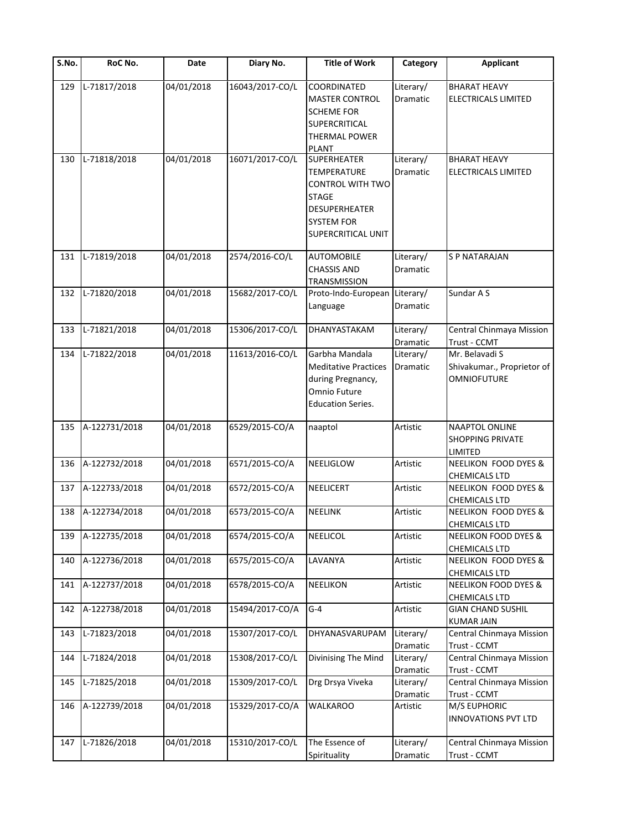| S.No. | RoC No.       | Date       | Diary No.       | <b>Title of Work</b>                                                                                                                                   | Category                     | <b>Applicant</b>                                                   |
|-------|---------------|------------|-----------------|--------------------------------------------------------------------------------------------------------------------------------------------------------|------------------------------|--------------------------------------------------------------------|
| 129   | L-71817/2018  | 04/01/2018 | 16043/2017-CO/L | COORDINATED<br><b>MASTER CONTROL</b><br><b>SCHEME FOR</b><br>SUPERCRITICAL<br>THERMAL POWER<br>PLANT                                                   | Literary/<br>Dramatic        | <b>BHARAT HEAVY</b><br>ELECTRICALS LIMITED                         |
| 130   | L-71818/2018  | 04/01/2018 | 16071/2017-CO/L | <b>SUPERHEATER</b><br><b>TEMPERATURE</b><br><b>CONTROL WITH TWO</b><br><b>STAGE</b><br><b>DESUPERHEATER</b><br><b>SYSTEM FOR</b><br>SUPERCRITICAL UNIT | Literary/<br>Dramatic        | <b>BHARAT HEAVY</b><br><b>ELECTRICALS LIMITED</b>                  |
| 131   | L-71819/2018  | 04/01/2018 | 2574/2016-CO/L  | <b>AUTOMOBILE</b><br><b>CHASSIS AND</b><br>TRANSMISSION                                                                                                | Literary/<br><b>Dramatic</b> | S P NATARAJAN                                                      |
| 132   | L-71820/2018  | 04/01/2018 | 15682/2017-CO/L | Proto-Indo-European Literary/<br>Language                                                                                                              | <b>Dramatic</b>              | Sundar A S                                                         |
| 133   | L-71821/2018  | 04/01/2018 | 15306/2017-CO/L | DHANYASTAKAM                                                                                                                                           | Literary/<br>Dramatic        | Central Chinmaya Mission<br>Trust - CCMT                           |
| 134   | L-71822/2018  | 04/01/2018 | 11613/2016-CO/L | Garbha Mandala<br><b>Meditative Practices</b><br>during Pregnancy,<br>Omnio Future<br><b>Education Series.</b>                                         | Literary/<br>Dramatic        | Mr. Belavadi S<br>Shivakumar., Proprietor of<br><b>OMNIOFUTURE</b> |
| 135   | A-122731/2018 | 04/01/2018 | 6529/2015-CO/A  | naaptol                                                                                                                                                | Artistic                     | NAAPTOL ONLINE<br><b>SHOPPING PRIVATE</b><br>LIMITED               |
| 136   | A-122732/2018 | 04/01/2018 | 6571/2015-CO/A  | NEELIGLOW                                                                                                                                              | Artistic                     | NEELIKON FOOD DYES &<br><b>CHEMICALS LTD</b>                       |
| 137   | A-122733/2018 | 04/01/2018 | 6572/2015-CO/A  | <b>NEELICERT</b>                                                                                                                                       | Artistic                     | <b>NEELIKON FOOD DYES &amp;</b><br><b>CHEMICALS LTD</b>            |
| 138   | A-122734/2018 | 04/01/2018 | 6573/2015-CO/A  | NEELINK                                                                                                                                                | Artistic                     | NEELIKON FOOD DYES &<br><b>CHEMICALS LTD</b>                       |
| 139   | A-122735/2018 | 04/01/2018 | 6574/2015-CO/A  | NEELICOL                                                                                                                                               | Artistic                     | <b>NEELIKON FOOD DYES &amp;</b><br><b>CHEMICALS LTD</b>            |
| 140   | A-122736/2018 | 04/01/2018 | 6575/2015-CO/A  | LAVANYA                                                                                                                                                | Artistic                     | NEELIKON FOOD DYES &<br><b>CHEMICALS LTD</b>                       |
| 141   | A-122737/2018 | 04/01/2018 | 6578/2015-CO/A  | NEELIKON                                                                                                                                               | Artistic                     | <b>NEELIKON FOOD DYES &amp;</b><br><b>CHEMICALS LTD</b>            |
| 142   | A-122738/2018 | 04/01/2018 | 15494/2017-CO/A | $G-4$                                                                                                                                                  | Artistic                     | <b>GIAN CHAND SUSHIL</b><br><b>KUMAR JAIN</b>                      |
| 143   | L-71823/2018  | 04/01/2018 | 15307/2017-CO/L | DHYANASVARUPAM                                                                                                                                         | Literary/<br>Dramatic        | Central Chinmaya Mission<br>Trust - CCMT                           |
| 144   | L-71824/2018  | 04/01/2018 | 15308/2017-CO/L | Divinising The Mind                                                                                                                                    | Literary/<br>Dramatic        | Central Chinmaya Mission<br>Trust - CCMT                           |
| 145   | L-71825/2018  | 04/01/2018 | 15309/2017-CO/L | Drg Drsya Viveka                                                                                                                                       | Literary/<br>Dramatic        | Central Chinmaya Mission<br>Trust - CCMT                           |
| 146   | A-122739/2018 | 04/01/2018 | 15329/2017-CO/A | <b>WALKAROO</b>                                                                                                                                        | Artistic                     | M/S EUPHORIC<br><b>INNOVATIONS PVT LTD</b>                         |
| 147   | L-71826/2018  | 04/01/2018 | 15310/2017-CO/L | The Essence of<br>Spirituality                                                                                                                         | Literary/<br>Dramatic        | Central Chinmaya Mission<br>Trust - CCMT                           |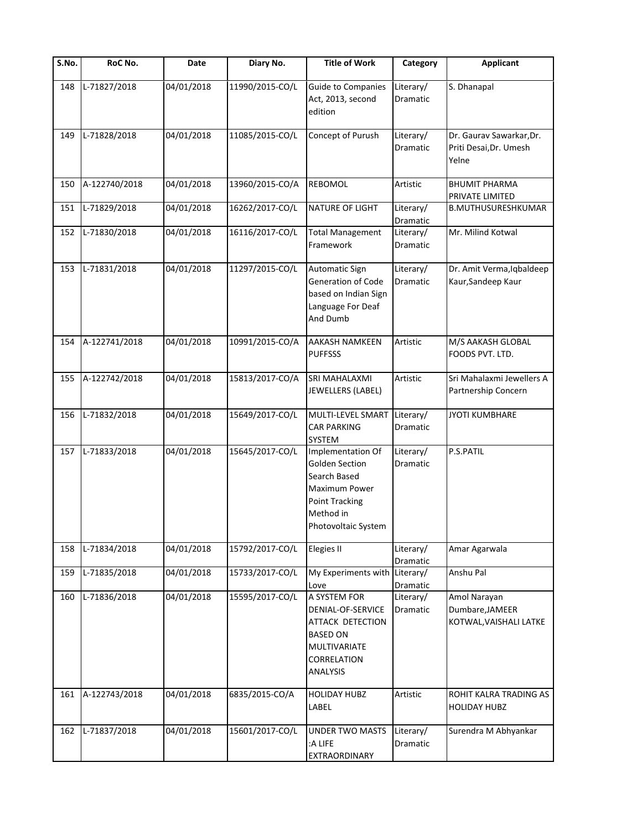| S.No. | RoC No.       | Date       | Diary No.       | <b>Title of Work</b>                                                                                                              | Category              | <b>Applicant</b>                                            |
|-------|---------------|------------|-----------------|-----------------------------------------------------------------------------------------------------------------------------------|-----------------------|-------------------------------------------------------------|
| 148   | L-71827/2018  | 04/01/2018 | 11990/2015-CO/L | <b>Guide to Companies</b><br>Act, 2013, second<br>edition                                                                         | Literary/<br>Dramatic | S. Dhanapal                                                 |
| 149   | L-71828/2018  | 04/01/2018 | 11085/2015-CO/L | Concept of Purush                                                                                                                 | Literary/<br>Dramatic | Dr. Gaurav Sawarkar, Dr.<br>Priti Desai, Dr. Umesh<br>Yelne |
| 150   | A-122740/2018 | 04/01/2018 | 13960/2015-CO/A | <b>REBOMOL</b>                                                                                                                    | Artistic              | <b>BHUMIT PHARMA</b><br>PRIVATE LIMITED                     |
| 151   | L-71829/2018  | 04/01/2018 | 16262/2017-CO/L | <b>NATURE OF LIGHT</b>                                                                                                            | Literary/<br>Dramatic | <b>B.MUTHUSURESHKUMAR</b>                                   |
| 152   | L-71830/2018  | 04/01/2018 | 16116/2017-CO/L | <b>Total Management</b><br>Framework                                                                                              | Literary/<br>Dramatic | Mr. Milind Kotwal                                           |
| 153   | L-71831/2018  | 04/01/2018 | 11297/2015-CO/L | <b>Automatic Sign</b><br><b>Generation of Code</b><br>based on Indian Sign<br>Language For Deaf<br>And Dumb                       | Literary/<br>Dramatic | Dr. Amit Verma, Iqbaldeep<br>Kaur, Sandeep Kaur             |
| 154   | A-122741/2018 | 04/01/2018 | 10991/2015-CO/A | AAKASH NAMKEEN<br><b>PUFFSSS</b>                                                                                                  | Artistic              | M/S AAKASH GLOBAL<br>FOODS PVT. LTD.                        |
| 155   | A-122742/2018 | 04/01/2018 | 15813/2017-CO/A | SRI MAHALAXMI<br>JEWELLERS (LABEL)                                                                                                | Artistic              | Sri Mahalaxmi Jewellers A<br>Partnership Concern            |
| 156   | L-71832/2018  | 04/01/2018 | 15649/2017-CO/L | MULTI-LEVEL SMART<br><b>CAR PARKING</b><br>SYSTEM                                                                                 | Literary/<br>Dramatic | <b>JYOTI KUMBHARE</b>                                       |
| 157   | L-71833/2018  | 04/01/2018 | 15645/2017-CO/L | Implementation Of<br>Golden Section<br>Search Based<br>Maximum Power<br><b>Point Tracking</b><br>Method in<br>Photovoltaic System | Literary/<br>Dramatic | P.S.PATIL                                                   |
| 158   | L-71834/2018  | 04/01/2018 | 15792/2017-CO/L | <b>Elegies II</b>                                                                                                                 | Literary/<br>Dramatic | Amar Agarwala                                               |
| 159   | L-71835/2018  | 04/01/2018 | 15733/2017-CO/L | My Experiments with<br>Love                                                                                                       | Literary/<br>Dramatic | Anshu Pal                                                   |
| 160   | L-71836/2018  | 04/01/2018 | 15595/2017-CO/L | A SYSTEM FOR<br>DENIAL-OF-SERVICE<br><b>ATTACK DETECTION</b><br><b>BASED ON</b><br>MULTIVARIATE<br>CORRELATION<br>ANALYSIS        | Literary/<br>Dramatic | Amol Narayan<br>Dumbare, JAMEER<br>KOTWAL, VAISHALI LATKE   |
| 161   | A-122743/2018 | 04/01/2018 | 6835/2015-CO/A  | <b>HOLIDAY HUBZ</b><br>LABEL                                                                                                      | Artistic              | ROHIT KALRA TRADING AS<br><b>HOLIDAY HUBZ</b>               |
| 162   | L-71837/2018  | 04/01/2018 | 15601/2017-CO/L | <b>UNDER TWO MASTS</b><br>:A LIFE<br>EXTRAORDINARY                                                                                | Literary/<br>Dramatic | Surendra M Abhyankar                                        |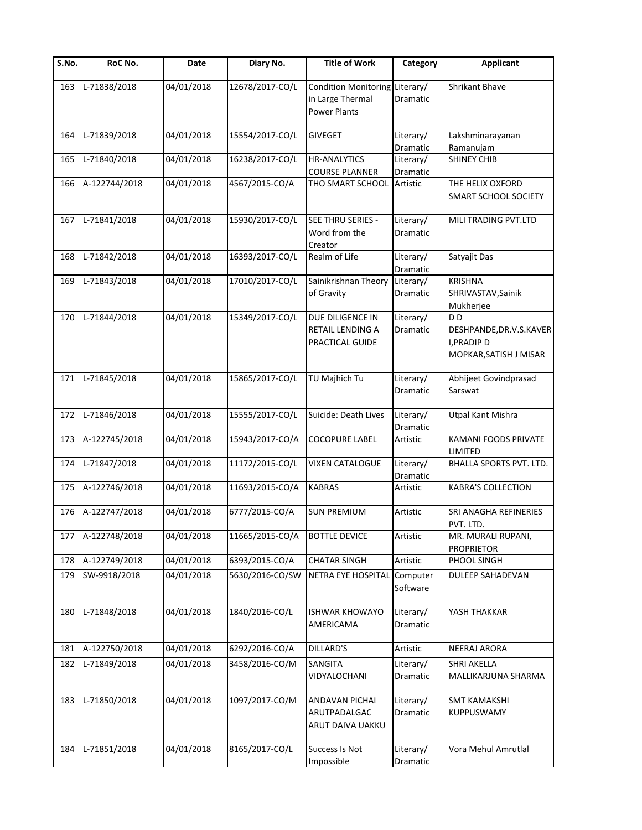| $\overline{\mathsf{S}}$ . No. | RoC No.       | Date       | Diary No.       | <b>Title of Work</b>                                               | Category        | <b>Applicant</b>                         |
|-------------------------------|---------------|------------|-----------------|--------------------------------------------------------------------|-----------------|------------------------------------------|
| 163                           | L-71838/2018  | 04/01/2018 | 12678/2017-CO/L | Condition Monitoring Literary/<br>in Large Thermal<br>Power Plants | <b>Dramatic</b> | Shrikant Bhave                           |
| 164                           | L-71839/2018  | 04/01/2018 | 15554/2017-CO/L | <b>GIVEGET</b>                                                     | Literary/       | Lakshminarayanan                         |
|                               |               |            |                 |                                                                    | Dramatic        | Ramanujam                                |
| 165                           | L-71840/2018  | 04/01/2018 | 16238/2017-CO/L | <b>HR-ANALYTICS</b>                                                | Literary/       | <b>SHINEY CHIB</b>                       |
|                               |               |            |                 | <b>COURSE PLANNER</b>                                              | Dramatic        |                                          |
| 166                           | A-122744/2018 | 04/01/2018 | 4567/2015-CO/A  | THO SMART SCHOOL                                                   | Artistic        | THE HELIX OXFORD<br>SMART SCHOOL SOCIETY |
| 167                           | L-71841/2018  | 04/01/2018 | 15930/2017-CO/L | SEE THRU SERIES -                                                  | Literary/       | MILI TRADING PVT.LTD                     |
|                               |               |            |                 | Word from the<br>Creator                                           | Dramatic        |                                          |
| 168                           | L-71842/2018  | 04/01/2018 | 16393/2017-CO/L | Realm of Life                                                      | Literary/       | Satyajit Das                             |
|                               |               |            |                 |                                                                    | Dramatic        |                                          |
| 169                           | L-71843/2018  | 04/01/2018 | 17010/2017-CO/L | Sainikrishnan Theory                                               | Literary/       | <b>KRISHNA</b>                           |
|                               |               |            |                 | of Gravity                                                         | <b>Dramatic</b> | SHRIVASTAV, Sainik                       |
|                               |               |            |                 |                                                                    |                 | Mukherjee                                |
| 170                           | L-71844/2018  | 04/01/2018 | 15349/2017-CO/L | DUE DILIGENCE IN                                                   | Literary/       | D <sub>D</sub>                           |
|                               |               |            |                 | <b>RETAIL LENDING A</b>                                            | <b>Dramatic</b> | DESHPANDE, DR.V.S.KAVER                  |
|                               |               |            |                 | PRACTICAL GUIDE                                                    |                 | I, PRADIP D                              |
|                               |               |            |                 |                                                                    |                 | MOPKAR, SATISH J MISAR                   |
|                               |               |            |                 |                                                                    |                 |                                          |
| 171                           | L-71845/2018  | 04/01/2018 | 15865/2017-CO/L | TU Majhich Tu                                                      | Literary/       | Abhijeet Govindprasad                    |
|                               |               |            |                 |                                                                    | <b>Dramatic</b> | Sarswat                                  |
|                               |               |            |                 |                                                                    |                 |                                          |
| 172                           | L-71846/2018  | 04/01/2018 | 15555/2017-CO/L | Suicide: Death Lives                                               | Literary/       | Utpal Kant Mishra                        |
|                               |               |            |                 |                                                                    | Dramatic        |                                          |
| 173                           | A-122745/2018 | 04/01/2018 | 15943/2017-CO/A | <b>COCOPURE LABEL</b>                                              | Artistic        | KAMANI FOODS PRIVATE                     |
|                               |               |            |                 |                                                                    |                 | LIMITED                                  |
| 174                           | L-71847/2018  | 04/01/2018 | 11172/2015-CO/L | <b>VIXEN CATALOGUE</b>                                             | Literary/       | BHALLA SPORTS PVT. LTD.                  |
|                               |               |            |                 |                                                                    | Dramatic        |                                          |
| 175                           | A-122746/2018 | 04/01/2018 | 11693/2015-CO/A | <b>KABRAS</b>                                                      | Artistic        | <b>KABRA'S COLLECTION</b>                |
|                               |               |            |                 |                                                                    |                 |                                          |
| 176                           | A-122747/2018 | 04/01/2018 | 6777/2015-CO/A  | <b>SUN PREMIUM</b>                                                 | Artistic        | SRI ANAGHA REFINERIES<br>PVT. LTD.       |
| 177                           | A-122748/2018 | 04/01/2018 | 11665/2015-CO/A | <b>BOTTLE DEVICE</b>                                               | Artistic        | MR. MURALI RUPANI,                       |
|                               |               |            |                 |                                                                    |                 | <b>PROPRIETOR</b>                        |
| 178                           | A-122749/2018 | 04/01/2018 | 6393/2015-CO/A  | <b>CHATAR SINGH</b>                                                | Artistic        | PHOOL SINGH                              |
| 179                           | SW-9918/2018  | 04/01/2018 | 5630/2016-CO/SW | NETRA EYE HOSPITAL                                                 | Computer        | <b>DULEEP SAHADEVAN</b>                  |
|                               |               |            |                 |                                                                    | Software        |                                          |
|                               |               |            |                 |                                                                    |                 |                                          |
| 180                           | L-71848/2018  | 04/01/2018 | 1840/2016-CO/L  | <b>ISHWAR KHOWAYO</b>                                              | Literary/       | YASH THAKKAR                             |
|                               |               |            |                 | AMERICAMA                                                          | Dramatic        |                                          |
|                               |               |            |                 | <b>DILLARD'S</b>                                                   |                 |                                          |
| 181                           | A-122750/2018 | 04/01/2018 | 6292/2016-CO/A  |                                                                    | Artistic        | NEERAJ ARORA                             |
| 182                           | L-71849/2018  | 04/01/2018 | 3458/2016-CO/M  | SANGITA                                                            | Literary/       | <b>SHRI AKELLA</b>                       |
|                               |               |            |                 | VIDYALOCHANI                                                       | Dramatic        | MALLIKARJUNA SHARMA                      |
|                               |               |            |                 |                                                                    |                 |                                          |
| 183                           | L-71850/2018  | 04/01/2018 | 1097/2017-CO/M  | ANDAVAN PICHAI                                                     | Literary/       | <b>SMT KAMAKSHI</b>                      |
|                               |               |            |                 | ARUTPADALGAC                                                       | Dramatic        | KUPPUSWAMY                               |
|                               |               |            |                 | ARUT DAIVA UAKKU                                                   |                 |                                          |
|                               |               |            |                 |                                                                    |                 |                                          |
| 184                           | L-71851/2018  | 04/01/2018 | 8165/2017-CO/L  | Success Is Not                                                     | Literary/       | Vora Mehul Amrutlal                      |
|                               |               |            |                 | Impossible                                                         | Dramatic        |                                          |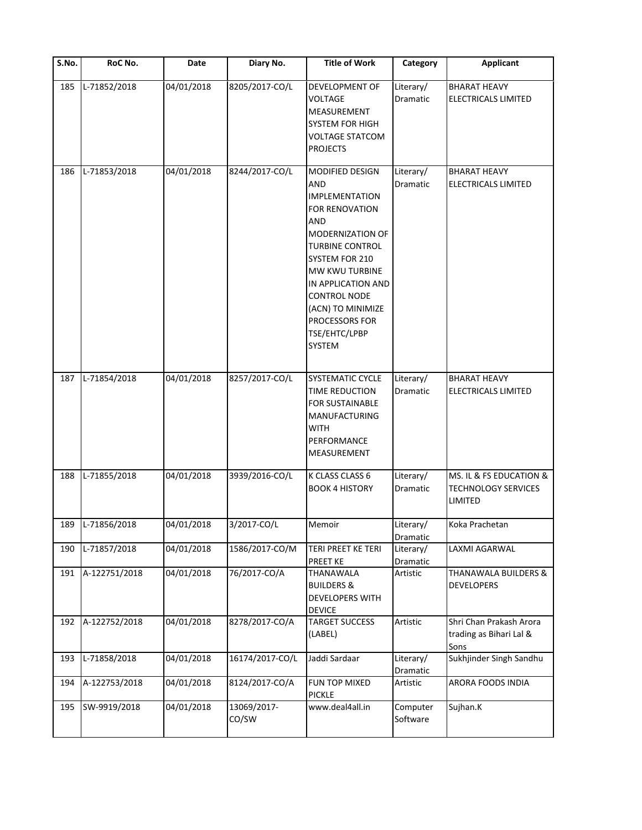| $\overline{\mathsf{S}}$ . No. | RoC No.          | Date       | Diary No.            | <b>Title of Work</b>                                                                                                                                                                                                                                                                    | Category                     | <b>Applicant</b>                                                 |
|-------------------------------|------------------|------------|----------------------|-----------------------------------------------------------------------------------------------------------------------------------------------------------------------------------------------------------------------------------------------------------------------------------------|------------------------------|------------------------------------------------------------------|
| 185                           | L-71852/2018     | 04/01/2018 | 8205/2017-CO/L       | DEVELOPMENT OF<br>VOLTAGE<br>MEASUREMENT<br><b>SYSTEM FOR HIGH</b><br><b>VOLTAGE STATCOM</b><br><b>PROJECTS</b>                                                                                                                                                                         | Literary/<br>Dramatic        | <b>BHARAT HEAVY</b><br><b>ELECTRICALS LIMITED</b>                |
| 186                           | L-71853/2018     | 04/01/2018 | 8244/2017-CO/L       | <b>MODIFIED DESIGN</b><br><b>AND</b><br><b>IMPLEMENTATION</b><br>FOR RENOVATION<br>AND<br>MODERNIZATION OF<br><b>TURBINE CONTROL</b><br>SYSTEM FOR 210<br>MW KWU TURBINE<br>IN APPLICATION AND<br><b>CONTROL NODE</b><br>(ACN) TO MINIMIZE<br>PROCESSORS FOR<br>TSE/EHTC/LPBP<br>SYSTEM | Literary/<br>Dramatic        | <b>BHARAT HEAVY</b><br>ELECTRICALS LIMITED                       |
| 187                           | L-71854/2018     | 04/01/2018 | 8257/2017-CO/L       | <b>SYSTEMATIC CYCLE</b><br>TIME REDUCTION<br><b>FOR SUSTAINABLE</b><br>MANUFACTURING<br><b>WITH</b><br>PERFORMANCE<br>MEASUREMENT                                                                                                                                                       | Literary/<br>Dramatic        | <b>BHARAT HEAVY</b><br><b>ELECTRICALS LIMITED</b>                |
| 188                           | L-71855/2018     | 04/01/2018 | 3939/2016-CO/L       | K CLASS CLASS 6<br><b>BOOK 4 HISTORY</b>                                                                                                                                                                                                                                                | Literary/<br><b>Dramatic</b> | MS. IL & FS EDUCATION &<br><b>TECHNOLOGY SERVICES</b><br>LIMITED |
|                               | 189 L-71856/2018 | 04/01/2018 | 3/2017-CO/L          | Memoir                                                                                                                                                                                                                                                                                  | Literary/<br>Dramatic        | Koka Prachetan                                                   |
| 190                           | L-71857/2018     | 04/01/2018 | 1586/2017-CO/M       | TERI PREET KE TERI<br>PREET KE                                                                                                                                                                                                                                                          | Literary/<br>Dramatic        | LAXMI AGARWAL                                                    |
| 191                           | A-122751/2018    | 04/01/2018 | 76/2017-CO/A         | THANAWALA<br><b>BUILDERS &amp;</b><br>DEVELOPERS WITH<br><b>DEVICE</b>                                                                                                                                                                                                                  | Artistic                     | <b>THANAWALA BUILDERS &amp;</b><br><b>DEVELOPERS</b>             |
| 192                           | A-122752/2018    | 04/01/2018 | 8278/2017-CO/A       | <b>TARGET SUCCESS</b><br>(LABEL)                                                                                                                                                                                                                                                        | Artistic                     | Shri Chan Prakash Arora<br>trading as Bihari Lal &<br>Sons       |
| 193                           | L-71858/2018     | 04/01/2018 | 16174/2017-CO/L      | Jaddi Sardaar                                                                                                                                                                                                                                                                           | Literary/<br>Dramatic        | Sukhjinder Singh Sandhu                                          |
| 194                           | A-122753/2018    | 04/01/2018 | 8124/2017-CO/A       | FUN TOP MIXED<br><b>PICKLE</b>                                                                                                                                                                                                                                                          | Artistic                     | ARORA FOODS INDIA                                                |
| 195                           | SW-9919/2018     | 04/01/2018 | 13069/2017-<br>CO/SW | www.deal4all.in                                                                                                                                                                                                                                                                         | Computer<br>Software         | Sujhan.K                                                         |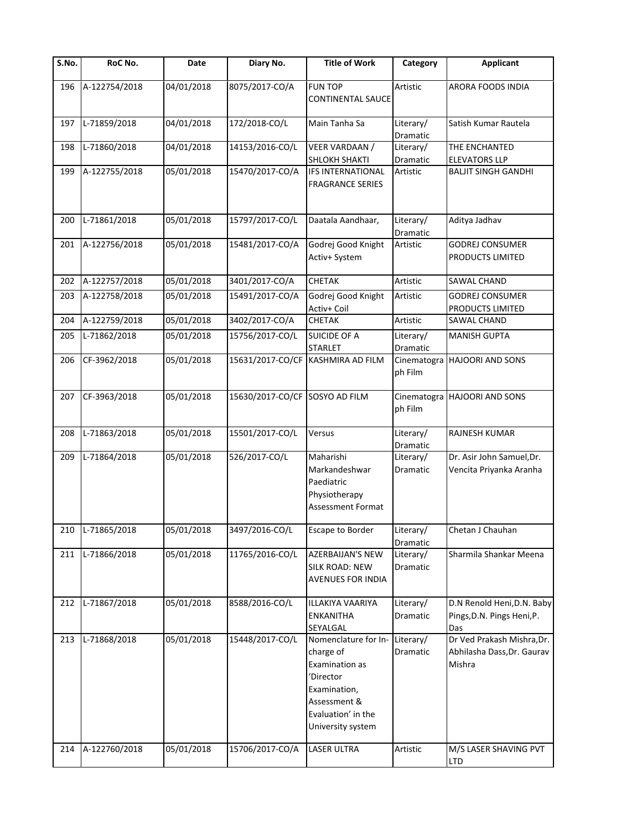| S.No. | RoC No.       | Date       | Diary No.                      | <b>Title of Work</b>                                                                                                                        | Category               | <b>Applicant</b>                                                   |
|-------|---------------|------------|--------------------------------|---------------------------------------------------------------------------------------------------------------------------------------------|------------------------|--------------------------------------------------------------------|
| 196   | A-122754/2018 | 04/01/2018 | 8075/2017-CO/A                 | <b>FUN TOP</b><br><b>CONTINENTAL SAUCE</b>                                                                                                  | Artistic               | ARORA FOODS INDIA                                                  |
| 197   | L-71859/2018  | 04/01/2018 | 172/2018-CO/L                  | Main Tanha Sa                                                                                                                               | Literary/<br>Dramatic  | Satish Kumar Rautela                                               |
| 198   | L-71860/2018  | 04/01/2018 | 14153/2016-CO/L                | <b>VEER VARDAAN /</b><br><b>SHLOKH SHAKTI</b>                                                                                               | Literary/<br>Dramatic  | THE ENCHANTED<br><b>ELEVATORS LLP</b>                              |
| 199   | A-122755/2018 | 05/01/2018 | 15470/2017-CO/A                | <b>IFS INTERNATIONAL</b><br><b>FRAGRANCE SERIES</b>                                                                                         | Artistic               | <b>BALJIT SINGH GANDHI</b>                                         |
| 200   | L-71861/2018  | 05/01/2018 | 15797/2017-CO/L                | Daatala Aandhaar,                                                                                                                           | Literary/<br>Dramatic  | Aditya Jadhav                                                      |
| 201   | A-122756/2018 | 05/01/2018 | 15481/2017-CO/A                | Godrej Good Knight<br>Activ+ System                                                                                                         | Artistic               | <b>GODREJ CONSUMER</b><br>PRODUCTS LIMITED                         |
| 202   | A-122757/2018 | 05/01/2018 | 3401/2017-CO/A                 | CHETAK                                                                                                                                      | Artistic               | SAWAL CHAND                                                        |
| 203   | A-122758/2018 | 05/01/2018 | 15491/2017-CO/A                | Godrej Good Knight<br>Activ+ Coil                                                                                                           | Artistic               | <b>GODREJ CONSUMER</b><br>PRODUCTS LIMITED                         |
| 204   | A-122759/2018 | 05/01/2018 | 3402/2017-CO/A                 | <b>CHETAK</b>                                                                                                                               | Artistic               | SAWAL CHAND                                                        |
| 205   | L-71862/2018  | 05/01/2018 | 15756/2017-CO/L                | <b>SUICIDE OF A</b><br><b>STARLET</b>                                                                                                       | Literary/<br>Dramatic  | <b>MANISH GUPTA</b>                                                |
| 206   | CF-3962/2018  | 05/01/2018 | 15631/2017-CO/CF               | <b>KASHMIRA AD FILM</b>                                                                                                                     | Cinematogra<br>ph Film | <b>HAJOORI AND SONS</b>                                            |
| 207   | CF-3963/2018  | 05/01/2018 | 15630/2017-CO/CF SOSYO AD FILM |                                                                                                                                             | Cinematogra<br>ph Film | <b>HAJOORI AND SONS</b>                                            |
| 208   | L-71863/2018  | 05/01/2018 | 15501/2017-CO/L                | Versus                                                                                                                                      | Literary/<br>Dramatic  | RAJNESH KUMAR                                                      |
| 209   | L-71864/2018  | 05/01/2018 | 526/2017-CO/L                  | Maharishi<br>Markandeshwar<br>Paediatric<br>Physiotherapy<br>Assessment Format                                                              | Literary/<br>Dramatic  | Dr. Asir John Samuel, Dr.<br>Vencita Priyanka Aranha               |
| 210   | L-71865/2018  | 05/01/2018 | 3497/2016-CO/L                 | <b>Escape to Border</b>                                                                                                                     | Literary/<br>Dramatic  | Chetan J Chauhan                                                   |
| 211   | L-71866/2018  | 05/01/2018 | 11765/2016-CO/L                | <b>AZERBAIJAN'S NEW</b><br><b>SILK ROAD: NEW</b><br><b>AVENUES FOR INDIA</b>                                                                | Literary/<br>Dramatic  | Sharmila Shankar Meena                                             |
| 212   | L-71867/2018  | 05/01/2018 | 8588/2016-CO/L                 | ILLAKIYA VAARIYA<br><b>ENKANITHA</b><br>SEYALGAL                                                                                            | Literary/<br>Dramatic  | D.N Renold Heni, D.N. Baby<br>Pings, D.N. Pings Heni, P.<br>Das    |
| 213   | L-71868/2018  | 05/01/2018 | 15448/2017-CO/L                | Nomenclature for In-<br>charge of<br>Examination as<br>'Director<br>Examination,<br>Assessment &<br>Evaluation' in the<br>University system | Literary/<br>Dramatic  | Dr Ved Prakash Mishra, Dr.<br>Abhilasha Dass, Dr. Gaurav<br>Mishra |
| 214   | A-122760/2018 | 05/01/2018 | 15706/2017-CO/A                | LASER ULTRA                                                                                                                                 | Artistic               | M/S LASER SHAVING PVT<br><b>LTD</b>                                |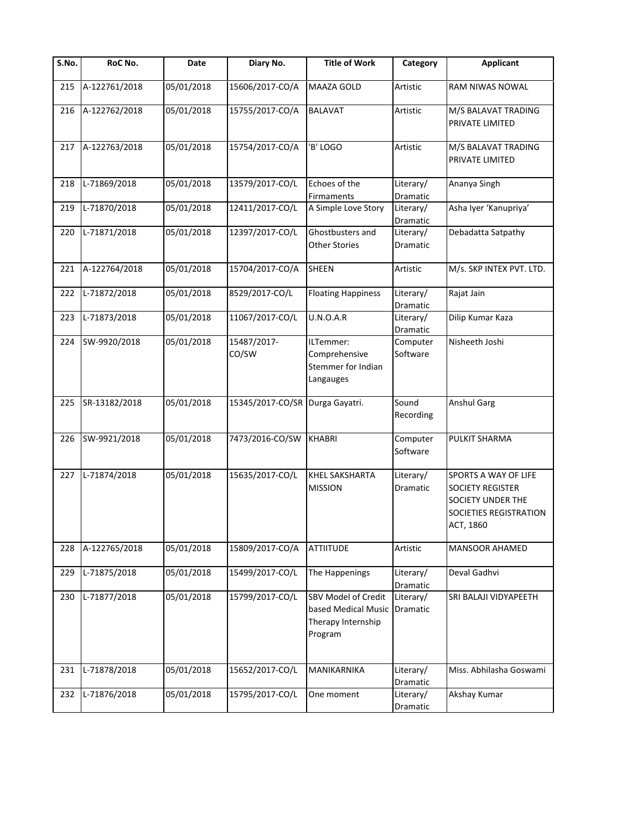| S.No. | RoC No.       | Date       | Diary No.            | <b>Title of Work</b>                                                        | Category                     | <b>Applicant</b>                                                                                                   |
|-------|---------------|------------|----------------------|-----------------------------------------------------------------------------|------------------------------|--------------------------------------------------------------------------------------------------------------------|
| 215   | A-122761/2018 | 05/01/2018 | 15606/2017-CO/A      | MAAZA GOLD                                                                  | Artistic                     | RAM NIWAS NOWAL                                                                                                    |
| 216   | A-122762/2018 | 05/01/2018 | 15755/2017-CO/A      | <b>BALAVAT</b>                                                              | Artistic                     | M/S BALAVAT TRADING<br>PRIVATE LIMITED                                                                             |
| 217   | A-122763/2018 | 05/01/2018 | 15754/2017-CO/A      | 'B' LOGO                                                                    | Artistic                     | M/S BALAVAT TRADING<br>PRIVATE LIMITED                                                                             |
| 218   | L-71869/2018  | 05/01/2018 | 13579/2017-CO/L      | Echoes of the<br><b>Firmaments</b>                                          | Literary/<br>Dramatic        | Ananya Singh                                                                                                       |
| 219   | L-71870/2018  | 05/01/2018 | 12411/2017-CO/L      | A Simple Love Story                                                         | Literary/<br>Dramatic        | Asha Iyer 'Kanupriya'                                                                                              |
| 220   | L-71871/2018  | 05/01/2018 | 12397/2017-CO/L      | Ghostbusters and<br><b>Other Stories</b>                                    | Literary/<br>Dramatic        | Debadatta Satpathy                                                                                                 |
| 221   | A-122764/2018 | 05/01/2018 | 15704/2017-CO/A      | <b>SHEEN</b>                                                                | Artistic                     | M/s. SKP INTEX PVT. LTD.                                                                                           |
| 222   | L-71872/2018  | 05/01/2018 | 8529/2017-CO/L       | <b>Floating Happiness</b>                                                   | Literary/<br>Dramatic        | Rajat Jain                                                                                                         |
| 223   | L-71873/2018  | 05/01/2018 | 11067/2017-CO/L      | U.N.O.A.R                                                                   | Literary/<br><b>Dramatic</b> | Dilip Kumar Kaza                                                                                                   |
| 224   | SW-9920/2018  | 05/01/2018 | 15487/2017-<br>CO/SW | ILTemmer:<br>Comprehensive<br>Stemmer for Indian<br>Langauges               | Computer<br>Software         | Nisheeth Joshi                                                                                                     |
| 225   | SR-13182/2018 | 05/01/2018 | 15345/2017-CO/SR     | Durga Gayatri.                                                              | Sound<br>Recording           | <b>Anshul Garg</b>                                                                                                 |
| 226   | SW-9921/2018  | 05/01/2018 | 7473/2016-CO/SW      | <b>KHABRI</b>                                                               | Computer<br>Software         | PULKIT SHARMA                                                                                                      |
| 227   | L-71874/2018  | 05/01/2018 | 15635/2017-CO/L      | KHEL SAKSHARTA<br><b>MISSION</b>                                            | Literary/<br>Dramatic        | <b>SPORTS A WAY OF LIFE</b><br><b>SOCIETY REGISTER</b><br>SOCIETY UNDER THE<br>SOCIETIES REGISTRATION<br>ACT, 1860 |
| 228   | A-122765/2018 | 05/01/2018 | 15809/2017-CO/A      | <b>ATTIITUDE</b>                                                            | Artistic                     | <b>MANSOOR AHAMED</b>                                                                                              |
| 229   | L-71875/2018  | 05/01/2018 | 15499/2017-CO/L      | The Happenings                                                              | Literary/<br>Dramatic        | Deval Gadhvi                                                                                                       |
| 230   | L-71877/2018  | 05/01/2018 | 15799/2017-CO/L      | SBV Model of Credit<br>based Medical Music<br>Therapy Internship<br>Program | Literary/<br>Dramatic        | SRI BALAJI VIDYAPEETH                                                                                              |
| 231   | L-71878/2018  | 05/01/2018 | 15652/2017-CO/L      | MANIKARNIKA                                                                 | Literary/<br>Dramatic        | Miss. Abhilasha Goswami                                                                                            |
| 232   | L-71876/2018  | 05/01/2018 | 15795/2017-CO/L      | One moment                                                                  | Literary/<br>Dramatic        | Akshay Kumar                                                                                                       |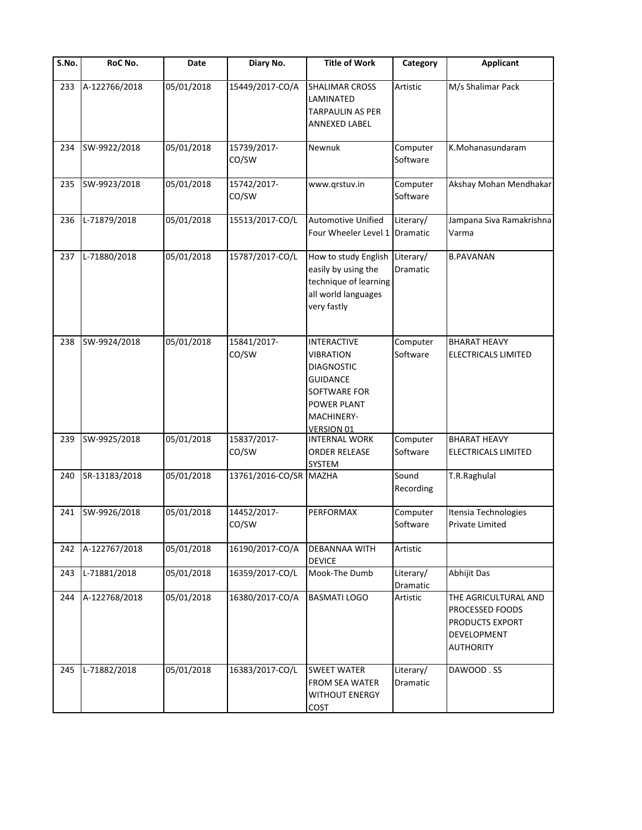| $\overline{\mathsf{S}}$ . No. | RoC No.       | Date       | Diary No.            | <b>Title of Work</b>                                                                                                                                           | Category              | <b>Applicant</b>                                                                              |
|-------------------------------|---------------|------------|----------------------|----------------------------------------------------------------------------------------------------------------------------------------------------------------|-----------------------|-----------------------------------------------------------------------------------------------|
| 233                           | A-122766/2018 | 05/01/2018 | 15449/2017-CO/A      | <b>SHALIMAR CROSS</b><br>LAMINATED<br>TARPAULIN AS PER<br>ANNEXED LABEL                                                                                        | Artistic              | M/s Shalimar Pack                                                                             |
| 234                           | SW-9922/2018  | 05/01/2018 | 15739/2017-<br>CO/SW | Newnuk                                                                                                                                                         | Computer<br>Software  | K.Mohanasundaram                                                                              |
| 235                           | SW-9923/2018  | 05/01/2018 | 15742/2017-<br>CO/SW | www.grstuv.in                                                                                                                                                  | Computer<br>Software  | Akshay Mohan Mendhakar                                                                        |
| 236                           | L-71879/2018  | 05/01/2018 | 15513/2017-CO/L      | Automotive Unified<br>Four Wheeler Level 1                                                                                                                     | Literary/<br>Dramatic | Jampana Siva Ramakrishna<br>Varma                                                             |
| 237                           | L-71880/2018  | 05/01/2018 | 15787/2017-CO/L      | How to study English<br>easily by using the<br>technique of learning<br>all world languages<br>very fastly                                                     | Literary/<br>Dramatic | <b>B.PAVANAN</b>                                                                              |
| 238                           | SW-9924/2018  | 05/01/2018 | 15841/2017-<br>CO/SW | <b>INTERACTIVE</b><br><b>VIBRATION</b><br><b>DIAGNOSTIC</b><br><b>GUIDANCE</b><br>SOFTWARE FOR<br><b>POWER PLANT</b><br><b>MACHINERY-</b><br><b>VERSION 01</b> | Computer<br>Software  | <b>BHARAT HEAVY</b><br><b>ELECTRICALS LIMITED</b>                                             |
| 239                           | SW-9925/2018  | 05/01/2018 | 15837/2017-<br>CO/SW | <b>INTERNAL WORK</b><br><b>ORDER RELEASE</b><br>SYSTEM                                                                                                         | Computer<br>Software  | <b>BHARAT HEAVY</b><br>ELECTRICALS LIMITED                                                    |
| 240                           | SR-13183/2018 | 05/01/2018 | 13761/2016-CO/SR     | <b>MAZHA</b>                                                                                                                                                   | Sound<br>Recording    | T.R.Raghulal                                                                                  |
| 241                           | SW-9926/2018  | 05/01/2018 | 14452/2017-<br>CO/SW | <b>PERFORMAX</b>                                                                                                                                               | Computer<br>Software  | Itensia Technologies<br>Private Limited                                                       |
| 242                           | A-122767/2018 | 05/01/2018 | 16190/2017-CO/A      | DEBANNAA WITH<br><b>DEVICE</b>                                                                                                                                 | Artistic              |                                                                                               |
| 243                           | L-71881/2018  | 05/01/2018 | 16359/2017-CO/L      | Mook-The Dumb                                                                                                                                                  | Literary/<br>Dramatic | Abhijit Das                                                                                   |
| 244                           | A-122768/2018 | 05/01/2018 | 16380/2017-CO/A      | <b>BASMATI LOGO</b>                                                                                                                                            | Artistic              | THE AGRICULTURAL AND<br>PROCESSED FOODS<br>PRODUCTS EXPORT<br>DEVELOPMENT<br><b>AUTHORITY</b> |
| 245                           | L-71882/2018  | 05/01/2018 | 16383/2017-CO/L      | <b>SWEET WATER</b><br><b>FROM SEA WATER</b><br><b>WITHOUT ENERGY</b><br>COST                                                                                   | Literary/<br>Dramatic | DAWOOD.SS                                                                                     |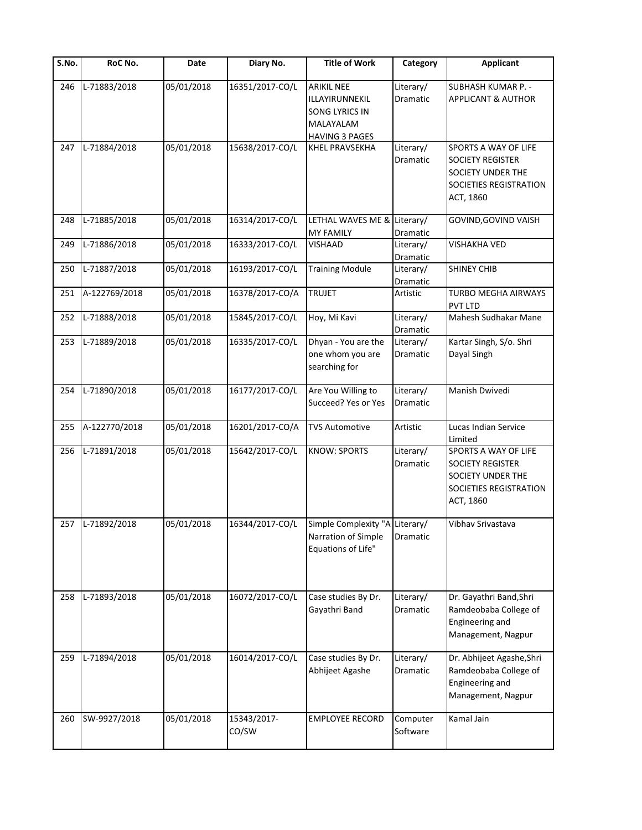| S.No. | RoC No.          | Date       | Diary No.            | <b>Title of Work</b>                                                                        | Category              | <b>Applicant</b>                                                                                            |
|-------|------------------|------------|----------------------|---------------------------------------------------------------------------------------------|-----------------------|-------------------------------------------------------------------------------------------------------------|
| 246   | L-71883/2018     | 05/01/2018 | 16351/2017-CO/L      | <b>ARIKIL NEE</b><br>ILLAYIRUNNEKIL<br>SONG LYRICS IN<br>MALAYALAM<br><b>HAVING 3 PAGES</b> | Literary/<br>Dramatic | SUBHASH KUMAR P. -<br><b>APPLICANT &amp; AUTHOR</b>                                                         |
| 247   | L-71884/2018     | 05/01/2018 | 15638/2017-CO/L      | KHEL PRAVSEKHA                                                                              | Literary/<br>Dramatic | SPORTS A WAY OF LIFE<br><b>SOCIETY REGISTER</b><br>SOCIETY UNDER THE<br>SOCIETIES REGISTRATION<br>ACT, 1860 |
| 248   | L-71885/2018     | 05/01/2018 | 16314/2017-CO/L      | LETHAL WAVES ME &<br><b>MY FAMILY</b>                                                       | Literary/<br>Dramatic | GOVIND, GOVIND VAISH                                                                                        |
| 249   | L-71886/2018     | 05/01/2018 | 16333/2017-CO/L      | VISHAAD                                                                                     | Literary/<br>Dramatic | <b>VISHAKHA VED</b>                                                                                         |
| 250   | L-71887/2018     | 05/01/2018 | 16193/2017-CO/L      | <b>Training Module</b>                                                                      | Literary/<br>Dramatic | <b>SHINEY CHIB</b>                                                                                          |
| 251   | A-122769/2018    | 05/01/2018 | 16378/2017-CO/A      | <b>TRUJET</b>                                                                               | Artistic              | TURBO MEGHA AIRWAYS<br>PVT LTD                                                                              |
| 252   | L-71888/2018     | 05/01/2018 | 15845/2017-CO/L      | Hoy, Mi Kavi                                                                                | Literary/<br>Dramatic | Mahesh Sudhakar Mane                                                                                        |
| 253   | L-71889/2018     | 05/01/2018 | 16335/2017-CO/L      | Dhyan - You are the<br>one whom you are<br>searching for                                    | Literary/<br>Dramatic | Kartar Singh, S/o. Shri<br>Dayal Singh                                                                      |
| 254   | L-71890/2018     | 05/01/2018 | 16177/2017-CO/L      | Are You Willing to<br>Succeed? Yes or Yes                                                   | Literary/<br>Dramatic | Manish Dwivedi                                                                                              |
| 255   | A-122770/2018    | 05/01/2018 | 16201/2017-CO/A      | <b>TVS Automotive</b>                                                                       | Artistic              | Lucas Indian Service<br>Limited                                                                             |
| 256   | L-71891/2018     | 05/01/2018 | 15642/2017-CO/L      | <b>KNOW: SPORTS</b>                                                                         | Literary/<br>Dramatic | SPORTS A WAY OF LIFE<br><b>SOCIETY REGISTER</b><br>SOCIETY UNDER THE<br>SOCIETIES REGISTRATION<br>ACT, 1860 |
|       | 257 L-71892/2018 | 05/01/2018 | 16344/2017-CO/L      | Simple Complexity "A Literary/<br>Narration of Simple<br>Equations of Life"                 | Dramatic              | Vibhav Srivastava                                                                                           |
| 258   | L-71893/2018     | 05/01/2018 | 16072/2017-CO/L      | Case studies By Dr.<br>Gayathri Band                                                        | Literary/<br>Dramatic | Dr. Gayathri Band, Shri<br>Ramdeobaba College of<br>Engineering and<br>Management, Nagpur                   |
| 259   | L-71894/2018     | 05/01/2018 | 16014/2017-CO/L      | Case studies By Dr.<br>Abhijeet Agashe                                                      | Literary/<br>Dramatic | Dr. Abhijeet Agashe, Shri<br>Ramdeobaba College of<br>Engineering and<br>Management, Nagpur                 |
| 260   | SW-9927/2018     | 05/01/2018 | 15343/2017-<br>CO/SW | <b>EMPLOYEE RECORD</b>                                                                      | Computer<br>Software  | Kamal Jain                                                                                                  |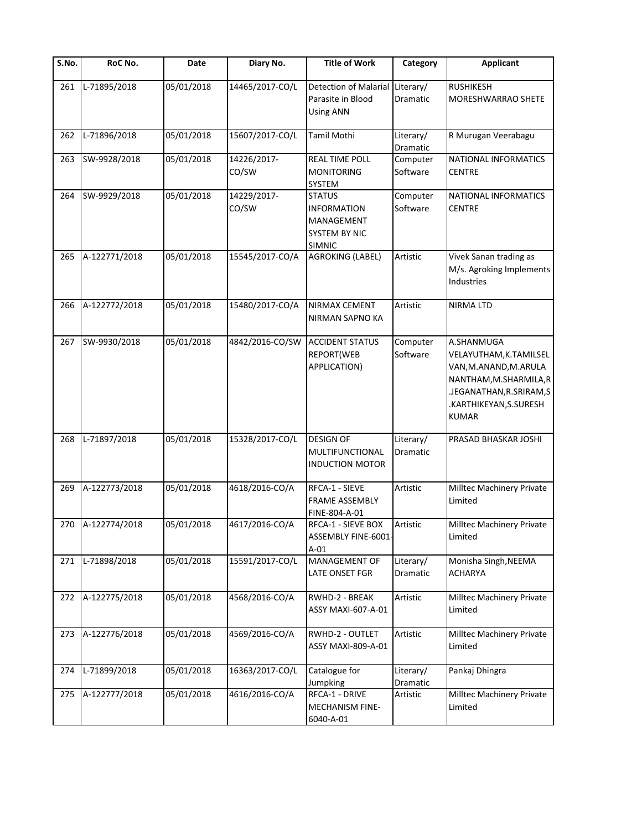| S.No. | RoC No.           | Date       | Diary No.            | <b>Title of Work</b>                                                                       | Category              | <b>Applicant</b>                                                                                                                                              |
|-------|-------------------|------------|----------------------|--------------------------------------------------------------------------------------------|-----------------------|---------------------------------------------------------------------------------------------------------------------------------------------------------------|
| 261   | L-71895/2018      | 05/01/2018 | 14465/2017-CO/L      | Detection of Malarial<br>Parasite in Blood<br><b>Using ANN</b>                             | Literary/<br>Dramatic | <b>RUSHIKESH</b><br>MORESHWARRAO SHETE                                                                                                                        |
| 262   | L-71896/2018      | 05/01/2018 | 15607/2017-CO/L      | <b>Tamil Mothi</b>                                                                         | Literary/<br>Dramatic | R Murugan Veerabagu                                                                                                                                           |
| 263   | SW-9928/2018      | 05/01/2018 | 14226/2017-<br>CO/SW | <b>REAL TIME POLL</b><br><b>MONITORING</b><br>SYSTEM                                       | Computer<br>Software  | NATIONAL INFORMATICS<br><b>CENTRE</b>                                                                                                                         |
| 264   | SW-9929/2018      | 05/01/2018 | 14229/2017-<br>CO/SW | <b>STATUS</b><br><b>INFORMATION</b><br>MANAGEMENT<br><b>SYSTEM BY NIC</b><br><b>SIMNIC</b> | Computer<br>Software  | NATIONAL INFORMATICS<br><b>CENTRE</b>                                                                                                                         |
| 265   | A-122771/2018     | 05/01/2018 | 15545/2017-CO/A      | <b>AGROKING (LABEL)</b>                                                                    | Artistic              | Vivek Sanan trading as<br>M/s. Agroking Implements<br>Industries                                                                                              |
| 266   | A-122772/2018     | 05/01/2018 | 15480/2017-CO/A      | NIRMAX CEMENT<br>NIRMAN SAPNO KA                                                           | Artistic              | <b>NIRMA LTD</b>                                                                                                                                              |
| 267   | SW-9930/2018      | 05/01/2018 | 4842/2016-CO/SW      | <b>ACCIDENT STATUS</b><br>REPORT(WEB<br>APPLICATION)                                       | Computer<br>Software  | A.SHANMUGA<br>VELAYUTHAM, K.TAMILSEL<br>VAN, M.ANAND, M.ARULA<br>NANTHAM, M.SHARMILA, R<br>.JEGANATHAN, R.SRIRAM, S<br>.KARTHIKEYAN, S.SURESH<br><b>KUMAR</b> |
| 268   | L-71897/2018      | 05/01/2018 | 15328/2017-CO/L      | <b>DESIGN OF</b><br>MULTIFUNCTIONAL<br><b>INDUCTION MOTOR</b>                              | Literary/<br>Dramatic | PRASAD BHASKAR JOSHI                                                                                                                                          |
| 269   | A-122773/2018     | 05/01/2018 | 4618/2016-CO/A       | RFCA-1 - SIEVE<br><b>FRAME ASSEMBLY</b><br>FINE-804-A-01                                   | Artistic              | Milltec Machinery Private<br>Limited                                                                                                                          |
|       | 270 A-122774/2018 | 05/01/2018 | 4617/2016-CO/A       | RFCA-1 - SIEVE BOX<br>ASSEMBLY FINE-6001-<br>$A-01$                                        | Artistic              | Milltec Machinery Private<br>Limited                                                                                                                          |
| 271   | L-71898/2018      | 05/01/2018 | 15591/2017-CO/L      | MANAGEMENT OF<br>LATE ONSET FGR                                                            | Literary/<br>Dramatic | Monisha Singh, NEEMA<br><b>ACHARYA</b>                                                                                                                        |
| 272   | A-122775/2018     | 05/01/2018 | 4568/2016-CO/A       | RWHD-2 - BREAK<br>ASSY MAXI-607-A-01                                                       | Artistic              | Milltec Machinery Private<br>Limited                                                                                                                          |
| 273   | A-122776/2018     | 05/01/2018 | 4569/2016-CO/A       | RWHD-2 - OUTLET<br>ASSY MAXI-809-A-01                                                      | Artistic              | Milltec Machinery Private<br>Limited                                                                                                                          |
| 274   | L-71899/2018      | 05/01/2018 | 16363/2017-CO/L      | Catalogue for<br>Jumpking                                                                  | Literary/<br>Dramatic | Pankaj Dhingra                                                                                                                                                |
| 275   | A-122777/2018     | 05/01/2018 | 4616/2016-CO/A       | RFCA-1 - DRIVE<br>MECHANISM FINE-<br>6040-A-01                                             | Artistic              | Milltec Machinery Private<br>Limited                                                                                                                          |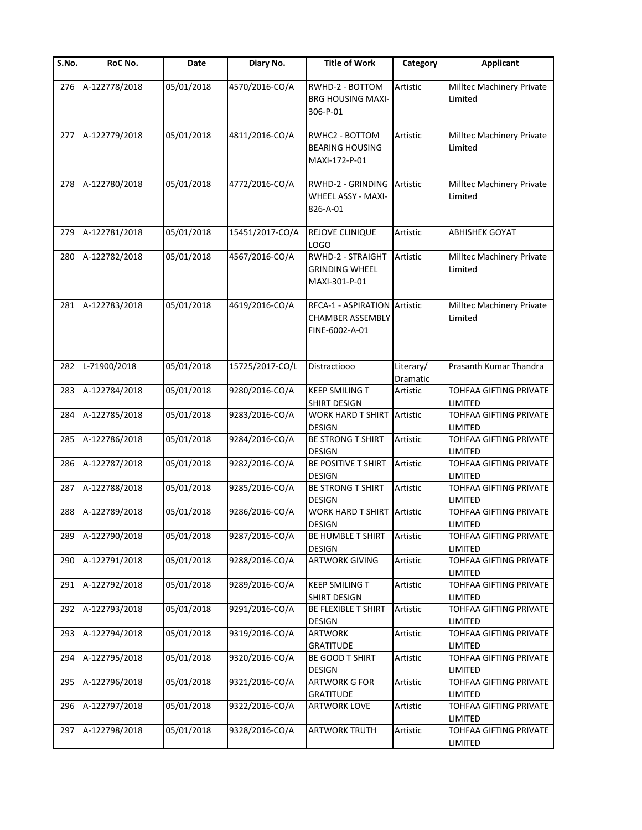| S.No. | RoC No.       | Date       | Diary No.       | <b>Title of Work</b>                                                      | Category              | <b>Applicant</b>                         |
|-------|---------------|------------|-----------------|---------------------------------------------------------------------------|-----------------------|------------------------------------------|
| 276   | A-122778/2018 | 05/01/2018 | 4570/2016-CO/A  | RWHD-2 - BOTTOM<br><b>BRG HOUSING MAXI-</b><br>306-P-01                   | Artistic              | Milltec Machinery Private<br>Limited     |
| 277   | A-122779/2018 | 05/01/2018 | 4811/2016-CO/A  | RWHC2 - BOTTOM<br><b>BEARING HOUSING</b><br>MAXI-172-P-01                 | Artistic              | Milltec Machinery Private<br>Limited     |
| 278   | A-122780/2018 | 05/01/2018 | 4772/2016-CO/A  | <b>RWHD-2 - GRINDING</b><br>WHEEL ASSY - MAXI-<br>826-A-01                | Artistic              | Milltec Machinery Private<br>Limited     |
| 279   | A-122781/2018 | 05/01/2018 | 15451/2017-CO/A | REJOVE CLINIQUE<br>LOGO                                                   | Artistic              | ABHISHEK GOYAT                           |
| 280   | A-122782/2018 | 05/01/2018 | 4567/2016-CO/A  | RWHD-2 - STRAIGHT<br><b>GRINDING WHEEL</b><br>MAXI-301-P-01               | Artistic              | Milltec Machinery Private<br>Limited     |
| 281   | A-122783/2018 | 05/01/2018 | 4619/2016-CO/A  | RFCA-1 - ASPIRATION Artistic<br><b>CHAMBER ASSEMBLY</b><br>FINE-6002-A-01 |                       | Milltec Machinery Private<br>Limited     |
| 282   | L-71900/2018  | 05/01/2018 | 15725/2017-CO/L | Distractiooo                                                              | Literary/<br>Dramatic | Prasanth Kumar Thandra                   |
| 283   | A-122784/2018 | 05/01/2018 | 9280/2016-CO/A  | <b>KEEP SMILING T</b><br>SHIRT DESIGN                                     | Artistic              | TOHFAA GIFTING PRIVATE<br>LIMITED        |
| 284   | A-122785/2018 | 05/01/2018 | 9283/2016-CO/A  | <b>WORK HARD T SHIRT</b><br><b>DESIGN</b>                                 | Artistic              | TOHFAA GIFTING PRIVATE<br>LIMITED        |
| 285   | A-122786/2018 | 05/01/2018 | 9284/2016-CO/A  | <b>BE STRONG T SHIRT</b><br><b>DESIGN</b>                                 | Artistic              | TOHFAA GIFTING PRIVATE<br>LIMITED        |
| 286   | A-122787/2018 | 05/01/2018 | 9282/2016-CO/A  | BE POSITIVE T SHIRT<br><b>DESIGN</b>                                      | Artistic              | TOHFAA GIFTING PRIVATE<br>LIMITED        |
| 287   | A-122788/2018 | 05/01/2018 | 9285/2016-CO/A  | BE STRONG T SHIRT<br><b>DESIGN</b>                                        | Artistic              | TOHFAA GIFTING PRIVATE<br>LIMITED        |
| 288   | A-122789/2018 | 05/01/2018 | 9286/2016-CO/A  | <b>WORK HARD T SHIRT Artistic</b><br><b>DESIGN</b>                        |                       | TOHFAA GIFTING PRIVATE<br>LIMITED        |
| 289   | A-122790/2018 | 05/01/2018 | 9287/2016-CO/A  | <b>BE HUMBLE T SHIRT</b><br><b>DESIGN</b>                                 | Artistic              | TOHFAA GIFTING PRIVATE<br>LIMITED        |
| 290   | A-122791/2018 | 05/01/2018 | 9288/2016-CO/A  | <b>ARTWORK GIVING</b>                                                     | Artistic              | TOHFAA GIFTING PRIVATE<br>LIMITED        |
| 291   | A-122792/2018 | 05/01/2018 | 9289/2016-CO/A  | <b>KEEP SMILING T</b><br>SHIRT DESIGN                                     | Artistic              | TOHFAA GIFTING PRIVATE<br>LIMITED        |
| 292   | A-122793/2018 | 05/01/2018 | 9291/2016-CO/A  | <b>BE FLEXIBLE T SHIRT</b><br><b>DESIGN</b>                               | Artistic              | TOHFAA GIFTING PRIVATE<br>LIMITED        |
| 293   | A-122794/2018 | 05/01/2018 | 9319/2016-CO/A  | <b>ARTWORK</b><br><b>GRATITUDE</b>                                        | Artistic              | TOHFAA GIFTING PRIVATE<br>LIMITED        |
| 294   | A-122795/2018 | 05/01/2018 | 9320/2016-CO/A  | BE GOOD T SHIRT<br><b>DESIGN</b>                                          | Artistic              | TOHFAA GIFTING PRIVATE<br><b>LIMITED</b> |
| 295   | A-122796/2018 | 05/01/2018 | 9321/2016-CO/A  | <b>ARTWORK G FOR</b><br><b>GRATITUDE</b>                                  | Artistic              | TOHFAA GIFTING PRIVATE<br>LIMITED        |
| 296   | A-122797/2018 | 05/01/2018 | 9322/2016-CO/A  | <b>ARTWORK LOVE</b>                                                       | Artistic              | TOHFAA GIFTING PRIVATE<br><b>LIMITED</b> |
| 297   | A-122798/2018 | 05/01/2018 | 9328/2016-CO/A  | <b>ARTWORK TRUTH</b>                                                      | Artistic              | TOHFAA GIFTING PRIVATE<br>LIMITED        |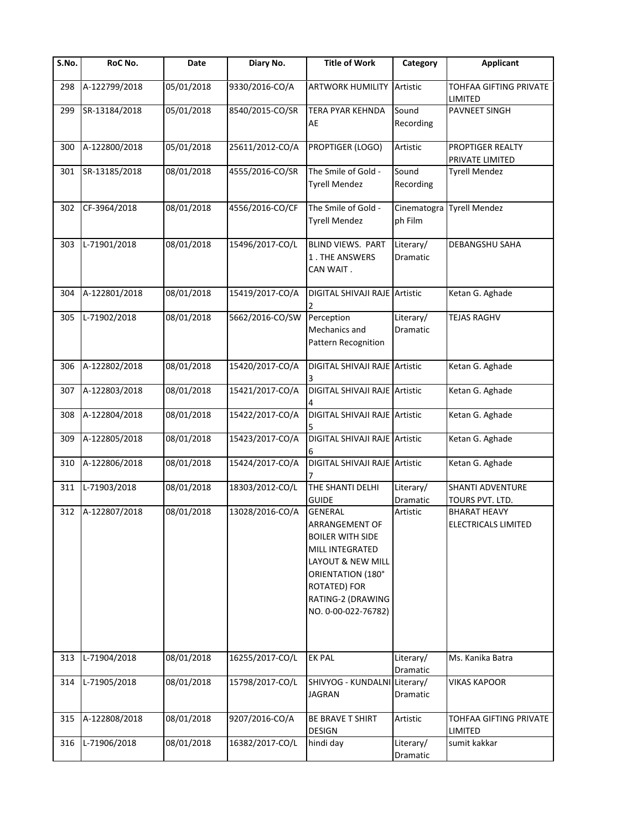| S.No. | RoC No.       | Date       | Diary No.       | <b>Title of Work</b>                                                                                                                                                                        | Category                     | <b>Applicant</b>                                  |
|-------|---------------|------------|-----------------|---------------------------------------------------------------------------------------------------------------------------------------------------------------------------------------------|------------------------------|---------------------------------------------------|
| 298   | A-122799/2018 | 05/01/2018 | 9330/2016-CO/A  | <b>ARTWORK HUMILITY Artistic</b>                                                                                                                                                            |                              | <b>TOHFAA GIFTING PRIVATE</b><br>LIMITED          |
| 299   | SR-13184/2018 | 05/01/2018 | 8540/2015-CO/SR | <b>TERA PYAR KEHNDA</b><br>AE                                                                                                                                                               | Sound<br>Recording           | PAVNEET SINGH                                     |
| 300   | A-122800/2018 | 05/01/2018 | 25611/2012-CO/A | PROPTIGER (LOGO)                                                                                                                                                                            | Artistic                     | PROPTIGER REALTY<br>PRIVATE LIMITED               |
| 301   | SR-13185/2018 | 08/01/2018 | 4555/2016-CO/SR | The Smile of Gold -<br><b>Tyrell Mendez</b>                                                                                                                                                 | Sound<br>Recording           | <b>Tyrell Mendez</b>                              |
| 302   | CF-3964/2018  | 08/01/2018 | 4556/2016-CO/CF | The Smile of Gold -<br><b>Tyrell Mendez</b>                                                                                                                                                 | Cinematogra<br>ph Film       | <b>Tyrell Mendez</b>                              |
| 303   | L-71901/2018  | 08/01/2018 | 15496/2017-CO/L | BLIND VIEWS. PART<br>1. THE ANSWERS<br>CAN WAIT .                                                                                                                                           | Literary/<br>Dramatic        | <b>DEBANGSHU SAHA</b>                             |
| 304   | A-122801/2018 | 08/01/2018 | 15419/2017-CO/A | DIGITAL SHIVAJI RAJE Artistic                                                                                                                                                               |                              | Ketan G. Aghade                                   |
| 305   | L-71902/2018  | 08/01/2018 | 5662/2016-CO/SW | Perception<br>Mechanics and<br>Pattern Recognition                                                                                                                                          | Literary/<br><b>Dramatic</b> | <b>TEJAS RAGHV</b>                                |
| 306   | A-122802/2018 | 08/01/2018 | 15420/2017-CO/A | DIGITAL SHIVAJI RAJE Artistic                                                                                                                                                               |                              | Ketan G. Aghade                                   |
| 307   | A-122803/2018 | 08/01/2018 | 15421/2017-CO/A | DIGITAL SHIVAJI RAJE Artistic                                                                                                                                                               |                              | Ketan G. Aghade                                   |
| 308   | A-122804/2018 | 08/01/2018 | 15422/2017-CO/A | DIGITAL SHIVAJI RAJE Artistic                                                                                                                                                               |                              | Ketan G. Aghade                                   |
| 309   | A-122805/2018 | 08/01/2018 | 15423/2017-CO/A | DIGITAL SHIVAJI RAJE Artistic                                                                                                                                                               |                              | Ketan G. Aghade                                   |
| 310   | A-122806/2018 | 08/01/2018 | 15424/2017-CO/A | DIGITAL SHIVAJI RAJE Artistic                                                                                                                                                               |                              | Ketan G. Aghade                                   |
| 311   | L-71903/2018  | 08/01/2018 | 18303/2012-CO/L | THE SHANTI DELHI<br><b>GUIDE</b>                                                                                                                                                            | Literary/<br>Dramatic        | <b>SHANTI ADVENTURE</b><br>TOURS PVT. LTD.        |
| 312   | A-122807/2018 | 08/01/2018 | 13028/2016-CO/A | <b>GENERAL</b><br><b>ARRANGEMENT OF</b><br><b>BOILER WITH SIDE</b><br>MILL INTEGRATED<br>LAYOUT & NEW MILL<br>ORIENTATION (180°<br>ROTATED) FOR<br>RATING-2 (DRAWING<br>NO. 0-00-022-76782) | Artistic                     | <b>BHARAT HEAVY</b><br><b>FLECTRICALS LIMITED</b> |
| 313   | L-71904/2018  | 08/01/2018 | 16255/2017-CO/L | <b>EK PAL</b>                                                                                                                                                                               | Literary/<br>Dramatic        | Ms. Kanika Batra                                  |
| 314   | L-71905/2018  | 08/01/2018 | 15798/2017-CO/L | SHIVYOG - KUNDALNI Literary/<br><b>JAGRAN</b>                                                                                                                                               | Dramatic                     | <b>VIKAS KAPOOR</b>                               |
| 315   | A-122808/2018 | 08/01/2018 | 9207/2016-CO/A  | BE BRAVE T SHIRT<br><b>DESIGN</b>                                                                                                                                                           | Artistic                     | TOHFAA GIFTING PRIVATE<br><b>LIMITED</b>          |
| 316   | L-71906/2018  | 08/01/2018 | 16382/2017-CO/L | hindi day                                                                                                                                                                                   | Literary/<br>Dramatic        | sumit kakkar                                      |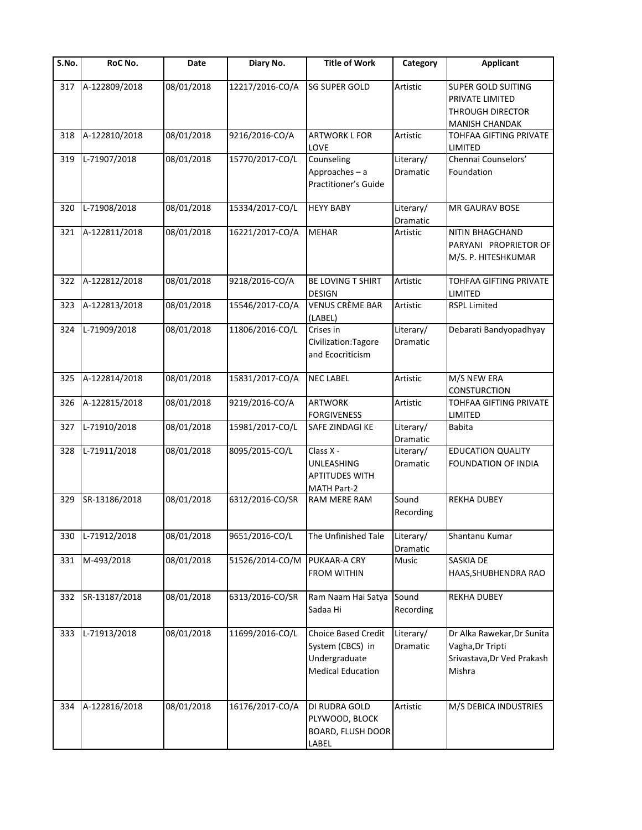| S.No. | RoC No.       | Date       | Diary No.       | <b>Title of Work</b>                                                                 | Category              | <b>Applicant</b>                                                                       |
|-------|---------------|------------|-----------------|--------------------------------------------------------------------------------------|-----------------------|----------------------------------------------------------------------------------------|
| 317   | A-122809/2018 | 08/01/2018 | 12217/2016-CO/A | <b>SG SUPER GOLD</b>                                                                 | Artistic              | SUPER GOLD SUITING<br>PRIVATE LIMITED<br>THROUGH DIRECTOR<br><b>MANISH CHANDAK</b>     |
| 318   | A-122810/2018 | 08/01/2018 | 9216/2016-CO/A  | <b>ARTWORK L FOR</b><br>LOVE                                                         | Artistic              | TOHFAA GIFTING PRIVATE<br>LIMITED                                                      |
| 319   | L-71907/2018  | 08/01/2018 | 15770/2017-CO/L | Counseling<br>Approaches-a<br>Practitioner's Guide                                   | Literary/<br>Dramatic | Chennai Counselors'<br>Foundation                                                      |
| 320   | L-71908/2018  | 08/01/2018 | 15334/2017-CO/L | <b>HEYY BABY</b>                                                                     | Literary/<br>Dramatic | MR GAURAV BOSE                                                                         |
| 321   | A-122811/2018 | 08/01/2018 | 16221/2017-CO/A | <b>MEHAR</b>                                                                         | Artistic              | NITIN BHAGCHAND<br>PARYANI PROPRIETOR OF<br>M/S. P. HITESHKUMAR                        |
| 322   | A-122812/2018 | 08/01/2018 | 9218/2016-CO/A  | <b>BE LOVING T SHIRT</b><br><b>DESIGN</b>                                            | Artistic              | <b>TOHFAA GIFTING PRIVATE</b><br>LIMITED                                               |
| 323   | A-122813/2018 | 08/01/2018 | 15546/2017-CO/A | VENUS CRÈME BAR<br>(LABEL)                                                           | Artistic              | <b>RSPL Limited</b>                                                                    |
| 324   | L-71909/2018  | 08/01/2018 | 11806/2016-CO/L | Crises in<br>Civilization: Tagore<br>and Ecocriticism                                | Literary/<br>Dramatic | Debarati Bandyopadhyay                                                                 |
| 325   | A-122814/2018 | 08/01/2018 | 15831/2017-CO/A | <b>NEC LABEL</b>                                                                     | Artistic              | M/S NEW ERA<br>CONSTURCTION                                                            |
| 326   | A-122815/2018 | 08/01/2018 | 9219/2016-CO/A  | <b>ARTWORK</b><br><b>FORGIVENESS</b>                                                 | Artistic              | TOHFAA GIFTING PRIVATE<br>LIMITED                                                      |
| 327   | L-71910/2018  | 08/01/2018 | 15981/2017-CO/L | SAFE ZINDAGI KE                                                                      | Literary/<br>Dramatic | <b>Babita</b>                                                                          |
| 328   | L-71911/2018  | 08/01/2018 | 8095/2015-CO/L  | Class X -<br>UNLEASHING<br><b>APTITUDES WITH</b><br><b>MATH Part-2</b>               | Literary/<br>Dramatic | <b>EDUCATION QUALITY</b><br>FOUNDATION OF INDIA                                        |
| 329   | SR-13186/2018 | 08/01/2018 | 6312/2016-CO/SR | RAM MERE RAM                                                                         | Sound<br>Recording    | <b>REKHA DUBEY</b>                                                                     |
| 330   | L-71912/2018  | 08/01/2018 | 9651/2016-CO/L  | The Unfinished Tale                                                                  | Literary/<br>Dramatic | Shantanu Kumar                                                                         |
| 331   | M-493/2018    | 08/01/2018 | 51526/2014-CO/M | PUKAAR-A CRY<br><b>FROM WITHIN</b>                                                   | Music                 | SASKIA DE<br>HAAS, SHUBHENDRA RAO                                                      |
| 332   | SR-13187/2018 | 08/01/2018 | 6313/2016-CO/SR | Ram Naam Hai Satya<br>Sadaa Hi                                                       | Sound<br>Recording    | <b>REKHA DUBEY</b>                                                                     |
| 333   | L-71913/2018  | 08/01/2018 | 11699/2016-CO/L | Choice Based Credit<br>System (CBCS) in<br>Undergraduate<br><b>Medical Education</b> | Literary/<br>Dramatic | Dr Alka Rawekar, Dr Sunita<br>Vagha, Dr Tripti<br>Srivastava, Dr Ved Prakash<br>Mishra |
| 334   | A-122816/2018 | 08/01/2018 | 16176/2017-CO/A | DI RUDRA GOLD<br>PLYWOOD, BLOCK<br>BOARD, FLUSH DOOR<br>LABEL                        | Artistic              | M/S DEBICA INDUSTRIES                                                                  |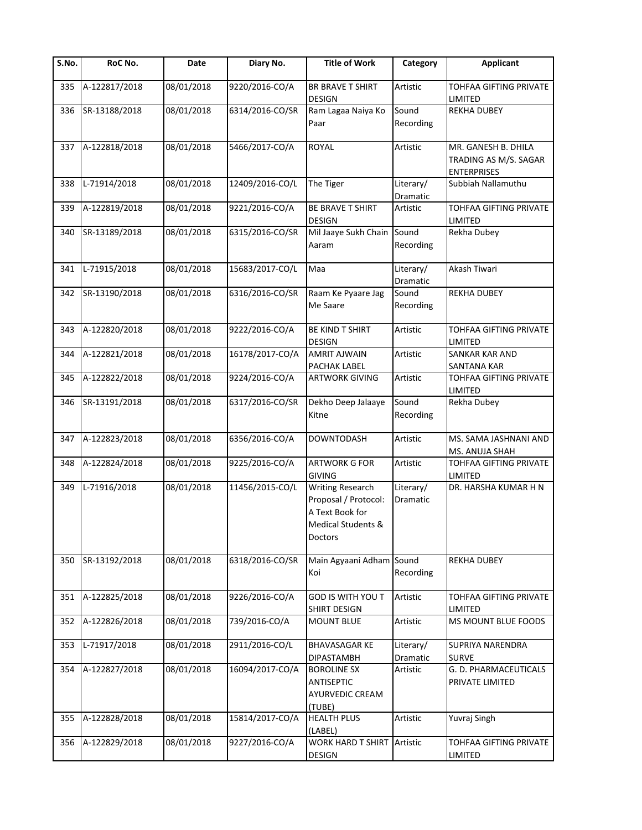| $\overline{\mathsf{S}}$ . No. | RoC No.       | Date       | Diary No.       | <b>Title of Work</b>                                                                                | Category              | <b>Applicant</b>                                                   |
|-------------------------------|---------------|------------|-----------------|-----------------------------------------------------------------------------------------------------|-----------------------|--------------------------------------------------------------------|
| 335                           | A-122817/2018 | 08/01/2018 | 9220/2016-CO/A  | BR BRAVE T SHIRT<br><b>DESIGN</b>                                                                   | Artistic              | TOHFAA GIFTING PRIVATE<br>LIMITED                                  |
| 336                           | SR-13188/2018 | 08/01/2018 | 6314/2016-CO/SR | Ram Lagaa Naiya Ko<br>Paar                                                                          | Sound<br>Recording    | <b>REKHA DUBEY</b>                                                 |
| 337                           | A-122818/2018 | 08/01/2018 | 5466/2017-CO/A  | <b>ROYAL</b>                                                                                        | Artistic              | MR. GANESH B. DHILA<br>TRADING AS M/S. SAGAR<br><b>ENTERPRISES</b> |
| 338                           | L-71914/2018  | 08/01/2018 | 12409/2016-CO/L | The Tiger                                                                                           | Literary/<br>Dramatic | Subbiah Nallamuthu                                                 |
| 339                           | A-122819/2018 | 08/01/2018 | 9221/2016-CO/A  | BE BRAVE T SHIRT<br>DESIGN                                                                          | Artistic              | TOHFAA GIFTING PRIVATE<br>LIMITED                                  |
| 340                           | SR-13189/2018 | 08/01/2018 | 6315/2016-CO/SR | Mil Jaaye Sukh Chain<br>Aaram                                                                       | Sound<br>Recording    | Rekha Dubey                                                        |
| 341                           | L-71915/2018  | 08/01/2018 | 15683/2017-CO/L | Maa                                                                                                 | Literary/<br>Dramatic | Akash Tiwari                                                       |
| 342                           | SR-13190/2018 | 08/01/2018 | 6316/2016-CO/SR | Raam Ke Pyaare Jag<br>Me Saare                                                                      | Sound<br>Recording    | <b>REKHA DUBEY</b>                                                 |
| 343                           | A-122820/2018 | 08/01/2018 | 9222/2016-CO/A  | BE KIND T SHIRT<br><b>DESIGN</b>                                                                    | Artistic              | TOHFAA GIFTING PRIVATE<br>LIMITED                                  |
| 344                           | A-122821/2018 | 08/01/2018 | 16178/2017-CO/A | <b>AMRIT AJWAIN</b><br>PACHAK LABEL                                                                 | Artistic              | <b>SANKAR KAR AND</b><br>SANTANA KAR                               |
| 345                           | A-122822/2018 | 08/01/2018 | 9224/2016-CO/A  | <b>ARTWORK GIVING</b>                                                                               | Artistic              | TOHFAA GIFTING PRIVATE<br>LIMITED                                  |
| 346                           | SR-13191/2018 | 08/01/2018 | 6317/2016-CO/SR | Dekho Deep Jalaaye<br>Kitne                                                                         | Sound<br>Recording    | Rekha Dubey                                                        |
| 347                           | A-122823/2018 | 08/01/2018 | 6356/2016-CO/A  | <b>DOWNTODASH</b>                                                                                   | Artistic              | MS. SAMA JASHNANI AND<br>MS. ANUJA SHAH                            |
| 348                           | A-122824/2018 | 08/01/2018 | 9225/2016-CO/A  | <b>ARTWORK G FOR</b><br><b>GIVING</b>                                                               | Artistic              | TOHFAA GIFTING PRIVATE<br>LIMITED                                  |
| 349                           | L-71916/2018  | 08/01/2018 | 11456/2015-CO/L | <b>Writing Research</b><br>Proposal / Protocol:<br>A Text Book for<br>Medical Students &<br>Doctors | Literary/<br>Dramatic | DR. HARSHA KUMAR H N                                               |
| 350                           | SR-13192/2018 | 08/01/2018 | 6318/2016-CO/SR | Main Agyaani Adham Sound<br>Koi                                                                     | Recording             | <b>REKHA DUBEY</b>                                                 |
| 351                           | A-122825/2018 | 08/01/2018 | 9226/2016-CO/A  | GOD IS WITH YOU T<br>SHIRT DESIGN                                                                   | Artistic              | TOHFAA GIFTING PRIVATE<br>LIMITED                                  |
| 352                           | A-122826/2018 | 08/01/2018 | 739/2016-CO/A   | <b>MOUNT BLUE</b>                                                                                   | Artistic              | MS MOUNT BLUE FOODS                                                |
| 353                           | L-71917/2018  | 08/01/2018 | 2911/2016-CO/L  | <b>BHAVASAGAR KE</b><br><b>DIPASTAMBH</b>                                                           | Literary/<br>Dramatic | SUPRIYA NARENDRA<br><b>SURVE</b>                                   |
| 354                           | A-122827/2018 | 08/01/2018 | 16094/2017-CO/A | <b>BOROLINE SX</b><br>ANTISEPTIC<br><b>AYURVEDIC CREAM</b><br>(TUBE)                                | Artistic              | G. D. PHARMACEUTICALS<br>PRIVATE LIMITED                           |
| 355                           | A-122828/2018 | 08/01/2018 | 15814/2017-CO/A | <b>HEALTH PLUS</b><br>(LABEL)                                                                       | Artistic              | Yuvraj Singh                                                       |
| 356                           | A-122829/2018 | 08/01/2018 | 9227/2016-CO/A  | WORK HARD T SHIRT<br>DESIGN                                                                         | Artistic              | TOHFAA GIFTING PRIVATE<br>LIMITED                                  |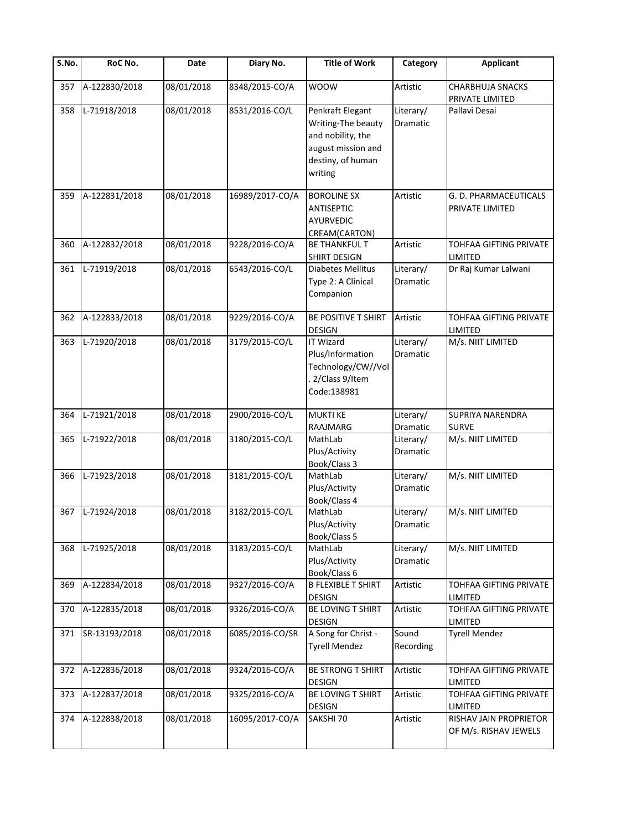| $\overline{\mathsf{S}}$ . No. | RoC No.       | <b>Date</b> | Diary No.       | <b>Title of Work</b>                                                                                              | Category                     | <b>Applicant</b>                                |
|-------------------------------|---------------|-------------|-----------------|-------------------------------------------------------------------------------------------------------------------|------------------------------|-------------------------------------------------|
| 357                           | A-122830/2018 | 08/01/2018  | 8348/2015-CO/A  | <b>WOOW</b>                                                                                                       | Artistic                     | CHARBHUJA SNACKS<br>PRIVATE LIMITED             |
| 358                           | L-71918/2018  | 08/01/2018  | 8531/2016-CO/L  | Penkraft Elegant<br>Writing-The beauty<br>and nobility, the<br>august mission and<br>destiny, of human<br>writing | Literary/<br><b>Dramatic</b> | Pallavi Desai                                   |
| 359                           | A-122831/2018 | 08/01/2018  | 16989/2017-CO/A | <b>BOROLINE SX</b><br>ANTISEPTIC<br><b>AYURVEDIC</b><br>CREAM(CARTON)                                             | Artistic                     | G. D. PHARMACEUTICALS<br>PRIVATE LIMITED        |
| 360                           | A-122832/2018 | 08/01/2018  | 9228/2016-CO/A  | <b>BE THANKFUL T</b><br>SHIRT DESIGN                                                                              | Artistic                     | TOHFAA GIFTING PRIVATE<br>LIMITED               |
| 361                           | L-71919/2018  | 08/01/2018  | 6543/2016-CO/L  | <b>Diabetes Mellitus</b><br>Type 2: A Clinical<br>Companion                                                       | Literary/<br><b>Dramatic</b> | Dr Raj Kumar Lalwani                            |
| 362                           | A-122833/2018 | 08/01/2018  | 9229/2016-CO/A  | BE POSITIVE T SHIRT<br><b>DESIGN</b>                                                                              | Artistic                     | TOHFAA GIFTING PRIVATE<br>LIMITED               |
| 363                           | L-71920/2018  | 08/01/2018  | 3179/2015-CO/L  | <b>IT Wizard</b><br>Plus/Information<br>Technology/CW//Vol<br>2/Class 9/Item<br>Code:138981                       | Literary/<br>Dramatic        | M/s. NIIT LIMITED                               |
| 364                           | L-71921/2018  | 08/01/2018  | 2900/2016-CO/L  | <b>MUKTI KE</b><br>RAAJMARG                                                                                       | Literary/<br>Dramatic        | SUPRIYA NARENDRA<br><b>SURVE</b>                |
| 365                           | L-71922/2018  | 08/01/2018  | 3180/2015-CO/L  | MathLab<br>Plus/Activity<br>Book/Class 3                                                                          | Literary/<br>Dramatic        | M/s. NIIT LIMITED                               |
| 366                           | L-71923/2018  | 08/01/2018  | 3181/2015-CO/L  | MathLab<br>Plus/Activity<br>Book/Class 4                                                                          | Literary/<br>Dramatic        | M/s. NIIT LIMITED                               |
| 367                           | L-71924/2018  | 08/01/2018  | 3182/2015-CO/L  | MathLab<br>Plus/Activity<br>Book/Class 5                                                                          | Literary/<br>Dramatic        | M/s. NIIT LIMITED                               |
| 368                           | L-71925/2018  | 08/01/2018  | 3183/2015-CO/L  | MathLab<br>Plus/Activity<br>Book/Class 6                                                                          | Literary/<br>Dramatic        | M/s. NIIT LIMITED                               |
| 369                           | A-122834/2018 | 08/01/2018  | 9327/2016-CO/A  | <b>B FLEXIBLE T SHIRT</b><br>DESIGN                                                                               | Artistic                     | TOHFAA GIFTING PRIVATE<br>LIMITED               |
| 370                           | A-122835/2018 | 08/01/2018  | 9326/2016-CO/A  | BE LOVING T SHIRT<br>DESIGN                                                                                       | Artistic                     | TOHFAA GIFTING PRIVATE<br>LIMITED               |
| 371                           | SR-13193/2018 | 08/01/2018  | 6085/2016-CO/SR | A Song for Christ -<br><b>Tyrell Mendez</b>                                                                       | Sound<br>Recording           | <b>Tyrell Mendez</b>                            |
| 372                           | A-122836/2018 | 08/01/2018  | 9324/2016-CO/A  | BE STRONG T SHIRT<br><b>DESIGN</b>                                                                                | Artistic                     | TOHFAA GIFTING PRIVATE<br>LIMITED               |
| 373                           | A-122837/2018 | 08/01/2018  | 9325/2016-CO/A  | BE LOVING T SHIRT<br>DESIGN                                                                                       | Artistic                     | TOHFAA GIFTING PRIVATE<br>LIMITED               |
| 374                           | A-122838/2018 | 08/01/2018  | 16095/2017-CO/A | SAKSHI 70                                                                                                         | Artistic                     | RISHAV JAIN PROPRIETOR<br>OF M/s. RISHAV JEWELS |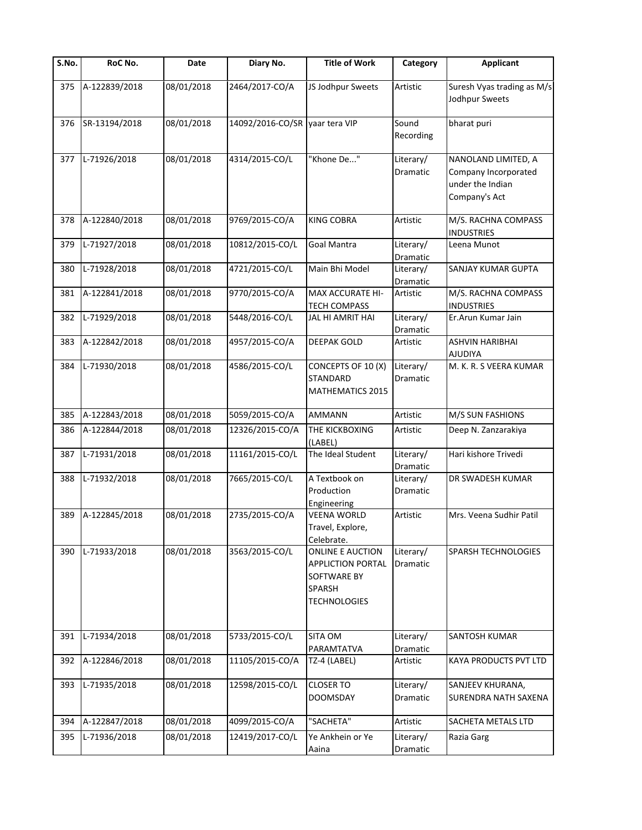| S.No. | RoC No.       | Date       | Diary No.                      | <b>Title of Work</b>                                                                                | Category                     | <b>Applicant</b>                                                                 |
|-------|---------------|------------|--------------------------------|-----------------------------------------------------------------------------------------------------|------------------------------|----------------------------------------------------------------------------------|
| 375   | A-122839/2018 | 08/01/2018 | 2464/2017-CO/A                 | JS Jodhpur Sweets                                                                                   | Artistic                     | Suresh Vyas trading as M/s<br>Jodhpur Sweets                                     |
| 376   | SR-13194/2018 | 08/01/2018 | 14092/2016-CO/SR yaar tera VIP |                                                                                                     | Sound<br>Recording           | bharat puri                                                                      |
| 377   | L-71926/2018  | 08/01/2018 | 4314/2015-CO/L                 | "Khone De"                                                                                          | Literary/<br>Dramatic        | NANOLAND LIMITED, A<br>Company Incorporated<br>under the Indian<br>Company's Act |
| 378   | A-122840/2018 | 08/01/2018 | 9769/2015-CO/A                 | <b>KING COBRA</b>                                                                                   | Artistic                     | M/S. RACHNA COMPASS<br><b>INDUSTRIES</b>                                         |
| 379   | L-71927/2018  | 08/01/2018 | 10812/2015-CO/L                | Goal Mantra                                                                                         | Literary/<br>Dramatic        | Leena Munot                                                                      |
| 380   | L-71928/2018  | 08/01/2018 | 4721/2015-CO/L                 | Main Bhi Model                                                                                      | Literary/<br>Dramatic        | SANJAY KUMAR GUPTA                                                               |
| 381   | A-122841/2018 | 08/01/2018 | 9770/2015-CO/A                 | MAX ACCURATE HI-<br><b>TECH COMPASS</b>                                                             | Artistic                     | M/S. RACHNA COMPASS<br><b>INDUSTRIES</b>                                         |
| 382   | L-71929/2018  | 08/01/2018 | 5448/2016-CO/L                 | JAL HI AMRIT HAI                                                                                    | Literary/<br>Dramatic        | Er.Arun Kumar Jain                                                               |
| 383   | A-122842/2018 | 08/01/2018 | 4957/2015-CO/A                 | <b>DEEPAK GOLD</b>                                                                                  | Artistic                     | <b>ASHVIN HARIBHAI</b><br><b>AJUDIYA</b>                                         |
| 384   | L-71930/2018  | 08/01/2018 | 4586/2015-CO/L                 | CONCEPTS OF 10 (X)<br><b>STANDARD</b><br>MATHEMATICS 2015                                           | Literary/<br>Dramatic        | M. K. R. S VEERA KUMAR                                                           |
| 385   | A-122843/2018 | 08/01/2018 | 5059/2015-CO/A                 | <b>AMMANN</b>                                                                                       | Artistic                     | M/S SUN FASHIONS                                                                 |
| 386   | A-122844/2018 | 08/01/2018 | 12326/2015-CO/A                | THE KICKBOXING<br>(LABEL)                                                                           | Artistic                     | Deep N. Zanzarakiya                                                              |
| 387   | L-71931/2018  | 08/01/2018 | 11161/2015-CO/L                | The Ideal Student                                                                                   | Literary/<br><b>Dramatic</b> | Hari kishore Trivedi                                                             |
| 388   | L-71932/2018  | 08/01/2018 | 7665/2015-CO/L                 | A Textbook on<br>Production<br>Engineering                                                          | Literary/<br>Dramatic        | DR SWADESH KUMAR                                                                 |
| 389   | A-122845/2018 | 08/01/2018 | 2735/2015-CO/A                 | VEENA WORLD<br>Travel, Explore,<br>Celebrate.                                                       | Artistic                     | Mrs. Veena Sudhir Patil                                                          |
| 390   | L-71933/2018  | 08/01/2018 | 3563/2015-CO/L                 | ONLINE E AUCTION<br><b>APPLICTION PORTAL</b><br>SOFTWARE BY<br><b>SPARSH</b><br><b>TECHNOLOGIES</b> | Literary/<br>Dramatic        | <b>SPARSH TECHNOLOGIES</b>                                                       |
| 391   | L-71934/2018  | 08/01/2018 | 5733/2015-CO/L                 | <b>SITA OM</b><br>PARAMTATVA                                                                        | Literary/<br>Dramatic        | SANTOSH KUMAR                                                                    |
| 392   | A-122846/2018 | 08/01/2018 | 11105/2015-CO/A                | TZ-4 (LABEL)                                                                                        | Artistic                     | KAYA PRODUCTS PVT LTD                                                            |
| 393   | L-71935/2018  | 08/01/2018 | 12598/2015-CO/L                | <b>CLOSER TO</b><br><b>DOOMSDAY</b>                                                                 | Literary/<br>Dramatic        | SANJEEV KHURANA,<br><b>SURENDRA NATH SAXENA</b>                                  |
| 394   | A-122847/2018 | 08/01/2018 | 4099/2015-CO/A                 | "SACHETA"                                                                                           | Artistic                     | SACHETA METALS LTD                                                               |
| 395   | L-71936/2018  | 08/01/2018 | 12419/2017-CO/L                | Ye Ankhein or Ye<br>Aaina                                                                           | Literary/<br>Dramatic        | Razia Garg                                                                       |
|       |               |            |                                |                                                                                                     |                              |                                                                                  |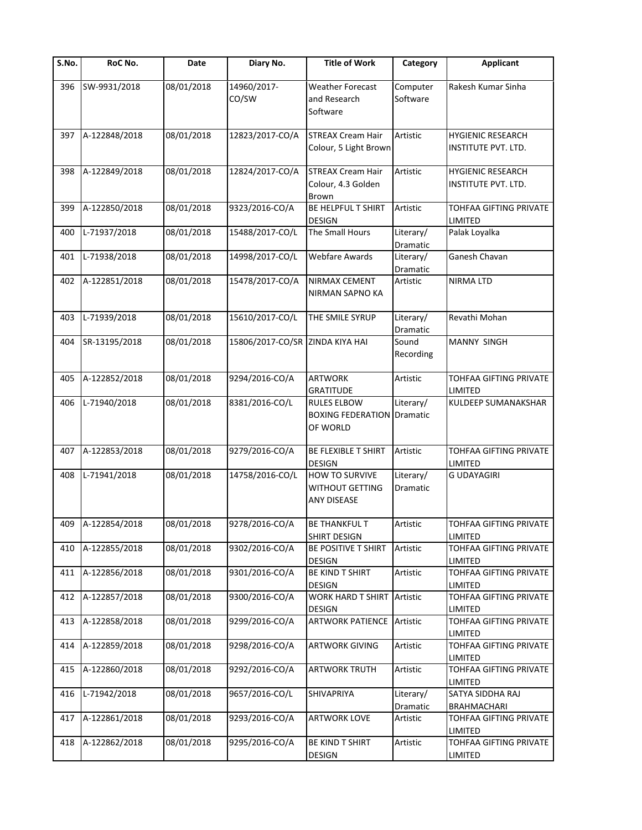| S.No. | RoC No.       | Date       | Diary No.                       | <b>Title of Work</b>                                                  | Category              | <b>Applicant</b>                                |
|-------|---------------|------------|---------------------------------|-----------------------------------------------------------------------|-----------------------|-------------------------------------------------|
| 396   | SW-9931/2018  | 08/01/2018 | 14960/2017-<br>CO/SW            | <b>Weather Forecast</b><br>and Research<br>Software                   | Computer<br>Software  | Rakesh Kumar Sinha                              |
| 397   | A-122848/2018 | 08/01/2018 | 12823/2017-CO/A                 | <b>STREAX Cream Hair</b><br>Colour, 5 Light Brown                     | Artistic              | <b>HYGIENIC RESEARCH</b><br>INSTITUTE PVT. LTD. |
| 398   | A-122849/2018 | 08/01/2018 | 12824/2017-CO/A                 | <b>STREAX Cream Hair</b><br>Colour, 4.3 Golden<br>Brown               | Artistic              | <b>HYGIENIC RESEARCH</b><br>INSTITUTE PVT. LTD. |
| 399   | A-122850/2018 | 08/01/2018 | 9323/2016-CO/A                  | BE HELPFUL T SHIRT<br><b>DESIGN</b>                                   | Artistic              | TOHFAA GIFTING PRIVATE<br>LIMITED               |
| 400   | L-71937/2018  | 08/01/2018 | 15488/2017-CO/L                 | The Small Hours                                                       | Literary/<br>Dramatic | Palak Loyalka                                   |
| 401   | L-71938/2018  | 08/01/2018 | 14998/2017-CO/L                 | <b>Webfare Awards</b>                                                 | Literary/<br>Dramatic | Ganesh Chavan                                   |
| 402   | A-122851/2018 | 08/01/2018 | 15478/2017-CO/A                 | <b>NIRMAX CEMENT</b><br><b>NIRMAN SAPNO KA</b>                        | Artistic              | NIRMA LTD                                       |
| 403   | L-71939/2018  | 08/01/2018 | 15610/2017-CO/L                 | THE SMILE SYRUP                                                       | Literary/<br>Dramatic | Revathi Mohan                                   |
| 404   | SR-13195/2018 | 08/01/2018 | 15806/2017-CO/SR ZINDA KIYA HAI |                                                                       | Sound<br>Recording    | MANNY SINGH                                     |
| 405   | A-122852/2018 | 08/01/2018 | 9294/2016-CO/A                  | <b>ARTWORK</b><br><b>GRATITUDE</b>                                    | Artistic              | TOHFAA GIFTING PRIVATE<br>LIMITED               |
| 406   | L-71940/2018  | 08/01/2018 | 8381/2016-CO/L                  | <b>RULES ELBOW</b><br><b>BOXING FEDERATION Dramatic</b><br>OF WORLD   | Literary/             | KULDEEP SUMANAKSHAR                             |
| 407   | A-122853/2018 | 08/01/2018 | 9279/2016-CO/A                  | BE FLEXIBLE T SHIRT<br><b>DESIGN</b>                                  | Artistic              | TOHFAA GIFTING PRIVATE<br>LIMITED               |
| 408   | L-71941/2018  | 08/01/2018 | 14758/2016-CO/L                 | <b>HOW TO SURVIVE</b><br><b>WITHOUT GETTING</b><br><b>ANY DISEASE</b> | Literary/<br>Dramatic | <b>G UDAYAGIRI</b>                              |
| 409   | A-122854/2018 | 08/01/2018 | 9278/2016-CO/A                  | <b>BE THANKFUL T</b><br><b>SHIRT DESIGN</b>                           | Artistic              | TOHFAA GIFTING PRIVATE<br>LIMITED               |
| 410   | A-122855/2018 | 08/01/2018 | 9302/2016-CO/A                  | BE POSITIVE T SHIRT<br><b>DESIGN</b>                                  | Artistic              | TOHFAA GIFTING PRIVATE<br>LIMITED               |
| 411   | A-122856/2018 | 08/01/2018 | 9301/2016-CO/A                  | BE KIND T SHIRT<br><b>DESIGN</b>                                      | Artistic              | TOHFAA GIFTING PRIVATE<br>LIMITED               |
| 412   | A-122857/2018 | 08/01/2018 | 9300/2016-CO/A                  | <b>WORK HARD T SHIRT Artistic</b><br><b>DESIGN</b>                    |                       | TOHFAA GIFTING PRIVATE<br>LIMITED               |
| 413   | A-122858/2018 | 08/01/2018 | 9299/2016-CO/A                  | <b>ARTWORK PATIENCE Artistic</b>                                      |                       | TOHFAA GIFTING PRIVATE<br>LIMITED               |
| 414   | A-122859/2018 | 08/01/2018 | 9298/2016-CO/A                  | <b>ARTWORK GIVING</b>                                                 | Artistic              | TOHFAA GIFTING PRIVATE<br>LIMITED               |
| 415   | A-122860/2018 | 08/01/2018 | 9292/2016-CO/A                  | <b>ARTWORK TRUTH</b>                                                  | Artistic              | TOHFAA GIFTING PRIVATE<br>LIMITED               |
| 416   | L-71942/2018  | 08/01/2018 | 9657/2016-CO/L                  | SHIVAPRIYA                                                            | Literary/<br>Dramatic | SATYA SIDDHA RAJ<br><b>BRAHMACHARI</b>          |
| 417   | A-122861/2018 | 08/01/2018 | 9293/2016-CO/A                  | <b>ARTWORK LOVE</b>                                                   | Artistic              | TOHFAA GIFTING PRIVATE<br>LIMITED               |
| 418   | A-122862/2018 | 08/01/2018 | 9295/2016-CO/A                  | BE KIND T SHIRT<br>DESIGN                                             | Artistic              | TOHFAA GIFTING PRIVATE<br>LIMITED               |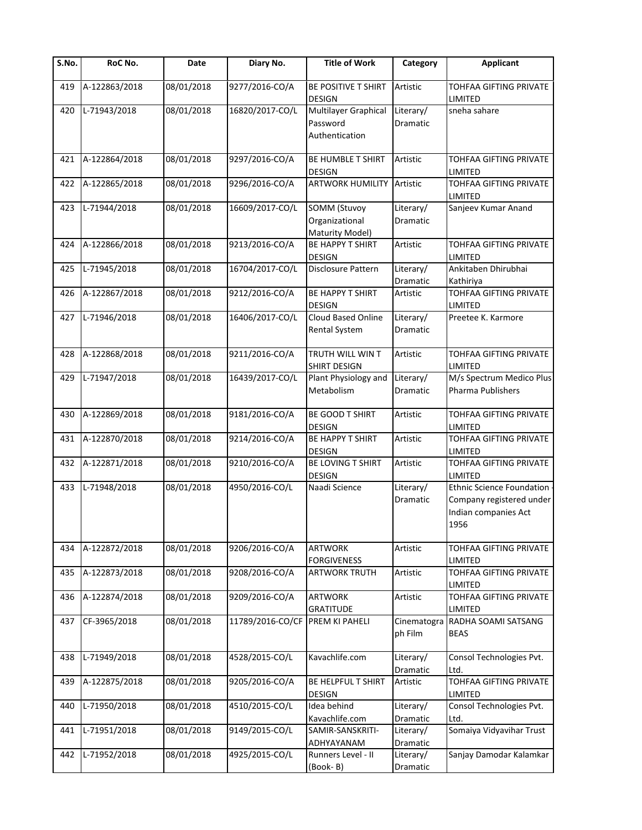| $\overline{\mathsf{S}}$ . No. | RoC No.       | Date       | Diary No.        | <b>Title of Work</b>                                     | Category                     | <b>Applicant</b>                                                                             |
|-------------------------------|---------------|------------|------------------|----------------------------------------------------------|------------------------------|----------------------------------------------------------------------------------------------|
| 419                           | A-122863/2018 | 08/01/2018 | 9277/2016-CO/A   | BE POSITIVE T SHIRT<br><b>DESIGN</b>                     | Artistic                     | TOHFAA GIFTING PRIVATE<br>LIMITED                                                            |
| 420                           | L-71943/2018  | 08/01/2018 | 16820/2017-CO/L  | Multilayer Graphical<br>Password<br>Authentication       | Literary/<br><b>Dramatic</b> | sneha sahare                                                                                 |
| 421                           | A-122864/2018 | 08/01/2018 | 9297/2016-CO/A   | BE HUMBLE T SHIRT<br><b>DESIGN</b>                       | Artistic                     | TOHFAA GIFTING PRIVATE<br>LIMITED                                                            |
| 422                           | A-122865/2018 | 08/01/2018 | 9296/2016-CO/A   | <b>ARTWORK HUMILITY</b>                                  | Artistic                     | TOHFAA GIFTING PRIVATE<br>LIMITED                                                            |
| 423                           | L-71944/2018  | 08/01/2018 | 16609/2017-CO/L  | <b>SOMM (Stuvoy</b><br>Organizational<br>Maturity Model) | Literary/<br>Dramatic        | Sanjeev Kumar Anand                                                                          |
| 424                           | A-122866/2018 | 08/01/2018 | 9213/2016-CO/A   | <b>BE HAPPY T SHIRT</b><br>DESIGN                        | Artistic                     | TOHFAA GIFTING PRIVATE<br>LIMITED                                                            |
| 425                           | L-71945/2018  | 08/01/2018 | 16704/2017-CO/L  | Disclosure Pattern                                       | Literary/<br>Dramatic        | Ankitaben Dhirubhai<br>Kathiriya                                                             |
| 426                           | A-122867/2018 | 08/01/2018 | 9212/2016-CO/A   | <b>BE HAPPY T SHIRT</b><br><b>DESIGN</b>                 | Artistic                     | TOHFAA GIFTING PRIVATE<br>LIMITED                                                            |
| 427                           | L-71946/2018  | 08/01/2018 | 16406/2017-CO/L  | Cloud Based Online<br><b>Rental System</b>               | Literary/<br>Dramatic        | Preetee K. Karmore                                                                           |
| 428                           | A-122868/2018 | 08/01/2018 | 9211/2016-CO/A   | TRUTH WILL WIN T<br>SHIRT DESIGN                         | Artistic                     | TOHFAA GIFTING PRIVATE<br>LIMITED                                                            |
| 429                           | L-71947/2018  | 08/01/2018 | 16439/2017-CO/L  | Plant Physiology and<br>Metabolism                       | Literary/<br>Dramatic        | M/s Spectrum Medico Plus<br>Pharma Publishers                                                |
| 430                           | A-122869/2018 | 08/01/2018 | 9181/2016-CO/A   | BE GOOD T SHIRT<br><b>DESIGN</b>                         | Artistic                     | TOHFAA GIFTING PRIVATE<br>LIMITED                                                            |
| 431                           | A-122870/2018 | 08/01/2018 | 9214/2016-CO/A   | <b>BE HAPPY T SHIRT</b><br>DESIGN                        | Artistic                     | TOHFAA GIFTING PRIVATE<br>LIMITED                                                            |
| 432                           | A-122871/2018 | 08/01/2018 | 9210/2016-CO/A   | BE LOVING T SHIRT<br><b>DESIGN</b>                       | Artistic                     | TOHFAA GIFTING PRIVATE<br>LIMITED                                                            |
| 433                           | L-71948/2018  | 08/01/2018 | 4950/2016-CO/L   | Naadi Science                                            | Literary/<br>Dramatic        | <b>Ethnic Science Foundation</b><br>Company registered under<br>Indian companies Act<br>1956 |
| 434                           | A-122872/2018 | 08/01/2018 | 9206/2016-CO/A   | <b>ARTWORK</b><br><b>FORGIVENESS</b>                     | Artistic                     | TOHFAA GIFTING PRIVATE<br>LIMITED                                                            |
| 435                           | A-122873/2018 | 08/01/2018 | 9208/2016-CO/A   | <b>ARTWORK TRUTH</b>                                     | Artistic                     | TOHFAA GIFTING PRIVATE<br>LIMITED                                                            |
| 436                           | A-122874/2018 | 08/01/2018 | 9209/2016-CO/A   | <b>ARTWORK</b><br><b>GRATITUDE</b>                       | Artistic                     | TOHFAA GIFTING PRIVATE<br>LIMITED                                                            |
| 437                           | CF-3965/2018  | 08/01/2018 | 11789/2016-CO/CF | PREM KI PAHELI                                           | Cinematogra<br>ph Film       | RADHA SOAMI SATSANG<br><b>BEAS</b>                                                           |
| 438                           | L-71949/2018  | 08/01/2018 | 4528/2015-CO/L   | Kavachlife.com                                           | Literary/<br>Dramatic        | Consol Technologies Pvt.<br>Ltd.                                                             |
| 439                           | A-122875/2018 | 08/01/2018 | 9205/2016-CO/A   | BE HELPFUL T SHIRT<br><b>DESIGN</b>                      | Artistic                     | TOHFAA GIFTING PRIVATE<br>LIMITED                                                            |
| 440                           | L-71950/2018  | 08/01/2018 | 4510/2015-CO/L   | Idea behind<br>Kavachlife.com                            | Literary/<br>Dramatic        | Consol Technologies Pvt.<br>Ltd.                                                             |
| 441                           | L-71951/2018  | 08/01/2018 | 9149/2015-CO/L   | SAMIR-SANSKRITI-<br>ADHYAYANAM                           | Literary/<br>Dramatic        | Somaiya Vidyavihar Trust                                                                     |
| 442                           | L-71952/2018  | 08/01/2018 | 4925/2015-CO/L   | Runners Level - II<br>(Book-B)                           | Literary/<br>Dramatic        | Sanjay Damodar Kalamkar                                                                      |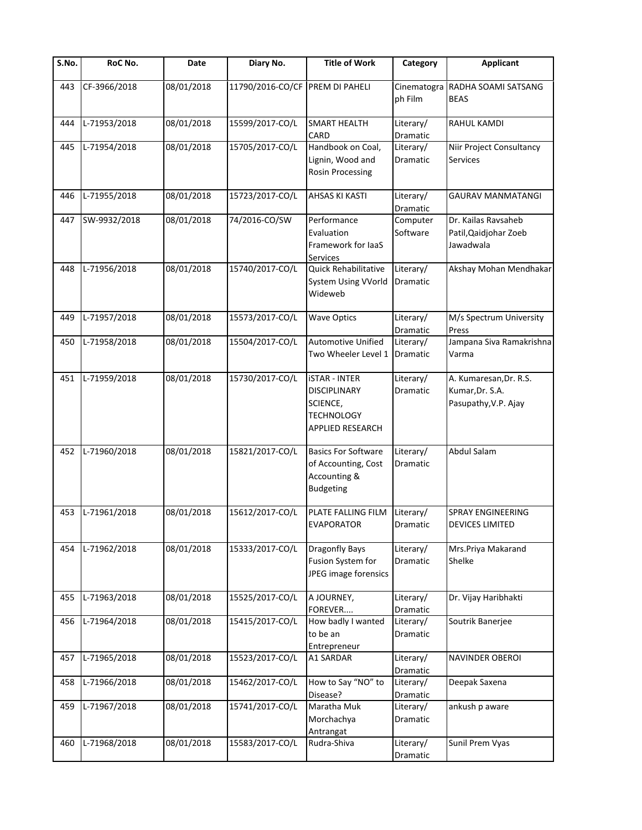| $\overline{S}$ .No. | RoC No.      | Date       | Diary No.                       | <b>Title of Work</b>                                                                                    | Category                     | <b>Applicant</b>                                                  |
|---------------------|--------------|------------|---------------------------------|---------------------------------------------------------------------------------------------------------|------------------------------|-------------------------------------------------------------------|
| 443                 | CF-3966/2018 | 08/01/2018 | 11790/2016-CO/CF PREM DI PAHELI |                                                                                                         | Cinematogra<br>ph Film       | RADHA SOAMI SATSANG<br><b>BEAS</b>                                |
| 444                 | L-71953/2018 | 08/01/2018 | 15599/2017-CO/L                 | <b>SMART HEALTH</b><br>CARD                                                                             | Literary/<br>Dramatic        | RAHUL KAMDI                                                       |
| 445                 | L-71954/2018 | 08/01/2018 | 15705/2017-CO/L                 | Handbook on Coal,<br>Lignin, Wood and<br><b>Rosin Processing</b>                                        | Literary/<br><b>Dramatic</b> | Niir Project Consultancy<br><b>Services</b>                       |
| 446                 | L-71955/2018 | 08/01/2018 | 15723/2017-CO/L                 | <b>AHSAS KI KASTI</b>                                                                                   | Literary/<br>Dramatic        | GAURAV MANMATANGI                                                 |
| 447                 | SW-9932/2018 | 08/01/2018 | 74/2016-CO/SW                   | Performance<br>Evaluation<br>Framework for laaS<br>Services                                             | Computer<br>Software         | Dr. Kailas Ravsaheb<br>Patil, Qaidjohar Zoeb<br>Jawadwala         |
| 448                 | L-71956/2018 | 08/01/2018 | 15740/2017-CO/L                 | Quick Rehabilitative<br><b>System Using VVorld</b><br>Wideweb                                           | Literary/<br>Dramatic        | Akshay Mohan Mendhakar                                            |
| 449                 | L-71957/2018 | 08/01/2018 | 15573/2017-CO/L                 | <b>Wave Optics</b>                                                                                      | Literary/<br>Dramatic        | M/s Spectrum University<br>Press                                  |
| 450                 | L-71958/2018 | 08/01/2018 | 15504/2017-CO/L                 | <b>Automotive Unified</b><br>Two Wheeler Level 1                                                        | Literary/<br>Dramatic        | Jampana Siva Ramakrishna<br>Varma                                 |
| 451                 | L-71959/2018 | 08/01/2018 | 15730/2017-CO/L                 | <b>iSTAR - INTER</b><br><b>DISCIPLINARY</b><br>SCIENCE,<br><b>TECHNOLOGY</b><br><b>APPLIED RESEARCH</b> | Literary/<br>Dramatic        | A. Kumaresan, Dr. R.S.<br>Kumar, Dr. S.A.<br>Pasupathy, V.P. Ajay |
| 452                 | L-71960/2018 | 08/01/2018 | 15821/2017-CO/L                 | <b>Basics For Software</b><br>of Accounting, Cost<br>Accounting &<br><b>Budgeting</b>                   | Literary/<br>Dramatic        | Abdul Salam                                                       |
| 453                 | L-71961/2018 | 08/01/2018 | 15612/2017-CO/L                 | PLATE FALLING FILM<br><b>EVAPORATOR</b>                                                                 | Literary/<br>Dramatic        | <b>SPRAY ENGINEERING</b><br><b>DEVICES LIMITED</b>                |
| 454                 | L-71962/2018 | 08/01/2018 | 15333/2017-CO/L                 | <b>Dragonfly Bays</b><br>Fusion System for<br>JPEG image forensics                                      | Literary/<br>Dramatic        | Mrs.Priya Makarand<br>Shelke                                      |
| 455                 | L-71963/2018 | 08/01/2018 | 15525/2017-CO/L                 | A JOURNEY,<br>FOREVER                                                                                   | Literary/<br>Dramatic        | Dr. Vijay Haribhakti                                              |
| 456                 | L-71964/2018 | 08/01/2018 | 15415/2017-CO/L                 | How badly I wanted<br>to be an<br>Entrepreneur                                                          | Literary/<br>Dramatic        | Soutrik Banerjee                                                  |
| 457                 | L-71965/2018 | 08/01/2018 | 15523/2017-CO/L                 | A1 SARDAR                                                                                               | Literary/<br>Dramatic        | NAVINDER OBEROI                                                   |
| 458                 | L-71966/2018 | 08/01/2018 | 15462/2017-CO/L                 | How to Say "NO" to<br>Disease?                                                                          | Literary/<br>Dramatic        | Deepak Saxena                                                     |
| 459                 | L-71967/2018 | 08/01/2018 | 15741/2017-CO/L                 | Maratha Muk<br>Morchachya<br>Antrangat                                                                  | Literary/<br>Dramatic        | ankush p aware                                                    |
| 460                 | L-71968/2018 | 08/01/2018 | 15583/2017-CO/L                 | Rudra-Shiva                                                                                             | Literary/<br>Dramatic        | Sunil Prem Vyas                                                   |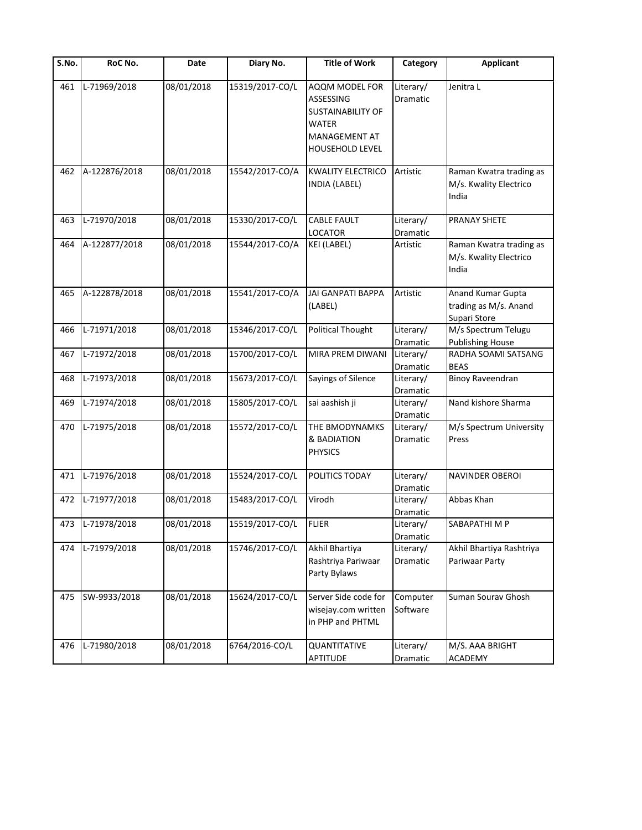| S.No. | RoC No.          | Date       | Diary No.       | <b>Title of Work</b>                                                                                 | Category                     | <b>Applicant</b>                                           |
|-------|------------------|------------|-----------------|------------------------------------------------------------------------------------------------------|------------------------------|------------------------------------------------------------|
| 461   | L-71969/2018     | 08/01/2018 | 15319/2017-CO/L | AQQM MODEL FOR<br>ASSESSING<br>SUSTAINABILITY OF<br>WATER<br>MANAGEMENT AT<br><b>HOUSEHOLD LEVEL</b> | Literary/<br>Dramatic        | Jenitra L                                                  |
| 462   | A-122876/2018    | 08/01/2018 | 15542/2017-CO/A | <b>KWALITY ELECTRICO</b><br>INDIA (LABEL)                                                            | Artistic                     | Raman Kwatra trading as<br>M/s. Kwality Electrico<br>India |
| 463   | L-71970/2018     | 08/01/2018 | 15330/2017-CO/L | <b>CABLE FAULT</b><br><b>LOCATOR</b>                                                                 | Literary/<br>Dramatic        | <b>PRANAY SHETE</b>                                        |
| 464   | A-122877/2018    | 08/01/2018 | 15544/2017-CO/A | KEI (LABEL)                                                                                          | Artistic                     | Raman Kwatra trading as<br>M/s. Kwality Electrico<br>India |
| 465   | A-122878/2018    | 08/01/2018 | 15541/2017-CO/A | <b>JAI GANPATI BAPPA</b><br>(LABEL)                                                                  | Artistic                     | Anand Kumar Gupta<br>trading as M/s. Anand<br>Supari Store |
| 466   | L-71971/2018     | 08/01/2018 | 15346/2017-CO/L | <b>Political Thought</b>                                                                             | Literary/<br><b>Dramatic</b> | M/s Spectrum Telugu<br><b>Publishing House</b>             |
| 467   | L-71972/2018     | 08/01/2018 | 15700/2017-CO/L | MIRA PREM DIWANI                                                                                     | Literary/<br>Dramatic        | RADHA SOAMI SATSANG<br><b>BEAS</b>                         |
| 468   | L-71973/2018     | 08/01/2018 | 15673/2017-CO/L | Sayings of Silence                                                                                   | Literary/<br>Dramatic        | <b>Binoy Raveendran</b>                                    |
| 469   | L-71974/2018     | 08/01/2018 | 15805/2017-CO/L | sai aashish ji                                                                                       | Literary/<br>Dramatic        | Nand kishore Sharma                                        |
| 470   | L-71975/2018     | 08/01/2018 | 15572/2017-CO/L | THE BMODYNAMKS<br>& BADIATION<br><b>PHYSICS</b>                                                      | Literary/<br>Dramatic        | M/s Spectrum University<br>Press                           |
| 471   | L-71976/2018     | 08/01/2018 | 15524/2017-CO/L | POLITICS TODAY                                                                                       | Literary/<br>Dramatic        | <b>NAVINDER OBEROI</b>                                     |
| 472   | L-71977/2018     | 08/01/2018 | 15483/2017-CO/L | Virodh                                                                                               | Literary/<br>Dramatic        | Abbas Khan                                                 |
|       | 473 L-71978/2018 | 08/01/2018 | 15519/2017-CO/L | <b>FLIER</b>                                                                                         | Literary/<br>Dramatic        | SABAPATHI M P                                              |
| 474   | L-71979/2018     | 08/01/2018 | 15746/2017-CO/L | Akhil Bhartiya<br>Rashtriya Pariwaar<br>Party Bylaws                                                 | Literary/<br>Dramatic        | Akhil Bhartiya Rashtriya<br>Pariwaar Party                 |
| 475   | SW-9933/2018     | 08/01/2018 | 15624/2017-CO/L | Server Side code for<br>wisejay.com written<br>in PHP and PHTML                                      | Computer<br>Software         | Suman Sourav Ghosh                                         |
| 476   | L-71980/2018     | 08/01/2018 | 6764/2016-CO/L  | QUANTITATIVE<br>APTITUDE                                                                             | Literary/<br>Dramatic        | M/S. AAA BRIGHT<br><b>ACADEMY</b>                          |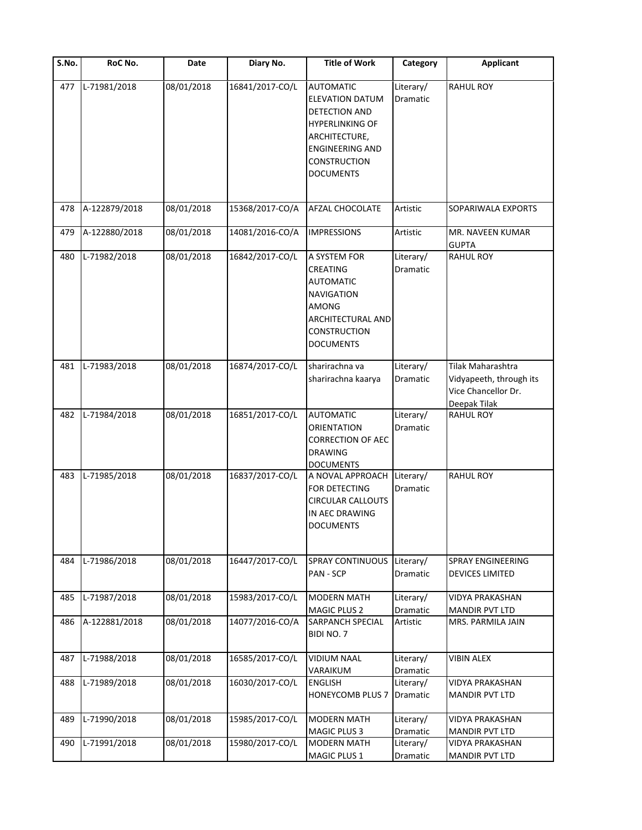| S.No. | RoC No.       | Date       | Diary No.       | <b>Title of Work</b>                                                                                                                                                               | Category              | <b>Applicant</b>                                                                    |
|-------|---------------|------------|-----------------|------------------------------------------------------------------------------------------------------------------------------------------------------------------------------------|-----------------------|-------------------------------------------------------------------------------------|
| 477   | L-71981/2018  | 08/01/2018 | 16841/2017-CO/L | <b>AUTOMATIC</b><br><b>ELEVATION DATUM</b><br><b>DETECTION AND</b><br><b>HYPERLINKING OF</b><br>ARCHITECTURE,<br><b>ENGINEERING AND</b><br><b>CONSTRUCTION</b><br><b>DOCUMENTS</b> | Literary/<br>Dramatic | <b>RAHUL ROY</b>                                                                    |
| 478   | A-122879/2018 | 08/01/2018 | 15368/2017-CO/A | <b>AFZAL CHOCOLATE</b>                                                                                                                                                             | Artistic              | SOPARIWALA EXPORTS                                                                  |
| 479   | A-122880/2018 | 08/01/2018 | 14081/2016-CO/A | <b>IMPRESSIONS</b>                                                                                                                                                                 | Artistic              | MR. NAVEEN KUMAR<br><b>GUPTA</b>                                                    |
| 480   | L-71982/2018  | 08/01/2018 | 16842/2017-CO/L | A SYSTEM FOR<br>CREATING<br><b>AUTOMATIC</b><br>NAVIGATION<br>AMONG<br><b>ARCHITECTURAL AND</b><br><b>CONSTRUCTION</b><br><b>DOCUMENTS</b>                                         | Literary/<br>Dramatic | RAHUL ROY                                                                           |
| 481   | L-71983/2018  | 08/01/2018 | 16874/2017-CO/L | sharirachna va<br>sharirachna kaarya                                                                                                                                               | Literary/<br>Dramatic | Tilak Maharashtra<br>Vidyapeeth, through its<br>Vice Chancellor Dr.<br>Deepak Tilak |
| 482   | L-71984/2018  | 08/01/2018 | 16851/2017-CO/L | <b>AUTOMATIC</b><br><b>ORIENTATION</b><br><b>CORRECTION OF AEC</b><br><b>DRAWING</b><br><b>DOCUMENTS</b>                                                                           | Literary/<br>Dramatic | <b>RAHUL ROY</b>                                                                    |
| 483   | L-71985/2018  | 08/01/2018 | 16837/2017-CO/L | A NOVAL APPROACH<br>FOR DETECTING<br><b>CIRCULAR CALLOUTS</b><br>IN AEC DRAWING<br><b>DOCUMENTS</b>                                                                                | Literary/<br>Dramatic | <b>RAHUL ROY</b>                                                                    |
| 484   | L-71986/2018  | 08/01/2018 | 16447/2017-CO/L | <b>SPRAY CONTINUOUS</b><br>PAN - SCP                                                                                                                                               | Literary/<br>Dramatic | <b>SPRAY ENGINEERING</b><br><b>DEVICES LIMITED</b>                                  |
| 485   | L-71987/2018  | 08/01/2018 | 15983/2017-CO/L | <b>MODERN MATH</b><br>MAGIC PLUS 2                                                                                                                                                 | Literary/<br>Dramatic | VIDYA PRAKASHAN<br>MANDIR PVT LTD                                                   |
| 486   | A-122881/2018 | 08/01/2018 | 14077/2016-CO/A | <b>SARPANCH SPECIAL</b><br>BIDI NO. 7                                                                                                                                              | Artistic              | MRS. PARMILA JAIN                                                                   |
| 487   | L-71988/2018  | 08/01/2018 | 16585/2017-CO/L | <b>VIDIUM NAAL</b><br>VARAIKUM                                                                                                                                                     | Literary/<br>Dramatic | <b>VIBIN ALEX</b>                                                                   |
| 488   | L-71989/2018  | 08/01/2018 | 16030/2017-CO/L | <b>ENGLISH</b><br>HONEYCOMB PLUS 7                                                                                                                                                 | Literary/<br>Dramatic | <b>VIDYA PRAKASHAN</b><br><b>MANDIR PVT LTD</b>                                     |
| 489   | L-71990/2018  | 08/01/2018 | 15985/2017-CO/L | <b>MODERN MATH</b><br><b>MAGIC PLUS 3</b>                                                                                                                                          | Literary/<br>Dramatic | <b>VIDYA PRAKASHAN</b><br>MANDIR PVT LTD                                            |
| 490   | L-71991/2018  | 08/01/2018 | 15980/2017-CO/L | <b>MODERN MATH</b>                                                                                                                                                                 | Literary/             | VIDYA PRAKASHAN                                                                     |
|       |               |            |                 | MAGIC PLUS 1                                                                                                                                                                       | Dramatic              | <b>MANDIR PVT LTD</b>                                                               |
|       |               |            |                 |                                                                                                                                                                                    |                       |                                                                                     |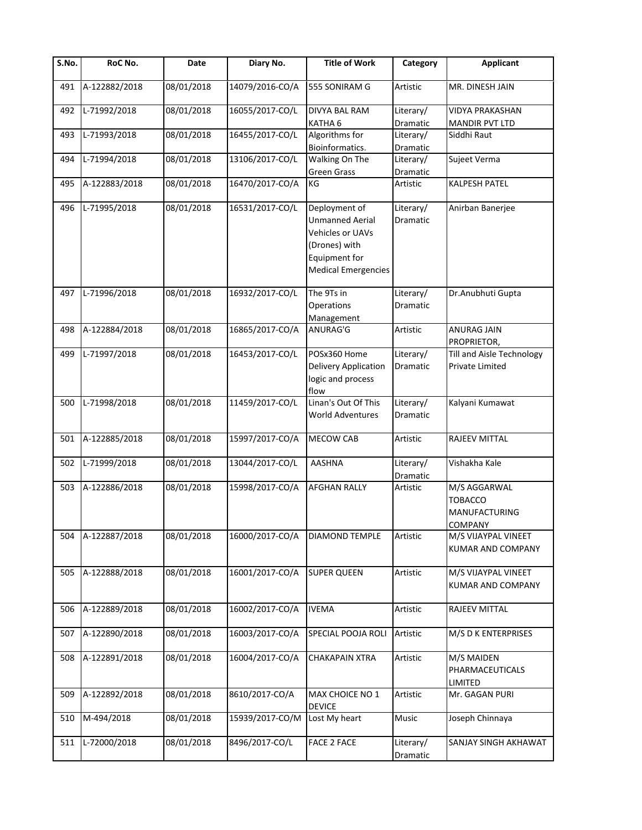| S.No. | RoC No.       | Date       | Diary No.       | <b>Title of Work</b>                                                                                                               | Category                     | <b>Applicant</b>                                           |
|-------|---------------|------------|-----------------|------------------------------------------------------------------------------------------------------------------------------------|------------------------------|------------------------------------------------------------|
| 491   | A-122882/2018 | 08/01/2018 | 14079/2016-CO/A | 555 SONIRAM G                                                                                                                      | Artistic                     | MR. DINESH JAIN                                            |
| 492   | L-71992/2018  | 08/01/2018 | 16055/2017-CO/L | DIVYA BAL RAM                                                                                                                      | Literary/                    | <b>VIDYA PRAKASHAN</b>                                     |
|       |               |            |                 | KATHA 6                                                                                                                            | Dramatic                     | <b>MANDIR PVT LTD</b>                                      |
| 493   | L-71993/2018  | 08/01/2018 | 16455/2017-CO/L | Algorithms for                                                                                                                     | Literary/                    | Siddhi Raut                                                |
|       |               |            |                 | Bioinformatics.                                                                                                                    | Dramatic                     |                                                            |
| 494   | L-71994/2018  | 08/01/2018 | 13106/2017-CO/L | Walking On The                                                                                                                     | Literary/                    | Sujeet Verma                                               |
|       |               |            | 16470/2017-CO/A | <b>Green Grass</b><br>KG                                                                                                           | Dramatic                     | <b>KALPESH PATEL</b>                                       |
| 495   | A-122883/2018 | 08/01/2018 |                 |                                                                                                                                    | Artistic                     |                                                            |
| 496   | L-71995/2018  | 08/01/2018 | 16531/2017-CO/L | Deployment of<br><b>Unmanned Aerial</b><br><b>Vehicles or UAVs</b><br>(Drones) with<br>Equipment for<br><b>Medical Emergencies</b> | Literary/<br><b>Dramatic</b> | Anirban Banerjee                                           |
| 497   | L-71996/2018  | 08/01/2018 | 16932/2017-CO/L | The 9Ts in<br>Operations<br>Management                                                                                             | Literary/<br>Dramatic        | Dr.Anubhuti Gupta                                          |
| 498   | A-122884/2018 | 08/01/2018 | 16865/2017-CO/A | ANURAG'G                                                                                                                           | Artistic                     | <b>ANURAG JAIN</b><br>PROPRIETOR,                          |
| 499   | L-71997/2018  | 08/01/2018 | 16453/2017-CO/L | POSx360 Home<br>Delivery Application<br>logic and process<br>flow                                                                  | Literary/<br>Dramatic        | Till and Aisle Technology<br><b>Private Limited</b>        |
| 500   | L-71998/2018  | 08/01/2018 | 11459/2017-CO/L | Linan's Out Of This<br><b>World Adventures</b>                                                                                     | Literary/<br><b>Dramatic</b> | Kalyani Kumawat                                            |
| 501   | A-122885/2018 | 08/01/2018 | 15997/2017-CO/A | MECOW CAB                                                                                                                          | Artistic                     | RAJEEV MITTAL                                              |
| 502   | L-71999/2018  | 08/01/2018 | 13044/2017-CO/L | <b>AASHNA</b>                                                                                                                      | Literary/<br>Dramatic        | Vishakha Kale                                              |
| 503   | A-122886/2018 | 08/01/2018 | 15998/2017-CO/A | <b>AFGHAN RALLY</b>                                                                                                                | Artistic                     | M/S AGGARWAL<br><b>TOBACCO</b><br>MANUFACTURING<br>COMPANY |
| 504   | A-122887/2018 | 08/01/2018 | 16000/2017-CO/A | DIAMOND TEMPLE                                                                                                                     | Artistic                     | M/S VIJAYPAL VINEET<br><b>KUMAR AND COMPANY</b>            |
| 505   | A-122888/2018 | 08/01/2018 | 16001/2017-CO/A | <b>SUPER QUEEN</b>                                                                                                                 | Artistic                     | M/S VIJAYPAL VINEET<br><b>KUMAR AND COMPANY</b>            |
| 506   | A-122889/2018 | 08/01/2018 | 16002/2017-CO/A | <b>IVEMA</b>                                                                                                                       | Artistic                     | RAJEEV MITTAL                                              |
| 507   | A-122890/2018 | 08/01/2018 | 16003/2017-CO/A | SPECIAL POOJA ROLI                                                                                                                 | Artistic                     | M/S D K ENTERPRISES                                        |
| 508   | A-122891/2018 | 08/01/2018 | 16004/2017-CO/A | <b>CHAKAPAIN XTRA</b>                                                                                                              | Artistic                     | <b>M/S MAIDEN</b><br>PHARMACEUTICALS<br>LIMITED            |
| 509   | A-122892/2018 | 08/01/2018 | 8610/2017-CO/A  | MAX CHOICE NO 1<br><b>DEVICE</b>                                                                                                   | Artistic                     | Mr. GAGAN PURI                                             |
| 510   | M-494/2018    | 08/01/2018 | 15939/2017-CO/M | Lost My heart                                                                                                                      | Music                        | Joseph Chinnaya                                            |
| 511   | L-72000/2018  | 08/01/2018 | 8496/2017-CO/L  | FACE 2 FACE                                                                                                                        | Literary/<br>Dramatic        | SANJAY SINGH AKHAWAT                                       |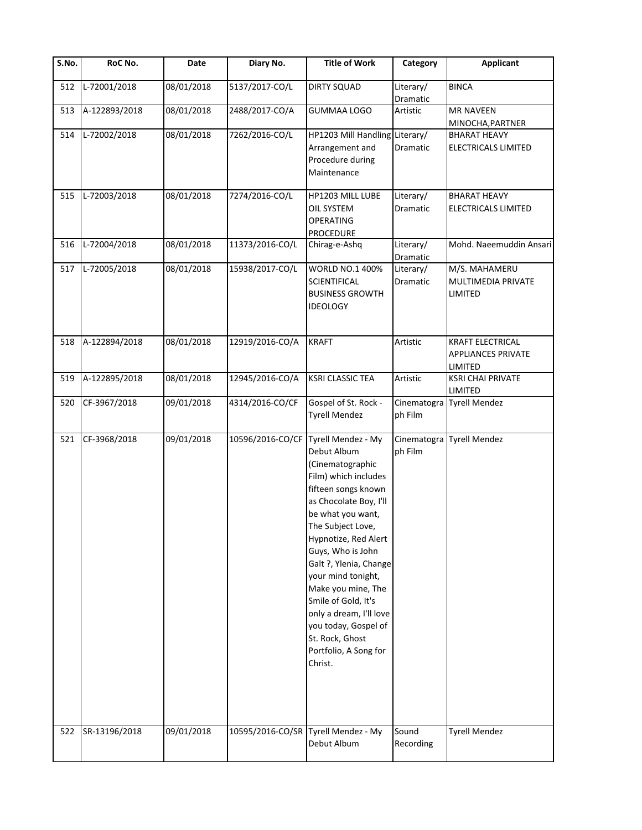| S.No. | RoC No.       | Date       | Diary No.        | <b>Title of Work</b>                                                                                                                                                                                                                                                                                                                                                                                                         | Category               | <b>Applicant</b>                                                |
|-------|---------------|------------|------------------|------------------------------------------------------------------------------------------------------------------------------------------------------------------------------------------------------------------------------------------------------------------------------------------------------------------------------------------------------------------------------------------------------------------------------|------------------------|-----------------------------------------------------------------|
| 512   | L-72001/2018  | 08/01/2018 | 5137/2017-CO/L   | <b>DIRTY SQUAD</b>                                                                                                                                                                                                                                                                                                                                                                                                           | Literary/<br>Dramatic  | <b>BINCA</b>                                                    |
| 513   | A-122893/2018 | 08/01/2018 | 2488/2017-CO/A   | <b>GUMMAA LOGO</b>                                                                                                                                                                                                                                                                                                                                                                                                           | Artistic               | <b>MR NAVEEN</b><br>MINOCHA, PARTNER                            |
| 514   | L-72002/2018  | 08/01/2018 | 7262/2016-CO/L   | HP1203 Mill Handling Literary/<br>Arrangement and<br>Procedure during<br>Maintenance                                                                                                                                                                                                                                                                                                                                         | Dramatic               | <b>BHARAT HEAVY</b><br>ELECTRICALS LIMITED                      |
| 515   | L-72003/2018  | 08/01/2018 | 7274/2016-CO/L   | HP1203 MILL LUBE<br>OIL SYSTEM<br><b>OPERATING</b><br><b>PROCEDURE</b>                                                                                                                                                                                                                                                                                                                                                       | Literary/<br>Dramatic  | <b>BHARAT HEAVY</b><br>ELECTRICALS LIMITED                      |
| 516   | L-72004/2018  | 08/01/2018 | 11373/2016-CO/L  | Chirag-e-Ashq                                                                                                                                                                                                                                                                                                                                                                                                                | Literary/<br>Dramatic  | Mohd. Naeemuddin Ansari                                         |
| 517   | L-72005/2018  | 08/01/2018 | 15938/2017-CO/L  | <b>WORLD NO.1 400%</b><br>SCIENTIFICAL<br><b>BUSINESS GROWTH</b><br><b>IDEOLOGY</b>                                                                                                                                                                                                                                                                                                                                          | Literary/<br>Dramatic  | M/S. MAHAMERU<br><b>MULTIMEDIA PRIVATE</b><br>LIMITED           |
| 518   | A-122894/2018 | 08/01/2018 | 12919/2016-CO/A  | <b>KRAFT</b>                                                                                                                                                                                                                                                                                                                                                                                                                 | Artistic               | <b>KRAFT ELECTRICAL</b><br><b>APPLIANCES PRIVATE</b><br>LIMITED |
| 519   | A-122895/2018 | 08/01/2018 | 12945/2016-CO/A  | <b>KSRI CLASSIC TEA</b>                                                                                                                                                                                                                                                                                                                                                                                                      | Artistic               | <b>KSRI CHAI PRIVATE</b><br>LIMITED                             |
| 520   | CF-3967/2018  | 09/01/2018 | 4314/2016-CO/CF  | Gospel of St. Rock -<br><b>Tyrell Mendez</b>                                                                                                                                                                                                                                                                                                                                                                                 | Cinematogra<br>ph Film | <b>Tyrell Mendez</b>                                            |
| 521   | CF-3968/2018  | 09/01/2018 | 10596/2016-CO/CF | Tyrell Mendez - My<br>Debut Album<br>(Cinematographic<br>Film) which includes<br>fifteen songs known<br>as Chocolate Boy, I'll<br>be what you want,<br>The Subject Love,<br>Hypnotize, Red Alert<br>Guys, Who is John<br>Galt ?, Ylenia, Change<br>your mind tonight,<br>Make you mine, The<br>Smile of Gold, It's<br>only a dream, I'll love<br>you today, Gospel of<br>St. Rock, Ghost<br>Portfolio, A Song for<br>Christ. | Cinematogra<br>ph Film | <b>Tyrell Mendez</b>                                            |
| 522   | SR-13196/2018 | 09/01/2018 | 10595/2016-CO/SR | Tyrell Mendez - My<br>Debut Album                                                                                                                                                                                                                                                                                                                                                                                            | Sound<br>Recording     | <b>Tyrell Mendez</b>                                            |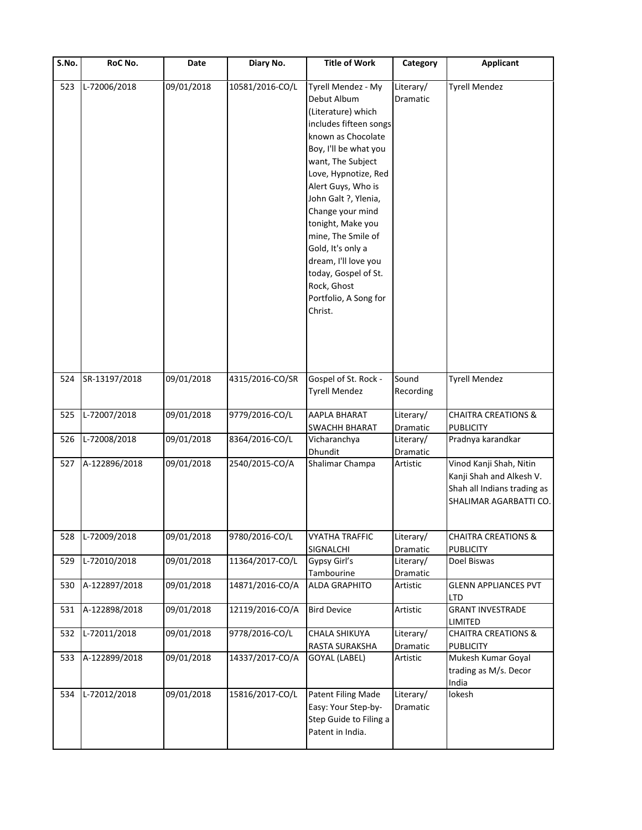| S.No. | RoC No.       | Date       | Diary No.       | <b>Title of Work</b>                                                                                                                                                                                                                                                                                                                                                                                               | Category              | <b>Applicant</b>                                                                                             |
|-------|---------------|------------|-----------------|--------------------------------------------------------------------------------------------------------------------------------------------------------------------------------------------------------------------------------------------------------------------------------------------------------------------------------------------------------------------------------------------------------------------|-----------------------|--------------------------------------------------------------------------------------------------------------|
| 523   | L-72006/2018  | 09/01/2018 | 10581/2016-CO/L | Tyrell Mendez - My<br>Debut Album<br>(Literature) which<br>includes fifteen songs<br>known as Chocolate<br>Boy, I'll be what you<br>want, The Subject<br>Love, Hypnotize, Red<br>Alert Guys, Who is<br>John Galt ?, Ylenia,<br>Change your mind<br>tonight, Make you<br>mine, The Smile of<br>Gold, It's only a<br>dream, I'll love you<br>today, Gospel of St.<br>Rock, Ghost<br>Portfolio, A Song for<br>Christ. | Literary/<br>Dramatic | <b>Tyrell Mendez</b>                                                                                         |
| 524   | SR-13197/2018 | 09/01/2018 | 4315/2016-CO/SR | Gospel of St. Rock -<br><b>Tyrell Mendez</b>                                                                                                                                                                                                                                                                                                                                                                       | Sound<br>Recording    | <b>Tyrell Mendez</b>                                                                                         |
| 525   | L-72007/2018  | 09/01/2018 | 9779/2016-CO/L  | AAPLA BHARAT<br>SWACHH BHARAT                                                                                                                                                                                                                                                                                                                                                                                      | Literary/<br>Dramatic | <b>CHAITRA CREATIONS &amp;</b><br><b>PUBLICITY</b>                                                           |
| 526   | L-72008/2018  | 09/01/2018 | 8364/2016-CO/L  | Vicharanchya<br>Dhundit                                                                                                                                                                                                                                                                                                                                                                                            | Literary/<br>Dramatic | Pradnya karandkar                                                                                            |
| 527   | A-122896/2018 | 09/01/2018 | 2540/2015-CO/A  | Shalimar Champa                                                                                                                                                                                                                                                                                                                                                                                                    | Artistic              | Vinod Kanji Shah, Nitin<br>Kanji Shah and Alkesh V.<br>Shah all Indians trading as<br>SHALIMAR AGARBATTI CO. |
| 528   | L-72009/2018  | 09/01/2018 | 9780/2016-CO/L  | <b>VYATHA TRAFFIC</b><br>SIGNALCHI                                                                                                                                                                                                                                                                                                                                                                                 | Literary/<br>Dramatic | <b>CHAITRA CREATIONS &amp;</b><br><b>PUBLICITY</b>                                                           |
| 529   | L-72010/2018  | 09/01/2018 | 11364/2017-CO/L | Gypsy Girl's<br>Tambourine                                                                                                                                                                                                                                                                                                                                                                                         | Literary/<br>Dramatic | Doel Biswas                                                                                                  |
| 530   | A-122897/2018 | 09/01/2018 | 14871/2016-CO/A | <b>ALDA GRAPHITO</b>                                                                                                                                                                                                                                                                                                                                                                                               | Artistic              | <b>GLENN APPLIANCES PVT</b><br>LTD                                                                           |
| 531   | A-122898/2018 | 09/01/2018 | 12119/2016-CO/A | <b>Bird Device</b>                                                                                                                                                                                                                                                                                                                                                                                                 | Artistic              | <b>GRANT INVESTRADE</b><br>LIMITED                                                                           |
| 532   | L-72011/2018  | 09/01/2018 | 9778/2016-CO/L  | CHALA SHIKUYA<br>RASTA SURAKSHA                                                                                                                                                                                                                                                                                                                                                                                    | Literary/<br>Dramatic | <b>CHAITRA CREATIONS &amp;</b><br><b>PUBLICITY</b>                                                           |
| 533   | A-122899/2018 | 09/01/2018 | 14337/2017-CO/A | GOYAL (LABEL)                                                                                                                                                                                                                                                                                                                                                                                                      | Artistic              | Mukesh Kumar Goyal<br>trading as M/s. Decor<br>India                                                         |
| 534   | L-72012/2018  | 09/01/2018 | 15816/2017-CO/L | Patent Filing Made<br>Easy: Your Step-by-<br>Step Guide to Filing a<br>Patent in India.                                                                                                                                                                                                                                                                                                                            | Literary/<br>Dramatic | lokesh                                                                                                       |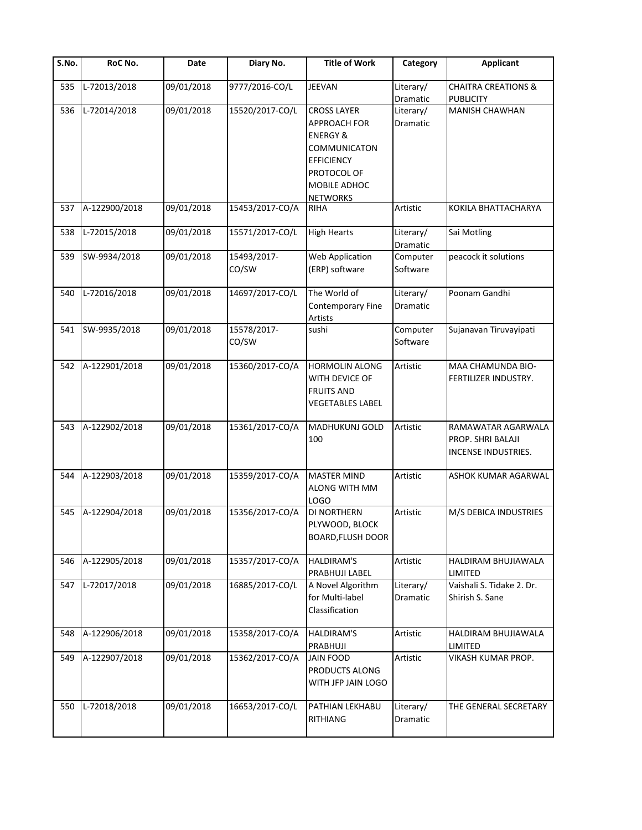| S.No. | RoC No.       | Date       | Diary No.            | <b>Title of Work</b>                                                                                                                                    | Category              | <b>Applicant</b>                                               |
|-------|---------------|------------|----------------------|---------------------------------------------------------------------------------------------------------------------------------------------------------|-----------------------|----------------------------------------------------------------|
| 535   | L-72013/2018  | 09/01/2018 | 9777/2016-CO/L       | <b>JEEVAN</b>                                                                                                                                           | Literary/<br>Dramatic | <b>CHAITRA CREATIONS &amp;</b><br><b>PUBLICITY</b>             |
| 536   | L-72014/2018  | 09/01/2018 | 15520/2017-CO/L      | <b>CROSS LAYER</b><br><b>APPROACH FOR</b><br><b>ENERGY &amp;</b><br>COMMUNICATON<br><b>EFFICIENCY</b><br>PROTOCOL OF<br>MOBILE ADHOC<br><b>NETWORKS</b> | Literary/<br>Dramatic | MANISH CHAWHAN                                                 |
| 537   | A-122900/2018 | 09/01/2018 | 15453/2017-CO/A      | <b>RIHA</b>                                                                                                                                             | Artistic              | KOKILA BHATTACHARYA                                            |
| 538   | L-72015/2018  | 09/01/2018 | 15571/2017-CO/L      | <b>High Hearts</b>                                                                                                                                      | Literary/<br>Dramatic | Sai Motling                                                    |
| 539   | SW-9934/2018  | 09/01/2018 | 15493/2017-<br>CO/SW | Web Application<br>(ERP) software                                                                                                                       | Computer<br>Software  | peacock it solutions                                           |
| 540   | L-72016/2018  | 09/01/2018 | 14697/2017-CO/L      | The World of<br>Contemporary Fine<br>Artists                                                                                                            | Literary/<br>Dramatic | Poonam Gandhi                                                  |
| 541   | SW-9935/2018  | 09/01/2018 | 15578/2017-<br>CO/SW | sushi                                                                                                                                                   | Computer<br>Software  | Sujanavan Tiruvayipati                                         |
| 542   | A-122901/2018 | 09/01/2018 | 15360/2017-CO/A      | <b>HORMOLIN ALONG</b><br>WITH DEVICE OF<br><b>FRUITS AND</b><br><b>VEGETABLES LABEL</b>                                                                 | Artistic              | MAA CHAMUNDA BIO-<br>FERTILIZER INDUSTRY.                      |
| 543   | A-122902/2018 | 09/01/2018 | 15361/2017-CO/A      | MADHUKUNJ GOLD<br>100                                                                                                                                   | Artistic              | RAMAWATAR AGARWALA<br>PROP. SHRI BALAJI<br>INCENSE INDUSTRIES. |
| 544   | A-122903/2018 | 09/01/2018 | 15359/2017-CO/A      | <b>MASTER MIND</b><br><b>ALONG WITH MM</b><br>LOGO                                                                                                      | Artistic              | <b>ASHOK KUMAR AGARWAL</b>                                     |
| 545   | A-122904/2018 | 09/01/2018 | 15356/2017-CO/A      | <b>DI NORTHERN</b><br>PLYWOOD, BLOCK<br><b>BOARD, FLUSH DOOR</b>                                                                                        | Artistic              | M/S DEBICA INDUSTRIES                                          |
| 546   | A-122905/2018 | 09/01/2018 | 15357/2017-CO/A      | <b>HALDIRAM'S</b><br>PRABHUJI LABEL                                                                                                                     | Artistic              | HALDIRAM BHUJIAWALA<br>LIMITED                                 |
| 547   | L-72017/2018  | 09/01/2018 | 16885/2017-CO/L      | A Novel Algorithm<br>for Multi-label<br>Classification                                                                                                  | Literary/<br>Dramatic | Vaishali S. Tidake 2. Dr.<br>Shirish S. Sane                   |
| 548   | A-122906/2018 | 09/01/2018 | 15358/2017-CO/A      | <b>HALDIRAM'S</b><br>PRABHUJI                                                                                                                           | Artistic              | HALDIRAM BHUJIAWALA<br>LIMITED                                 |
| 549   | A-122907/2018 | 09/01/2018 | 15362/2017-CO/A      | <b>JAIN FOOD</b><br>PRODUCTS ALONG<br>WITH JFP JAIN LOGO                                                                                                | Artistic              | VIKASH KUMAR PROP.                                             |
| 550   | L-72018/2018  | 09/01/2018 | 16653/2017-CO/L      | PATHIAN LEKHABU<br>RITHIANG                                                                                                                             | Literary/<br>Dramatic | THE GENERAL SECRETARY                                          |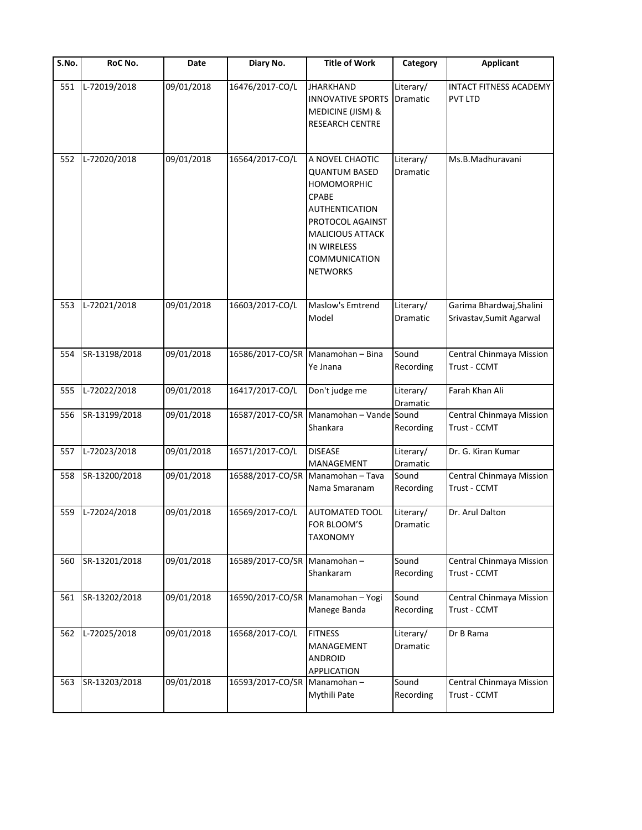| S.No. | RoC No.       | Date       | Diary No.        | <b>Title of Work</b>                                                                                                                                                                                            | Category                     | <b>Applicant</b>                                     |
|-------|---------------|------------|------------------|-----------------------------------------------------------------------------------------------------------------------------------------------------------------------------------------------------------------|------------------------------|------------------------------------------------------|
| 551   | L-72019/2018  | 09/01/2018 | 16476/2017-CO/L  | <b>JHARKHAND</b><br><b>INNOVATIVE SPORTS</b><br>MEDICINE (JISM) &<br>RESEARCH CENTRE                                                                                                                            | Literary/<br>Dramatic        | <b>INTACT FITNESS ACADEMY</b><br><b>PVT LTD</b>      |
| 552   | L-72020/2018  | 09/01/2018 | 16564/2017-CO/L  | A NOVEL CHAOTIC<br><b>QUANTUM BASED</b><br><b>HOMOMORPHIC</b><br><b>CPABE</b><br><b>AUTHENTICATION</b><br>PROTOCOL AGAINST<br><b>MALICIOUS ATTACK</b><br>IN WIRELESS<br><b>COMMUNICATION</b><br><b>NETWORKS</b> | Literary/<br>Dramatic        | Ms.B.Madhuravani                                     |
| 553   | L-72021/2018  | 09/01/2018 | 16603/2017-CO/L  | <b>Maslow's Emtrend</b><br>Model                                                                                                                                                                                | Literary/<br><b>Dramatic</b> | Garima Bhardwaj, Shalini<br>Srivastav, Sumit Agarwal |
| 554   | SR-13198/2018 | 09/01/2018 |                  | 16586/2017-CO/SR Manamohan - Bina<br>Ye Jnana                                                                                                                                                                   | Sound<br>Recording           | Central Chinmaya Mission<br>Trust - CCMT             |
| 555   | L-72022/2018  | 09/01/2018 | 16417/2017-CO/L  | Don't judge me                                                                                                                                                                                                  | Literary/<br>Dramatic        | Farah Khan Ali                                       |
| 556   | SR-13199/2018 | 09/01/2018 | 16587/2017-CO/SR | Manamohan - Vande Sound<br>Shankara                                                                                                                                                                             | Recording                    | Central Chinmaya Mission<br>Trust - CCMT             |
| 557   | L-72023/2018  | 09/01/2018 | 16571/2017-CO/L  | <b>DISEASE</b><br><b>MANAGEMENT</b>                                                                                                                                                                             | Literary/<br>Dramatic        | Dr. G. Kiran Kumar                                   |
| 558   | SR-13200/2018 | 09/01/2018 |                  | 16588/2017-CO/SR Manamohan - Tava<br>Nama Smaranam                                                                                                                                                              | Sound<br>Recording           | Central Chinmaya Mission<br>Trust - CCMT             |
| 559   | L-72024/2018  | 09/01/2018 | 16569/2017-CO/L  | <b>AUTOMATED TOOL</b><br>FOR BLOOM'S<br>TAXONOMY                                                                                                                                                                | Literary/<br>Dramatic        | Dr. Arul Dalton                                      |
| 560   | SR-13201/2018 | 09/01/2018 | 16589/2017-CO/SR | Manamohan-<br>Shankaram                                                                                                                                                                                         | Sound<br>Recording           | Central Chinmaya Mission<br>Trust - CCMT             |
| 561   | SR-13202/2018 | 09/01/2018 | 16590/2017-CO/SR | Manamohan - Yogi<br>Manege Banda                                                                                                                                                                                | Sound<br>Recording           | Central Chinmaya Mission<br>Trust - CCMT             |
| 562   | L-72025/2018  | 09/01/2018 | 16568/2017-CO/L  | <b>FITNESS</b><br>MANAGEMENT<br><b>ANDROID</b><br>APPLICATION                                                                                                                                                   | Literary/<br>Dramatic        | Dr B Rama                                            |
| 563   | SR-13203/2018 | 09/01/2018 | 16593/2017-CO/SR | Manamohan-<br>Mythili Pate                                                                                                                                                                                      | Sound<br>Recording           | Central Chinmaya Mission<br>Trust - CCMT             |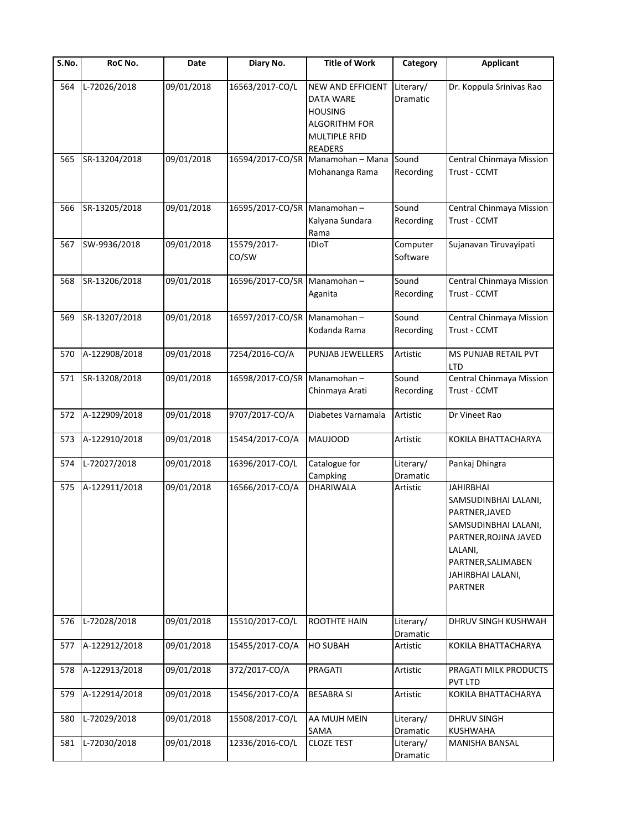| $\overline{\mathsf{S}}$ . No. | RoC No.       | Date       | Diary No.                   | <b>Title of Work</b>                                                                                               | Category              | <b>Applicant</b>                                                                                                                                                                    |
|-------------------------------|---------------|------------|-----------------------------|--------------------------------------------------------------------------------------------------------------------|-----------------------|-------------------------------------------------------------------------------------------------------------------------------------------------------------------------------------|
| 564                           | L-72026/2018  | 09/01/2018 | 16563/2017-CO/L             | NEW AND EFFICIENT<br>DATA WARE<br><b>HOUSING</b><br><b>ALGORITHM FOR</b><br><b>MULTIPLE RFID</b><br><b>READERS</b> | Literary/<br>Dramatic | Dr. Koppula Srinivas Rao                                                                                                                                                            |
| 565                           | SR-13204/2018 | 09/01/2018 |                             | 16594/2017-CO/SR Manamohan - Mana<br>Mohananga Rama                                                                | Sound<br>Recording    | Central Chinmaya Mission<br>Trust - CCMT                                                                                                                                            |
| 566                           | SR-13205/2018 | 09/01/2018 | 16595/2017-CO/SR Manamohan- | Kalyana Sundara<br>Rama                                                                                            | Sound<br>Recording    | Central Chinmaya Mission<br>Trust - CCMT                                                                                                                                            |
| 567                           | SW-9936/2018  | 09/01/2018 | 15579/2017-<br>CO/SW        | <b>IDIoT</b>                                                                                                       | Computer<br>Software  | Sujanavan Tiruvayipati                                                                                                                                                              |
| 568                           | SR-13206/2018 | 09/01/2018 | 16596/2017-CO/SR Manamohan- | Aganita                                                                                                            | Sound<br>Recording    | Central Chinmaya Mission<br>Trust - CCMT                                                                                                                                            |
| 569                           | SR-13207/2018 | 09/01/2018 | 16597/2017-CO/SR Manamohan- | Kodanda Rama                                                                                                       | Sound<br>Recording    | Central Chinmaya Mission<br>Trust - CCMT                                                                                                                                            |
| 570                           | A-122908/2018 | 09/01/2018 | 7254/2016-CO/A              | PUNJAB JEWELLERS                                                                                                   | Artistic              | MS PUNJAB RETAIL PVT<br>LTD                                                                                                                                                         |
| 571                           | SR-13208/2018 | 09/01/2018 | 16598/2017-CO/SR            | Manamohan-<br>Chinmaya Arati                                                                                       | Sound<br>Recording    | Central Chinmaya Mission<br>Trust - CCMT                                                                                                                                            |
| 572                           | A-122909/2018 | 09/01/2018 | 9707/2017-CO/A              | Diabetes Varnamala                                                                                                 | Artistic              | Dr Vineet Rao                                                                                                                                                                       |
| 573                           | A-122910/2018 | 09/01/2018 | 15454/2017-CO/A             | <b>MAUJOOD</b>                                                                                                     | Artistic              | KOKILA BHATTACHARYA                                                                                                                                                                 |
| 574                           | L-72027/2018  | 09/01/2018 | 16396/2017-CO/L             | Catalogue for<br>Campking                                                                                          | Literary/<br>Dramatic | Pankaj Dhingra                                                                                                                                                                      |
| 575                           | A-122911/2018 | 09/01/2018 | 16566/2017-CO/A             | DHARIWALA                                                                                                          | Artistic              | <b>JAHIRBHAI</b><br>SAMSUDINBHAI LALANI,<br>PARTNER, JAVED<br>SAMSUDINBHAI LALANI,<br>PARTNER, ROJINA JAVED<br>LALANI,<br>PARTNER, SALIMABEN<br>JAHIRBHAI LALANI,<br><b>PARTNER</b> |
| 576                           | L-72028/2018  | 09/01/2018 | 15510/2017-CO/L             | ROOTHTE HAIN                                                                                                       | Literary/<br>Dramatic | DHRUV SINGH KUSHWAH                                                                                                                                                                 |
| 577                           | A-122912/2018 | 09/01/2018 | 15455/2017-CO/A             | <b>HO SUBAH</b>                                                                                                    | Artistic              | KOKILA BHATTACHARYA                                                                                                                                                                 |
| 578                           | A-122913/2018 | 09/01/2018 | 372/2017-CO/A               | PRAGATI                                                                                                            | Artistic              | PRAGATI MILK PRODUCTS<br>PVT LTD                                                                                                                                                    |
| 579                           | A-122914/2018 | 09/01/2018 | 15456/2017-CO/A             | <b>BESABRA SI</b>                                                                                                  | Artistic              | KOKILA BHATTACHARYA                                                                                                                                                                 |
| 580                           | L-72029/2018  | 09/01/2018 | 15508/2017-CO/L             | AA MUJH MEIN<br>SAMA                                                                                               | Literary/<br>Dramatic | DHRUV SINGH<br>KUSHWAHA                                                                                                                                                             |
| 581                           | L-72030/2018  | 09/01/2018 | 12336/2016-CO/L             | <b>CLOZE TEST</b>                                                                                                  | Literary/<br>Dramatic | MANISHA BANSAL                                                                                                                                                                      |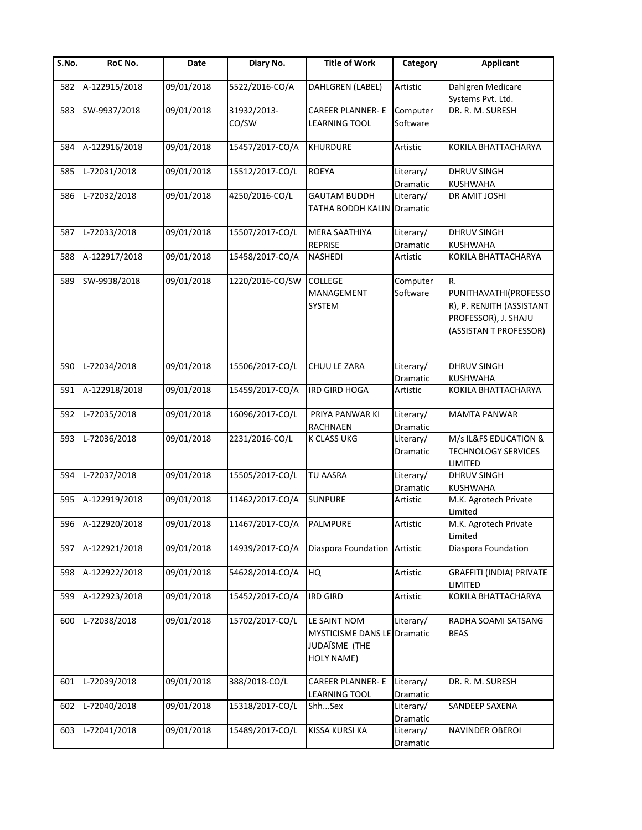| S.No. | RoC No.           | Date       | Diary No.       | <b>Title of Work</b>                                                       | Category              | <b>Applicant</b>                                                                                           |
|-------|-------------------|------------|-----------------|----------------------------------------------------------------------------|-----------------------|------------------------------------------------------------------------------------------------------------|
| 582   | A-122915/2018     | 09/01/2018 | 5522/2016-CO/A  | DAHLGREN (LABEL)                                                           | Artistic              | Dahlgren Medicare<br>Systems Pvt. Ltd.                                                                     |
| 583   | SW-9937/2018      | 09/01/2018 | 31932/2013-     | <b>CAREER PLANNER- E</b>                                                   | Computer              | DR. R. M. SURESH                                                                                           |
|       |                   |            | CO/SW           | <b>LEARNING TOOL</b>                                                       | Software              |                                                                                                            |
| 584   | A-122916/2018     | 09/01/2018 | 15457/2017-CO/A | <b>KHURDURE</b>                                                            | Artistic              | KOKILA BHATTACHARYA                                                                                        |
| 585   | L-72031/2018      | 09/01/2018 | 15512/2017-CO/L | <b>ROEYA</b>                                                               | Literary/<br>Dramatic | <b>DHRUV SINGH</b><br>KUSHWAHA                                                                             |
| 586   | L-72032/2018      | 09/01/2018 | 4250/2016-CO/L  | <b>GAUTAM BUDDH</b><br><b>TATHA BODDH KALIN Dramatic</b>                   | Literary/             | DR AMIT JOSHI                                                                                              |
| 587   | L-72033/2018      | 09/01/2018 | 15507/2017-CO/L | <b>MERA SAATHIYA</b><br><b>REPRISE</b>                                     | Literary/<br>Dramatic | DHRUV SINGH<br>KUSHWAHA                                                                                    |
| 588   | A-122917/2018     | 09/01/2018 | 15458/2017-CO/A | NASHEDI                                                                    | Artistic              | KOKILA BHATTACHARYA                                                                                        |
| 589   | SW-9938/2018      | 09/01/2018 | 1220/2016-CO/SW | <b>COLLEGE</b><br>MANAGEMENT<br>SYSTEM                                     | Computer<br>Software  | R.<br>PUNITHAVATHI(PROFESSO<br>R), P. RENJITH (ASSISTANT<br>PROFESSOR), J. SHAJU<br>(ASSISTAN T PROFESSOR) |
| 590   | L-72034/2018      | 09/01/2018 | 15506/2017-CO/L | CHUU LE ZARA                                                               | Literary/             | <b>DHRUV SINGH</b>                                                                                         |
| 591   | A-122918/2018     | 09/01/2018 | 15459/2017-CO/A | IRD GIRD HOGA                                                              | Dramatic<br>Artistic  | KUSHWAHA<br>KOKILA BHATTACHARYA                                                                            |
| 592   | L-72035/2018      | 09/01/2018 | 16096/2017-CO/L | PRIYA PANWAR KI<br>RACHNAEN                                                | Literary/<br>Dramatic | MAMTA PANWAR                                                                                               |
| 593   | L-72036/2018      | 09/01/2018 | 2231/2016-CO/L  | K CLASS UKG                                                                | Literary/<br>Dramatic | M/s IL&FS EDUCATION &<br><b>TECHNOLOGY SERVICES</b><br>LIMITED                                             |
| 594   | L-72037/2018      | 09/01/2018 | 15505/2017-CO/L | <b>TU AASRA</b>                                                            | Literary/<br>Dramatic | <b>DHRUV SINGH</b><br>KUSHWAHA                                                                             |
| 595   | A-122919/2018     | 09/01/2018 | 11462/2017-CO/A | <b>SUNPURE</b>                                                             | Artistic              | M.K. Agrotech Private<br>Limited                                                                           |
|       | 596 A-122920/2018 | 09/01/2018 | 11467/2017-CO/A | PALMPURE                                                                   | Artistic              | M.K. Agrotech Private<br>Limited                                                                           |
| 597   | A-122921/2018     | 09/01/2018 | 14939/2017-CO/A | Diaspora Foundation                                                        | Artistic              | Diaspora Foundation                                                                                        |
| 598   | A-122922/2018     | 09/01/2018 | 54628/2014-CO/A | HQ                                                                         | Artistic              | GRAFFITI (INDIA) PRIVATE<br>LIMITED                                                                        |
| 599   | A-122923/2018     | 09/01/2018 | 15452/2017-CO/A | <b>IRD GIRD</b>                                                            | Artistic              | KOKILA BHATTACHARYA                                                                                        |
| 600   | L-72038/2018      | 09/01/2018 | 15702/2017-CO/L | LE SAINT NOM<br>MYSTICISME DANS LE Dramatic<br>JUDAÏSME (THE<br>HOLY NAME) | Literary/             | RADHA SOAMI SATSANG<br><b>BEAS</b>                                                                         |
| 601   | L-72039/2018      | 09/01/2018 | 388/2018-CO/L   | <b>CAREER PLANNER- E</b><br><b>LEARNING TOOL</b>                           | Literary/<br>Dramatic | DR. R. M. SURESH                                                                                           |
| 602   | L-72040/2018      | 09/01/2018 | 15318/2017-CO/L | ShhSex                                                                     | Literary/<br>Dramatic | SANDEEP SAXENA                                                                                             |
| 603   | L-72041/2018      | 09/01/2018 | 15489/2017-CO/L | KISSA KURSI KA                                                             | Literary/<br>Dramatic | NAVINDER OBEROI                                                                                            |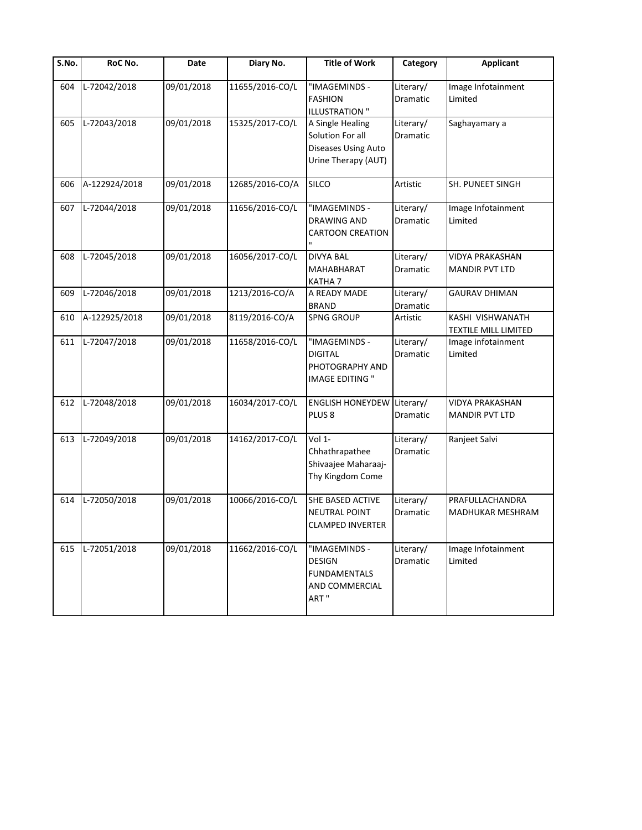| $\overline{S}$ .No. | RoC No.       | Date       | Diary No.       | <b>Title of Work</b>                                                               | Category                     | <b>Applicant</b>                                |
|---------------------|---------------|------------|-----------------|------------------------------------------------------------------------------------|------------------------------|-------------------------------------------------|
| 604                 | L-72042/2018  | 09/01/2018 | 11655/2016-CO/L | "IMAGEMINDS -<br><b>FASHION</b><br><b>ILLUSTRATION "</b>                           | Literary/<br>Dramatic        | Image Infotainment<br>Limited                   |
| 605                 | L-72043/2018  | 09/01/2018 | 15325/2017-CO/L | A Single Healing<br>Solution For all<br>Diseases Using Auto<br>Urine Therapy (AUT) | Literary/<br>Dramatic        | Saghayamary a                                   |
| 606                 | A-122924/2018 | 09/01/2018 | 12685/2016-CO/A | <b>SILCO</b>                                                                       | Artistic                     | <b>SH. PUNEET SINGH</b>                         |
| 607                 | L-72044/2018  | 09/01/2018 | 11656/2016-CO/L | "IMAGEMINDS -<br><b>DRAWING AND</b><br><b>CARTOON CREATION</b>                     | Literary/<br>Dramatic        | Image Infotainment<br>Limited                   |
| 608                 | L-72045/2018  | 09/01/2018 | 16056/2017-CO/L | <b>DIVYA BAL</b><br>MAHABHARAT<br>KATHA <sub>7</sub>                               | Literary/<br>Dramatic        | VIDYA PRAKASHAN<br><b>MANDIR PVT LTD</b>        |
| 609                 | L-72046/2018  | 09/01/2018 | 1213/2016-CO/A  | A READY MADE<br><b>BRAND</b>                                                       | Literary/<br>Dramatic        | <b>GAURAV DHIMAN</b>                            |
| 610                 | A-122925/2018 | 09/01/2018 | 8119/2016-CO/A  | <b>SPNG GROUP</b>                                                                  | Artistic                     | KASHI VISHWANATH<br><b>TEXTILE MILL LIMITED</b> |
| 611                 | L-72047/2018  | 09/01/2018 | 11658/2016-CO/L | "IMAGEMINDS -<br><b>DIGITAL</b><br>PHOTOGRAPHY AND<br><b>IMAGE EDITING "</b>       | Literary/<br>Dramatic        | Image infotainment<br>Limited                   |
| 612                 | L-72048/2018  | 09/01/2018 | 16034/2017-CO/L | <b>ENGLISH HONEYDEW</b><br>PLUS <sub>8</sub>                                       | Literary/<br>Dramatic        | VIDYA PRAKASHAN<br><b>MANDIR PVT LTD</b>        |
| 613                 | L-72049/2018  | 09/01/2018 | 14162/2017-CO/L | Vol 1-<br>Chhathrapathee<br>Shivaajee Maharaaj-<br>Thy Kingdom Come                | Literary/<br>Dramatic        | Ranjeet Salvi                                   |
| 614                 | L-72050/2018  | 09/01/2018 | 10066/2016-CO/L | SHE BASED ACTIVE<br><b>NEUTRAL POINT</b><br><b>CLAMPED INVERTER</b>                | Literary/<br>Dramatic        | PRAFULLACHANDRA<br><b>MADHUKAR MESHRAM</b>      |
| 615                 | L-72051/2018  | 09/01/2018 | 11662/2016-CO/L | "IMAGEMINDS -<br><b>DESIGN</b><br><b>FUNDAMENTALS</b><br>AND COMMERCIAL<br>ART"    | Literary/<br><b>Dramatic</b> | Image Infotainment<br>Limited                   |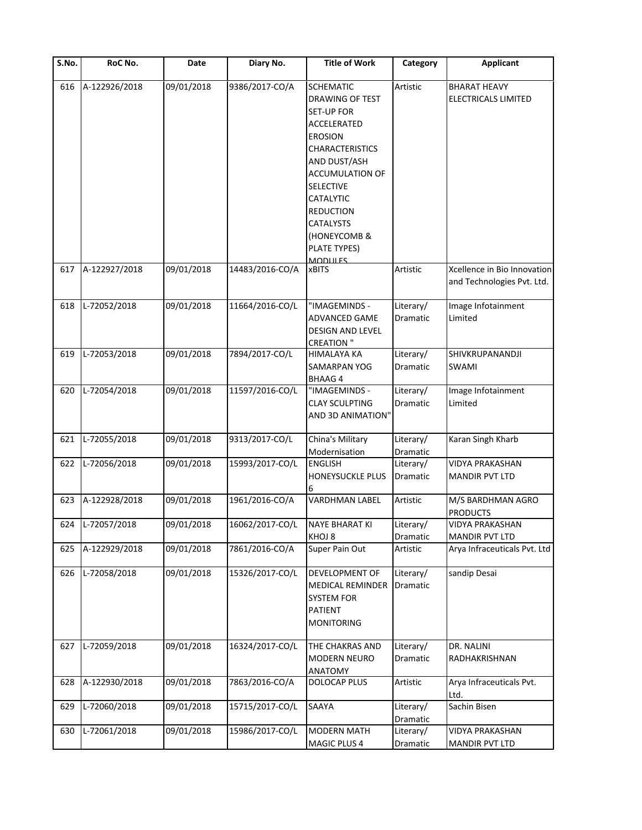| S.No. | RoC No.          | Date       | Diary No.       | <b>Title of Work</b>                                                                                                                       | Category              | <b>Applicant</b>                                          |
|-------|------------------|------------|-----------------|--------------------------------------------------------------------------------------------------------------------------------------------|-----------------------|-----------------------------------------------------------|
| 616   | A-122926/2018    | 09/01/2018 | 9386/2017-CO/A  | <b>SCHEMATIC</b><br>DRAWING OF TEST<br><b>SET-UP FOR</b><br>ACCELERATED<br><b>EROSION</b><br><b>CHARACTERISTICS</b><br>AND DUST/ASH        | Artistic              | <b>BHARAT HEAVY</b><br>ELECTRICALS LIMITED                |
|       |                  |            |                 | <b>ACCUMULATION OF</b><br><b>SELECTIVE</b><br>CATALYTIC<br><b>REDUCTION</b><br>CATALYSTS<br>(HONEYCOMB &<br>PLATE TYPES)<br><b>MODULES</b> |                       |                                                           |
| 617   | A-122927/2018    | 09/01/2018 | 14483/2016-CO/A | <b>xBITS</b>                                                                                                                               | Artistic              | Xcellence in Bio Innovation<br>and Technologies Pvt. Ltd. |
| 618   | L-72052/2018     | 09/01/2018 | 11664/2016-CO/L | "IMAGEMINDS -<br>ADVANCED GAME<br>DESIGN AND LEVEL<br><b>CREATION "</b>                                                                    | Literary/<br>Dramatic | Image Infotainment<br>Limited                             |
| 619   | L-72053/2018     | 09/01/2018 | 7894/2017-CO/L  | HIMALAYA KA<br>SAMARPAN YOG<br><b>BHAAG4</b>                                                                                               | Literary/<br>Dramatic | SHIVKRUPANANDJI<br><b>SWAMI</b>                           |
| 620   | L-72054/2018     | 09/01/2018 | 11597/2016-CO/L | "IMAGEMINDS -<br><b>CLAY SCULPTING</b><br>AND 3D ANIMATION"                                                                                | Literary/<br>Dramatic | Image Infotainment<br>Limited                             |
| 621   | L-72055/2018     | 09/01/2018 | 9313/2017-CO/L  | China's Military<br>Modernisation                                                                                                          | Literary/<br>Dramatic | Karan Singh Kharb                                         |
| 622   | L-72056/2018     | 09/01/2018 | 15993/2017-CO/L | <b>ENGLISH</b><br>HONEYSUCKLE PLUS<br>6                                                                                                    | Literary/<br>Dramatic | <b>VIDYA PRAKASHAN</b><br><b>MANDIR PVT LTD</b>           |
| 623   | A-122928/2018    | 09/01/2018 | 1961/2016-CO/A  | <b>VARDHMAN LABEL</b>                                                                                                                      | Artistic              | M/S BARDHMAN AGRO<br><b>PRODUCTS</b>                      |
|       | 624 L-72057/2018 | 09/01/2018 | 16062/2017-CO/L | <b>NAYE BHARAT KI</b><br>KHOJ 8                                                                                                            | Literary/<br>Dramatic | <b>VIDYA PRAKASHAN</b><br><b>MANDIR PVT LTD</b>           |
| 625   | A-122929/2018    | 09/01/2018 | 7861/2016-CO/A  | Super Pain Out                                                                                                                             | Artistic              | Arya Infraceuticals Pvt. Ltd                              |
| 626   | L-72058/2018     | 09/01/2018 | 15326/2017-CO/L | DEVELOPMENT OF<br><b>MEDICAL REMINDER</b><br><b>SYSTEM FOR</b><br>PATIENT<br><b>MONITORING</b>                                             | Literary/<br>Dramatic | sandip Desai                                              |
| 627   | L-72059/2018     | 09/01/2018 | 16324/2017-CO/L | THE CHAKRAS AND<br>MODERN NEURO<br><b>ANATOMY</b>                                                                                          | Literary/<br>Dramatic | DR. NALINI<br>RADHAKRISHNAN                               |
| 628   | A-122930/2018    | 09/01/2018 | 7863/2016-CO/A  | DOLOCAP PLUS                                                                                                                               | Artistic              | Arya Infraceuticals Pvt.<br>Ltd.                          |
| 629   | L-72060/2018     | 09/01/2018 | 15715/2017-CO/L | SAAYA                                                                                                                                      | Literary/<br>Dramatic | Sachin Bisen                                              |
| 630   | L-72061/2018     | 09/01/2018 | 15986/2017-CO/L | <b>MODERN MATH</b><br>MAGIC PLUS 4                                                                                                         | Literary/<br>Dramatic | <b>VIDYA PRAKASHAN</b><br>MANDIR PVT LTD                  |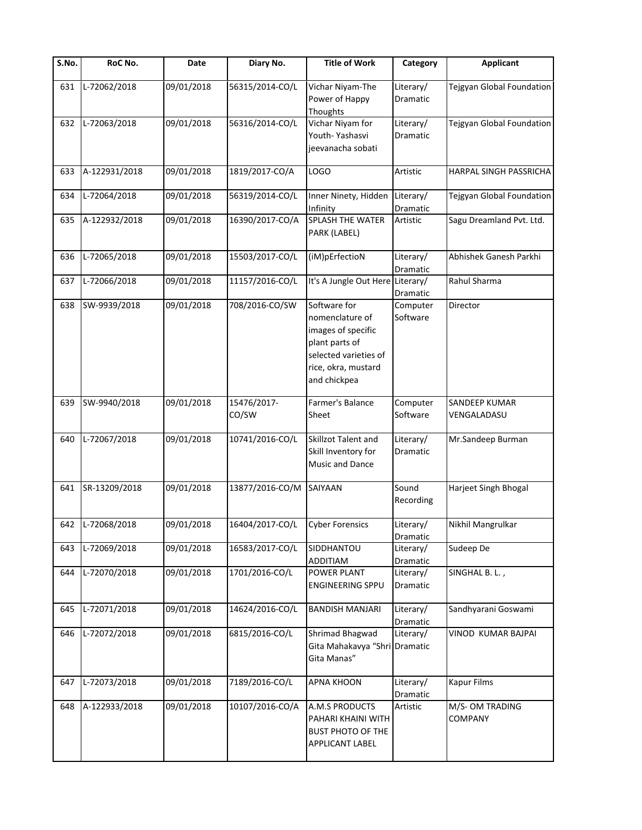| S.No. | RoC No.          | Date       | Diary No.            | <b>Title of Work</b>                                                                                                                    | Category              | <b>Applicant</b>             |
|-------|------------------|------------|----------------------|-----------------------------------------------------------------------------------------------------------------------------------------|-----------------------|------------------------------|
| 631   | L-72062/2018     | 09/01/2018 | 56315/2014-CO/L      | Vichar Niyam-The<br>Power of Happy<br>Thoughts                                                                                          | Literary/<br>Dramatic | Tejgyan Global Foundation    |
| 632   | L-72063/2018     | 09/01/2018 | 56316/2014-CO/L      | Vichar Niyam for<br>Youth-Yashasvi<br>jeevanacha sobati                                                                                 | Literary/<br>Dramatic | Tejgyan Global Foundation    |
| 633   | A-122931/2018    | 09/01/2018 | 1819/2017-CO/A       | <b>LOGO</b>                                                                                                                             | Artistic              | HARPAL SINGH PASSRICHA       |
| 634   | L-72064/2018     | 09/01/2018 | 56319/2014-CO/L      | Inner Ninety, Hidden<br>Infinity                                                                                                        | Literary/<br>Dramatic | Tejgyan Global Foundation    |
| 635   | A-122932/2018    | 09/01/2018 | 16390/2017-CO/A      | SPLASH THE WATER<br>PARK (LABEL)                                                                                                        | Artistic              | Sagu Dreamland Pvt. Ltd.     |
| 636   | L-72065/2018     | 09/01/2018 | 15503/2017-CO/L      | (iM)pErfectioN                                                                                                                          | Literary/<br>Dramatic | Abhishek Ganesh Parkhi       |
| 637   | L-72066/2018     | 09/01/2018 | 11157/2016-CO/L      | It's A Jungle Out Here Literary/                                                                                                        | Dramatic              | Rahul Sharma                 |
| 638   | SW-9939/2018     | 09/01/2018 | 708/2016-CO/SW       | Software for<br>nomenclature of<br>images of specific<br>plant parts of<br>selected varieties of<br>rice, okra, mustard<br>and chickpea | Computer<br>Software  | Director                     |
| 639   | SW-9940/2018     | 09/01/2018 | 15476/2017-<br>CO/SW | Farmer's Balance<br>Sheet                                                                                                               | Computer<br>Software  | SANDEEP KUMAR<br>VENGALADASU |
| 640   | L-72067/2018     | 09/01/2018 | 10741/2016-CO/L      | Skillzot Talent and<br>Skill Inventory for<br>Music and Dance                                                                           | Literary/<br>Dramatic | Mr.Sandeep Burman            |
| 641   | SR-13209/2018    | 09/01/2018 | 13877/2016-CO/M      | SAIYAAN                                                                                                                                 | Sound<br>Recording    | Harjeet Singh Bhogal         |
|       | 642 L-72068/2018 | 09/01/2018 | 16404/2017-CO/L      | <b>Cyber Forensics</b>                                                                                                                  | Literary/<br>Dramatic | Nikhil Mangrulkar            |
| 643   | L-72069/2018     | 09/01/2018 | 16583/2017-CO/L      | SIDDHANTOU<br><b>ADDITIAM</b>                                                                                                           | Literary/<br>Dramatic | Sudeep De                    |
| 644   | L-72070/2018     | 09/01/2018 | 1701/2016-CO/L       | POWER PLANT<br><b>ENGINEERING SPPU</b>                                                                                                  | Literary/<br>Dramatic | SINGHAL B. L.,               |
| 645   | L-72071/2018     | 09/01/2018 | 14624/2016-CO/L      | <b>BANDISH MANJARI</b>                                                                                                                  | Literary/<br>Dramatic | Sandhyarani Goswami          |
| 646   | L-72072/2018     | 09/01/2018 | 6815/2016-CO/L       | Shrimad Bhagwad<br>Gita Mahakavya "Shri Dramatic<br>Gita Manas"                                                                         | Literary/             | VINOD KUMAR BAJPAI           |
| 647   | L-72073/2018     | 09/01/2018 | 7189/2016-CO/L       | <b>APNA KHOON</b>                                                                                                                       | Literary/<br>Dramatic | <b>Kapur Films</b>           |
| 648   | A-122933/2018    | 09/01/2018 | 10107/2016-CO/A      | A.M.S PRODUCTS<br>PAHARI KHAINI WITH<br>BUST PHOTO OF THE<br>APPLICANT LABEL                                                            | Artistic              | M/S-OM TRADING<br>COMPANY    |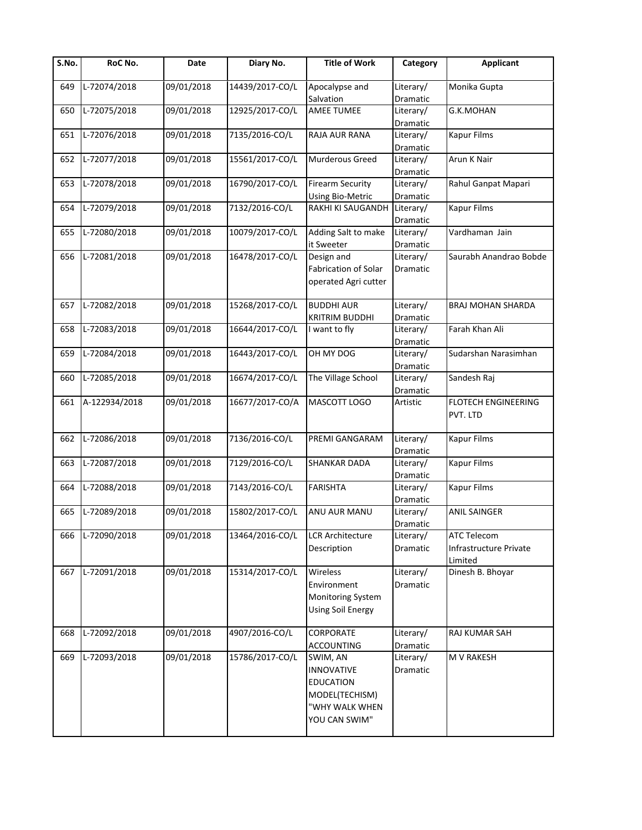| S.No. | RoC No.       | Date       | Diary No.       | <b>Title of Work</b>                                                                                   | Category                     | <b>Applicant</b>                                 |
|-------|---------------|------------|-----------------|--------------------------------------------------------------------------------------------------------|------------------------------|--------------------------------------------------|
| 649   | L-72074/2018  | 09/01/2018 | 14439/2017-CO/L | Apocalypse and<br>Salvation                                                                            | Literary/<br>Dramatic        | Monika Gupta                                     |
| 650   | L-72075/2018  | 09/01/2018 | 12925/2017-CO/L | <b>AMEE TUMEE</b>                                                                                      | Literary/<br>Dramatic        | G.K.MOHAN                                        |
| 651   | L-72076/2018  | 09/01/2018 | 7135/2016-CO/L  | RAJA AUR RANA                                                                                          | Literary/<br>Dramatic        | <b>Kapur Films</b>                               |
| 652   | L-72077/2018  | 09/01/2018 | 15561/2017-CO/L | <b>Murderous Greed</b>                                                                                 | Literary/<br>Dramatic        | Arun K Nair                                      |
| 653   | L-72078/2018  | 09/01/2018 | 16790/2017-CO/L | <b>Firearm Security</b><br><b>Using Bio-Metric</b>                                                     | Literary/<br>Dramatic        | Rahul Ganpat Mapari                              |
| 654   | L-72079/2018  | 09/01/2018 | 7132/2016-CO/L  | <b>RAKHI KI SAUGANDH</b>                                                                               | Literary/<br>Dramatic        | <b>Kapur Films</b>                               |
| 655   | L-72080/2018  | 09/01/2018 | 10079/2017-CO/L | Adding Salt to make<br>it Sweeter                                                                      | Literary/<br>Dramatic        | Vardhaman Jain                                   |
| 656   | L-72081/2018  | 09/01/2018 | 16478/2017-CO/L | Design and<br>Fabrication of Solar<br>operated Agri cutter                                             | Literary/<br><b>Dramatic</b> | Saurabh Anandrao Bobde                           |
| 657   | L-72082/2018  | 09/01/2018 | 15268/2017-CO/L | <b>BUDDHI AUR</b><br><b>KRITRIM BUDDHI</b>                                                             | Literary/<br>Dramatic        | <b>BRAJ MOHAN SHARDA</b>                         |
| 658   | L-72083/2018  | 09/01/2018 | 16644/2017-CO/L | I want to fly                                                                                          | Literary/<br>Dramatic        | Farah Khan Ali                                   |
| 659   | L-72084/2018  | 09/01/2018 | 16443/2017-CO/L | OH MY DOG                                                                                              | Literary/<br>Dramatic        | Sudarshan Narasimhan                             |
| 660   | L-72085/2018  | 09/01/2018 | 16674/2017-CO/L | The Village School                                                                                     | Literary/<br>Dramatic        | Sandesh Raj                                      |
| 661   | A-122934/2018 | 09/01/2018 | 16677/2017-CO/A | MASCOTT LOGO                                                                                           | Artistic                     | FLOTECH ENGINEERING<br>PVT. LTD                  |
| 662   | L-72086/2018  | 09/01/2018 | 7136/2016-CO/L  | PREMI GANGARAM                                                                                         | Literary/<br>Dramatic        | <b>Kapur Films</b>                               |
| 663   | L-72087/2018  | 09/01/2018 | 7129/2016-CO/L  | <b>SHANKAR DADA</b>                                                                                    | Literary/<br>Dramatic        | <b>Kapur Films</b>                               |
| 664   | L-72088/2018  | 09/01/2018 | 7143/2016-CO/L  | <b>FARISHTA</b>                                                                                        | Literary/<br>Dramatic        | <b>Kapur Films</b>                               |
| 665   | L-72089/2018  | 09/01/2018 | 15802/2017-CO/L | ANU AUR MANU                                                                                           | Literary/<br>Dramatic        | <b>ANIL SAINGER</b>                              |
| 666   | L-72090/2018  | 09/01/2018 | 13464/2016-CO/L | <b>LCR Architecture</b><br>Description                                                                 | Literary/<br>Dramatic        | ATC Telecom<br>Infrastructure Private<br>Limited |
| 667   | L-72091/2018  | 09/01/2018 | 15314/2017-CO/L | Wireless<br>Environment<br>Monitoring System<br><b>Using Soil Energy</b>                               | Literary/<br>Dramatic        | Dinesh B. Bhoyar                                 |
| 668   | L-72092/2018  | 09/01/2018 | 4907/2016-CO/L  | CORPORATE<br><b>ACCOUNTING</b>                                                                         | Literary/<br>Dramatic        | RAJ KUMAR SAH                                    |
| 669   | L-72093/2018  | 09/01/2018 | 15786/2017-CO/L | SWIM, AN<br><b>INNOVATIVE</b><br><b>EDUCATION</b><br>MODEL(TECHISM)<br>"WHY WALK WHEN<br>YOU CAN SWIM" | Literary/<br>Dramatic        | M V RAKESH                                       |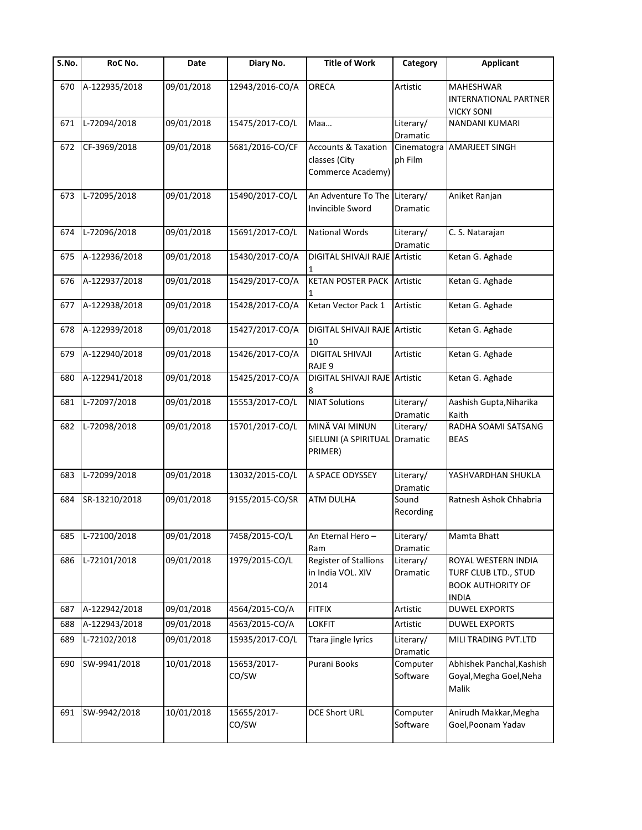| S.No. | RoC No.       | Date       | Diary No.            | <b>Title of Work</b>                                                 | Category               | <b>Applicant</b>                                                                        |
|-------|---------------|------------|----------------------|----------------------------------------------------------------------|------------------------|-----------------------------------------------------------------------------------------|
| 670   | A-122935/2018 | 09/01/2018 | 12943/2016-CO/A      | <b>ORECA</b>                                                         | Artistic               | MAHESHWAR<br>INTERNATIONAL PARTNER<br><b>VICKY SONI</b>                                 |
| 671   | L-72094/2018  | 09/01/2018 | 15475/2017-CO/L      | Maa                                                                  | Literary/<br>Dramatic  | <b>NANDANI KUMARI</b>                                                                   |
| 672   | CF-3969/2018  | 09/01/2018 | 5681/2016-CO/CF      | <b>Accounts &amp; Taxation</b><br>classes (City<br>Commerce Academy) | Cinematogra<br>ph Film | <b>AMARJEET SINGH</b>                                                                   |
| 673   | L-72095/2018  | 09/01/2018 | 15490/2017-CO/L      | An Adventure To The Literary/<br>Invincible Sword                    | Dramatic               | Aniket Ranjan                                                                           |
| 674   | L-72096/2018  | 09/01/2018 | 15691/2017-CO/L      | <b>National Words</b>                                                | Literary/<br>Dramatic  | C. S. Natarajan                                                                         |
| 675   | A-122936/2018 | 09/01/2018 | 15430/2017-CO/A      | DIGITAL SHIVAJI RAJE Artistic                                        |                        | Ketan G. Aghade                                                                         |
| 676   | A-122937/2018 | 09/01/2018 | 15429/2017-CO/A      | <b>KETAN POSTER PACK Artistic</b>                                    |                        | Ketan G. Aghade                                                                         |
| 677   | A-122938/2018 | 09/01/2018 | 15428/2017-CO/A      | Ketan Vector Pack 1                                                  | Artistic               | Ketan G. Aghade                                                                         |
| 678   | A-122939/2018 | 09/01/2018 | 15427/2017-CO/A      | DIGITAL SHIVAJI RAJE Artistic<br>10                                  |                        | Ketan G. Aghade                                                                         |
| 679   | A-122940/2018 | 09/01/2018 | 15426/2017-CO/A      | <b>DIGITAL SHIVAJI</b><br>RAJE <sub>9</sub>                          | Artistic               | Ketan G. Aghade                                                                         |
| 680   | A-122941/2018 | 09/01/2018 | 15425/2017-CO/A      | DIGITAL SHIVAJI RAJE Artistic                                        |                        | Ketan G. Aghade                                                                         |
| 681   | L-72097/2018  | 09/01/2018 | 15553/2017-CO/L      | <b>NIAT Solutions</b>                                                | Literary/<br>Dramatic  | Aashish Gupta, Niharika<br>Kaith                                                        |
| 682   | L-72098/2018  | 09/01/2018 | 15701/2017-CO/L      | MINÄ VAI MINUN<br>SIELUNI (A SPIRITUAL Dramatic<br>PRIMER)           | Literary/              | RADHA SOAMI SATSANG<br><b>BEAS</b>                                                      |
| 683   | L-72099/2018  | 09/01/2018 | 13032/2015-CO/L      | A SPACE ODYSSEY                                                      | Literary/<br>Dramatic  | YASHVARDHAN SHUKLA                                                                      |
| 684   | SR-13210/2018 | 09/01/2018 | 9155/2015-CO/SR      | <b>ATM DULHA</b>                                                     | Sound<br>Recording     | Ratnesh Ashok Chhabria                                                                  |
| 685   | L-72100/2018  | 09/01/2018 | 7458/2015-CO/L       | An Eternal Hero-<br>Ram                                              | Literary/<br>Dramatic  | Mamta Bhatt                                                                             |
| 686   | L-72101/2018  | 09/01/2018 | 1979/2015-CO/L       | <b>Register of Stallions</b><br>in India VOL. XIV<br>2014            | Literary/<br>Dramatic  | ROYAL WESTERN INDIA<br>TURF CLUB LTD., STUD<br><b>BOOK AUTHORITY OF</b><br><b>INDIA</b> |
| 687   | A-122942/2018 | 09/01/2018 | 4564/2015-CO/A       | <b>FITFIX</b>                                                        | Artistic               | <b>DUWEL EXPORTS</b>                                                                    |
| 688   | A-122943/2018 | 09/01/2018 | 4563/2015-CO/A       | <b>LOKFIT</b>                                                        | Artistic               | <b>DUWEL EXPORTS</b>                                                                    |
| 689   | L-72102/2018  | 09/01/2018 | 15935/2017-CO/L      | Ttara jingle lyrics                                                  | Literary/<br>Dramatic  | MILI TRADING PVT.LTD                                                                    |
| 690   | SW-9941/2018  | 10/01/2018 | 15653/2017-<br>CO/SW | Purani Books                                                         | Computer<br>Software   | Abhishek Panchal, Kashish<br>Goyal, Megha Goel, Neha<br>Malik                           |
| 691   | SW-9942/2018  | 10/01/2018 | 15655/2017-<br>CO/SW | <b>DCE Short URL</b>                                                 | Computer<br>Software   | Anirudh Makkar, Megha<br>Goel, Poonam Yadav                                             |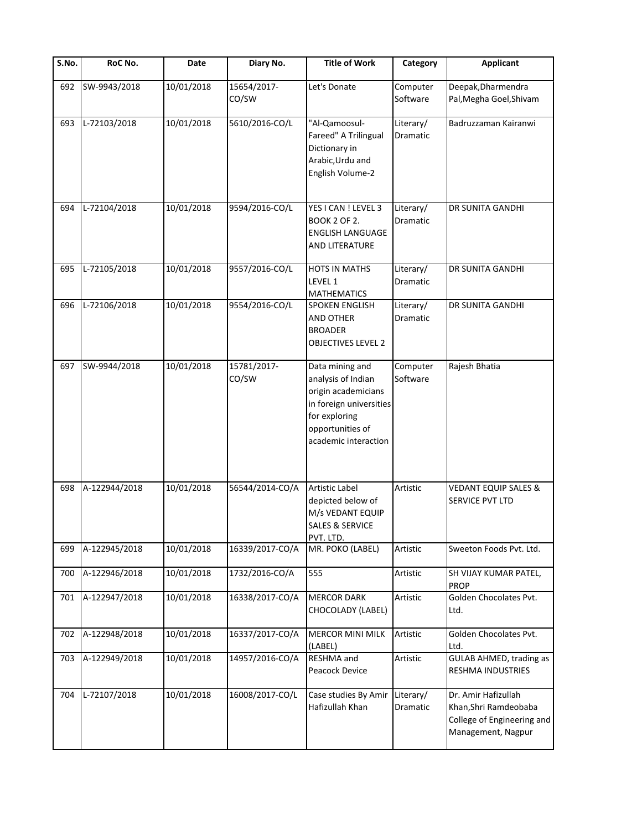| $\overline{\mathsf{S}}$ . No. | RoC No.       | Date       | Diary No.            | <b>Title of Work</b>                                                                                                                                 | Category              | <b>Applicant</b>                                                                                 |
|-------------------------------|---------------|------------|----------------------|------------------------------------------------------------------------------------------------------------------------------------------------------|-----------------------|--------------------------------------------------------------------------------------------------|
| 692                           | SW-9943/2018  | 10/01/2018 | 15654/2017-<br>CO/SW | Let's Donate                                                                                                                                         | Computer<br>Software  | Deepak, Dharmendra<br>Pal, Megha Goel, Shivam                                                    |
| 693                           | L-72103/2018  | 10/01/2018 | 5610/2016-CO/L       | "Al-Qamoosul-<br>Fareed" A Trilingual<br>Dictionary in<br>Arabic, Urdu and<br>English Volume-2                                                       | Literary/<br>Dramatic | Badruzzaman Kairanwi                                                                             |
| 694                           | L-72104/2018  | 10/01/2018 | 9594/2016-CO/L       | YES I CAN ! LEVEL 3<br><b>BOOK 2 OF 2.</b><br><b>ENGLISH LANGUAGE</b><br>AND LITERATURE                                                              | Literary/<br>Dramatic | DR SUNITA GANDHI                                                                                 |
| 695                           | L-72105/2018  | 10/01/2018 | 9557/2016-CO/L       | <b>HOTS IN MATHS</b><br>LEVEL 1<br><b>MATHEMATICS</b>                                                                                                | Literary/<br>Dramatic | DR SUNITA GANDHI                                                                                 |
| 696                           | L-72106/2018  | 10/01/2018 | 9554/2016-CO/L       | <b>SPOKEN ENGLISH</b><br><b>AND OTHER</b><br><b>BROADER</b><br><b>OBJECTIVES LEVEL 2</b>                                                             | Literary/<br>Dramatic | DR SUNITA GANDHI                                                                                 |
| 697                           | SW-9944/2018  | 10/01/2018 | 15781/2017-<br>CO/SW | Data mining and<br>analysis of Indian<br>origin academicians<br>in foreign universities<br>for exploring<br>opportunities of<br>academic interaction | Computer<br>Software  | Rajesh Bhatia                                                                                    |
| 698                           | A-122944/2018 | 10/01/2018 | 56544/2014-CO/A      | <b>Artistic Label</b><br>depicted below of<br>M/s VEDANT EQUIP<br><b>SALES &amp; SERVICE</b><br>PVT. LTD.                                            | Artistic              | <b>VEDANT EQUIP SALES &amp;</b><br>SERVICE PVT LTD                                               |
| 699                           | A-122945/2018 | 10/01/2018 | 16339/2017-CO/A      | MR. POKO (LABEL)                                                                                                                                     | Artistic              | Sweeton Foods Pvt. Ltd.                                                                          |
| 700                           | A-122946/2018 | 10/01/2018 | 1732/2016-CO/A       | 555                                                                                                                                                  | Artistic              | SH VIJAY KUMAR PATEL,<br><b>PROP</b>                                                             |
| 701                           | A-122947/2018 | 10/01/2018 | 16338/2017-CO/A      | <b>MERCOR DARK</b><br>CHOCOLADY (LABEL)                                                                                                              | Artistic              | Golden Chocolates Pvt.<br>Ltd.                                                                   |
| 702                           | A-122948/2018 | 10/01/2018 | 16337/2017-CO/A      | <b>MERCOR MINI MILK</b><br>(LABEL)                                                                                                                   | Artistic              | Golden Chocolates Pvt.<br>Ltd.                                                                   |
| 703                           | A-122949/2018 | 10/01/2018 | 14957/2016-CO/A      | RESHMA and<br>Peacock Device                                                                                                                         | Artistic              | <b>GULAB AHMED, trading as</b><br>RESHMA INDUSTRIES                                              |
| 704                           | L-72107/2018  | 10/01/2018 | 16008/2017-CO/L      | Case studies By Amir<br>Hafizullah Khan                                                                                                              | Literary/<br>Dramatic | Dr. Amir Hafizullah<br>Khan, Shri Ramdeobaba<br>College of Engineering and<br>Management, Nagpur |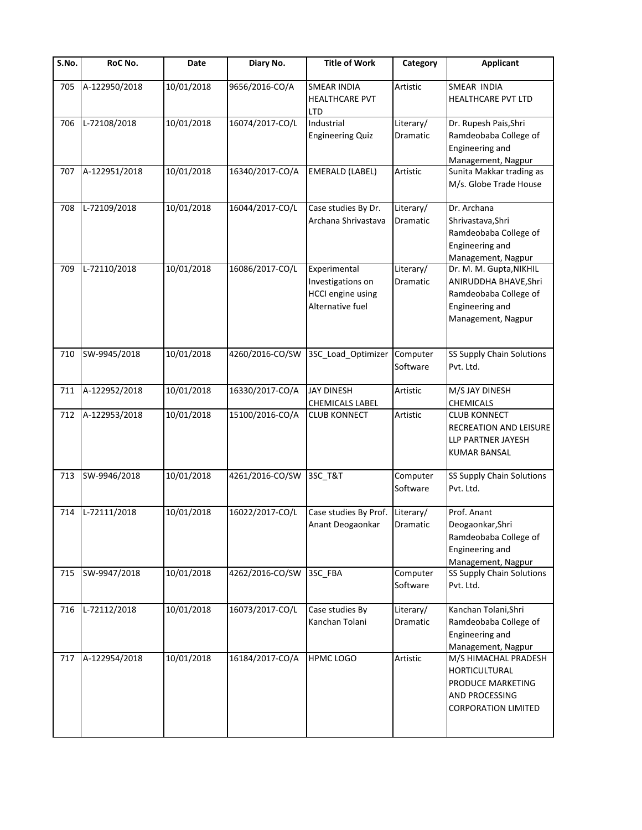| $\overline{\mathsf{S}}$ . No. | RoC No.       | Date       | Diary No.       | <b>Title of Work</b>                                                              | Category                     | <b>Applicant</b>                                                                                                   |
|-------------------------------|---------------|------------|-----------------|-----------------------------------------------------------------------------------|------------------------------|--------------------------------------------------------------------------------------------------------------------|
| 705                           | A-122950/2018 | 10/01/2018 | 9656/2016-CO/A  | <b>SMEAR INDIA</b><br><b>HEALTHCARE PVT</b><br><b>LTD</b>                         | Artistic                     | SMEAR INDIA<br><b>HEALTHCARE PVT LTD</b>                                                                           |
| 706                           | L-72108/2018  | 10/01/2018 | 16074/2017-CO/L | Industrial<br><b>Engineering Quiz</b>                                             | Literary/<br>Dramatic        | Dr. Rupesh Pais, Shri<br>Ramdeobaba College of<br>Engineering and<br>Management, Nagpur                            |
| 707                           | A-122951/2018 | 10/01/2018 | 16340/2017-CO/A | <b>EMERALD (LABEL)</b>                                                            | Artistic                     | Sunita Makkar trading as<br>M/s. Globe Trade House                                                                 |
| 708                           | L-72109/2018  | 10/01/2018 | 16044/2017-CO/L | Case studies By Dr.<br>Archana Shrivastava                                        | Literary/<br>Dramatic        | Dr. Archana<br>Shrivastava, Shri<br>Ramdeobaba College of<br>Engineering and<br>Management, Nagpur                 |
| 709                           | L-72110/2018  | 10/01/2018 | 16086/2017-CO/L | Experimental<br>Investigations on<br><b>HCCI</b> engine using<br>Alternative fuel | Literary/<br>Dramatic        | Dr. M. M. Gupta, NIKHIL<br>ANIRUDDHA BHAVE, Shri<br>Ramdeobaba College of<br>Engineering and<br>Management, Nagpur |
| 710                           | SW-9945/2018  | 10/01/2018 | 4260/2016-CO/SW | 3SC_Load_Optimizer                                                                | Computer<br>Software         | SS Supply Chain Solutions<br>Pvt. Ltd.                                                                             |
| 711                           | A-122952/2018 | 10/01/2018 | 16330/2017-CO/A | <b>JAY DINESH</b><br><b>CHEMICALS LABEL</b>                                       | Artistic                     | M/S JAY DINESH<br><b>CHEMICALS</b>                                                                                 |
| 712                           | A-122953/2018 | 10/01/2018 | 15100/2016-CO/A | <b>CLUB KONNECT</b>                                                               | Artistic                     | <b>CLUB KONNECT</b><br>RECREATION AND LEISURE<br>LLP PARTNER JAYESH<br><b>KUMAR BANSAL</b>                         |
| 713                           | SW-9946/2018  | 10/01/2018 | 4261/2016-CO/SW | 3SC_T&T                                                                           | Computer<br>Software         | SS Supply Chain Solutions<br>Pvt. Ltd.                                                                             |
| 714                           | L-72111/2018  | 10/01/2018 | 16022/2017-CO/L | Case studies By Prof.<br>Anant Deogaonkar                                         | Literary/<br><b>Dramatic</b> | Prof. Anant<br>Deogaonkar, Shri<br>Ramdeobaba College of<br>Engineering and<br>Management, Nagpur                  |
| 715                           | SW-9947/2018  | 10/01/2018 | 4262/2016-CO/SW | 3SC_FBA                                                                           | Computer<br>Software         | SS Supply Chain Solutions<br>Pvt. Ltd.                                                                             |
| 716                           | L-72112/2018  | 10/01/2018 | 16073/2017-CO/L | Case studies By<br>Kanchan Tolani                                                 | Literary/<br>Dramatic        | Kanchan Tolani, Shri<br>Ramdeobaba College of<br>Engineering and<br>Management, Nagpur                             |
| 717                           | A-122954/2018 | 10/01/2018 | 16184/2017-CO/A | <b>HPMC LOGO</b>                                                                  | Artistic                     | M/S HIMACHAL PRADESH<br><b>HORTICULTURAL</b><br>PRODUCE MARKETING<br>AND PROCESSING<br><b>CORPORATION LIMITED</b>  |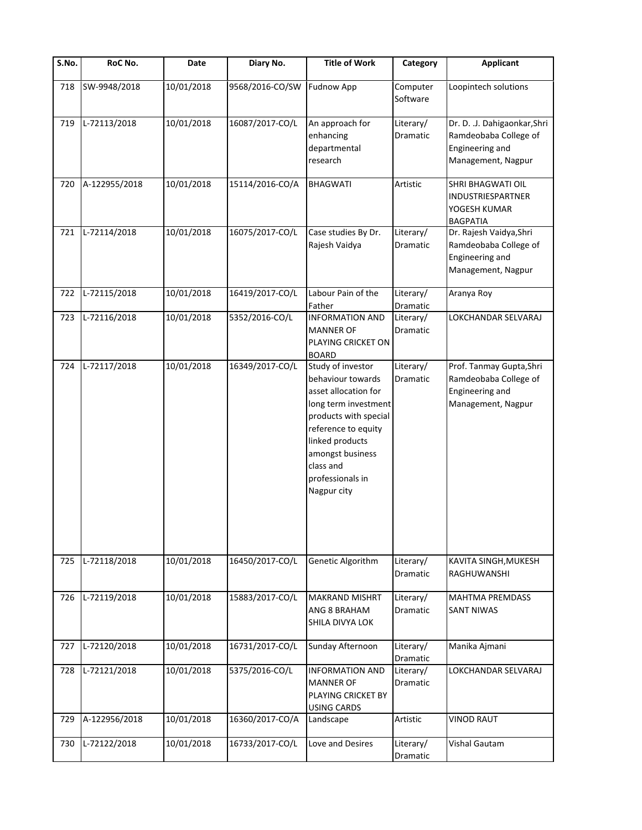| $\overline{\mathsf{S}}$ . No. | RoC No.       | Date       | Diary No.       | <b>Title of Work</b>                                                                                                                                                                                                          | Category              | <b>Applicant</b>                                                                               |
|-------------------------------|---------------|------------|-----------------|-------------------------------------------------------------------------------------------------------------------------------------------------------------------------------------------------------------------------------|-----------------------|------------------------------------------------------------------------------------------------|
| 718                           | SW-9948/2018  | 10/01/2018 | 9568/2016-CO/SW | <b>Fudnow App</b>                                                                                                                                                                                                             | Computer<br>Software  | Loopintech solutions                                                                           |
| 719                           | L-72113/2018  | 10/01/2018 | 16087/2017-CO/L | An approach for<br>enhancing<br>departmental<br>research                                                                                                                                                                      | Literary/<br>Dramatic | Dr. D. .J. Dahigaonkar, Shri<br>Ramdeobaba College of<br>Engineering and<br>Management, Nagpur |
| 720                           | A-122955/2018 | 10/01/2018 | 15114/2016-CO/A | <b>BHAGWATI</b>                                                                                                                                                                                                               | Artistic              | SHRI BHAGWATI OIL<br>INDUSTRIESPARTNER<br>YOGESH KUMAR<br><b>BAGPATIA</b>                      |
| 721                           | L-72114/2018  | 10/01/2018 | 16075/2017-CO/L | Case studies By Dr.<br>Rajesh Vaidya                                                                                                                                                                                          | Literary/<br>Dramatic | Dr. Rajesh Vaidya, Shri<br>Ramdeobaba College of<br>Engineering and<br>Management, Nagpur      |
| 722                           | L-72115/2018  | 10/01/2018 | 16419/2017-CO/L | Labour Pain of the<br>Father                                                                                                                                                                                                  | Literary/<br>Dramatic | Aranya Roy                                                                                     |
| 723                           | L-72116/2018  | 10/01/2018 | 5352/2016-CO/L  | <b>INFORMATION AND</b><br><b>MANNER OF</b><br>PLAYING CRICKET ON<br><b>BOARD</b>                                                                                                                                              | Literary/<br>Dramatic | LOKCHANDAR SELVARAJ                                                                            |
| 724                           | L-72117/2018  | 10/01/2018 | 16349/2017-CO/L | Study of investor<br>behaviour towards<br>asset allocation for<br>long term investment<br>products with special<br>reference to equity<br>linked products<br>amongst business<br>class and<br>professionals in<br>Nagpur city | Literary/<br>Dramatic | Prof. Tanmay Gupta, Shri<br>Ramdeobaba College of<br>Engineering and<br>Management, Nagpur     |
| 725                           | L-72118/2018  | 10/01/2018 | 16450/2017-CO/L | Genetic Algorithm                                                                                                                                                                                                             | Literary/<br>Dramatic | KAVITA SINGH, MUKESH<br>RAGHUWANSHI                                                            |
| 726                           | L-72119/2018  | 10/01/2018 | 15883/2017-CO/L | <b>MAKRAND MISHRT</b><br>ANG 8 BRAHAM<br>SHILA DIVYA LOK                                                                                                                                                                      | Literary/<br>Dramatic | MAHTMA PREMDASS<br><b>SANT NIWAS</b>                                                           |
| 727                           | L-72120/2018  | 10/01/2018 | 16731/2017-CO/L | Sunday Afternoon                                                                                                                                                                                                              | Literary/<br>Dramatic | Manika Ajmani                                                                                  |
| 728                           | L-72121/2018  | 10/01/2018 | 5375/2016-CO/L  | <b>INFORMATION AND</b><br><b>MANNER OF</b><br>PLAYING CRICKET BY<br><b>USING CARDS</b>                                                                                                                                        | Literary/<br>Dramatic | LOKCHANDAR SELVARAJ                                                                            |
| 729                           | A-122956/2018 | 10/01/2018 | 16360/2017-CO/A | Landscape                                                                                                                                                                                                                     | Artistic              | <b>VINOD RAUT</b>                                                                              |
| 730                           | L-72122/2018  | 10/01/2018 | 16733/2017-CO/L | Love and Desires                                                                                                                                                                                                              | Literary/<br>Dramatic | Vishal Gautam                                                                                  |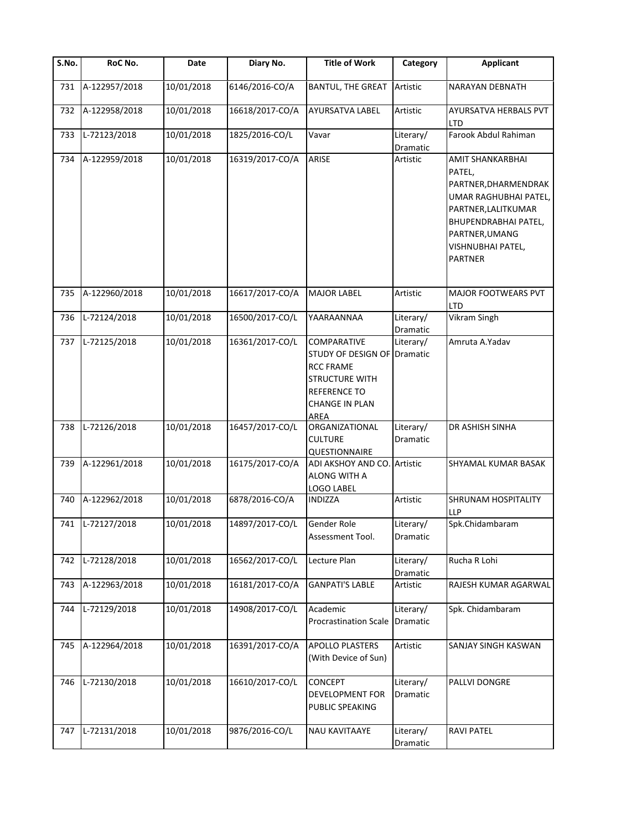| $\overline{\mathsf{S}}$ . No. | RoC No.          | Date       | Diary No.       | <b>Title of Work</b>                                                                                                                     | Category              | <b>Applicant</b>                                                                                                                                                                           |
|-------------------------------|------------------|------------|-----------------|------------------------------------------------------------------------------------------------------------------------------------------|-----------------------|--------------------------------------------------------------------------------------------------------------------------------------------------------------------------------------------|
| 731                           | A-122957/2018    | 10/01/2018 | 6146/2016-CO/A  | <b>BANTUL, THE GREAT</b>                                                                                                                 | Artistic              | <b>NARAYAN DEBNATH</b>                                                                                                                                                                     |
| 732                           | A-122958/2018    | 10/01/2018 | 16618/2017-CO/A | AYURSATVA LABEL                                                                                                                          | Artistic              | AYURSATVA HERBALS PVT<br><b>LTD</b>                                                                                                                                                        |
| 733                           | L-72123/2018     | 10/01/2018 | 1825/2016-CO/L  | Vavar                                                                                                                                    | Literary/<br>Dramatic | Farook Abdul Rahiman                                                                                                                                                                       |
| 734                           | A-122959/2018    | 10/01/2018 | 16319/2017-CO/A | ARISE                                                                                                                                    | Artistic              | AMIT SHANKARBHAI<br>PATEL,<br>PARTNER, DHARMENDRAK<br>UMAR RAGHUBHAI PATEL,<br>PARTNER, LALITKUMAR<br><b>BHUPENDRABHAI PATEL,</b><br>PARTNER, UMANG<br>VISHNUBHAI PATEL,<br><b>PARTNER</b> |
| 735                           | A-122960/2018    | 10/01/2018 | 16617/2017-CO/A | <b>MAJOR LABEL</b>                                                                                                                       | Artistic              | <b>MAJOR FOOTWEARS PVT</b><br><b>LTD</b>                                                                                                                                                   |
| 736                           | L-72124/2018     | 10/01/2018 | 16500/2017-CO/L | YAARAANNAA                                                                                                                               | Literary/<br>Dramatic | <b>Vikram Singh</b>                                                                                                                                                                        |
| 737                           | L-72125/2018     | 10/01/2018 | 16361/2017-CO/L | COMPARATIVE<br>STUDY OF DESIGN OF Dramatic<br><b>RCC FRAME</b><br><b>STRUCTURE WITH</b><br><b>REFERENCE TO</b><br>CHANGE IN PLAN<br>AREA | Literary/             | Amruta A.Yadav                                                                                                                                                                             |
| 738                           | L-72126/2018     | 10/01/2018 | 16457/2017-CO/L | ORGANIZATIONAL<br><b>CULTURE</b><br>QUESTIONNAIRE                                                                                        | Literary/<br>Dramatic | DR ASHISH SINHA                                                                                                                                                                            |
| 739                           | A-122961/2018    | 10/01/2018 | 16175/2017-CO/A | ADI AKSHOY AND CO.<br>ALONG WITH A<br>LOGO LABEL                                                                                         | Artistic              | <b>SHYAMAL KUMAR BASAK</b>                                                                                                                                                                 |
| 740                           | A-122962/2018    | 10/01/2018 | 6878/2016-CO/A  | <b>INDIZZA</b>                                                                                                                           | Artistic              | SHRUNAM HOSPITALITY<br><b>LLP</b>                                                                                                                                                          |
|                               | 741 L-72127/2018 | 10/01/2018 | 14897/2017-CO/L | Gender Role<br>Assessment Tool.                                                                                                          | Literary/<br>Dramatic | Spk.Chidambaram                                                                                                                                                                            |
| 742                           | L-72128/2018     | 10/01/2018 | 16562/2017-CO/L | Lecture Plan                                                                                                                             | Literary/<br>Dramatic | Rucha R Lohi                                                                                                                                                                               |
| 743                           | A-122963/2018    | 10/01/2018 | 16181/2017-CO/A | <b>GANPATI'S LABLE</b>                                                                                                                   | Artistic              | RAJESH KUMAR AGARWAL                                                                                                                                                                       |
| 744                           | L-72129/2018     | 10/01/2018 | 14908/2017-CO/L | Academic<br><b>Procrastination Scale</b>                                                                                                 | Literary/<br>Dramatic | Spk. Chidambaram                                                                                                                                                                           |
| 745                           | A-122964/2018    | 10/01/2018 | 16391/2017-CO/A | <b>APOLLO PLASTERS</b><br>(With Device of Sun)                                                                                           | Artistic              | SANJAY SINGH KASWAN                                                                                                                                                                        |
| 746                           | L-72130/2018     | 10/01/2018 | 16610/2017-CO/L | CONCEPT<br>DEVELOPMENT FOR<br>PUBLIC SPEAKING                                                                                            | Literary/<br>Dramatic | PALLVI DONGRE                                                                                                                                                                              |
| 747                           | L-72131/2018     | 10/01/2018 | 9876/2016-CO/L  | NAU KAVITAAYE                                                                                                                            | Literary/<br>Dramatic | <b>RAVI PATEL</b>                                                                                                                                                                          |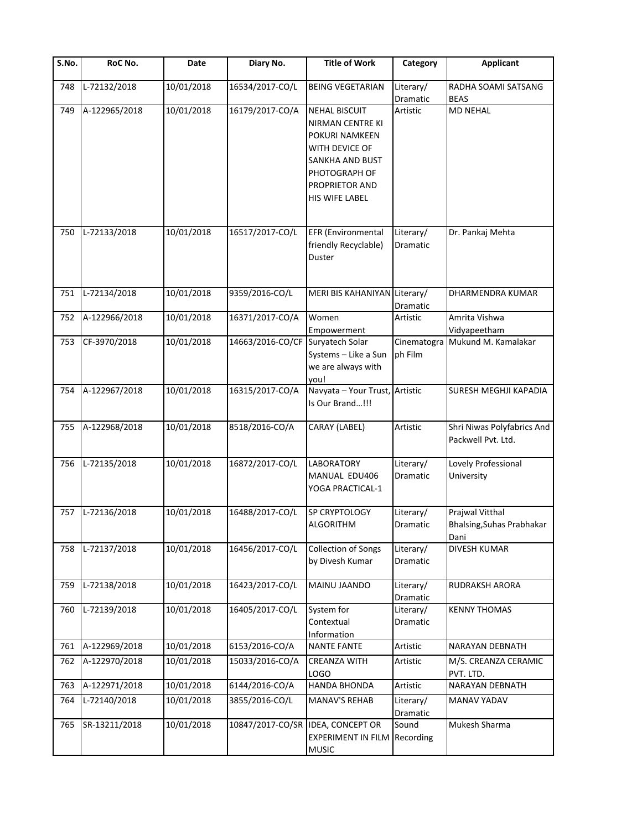| $\overline{\mathsf{S}}$ . No. | RoC No.       | Date       | Diary No.        | <b>Title of Work</b>                                                                                                                                        | Category               | <b>Applicant</b>                                     |
|-------------------------------|---------------|------------|------------------|-------------------------------------------------------------------------------------------------------------------------------------------------------------|------------------------|------------------------------------------------------|
| 748                           | L-72132/2018  | 10/01/2018 | 16534/2017-CO/L  | <b>BEING VEGETARIAN</b>                                                                                                                                     | Literary/<br>Dramatic  | RADHA SOAMI SATSANG<br><b>BEAS</b>                   |
| 749                           | A-122965/2018 | 10/01/2018 | 16179/2017-CO/A  | <b>NEHAL BISCUIT</b><br><b>NIRMAN CENTRE KI</b><br>POKURI NAMKEEN<br>WITH DEVICE OF<br>SANKHA AND BUST<br>PHOTOGRAPH OF<br>PROPRIETOR AND<br>HIS WIFE LABEL | Artistic               | <b>MD NEHAL</b>                                      |
| 750                           | L-72133/2018  | 10/01/2018 | 16517/2017-CO/L  | EFR (Environmental<br>friendly Recyclable)<br>Duster                                                                                                        | Literary/<br>Dramatic  | Dr. Pankaj Mehta                                     |
| 751                           | L-72134/2018  | 10/01/2018 | 9359/2016-CO/L   | MERI BIS KAHANIYAN Literary/                                                                                                                                | Dramatic               | DHARMENDRA KUMAR                                     |
| 752                           | A-122966/2018 | 10/01/2018 | 16371/2017-CO/A  | Women<br>Empowerment                                                                                                                                        | Artistic               | Amrita Vishwa<br>Vidyapeetham                        |
| 753                           | CF-3970/2018  | 10/01/2018 | 14663/2016-CO/CF | Suryatech Solar<br>Systems - Like a Sun<br>we are always with<br>you!                                                                                       | Cinematogra<br>ph Film | Mukund M. Kamalakar                                  |
| 754                           | A-122967/2018 | 10/01/2018 | 16315/2017-CO/A  | Navyata - Your Trust,<br>Is Our Brand!!!                                                                                                                    | Artistic               | <b>SURESH MEGHJI KAPADIA</b>                         |
| 755                           | A-122968/2018 | 10/01/2018 | 8518/2016-CO/A   | CARAY (LABEL)                                                                                                                                               | Artistic               | Shri Niwas Polyfabrics And<br>Packwell Pvt. Ltd.     |
| 756                           | L-72135/2018  | 10/01/2018 | 16872/2017-CO/L  | <b>LABORATORY</b><br>MANUAL EDU406<br>YOGA PRACTICAL-1                                                                                                      | Literary/<br>Dramatic  | Lovely Professional<br>University                    |
| 757                           | L-72136/2018  | 10/01/2018 | 16488/2017-CO/L  | SP CRYPTOLOGY<br><b>ALGORITHM</b>                                                                                                                           | Literary/<br>Dramatic  | Prajwal Vitthal<br>Bhalsing, Suhas Prabhakar<br>Dani |
| 758                           | L-72137/2018  | 10/01/2018 | 16456/2017-CO/L  | <b>Collection of Songs</b><br>by Divesh Kumar                                                                                                               | Literary/<br>Dramatic  | <b>DIVESH KUMAR</b>                                  |
| 759                           | L-72138/2018  | 10/01/2018 | 16423/2017-CO/L  | <b>MAINU JAANDO</b>                                                                                                                                         | Literary/<br>Dramatic  | RUDRAKSH ARORA                                       |
| 760                           | L-72139/2018  | 10/01/2018 | 16405/2017-CO/L  | System for<br>Contextual<br>Information                                                                                                                     | Literary/<br>Dramatic  | <b>KENNY THOMAS</b>                                  |
| 761                           | A-122969/2018 | 10/01/2018 | 6153/2016-CO/A   | <b>NANTE FANTE</b>                                                                                                                                          | Artistic               | <b>NARAYAN DEBNATH</b>                               |
| 762                           | A-122970/2018 | 10/01/2018 | 15033/2016-CO/A  | <b>CREANZA WITH</b><br><b>LOGO</b>                                                                                                                          | Artistic               | M/S. CREANZA CERAMIC<br>PVT. LTD.                    |
| 763                           | A-122971/2018 | 10/01/2018 | 6144/2016-CO/A   | <b>HANDA BHONDA</b>                                                                                                                                         | Artistic               | NARAYAN DEBNATH                                      |
| 764                           | L-72140/2018  | 10/01/2018 | 3855/2016-CO/L   | MANAV'S REHAB                                                                                                                                               | Literary/<br>Dramatic  | MANAV YADAV                                          |
| 765                           | SR-13211/2018 | 10/01/2018 |                  | 10847/2017-CO/SR IDEA, CONCEPT OR<br><b>EXPERIMENT IN FILM</b><br><b>MUSIC</b>                                                                              | Sound<br>Recording     | Mukesh Sharma                                        |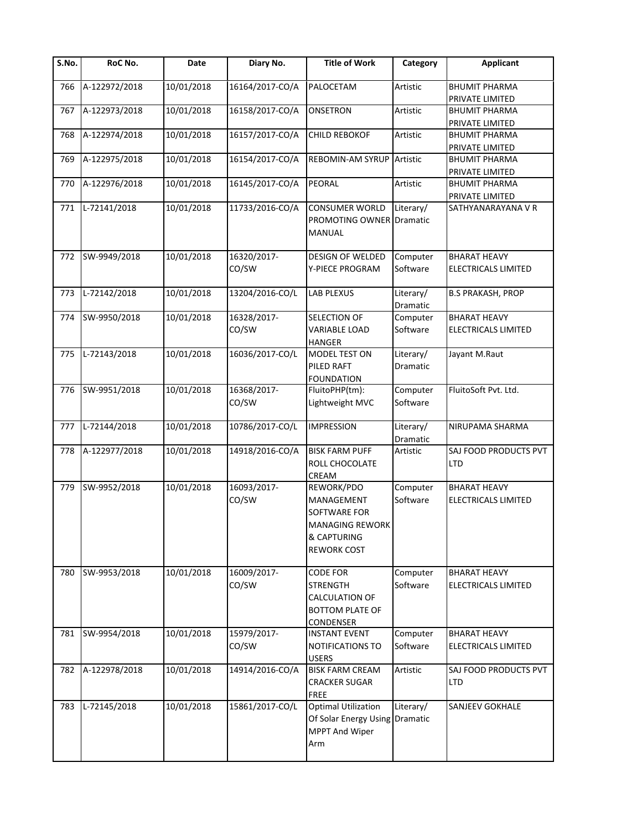| S.No. | RoC No.       | Date       | Diary No.            | <b>Title of Work</b>                                                                                    | Category                     | <b>Applicant</b>                           |
|-------|---------------|------------|----------------------|---------------------------------------------------------------------------------------------------------|------------------------------|--------------------------------------------|
| 766   | A-122972/2018 | 10/01/2018 | 16164/2017-CO/A      | PALOCETAM                                                                                               | Artistic                     | <b>BHUMIT PHARMA</b><br>PRIVATE LIMITED    |
| 767   | A-122973/2018 | 10/01/2018 | 16158/2017-CO/A      | <b>ONSETRON</b>                                                                                         | Artistic                     | <b>BHUMIT PHARMA</b><br>PRIVATE LIMITED    |
| 768   | A-122974/2018 | 10/01/2018 | 16157/2017-CO/A      | <b>CHILD REBOKOF</b>                                                                                    | Artistic                     | <b>BHUMIT PHARMA</b><br>PRIVATE LIMITED    |
| 769   | A-122975/2018 | 10/01/2018 | 16154/2017-CO/A      | <b>REBOMIN-AM SYRUP</b>                                                                                 | Artistic                     | <b>BHUMIT PHARMA</b><br>PRIVATE LIMITED    |
| 770   | A-122976/2018 | 10/01/2018 | 16145/2017-CO/A      | PEORAL                                                                                                  | Artistic                     | <b>BHUMIT PHARMA</b><br>PRIVATE LIMITED    |
| 771   | L-72141/2018  | 10/01/2018 | 11733/2016-CO/A      | <b>CONSUMER WORLD</b><br><b>PROMOTING OWNER Dramatic</b><br>MANUAL                                      | Literary/                    | SATHYANARAYANA V R                         |
| 772   | SW-9949/2018  | 10/01/2018 | 16320/2017-<br>CO/SW | <b>DESIGN OF WELDED</b><br>Y-PIECE PROGRAM                                                              | Computer<br>Software         | <b>BHARAT HEAVY</b><br>ELECTRICALS LIMITED |
| 773   | L-72142/2018  | 10/01/2018 | 13204/2016-CO/L      | <b>LAB PLEXUS</b>                                                                                       | Literary/<br><b>Dramatic</b> | <b>B.S PRAKASH, PROP</b>                   |
| 774   | SW-9950/2018  | 10/01/2018 | 16328/2017-<br>CO/SW | SELECTION OF<br><b>VARIABLE LOAD</b><br>HANGER                                                          | Computer<br>Software         | <b>BHARAT HEAVY</b><br>ELECTRICALS LIMITED |
| 775   | L-72143/2018  | 10/01/2018 | 16036/2017-CO/L      | MODEL TEST ON<br>PILED RAFT<br><b>FOUNDATION</b>                                                        | Literary/<br><b>Dramatic</b> | Jayant M.Raut                              |
| 776   | SW-9951/2018  | 10/01/2018 | 16368/2017-<br>CO/SW | FluitoPHP(tm):<br>Lightweight MVC                                                                       | Computer<br>Software         | FluitoSoft Pvt. Ltd.                       |
| 777   | L-72144/2018  | 10/01/2018 | 10786/2017-CO/L      | <b>IMPRESSION</b>                                                                                       | Literary/<br>Dramatic        | NIRUPAMA SHARMA                            |
| 778   | A-122977/2018 | 10/01/2018 | 14918/2016-CO/A      | <b>BISK FARM PUFF</b><br>ROLL CHOCOLATE<br>CREAM                                                        | Artistic                     | SAJ FOOD PRODUCTS PVT<br><b>LTD</b>        |
| 779   | SW-9952/2018  | 10/01/2018 | 16093/2017-<br>CO/SW | REWORK/PDO<br>MANAGEMENT<br>SOFTWARE FOR<br><b>MANAGING REWORK</b><br>& CAPTURING<br><b>REWORK COST</b> | Computer<br>Software         | <b>BHARAT HEAVY</b><br>ELECTRICALS LIMITED |
| 780   | SW-9953/2018  | 10/01/2018 | 16009/2017-<br>CO/SW | <b>CODE FOR</b><br><b>STRENGTH</b><br>CALCULATION OF<br><b>BOTTOM PLATE OF</b><br>CONDENSER             | Computer<br>Software         | <b>BHARAT HEAVY</b><br>ELECTRICALS LIMITED |
| 781   | SW-9954/2018  | 10/01/2018 | 15979/2017-<br>CO/SW | <b>INSTANT EVENT</b><br>NOTIFICATIONS TO<br><b>USERS</b>                                                | Computer<br>Software         | <b>BHARAT HEAVY</b><br>ELECTRICALS LIMITED |
| 782   | A-122978/2018 | 10/01/2018 | 14914/2016-CO/A      | <b>BISK FARM CREAM</b><br><b>CRACKER SUGAR</b><br><b>FREE</b>                                           | Artistic                     | SAJ FOOD PRODUCTS PVT<br><b>LTD</b>        |
| 783   | L-72145/2018  | 10/01/2018 | 15861/2017-CO/L      | <b>Optimal Utilization</b><br>Of Solar Energy Using Dramatic<br><b>MPPT And Wiper</b><br>Arm            | Literary/                    | <b>SANJEEV GOKHALE</b>                     |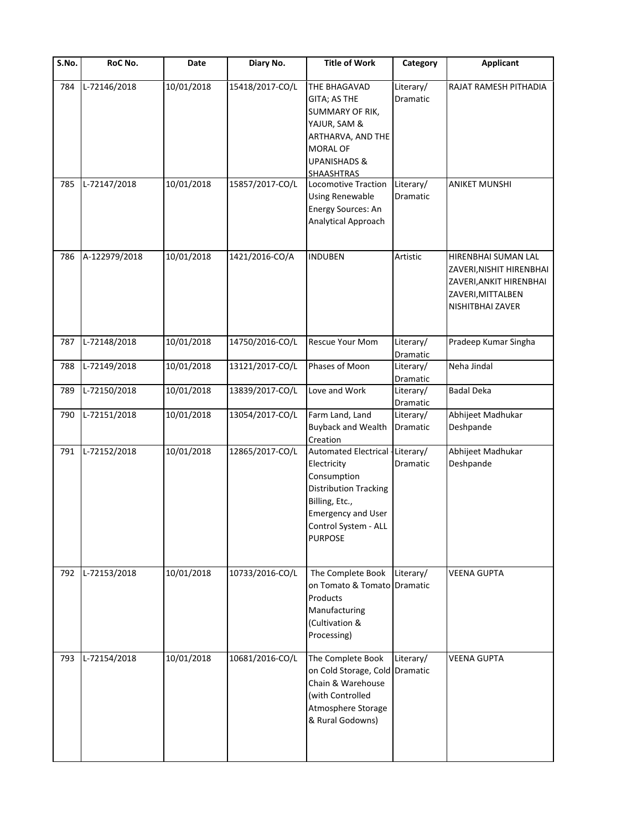| S.No. | RoC No.       | Date       | Diary No.       | <b>Title of Work</b>                                                                                                                                                                    | Category                          | <b>Applicant</b>                                                                                                    |
|-------|---------------|------------|-----------------|-----------------------------------------------------------------------------------------------------------------------------------------------------------------------------------------|-----------------------------------|---------------------------------------------------------------------------------------------------------------------|
| 784   | L-72146/2018  | 10/01/2018 | 15418/2017-CO/L | THE BHAGAVAD<br>GITA; AS THE<br>SUMMARY OF RIK,<br>YAJUR, SAM &<br>ARTHARVA, AND THE<br><b>MORAL OF</b><br><b>UPANISHADS &amp;</b><br><b>SHAASHTRAS</b>                                 | Literary/<br>Dramatic             | RAJAT RAMESH PITHADIA                                                                                               |
| 785   | L-72147/2018  | 10/01/2018 | 15857/2017-CO/L | Locomotive Traction<br><b>Using Renewable</b><br>Energy Sources: An<br>Analytical Approach                                                                                              | Literary/<br>Dramatic             | <b>ANIKET MUNSHI</b>                                                                                                |
| 786   | A-122979/2018 | 10/01/2018 | 1421/2016-CO/A  | <b>INDUBEN</b>                                                                                                                                                                          | Artistic                          | HIRENBHAI SUMAN LAL<br>ZAVERI, NISHIT HIRENBHAI<br>ZAVERI, ANKIT HIRENBHAI<br>ZAVERI, MITTALBEN<br>NISHITBHAI ZAVER |
| 787   | L-72148/2018  | 10/01/2018 | 14750/2016-CO/L | Rescue Your Mom                                                                                                                                                                         | Literary/                         | Pradeep Kumar Singha                                                                                                |
| 788   | L-72149/2018  | 10/01/2018 | 13121/2017-CO/L | Phases of Moon                                                                                                                                                                          | Dramatic<br>Literary/<br>Dramatic | Neha Jindal                                                                                                         |
| 789   | L-72150/2018  | 10/01/2018 | 13839/2017-CO/L | Love and Work                                                                                                                                                                           | Literary/<br>Dramatic             | <b>Badal Deka</b>                                                                                                   |
| 790   | L-72151/2018  | 10/01/2018 | 13054/2017-CO/L | Farm Land, Land<br><b>Buyback and Wealth</b><br>Creation                                                                                                                                | Literary/<br>Dramatic             | Abhijeet Madhukar<br>Deshpande                                                                                      |
| 791   | L-72152/2018  | 10/01/2018 | 12865/2017-CO/L | Automated Electrical - Literary/<br>Electricity<br>Consumption<br><b>Distribution Tracking</b><br>Billing, Etc.,<br><b>Emergency and User</b><br>Control System - ALL<br><b>PURPOSE</b> | Dramatic                          | Abhijeet Madhukar<br>Deshpande                                                                                      |
| 792   | L-72153/2018  | 10/01/2018 | 10733/2016-CO/L | The Complete Book<br>on Tomato & Tomato Dramatic<br>Products<br>Manufacturing<br>(Cultivation &<br>Processing)                                                                          | Literary/                         | <b>VEENA GUPTA</b>                                                                                                  |
| 793   | L-72154/2018  | 10/01/2018 | 10681/2016-CO/L | The Complete Book<br>on Cold Storage, Cold Dramatic<br>Chain & Warehouse<br>(with Controlled<br>Atmosphere Storage<br>& Rural Godowns)                                                  | Literary/                         | <b>VEENA GUPTA</b>                                                                                                  |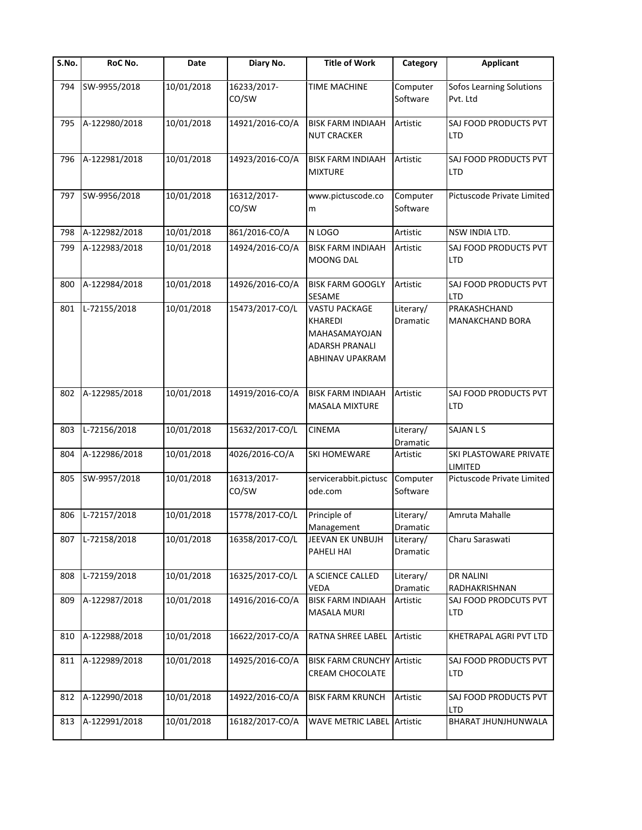| S.No. | RoC No.       | Date       | Diary No.            | <b>Title of Work</b>                                                                         | Category              | <b>Applicant</b>                       |
|-------|---------------|------------|----------------------|----------------------------------------------------------------------------------------------|-----------------------|----------------------------------------|
| 794   | SW-9955/2018  | 10/01/2018 | 16233/2017-<br>CO/SW | <b>TIME MACHINE</b>                                                                          | Computer<br>Software  | Sofos Learning Solutions<br>Pvt. Ltd   |
| 795   | A-122980/2018 | 10/01/2018 | 14921/2016-CO/A      | <b>BISK FARM INDIAAH</b><br><b>NUT CRACKER</b>                                               | Artistic              | SAJ FOOD PRODUCTS PVT<br><b>LTD</b>    |
| 796   | A-122981/2018 | 10/01/2018 | 14923/2016-CO/A      | <b>BISK FARM INDIAAH</b><br><b>MIXTURE</b>                                                   | Artistic              | SAJ FOOD PRODUCTS PVT<br><b>LTD</b>    |
| 797   | SW-9956/2018  | 10/01/2018 | 16312/2017-<br>CO/SW | www.pictuscode.co<br>m                                                                       | Computer<br>Software  | Pictuscode Private Limited             |
| 798   | A-122982/2018 | 10/01/2018 | 861/2016-CO/A        | N LOGO                                                                                       | Artistic              | NSW INDIA LTD.                         |
| 799   | A-122983/2018 | 10/01/2018 | 14924/2016-CO/A      | <b>BISK FARM INDIAAH</b><br><b>MOONG DAL</b>                                                 | Artistic              | SAJ FOOD PRODUCTS PVT<br><b>LTD</b>    |
| 800   | A-122984/2018 | 10/01/2018 | 14926/2016-CO/A      | <b>BISK FARM GOOGLY</b><br>SESAME                                                            | Artistic              | SAJ FOOD PRODUCTS PVT<br><b>LTD</b>    |
| 801   | L-72155/2018  | 10/01/2018 | 15473/2017-CO/L      | <b>VASTU PACKAGE</b><br>KHAREDI<br>MAHASAMAYOJAN<br><b>ADARSH PRANALI</b><br>ABHINAV UPAKRAM | Literary/<br>Dramatic | PRAKASHCHAND<br><b>MANAKCHAND BORA</b> |
| 802   | A-122985/2018 | 10/01/2018 | 14919/2016-CO/A      | <b>BISK FARM INDIAAH</b><br><b>MASALA MIXTURE</b>                                            | Artistic              | SAJ FOOD PRODUCTS PVT<br><b>LTD</b>    |
| 803   | L-72156/2018  | 10/01/2018 | 15632/2017-CO/L      | <b>CINEMA</b>                                                                                | Literary/<br>Dramatic | <b>SAJAN L S</b>                       |
| 804   | A-122986/2018 | 10/01/2018 | 4026/2016-CO/A       | <b>SKI HOMEWARE</b>                                                                          | Artistic              | SKI PLASTOWARE PRIVATE<br>LIMITED      |
| 805   | SW-9957/2018  | 10/01/2018 | 16313/2017-<br>CO/SW | servicerabbit.pictusc<br>ode.com                                                             | Computer<br>Software  | Pictuscode Private Limited             |
| 806   | L-72157/2018  | 10/01/2018 | 15778/2017-CO/L      | Principle of<br>Management                                                                   | Literary/<br>Dramatic | Amruta Mahalle                         |
| 807   | L-72158/2018  | 10/01/2018 | 16358/2017-CO/L      | JEEVAN EK UNBUJH<br>PAHELI HAI                                                               | Literary/<br>Dramatic | Charu Saraswati                        |
| 808   | L-72159/2018  | 10/01/2018 | 16325/2017-CO/L      | A SCIENCE CALLED<br>VEDA                                                                     | Literary/<br>Dramatic | <b>DR NALINI</b><br>RADHAKRISHNAN      |
| 809   | A-122987/2018 | 10/01/2018 | 14916/2016-CO/A      | <b>BISK FARM INDIAAH</b><br><b>MASALA MURI</b>                                               | Artistic              | SAJ FOOD PRODCUTS PVT<br><b>LTD</b>    |
| 810   | A-122988/2018 | 10/01/2018 | 16622/2017-CO/A      | RATNA SHREE LABEL                                                                            | Artistic              | KHETRAPAL AGRI PVT LTD                 |
| 811   | A-122989/2018 | 10/01/2018 | 14925/2016-CO/A      | <b>BISK FARM CRUNCHY Artistic</b><br>CREAM CHOCOLATE                                         |                       | SAJ FOOD PRODUCTS PVT<br><b>LTD</b>    |
| 812   | A-122990/2018 | 10/01/2018 | 14922/2016-CO/A      | <b>BISK FARM KRUNCH</b>                                                                      | Artistic              | SAJ FOOD PRODUCTS PVT<br><b>LTD</b>    |
| 813   | A-122991/2018 | 10/01/2018 | 16182/2017-CO/A      | <b>WAVE METRIC LABEL Artistic</b>                                                            |                       | BHARAT JHUNJHUNWALA                    |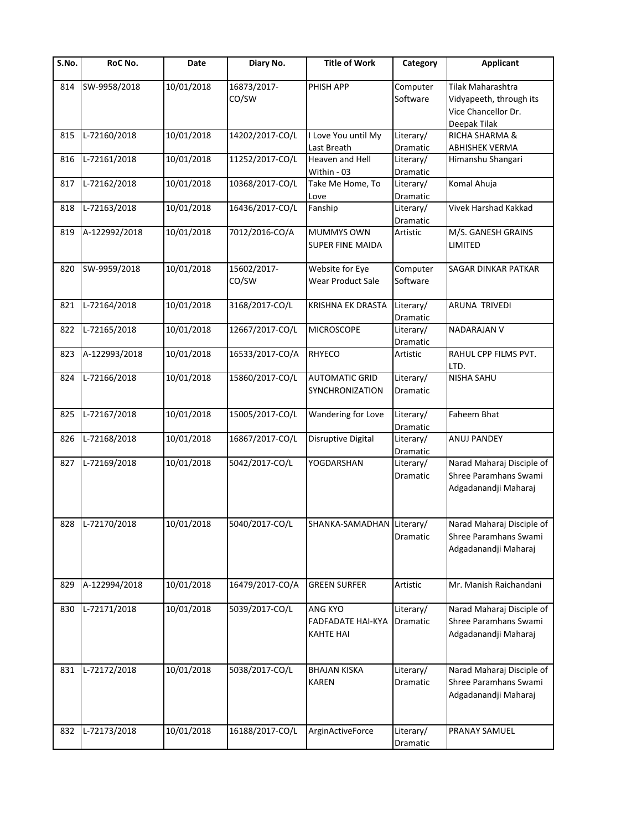| S.No. | RoC No.       | Date       | Diary No.            | <b>Title of Work</b>                                    | Category                     | <b>Applicant</b>                                                                    |
|-------|---------------|------------|----------------------|---------------------------------------------------------|------------------------------|-------------------------------------------------------------------------------------|
| 814   | SW-9958/2018  | 10/01/2018 | 16873/2017-<br>CO/SW | PHISH APP                                               | Computer<br>Software         | Tilak Maharashtra<br>Vidyapeeth, through its<br>Vice Chancellor Dr.<br>Deepak Tilak |
| 815   | L-72160/2018  | 10/01/2018 | 14202/2017-CO/L      | I Love You until My                                     | Literary/                    | RICHA SHARMA &                                                                      |
|       |               |            |                      | Last Breath                                             | Dramatic                     | <b>ABHISHEK VERMA</b>                                                               |
| 816   | L-72161/2018  | 10/01/2018 | 11252/2017-CO/L      | Heaven and Hell<br>Within - 03                          | Literary/<br>Dramatic        | Himanshu Shangari                                                                   |
| 817   | L-72162/2018  | 10/01/2018 | 10368/2017-CO/L      | Take Me Home, To<br>Love                                | Literary/<br>Dramatic        | Komal Ahuja                                                                         |
| 818   | L-72163/2018  | 10/01/2018 | 16436/2017-CO/L      | Fanship                                                 | Literary/<br>Dramatic        | Vivek Harshad Kakkad                                                                |
| 819   | A-122992/2018 | 10/01/2018 | 7012/2016-CO/A       | MUMMYS OWN<br>SUPER FINE MAIDA                          | Artistic                     | M/S. GANESH GRAINS<br>LIMITED                                                       |
| 820   | SW-9959/2018  | 10/01/2018 | 15602/2017-<br>CO/SW | Website for Eye<br>Wear Product Sale                    | Computer<br>Software         | SAGAR DINKAR PATKAR                                                                 |
| 821   | L-72164/2018  | 10/01/2018 | 3168/2017-CO/L       | KRISHNA EK DRASTA                                       | Literary/<br>Dramatic        | ARUNA TRIVEDI                                                                       |
| 822   | L-72165/2018  | 10/01/2018 | 12667/2017-CO/L      | <b>MICROSCOPE</b>                                       | Literary/<br>Dramatic        | NADARAJAN V                                                                         |
| 823   | A-122993/2018 | 10/01/2018 | 16533/2017-CO/A      | <b>RHYECO</b>                                           | Artistic                     | RAHUL CPP FILMS PVT.<br>LTD.                                                        |
| 824   | L-72166/2018  | 10/01/2018 | 15860/2017-CO/L      | <b>AUTOMATIC GRID</b><br>SYNCHRONIZATION                | Literary/<br><b>Dramatic</b> | NISHA SAHU                                                                          |
| 825   | L-72167/2018  | 10/01/2018 | 15005/2017-CO/L      | Wandering for Love                                      | Literary/<br>Dramatic        | Faheem Bhat                                                                         |
| 826   | L-72168/2018  | 10/01/2018 | 16867/2017-CO/L      | Disruptive Digital                                      | Literary/<br>Dramatic        | ANUJ PANDEY                                                                         |
| 827   | L-72169/2018  | 10/01/2018 | 5042/2017-CO/L       | YOGDARSHAN                                              | Literary/<br>Dramatic        | Narad Maharaj Disciple of<br>Shree Paramhans Swami<br>Adgadanandji Maharaj          |
| 828   | L-72170/2018  | 10/01/2018 | 5040/2017-CO/L       | SHANKA-SAMADHAN Literary/                               | Dramatic                     | Narad Maharaj Disciple of<br>Shree Paramhans Swami<br>Adgadanandji Maharaj          |
| 829   | A-122994/2018 | 10/01/2018 | 16479/2017-CO/A      | <b>GREEN SURFER</b>                                     | Artistic                     | Mr. Manish Raichandani                                                              |
| 830   | L-72171/2018  | 10/01/2018 | 5039/2017-CO/L       | ANG KYO<br><b>FADFADATE HAI-KYA</b><br><b>KAHTE HAI</b> | Literary/<br>Dramatic        | Narad Maharaj Disciple of<br>Shree Paramhans Swami<br>Adgadanandji Maharaj          |
| 831   | L-72172/2018  | 10/01/2018 | 5038/2017-CO/L       | <b>BHAJAN KISKA</b><br><b>KAREN</b>                     | Literary/<br>Dramatic        | Narad Maharaj Disciple of<br>Shree Paramhans Swami<br>Adgadanandji Maharaj          |
| 832   | L-72173/2018  | 10/01/2018 | 16188/2017-CO/L      | ArginActiveForce                                        | Literary/<br>Dramatic        | PRANAY SAMUEL                                                                       |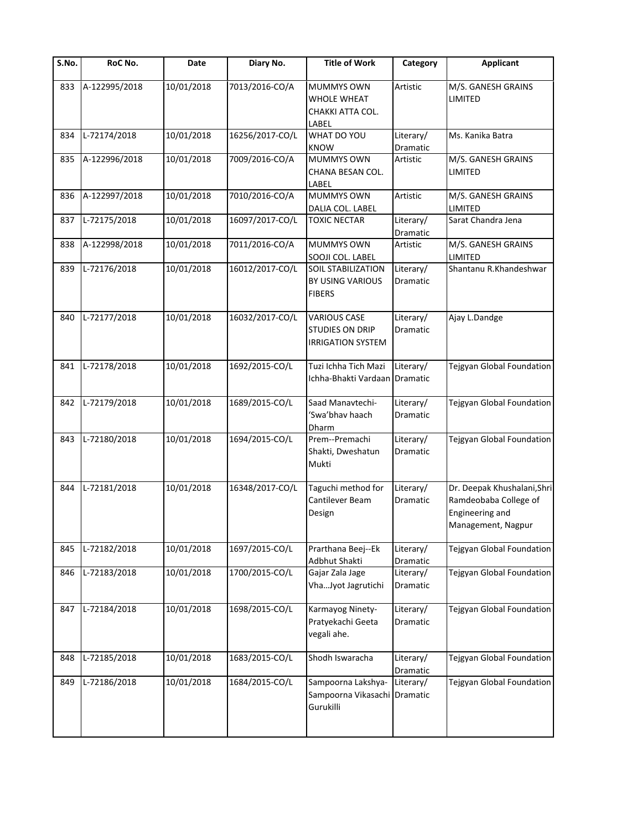| S.No. | RoC No.       | Date       | Diary No.       | <b>Title of Work</b>                                               | Category                     | Applicant                                                                                     |
|-------|---------------|------------|-----------------|--------------------------------------------------------------------|------------------------------|-----------------------------------------------------------------------------------------------|
| 833   | A-122995/2018 | 10/01/2018 | 7013/2016-CO/A  | MUMMYS OWN<br>WHOLE WHEAT<br>CHAKKI ATTA COL.<br>LABEL             | Artistic                     | M/S. GANESH GRAINS<br>LIMITED                                                                 |
| 834   | L-72174/2018  | 10/01/2018 | 16256/2017-CO/L | WHAT DO YOU<br><b>KNOW</b>                                         | Literary/<br>Dramatic        | Ms. Kanika Batra                                                                              |
| 835   | A-122996/2018 | 10/01/2018 | 7009/2016-CO/A  | <b>MUMMYS OWN</b><br>CHANA BESAN COL.<br>LABEL                     | Artistic                     | M/S. GANESH GRAINS<br>LIMITED                                                                 |
| 836   | A-122997/2018 | 10/01/2018 | 7010/2016-CO/A  | <b>MUMMYS OWN</b><br>DALIA COL. LABEL                              | Artistic                     | M/S. GANESH GRAINS<br>LIMITED                                                                 |
| 837   | L-72175/2018  | 10/01/2018 | 16097/2017-CO/L | <b>TOXIC NECTAR</b>                                                | Literary/<br>Dramatic        | Sarat Chandra Jena                                                                            |
| 838   | A-122998/2018 | 10/01/2018 | 7011/2016-CO/A  | MUMMYS OWN<br>SOOJI COL. LABEL                                     | Artistic                     | M/S. GANESH GRAINS<br>LIMITED                                                                 |
| 839   | L-72176/2018  | 10/01/2018 | 16012/2017-CO/L | <b>SOIL STABILIZATION</b><br>BY USING VARIOUS<br><b>FIBERS</b>     | Literary/<br>Dramatic        | Shantanu R.Khandeshwar                                                                        |
| 840   | L-72177/2018  | 10/01/2018 | 16032/2017-CO/L | <b>VARIOUS CASE</b><br>STUDIES ON DRIP<br><b>IRRIGATION SYSTEM</b> | Literary/<br><b>Dramatic</b> | Ajay L.Dandge                                                                                 |
| 841   | L-72178/2018  | 10/01/2018 | 1692/2015-CO/L  | Tuzi Ichha Tich Mazi<br>Ichha-Bhakti Vardaan                       | Literary/<br><b>Dramatic</b> | Tejgyan Global Foundation                                                                     |
| 842   | L-72179/2018  | 10/01/2018 | 1689/2015-CO/L  | Saad Manavtechi-<br>'Swa'bhav haach<br>Dharm                       | Literary/<br>Dramatic        | Tejgyan Global Foundation                                                                     |
| 843   | L-72180/2018  | 10/01/2018 | 1694/2015-CO/L  | Prem--Premachi<br>Shakti, Dweshatun<br>Mukti                       | Literary/<br>Dramatic        | Tejgyan Global Foundation                                                                     |
| 844   | L-72181/2018  | 10/01/2018 | 16348/2017-CO/L | Taguchi method for<br>Cantilever Beam<br>Design                    | Literary/<br>Dramatic        | Dr. Deepak Khushalani, Shri<br>Ramdeobaba College of<br>Engineering and<br>Management, Nagpur |
| 845   | L-72182/2018  | 10/01/2018 | 1697/2015-CO/L  | Prarthana Beej--Ek<br>Adbhut Shakti                                | Literary/<br>Dramatic        | Tejgyan Global Foundation                                                                     |
| 846   | L-72183/2018  | 10/01/2018 | 1700/2015-CO/L  | Gajar Zala Jage<br>VhaJyot Jagrutichi                              | Literary/<br>Dramatic        | Tejgyan Global Foundation                                                                     |
| 847   | L-72184/2018  | 10/01/2018 | 1698/2015-CO/L  | Karmayog Ninety-<br>Pratyekachi Geeta<br>vegali ahe.               | Literary/<br>Dramatic        | Tejgyan Global Foundation                                                                     |
| 848   | L-72185/2018  | 10/01/2018 | 1683/2015-CO/L  | Shodh Iswaracha                                                    | Literary/<br>Dramatic        | <b>Tejgyan Global Foundation</b>                                                              |
| 849   | L-72186/2018  | 10/01/2018 | 1684/2015-CO/L  | Sampoorna Lakshya-<br>Sampoorna Vikasachi<br>Gurukilli             | Literary/<br>Dramatic        | Tejgyan Global Foundation                                                                     |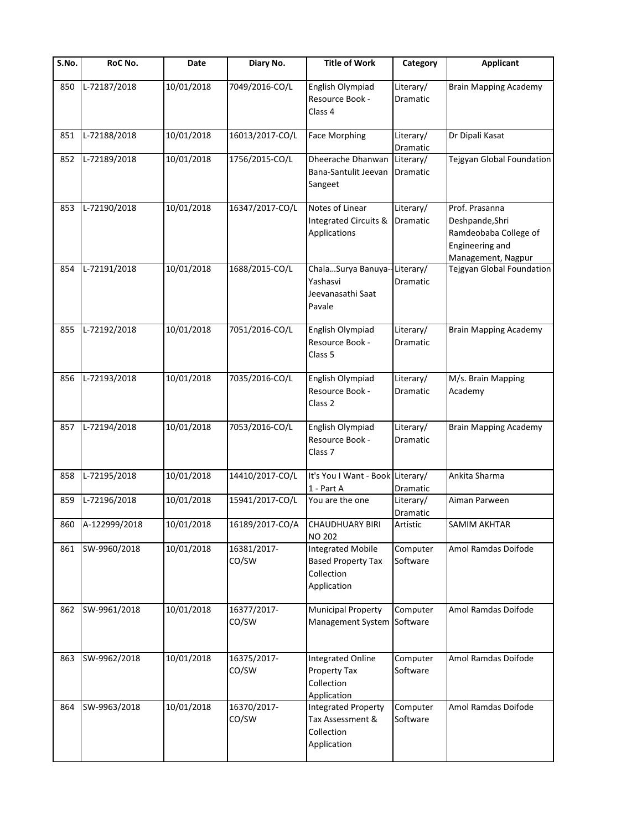| S.No. | RoC No.           | Date       | Diary No.            | <b>Title of Work</b>                                                               | Category                     | <b>Applicant</b>                                                                                    |
|-------|-------------------|------------|----------------------|------------------------------------------------------------------------------------|------------------------------|-----------------------------------------------------------------------------------------------------|
| 850   | L-72187/2018      | 10/01/2018 | 7049/2016-CO/L       | English Olympiad<br>Resource Book -<br>Class 4                                     | Literary/<br>Dramatic        | <b>Brain Mapping Academy</b>                                                                        |
| 851   | L-72188/2018      | 10/01/2018 | 16013/2017-CO/L      | <b>Face Morphing</b>                                                               | Literary/<br>Dramatic        | Dr Dipali Kasat                                                                                     |
| 852   | L-72189/2018      | 10/01/2018 | 1756/2015-CO/L       | Dheerache Dhanwan<br>Bana-Santulit Jeevan<br>Sangeet                               | Literary/<br>Dramatic        | Tejgyan Global Foundation                                                                           |
| 853   | L-72190/2018      | 10/01/2018 | 16347/2017-CO/L      | Notes of Linear<br>Integrated Circuits &<br>Applications                           | Literary/<br>Dramatic        | Prof. Prasanna<br>Deshpande, Shri<br>Ramdeobaba College of<br>Engineering and<br>Management, Nagpur |
| 854   | L-72191/2018      | 10/01/2018 | 1688/2015-CO/L       | ChalaSurya Banuya--Literary/<br>Yashasvi<br>Jeevanasathi Saat<br>Pavale            | Dramatic                     | Tejgyan Global Foundation                                                                           |
| 855   | L-72192/2018      | 10/01/2018 | 7051/2016-CO/L       | English Olympiad<br>Resource Book -<br>Class 5                                     | Literary/<br><b>Dramatic</b> | <b>Brain Mapping Academy</b>                                                                        |
| 856   | L-72193/2018      | 10/01/2018 | 7035/2016-CO/L       | English Olympiad<br>Resource Book -<br>Class <sub>2</sub>                          | Literary/<br>Dramatic        | M/s. Brain Mapping<br>Academy                                                                       |
| 857   | L-72194/2018      | 10/01/2018 | 7053/2016-CO/L       | English Olympiad<br>Resource Book -<br>Class <sub>7</sub>                          | Literary/<br>Dramatic        | <b>Brain Mapping Academy</b>                                                                        |
| 858   | L-72195/2018      | 10/01/2018 | 14410/2017-CO/L      | It's You I Want - Book Literary/<br>1 - Part A                                     | Dramatic                     | Ankita Sharma                                                                                       |
| 859   | L-72196/2018      | 10/01/2018 | 15941/2017-CO/L      | You are the one                                                                    | Literary/<br>Dramatic        | Aiman Parween                                                                                       |
|       | 860 A-122999/2018 | 10/01/2018 | 16189/2017-CO/A      | <b>CHAUDHUARY BIRI</b><br><b>NO 202</b>                                            | Artistic                     | SAMIM AKHTAR                                                                                        |
| 861   | SW-9960/2018      | 10/01/2018 | 16381/2017-<br>CO/SW | <b>Integrated Mobile</b><br><b>Based Property Tax</b><br>Collection<br>Application | Computer<br>Software         | Amol Ramdas Doifode                                                                                 |
| 862   | SW-9961/2018      | 10/01/2018 | 16377/2017-<br>CO/SW | Municipal Property<br>Management System Software                                   | Computer                     | Amol Ramdas Doifode                                                                                 |
| 863   | SW-9962/2018      | 10/01/2018 | 16375/2017-<br>CO/SW | <b>Integrated Online</b><br>Property Tax<br>Collection<br>Application              | Computer<br>Software         | Amol Ramdas Doifode                                                                                 |
| 864   | SW-9963/2018      | 10/01/2018 | 16370/2017-<br>CO/SW | <b>Integrated Property</b><br>Tax Assessment &<br>Collection<br>Application        | Computer<br>Software         | Amol Ramdas Doifode                                                                                 |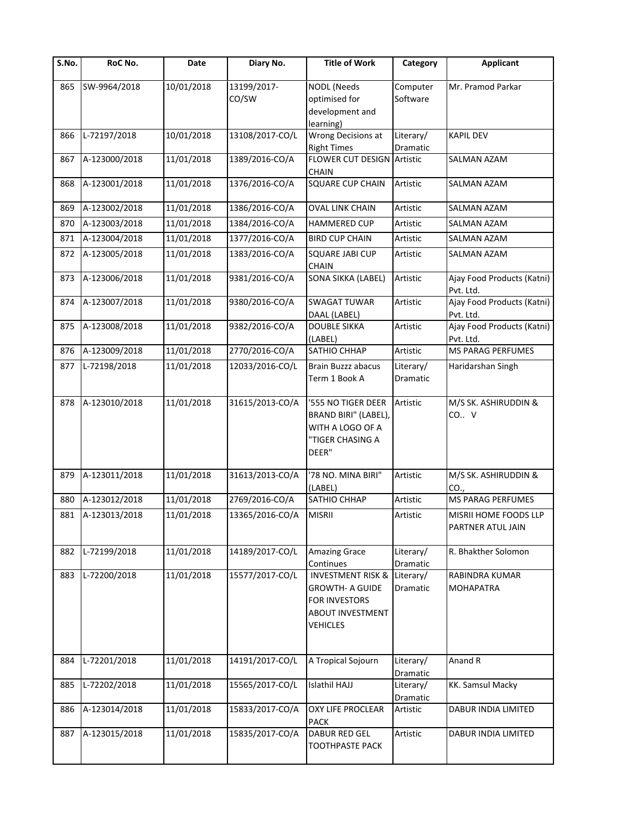| S.No. | RoC No.       | Date       | Diary No.            | <b>Title of Work</b>                                                                                                  | Category              | <b>Applicant</b>                                  |
|-------|---------------|------------|----------------------|-----------------------------------------------------------------------------------------------------------------------|-----------------------|---------------------------------------------------|
| 865   | SW-9964/2018  | 10/01/2018 | 13199/2017-<br>CO/SW | <b>NODL</b> (Needs<br>optimised for<br>development and<br>learning)                                                   | Computer<br>Software  | Mr. Pramod Parkar                                 |
| 866   | L-72197/2018  | 10/01/2018 | 13108/2017-CO/L      | Wrong Decisions at<br><b>Right Times</b>                                                                              | Literary/<br>Dramatic | <b>KAPIL DEV</b>                                  |
| 867   | A-123000/2018 | 11/01/2018 | 1389/2016-CO/A       | <b>FLOWER CUT DESIGN</b><br><b>CHAIN</b>                                                                              | Artistic              | SALMAN AZAM                                       |
| 868   | A-123001/2018 | 11/01/2018 | 1376/2016-CO/A       | <b>SQUARE CUP CHAIN</b>                                                                                               | Artistic              | SALMAN AZAM                                       |
| 869   | A-123002/2018 | 11/01/2018 | 1386/2016-CO/A       | <b>OVAL LINK CHAIN</b>                                                                                                | Artistic              | SALMAN AZAM                                       |
| 870   | A-123003/2018 | 11/01/2018 | 1384/2016-CO/A       | <b>HAMMERED CUP</b>                                                                                                   | Artistic              | SALMAN AZAM                                       |
| 871   | A-123004/2018 | 11/01/2018 | 1377/2016-CO/A       | <b>BIRD CUP CHAIN</b>                                                                                                 | Artistic              | SALMAN AZAM                                       |
| 872   | A-123005/2018 | 11/01/2018 | 1383/2016-CO/A       | SQUARE JABI CUP<br><b>CHAIN</b>                                                                                       | Artistic              | <b>SALMAN AZAM</b>                                |
| 873   | A-123006/2018 | 11/01/2018 | 9381/2016-CO/A       | SONA SIKKA (LABEL)                                                                                                    | Artistic              | Ajay Food Products (Katni)<br>Pvt. Ltd.           |
| 874   | A-123007/2018 | 11/01/2018 | 9380/2016-CO/A       | <b>SWAGAT TUWAR</b><br>DAAL (LABEL)                                                                                   | Artistic              | Ajay Food Products (Katni)<br>Pvt. Ltd.           |
| 875   | A-123008/2018 | 11/01/2018 | 9382/2016-CO/A       | <b>DOUBLE SIKKA</b><br>(LABEL)                                                                                        | Artistic              | Ajay Food Products (Katni)<br>Pvt. Ltd.           |
| 876   | A-123009/2018 | 11/01/2018 | 2770/2016-CO/A       | SATHIO CHHAP                                                                                                          | Artistic              | MS PARAG PERFUMES                                 |
| 877   | L-72198/2018  | 11/01/2018 | 12033/2016-CO/L      | Brain Buzzz abacus<br>Term 1 Book A                                                                                   | Literary/<br>Dramatic | Haridarshan Singh                                 |
| 878   | A-123010/2018 | 11/01/2018 | 31615/2013-CO/A      | '555 NO TIGER DEER<br>BRAND BIRI" (LABEL),<br>WITH A LOGO OF A<br>"TIGER CHASING A<br>DEER"                           | Artistic              | M/S SK. ASHIRUDDIN &<br>CO., V                    |
| 879   | A-123011/2018 | 11/01/2018 | 31613/2013-CO/A      | '78 NO. MINA BIRI"<br>(LABEL)                                                                                         | Artistic              | M/S SK. ASHIRUDDIN &<br>CO.,                      |
| 880   | A-123012/2018 | 11/01/2018 | 2769/2016-CO/A       | SATHIO CHHAP                                                                                                          | Artistic              | MS PARAG PERFUMES                                 |
| 881   | A-123013/2018 | 11/01/2018 | 13365/2016-CO/A      | <b>MISRII</b>                                                                                                         | Artistic              | <b>MISRII HOME FOODS LLP</b><br>PARTNER ATUL JAIN |
| 882   | L-72199/2018  | 11/01/2018 | 14189/2017-CO/L      | Amazing Grace<br>Continues                                                                                            | Literary/<br>Dramatic | R. Bhakther Solomon                               |
| 883   | L-72200/2018  | 11/01/2018 | 15577/2017-CO/L      | <b>INVESTMENT RISK &amp;</b><br><b>GROWTH- A GUIDE</b><br>FOR INVESTORS<br><b>ABOUT INVESTMENT</b><br><b>VEHICLES</b> | Literary/<br>Dramatic | RABINDRA KUMAR<br><b>MOHAPATRA</b>                |
| 884   | L-72201/2018  | 11/01/2018 | 14191/2017-CO/L      | A Tropical Sojourn                                                                                                    | Literary/<br>Dramatic | Anand R                                           |
| 885   | L-72202/2018  | 11/01/2018 | 15565/2017-CO/L      | Islathil HAJJ                                                                                                         | Literary/<br>Dramatic | KK. Samsul Macky                                  |
| 886   | A-123014/2018 | 11/01/2018 | 15833/2017-CO/A      | <b>OXY LIFE PROCLEAR</b><br><b>PACK</b>                                                                               | Artistic              | DABUR INDIA LIMITED                               |
| 887   | A-123015/2018 | 11/01/2018 | 15835/2017-CO/A      | <b>DABUR RED GEL</b><br><b>TOOTHPASTE PACK</b>                                                                        | Artistic              | DABUR INDIA LIMITED                               |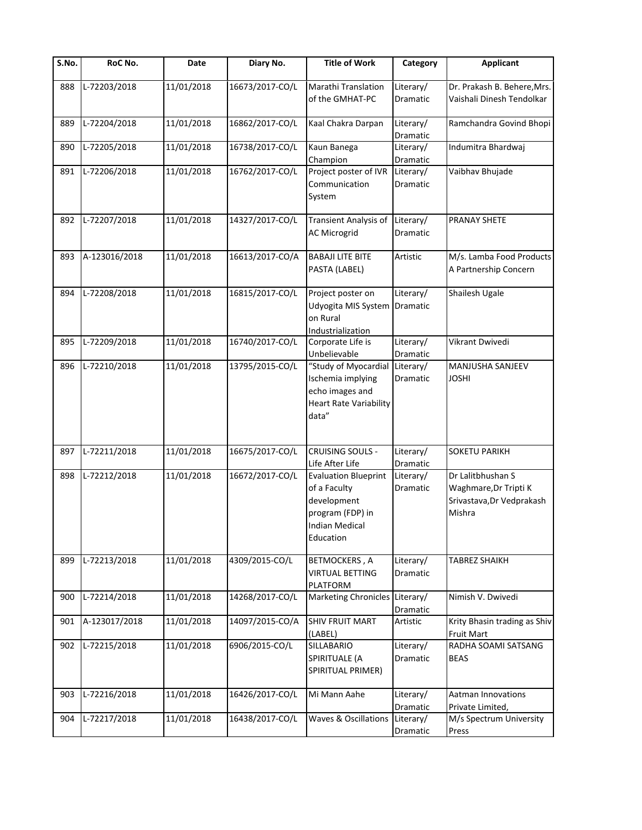| $\overline{\mathsf{S}}$ . No. | RoC No.       | Date       | Diary No.       | <b>Title of Work</b>                                                                                                 | Category              | <b>Applicant</b>                                                                  |
|-------------------------------|---------------|------------|-----------------|----------------------------------------------------------------------------------------------------------------------|-----------------------|-----------------------------------------------------------------------------------|
| 888                           | L-72203/2018  | 11/01/2018 | 16673/2017-CO/L | Marathi Translation<br>of the GMHAT-PC                                                                               | Literary/<br>Dramatic | Dr. Prakash B. Behere, Mrs.<br>Vaishali Dinesh Tendolkar                          |
| 889                           | L-72204/2018  | 11/01/2018 | 16862/2017-CO/L | Kaal Chakra Darpan                                                                                                   | Literary/<br>Dramatic | Ramchandra Govind Bhopi                                                           |
| 890                           | L-72205/2018  | 11/01/2018 | 16738/2017-CO/L | Kaun Banega<br>Champion                                                                                              | Literary/<br>Dramatic | Indumitra Bhardwaj                                                                |
| 891                           | L-72206/2018  | 11/01/2018 | 16762/2017-CO/L | Project poster of IVR<br>Communication<br>System                                                                     | Literary/<br>Dramatic | Vaibhav Bhujade                                                                   |
| 892                           | L-72207/2018  | 11/01/2018 | 14327/2017-CO/L | Transient Analysis of<br><b>AC Microgrid</b>                                                                         | Literary/<br>Dramatic | PRANAY SHETE                                                                      |
| 893                           | A-123016/2018 | 11/01/2018 | 16613/2017-CO/A | <b>BABAJI LITE BITE</b><br>PASTA (LABEL)                                                                             | Artistic              | M/s. Lamba Food Products<br>A Partnership Concern                                 |
| 894                           | L-72208/2018  | 11/01/2018 | 16815/2017-CO/L | Project poster on<br>Udyogita MIS System<br>on Rural<br>Industrialization                                            | Literary/<br>Dramatic | Shailesh Ugale                                                                    |
| 895                           | L-72209/2018  | 11/01/2018 | 16740/2017-CO/L | Corporate Life is<br>Unbelievable                                                                                    | Literary/<br>Dramatic | Vikrant Dwivedi                                                                   |
| 896                           | L-72210/2018  | 11/01/2018 | 13795/2015-CO/L | "Study of Myocardial<br>Ischemia implying<br>echo images and<br><b>Heart Rate Variability</b><br>data"               | Literary/<br>Dramatic | MANJUSHA SANJEEV<br><b>JOSHI</b>                                                  |
| 897                           | L-72211/2018  | 11/01/2018 | 16675/2017-CO/L | <b>CRUISING SOULS -</b><br>Life After Life                                                                           | Literary/<br>Dramatic | <b>SOKETU PARIKH</b>                                                              |
| 898                           | L-72212/2018  | 11/01/2018 | 16672/2017-CO/L | <b>Evaluation Blueprint</b><br>of a Faculty<br>development<br>program (FDP) in<br><b>Indian Medical</b><br>Education | Literary/<br>Dramatic | Dr Lalitbhushan S<br>Waghmare, Dr Tripti K<br>Srivastava, Dr Vedprakash<br>Mishra |
| 899                           | L-72213/2018  | 11/01/2018 | 4309/2015-CO/L  | <b>BETMOCKERS, A</b><br><b>VIRTUAL BETTING</b><br>PLATFORM                                                           | Literary/<br>Dramatic | TABREZ SHAIKH                                                                     |
| 900                           | L-72214/2018  | 11/01/2018 | 14268/2017-CO/L | <b>Marketing Chronicles</b>                                                                                          | Literary/<br>Dramatic | Nimish V. Dwivedi                                                                 |
| 901                           | A-123017/2018 | 11/01/2018 | 14097/2015-CO/A | <b>SHIV FRUIT MART</b><br>(LABEL)                                                                                    | Artistic              | Krity Bhasin trading as Shiv<br>Fruit Mart                                        |
| 902                           | L-72215/2018  | 11/01/2018 | 6906/2015-CO/L  | SILLABARIO<br>SPIRITUALE (A<br>SPIRITUAL PRIMER)                                                                     | Literary/<br>Dramatic | RADHA SOAMI SATSANG<br><b>BEAS</b>                                                |
| 903                           | L-72216/2018  | 11/01/2018 | 16426/2017-CO/L | Mi Mann Aahe                                                                                                         | Literary/<br>Dramatic | <b>Aatman Innovations</b><br>Private Limited,                                     |
| 904                           | L-72217/2018  | 11/01/2018 | 16438/2017-CO/L | Waves & Oscillations                                                                                                 | Literary/<br>Dramatic | M/s Spectrum University<br>Press                                                  |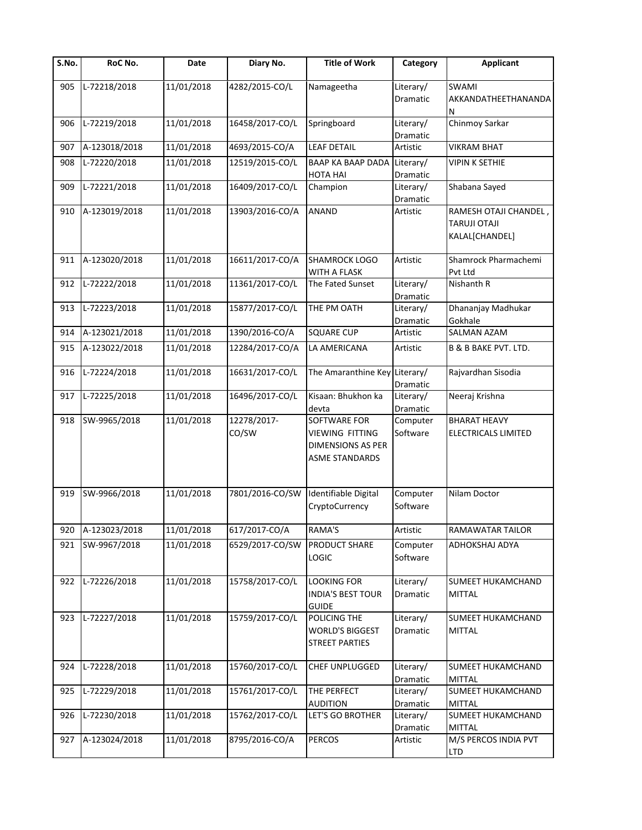| $\overline{\mathsf{S}}$ . No. | RoC No.       | Date       | Diary No.            | <b>Title of Work</b>                                                                        | Category              | <b>Applicant</b>                                              |
|-------------------------------|---------------|------------|----------------------|---------------------------------------------------------------------------------------------|-----------------------|---------------------------------------------------------------|
| 905                           | L-72218/2018  | 11/01/2018 | 4282/2015-CO/L       | Namageetha                                                                                  | Literary/<br>Dramatic | <b>SWAMI</b><br>AKKANDATHEETHANANDA<br>N                      |
| 906                           | L-72219/2018  | 11/01/2018 | 16458/2017-CO/L      | Springboard                                                                                 | Literary/<br>Dramatic | Chinmoy Sarkar                                                |
| 907                           | A-123018/2018 | 11/01/2018 | 4693/2015-CO/A       | <b>LEAF DETAIL</b>                                                                          | Artistic              | <b>VIKRAM BHAT</b>                                            |
| 908                           | L-72220/2018  | 11/01/2018 | 12519/2015-CO/L      | BAAP KA BAAP DADA Literary/<br>HOTA HAI                                                     | Dramatic              | <b>VIPIN K SETHIE</b>                                         |
| 909                           | L-72221/2018  | 11/01/2018 | 16409/2017-CO/L      | Champion                                                                                    | Literary/<br>Dramatic | Shabana Sayed                                                 |
| 910                           | A-123019/2018 | 11/01/2018 | 13903/2016-CO/A      | ANAND                                                                                       | Artistic              | RAMESH OTAJI CHANDEL<br><b>TARUJI OTAJI</b><br>KALAL[CHANDEL] |
| 911                           | A-123020/2018 | 11/01/2018 | 16611/2017-CO/A      | <b>SHAMROCK LOGO</b><br>WITH A FLASK                                                        | Artistic              | Shamrock Pharmachemi<br>Pvt Ltd                               |
| 912                           | L-72222/2018  | 11/01/2018 | 11361/2017-CO/L      | The Fated Sunset                                                                            | Literary/<br>Dramatic | Nishanth R                                                    |
| 913                           | L-72223/2018  | 11/01/2018 | 15877/2017-CO/L      | THE PM OATH                                                                                 | Literary/<br>Dramatic | Dhananjay Madhukar<br>Gokhale                                 |
| 914                           | A-123021/2018 | 11/01/2018 | 1390/2016-CO/A       | <b>SQUARE CUP</b>                                                                           | Artistic              | SALMAN AZAM                                                   |
| 915                           | A-123022/2018 | 11/01/2018 | 12284/2017-CO/A      | LA AMERICANA                                                                                | Artistic              | B & B BAKE PVT. LTD.                                          |
| 916                           | L-72224/2018  | 11/01/2018 | 16631/2017-CO/L      | The Amaranthine Key Literary/                                                               | Dramatic              | Rajvardhan Sisodia                                            |
| 917                           | L-72225/2018  | 11/01/2018 | 16496/2017-CO/L      | Kisaan: Bhukhon ka<br>devta                                                                 | Literary/<br>Dramatic | Neeraj Krishna                                                |
| 918                           | SW-9965/2018  | 11/01/2018 | 12278/2017-<br>CO/SW | SOFTWARE FOR<br><b>VIEWING FITTING</b><br><b>DIMENSIONS AS PER</b><br><b>ASME STANDARDS</b> | Computer<br>Software  | <b>BHARAT HEAVY</b><br>ELECTRICALS LIMITED                    |
| 919                           | SW-9966/2018  | 11/01/2018 | 7801/2016-CO/SW      | Identifiable Digital<br>CryptoCurrency                                                      | Computer<br>Software  | Nilam Doctor                                                  |
| 920                           | A-123023/2018 | 11/01/2018 | 617/2017-CO/A        | RAMA'S                                                                                      | Artistic              | <b>RAMAWATAR TAILOR</b>                                       |
| 921                           | SW-9967/2018  | 11/01/2018 | 6529/2017-CO/SW      | PRODUCT SHARE<br><b>LOGIC</b>                                                               | Computer<br>Software  | ADHOKSHAJ ADYA                                                |
| 922                           | L-72226/2018  | 11/01/2018 | 15758/2017-CO/L      | <b>LOOKING FOR</b><br><b>INDIA'S BEST TOUR</b><br><b>GUIDE</b>                              | Literary/<br>Dramatic | SUMEET HUKAMCHAND<br><b>MITTAL</b>                            |
| 923                           | L-72227/2018  | 11/01/2018 | 15759/2017-CO/L      | POLICING THE<br><b>WORLD'S BIGGEST</b><br>STREET PARTIES                                    | Literary/<br>Dramatic | SUMEET HUKAMCHAND<br><b>MITTAL</b>                            |
| 924                           | L-72228/2018  | 11/01/2018 | 15760/2017-CO/L      | CHEF UNPLUGGED                                                                              | Literary/<br>Dramatic | SUMEET HUKAMCHAND<br><b>MITTAL</b>                            |
| 925                           | L-72229/2018  | 11/01/2018 | 15761/2017-CO/L      | THE PERFECT<br><b>AUDITION</b>                                                              | Literary/<br>Dramatic | SUMEET HUKAMCHAND<br><b>MITTAL</b>                            |
| 926                           | L-72230/2018  | 11/01/2018 | 15762/2017-CO/L      | LET'S GO BROTHER                                                                            | Literary/<br>Dramatic | SUMEET HUKAMCHAND<br><b>MITTAL</b>                            |
| 927                           | A-123024/2018 | 11/01/2018 | 8795/2016-CO/A       | <b>PERCOS</b>                                                                               | Artistic              | M/S PERCOS INDIA PVT<br><b>LTD</b>                            |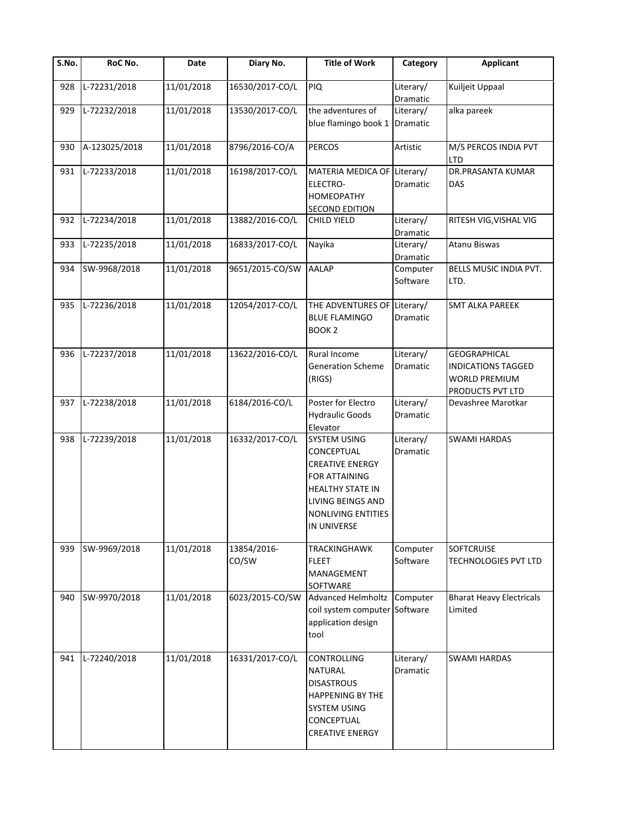| S.No. | RoC No.       | Date       | Diary No.            | <b>Title of Work</b>                                                                                                                                              | Category              | <b>Applicant</b>                                                                             |
|-------|---------------|------------|----------------------|-------------------------------------------------------------------------------------------------------------------------------------------------------------------|-----------------------|----------------------------------------------------------------------------------------------|
| 928   | L-72231/2018  | 11/01/2018 | 16530/2017-CO/L      | <b>PIQ</b>                                                                                                                                                        | Literary/<br>Dramatic | Kuiljeit Uppaal                                                                              |
| 929   | L-72232/2018  | 11/01/2018 | 13530/2017-CO/L      | the adventures of<br>blue flamingo book 1                                                                                                                         | Literary/<br>Dramatic | alka pareek                                                                                  |
| 930   | A-123025/2018 | 11/01/2018 | 8796/2016-CO/A       | <b>PERCOS</b>                                                                                                                                                     | Artistic              | M/S PERCOS INDIA PVT<br><b>LTD</b>                                                           |
| 931   | L-72233/2018  | 11/01/2018 | 16198/2017-CO/L      | MATERIA MEDICA OF Literary/<br>ELECTRO-<br><b>HOMEOPATHY</b><br><b>SECOND EDITION</b>                                                                             | Dramatic              | DR.PRASANTA KUMAR<br><b>DAS</b>                                                              |
| 932   | L-72234/2018  | 11/01/2018 | 13882/2016-CO/L      | <b>CHILD YIELD</b>                                                                                                                                                | Literary/<br>Dramatic | RITESH VIG, VISHAL VIG                                                                       |
| 933   | L-72235/2018  | 11/01/2018 | 16833/2017-CO/L      | Nayika                                                                                                                                                            | Literary/<br>Dramatic | Atanu Biswas                                                                                 |
| 934   | SW-9968/2018  | 11/01/2018 | 9651/2015-CO/SW      | <b>AALAP</b>                                                                                                                                                      | Computer<br>Software  | BELLS MUSIC INDIA PVT.<br>LTD.                                                               |
| 935   | L-72236/2018  | 11/01/2018 | 12054/2017-CO/L      | THE ADVENTURES OF Literary/<br><b>BLUE FLAMINGO</b><br>BOOK <sub>2</sub>                                                                                          | Dramatic              | <b>SMT ALKA PAREEK</b>                                                                       |
| 936   | L-72237/2018  | 11/01/2018 | 13622/2016-CO/L      | Rural Income<br><b>Generation Scheme</b><br>(RIGS)                                                                                                                | Literary/<br>Dramatic | <b>GEOGRAPHICAL</b><br><b>INDICATIONS TAGGED</b><br><b>WORLD PREMIUM</b><br>PRODUCTS PVT LTD |
| 937   | L-72238/2018  | 11/01/2018 | 6184/2016-CO/L       | Poster for Electro<br><b>Hydraulic Goods</b><br>Elevator                                                                                                          | Literary/<br>Dramatic | Devashree Marotkar                                                                           |
| 938   | L-72239/2018  | 11/01/2018 | 16332/2017-CO/L      | <b>SYSTEM USING</b><br>CONCEPTUAL<br><b>CREATIVE ENERGY</b><br>FOR ATTAINING<br>HEALTHY STATE IN<br><b>LIVING BEINGS AND</b><br>NONLIVING ENTITIES<br>IN UNIVERSE | Literary/<br>Dramatic | <b>SWAMI HARDAS</b>                                                                          |
| 939   | SW-9969/2018  | 11/01/2018 | 13854/2016-<br>CO/SW | TRACKINGHAWK<br><b>FLEET</b><br>MANAGEMENT<br>SOFTWARE                                                                                                            | Computer<br>Software  | SOFTCRUISE<br>TECHNOLOGIES PVT LTD                                                           |
| 940   | SW-9970/2018  | 11/01/2018 | 6023/2015-CO/SW      | <b>Advanced Helmholtz</b><br>coil system computer Software<br>application design<br>tool                                                                          | Computer              | <b>Bharat Heavy Electricals</b><br>Limited                                                   |
| 941   | L-72240/2018  | 11/01/2018 | 16331/2017-CO/L      | CONTROLLING<br><b>NATURAL</b><br><b>DISASTROUS</b><br><b>HAPPENING BY THE</b><br><b>SYSTEM USING</b><br>CONCEPTUAL<br><b>CREATIVE ENERGY</b>                      | Literary/<br>Dramatic | <b>SWAMI HARDAS</b>                                                                          |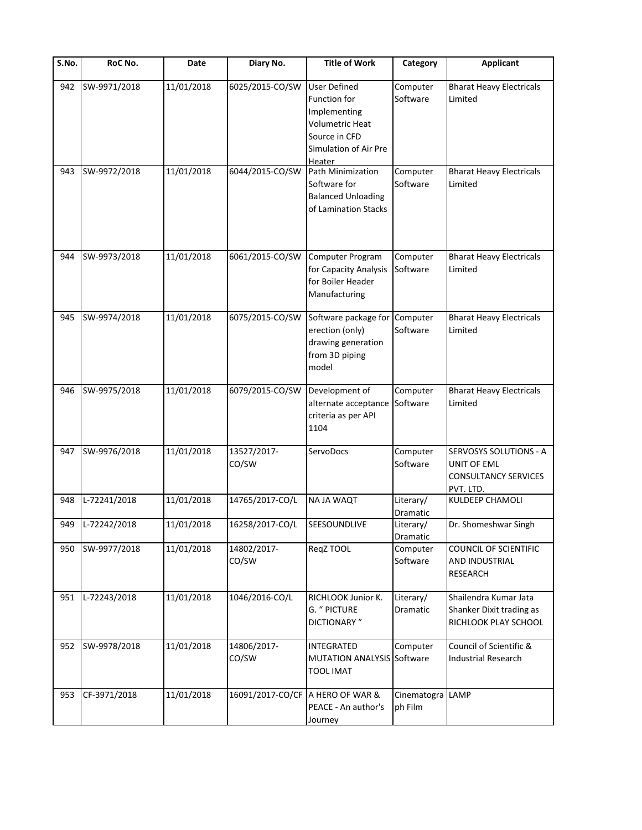| S.No. | RoC No.          | Date       | Diary No.                        | <b>Title of Work</b>                                                                                                       | Category               | <b>Applicant</b>                                                                  |
|-------|------------------|------------|----------------------------------|----------------------------------------------------------------------------------------------------------------------------|------------------------|-----------------------------------------------------------------------------------|
| 942   | SW-9971/2018     | 11/01/2018 | 6025/2015-CO/SW                  | <b>User Defined</b><br>Function for<br>Implementing<br>Volumetric Heat<br>Source in CFD<br>Simulation of Air Pre<br>Heater | Computer<br>Software   | <b>Bharat Heavy Electricals</b><br>Limited                                        |
| 943   | SW-9972/2018     | 11/01/2018 | 6044/2015-CO/SW                  | Path Minimization<br>Software for<br><b>Balanced Unloading</b><br>of Lamination Stacks                                     | Computer<br>Software   | <b>Bharat Heavy Electricals</b><br>Limited                                        |
| 944   | SW-9973/2018     | 11/01/2018 | 6061/2015-CO/SW                  | Computer Program<br>for Capacity Analysis<br>for Boiler Header<br>Manufacturing                                            | Computer<br>Software   | <b>Bharat Heavy Electricals</b><br>Limited                                        |
| 945   | SW-9974/2018     | 11/01/2018 | 6075/2015-CO/SW                  | Software package for Computer<br>erection (only)<br>drawing generation<br>from 3D piping<br>model                          | Software               | <b>Bharat Heavy Electricals</b><br>Limited                                        |
| 946   | SW-9975/2018     | 11/01/2018 | 6079/2015-CO/SW                  | Development of<br>alternate acceptance<br>criteria as per API<br>1104                                                      | Computer<br>Software   | <b>Bharat Heavy Electricals</b><br>Limited                                        |
| 947   | SW-9976/2018     | 11/01/2018 | 13527/2017-<br>CO/SW             | ServoDocs                                                                                                                  | Computer<br>Software   | SERVOSYS SOLUTIONS - A<br>UNIT OF EML<br><b>CONSULTANCY SERVICES</b><br>PVT. LTD. |
| 948   | L-72241/2018     | 11/01/2018 | 14765/2017-CO/L                  | <b>NAJA WAQT</b>                                                                                                           | Literary/<br>Dramatic  | KULDEEP CHAMOLI                                                                   |
|       | 949 L-72242/2018 | 11/01/2018 | 16258/2017-CO/L                  | SEESOUNDLIVE                                                                                                               | Literary/<br>Dramatic  | Dr. Shomeshwar Singh                                                              |
| 950   | SW-9977/2018     | 11/01/2018 | 14802/2017-<br>CO/SW             | ReqZ TOOL                                                                                                                  | Computer<br>Software   | COUNCIL OF SCIENTIFIC<br>AND INDUSTRIAL<br>RESEARCH                               |
| 951   | L-72243/2018     | 11/01/2018 | 1046/2016-CO/L                   | RICHLOOK Junior K.<br>G. " PICTURE<br><b>DICTIONARY</b> "                                                                  | Literary/<br>Dramatic  | Shailendra Kumar Jata<br>Shanker Dixit trading as<br>RICHLOOK PLAY SCHOOL         |
| 952   | SW-9978/2018     | 11/01/2018 | 14806/2017-<br>CO/SW             | INTEGRATED<br><b>MUTATION ANALYSIS Software</b><br><b>TOOL IMAT</b>                                                        | Computer               | Council of Scientific &<br><b>Industrial Research</b>                             |
| 953   | CF-3971/2018     | 11/01/2018 | 16091/2017-CO/CF A HERO OF WAR & | PEACE - An author's<br>Journey                                                                                             | Cinematogra<br>ph Film | LAMP                                                                              |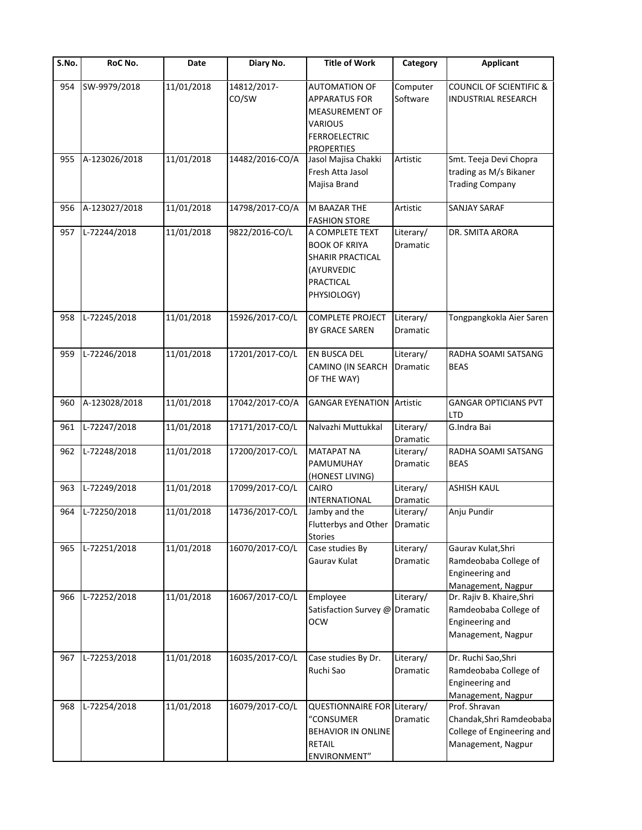| S.No. | RoC No.       | Date       | Diary No.            | <b>Title of Work</b>                                                                                                          | Category              | <b>Applicant</b>                                                                              |
|-------|---------------|------------|----------------------|-------------------------------------------------------------------------------------------------------------------------------|-----------------------|-----------------------------------------------------------------------------------------------|
| 954   | SW-9979/2018  | 11/01/2018 | 14812/2017-<br>CO/SW | <b>AUTOMATION OF</b><br><b>APPARATUS FOR</b><br>MEASUREMENT OF<br><b>VARIOUS</b><br><b>FERROELECTRIC</b><br><b>PROPERTIES</b> | Computer<br>Software  | <b>COUNCIL OF SCIENTIFIC &amp;</b><br><b>INDUSTRIAL RESEARCH</b>                              |
| 955   | A-123026/2018 | 11/01/2018 | 14482/2016-CO/A      | Jasol Majisa Chakki<br>Fresh Atta Jasol<br>Majisa Brand                                                                       | Artistic              | Smt. Teeja Devi Chopra<br>trading as M/s Bikaner<br><b>Trading Company</b>                    |
| 956   | A-123027/2018 | 11/01/2018 | 14798/2017-CO/A      | M BAAZAR THE<br><b>FASHION STORE</b>                                                                                          | Artistic              | SANJAY SARAF                                                                                  |
| 957   | L-72244/2018  | 11/01/2018 | 9822/2016-CO/L       | A COMPLETE TEXT<br><b>BOOK OF KRIYA</b><br>SHARIR PRACTICAL<br>(AYURVEDIC<br>PRACTICAL<br>PHYSIOLOGY)                         | Literary/<br>Dramatic | DR. SMITA ARORA                                                                               |
| 958   | L-72245/2018  | 11/01/2018 | 15926/2017-CO/L      | <b>COMPLETE PROJECT</b><br>BY GRACE SAREN                                                                                     | Literary/<br>Dramatic | Tongpangkokla Aier Saren                                                                      |
| 959   | L-72246/2018  | 11/01/2018 | 17201/2017-CO/L      | EN BUSCA DEL<br>CAMINO (IN SEARCH<br>OF THE WAY)                                                                              | Literary/<br>Dramatic | RADHA SOAMI SATSANG<br><b>BEAS</b>                                                            |
| 960   | A-123028/2018 | 11/01/2018 | 17042/2017-CO/A      | <b>GANGAR EYENATION</b>                                                                                                       | Artistic              | <b>GANGAR OPTICIANS PVT</b><br><b>LTD</b>                                                     |
| 961   | L-72247/2018  | 11/01/2018 | 17171/2017-CO/L      | Nalvazhi Muttukkal                                                                                                            | Literary/<br>Dramatic | G.Indra Bai                                                                                   |
| 962   | L-72248/2018  | 11/01/2018 | 17200/2017-CO/L      | <b>MATAPAT NA</b><br>PAMUMUHAY<br>(HONEST LIVING)                                                                             | Literary/<br>Dramatic | RADHA SOAMI SATSANG<br><b>BEAS</b>                                                            |
| 963   | L-72249/2018  | 11/01/2018 | 17099/2017-CO/L      | <b>CAIRO</b><br>INTERNATIONAL                                                                                                 | Literary/<br>Dramatic | <b>ASHISH KAUL</b>                                                                            |
| 964   | L-72250/2018  | 11/01/2018 | 14736/2017-CO/L      | Jamby and the<br>Flutterbys and Other Dramatic<br><b>Stories</b>                                                              | Literary/             | Anju Pundir                                                                                   |
| 965   | L-72251/2018  | 11/01/2018 | 16070/2017-CO/L      | Case studies By<br>Gaurav Kulat                                                                                               | Literary/<br>Dramatic | Gaurav Kulat, Shri<br>Ramdeobaba College of<br>Engineering and<br>Management, Nagpur          |
| 966   | L-72252/2018  | 11/01/2018 | 16067/2017-CO/L      | Employee<br>Satisfaction Survey @ Dramatic<br><b>OCW</b>                                                                      | Literary/             | Dr. Rajiv B. Khaire, Shri<br>Ramdeobaba College of<br>Engineering and<br>Management, Nagpur   |
| 967   | L-72253/2018  | 11/01/2018 | 16035/2017-CO/L      | Case studies By Dr.<br>Ruchi Sao                                                                                              | Literary/<br>Dramatic | Dr. Ruchi Sao, Shri<br>Ramdeobaba College of<br>Engineering and<br>Management, Nagpur         |
| 968   | L-72254/2018  | 11/01/2018 | 16079/2017-CO/L      | QUESTIONNAIRE FOR Literary/<br>"CONSUMER<br>BEHAVIOR IN ONLINE<br><b>RETAIL</b><br>ENVIRONMENT"                               | Dramatic              | Prof. Shravan<br>Chandak, Shri Ramdeobaba<br>College of Engineering and<br>Management, Nagpur |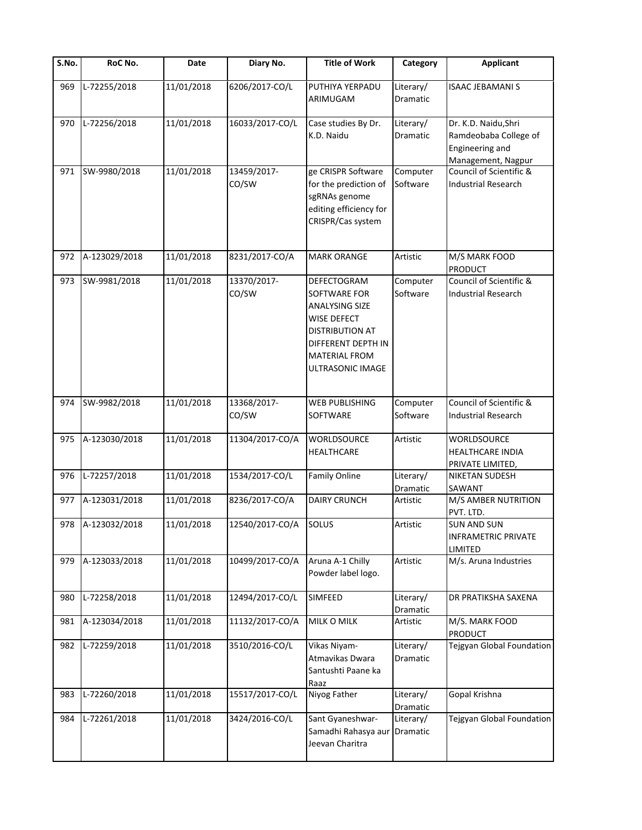| $\overline{\mathsf{S}}$ . No. | RoC No.           | Date       | Diary No.            | <b>Title of Work</b>                                                                                                                                            | Category              | <b>Applicant</b>                                                                       |
|-------------------------------|-------------------|------------|----------------------|-----------------------------------------------------------------------------------------------------------------------------------------------------------------|-----------------------|----------------------------------------------------------------------------------------|
| 969                           | L-72255/2018      | 11/01/2018 | 6206/2017-CO/L       | PUTHIYA YERPADU<br>ARIMUGAM                                                                                                                                     | Literary/<br>Dramatic | <b>ISAAC JEBAMANI S</b>                                                                |
| 970                           | L-72256/2018      | 11/01/2018 | 16033/2017-CO/L      | Case studies By Dr.<br>K.D. Naidu                                                                                                                               | Literary/<br>Dramatic | Dr. K.D. Naidu, Shri<br>Ramdeobaba College of<br>Engineering and<br>Management, Nagpur |
| 971                           | SW-9980/2018      | 11/01/2018 | 13459/2017-<br>CO/SW | ge CRISPR Software<br>for the prediction of<br>sgRNAs genome<br>editing efficiency for<br>CRISPR/Cas system                                                     | Computer<br>Software  | Council of Scientific &<br><b>Industrial Research</b>                                  |
| 972                           | A-123029/2018     | 11/01/2018 | 8231/2017-CO/A       | <b>MARK ORANGE</b>                                                                                                                                              | Artistic              | M/S MARK FOOD<br><b>PRODUCT</b>                                                        |
| 973                           | SW-9981/2018      | 11/01/2018 | 13370/2017-<br>CO/SW | <b>DEFECTOGRAM</b><br>SOFTWARE FOR<br><b>ANALYSING SIZE</b><br>WISE DEFECT<br>DISTRIBUTION AT<br>DIFFERENT DEPTH IN<br><b>MATERIAL FROM</b><br>ULTRASONIC IMAGE | Computer<br>Software  | Council of Scientific &<br><b>Industrial Research</b>                                  |
| 974                           | SW-9982/2018      | 11/01/2018 | 13368/2017-<br>CO/SW | WEB PUBLISHING<br>SOFTWARE                                                                                                                                      | Computer<br>Software  | Council of Scientific &<br><b>Industrial Research</b>                                  |
| 975                           | A-123030/2018     | 11/01/2018 | 11304/2017-CO/A      | WORLDSOURCE<br>HEALTHCARE                                                                                                                                       | Artistic              | <b>WORLDSOURCE</b><br><b>HEALTHCARE INDIA</b><br>PRIVATE LIMITED,                      |
| 976                           | L-72257/2018      | 11/01/2018 | 1534/2017-CO/L       | <b>Family Online</b>                                                                                                                                            | Literary/<br>Dramatic | <b>NIKETAN SUDESH</b><br>SAWANT                                                        |
| 977                           | A-123031/2018     | 11/01/2018 | 8236/2017-CO/A       | <b>DAIRY CRUNCH</b>                                                                                                                                             | Artistic              | M/S AMBER NUTRITION<br>PVT. LTD.                                                       |
|                               | 978 A-123032/2018 | 11/01/2018 | 12540/2017-CO/A      | <b>SOLUS</b>                                                                                                                                                    | Artistic              | <b>SUN AND SUN</b><br><b>INFRAMETRIC PRIVATE</b><br>LIMITED                            |
| 979                           | A-123033/2018     | 11/01/2018 | 10499/2017-CO/A      | Aruna A-1 Chilly<br>Powder label logo.                                                                                                                          | Artistic              | M/s. Aruna Industries                                                                  |
| 980                           | L-72258/2018      | 11/01/2018 | 12494/2017-CO/L      | SIMFEED                                                                                                                                                         | Literary/<br>Dramatic | DR PRATIKSHA SAXENA                                                                    |
| 981                           | A-123034/2018     | 11/01/2018 | 11132/2017-CO/A      | MILK O MILK                                                                                                                                                     | Artistic              | M/S. MARK FOOD<br><b>PRODUCT</b>                                                       |
| 982                           | L-72259/2018      | 11/01/2018 | 3510/2016-CO/L       | Vikas Niyam-<br>Atmavikas Dwara<br>Santushti Paane ka<br>Raaz                                                                                                   | Literary/<br>Dramatic | Tejgyan Global Foundation                                                              |
| 983                           | L-72260/2018      | 11/01/2018 | 15517/2017-CO/L      | Niyog Father                                                                                                                                                    | Literary/<br>Dramatic | Gopal Krishna                                                                          |
| 984                           | L-72261/2018      | 11/01/2018 | 3424/2016-CO/L       | Sant Gyaneshwar-<br>Samadhi Rahasya aur<br>Jeevan Charitra                                                                                                      | Literary/<br>Dramatic | Tejgyan Global Foundation                                                              |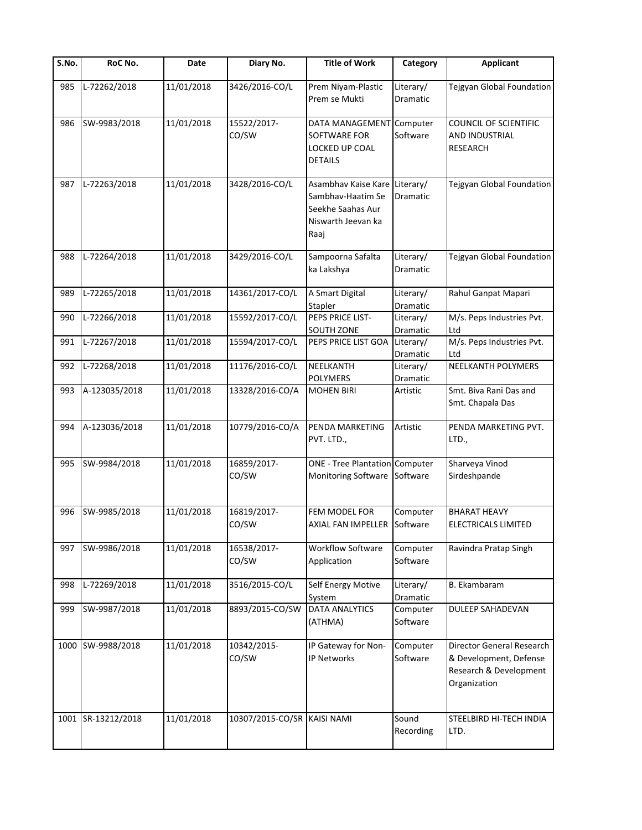| S.No. | RoC No.            | Date       | Diary No.                   | <b>Title of Work</b>                                                                                  | Category                     | <b>Applicant</b>                                                                                     |
|-------|--------------------|------------|-----------------------------|-------------------------------------------------------------------------------------------------------|------------------------------|------------------------------------------------------------------------------------------------------|
| 985   | L-72262/2018       | 11/01/2018 | 3426/2016-CO/L              | Prem Niyam-Plastic<br>Prem se Mukti                                                                   | Literary/<br>Dramatic        | Tejgyan Global Foundation                                                                            |
| 986   | SW-9983/2018       | 11/01/2018 | 15522/2017-<br>CO/SW        | DATA MANAGEMENT Computer<br>SOFTWARE FOR<br>LOCKED UP COAL<br><b>DETAILS</b>                          | Software                     | COUNCIL OF SCIENTIFIC<br>AND INDUSTRIAL<br><b>RESEARCH</b>                                           |
| 987   | L-72263/2018       | 11/01/2018 | 3428/2016-CO/L              | Asambhav Kaise Kare Literary/<br>Sambhav-Haatim Se<br>Seekhe Saahas Aur<br>Niswarth Jeevan ka<br>Raaj | Dramatic                     | Tejgyan Global Foundation                                                                            |
| 988   | L-72264/2018       | 11/01/2018 | 3429/2016-CO/L              | Sampoorna Safalta<br>ka Lakshya                                                                       | Literary/<br><b>Dramatic</b> | Tejgyan Global Foundation                                                                            |
| 989   | L-72265/2018       | 11/01/2018 | 14361/2017-CO/L             | A Smart Digital<br>Stapler                                                                            | Literary/<br>Dramatic        | Rahul Ganpat Mapari                                                                                  |
| 990   | L-72266/2018       | 11/01/2018 | 15592/2017-CO/L             | PEPS PRICE LIST-<br>SOUTH ZONE                                                                        | Literary/<br>Dramatic        | M/s. Peps Industries Pvt.<br>Ltd                                                                     |
| 991   | L-72267/2018       | 11/01/2018 | 15594/2017-CO/L             | PEPS PRICE LIST GOA                                                                                   | Literary/<br>Dramatic        | $\overline{M/s}$ . Peps Industries Pvt.<br>Ltd                                                       |
| 992   | L-72268/2018       | 11/01/2018 | 11176/2016-CO/L             | NEELKANTH<br><b>POLYMERS</b>                                                                          | Literary/<br>Dramatic        | <b>NEELKANTH POLYMERS</b>                                                                            |
| 993   | A-123035/2018      | 11/01/2018 | 13328/2016-CO/A             | <b>MOHEN BIRI</b>                                                                                     | Artistic                     | Smt. Biva Rani Das and<br>Smt. Chapala Das                                                           |
| 994   | A-123036/2018      | 11/01/2018 | 10779/2016-CO/A             | PENDA MARKETING<br>PVT. LTD.,                                                                         | Artistic                     | PENDA MARKETING PVT.<br>LTD.,                                                                        |
| 995   | SW-9984/2018       | 11/01/2018 | 16859/2017-<br>CO/SW        | <b>ONE - Tree Plantation Computer</b><br>Monitoring Software                                          | Software                     | Sharveya Vinod<br>Sirdeshpande                                                                       |
| 996   | SW-9985/2018       | 11/01/2018 | 16819/2017-<br>CO/SW        | FEM MODEL FOR<br>AXIAL FAN IMPELLER Software                                                          | Computer                     | <b>BHARAT HEAVY</b><br>ELECTRICALS LIMITED                                                           |
| 997   | SW-9986/2018       | 11/01/2018 | 16538/2017-<br>CO/SW        | Workflow Software<br>Application                                                                      | Computer<br>Software         | Ravindra Pratap Singh                                                                                |
| 998   | L-72269/2018       | 11/01/2018 | 3516/2015-CO/L              | Self Energy Motive<br>System                                                                          | Literary/<br>Dramatic        | B. Ekambaram                                                                                         |
| 999   | SW-9987/2018       | 11/01/2018 | 8893/2015-CO/SW             | <b>DATA ANALYTICS</b><br>(ATHMA)                                                                      | Computer<br>Software         | DULEEP SAHADEVAN                                                                                     |
| 1000  | SW-9988/2018       | 11/01/2018 | 10342/2015-<br>CO/SW        | IP Gateway for Non-<br>IP Networks                                                                    | Computer<br>Software         | <b>Director General Research</b><br>& Development, Defense<br>Research & Development<br>Organization |
|       | 1001 SR-13212/2018 | 11/01/2018 | 10307/2015-CO/SR KAISI NAMI |                                                                                                       | Sound<br>Recording           | STEELBIRD HI-TECH INDIA<br>LTD.                                                                      |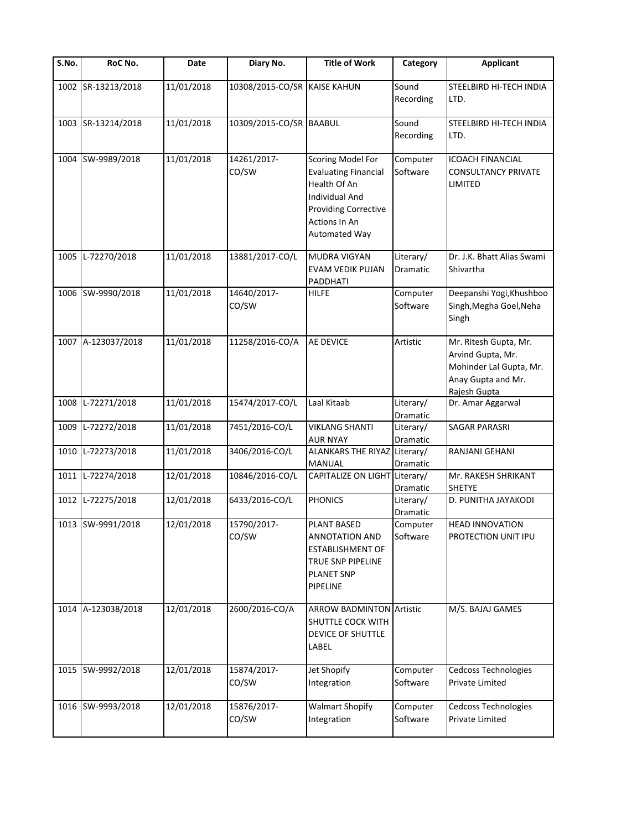| S.No. | RoC No.            | Date       | Diary No.                    | <b>Title of Work</b>                                                                                                                                       | Category              | <b>Applicant</b>                                                                                            |
|-------|--------------------|------------|------------------------------|------------------------------------------------------------------------------------------------------------------------------------------------------------|-----------------------|-------------------------------------------------------------------------------------------------------------|
| 1002  | SR-13213/2018      | 11/01/2018 | 10308/2015-CO/SR KAISE KAHUN |                                                                                                                                                            | Sound<br>Recording    | STEELBIRD HI-TECH INDIA<br>LTD.                                                                             |
|       | 1003 SR-13214/2018 | 11/01/2018 | 10309/2015-CO/SR BAABUL      |                                                                                                                                                            | Sound<br>Recording    | STEELBIRD HI-TECH INDIA<br>LTD.                                                                             |
| 1004  | SW-9989/2018       | 11/01/2018 | 14261/2017-<br>CO/SW         | Scoring Model For<br><b>Evaluating Financial</b><br>Health Of An<br><b>Individual And</b><br><b>Providing Corrective</b><br>Actions In An<br>Automated Way | Computer<br>Software  | <b>ICOACH FINANCIAL</b><br><b>CONSULTANCY PRIVATE</b><br>LIMITED                                            |
| 1005  | L-72270/2018       | 11/01/2018 | 13881/2017-CO/L              | <b>MUDRA VIGYAN</b><br><b>EVAM VEDIK PUJAN</b><br>PADDHATI                                                                                                 | Literary/<br>Dramatic | Dr. J.K. Bhatt Alias Swami<br>Shivartha                                                                     |
|       | 1006 SW-9990/2018  | 11/01/2018 | 14640/2017-<br>CO/SW         | <b>HILFE</b>                                                                                                                                               | Computer<br>Software  | Deepanshi Yogi, Khushboo<br>Singh, Megha Goel, Neha<br>Singh                                                |
|       | 1007 A-123037/2018 | 11/01/2018 | 11258/2016-CO/A              | <b>AE DEVICE</b>                                                                                                                                           | Artistic              | Mr. Ritesh Gupta, Mr.<br>Arvind Gupta, Mr.<br>Mohinder Lal Gupta, Mr.<br>Anay Gupta and Mr.<br>Rajesh Gupta |
| 1008  | L-72271/2018       | 11/01/2018 | 15474/2017-CO/L              | Laal Kitaab                                                                                                                                                | Literary/<br>Dramatic | Dr. Amar Aggarwal                                                                                           |
| 1009  | L-72272/2018       | 11/01/2018 | 7451/2016-CO/L               | <b>VIKLANG SHANTI</b><br><b>AUR NYAY</b>                                                                                                                   | Literary/<br>Dramatic | SAGAR PARASRI                                                                                               |
| 1010  | L-72273/2018       | 11/01/2018 | 3406/2016-CO/L               | ALANKARS THE RIYAZ Literary/<br>MANUAL                                                                                                                     | Dramatic              | RANJANI GEHANI                                                                                              |
|       | 1011 L-72274/2018  | 12/01/2018 | 10846/2016-CO/L              | CAPITALIZE ON LIGHT Literary/                                                                                                                              | Dramatic              | Mr. RAKESH SHRIKANT<br><b>SHETYE</b>                                                                        |
|       | 1012 L-72275/2018  | 12/01/2018 | 6433/2016-CO/L               | <b>PHONICS</b>                                                                                                                                             | Literary/<br>Dramatic | D. PUNITHA JAYAKODI                                                                                         |
|       | 1013 SW-9991/2018  | 12/01/2018 | 15790/2017-<br>CO/SW         | <b>PLANT BASED</b><br><b>ANNOTATION AND</b><br><b>ESTABLISHMENT OF</b><br>TRUE SNP PIPELINE<br><b>PLANET SNP</b><br><b>PIPELINE</b>                        | Computer<br>Software  | <b>HEAD INNOVATION</b><br>PROTECTION UNIT IPU                                                               |
|       | 1014 A-123038/2018 | 12/01/2018 | 2600/2016-CO/A               | <b>ARROW BADMINTON Artistic</b><br>SHUTTLE COCK WITH<br>DEVICE OF SHUTTLE<br>LABEL                                                                         |                       | M/S. BAJAJ GAMES                                                                                            |
|       | 1015 SW-9992/2018  | 12/01/2018 | 15874/2017-<br>CO/SW         | Jet Shopify<br>Integration                                                                                                                                 | Computer<br>Software  | Cedcoss Technologies<br>Private Limited                                                                     |
|       | 1016 SW-9993/2018  | 12/01/2018 | 15876/2017-<br>CO/SW         | <b>Walmart Shopify</b><br>Integration                                                                                                                      | Computer<br>Software  | Cedcoss Technologies<br>Private Limited                                                                     |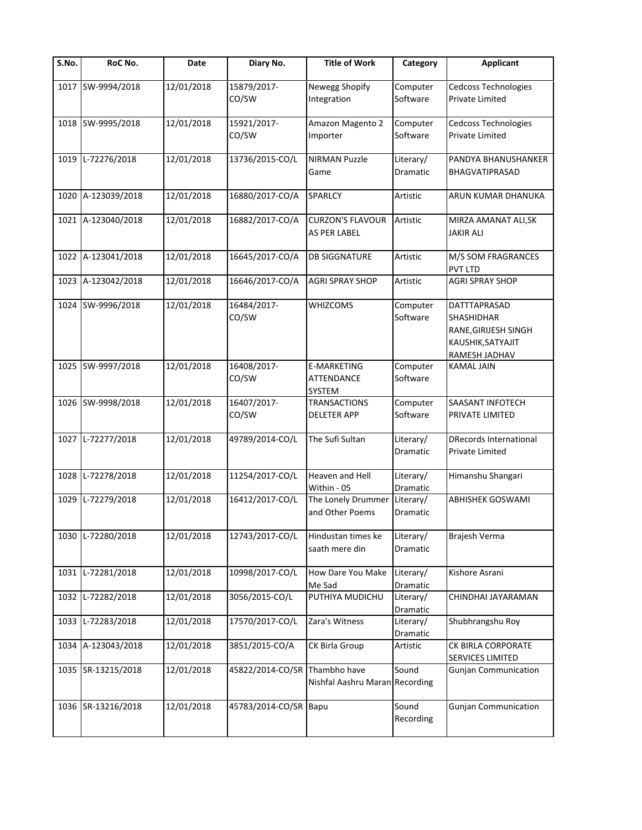| $\overline{\mathsf{S}}$ . No. | RoC No.            | Date       | Diary No.             | <b>Title of Work</b>                           | Category                     | <b>Applicant</b>                                                                                       |
|-------------------------------|--------------------|------------|-----------------------|------------------------------------------------|------------------------------|--------------------------------------------------------------------------------------------------------|
|                               | 1017 SW-9994/2018  | 12/01/2018 | 15879/2017-<br>CO/SW  | Newegg Shopify<br>Integration                  | Computer<br>Software         | Cedcoss Technologies<br>Private Limited                                                                |
|                               | 1018 SW-9995/2018  | 12/01/2018 | 15921/2017-<br>CO/SW  | Amazon Magento 2<br>Importer                   | Computer<br>Software         | <b>Cedcoss Technologies</b><br><b>Private Limited</b>                                                  |
| 1019                          | L-72276/2018       | 12/01/2018 | 13736/2015-CO/L       | <b>NIRMAN Puzzle</b><br>Game                   | Literary/<br>Dramatic        | PANDYA BHANUSHANKER<br>BHAGVATIPRASAD                                                                  |
| 1020                          | A-123039/2018      | 12/01/2018 | 16880/2017-CO/A       | SPARLCY                                        | Artistic                     | ARUN KUMAR DHANUKA                                                                                     |
|                               | 1021 A-123040/2018 | 12/01/2018 | 16882/2017-CO/A       | <b>CURZON'S FLAVOUR</b><br>AS PER LABEL        | Artistic                     | MIRZA AMANAT ALI, SK<br><b>JAKIR ALI</b>                                                               |
|                               | 1022 A-123041/2018 | 12/01/2018 | 16645/2017-CO/A       | <b>DB SIGGNATURE</b>                           | Artistic                     | M/S SOM FRAGRANCES<br><b>PVT LTD</b>                                                                   |
|                               | 1023 A-123042/2018 | 12/01/2018 | 16646/2017-CO/A       | <b>AGRI SPRAY SHOP</b>                         | Artistic                     | <b>AGRI SPRAY SHOP</b>                                                                                 |
|                               | 1024 SW-9996/2018  | 12/01/2018 | 16484/2017-<br>CO/SW  | WHIZCOMS                                       | Computer<br>Software         | <b>DATTTAPRASAD</b><br><b>SHASHIDHAR</b><br>RANE, GIRIJESH SINGH<br>KAUSHIK, SATYAJIT<br>RAMESH JADHAV |
|                               | 1025 SW-9997/2018  | 12/01/2018 | 16408/2017-<br>CO/SW  | E-MARKETING<br>ATTENDANCE<br>SYSTEM            | Computer<br>Software         | <b>KAMAL JAIN</b>                                                                                      |
|                               | 1026 SW-9998/2018  | 12/01/2018 | 16407/2017-<br>CO/SW  | <b>TRANSACTIONS</b><br>DELETER APP             | Computer<br>Software         | <b>SAASANT INFOTECH</b><br>PRIVATE LIMITED                                                             |
|                               | 1027 L-72277/2018  | 12/01/2018 | 49789/2014-CO/L       | The Sufi Sultan                                | Literary/<br>Dramatic        | <b>DRecords International</b><br><b>Private Limited</b>                                                |
| 1028                          | L-72278/2018       | 12/01/2018 | 11254/2017-CO/L       | Heaven and Hell<br>Within - 05                 | Literary/<br>Dramatic        | Himanshu Shangari                                                                                      |
| 1029                          | L-72279/2018       | 12/01/2018 | 16412/2017-CO/L       | The Lonely Drummer<br>and Other Poems          | Literary/<br><b>Dramatic</b> | <b>ABHISHEK GOSWAMI</b>                                                                                |
|                               | 1030 L-72280/2018  | 12/01/2018 | 12743/2017-CO/L       | Hindustan times ke<br>saath mere din           | Literary/<br>Dramatic        | Brajesh Verma                                                                                          |
| 1031                          | L-72281/2018       | 12/01/2018 | 10998/2017-CO/L       | How Dare You Make<br>Me Sad                    | Literary/<br>Dramatic        | Kishore Asrani                                                                                         |
| 1032                          | L-72282/2018       | 12/01/2018 | 3056/2015-CO/L        | PUTHIYA MUDICHU                                | Literary/<br>Dramatic        | CHINDHAI JAYARAMAN                                                                                     |
| 1033                          | L-72283/2018       | 12/01/2018 | 17570/2017-CO/L       | Zara's Witness                                 | Literary/<br>Dramatic        | Shubhrangshu Roy                                                                                       |
| 1034                          | A-123043/2018      | 12/01/2018 | 3851/2015-CO/A        | CK Birla Group                                 | Artistic                     | CK BIRLA CORPORATE<br>SERVICES LIMITED                                                                 |
|                               | 1035 SR-13215/2018 | 12/01/2018 | 45822/2014-CO/SR      | Thambho have<br>Nishfal Aashru Maran Recording | Sound                        | <b>Gunjan Communication</b>                                                                            |
|                               | 1036 SR-13216/2018 | 12/01/2018 | 45783/2014-CO/SR Bapu |                                                | Sound<br>Recording           | <b>Gunjan Communication</b>                                                                            |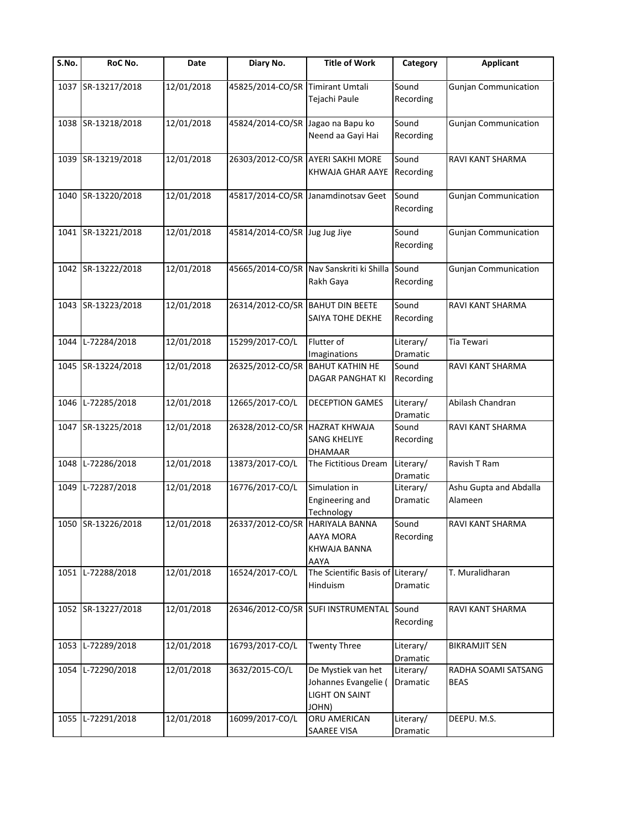| $\overline{\mathsf{S}}$ . No. | RoC No.            | Date       | Diary No.                         | <b>Title of Work</b>                                                         | Category                     | <b>Applicant</b>                   |
|-------------------------------|--------------------|------------|-----------------------------------|------------------------------------------------------------------------------|------------------------------|------------------------------------|
|                               | 1037 SR-13217/2018 | 12/01/2018 | 45825/2014-CO/SR Timirant Umtali  | Tejachi Paule                                                                | Sound<br>Recording           | <b>Gunjan Communication</b>        |
|                               | 1038 SR-13218/2018 | 12/01/2018 | 45824/2014-CO/SR Jagao na Bapu ko | Neend aa Gayi Hai                                                            | Sound<br>Recording           | <b>Gunjan Communication</b>        |
| 1039                          | SR-13219/2018      | 12/01/2018 |                                   | 26303/2012-CO/SR AYERI SAKHI MORE<br>KHWAJA GHAR AAYE                        | Sound<br>Recording           | RAVI KANT SHARMA                   |
| 1040                          | SR-13220/2018      | 12/01/2018 |                                   | 45817/2014-CO/SR Janamdinotsav Geet                                          | Sound<br>Recording           | <b>Gunjan Communication</b>        |
|                               | 1041 SR-13221/2018 | 12/01/2018 | 45814/2014-CO/SR Jug Jug Jiye     |                                                                              | Sound<br>Recording           | <b>Gunjan Communication</b>        |
|                               | 1042 SR-13222/2018 | 12/01/2018 |                                   | 45665/2014-CO/SR Nav Sanskriti ki Shilla Sound<br>Rakh Gaya                  | Recording                    | <b>Gunjan Communication</b>        |
|                               | 1043 SR-13223/2018 | 12/01/2018 | 26314/2012-CO/SR                  | <b>BAHUT DIN BEETE</b><br>SAIYA TOHE DEKHE                                   | Sound<br>Recording           | RAVI KANT SHARMA                   |
| 1044                          | L-72284/2018       | 12/01/2018 | 15299/2017-CO/L                   | Flutter of<br>Imaginations                                                   | Literary/<br><b>Dramatic</b> | Tia Tewari                         |
|                               | 1045 SR-13224/2018 | 12/01/2018 | 26325/2012-CO/SR                  | <b>BAHUT KATHIN HE</b><br>DAGAR PANGHAT KI                                   | Sound<br>Recording           | RAVI KANT SHARMA                   |
| 1046                          | L-72285/2018       | 12/01/2018 | 12665/2017-CO/L                   | <b>DECEPTION GAMES</b>                                                       | Literary/<br>Dramatic        | Abilash Chandran                   |
|                               | 1047 SR-13225/2018 | 12/01/2018 | 26328/2012-CO/SR HAZRAT KHWAJA    | <b>SANG KHELIYE</b><br>DHAMAAR                                               | Sound<br>Recording           | RAVI KANT SHARMA                   |
| 1048                          | L-72286/2018       | 12/01/2018 | 13873/2017-CO/L                   | The Fictitious Dream                                                         | Literary/<br>Dramatic        | Ravish T Ram                       |
| 1049                          | L-72287/2018       | 12/01/2018 | 16776/2017-CO/L                   | Simulation in<br>Engineering and<br>Technology                               | Literary/<br>Dramatic        | Ashu Gupta and Abdalla<br>Alameen  |
|                               | 1050 SR-13226/2018 | 12/01/2018 | 26337/2012-CO/SR HARIYALA BANNA   | AAYA MORA<br>KHWAJA BANNA<br>AAYA                                            | Sound<br>Recording           | RAVI KANT SHARMA                   |
|                               | 1051 L-72288/2018  | 12/01/2018 | 16524/2017-CO/L                   | The Scientific Basis of Literary/<br>Hinduism                                | Dramatic                     | T. Muralidharan                    |
|                               | 1052 SR-13227/2018 | 12/01/2018 |                                   | 26346/2012-CO/SR SUFI INSTRUMENTAL                                           | Sound<br>Recording           | RAVI KANT SHARMA                   |
| 1053                          | L-72289/2018       | 12/01/2018 | 16793/2017-CO/L                   | <b>Twenty Three</b>                                                          | Literary/<br>Dramatic        | <b>BIKRAMJIT SEN</b>               |
| 1054                          | L-72290/2018       | 12/01/2018 | 3632/2015-CO/L                    | De Mystiek van het<br>Johannes Evangelie (<br><b>LIGHT ON SAINT</b><br>JOHN) | Literary/<br>Dramatic        | RADHA SOAMI SATSANG<br><b>BEAS</b> |
| 1055                          | L-72291/2018       | 12/01/2018 | 16099/2017-CO/L                   | ORU AMERICAN<br>SAAREE VISA                                                  | Literary/<br>Dramatic        | DEEPU. M.S.                        |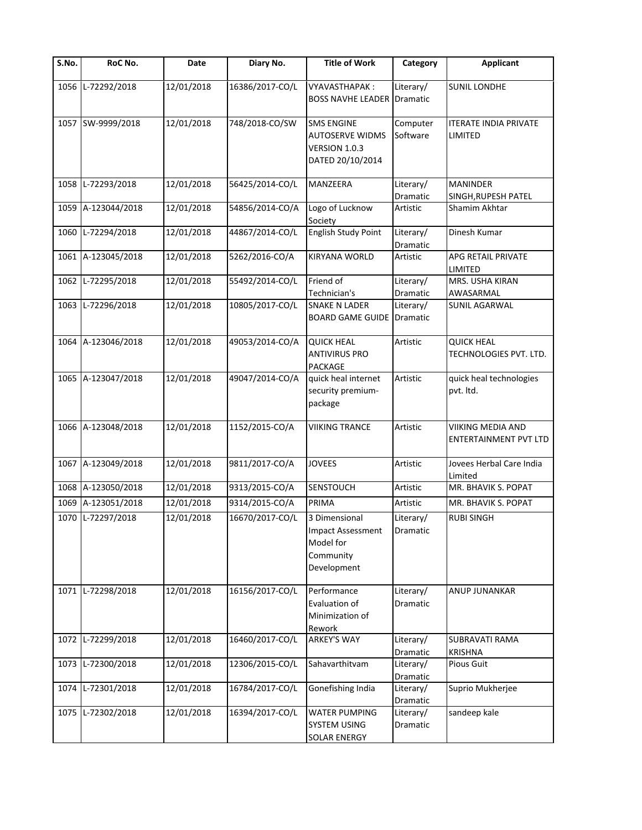| $\overline{\mathsf{S}}$ . No. | RoC No.            | Date       | Diary No.       | <b>Title of Work</b>                                                               | Category              | <b>Applicant</b>                                  |
|-------------------------------|--------------------|------------|-----------------|------------------------------------------------------------------------------------|-----------------------|---------------------------------------------------|
| 1056                          | L-72292/2018       | 12/01/2018 | 16386/2017-CO/L | VYAVASTHAPAK:<br><b>BOSS NAVHE LEADER Dramatic</b>                                 | Literary/             | <b>SUNIL LONDHE</b>                               |
|                               | 1057 SW-9999/2018  | 12/01/2018 | 748/2018-CO/SW  | <b>SMS ENGINE</b><br><b>AUTOSERVE WIDMS</b><br>VERSION 1.0.3<br>DATED 20/10/2014   | Computer<br>Software  | <b>ITERATE INDIA PRIVATE</b><br>LIMITED           |
| 1058                          | L-72293/2018       | 12/01/2018 | 56425/2014-CO/L | MANZEERA                                                                           | Literary/<br>Dramatic | <b>MANINDER</b><br>SINGH, RUPESH PATEL            |
| 1059                          | A-123044/2018      | 12/01/2018 | 54856/2014-CO/A | Logo of Lucknow<br>Society                                                         | Artistic              | Shamim Akhtar                                     |
| 1060                          | L-72294/2018       | 12/01/2018 | 44867/2014-CO/L | English Study Point                                                                | Literary/<br>Dramatic | Dinesh Kumar                                      |
|                               | 1061 A-123045/2018 | 12/01/2018 | 5262/2016-CO/A  | <b>KIRYANA WORLD</b>                                                               | Artistic              | APG RETAIL PRIVATE<br>LIMITED                     |
|                               | 1062 L-72295/2018  | 12/01/2018 | 55492/2014-CO/L | Friend of<br>Technician's                                                          | Literary/<br>Dramatic | MRS. USHA KIRAN<br>AWASARMAL                      |
|                               | 1063 L-72296/2018  | 12/01/2018 | 10805/2017-CO/L | <b>SNAKE N LADER</b><br><b>BOARD GAME GUIDE</b>                                    | Literary/<br>Dramatic | SUNIL AGARWAL                                     |
|                               | 1064 A-123046/2018 | 12/01/2018 | 49053/2014-CO/A | <b>QUICK HEAL</b><br><b>ANTIVIRUS PRO</b><br><b>PACKAGE</b>                        | Artistic              | <b>QUICK HEAL</b><br>TECHNOLOGIES PVT. LTD.       |
|                               | 1065 A-123047/2018 | 12/01/2018 | 49047/2014-CO/A | quick heal internet<br>security premium-<br>package                                | Artistic              | quick heal technologies<br>pvt. Itd.              |
|                               | 1066 A-123048/2018 | 12/01/2018 | 1152/2015-CO/A  | <b>VIIKING TRANCE</b>                                                              | Artistic              | VIIKING MEDIA AND<br><b>ENTERTAINMENT PVT LTD</b> |
|                               | 1067 A-123049/2018 | 12/01/2018 | 9811/2017-CO/A  | <b>JOVEES</b>                                                                      | Artistic              | Jovees Herbal Care India<br>Limited               |
|                               | 1068 A-123050/2018 | 12/01/2018 | 9313/2015-CO/A  | <b>SENSTOUCH</b>                                                                   | Artistic              | MR. BHAVIK S. POPAT                               |
|                               | 1069 A-123051/2018 | 12/01/2018 | 9314/2015-CO/A  | PRIMA                                                                              | Artistic              | MR. BHAVIK S. POPAT                               |
|                               | 1070 L-72297/2018  | 12/01/2018 | 16670/2017-CO/L | 3 Dimensional<br><b>Impact Assessment</b><br>Model for<br>Community<br>Development | Literary/<br>Dramatic | <b>RUBI SINGH</b>                                 |
| 1071                          | L-72298/2018       | 12/01/2018 | 16156/2017-CO/L | Performance<br>Evaluation of<br>Minimization of<br>Rework                          | Literary/<br>Dramatic | ANUP JUNANKAR                                     |
|                               | 1072 L-72299/2018  | 12/01/2018 | 16460/2017-CO/L | <b>ARKEY'S WAY</b>                                                                 | Literary/<br>Dramatic | SUBRAVATI RAMA<br><b>KRISHNA</b>                  |
|                               | 1073 L-72300/2018  | 12/01/2018 | 12306/2015-CO/L | Sahavarthitvam                                                                     | Literary/<br>Dramatic | Pious Guit                                        |
| 1074                          | L-72301/2018       | 12/01/2018 | 16784/2017-CO/L | Gonefishing India                                                                  | Literary/<br>Dramatic | Suprio Mukherjee                                  |
|                               | 1075 L-72302/2018  | 12/01/2018 | 16394/2017-CO/L | <b>WATER PUMPING</b><br><b>SYSTEM USING</b><br>SOLAR ENERGY                        | Literary/<br>Dramatic | sandeep kale                                      |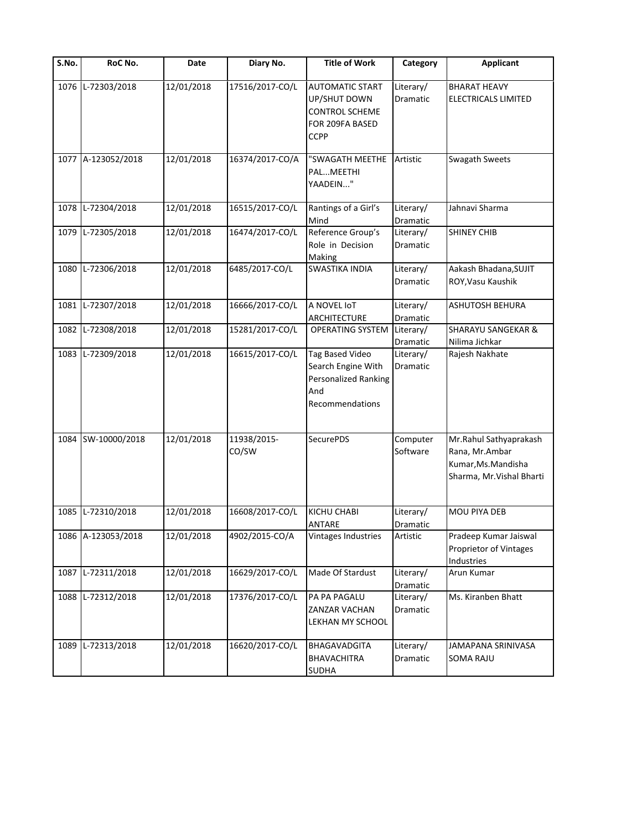| S.No. | RoC No.            | Date       | Diary No.            | <b>Title of Work</b>                                                                              | Category              | <b>Applicant</b>                                                                             |
|-------|--------------------|------------|----------------------|---------------------------------------------------------------------------------------------------|-----------------------|----------------------------------------------------------------------------------------------|
| 1076  | L-72303/2018       | 12/01/2018 | 17516/2017-CO/L      | <b>AUTOMATIC START</b><br>UP/SHUT DOWN<br><b>CONTROL SCHEME</b><br>FOR 209FA BASED<br><b>CCPP</b> | Literary/<br>Dramatic | <b>BHARAT HEAVY</b><br>ELECTRICALS LIMITED                                                   |
|       | 1077 A-123052/2018 | 12/01/2018 | 16374/2017-CO/A      | "SWAGATH MEETHE<br>PALMEETHI<br>YAADEIN"                                                          | Artistic              | Swagath Sweets                                                                               |
| 1078  | L-72304/2018       | 12/01/2018 | 16515/2017-CO/L      | Rantings of a Girl's<br>Mind                                                                      | Literary/<br>Dramatic | Jahnavi Sharma                                                                               |
| 1079  | L-72305/2018       | 12/01/2018 | 16474/2017-CO/L      | Reference Group's<br>Role in Decision<br>Making                                                   | Literary/<br>Dramatic | <b>SHINEY CHIB</b>                                                                           |
| 1080  | L-72306/2018       | 12/01/2018 | 6485/2017-CO/L       | <b>SWASTIKA INDIA</b>                                                                             | Literary/<br>Dramatic | Aakash Bhadana, SUJIT<br>ROY, Vasu Kaushik                                                   |
| 1081  | L-72307/2018       | 12/01/2018 | 16666/2017-CO/L      | A NOVEL IoT<br>ARCHITECTURE                                                                       | Literary/<br>Dramatic | ASHUTOSH BEHURA                                                                              |
| 1082  | L-72308/2018       | 12/01/2018 | 15281/2017-CO/L      | <b>OPERATING SYSTEM</b>                                                                           | Literary/<br>Dramatic | <b>SHARAYU SANGEKAR &amp;</b><br>Nilima Jichkar                                              |
| 1083  | L-72309/2018       | 12/01/2018 | 16615/2017-CO/L      | <b>Tag Based Video</b><br>Search Engine With<br>Personalized Ranking<br>And<br>Recommendations    | Literary/<br>Dramatic | Rajesh Nakhate                                                                               |
| 1084  | SW-10000/2018      | 12/01/2018 | 11938/2015-<br>CO/SW | SecurePDS                                                                                         | Computer<br>Software  | Mr.Rahul Sathyaprakash<br>Rana, Mr.Ambar<br>Kumar, Ms. Mandisha<br>Sharma, Mr. Vishal Bharti |
|       | 1085 L-72310/2018  | 12/01/2018 | 16608/2017-CO/L      | <b>KICHU CHABI</b><br>ANTARE                                                                      | Literary/<br>Dramatic | <b>MOU PIYA DEB</b>                                                                          |
|       | 1086 A-123053/2018 | 12/01/2018 | 4902/2015-CO/A       | Vintages Industries                                                                               | Artistic              | Pradeep Kumar Jaiswal<br>Proprietor of Vintages<br>Industries                                |
| 1087  | L-72311/2018       | 12/01/2018 | 16629/2017-CO/L      | Made Of Stardust                                                                                  | Literary/<br>Dramatic | Arun Kumar                                                                                   |
| 1088  | L-72312/2018       | 12/01/2018 | 17376/2017-CO/L      | PA PA PAGALU<br>ZANZAR VACHAN<br>LEKHAN MY SCHOOL                                                 | Literary/<br>Dramatic | Ms. Kiranben Bhatt                                                                           |
| 1089  | L-72313/2018       | 12/01/2018 | 16620/2017-CO/L      | <b>BHAGAVADGITA</b><br><b>BHAVACHITRA</b><br><b>SUDHA</b>                                         | Literary/<br>Dramatic | JAMAPANA SRINIVASA<br><b>SOMA RAJU</b>                                                       |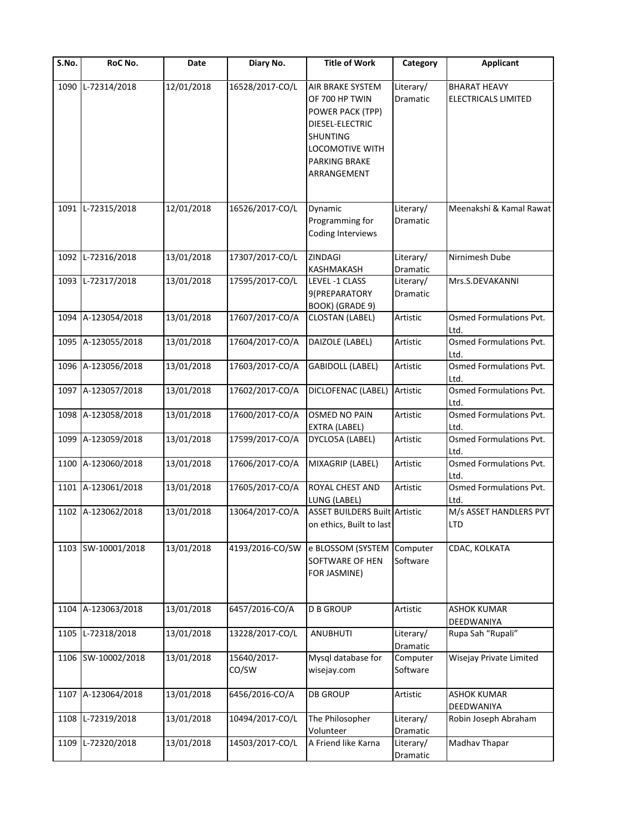| S.No. | RoC No.            | Date       | Diary No.            | <b>Title of Work</b>                                                                                                                            | Category              | <b>Applicant</b>                           |
|-------|--------------------|------------|----------------------|-------------------------------------------------------------------------------------------------------------------------------------------------|-----------------------|--------------------------------------------|
| 1090  | L-72314/2018       | 12/01/2018 | 16528/2017-CO/L      | AIR BRAKE SYSTEM<br>OF 700 HP TWIN<br>POWER PACK (TPP)<br>DIESEL-ELECTRIC<br><b>SHUNTING</b><br>LOCOMOTIVE WITH<br>PARKING BRAKE<br>ARRANGEMENT | Literary/<br>Dramatic | <b>BHARAT HEAVY</b><br>ELECTRICALS LIMITED |
| 1091  | L-72315/2018       | 12/01/2018 | 16526/2017-CO/L      | Dynamic<br>Programming for<br><b>Coding Interviews</b>                                                                                          | Literary/<br>Dramatic | Meenakshi & Kamal Rawat                    |
| 1092  | L-72316/2018       | 13/01/2018 | 17307/2017-CO/L      | ZINDAGI<br>KASHMAKASH                                                                                                                           | Literary/<br>Dramatic | Nirnimesh Dube                             |
| 1093  | L-72317/2018       | 13/01/2018 | 17595/2017-CO/L      | LEVEL -1 CLASS<br>9(PREPARATORY<br>BOOK) (GRADE 9)                                                                                              | Literary/<br>Dramatic | Mrs.S.DEVAKANNI                            |
|       | 1094 A-123054/2018 | 13/01/2018 | 17607/2017-CO/A      | <b>CLOSTAN (LABEL)</b>                                                                                                                          | Artistic              | Osmed Formulations Pvt.<br>Ltd.            |
|       | 1095 A-123055/2018 | 13/01/2018 | 17604/2017-CO/A      | DAIZOLE (LABEL)                                                                                                                                 | Artistic              | Osmed Formulations Pvt.<br>Ltd.            |
|       | 1096 A-123056/2018 | 13/01/2018 | 17603/2017-CO/A      | <b>GABIDOLL (LABEL)</b>                                                                                                                         | Artistic              | Osmed Formulations Pvt.<br>Ltd.            |
| 1097  | A-123057/2018      | 13/01/2018 | 17602/2017-CO/A      | DICLOFENAC (LABEL)                                                                                                                              | Artistic              | Osmed Formulations Pvt.<br>Ltd.            |
| 1098  | A-123058/2018      | 13/01/2018 | 17600/2017-CO/A      | <b>OSMED NO PAIN</b><br>EXTRA (LABEL)                                                                                                           | Artistic              | Osmed Formulations Pvt.<br>Ltd.            |
| 1099  | A-123059/2018      | 13/01/2018 | 17599/2017-CO/A      | DYCLO5A (LABEL)                                                                                                                                 | Artistic              | Osmed Formulations Pvt.<br>Ltd.            |
| 1100  | A-123060/2018      | 13/01/2018 | 17606/2017-CO/A      | MIXAGRIP (LABEL)                                                                                                                                | Artistic              | Osmed Formulations Pvt.<br>Ltd.            |
|       | 1101 A-123061/2018 | 13/01/2018 | 17605/2017-CO/A      | ROYAL CHEST AND<br>LUNG (LABEL)                                                                                                                 | Artistic              | Osmed Formulations Pvt.<br>Ltd.            |
|       | 1102 A-123062/2018 | 13/01/2018 | 13064/2017-CO/A      | <b>ASSET BUILDERS Built Artistic</b><br>on ethics, Built to last                                                                                |                       | M/s ASSET HANDLERS PVT<br><b>LTD</b>       |
|       | 1103 SW-10001/2018 | 13/01/2018 | 4193/2016-CO/SW      | e BLOSSOM (SYSTEM<br>SOFTWARE OF HEN<br>FOR JASMINE)                                                                                            | Computer<br>Software  | CDAC, KOLKATA                              |
| 1104  | A-123063/2018      | 13/01/2018 | 6457/2016-CO/A       | <b>D B GROUP</b>                                                                                                                                | Artistic              | <b>ASHOK KUMAR</b><br>DEEDWANIYA           |
| 1105  | L-72318/2018       | 13/01/2018 | 13228/2017-CO/L      | ANUBHUTI                                                                                                                                        | Literary/<br>Dramatic | Rupa Sah "Rupali"                          |
|       | 1106 SW-10002/2018 | 13/01/2018 | 15640/2017-<br>CO/SW | Mysql database for<br>wisejay.com                                                                                                               | Computer<br>Software  | Wisejay Private Limited                    |
|       | 1107 A-123064/2018 | 13/01/2018 | 6456/2016-CO/A       | <b>DB GROUP</b>                                                                                                                                 | Artistic              | <b>ASHOK KUMAR</b><br>DEEDWANIYA           |
| 1108  | L-72319/2018       | 13/01/2018 | 10494/2017-CO/L      | The Philosopher<br>Volunteer                                                                                                                    | Literary/<br>Dramatic | Robin Joseph Abraham                       |
| 1109  | L-72320/2018       | 13/01/2018 | 14503/2017-CO/L      | A Friend like Karna                                                                                                                             | Literary/<br>Dramatic | Madhav Thapar                              |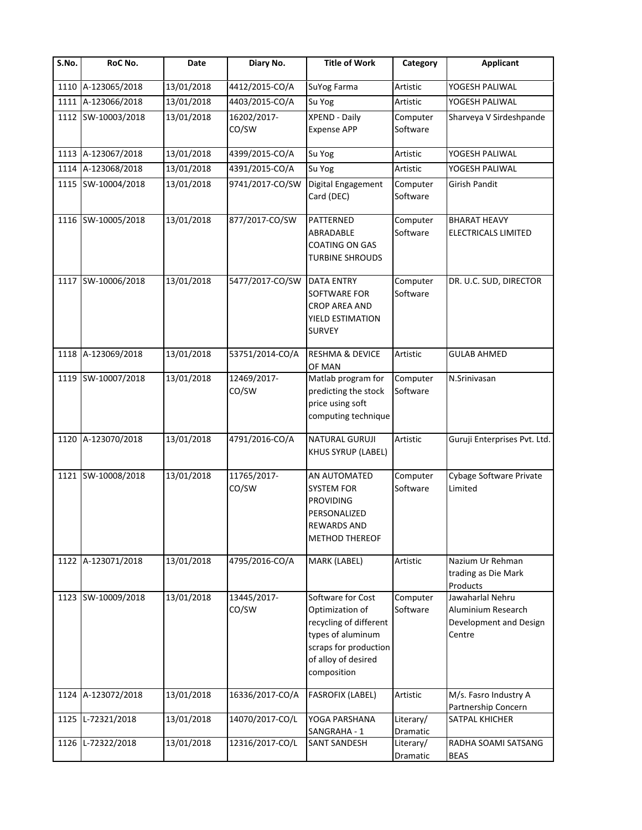| $\overline{\mathsf{S}}$ . No. | RoC No.            | Date       | Diary No.            | <b>Title of Work</b>                                                                                                                               | Category              | <b>Applicant</b>                                                           |
|-------------------------------|--------------------|------------|----------------------|----------------------------------------------------------------------------------------------------------------------------------------------------|-----------------------|----------------------------------------------------------------------------|
|                               | 1110 A-123065/2018 | 13/01/2018 | 4412/2015-CO/A       | SuYog Farma                                                                                                                                        | Artistic              | YOGESH PALIWAL                                                             |
|                               | 1111 A-123066/2018 | 13/01/2018 | 4403/2015-CO/A       | Su Yog                                                                                                                                             | Artistic              | YOGESH PALIWAL                                                             |
|                               | 1112 SW-10003/2018 | 13/01/2018 | 16202/2017-<br>CO/SW | <b>XPEND - Daily</b><br><b>Expense APP</b>                                                                                                         | Computer<br>Software  | Sharveya V Sirdeshpande                                                    |
|                               | 1113 A-123067/2018 | 13/01/2018 | 4399/2015-CO/A       | Su Yog                                                                                                                                             | Artistic              | YOGESH PALIWAL                                                             |
|                               | 1114 A-123068/2018 | 13/01/2018 | 4391/2015-CO/A       | Su Yog                                                                                                                                             | Artistic              | YOGESH PALIWAL                                                             |
|                               | 1115 SW-10004/2018 | 13/01/2018 | 9741/2017-CO/SW      | Digital Engagement<br>Card (DEC)                                                                                                                   | Computer<br>Software  | Girish Pandit                                                              |
|                               | 1116 SW-10005/2018 | 13/01/2018 | 877/2017-CO/SW       | PATTERNED<br>ABRADABLE<br>COATING ON GAS<br><b>TURBINE SHROUDS</b>                                                                                 | Computer<br>Software  | <b>BHARAT HEAVY</b><br>ELECTRICALS LIMITED                                 |
|                               | 1117 SW-10006/2018 | 13/01/2018 | 5477/2017-CO/SW      | <b>DATA ENTRY</b><br>SOFTWARE FOR<br>CROP AREA AND<br>YIELD ESTIMATION<br><b>SURVEY</b>                                                            | Computer<br>Software  | DR. U.C. SUD, DIRECTOR                                                     |
| 1118                          | A-123069/2018      | 13/01/2018 | 53751/2014-CO/A      | <b>RESHMA &amp; DEVICE</b><br>OF MAN                                                                                                               | Artistic              | <b>GULAB AHMED</b>                                                         |
|                               | 1119 SW-10007/2018 | 13/01/2018 | 12469/2017-<br>CO/SW | Matlab program for<br>predicting the stock<br>price using soft<br>computing technique                                                              | Computer<br>Software  | N.Srinivasan                                                               |
| 1120                          | A-123070/2018      | 13/01/2018 | 4791/2016-CO/A       | <b>NATURAL GURUJI</b><br>KHUS SYRUP (LABEL)                                                                                                        | Artistic              | Guruji Enterprises Pvt. Ltd.                                               |
|                               | 1121 SW-10008/2018 | 13/01/2018 | 11765/2017-<br>CO/SW | AN AUTOMATED<br><b>SYSTEM FOR</b><br><b>PROVIDING</b><br>PERSONALIZED<br><b>REWARDS AND</b><br><b>METHOD THEREOF</b>                               | Computer<br>Software  | Cybage Software Private<br>Limited                                         |
| 1122                          | A-123071/2018      | 13/01/2018 | 4795/2016-CO/A       | MARK (LABEL)                                                                                                                                       | Artistic              | Nazium Ur Rehman<br>trading as Die Mark<br>Products                        |
| 1123                          | SW-10009/2018      | 13/01/2018 | 13445/2017-<br>CO/SW | Software for Cost<br>Optimization of<br>recycling of different<br>types of aluminum<br>scraps for production<br>of alloy of desired<br>composition | Computer<br>Software  | Jawaharlal Nehru<br>Aluminium Research<br>Development and Design<br>Centre |
| 1124                          | A-123072/2018      | 13/01/2018 | 16336/2017-CO/A      | <b>FASROFIX (LABEL)</b>                                                                                                                            | Artistic              | M/s. Fasro Industry A<br>Partnership Concern                               |
| 1125                          | L-72321/2018       | 13/01/2018 | 14070/2017-CO/L      | YOGA PARSHANA<br>SANGRAHA - 1                                                                                                                      | Literary/<br>Dramatic | SATPAL KHICHER                                                             |
| 1126                          | L-72322/2018       | 13/01/2018 | 12316/2017-CO/L      | <b>SANT SANDESH</b>                                                                                                                                | Literary/<br>Dramatic | RADHA SOAMI SATSANG<br><b>BEAS</b>                                         |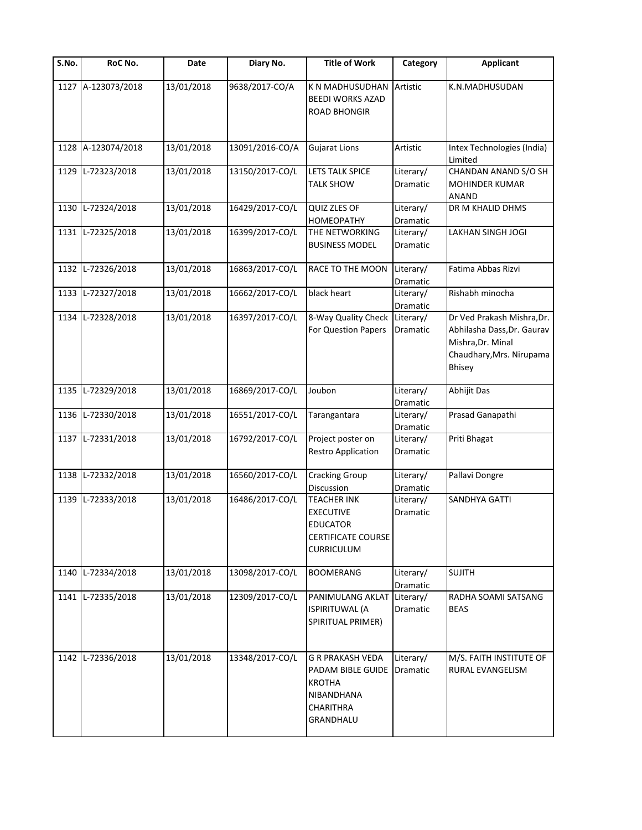| $\overline{\mathsf{S}}$ . No. | RoC No.           | Date       | Diary No.       | <b>Title of Work</b>                                                                                        | Category                     | <b>Applicant</b>                                                                                                    |
|-------------------------------|-------------------|------------|-----------------|-------------------------------------------------------------------------------------------------------------|------------------------------|---------------------------------------------------------------------------------------------------------------------|
| 1127                          | A-123073/2018     | 13/01/2018 | 9638/2017-CO/A  | K N MADHUSUDHAN<br><b>BEEDI WORKS AZAD</b><br><b>ROAD BHONGIR</b>                                           | Artistic                     | K.N.MADHUSUDAN                                                                                                      |
| 1128                          | A-123074/2018     | 13/01/2018 | 13091/2016-CO/A | <b>Gujarat Lions</b>                                                                                        | Artistic                     | Intex Technologies (India)<br>Limited                                                                               |
| 1129                          | L-72323/2018      | 13/01/2018 | 13150/2017-CO/L | <b>LETS TALK SPICE</b><br><b>TALK SHOW</b>                                                                  | Literary/<br>Dramatic        | CHANDAN ANAND S/O SH<br><b>MOHINDER KUMAR</b><br><b>ANAND</b>                                                       |
| 1130                          | L-72324/2018      | 13/01/2018 | 16429/2017-CO/L | QUIZ ZLES OF<br>HOMEOPATHY                                                                                  | Literary/<br>Dramatic        | DR M KHALID DHMS                                                                                                    |
| 1131                          | L-72325/2018      | 13/01/2018 | 16399/2017-CO/L | THE NETWORKING<br><b>BUSINESS MODEL</b>                                                                     | Literary/<br>Dramatic        | LAKHAN SINGH JOGI                                                                                                   |
|                               | 1132 L-72326/2018 | 13/01/2018 | 16863/2017-CO/L | RACE TO THE MOON                                                                                            | Literary/<br>Dramatic        | Fatima Abbas Rizvi                                                                                                  |
| 1133                          | L-72327/2018      | 13/01/2018 | 16662/2017-CO/L | black heart                                                                                                 | Literary/<br>Dramatic        | Rishabh minocha                                                                                                     |
| 1134                          | L-72328/2018      | 13/01/2018 | 16397/2017-CO/L | 8-Way Quality Check<br>For Question Papers                                                                  | Literary/<br>Dramatic        | Dr Ved Prakash Mishra, Dr.<br>Abhilasha Dass, Dr. Gaurav<br>Mishra, Dr. Minal<br>Chaudhary, Mrs. Nirupama<br>Bhisey |
| 1135                          | L-72329/2018      | 13/01/2018 | 16869/2017-CO/L | Joubon                                                                                                      | Literary/<br>Dramatic        | Abhijit Das                                                                                                         |
| 1136                          | L-72330/2018      | 13/01/2018 | 16551/2017-CO/L | Tarangantara                                                                                                | Literary/<br>Dramatic        | Prasad Ganapathi                                                                                                    |
| 1137                          | L-72331/2018      | 13/01/2018 | 16792/2017-CO/L | Project poster on<br>Restro Application                                                                     | Literary/<br>Dramatic        | Priti Bhagat                                                                                                        |
| 1138                          | L-72332/2018      | 13/01/2018 | 16560/2017-CO/L | <b>Cracking Group</b><br>Discussion                                                                         | Literary/<br>Dramatic        | Pallavi Dongre                                                                                                      |
| 1139                          | L-72333/2018      | 13/01/2018 | 16486/2017-CO/L | <b>TEACHER INK</b><br><b>EXECUTIVE</b><br><b>EDUCATOR</b><br><b>CERTIFICATE COURSE</b><br><b>CURRICULUM</b> | Literary/<br><b>Dramatic</b> | SANDHYA GATTI                                                                                                       |
| 1140                          | L-72334/2018      | 13/01/2018 | 13098/2017-CO/L | <b>BOOMERANG</b>                                                                                            | Literary/<br>Dramatic        | <b>SUJITH</b>                                                                                                       |
| 1141                          | L-72335/2018      | 13/01/2018 | 12309/2017-CO/L | PANIMULANG AKLAT Literary/<br><b>ISPIRITUWAL (A</b><br>SPIRITUAL PRIMER)                                    | Dramatic                     | RADHA SOAMI SATSANG<br><b>BEAS</b>                                                                                  |
|                               | 1142 L-72336/2018 | 13/01/2018 | 13348/2017-CO/L | <b>G R PRAKASH VEDA</b><br>PADAM BIBLE GUIDE<br><b>KROTHA</b><br>NIBANDHANA<br>CHARITHRA<br>GRANDHALU       | Literary/<br>Dramatic        | M/S. FAITH INSTITUTE OF<br>RURAL EVANGELISM                                                                         |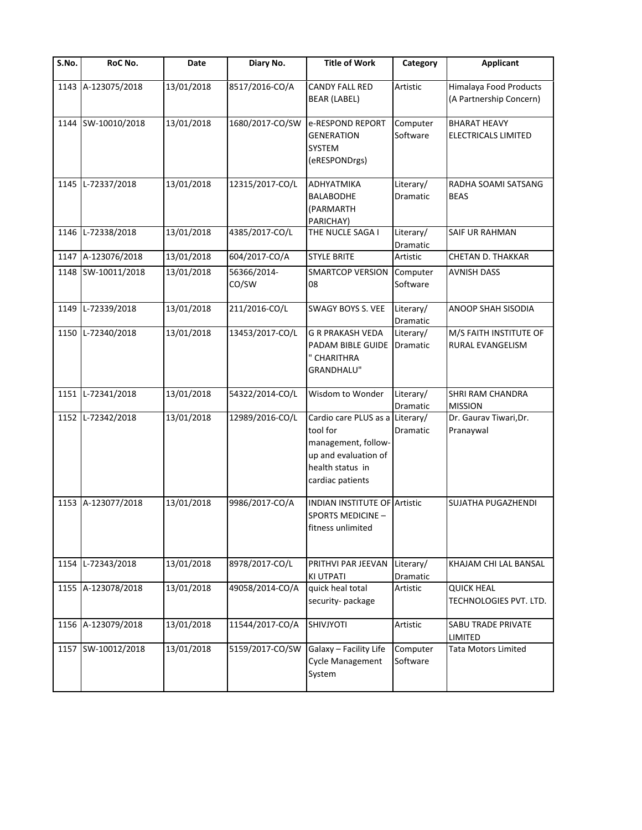| S.No. | RoC No.            | Date       | Diary No.            | <b>Title of Work</b>                                                                                                               | Category              | <b>Applicant</b>                                  |
|-------|--------------------|------------|----------------------|------------------------------------------------------------------------------------------------------------------------------------|-----------------------|---------------------------------------------------|
|       | 1143 A-123075/2018 | 13/01/2018 | 8517/2016-CO/A       | <b>CANDY FALL RED</b><br><b>BEAR (LABEL)</b>                                                                                       | Artistic              | Himalaya Food Products<br>(A Partnership Concern) |
| 1144  | SW-10010/2018      | 13/01/2018 | 1680/2017-CO/SW      | e-RESPOND REPORT<br><b>GENERATION</b><br><b>SYSTEM</b><br>(eRESPONDrgs)                                                            | Computer<br>Software  | <b>BHARAT HEAVY</b><br><b>ELECTRICALS LIMITED</b> |
| 1145  | L-72337/2018       | 13/01/2018 | 12315/2017-CO/L      | ΑΟΗΥΑΤΜΙΚΑ<br><b>BALABODHE</b><br>(PARMARTH<br>PARICHAY)                                                                           | Literary/<br>Dramatic | RADHA SOAMI SATSANG<br><b>BEAS</b>                |
| 1146  | L-72338/2018       | 13/01/2018 | 4385/2017-CO/L       | THE NUCLE SAGA I                                                                                                                   | Literary/<br>Dramatic | SAIF UR RAHMAN                                    |
|       | 1147 A-123076/2018 | 13/01/2018 | 604/2017-CO/A        | <b>STYLE BRITE</b>                                                                                                                 | Artistic              | CHETAN D. THAKKAR                                 |
|       | 1148 SW-10011/2018 | 13/01/2018 | 56366/2014-<br>CO/SW | <b>SMARTCOP VERSION</b><br>08                                                                                                      | Computer<br>Software  | <b>AVNISH DASS</b>                                |
| 1149  | L-72339/2018       | 13/01/2018 | 211/2016-CO/L        | SWAGY BOYS S. VEE                                                                                                                  | Literary/<br>Dramatic | ANOOP SHAH SISODIA                                |
| 1150  | L-72340/2018       | 13/01/2018 | 13453/2017-CO/L      | G R PRAKASH VEDA<br>PADAM BIBLE GUIDE<br>" CHARITHRA<br>GRANDHALU"                                                                 | Literary/<br>Dramatic | M/S FAITH INSTITUTE OF<br>RURAL EVANGELISM        |
|       | 1151 L-72341/2018  | 13/01/2018 | 54322/2014-CO/L      | Wisdom to Wonder                                                                                                                   | Literary/<br>Dramatic | <b>SHRI RAM CHANDRA</b><br><b>MISSION</b>         |
| 1152  | L-72342/2018       | 13/01/2018 | 12989/2016-CO/L      | Cardio care PLUS as a Literary/<br>tool for<br>management, follow-<br>up and evaluation of<br>health status in<br>cardiac patients | Dramatic              | Dr. Gaurav Tiwari, Dr.<br>Pranaywal               |
|       | 1153 A-123077/2018 | 13/01/2018 | 9986/2017-CO/A       | <b>INDIAN INSTITUTE OF Artistic</b><br>SPORTS MEDICINE -<br>fitness unlimited                                                      |                       | SUJATHA PUGAZHENDI                                |
| 1154  | L-72343/2018       | 13/01/2018 | 8978/2017-CO/L       | PRITHVI PAR JEEVAN<br><b>KI UTPATI</b>                                                                                             | Literary/<br>Dramatic | KHAJAM CHI LAL BANSAL                             |
|       | 1155 A-123078/2018 | 13/01/2018 | 49058/2014-CO/A      | quick heal total<br>security-package                                                                                               | Artistic              | <b>QUICK HEAL</b><br>TECHNOLOGIES PVT. LTD.       |
|       | 1156 A-123079/2018 | 13/01/2018 | 11544/2017-CO/A      | SHIVJYOTI                                                                                                                          | Artistic              | SABU TRADE PRIVATE<br>LIMITED                     |
|       | 1157 SW-10012/2018 | 13/01/2018 | 5159/2017-CO/SW      | Galaxy - Facility Life<br><b>Cycle Management</b><br>System                                                                        | Computer<br>Software  | Tata Motors Limited                               |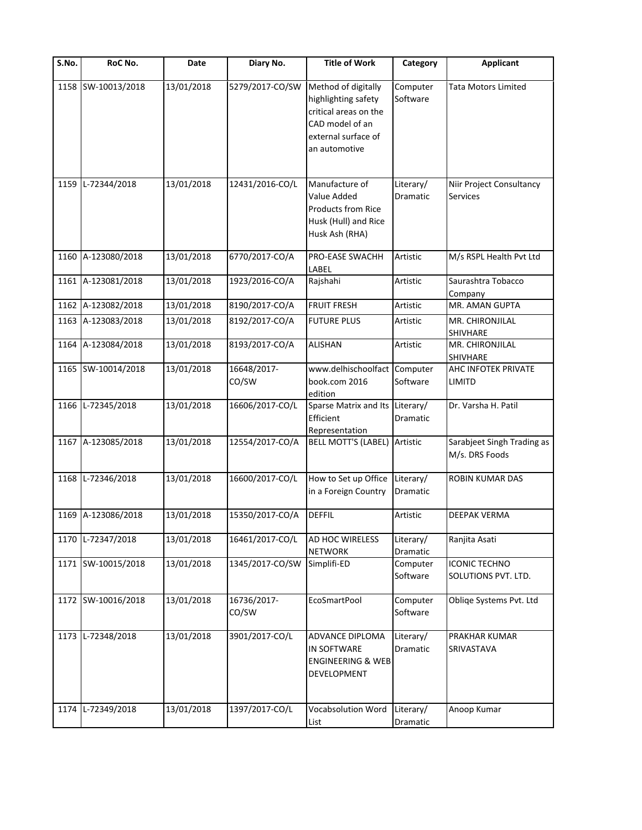| S.No. | RoC No.            | Date       | Diary No.            | <b>Title of Work</b>                                                                                                           | Category              | <b>Applicant</b>                             |
|-------|--------------------|------------|----------------------|--------------------------------------------------------------------------------------------------------------------------------|-----------------------|----------------------------------------------|
|       | 1158 SW-10013/2018 | 13/01/2018 | 5279/2017-CO/SW      | Method of digitally<br>highlighting safety<br>critical areas on the<br>CAD model of an<br>external surface of<br>an automotive | Computer<br>Software  | <b>Tata Motors Limited</b>                   |
| 1159  | L-72344/2018       | 13/01/2018 | 12431/2016-CO/L      | Manufacture of<br>Value Added<br>Products from Rice<br>Husk (Hull) and Rice<br>Husk Ash (RHA)                                  | Literary/<br>Dramatic | Niir Project Consultancy<br><b>Services</b>  |
| 1160  | A-123080/2018      | 13/01/2018 | 6770/2017-CO/A       | PRO-EASE SWACHH<br>LABEL                                                                                                       | Artistic              | M/s RSPL Health Pvt Ltd                      |
| 1161  | A-123081/2018      | 13/01/2018 | 1923/2016-CO/A       | Rajshahi                                                                                                                       | Artistic              | Saurashtra Tobacco<br>Company                |
| 1162  | A-123082/2018      | 13/01/2018 | 8190/2017-CO/A       | <b>FRUIT FRESH</b>                                                                                                             | Artistic              | MR. AMAN GUPTA                               |
| 1163  | A-123083/2018      | 13/01/2018 | 8192/2017-CO/A       | <b>FUTURE PLUS</b>                                                                                                             | Artistic              | MR. CHIRONJILAL<br>SHIVHARE                  |
| 1164  | A-123084/2018      | 13/01/2018 | 8193/2017-CO/A       | <b>ALISHAN</b>                                                                                                                 | Artistic              | MR. CHIRONJILAL<br>SHIVHARE                  |
|       | 1165 SW-10014/2018 | 13/01/2018 | 16648/2017-<br>CO/SW | www.delhischoolfact<br>book.com 2016<br>edition                                                                                | Computer<br>Software  | AHC INFOTEK PRIVATE<br><b>LIMITD</b>         |
|       | 1166 L-72345/2018  | 13/01/2018 | 16606/2017-CO/L      | Sparse Matrix and Its<br>Efficient<br>Representation                                                                           | Literary/<br>Dramatic | Dr. Varsha H. Patil                          |
|       | 1167 A-123085/2018 | 13/01/2018 | 12554/2017-CO/A      | <b>BELL MOTT'S (LABEL)</b>                                                                                                     | Artistic              | Sarabjeet Singh Trading as<br>M/s. DRS Foods |
| 1168  | L-72346/2018       | 13/01/2018 | 16600/2017-CO/L      | How to Set up Office<br>in a Foreign Country                                                                                   | Literary/<br>Dramatic | ROBIN KUMAR DAS                              |
|       | 1169 A-123086/2018 | 13/01/2018 | 15350/2017-CO/A      | <b>DEFFIL</b>                                                                                                                  | Artistic              | <b>DEEPAK VERMA</b>                          |
| 1170  | L-72347/2018       | 13/01/2018 | 16461/2017-CO/L      | AD HOC WIRELESS<br><b>NETWORK</b>                                                                                              | Literary/<br>Dramatic | Ranjita Asati                                |
|       | 1171 SW-10015/2018 | 13/01/2018 | 1345/2017-CO/SW      | Simplifi-ED                                                                                                                    | Computer<br>Software  | <b>ICONIC TECHNO</b><br>SOLUTIONS PVT. LTD.  |
|       | 1172 SW-10016/2018 | 13/01/2018 | 16736/2017-<br>CO/SW | <b>EcoSmartPool</b>                                                                                                            | Computer<br>Software  | Obliqe Systems Pvt. Ltd                      |
| 1173  | L-72348/2018       | 13/01/2018 | 3901/2017-CO/L       | ADVANCE DIPLOMA<br>IN SOFTWARE<br><b>ENGINEERING &amp; WEB</b><br>DEVELOPMENT                                                  | Literary/<br>Dramatic | PRAKHAR KUMAR<br>SRIVASTAVA                  |
| 1174  | L-72349/2018       | 13/01/2018 | 1397/2017-CO/L       | Vocabsolution Word<br>List                                                                                                     | Literary/<br>Dramatic | Anoop Kumar                                  |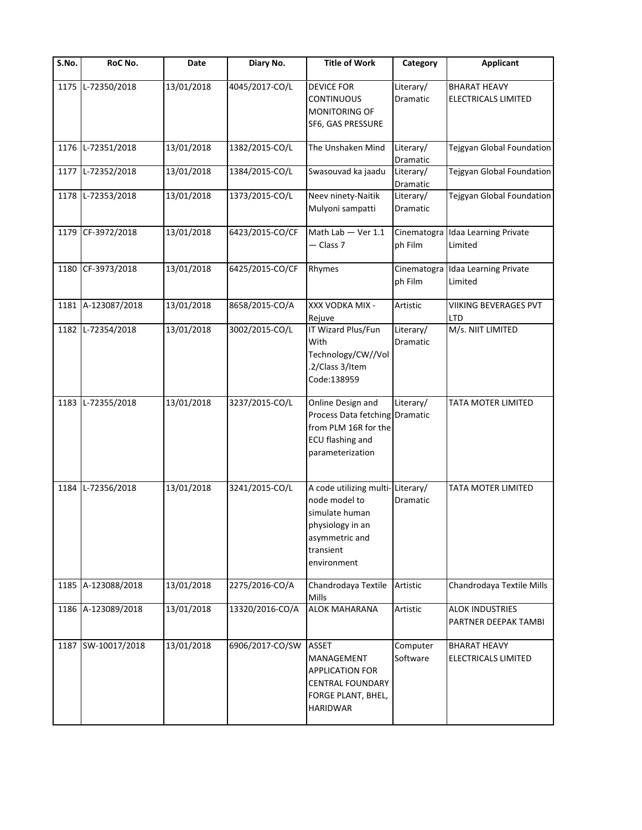| S.No. | RoC No.            | Date       | Diary No.       | <b>Title of Work</b>                                                                                                                  | Category                     | <b>Applicant</b>                               |
|-------|--------------------|------------|-----------------|---------------------------------------------------------------------------------------------------------------------------------------|------------------------------|------------------------------------------------|
| 1175  | L-72350/2018       | 13/01/2018 | 4045/2017-CO/L  | <b>DEVICE FOR</b><br><b>CONTINUOUS</b><br><b>MONITORING OF</b><br>SF6, GAS PRESSURE                                                   | Literary/<br>Dramatic        | <b>BHARAT HEAVY</b><br>ELECTRICALS LIMITED     |
| 1176  | L-72351/2018       | 13/01/2018 | 1382/2015-CO/L  | The Unshaken Mind                                                                                                                     | Literary/<br>Dramatic        | Tejgyan Global Foundation                      |
| 1177  | L-72352/2018       | 13/01/2018 | 1384/2015-CO/L  | Swasouvad ka jaadu                                                                                                                    | Literary/<br>Dramatic        | Tejgyan Global Foundation                      |
| 1178  | L-72353/2018       | 13/01/2018 | 1373/2015-CO/L  | Neev ninety-Naitik<br>Mulyoni sampatti                                                                                                | Literary/<br>Dramatic        | Tejgyan Global Foundation                      |
|       | 1179 CF-3972/2018  | 13/01/2018 | 6423/2015-CO/CF | Math Lab - Ver 1.1<br>- Class 7                                                                                                       | Cinematogra<br>ph Film       | Idaa Learning Private<br>Limited               |
|       | 1180 CF-3973/2018  | 13/01/2018 | 6425/2015-CO/CF | Rhymes                                                                                                                                | Cinematogra<br>ph Film       | Idaa Learning Private<br>Limited               |
|       | 1181 A-123087/2018 | 13/01/2018 | 8658/2015-CO/A  | XXX VODKA MIX -<br>Rejuve                                                                                                             | Artistic                     | VIIKING BEVERAGES PVT<br>LTD                   |
| 1182  | L-72354/2018       | 13/01/2018 | 3002/2015-CO/L  | IT Wizard Plus/Fun<br>With<br>Technology/CW//Vol<br>.2/Class 3/Item<br>Code:138959                                                    | Literary/<br><b>Dramatic</b> | M/s. NIIT LIMITED                              |
| 1183  | L-72355/2018       | 13/01/2018 | 3237/2015-CO/L  | Online Design and<br>Process Data fetching<br>from PLM 16R for the<br><b>ECU flashing and</b><br>parameterization                     | Literary/<br>Dramatic        | TATA MOTER LIMITED                             |
| 1184  | L-72356/2018       | 13/01/2018 | 3241/2015-CO/L  | A code utilizing multi-Literary/<br>node model to<br>simulate human<br>physiology in an<br>asymmetric and<br>transient<br>environment | <b>Dramatic</b>              | TATA MOTER LIMITED                             |
|       | 1185 A-123088/2018 | 13/01/2018 | 2275/2016-CO/A  | Chandrodaya Textile<br>Mills                                                                                                          | Artistic                     | Chandrodaya Textile Mills                      |
|       | 1186 A-123089/2018 | 13/01/2018 | 13320/2016-CO/A | <b>ALOK MAHARANA</b>                                                                                                                  | Artistic                     | <b>ALOK INDUSTRIES</b><br>PARTNER DEEPAK TAMBI |
|       | 1187 SW-10017/2018 | 13/01/2018 | 6906/2017-CO/SW | <b>ASSET</b><br>MANAGEMENT<br><b>APPLICATION FOR</b><br><b>CENTRAL FOUNDARY</b><br>FORGE PLANT, BHEL,<br><b>HARIDWAR</b>              | Computer<br>Software         | <b>BHARAT HEAVY</b><br>ELECTRICALS LIMITED     |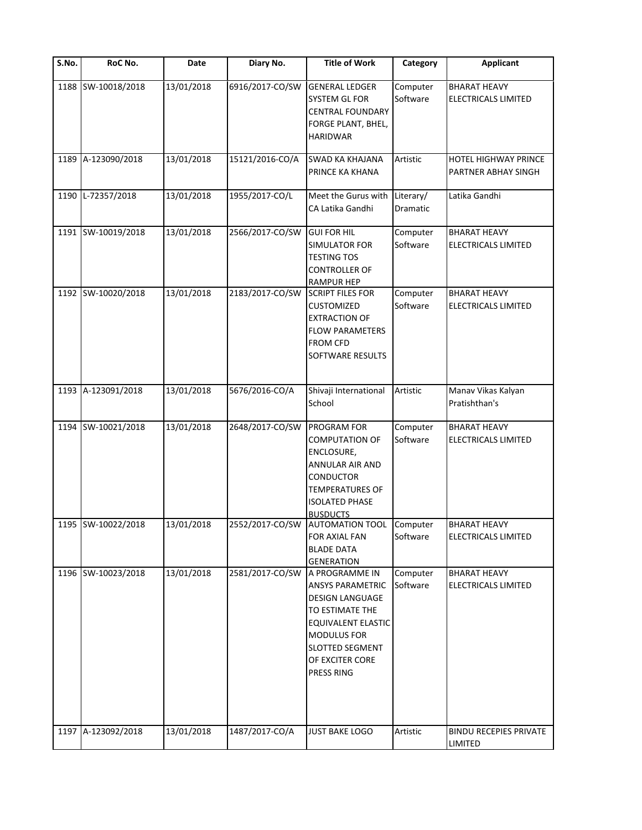| $\overline{\mathsf{S}}$ . No. | RoC No.            | Date       | Diary No.       | <b>Title of Work</b>                                                                                                                                                                                 | Category              | <b>Applicant</b>                                  |
|-------------------------------|--------------------|------------|-----------------|------------------------------------------------------------------------------------------------------------------------------------------------------------------------------------------------------|-----------------------|---------------------------------------------------|
|                               | 1188 SW-10018/2018 | 13/01/2018 | 6916/2017-CO/SW | <b>GENERAL LEDGER</b><br><b>SYSTEM GL FOR</b><br><b>CENTRAL FOUNDARY</b><br>FORGE PLANT, BHEL,<br><b>HARIDWAR</b>                                                                                    | Computer<br>Software  | <b>BHARAT HEAVY</b><br>ELECTRICALS LIMITED        |
| 1189                          | A-123090/2018      | 13/01/2018 | 15121/2016-CO/A | <b>SWAD KA KHAJANA</b><br>PRINCE KA KHANA                                                                                                                                                            | Artistic              | HOTEL HIGHWAY PRINCE<br>PARTNER ABHAY SINGH       |
| 1190                          | L-72357/2018       | 13/01/2018 | 1955/2017-CO/L  | Meet the Gurus with<br>CA Latika Gandhi                                                                                                                                                              | Literary/<br>Dramatic | Latika Gandhi                                     |
|                               | 1191 SW-10019/2018 | 13/01/2018 | 2566/2017-CO/SW | <b>GUI FOR HIL</b><br>SIMULATOR FOR<br><b>TESTING TOS</b><br><b>CONTROLLER OF</b><br><b>RAMPUR HEP</b>                                                                                               | Computer<br>Software  | BHARAT HEAVY<br><b>ELECTRICALS LIMITED</b>        |
|                               | 1192 SW-10020/2018 | 13/01/2018 | 2183/2017-CO/SW | <b>SCRIPT FILES FOR</b><br><b>CUSTOMIZED</b><br><b>EXTRACTION OF</b><br><b>FLOW PARAMETERS</b><br><b>FROM CFD</b><br><b>SOFTWARE RESULTS</b>                                                         | Computer<br>Software  | <b>BHARAT HEAVY</b><br><b>ELECTRICALS LIMITED</b> |
| 1193                          | A-123091/2018      | 13/01/2018 | 5676/2016-CO/A  | Shivaji International<br>School                                                                                                                                                                      | Artistic              | Manav Vikas Kalyan<br>Pratishthan's               |
| 1194                          | SW-10021/2018      | 13/01/2018 | 2648/2017-CO/SW | <b>PROGRAM FOR</b><br><b>COMPUTATION OF</b><br>ENCLOSURE,<br>ANNULAR AIR AND<br>CONDUCTOR<br><b>TEMPERATURES OF</b><br><b>ISOLATED PHASE</b>                                                         | Computer<br>Software  | <b>BHARAT HEAVY</b><br><b>ELECTRICALS LIMITED</b> |
|                               | 1195 SW-10022/2018 | 13/01/2018 |                 | <b>BUSDUCTS</b><br>2552/2017-CO/SW AUTOMATION TOOL Computer<br><b>FOR AXIAL FAN</b><br><b>BLADE DATA</b><br><b>GENERATION</b>                                                                        | Software              | <b>BHARAT HEAVY</b><br><b>ELECTRICALS LIMITED</b> |
|                               | 1196 SW-10023/2018 | 13/01/2018 | 2581/2017-CO/SW | A PROGRAMME IN<br><b>ANSYS PARAMETRIC</b><br><b>DESIGN LANGUAGE</b><br>TO ESTIMATE THE<br><b>EQUIVALENT ELASTIC</b><br><b>MODULUS FOR</b><br><b>SLOTTED SEGMENT</b><br>OF EXCITER CORE<br>PRESS RING | Computer<br>Software  | <b>BHARAT HEAVY</b><br>ELECTRICALS LIMITED        |
| 1197                          | A-123092/2018      | 13/01/2018 | 1487/2017-CO/A  | JUST BAKE LOGO                                                                                                                                                                                       | Artistic              | <b>BINDU RECEPIES PRIVATE</b><br>LIMITED          |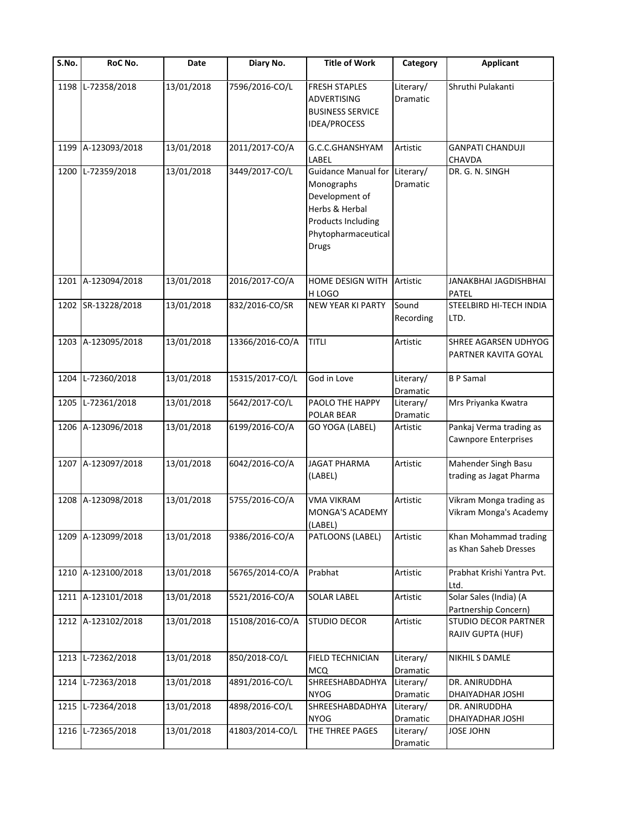| $\overline{\mathsf{S}}$ . No. | RoC No.            | Date       | Diary No.       | <b>Title of Work</b>                                                                                                                      | Category              | <b>Applicant</b>                                  |
|-------------------------------|--------------------|------------|-----------------|-------------------------------------------------------------------------------------------------------------------------------------------|-----------------------|---------------------------------------------------|
| 1198                          | L-72358/2018       | 13/01/2018 | 7596/2016-CO/L  | <b>FRESH STAPLES</b><br><b>ADVERTISING</b><br><b>BUSINESS SERVICE</b><br>IDEA/PROCESS                                                     | Literary/<br>Dramatic | Shruthi Pulakanti                                 |
| 1199                          | A-123093/2018      | 13/01/2018 | 2011/2017-CO/A  | G.C.C.GHANSHYAM<br>LABEL                                                                                                                  | Artistic              | <b>GANPATI CHANDUJI</b><br><b>CHAVDA</b>          |
| 1200                          | L-72359/2018       | 13/01/2018 | 3449/2017-CO/L  | <b>Guidance Manual for</b><br>Monographs<br>Development of<br>Herbs & Herbal<br>Products Including<br>Phytopharmaceutical<br><b>Drugs</b> | Literary/<br>Dramatic | DR. G. N. SINGH                                   |
|                               | 1201 A-123094/2018 | 13/01/2018 | 2016/2017-CO/A  | HOME DESIGN WITH<br>H LOGO                                                                                                                | Artistic              | JANAKBHAI JAGDISHBHAI<br><b>PATEL</b>             |
|                               | 1202 SR-13228/2018 | 13/01/2018 | 832/2016-CO/SR  | <b>NEW YEAR KI PARTY</b>                                                                                                                  | Sound<br>Recording    | STEELBIRD HI-TECH INDIA<br>LTD.                   |
|                               | 1203 A-123095/2018 | 13/01/2018 | 13366/2016-CO/A | <b>TITLI</b>                                                                                                                              | Artistic              | SHREE AGARSEN UDHYOG<br>PARTNER KAVITA GOYAL      |
| 1204                          | L-72360/2018       | 13/01/2018 | 15315/2017-CO/L | God in Love                                                                                                                               | Literary/<br>Dramatic | <b>BP</b> Samal                                   |
| 1205                          | L-72361/2018       | 13/01/2018 | 5642/2017-CO/L  | PAOLO THE HAPPY<br>POLAR BEAR                                                                                                             | Literary/<br>Dramatic | Mrs Priyanka Kwatra                               |
|                               | 1206 A-123096/2018 | 13/01/2018 | 6199/2016-CO/A  | GO YOGA (LABEL)                                                                                                                           | Artistic              | Pankaj Verma trading as<br>Cawnpore Enterprises   |
|                               | 1207 A-123097/2018 | 13/01/2018 | 6042/2016-CO/A  | <b>JAGAT PHARMA</b><br>(LABEL)                                                                                                            | Artistic              | Mahender Singh Basu<br>trading as Jagat Pharma    |
|                               | 1208 A-123098/2018 | 13/01/2018 | 5755/2016-CO/A  | <b>VMA VIKRAM</b><br>MONGA'S ACADEMY<br>(LABEL)                                                                                           | Artistic              | Vikram Monga trading as<br>Vikram Monga's Academy |
|                               | 1209 A-123099/2018 | 13/01/2018 | 9386/2016-CO/A  | PATLOONS (LABEL)                                                                                                                          | Artistic              | Khan Mohammad trading<br>as Khan Saheb Dresses    |
| 1210                          | A-123100/2018      | 13/01/2018 | 56765/2014-CO/A | Prabhat                                                                                                                                   | Artistic              | Prabhat Krishi Yantra Pvt.<br>Ltd.                |
| 1211                          | A-123101/2018      | 13/01/2018 | 5521/2016-CO/A  | SOLAR LABEL                                                                                                                               | Artistic              | Solar Sales (India) (A<br>Partnership Concern)    |
|                               | 1212 A-123102/2018 | 13/01/2018 | 15108/2016-CO/A | <b>STUDIO DECOR</b>                                                                                                                       | Artistic              | STUDIO DECOR PARTNER<br>RAJIV GUPTA (HUF)         |
| 1213                          | L-72362/2018       | 13/01/2018 | 850/2018-CO/L   | FIELD TECHNICIAN<br><b>MCQ</b>                                                                                                            | Literary/<br>Dramatic | NIKHIL S DAMLE                                    |
| 1214                          | L-72363/2018       | 13/01/2018 | 4891/2016-CO/L  | SHREESHABDADHYA<br><b>NYOG</b>                                                                                                            | Literary/<br>Dramatic | DR. ANIRUDDHA<br>DHAIYADHAR JOSHI                 |
| 1215                          | L-72364/2018       | 13/01/2018 | 4898/2016-CO/L  | SHREESHABDADHYA<br><b>NYOG</b>                                                                                                            | Literary/<br>Dramatic | DR. ANIRUDDHA<br>DHAIYADHAR JOSHI                 |
| 1216                          | L-72365/2018       | 13/01/2018 | 41803/2014-CO/L | THE THREE PAGES                                                                                                                           | Literary/<br>Dramatic | <b>JOSE JOHN</b>                                  |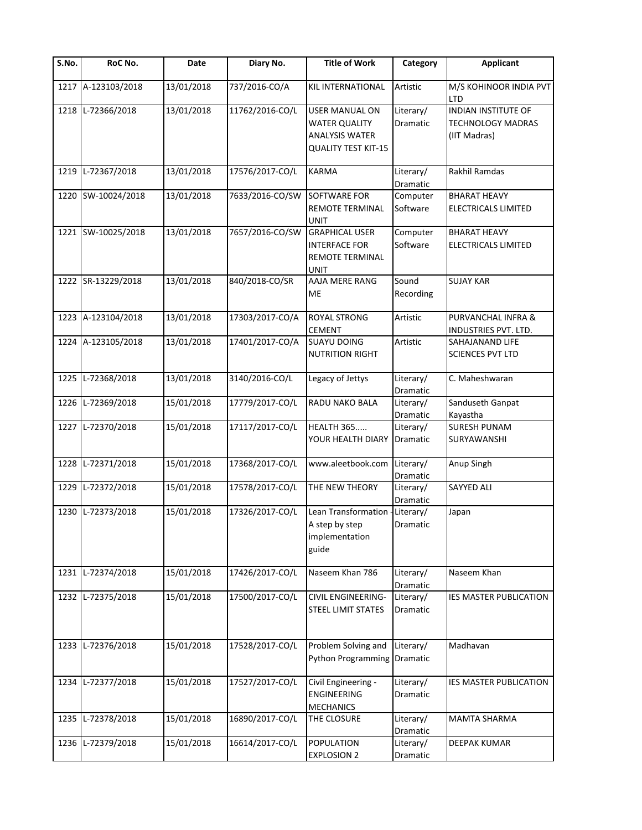| S.No. | RoC No.            | Date       | Diary No.       | <b>Title of Work</b>                                                                          | Category                     | <b>Applicant</b>                                                       |
|-------|--------------------|------------|-----------------|-----------------------------------------------------------------------------------------------|------------------------------|------------------------------------------------------------------------|
| 1217  | A-123103/2018      | 13/01/2018 | 737/2016-CO/A   | <b>KIL INTERNATIONAL</b>                                                                      | Artistic                     | M/S KOHINOOR INDIA PVT<br><b>LTD</b>                                   |
| 1218  | L-72366/2018       | 13/01/2018 | 11762/2016-CO/L | <b>USER MANUAL ON</b><br><b>WATER QUALITY</b><br>ANALYSIS WATER<br><b>QUALITY TEST KIT-15</b> | Literary/<br>Dramatic        | <b>INDIAN INSTITUTE OF</b><br><b>TECHNOLOGY MADRAS</b><br>(IIT Madras) |
| 1219  | L-72367/2018       | 13/01/2018 | 17576/2017-CO/L | <b>KARMA</b>                                                                                  | Literary/<br>Dramatic        | Rakhil Ramdas                                                          |
| 1220  | SW-10024/2018      | 13/01/2018 | 7633/2016-CO/SW | <b>SOFTWARE FOR</b><br>REMOTE TERMINAL<br><b>UNIT</b>                                         | Computer<br>Software         | <b>BHARAT HEAVY</b><br>ELECTRICALS LIMITED                             |
|       | 1221 SW-10025/2018 | 13/01/2018 | 7657/2016-CO/SW | <b>GRAPHICAL USER</b><br><b>INTERFACE FOR</b><br>REMOTE TERMINAL<br><b>UNIT</b>               | Computer<br>Software         | <b>BHARAT HEAVY</b><br>ELECTRICALS LIMITED                             |
|       | 1222 SR-13229/2018 | 13/01/2018 | 840/2018-CO/SR  | AAJA MERE RANG<br>ME                                                                          | Sound<br>Recording           | <b>SUJAY KAR</b>                                                       |
|       | 1223 A-123104/2018 | 13/01/2018 | 17303/2017-CO/A | <b>ROYAL STRONG</b><br><b>CEMENT</b>                                                          | Artistic                     | PURVANCHAL INFRA &<br>INDUSTRIES PVT. LTD.                             |
|       | 1224 A-123105/2018 | 13/01/2018 | 17401/2017-CO/A | <b>SUAYU DOING</b><br><b>NUTRITION RIGHT</b>                                                  | Artistic                     | SAHAJANAND LIFE<br><b>SCIENCES PVT LTD</b>                             |
| 1225  | L-72368/2018       | 13/01/2018 | 3140/2016-CO/L  | Legacy of Jettys                                                                              | Literary/<br>Dramatic        | C. Maheshwaran                                                         |
| 1226  | L-72369/2018       | 15/01/2018 | 17779/2017-CO/L | RADU NAKO BALA                                                                                | Literary/<br>Dramatic        | Sanduseth Ganpat<br>Kayastha                                           |
| 1227  | L-72370/2018       | 15/01/2018 | 17117/2017-CO/L | <b>HEALTH 365</b><br>YOUR HEALTH DIARY                                                        | Literary/<br><b>Dramatic</b> | <b>SURESH PUNAM</b><br>SURYAWANSHI                                     |
| 1228  | L-72371/2018       | 15/01/2018 | 17368/2017-CO/L | www.aleetbook.com                                                                             | Literary/<br>Dramatic        | Anup Singh                                                             |
| 1229  | L-72372/2018       | 15/01/2018 | 17578/2017-CO/L | THE NEW THEORY                                                                                | Literary/<br>Dramatic        | <b>SAYYED ALI</b>                                                      |
| 1230  | L-72373/2018       | 15/01/2018 | 17326/2017-CO/L | Lean Transformation -<br>A step by step<br>implementation<br>guide                            | Literary/<br>Dramatic        | Japan                                                                  |
| 1231  | L-72374/2018       | 15/01/2018 | 17426/2017-CO/L | Naseem Khan 786                                                                               | Literary/<br>Dramatic        | Naseem Khan                                                            |
| 1232  | L-72375/2018       | 15/01/2018 | 17500/2017-CO/L | CIVIL ENGINEERING-<br>STEEL LIMIT STATES                                                      | Literary/<br>Dramatic        | IES MASTER PUBLICATION                                                 |
|       | 1233 L-72376/2018  | 15/01/2018 | 17528/2017-CO/L | Problem Solving and<br>Python Programming                                                     | Literary/<br>Dramatic        | Madhavan                                                               |
| 1234  | L-72377/2018       | 15/01/2018 | 17527/2017-CO/L | Civil Engineering -<br><b>ENGINEERING</b><br><b>MECHANICS</b>                                 | Literary/<br>Dramatic        | IES MASTER PUBLICATION                                                 |
| 1235  | L-72378/2018       | 15/01/2018 | 16890/2017-CO/L | THE CLOSURE                                                                                   | Literary/<br>Dramatic        | <b>MAMTA SHARMA</b>                                                    |
| 1236  | L-72379/2018       | 15/01/2018 | 16614/2017-CO/L | <b>POPULATION</b><br><b>EXPLOSION 2</b>                                                       | Literary/<br>Dramatic        | DEEPAK KUMAR                                                           |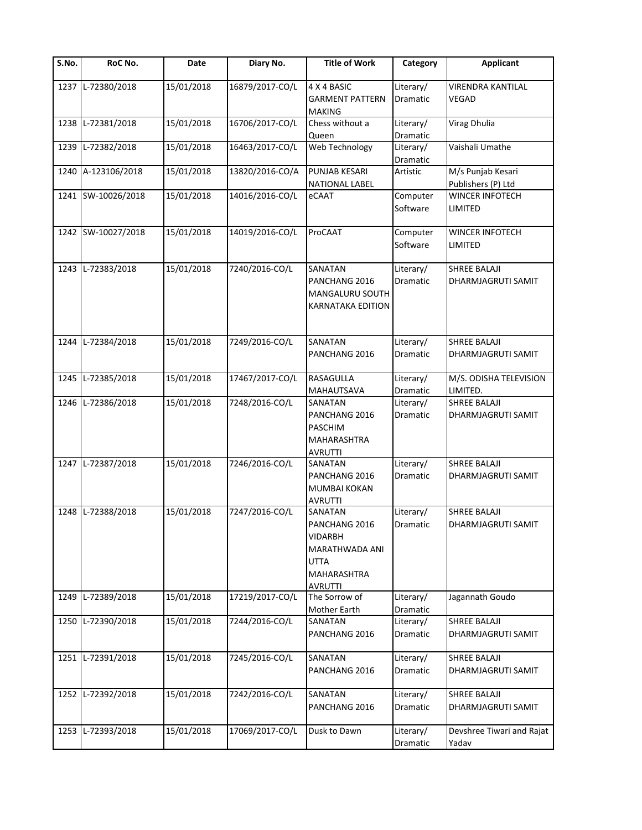| $\overline{\mathsf{S}}$ . No. | RoC No.            | Date       | Diary No.       | <b>Title of Work</b>                                                                                  | Category              | <b>Applicant</b>                                 |
|-------------------------------|--------------------|------------|-----------------|-------------------------------------------------------------------------------------------------------|-----------------------|--------------------------------------------------|
|                               | 1237 L-72380/2018  | 15/01/2018 | 16879/2017-CO/L | 4 X 4 BASIC<br><b>GARMENT PATTERN</b><br><b>MAKING</b>                                                | Literary/<br>Dramatic | <b>VIRENDRA KANTILAL</b><br><b>VEGAD</b>         |
| 1238                          | L-72381/2018       | 15/01/2018 | 16706/2017-CO/L | Chess without a<br>Queen                                                                              | Literary/<br>Dramatic | <b>Virag Dhulia</b>                              |
| 1239                          | L-72382/2018       | 15/01/2018 | 16463/2017-CO/L | Web Technology                                                                                        | Literary/<br>Dramatic | Vaishali Umathe                                  |
| 1240                          | A-123106/2018      | 15/01/2018 | 13820/2016-CO/A | <b>PUNJAB KESARI</b><br><b>NATIONAL LABEL</b>                                                         | Artistic              | M/s Punjab Kesari<br>Publishers (P) Ltd          |
|                               | 1241 SW-10026/2018 | 15/01/2018 | 14016/2016-CO/L | eCAAT                                                                                                 | Computer<br>Software  | WINCER INFOTECH<br>LIMITED                       |
|                               | 1242 SW-10027/2018 | 15/01/2018 | 14019/2016-CO/L | ProCAAT                                                                                               | Computer<br>Software  | WINCER INFOTECH<br><b>LIMITED</b>                |
| 1243                          | L-72383/2018       | 15/01/2018 | 7240/2016-CO/L  | SANATAN<br>PANCHANG 2016<br>MANGALURU SOUTH<br>KARNATAKA EDITION                                      | Literary/<br>Dramatic | <b>SHREE BALAJI</b><br><b>DHARMJAGRUTI SAMIT</b> |
| 1244                          | L-72384/2018       | 15/01/2018 | 7249/2016-CO/L  | <b>SANATAN</b><br>PANCHANG 2016                                                                       | Literary/<br>Dramatic | <b>SHREE BALAJI</b><br>DHARMJAGRUTI SAMIT        |
| 1245                          | L-72385/2018       | 15/01/2018 | 17467/2017-CO/L | RASAGULLA<br>MAHAUTSAVA                                                                               | Literary/<br>Dramatic | M/S. ODISHA TELEVISION<br>LIMITED.               |
| 1246                          | L-72386/2018       | 15/01/2018 | 7248/2016-CO/L  | SANATAN<br>PANCHANG 2016<br><b>PASCHIM</b><br>MAHARASHTRA<br><b>AVRUTTI</b>                           | Literary/<br>Dramatic | <b>SHREE BALAJI</b><br>DHARMJAGRUTI SAMIT        |
|                               | 1247 L-72387/2018  | 15/01/2018 | 7246/2016-CO/L  | SANATAN<br>PANCHANG 2016<br><b>MUMBAI KOKAN</b><br><b>AVRUTTI</b>                                     | Literary/<br>Dramatic | <b>SHREE BALAJI</b><br>DHARMJAGRUTI SAMIT        |
| 1248                          | L-72388/2018       | 15/01/2018 | 7247/2016-CO/L  | SANATAN<br>PANCHANG 2016<br>VIDARBH<br>MARATHWADA ANI<br><b>UTTA</b><br><b>MAHARASHTRA</b><br>AVRUTTI | Literary/<br>Dramatic | <b>SHREE BALAJI</b><br>DHARMJAGRUTI SAMIT        |
| 1249                          | L-72389/2018       | 15/01/2018 | 17219/2017-CO/L | The Sorrow of<br>Mother Earth                                                                         | Literary/<br>Dramatic | Jagannath Goudo                                  |
| 1250                          | L-72390/2018       | 15/01/2018 | 7244/2016-CO/L  | SANATAN<br>PANCHANG 2016                                                                              | Literary/<br>Dramatic | <b>SHREE BALAJI</b><br>DHARMJAGRUTI SAMIT        |
|                               | 1251 L-72391/2018  | 15/01/2018 | 7245/2016-CO/L  | SANATAN<br>PANCHANG 2016                                                                              | Literary/<br>Dramatic | <b>SHREE BALAJI</b><br>DHARMJAGRUTI SAMIT        |
| 1252                          | L-72392/2018       | 15/01/2018 | 7242/2016-CO/L  | SANATAN<br>PANCHANG 2016                                                                              | Literary/<br>Dramatic | <b>SHREE BALAJI</b><br>DHARMJAGRUTI SAMIT        |
| 1253                          | L-72393/2018       | 15/01/2018 | 17069/2017-CO/L | Dusk to Dawn                                                                                          | Literary/<br>Dramatic | Devshree Tiwari and Rajat<br>Yadav               |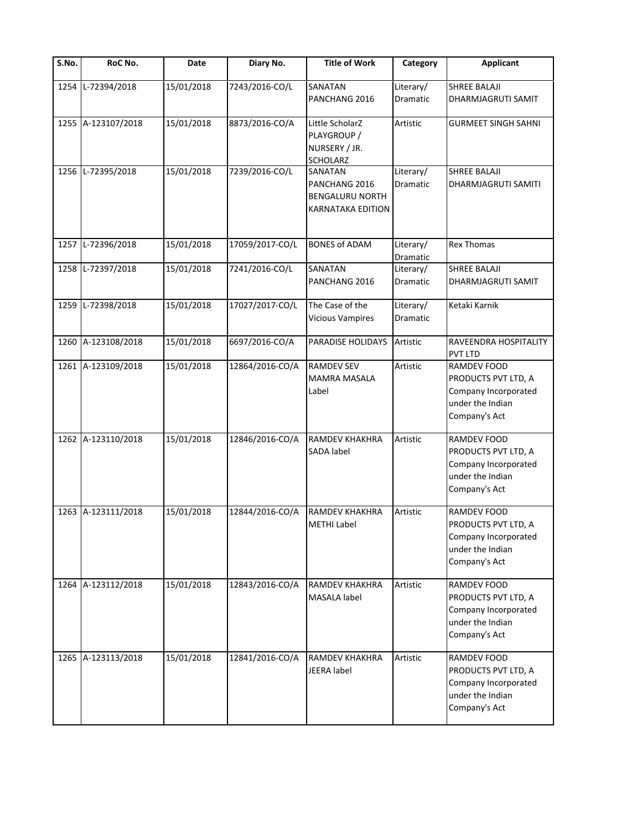| S.No. | RoC No.            | Date       | Diary No.       | <b>Title of Work</b>                                                    | Category              | <b>Applicant</b>                                                                                       |
|-------|--------------------|------------|-----------------|-------------------------------------------------------------------------|-----------------------|--------------------------------------------------------------------------------------------------------|
| 1254  | L-72394/2018       | 15/01/2018 | 7243/2016-CO/L  | SANATAN<br>PANCHANG 2016                                                | Literary/<br>Dramatic | <b>SHREE BALAJI</b><br>DHARMJAGRUTI SAMIT                                                              |
|       | 1255 A-123107/2018 | 15/01/2018 | 8873/2016-CO/A  | Little ScholarZ<br>PLAYGROUP /<br>NURSERY / JR.<br>SCHOLARZ             | Artistic              | <b>GURMEET SINGH SAHNI</b>                                                                             |
| 1256  | L-72395/2018       | 15/01/2018 | 7239/2016-CO/L  | SANATAN<br>PANCHANG 2016<br><b>BENGALURU NORTH</b><br>KARNATAKA EDITION | Literary/<br>Dramatic | <b>SHREE BALAJI</b><br>DHARMJAGRUTI SAMITI                                                             |
| 1257  | L-72396/2018       | 15/01/2018 | 17059/2017-CO/L | <b>BONES of ADAM</b>                                                    | Literary/<br>Dramatic | <b>Rex Thomas</b>                                                                                      |
| 1258  | L-72397/2018       | 15/01/2018 | 7241/2016-CO/L  | SANATAN<br>PANCHANG 2016                                                | Literary/<br>Dramatic | <b>SHREE BALAJI</b><br>DHARMJAGRUTI SAMIT                                                              |
| 1259  | L-72398/2018       | 15/01/2018 | 17027/2017-CO/L | The Case of the<br><b>Vicious Vampires</b>                              | Literary/<br>Dramatic | Ketaki Karnik                                                                                          |
| 1260  | A-123108/2018      | 15/01/2018 | 6697/2016-CO/A  | PARADISE HOLIDAYS                                                       | Artistic              | RAVEENDRA HOSPITALITY<br><b>PVT LTD</b>                                                                |
|       | 1261 A-123109/2018 | 15/01/2018 | 12864/2016-CO/A | <b>RAMDEV SEV</b><br><b>MAMRA MASALA</b><br>Label                       | Artistic              | <b>RAMDEV FOOD</b><br>PRODUCTS PVT LTD, A<br>Company Incorporated<br>under the Indian<br>Company's Act |
|       | 1262 A-123110/2018 | 15/01/2018 | 12846/2016-CO/A | RAMDEV KHAKHRA<br>SADA label                                            | Artistic              | RAMDEV FOOD<br>PRODUCTS PVT LTD, A<br>Company Incorporated<br>under the Indian<br>Company's Act        |
|       | 1263 A-123111/2018 | 15/01/2018 | 12844/2016-CO/A | <b>RAMDEV KHAKHRA</b><br><b>METHI Label</b>                             | Artistic              | RAMDEV FOOD<br>PRODUCTS PVT LTD, A<br>Company Incorporated<br>under the Indian<br>Company's Act        |
|       | 1264 A-123112/2018 | 15/01/2018 | 12843/2016-CO/A | RAMDEV KHAKHRA<br>MASALA label                                          | Artistic              | RAMDEV FOOD<br>PRODUCTS PVT LTD, A<br>Company Incorporated<br>under the Indian<br>Company's Act        |
|       | 1265 A-123113/2018 | 15/01/2018 | 12841/2016-CO/A | <b>RAMDEV KHAKHRA</b><br>JEERA label                                    | Artistic              | <b>RAMDEV FOOD</b><br>PRODUCTS PVT LTD, A<br>Company Incorporated<br>under the Indian<br>Company's Act |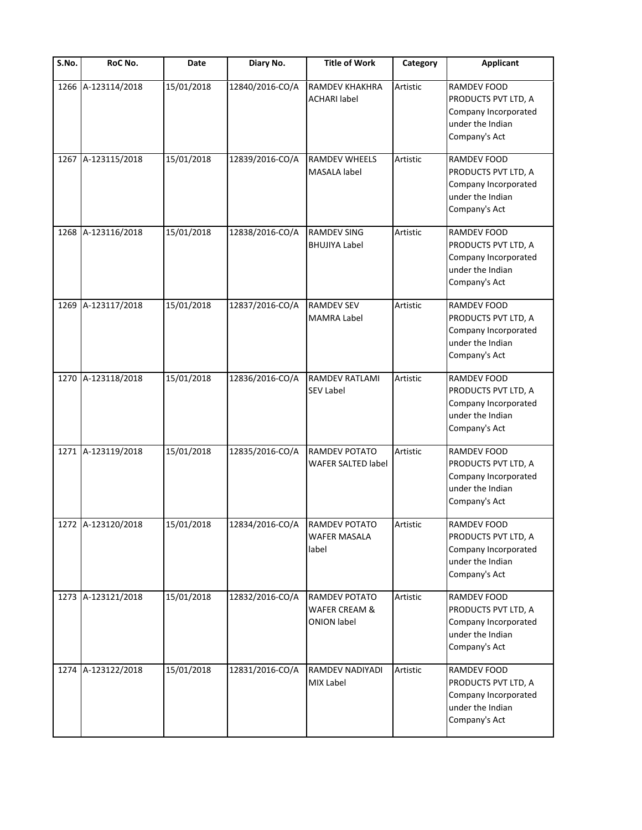| S.No. | RoC No.            | Date       | Diary No.                     | <b>Title of Work</b>                                 | Category | <b>Applicant</b>                                                                                       |
|-------|--------------------|------------|-------------------------------|------------------------------------------------------|----------|--------------------------------------------------------------------------------------------------------|
| 1266  | A-123114/2018      | 15/01/2018 | 12840/2016-CO/A               | <b>RAMDEV KHAKHRA</b><br><b>ACHARI</b> label         | Artistic | RAMDEV FOOD<br>PRODUCTS PVT LTD, A<br>Company Incorporated<br>under the Indian<br>Company's Act        |
| 1267  | A-123115/2018      | 15/01/2018 | 12839/2016-CO/A               | RAMDEV WHEELS<br>MASALA label                        | Artistic | <b>RAMDEV FOOD</b><br>PRODUCTS PVT LTD, A<br>Company Incorporated<br>under the Indian<br>Company's Act |
| 1268  | A-123116/2018      | 15/01/2018 | 12838/2016-CO/A               | <b>RAMDEV SING</b><br><b>BHUJIYA Label</b>           | Artistic | RAMDEV FOOD<br>PRODUCTS PVT LTD, A<br>Company Incorporated<br>under the Indian<br>Company's Act        |
| 1269  | A-123117/2018      | 15/01/2018 | 12837/2016-CO/A               | <b>RAMDEV SEV</b><br>MAMRA Label                     | Artistic | RAMDEV FOOD<br>PRODUCTS PVT LTD, A<br>Company Incorporated<br>under the Indian<br>Company's Act        |
| 1270  | A-123118/2018      | 15/01/2018 | 12836/2016-CO/A               | <b>RAMDEV RATLAMI</b><br><b>SEV Label</b>            | Artistic | RAMDEV FOOD<br>PRODUCTS PVT LTD, A<br>Company Incorporated<br>under the Indian<br>Company's Act        |
|       | 1271 A-123119/2018 | 15/01/2018 | 12835/2016-CO/A               | RAMDEV POTATO<br><b>WAFER SALTED label</b>           | Artistic | RAMDEV FOOD<br>PRODUCTS PVT LTD, A<br>Company Incorporated<br>under the Indian<br>Company's Act        |
|       | 1272 A-123120/2018 | 15/01/2018 | 12834/2016-CO/A RAMDEV POTATO | <b>WAFER MASALA</b><br>label                         | Artistic | RAMDEV FOOD<br>PRODUCTS PVT LTD, A<br>Company Incorporated<br>under the Indian<br>Company's Act        |
| 1273  | A-123121/2018      | 15/01/2018 | 12832/2016-CO/A               | RAMDEV POTATO<br>WAFER CREAM &<br><b>ONION label</b> | Artistic | RAMDEV FOOD<br>PRODUCTS PVT LTD, A<br>Company Incorporated<br>under the Indian<br>Company's Act        |
|       | 1274 A-123122/2018 | 15/01/2018 | 12831/2016-CO/A               | RAMDEV NADIYADI<br><b>MIX Label</b>                  | Artistic | RAMDEV FOOD<br>PRODUCTS PVT LTD, A<br>Company Incorporated<br>under the Indian<br>Company's Act        |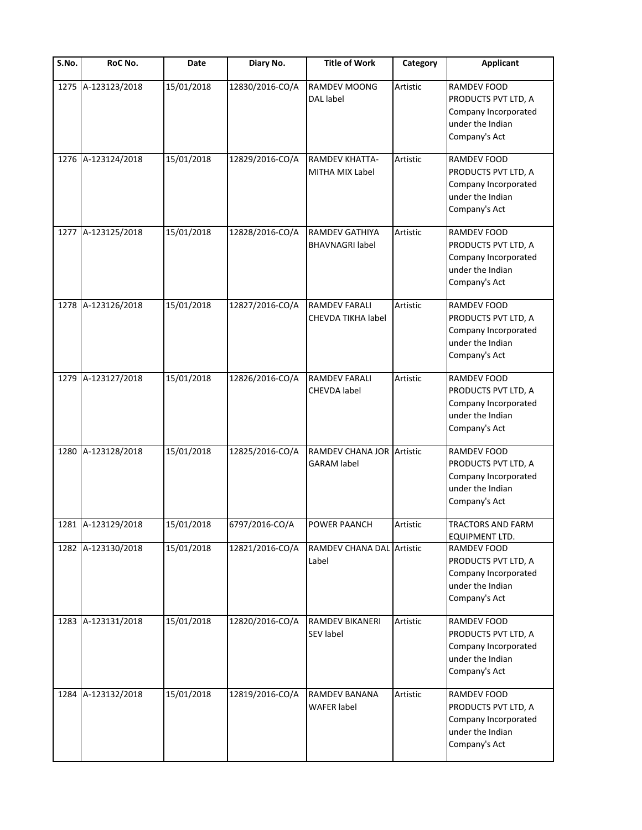| S.No. | RoC No.            | Date       | Diary No.       | <b>Title of Work</b>                            | Category | <b>Applicant</b>                                                                                       |
|-------|--------------------|------------|-----------------|-------------------------------------------------|----------|--------------------------------------------------------------------------------------------------------|
| 1275  | A-123123/2018      | 15/01/2018 | 12830/2016-CO/A | <b>RAMDEV MOONG</b><br><b>DAL</b> label         | Artistic | <b>RAMDEV FOOD</b><br>PRODUCTS PVT LTD, A<br>Company Incorporated<br>under the Indian<br>Company's Act |
|       | 1276 A-123124/2018 | 15/01/2018 | 12829/2016-CO/A | <b>RAMDEV KHATTA-</b><br><b>MITHA MIX Label</b> | Artistic | <b>RAMDEV FOOD</b><br>PRODUCTS PVT LTD, A<br>Company Incorporated<br>under the Indian<br>Company's Act |
|       | 1277 A-123125/2018 | 15/01/2018 | 12828/2016-CO/A | <b>RAMDEV GATHIYA</b><br><b>BHAVNAGRI label</b> | Artistic | RAMDEV FOOD<br>PRODUCTS PVT LTD, A<br>Company Incorporated<br>under the Indian<br>Company's Act        |
|       | 1278 A-123126/2018 | 15/01/2018 | 12827/2016-CO/A | <b>RAMDEV FARALI</b><br>CHEVDA TIKHA label      | Artistic | RAMDEV FOOD<br>PRODUCTS PVT LTD, A<br>Company Incorporated<br>under the Indian<br>Company's Act        |
|       | 1279 A-123127/2018 | 15/01/2018 | 12826/2016-CO/A | <b>RAMDEV FARALI</b><br><b>CHEVDA label</b>     | Artistic | RAMDEV FOOD<br>PRODUCTS PVT LTD, A<br>Company Incorporated<br>under the Indian<br>Company's Act        |
|       | 1280 A-123128/2018 | 15/01/2018 | 12825/2016-CO/A | RAMDEV CHANA JOR Artistic<br><b>GARAM label</b> |          | RAMDEV FOOD<br>PRODUCTS PVT LTD, A<br>Company Incorporated<br>under the Indian<br>Company's Act        |
|       | 1281 A-123129/2018 | 15/01/2018 | 6797/2016-CO/A  | POWER PAANCH                                    | Artistic | <b>TRACTORS AND FARM</b><br>EQUIPMENT LTD.                                                             |
|       | 1282 A-123130/2018 | 15/01/2018 | 12821/2016-CO/A | RAMDEV CHANA DAL Artistic<br>Label              |          | RAMDEV FOOD<br>PRODUCTS PVT LTD, A<br>Company Incorporated<br>under the Indian<br>Company's Act        |
|       | 1283 A-123131/2018 | 15/01/2018 | 12820/2016-CO/A | <b>RAMDEV BIKANERI</b><br><b>SEV label</b>      | Artistic | RAMDEV FOOD<br>PRODUCTS PVT LTD, A<br>Company Incorporated<br>under the Indian<br>Company's Act        |
| 1284  | A-123132/2018      | 15/01/2018 | 12819/2016-CO/A | RAMDEV BANANA<br><b>WAFER label</b>             | Artistic | RAMDEV FOOD<br>PRODUCTS PVT LTD, A<br>Company Incorporated<br>under the Indian<br>Company's Act        |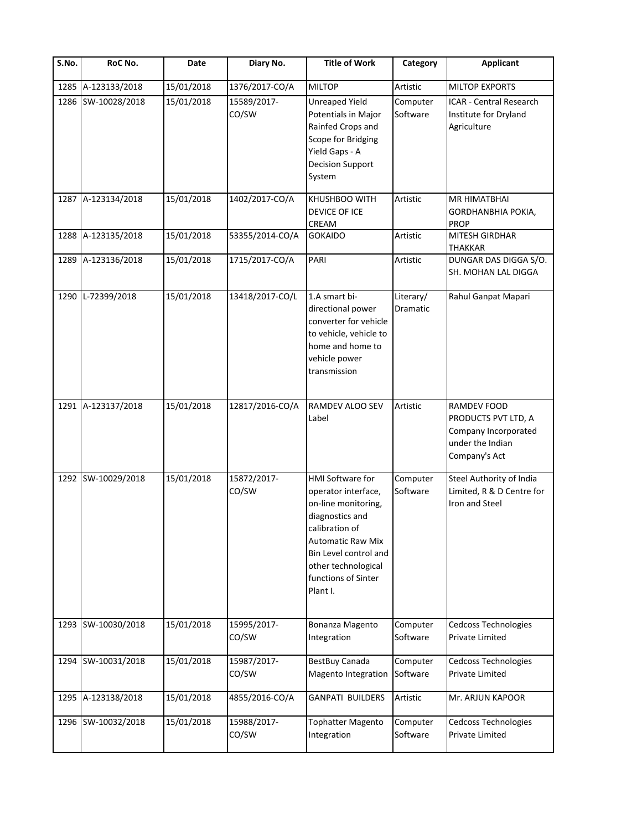| S.No. | RoC No.            | Date       | Diary No.            | <b>Title of Work</b>                                                                                                                                                                                        | Category                     | <b>Applicant</b>                                                                                       |
|-------|--------------------|------------|----------------------|-------------------------------------------------------------------------------------------------------------------------------------------------------------------------------------------------------------|------------------------------|--------------------------------------------------------------------------------------------------------|
| 1285  | A-123133/2018      | 15/01/2018 | 1376/2017-CO/A       | <b>MILTOP</b>                                                                                                                                                                                               | Artistic                     | <b>MILTOP EXPORTS</b>                                                                                  |
| 1286  | SW-10028/2018      | 15/01/2018 | 15589/2017-<br>CO/SW | <b>Unreaped Yield</b><br>Potentials in Major<br>Rainfed Crops and<br>Scope for Bridging<br>Yield Gaps - A<br><b>Decision Support</b><br>System                                                              | Computer<br>Software         | ICAR - Central Research<br>Institute for Dryland<br>Agriculture                                        |
| 1287  | A-123134/2018      | 15/01/2018 | 1402/2017-CO/A       | KHUSHBOO WITH<br>DEVICE OF ICE<br>CREAM                                                                                                                                                                     | Artistic                     | <b>MR HIMATBHAI</b><br>GORDHANBHIA POKIA,<br><b>PROP</b>                                               |
| 1288  | A-123135/2018      | 15/01/2018 | 53355/2014-CO/A      | <b>GOKAIDO</b>                                                                                                                                                                                              | Artistic                     | MITESH GIRDHAR<br><b>THAKKAR</b>                                                                       |
| 1289  | A-123136/2018      | 15/01/2018 | 1715/2017-CO/A       | PARI                                                                                                                                                                                                        | Artistic                     | DUNGAR DAS DIGGA S/O.<br>SH. MOHAN LAL DIGGA                                                           |
| 1290  | L-72399/2018       | 15/01/2018 | 13418/2017-CO/L      | 1.A smart bi-<br>directional power<br>converter for vehicle<br>to vehicle, vehicle to<br>home and home to<br>vehicle power<br>transmission                                                                  | Literary/<br><b>Dramatic</b> | Rahul Ganpat Mapari                                                                                    |
|       | 1291 A-123137/2018 | 15/01/2018 | 12817/2016-CO/A      | RAMDEV ALOO SEV<br>Label                                                                                                                                                                                    | Artistic                     | <b>RAMDEV FOOD</b><br>PRODUCTS PVT LTD, A<br>Company Incorporated<br>under the Indian<br>Company's Act |
|       | 1292 SW-10029/2018 | 15/01/2018 | 15872/2017-<br>CO/SW | HMI Software for<br>operator interface,<br>on-line monitoring,<br>diagnostics and<br>calibration of<br>Automatic Raw Mix<br>Bin Level control and<br>other technological<br>functions of Sinter<br>Plant I. | Computer<br>Software         | Steel Authority of India<br>Limited, R & D Centre for<br>Iron and Steel                                |
| 1293  | SW-10030/2018      | 15/01/2018 | 15995/2017-<br>CO/SW | Bonanza Magento<br>Integration                                                                                                                                                                              | Computer<br>Software         | Cedcoss Technologies<br><b>Private Limited</b>                                                         |
| 1294  | SW-10031/2018      | 15/01/2018 | 15987/2017-<br>CO/SW | BestBuy Canada<br>Magento Integration                                                                                                                                                                       | Computer<br>Software         | Cedcoss Technologies<br><b>Private Limited</b>                                                         |
| 1295  | A-123138/2018      | 15/01/2018 | 4855/2016-CO/A       | <b>GANPATI BUILDERS</b>                                                                                                                                                                                     | Artistic                     | Mr. ARJUN KAPOOR                                                                                       |
|       | 1296 SW-10032/2018 | 15/01/2018 | 15988/2017-<br>CO/SW | <b>Tophatter Magento</b><br>Integration                                                                                                                                                                     | Computer<br>Software         | Cedcoss Technologies<br>Private Limited                                                                |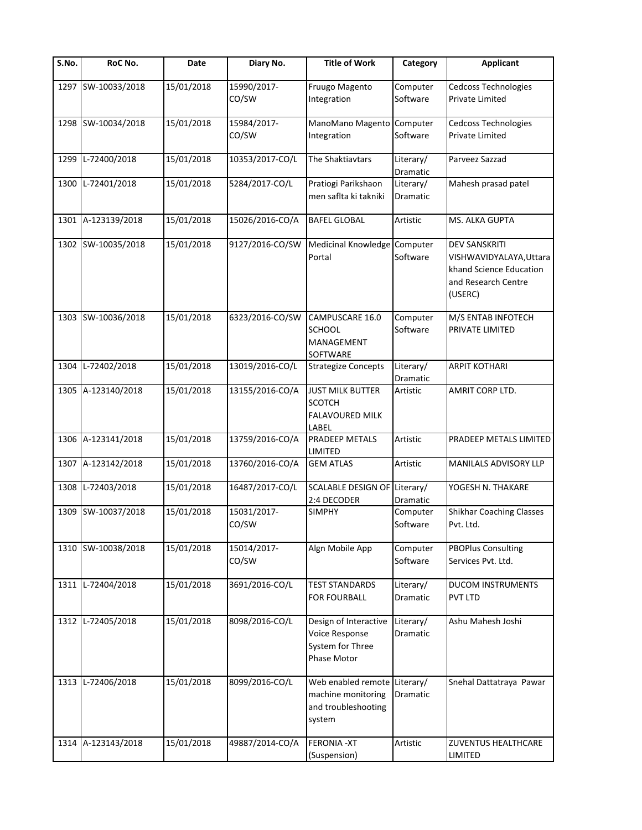| $\overline{\mathsf{S}}$ . No. | RoC No.            | Date       | Diary No.            | <b>Title of Work</b>                                                        | Category              | <b>Applicant</b>                                                                                             |
|-------------------------------|--------------------|------------|----------------------|-----------------------------------------------------------------------------|-----------------------|--------------------------------------------------------------------------------------------------------------|
|                               | 1297 SW-10033/2018 | 15/01/2018 | 15990/2017-<br>CO/SW | Fruugo Magento<br>Integration                                               | Computer<br>Software  | Cedcoss Technologies<br>Private Limited                                                                      |
|                               | 1298 SW-10034/2018 | 15/01/2018 | 15984/2017-<br>CO/SW | ManoMano Magento Computer<br>Integration                                    | Software              | <b>Cedcoss Technologies</b><br>Private Limited                                                               |
| 1299                          | L-72400/2018       | 15/01/2018 | 10353/2017-CO/L      | The Shaktiavtars                                                            | Literary/<br>Dramatic | Parveez Sazzad                                                                                               |
| 1300                          | L-72401/2018       | 15/01/2018 | 5284/2017-CO/L       | Pratiogi Parikshaon<br>men saflta ki takniki                                | Literary/<br>Dramatic | Mahesh prasad patel                                                                                          |
| 1301                          | A-123139/2018      | 15/01/2018 | 15026/2016-CO/A      | <b>BAFEL GLOBAL</b>                                                         | Artistic              | MS. ALKA GUPTA                                                                                               |
|                               | 1302 SW-10035/2018 | 15/01/2018 | 9127/2016-CO/SW      | Medicinal Knowledge Computer<br>Portal                                      | Software              | <b>DEV SANSKRITI</b><br>VISHWAVIDYALAYA, Uttara<br>khand Science Education<br>and Research Centre<br>(USERC) |
|                               | 1303 SW-10036/2018 | 15/01/2018 | 6323/2016-CO/SW      | CAMPUSCARE 16.0<br><b>SCHOOL</b><br><b>MANAGEMENT</b><br>SOFTWARE           | Computer<br>Software  | M/S ENTAB INFOTECH<br>PRIVATE LIMITED                                                                        |
| 1304                          | L-72402/2018       | 15/01/2018 | 13019/2016-CO/L      | <b>Strategize Concepts</b>                                                  | Literary/<br>Dramatic | <b>ARPIT KOTHARI</b>                                                                                         |
|                               | 1305 A-123140/2018 | 15/01/2018 | 13155/2016-CO/A      | <b>JUST MILK BUTTER</b><br><b>SCOTCH</b><br><b>FALAVOURED MILK</b><br>LABEL | Artistic              | AMRIT CORP LTD.                                                                                              |
|                               | 1306 A-123141/2018 | 15/01/2018 | 13759/2016-CO/A      | PRADEEP METALS<br>LIMITED                                                   | Artistic              | PRADEEP METALS LIMITED                                                                                       |
| 1307                          | A-123142/2018      | 15/01/2018 | 13760/2016-CO/A      | <b>GEM ATLAS</b>                                                            | Artistic              | MANILALS ADVISORY LLP                                                                                        |
| 1308                          | L-72403/2018       | 15/01/2018 | 16487/2017-CO/L      | SCALABLE DESIGN OF Literary/<br>2:4 DECODER                                 | Dramatic              | YOGESH N. THAKARE                                                                                            |
| 1309                          | SW-10037/2018      | 15/01/2018 | 15031/2017-<br>CO/SW | <b>SIMPHY</b>                                                               | Computer<br>Software  | <b>Shikhar Coaching Classes</b><br>Pvt. Ltd.                                                                 |
|                               | 1310 SW-10038/2018 | 15/01/2018 | 15014/2017-<br>CO/SW | Algn Mobile App                                                             | Computer<br>Software  | <b>PBOPlus Consulting</b><br>Services Pvt. Ltd.                                                              |
| 1311                          | L-72404/2018       | 15/01/2018 | 3691/2016-CO/L       | <b>TEST STANDARDS</b><br><b>FOR FOURBALL</b>                                | Literary/<br>Dramatic | <b>DUCOM INSTRUMENTS</b><br>PVT LTD                                                                          |
| 1312                          | L-72405/2018       | 15/01/2018 | 8098/2016-CO/L       | Design of Interactive<br>Voice Response<br>System for Three<br>Phase Motor  | Literary/<br>Dramatic | Ashu Mahesh Joshi                                                                                            |
| 1313                          | L-72406/2018       | 15/01/2018 | 8099/2016-CO/L       | Web enabled remote<br>machine monitoring<br>and troubleshooting<br>system   | Literary/<br>Dramatic | Snehal Dattatraya Pawar                                                                                      |
| 1314                          | A-123143/2018      | 15/01/2018 | 49887/2014-CO/A      | <b>FERONIA - XT</b><br>(Suspension)                                         | Artistic              | <b>ZUVENTUS HEALTHCARE</b><br>LIMITED                                                                        |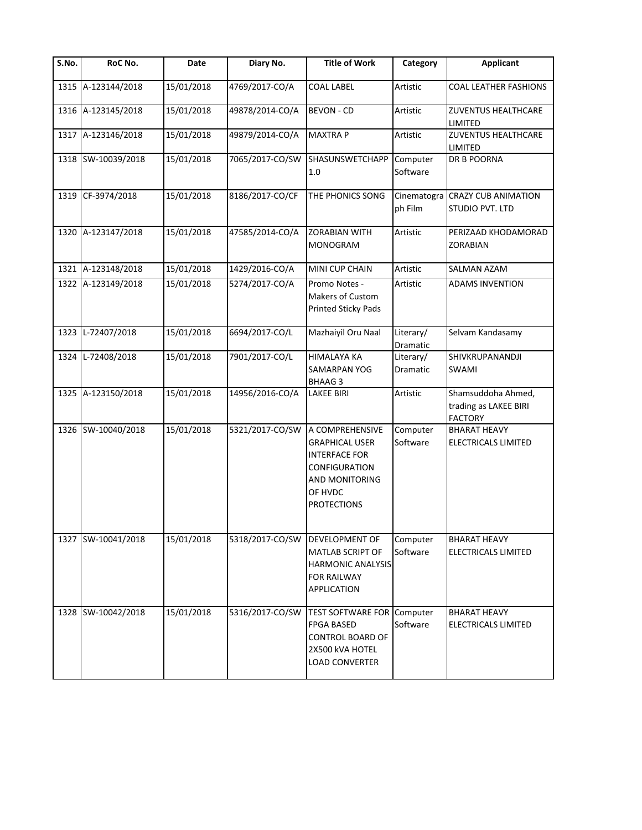| $\overline{\mathsf{S}}$ . No. | RoC No.            | Date       | Diary No.                      | <b>Title of Work</b>                                                                                                                 | Category              | <b>Applicant</b>                                              |
|-------------------------------|--------------------|------------|--------------------------------|--------------------------------------------------------------------------------------------------------------------------------------|-----------------------|---------------------------------------------------------------|
| 1315                          | A-123144/2018      | 15/01/2018 | 4769/2017-CO/A                 | <b>COAL LABEL</b>                                                                                                                    | Artistic              | COAL LEATHER FASHIONS                                         |
|                               | 1316 A-123145/2018 | 15/01/2018 | 49878/2014-CO/A                | <b>BEVON - CD</b>                                                                                                                    | Artistic              | <b>ZUVENTUS HEALTHCARE</b><br>LIMITED                         |
|                               | 1317 A-123146/2018 | 15/01/2018 | 49879/2014-CO/A                | <b>MAXTRAP</b>                                                                                                                       | Artistic              | <b>ZUVENTUS HEALTHCARE</b><br>LIMITED                         |
|                               | 1318 SW-10039/2018 | 15/01/2018 | 7065/2017-CO/SW                | SHASUNSWETCHAPP<br>1.0                                                                                                               | Computer<br>Software  | DR B POORNA                                                   |
|                               | 1319 CF-3974/2018  | 15/01/2018 | 8186/2017-CO/CF                | THE PHONICS SONG                                                                                                                     | ph Film               | Cinematogra CRAZY CUB ANIMATION<br>STUDIO PVT. LTD            |
|                               | 1320 A-123147/2018 | 15/01/2018 | 47585/2014-CO/A                | <b>ZORABIAN WITH</b><br><b>MONOGRAM</b>                                                                                              | Artistic              | PERIZAAD KHODAMORAD<br><b>ZORABIAN</b>                        |
|                               | 1321 A-123148/2018 | 15/01/2018 | 1429/2016-CO/A                 | MINI CUP CHAIN                                                                                                                       | Artistic              | <b>SALMAN AZAM</b>                                            |
| 1322                          | A-123149/2018      | 15/01/2018 | 5274/2017-CO/A                 | Promo Notes -<br>Makers of Custom<br><b>Printed Sticky Pads</b>                                                                      | Artistic              | <b>ADAMS INVENTION</b>                                        |
|                               | 1323 L-72407/2018  | 15/01/2018 | 6694/2017-CO/L                 | Mazhaiyil Oru Naal                                                                                                                   | Literary/<br>Dramatic | Selvam Kandasamy                                              |
|                               | 1324 L-72408/2018  | 15/01/2018 | 7901/2017-CO/L                 | <b>HIMALAYA KA</b><br>SAMARPAN YOG<br><b>BHAAG3</b>                                                                                  | Literary/<br>Dramatic | SHIVKRUPANANDJI<br>SWAMI                                      |
|                               | 1325 A-123150/2018 | 15/01/2018 | 14956/2016-CO/A                | <b>LAKEE BIRI</b>                                                                                                                    | Artistic              | Shamsuddoha Ahmed,<br>trading as LAKEE BIRI<br><b>FACTORY</b> |
|                               | 1326 SW-10040/2018 | 15/01/2018 | 5321/2017-CO/SW                | A COMPREHENSIVE<br><b>GRAPHICAL USER</b><br><b>INTERFACE FOR</b><br>CONFIGURATION<br>AND MONITORING<br>OF HVDC<br><b>PROTECTIONS</b> | Computer<br>Software  | <b>BHARAT HEAVY</b><br><b>ELECTRICALS LIMITED</b>             |
|                               | 1327 SW-10041/2018 | 15/01/2018 | 5318/2017-CO/SW DEVELOPMENT OF | <b>MATLAB SCRIPT OF</b><br><b>HARMONIC ANALYSIS</b><br><b>FOR RAILWAY</b><br><b>APPLICATION</b>                                      | Computer<br>Software  | <b>BHARAT HEAVY</b><br><b>ELECTRICALS LIMITED</b>             |
|                               | 1328 SW-10042/2018 | 15/01/2018 | 5316/2017-CO/SW                | <b>TEST SOFTWARE FOR</b><br><b>FPGA BASED</b><br><b>CONTROL BOARD OF</b><br>2X500 kVA HOTEL<br><b>LOAD CONVERTER</b>                 | Computer<br>Software  | <b>BHARAT HEAVY</b><br><b>ELECTRICALS LIMITED</b>             |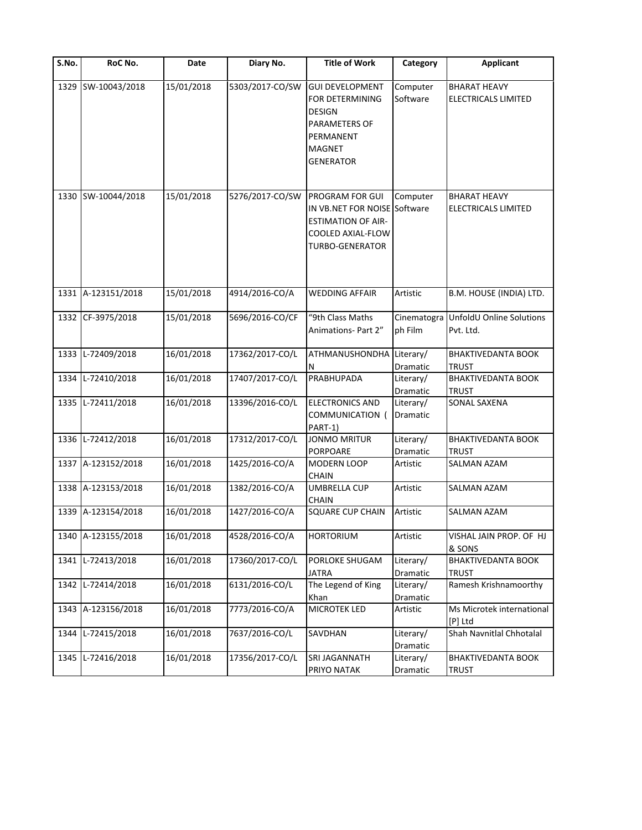| S.No. | RoC No.            | Date       | Diary No.       | <b>Title of Work</b>                                                                                                 | Category               | Applicant                                  |
|-------|--------------------|------------|-----------------|----------------------------------------------------------------------------------------------------------------------|------------------------|--------------------------------------------|
|       | 1329 SW-10043/2018 | 15/01/2018 | 5303/2017-CO/SW | <b>GUI DEVELOPMENT</b><br>FOR DETERMINING<br>DESIGN<br>PARAMETERS OF<br>PERMANENT<br>MAGNET<br><b>GENERATOR</b>      | Computer<br>Software   | <b>BHARAT HEAVY</b><br>ELECTRICALS LIMITED |
| 1330  | SW-10044/2018      | 15/01/2018 | 5276/2017-CO/SW | PROGRAM FOR GUI<br>IN VB.NET FOR NOISE Software<br><b>ESTIMATION OF AIR-</b><br>COOLED AXIAL-FLOW<br>TURBO-GENERATOR | Computer               | <b>BHARAT HEAVY</b><br>ELECTRICALS LIMITED |
|       | 1331 A-123151/2018 | 15/01/2018 | 4914/2016-CO/A  | <b>WEDDING AFFAIR</b>                                                                                                | Artistic               | B.M. HOUSE (INDIA) LTD.                    |
|       | 1332 CF-3975/2018  | 15/01/2018 | 5696/2016-CO/CF | "9th Class Maths<br>Animations- Part 2"                                                                              | Cinematogra<br>ph Film | UnfoldU Online Solutions<br>Pvt. Ltd.      |
| 1333  | L-72409/2018       | 16/01/2018 | 17362/2017-CO/L | ATHMANUSHONDHA<br>N                                                                                                  | Literary/<br>Dramatic  | <b>BHAKTIVEDANTA BOOK</b><br><b>TRUST</b>  |
| 1334  | L-72410/2018       | 16/01/2018 | 17407/2017-CO/L | PRABHUPADA                                                                                                           | Literary/<br>Dramatic  | <b>BHAKTIVEDANTA BOOK</b><br><b>TRUST</b>  |
| 1335  | L-72411/2018       | 16/01/2018 | 13396/2016-CO/L | <b>ELECTRONICS AND</b><br>COMMUNICATION (<br>PART-1)                                                                 | Literary/<br>Dramatic  | SONAL SAXENA                               |
| 1336  | L-72412/2018       | 16/01/2018 | 17312/2017-CO/L | <b>JONMO MRITUR</b><br>PORPOARE                                                                                      | Literary/<br>Dramatic  | <b>BHAKTIVEDANTA BOOK</b><br><b>TRUST</b>  |
| 1337  | A-123152/2018      | 16/01/2018 | 1425/2016-CO/A  | MODERN LOOP<br>CHAIN                                                                                                 | Artistic               | SALMAN AZAM                                |
| 1338  | A-123153/2018      | 16/01/2018 | 1382/2016-CO/A  | <b>UMBRELLA CUP</b><br><b>CHAIN</b>                                                                                  | Artistic               | SALMAN AZAM                                |
|       | 1339 A-123154/2018 | 16/01/2018 | 1427/2016-CO/A  | <b>SQUARE CUP CHAIN</b>                                                                                              | Artistic               | <b>SALMAN AZAM</b>                         |
| 1340  | A-123155/2018      | 16/01/2018 | 4528/2016-CO/A  | <b>HORTORIUM</b>                                                                                                     | Artistic               | VISHAL JAIN PROP. OF HJ<br>& SONS          |
| 1341  | L-72413/2018       | 16/01/2018 | 17360/2017-CO/L | PORLOKE SHUGAM<br>JATRA                                                                                              | Literary/<br>Dramatic  | <b>BHAKTIVEDANTA BOOK</b><br><b>TRUST</b>  |
| 1342  | L-72414/2018       | 16/01/2018 | 6131/2016-CO/L  | The Legend of King<br>Khan                                                                                           | Literary/<br>Dramatic  | Ramesh Krishnamoorthy                      |
| 1343  | A-123156/2018      | 16/01/2018 | 7773/2016-CO/A  | MICROTEK LED                                                                                                         | Artistic               | Ms Microtek international<br>[P] Ltd       |
| 1344  | L-72415/2018       | 16/01/2018 | 7637/2016-CO/L  | SAVDHAN                                                                                                              | Literary/<br>Dramatic  | Shah Navnitlal Chhotalal                   |
| 1345  | L-72416/2018       | 16/01/2018 | 17356/2017-CO/L | SRI JAGANNATH<br>PRIYO NATAK                                                                                         | Literary/<br>Dramatic  | BHAKTIVEDANTA BOOK<br><b>TRUST</b>         |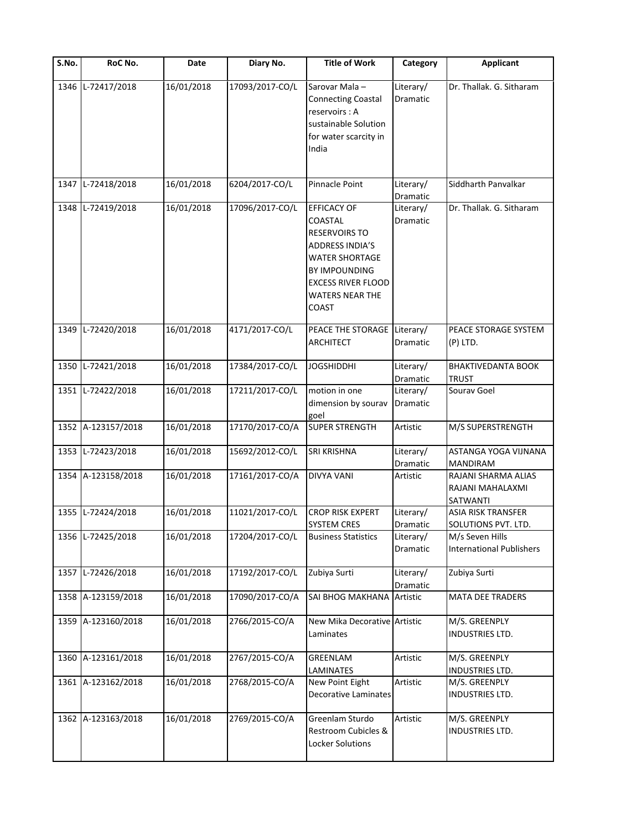| S.No. | RoC No.            | Date       | Diary No.       | <b>Title of Work</b>                                                                                                                                                                      | Category              | <b>Applicant</b>                                           |
|-------|--------------------|------------|-----------------|-------------------------------------------------------------------------------------------------------------------------------------------------------------------------------------------|-----------------------|------------------------------------------------------------|
| 1346  | L-72417/2018       | 16/01/2018 | 17093/2017-CO/L | Sarovar Mala-<br><b>Connecting Coastal</b><br>reservoirs : A<br>sustainable Solution<br>for water scarcity in<br>India                                                                    | Literary/<br>Dramatic | Dr. Thallak. G. Sitharam                                   |
| 1347  | L-72418/2018       | 16/01/2018 | 6204/2017-CO/L  | Pinnacle Point                                                                                                                                                                            | Literary/<br>Dramatic | Siddharth Panvalkar                                        |
|       | 1348 L-72419/2018  | 16/01/2018 | 17096/2017-CO/L | <b>EFFICACY OF</b><br>COASTAL<br><b>RESERVOIRS TO</b><br><b>ADDRESS INDIA'S</b><br><b>WATER SHORTAGE</b><br>BY IMPOUNDING<br><b>EXCESS RIVER FLOOD</b><br><b>WATERS NEAR THE</b><br>COAST | Literary/<br>Dramatic | Dr. Thallak. G. Sitharam                                   |
|       | 1349 L-72420/2018  | 16/01/2018 | 4171/2017-CO/L  | PEACE THE STORAGE<br><b>ARCHITECT</b>                                                                                                                                                     | Literary/<br>Dramatic | PEACE STORAGE SYSTEM<br>(P) LTD.                           |
|       | 1350 L-72421/2018  | 16/01/2018 | 17384/2017-CO/L | <b>JOGSHIDDHI</b>                                                                                                                                                                         | Literary/<br>Dramatic | <b>BHAKTIVEDANTA BOOK</b><br><b>TRUST</b>                  |
|       | 1351 L-72422/2018  | 16/01/2018 | 17211/2017-CO/L | motion in one<br>dimension by sourav<br>goel                                                                                                                                              | Literary/<br>Dramatic | Sourav Goel                                                |
|       | 1352 A-123157/2018 | 16/01/2018 | 17170/2017-CO/A | <b>SUPER STRENGTH</b>                                                                                                                                                                     | Artistic              | M/S SUPERSTRENGTH                                          |
|       | 1353 L-72423/2018  | 16/01/2018 | 15692/2012-CO/L | SRI KRISHNA                                                                                                                                                                               | Literary/<br>Dramatic | ASTANGA YOGA VIJNANA<br>MANDIRAM                           |
|       | 1354 A-123158/2018 | 16/01/2018 | 17161/2017-CO/A | <b>DIVYA VANI</b>                                                                                                                                                                         | Artistic              | RAJANI SHARMA ALIAS<br>RAJANI MAHALAXMI<br><b>SATWANTI</b> |
|       | 1355 L-72424/2018  | 16/01/2018 | 11021/2017-CO/L | <b>CROP RISK EXPERT</b><br><b>SYSTEM CRES</b>                                                                                                                                             | Literary/<br>Dramatic | ASIA RISK TRANSFER<br>SOLUTIONS PVT. LTD.                  |
|       | 1356 L-72425/2018  | 16/01/2018 | 17204/2017-CO/L | <b>Business Statistics</b>                                                                                                                                                                | Literary/<br>Dramatic | M/s Seven Hills<br><b>International Publishers</b>         |
|       | 1357 L-72426/2018  | 16/01/2018 | 17192/2017-CO/L | Zubiya Surti                                                                                                                                                                              | Literary/<br>Dramatic | Zubiya Surti                                               |
|       | 1358 A-123159/2018 | 16/01/2018 | 17090/2017-CO/A | SAI BHOG MAKHANA                                                                                                                                                                          | Artistic              | MATA DEE TRADERS                                           |
|       | 1359 A-123160/2018 | 16/01/2018 | 2766/2015-CO/A  | New Mika Decorative Artistic<br>Laminates                                                                                                                                                 |                       | M/S. GREENPLY<br>INDUSTRIES LTD.                           |
|       | 1360 A-123161/2018 | 16/01/2018 | 2767/2015-CO/A  | GREENLAM<br>LAMINATES                                                                                                                                                                     | Artistic              | M/S. GREENPLY<br>INDUSTRIES LTD.                           |
|       | 1361 A-123162/2018 | 16/01/2018 | 2768/2015-CO/A  | New Point Eight<br>Decorative Laminates                                                                                                                                                   | Artistic              | M/S. GREENPLY<br>INDUSTRIES LTD.                           |
|       | 1362 A-123163/2018 | 16/01/2018 | 2769/2015-CO/A  | Greenlam Sturdo<br>Restroom Cubicles &<br><b>Locker Solutions</b>                                                                                                                         | Artistic              | M/S. GREENPLY<br>INDUSTRIES LTD.                           |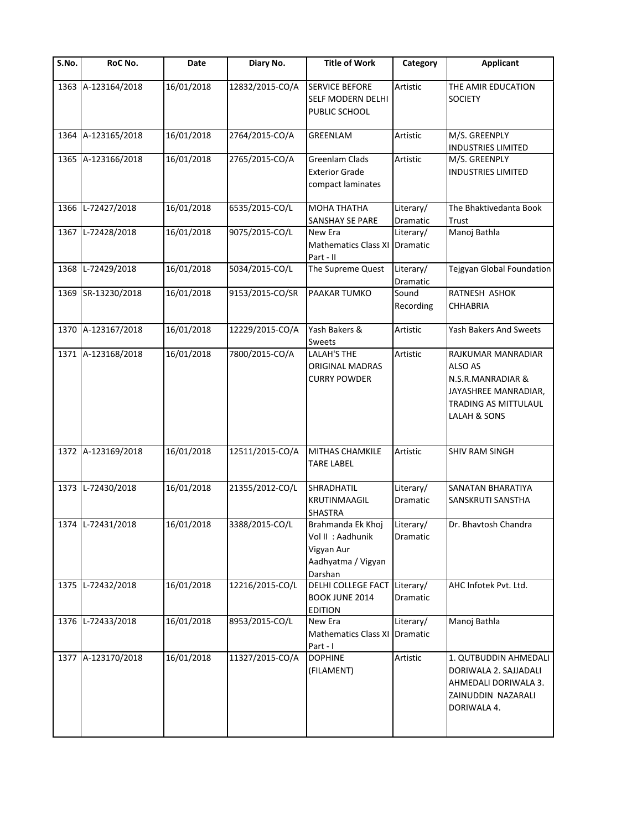| $\overline{\mathsf{S}}$ . No. | RoC No.            | Date       | Diary No.       | <b>Title of Work</b>                                                                  | Category              | <b>Applicant</b>                                                                                                          |
|-------------------------------|--------------------|------------|-----------------|---------------------------------------------------------------------------------------|-----------------------|---------------------------------------------------------------------------------------------------------------------------|
|                               | 1363 A-123164/2018 | 16/01/2018 | 12832/2015-CO/A | <b>SERVICE BEFORE</b><br>SELF MODERN DELHI<br>PUBLIC SCHOOL                           | Artistic              | THE AMIR EDUCATION<br><b>SOCIETY</b>                                                                                      |
| 1364                          | A-123165/2018      | 16/01/2018 | 2764/2015-CO/A  | <b>GREENLAM</b>                                                                       | Artistic              | M/S. GREENPLY<br><b>INDUSTRIES LIMITED</b>                                                                                |
|                               | 1365 A-123166/2018 | 16/01/2018 | 2765/2015-CO/A  | <b>Greenlam Clads</b><br><b>Exterior Grade</b><br>compact laminates                   | Artistic              | M/S. GREENPLY<br><b>INDUSTRIES LIMITED</b>                                                                                |
| 1366                          | L-72427/2018       | 16/01/2018 | 6535/2015-CO/L  | <b>MOHA THATHA</b><br>SANSHAY SE PARE                                                 | Literary/<br>Dramatic | The Bhaktivedanta Book<br><b>Trust</b>                                                                                    |
|                               | 1367 L-72428/2018  | 16/01/2018 | 9075/2015-CO/L  | New Era<br><b>Mathematics Class XI</b><br>Part - II                                   | Literary/<br>Dramatic | Manoj Bathla                                                                                                              |
| 1368                          | L-72429/2018       | 16/01/2018 | 5034/2015-CO/L  | The Supreme Quest                                                                     | Literary/<br>Dramatic | Tejgyan Global Foundation                                                                                                 |
|                               | 1369 SR-13230/2018 | 16/01/2018 | 9153/2015-CO/SR | PAAKAR TUMKO                                                                          | Sound<br>Recording    | RATNESH ASHOK<br><b>CHHABRIA</b>                                                                                          |
|                               | 1370 A-123167/2018 | 16/01/2018 | 12229/2015-CO/A | Yash Bakers &<br><b>Sweets</b>                                                        | Artistic              | Yash Bakers And Sweets                                                                                                    |
|                               | 1371 A-123168/2018 | 16/01/2018 | 7800/2015-CO/A  | <b>LALAH'S THE</b><br>ORIGINAL MADRAS<br><b>CURRY POWDER</b>                          | Artistic              | RAJKUMAR MANRADIAR<br><b>ALSO AS</b><br>N.S.R.MANRADIAR &<br>JAYASHREE MANRADIAR,<br>TRADING AS MITTULAUL<br>LALAH & SONS |
|                               | 1372 A-123169/2018 | 16/01/2018 | 12511/2015-CO/A | MITHAS CHAMKILE<br><b>TARE LABEL</b>                                                  | Artistic              | SHIV RAM SINGH                                                                                                            |
|                               | 1373 L-72430/2018  | 16/01/2018 | 21355/2012-CO/L | SHRADHATIL<br>KRUTINMAAGIL<br><b>SHASTRA</b>                                          | Literary/<br>Dramatic | SANATAN BHARATIYA<br>SANSKRUTI SANSTHA                                                                                    |
|                               | 1374 L-72431/2018  | 16/01/2018 | 3388/2015-CO/L  | Brahmanda Ek Khoj<br>Vol II : Aadhunik<br>Vigyan Aur<br>Aadhyatma / Vigyan<br>Darshan | Literary/<br>Dramatic | Dr. Bhavtosh Chandra                                                                                                      |
|                               | 1375 L-72432/2018  | 16/01/2018 | 12216/2015-CO/L | DELHI COLLEGE FACT<br><b>BOOK JUNE 2014</b><br><b>EDITION</b>                         | Literary/<br>Dramatic | AHC Infotek Pvt. Ltd.                                                                                                     |
|                               | 1376 L-72433/2018  | 16/01/2018 | 8953/2015-CO/L  | New Era<br><b>Mathematics Class XI</b><br>Part - I                                    | Literary/<br>Dramatic | Manoj Bathla                                                                                                              |
|                               | 1377 A-123170/2018 | 16/01/2018 | 11327/2015-CO/A | <b>DOPHINE</b><br>(FILAMENT)                                                          | Artistic              | 1. QUTBUDDIN AHMEDALI<br>DORIWALA 2. SAJJADALI<br>AHMEDALI DORIWALA 3.<br>ZAINUDDIN NAZARALI<br>DORIWALA 4.               |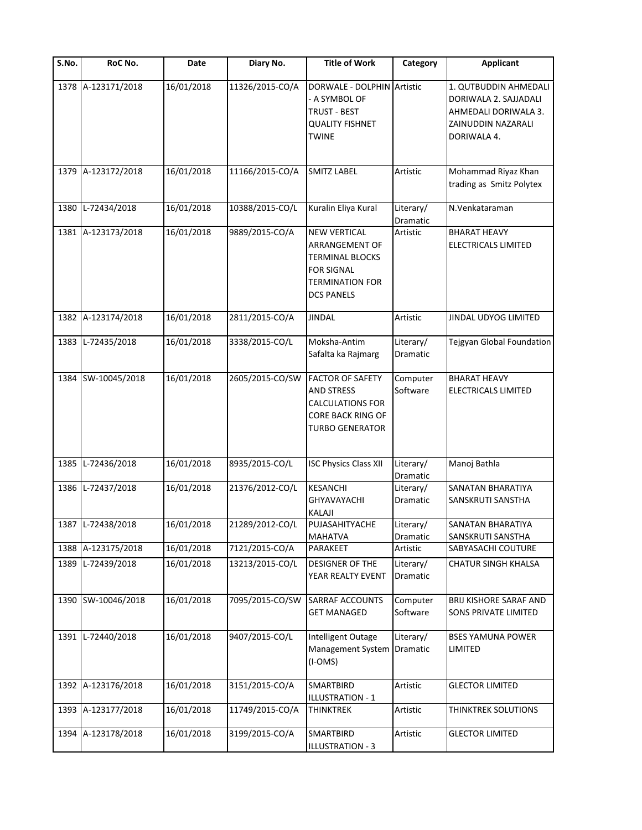| $\overline{\mathsf{S}}$ . No. | RoC No.            | Date       | Diary No.       | <b>Title of Work</b>                                                                                                   | Category              | <b>Applicant</b>                                                                                            |
|-------------------------------|--------------------|------------|-----------------|------------------------------------------------------------------------------------------------------------------------|-----------------------|-------------------------------------------------------------------------------------------------------------|
|                               | 1378 A-123171/2018 | 16/01/2018 | 11326/2015-CO/A | DORWALE - DOLPHIN Artistic<br>- A SYMBOL OF<br>TRUST - BEST<br><b>QUALITY FISHNET</b><br><b>TWINE</b>                  |                       | 1. QUTBUDDIN AHMEDALI<br>DORIWALA 2. SAJJADALI<br>AHMEDALI DORIWALA 3.<br>ZAINUDDIN NAZARALI<br>DORIWALA 4. |
|                               | 1379 A-123172/2018 | 16/01/2018 | 11166/2015-CO/A | <b>SMITZ LABEL</b>                                                                                                     | Artistic              | Mohammad Riyaz Khan<br>trading as Smitz Polytex                                                             |
| 1380                          | L-72434/2018       | 16/01/2018 | 10388/2015-CO/L | Kuralin Eliya Kural                                                                                                    | Literary/<br>Dramatic | N.Venkataraman                                                                                              |
|                               | 1381 A-123173/2018 | 16/01/2018 | 9889/2015-CO/A  | <b>NEW VERTICAL</b><br>ARRANGEMENT OF<br>TERMINAL BLOCKS<br>FOR SIGNAL<br>TERMINATION FOR<br><b>DCS PANELS</b>         | Artistic              | <b>BHARAT HEAVY</b><br>ELECTRICALS LIMITED                                                                  |
|                               | 1382 A-123174/2018 | 16/01/2018 | 2811/2015-CO/A  | <b>JINDAL</b>                                                                                                          | Artistic              | JINDAL UDYOG LIMITED                                                                                        |
| 1383                          | L-72435/2018       | 16/01/2018 | 3338/2015-CO/L  | Moksha-Antim<br>Safalta ka Rajmarg                                                                                     | Literary/<br>Dramatic | Tejgyan Global Foundation                                                                                   |
| 1384                          | SW-10045/2018      | 16/01/2018 | 2605/2015-CO/SW | <b>FACTOR OF SAFETY</b><br><b>AND STRESS</b><br><b>CALCULATIONS FOR</b><br>CORE BACK RING OF<br><b>TURBO GENERATOR</b> | Computer<br>Software  | <b>BHARAT HEAVY</b><br><b>ELECTRICALS LIMITED</b>                                                           |
| 1385                          | L-72436/2018       | 16/01/2018 | 8935/2015-CO/L  | <b>ISC Physics Class XII</b>                                                                                           | Literary/<br>Dramatic | Manoj Bathla                                                                                                |
|                               | 1386 L-72437/2018  | 16/01/2018 | 21376/2012-CO/L | KESANCHI<br><b>GHYAVAYACHI</b><br>KALAJI                                                                               | Literary/<br>Dramatic | SANATAN BHARATIYA<br>SANSKRUTI SANSTHA                                                                      |
|                               | 1387 L-72438/2018  | 16/01/2018 | 21289/2012-CO/L | PUJASAHITYACHE<br><b>MAHATVA</b>                                                                                       | Literary/<br>Dramatic | SANATAN BHARATIYA<br>SANSKRUTI SANSTHA                                                                      |
|                               | 1388 A-123175/2018 | 16/01/2018 | 7121/2015-CO/A  | PARAKEET                                                                                                               | Artistic              | SABYASACHI COUTURE                                                                                          |
|                               | 1389 L-72439/2018  | 16/01/2018 | 13213/2015-CO/L | DESIGNER OF THE<br>YEAR REALTY EVENT                                                                                   | Literary/<br>Dramatic | <b>CHATUR SINGH KHALSA</b>                                                                                  |
|                               | 1390 SW-10046/2018 | 16/01/2018 | 7095/2015-CO/SW | SARRAF ACCOUNTS<br><b>GET MANAGED</b>                                                                                  | Computer<br>Software  | <b>BRIJ KISHORE SARAF AND</b><br>SONS PRIVATE LIMITED                                                       |
| 1391                          | L-72440/2018       | 16/01/2018 | 9407/2015-CO/L  | Intelligent Outage<br>Management System<br>(I-OMS)                                                                     | Literary/<br>Dramatic | <b>BSES YAMUNA POWER</b><br>LIMITED                                                                         |
|                               | 1392 A-123176/2018 | 16/01/2018 | 3151/2015-CO/A  | SMARTBIRD<br>ILLUSTRATION - 1                                                                                          | Artistic              | <b>GLECTOR LIMITED</b>                                                                                      |
|                               | 1393 A-123177/2018 | 16/01/2018 | 11749/2015-CO/A | <b>THINKTREK</b>                                                                                                       | Artistic              | THINKTREK SOLUTIONS                                                                                         |
| 1394                          | A-123178/2018      | 16/01/2018 | 3199/2015-CO/A  | SMARTBIRD<br>ILLUSTRATION - 3                                                                                          | Artistic              | <b>GLECTOR LIMITED</b>                                                                                      |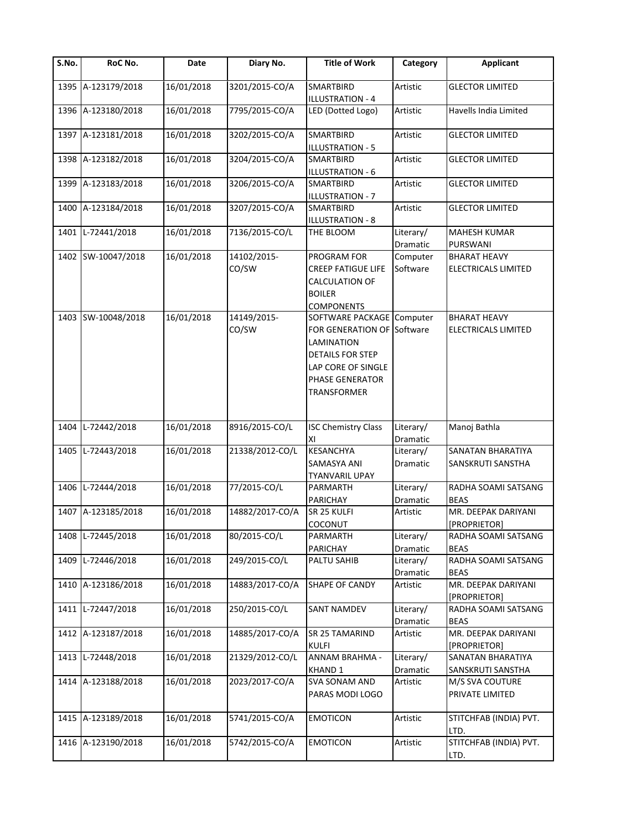| S.No. | RoC No.            | Date       | Diary No.            | <b>Title of Work</b>                                                                                                                                            | Category              | <b>Applicant</b>                           |
|-------|--------------------|------------|----------------------|-----------------------------------------------------------------------------------------------------------------------------------------------------------------|-----------------------|--------------------------------------------|
|       | 1395 A-123179/2018 | 16/01/2018 | 3201/2015-CO/A       | <b>SMARTBIRD</b><br><b>ILLUSTRATION - 4</b>                                                                                                                     | Artistic              | <b>GLECTOR LIMITED</b>                     |
|       | 1396 A-123180/2018 | 16/01/2018 | 7795/2015-CO/A       | LED (Dotted Logo)                                                                                                                                               | Artistic              | Havells India Limited                      |
|       | 1397 A-123181/2018 | 16/01/2018 | 3202/2015-CO/A       | <b>SMARTBIRD</b><br><b>ILLUSTRATION - 5</b>                                                                                                                     | Artistic              | <b>GLECTOR LIMITED</b>                     |
|       | 1398 A-123182/2018 | 16/01/2018 | 3204/2015-CO/A       | <b>SMARTBIRD</b><br><b>ILLUSTRATION - 6</b>                                                                                                                     | Artistic              | <b>GLECTOR LIMITED</b>                     |
| 1399  | A-123183/2018      | 16/01/2018 | 3206/2015-CO/A       | SMARTBIRD<br>ILLUSTRATION - 7                                                                                                                                   | Artistic              | <b>GLECTOR LIMITED</b>                     |
|       | 1400 A-123184/2018 | 16/01/2018 | 3207/2015-CO/A       | SMARTBIRD<br><b>ILLUSTRATION - 8</b>                                                                                                                            | Artistic              | <b>GLECTOR LIMITED</b>                     |
|       | 1401 L-72441/2018  | 16/01/2018 | 7136/2015-CO/L       | THE BLOOM                                                                                                                                                       | Literary/<br>Dramatic | <b>MAHESH KUMAR</b><br>PURSWANI            |
|       | 1402 SW-10047/2018 | 16/01/2018 | 14102/2015-<br>CO/SW | PROGRAM FOR<br><b>CREEP FATIGUE LIFE</b><br>CALCULATION OF<br><b>BOILER</b><br><b>COMPONENTS</b>                                                                | Computer<br>Software  | <b>BHARAT HEAVY</b><br>ELECTRICALS LIMITED |
|       | 1403 SW-10048/2018 | 16/01/2018 | 14149/2015-<br>CO/SW | SOFTWARE PACKAGE Computer<br><b>FOR GENERATION OF Software</b><br>LAMINATION<br><b>DETAILS FOR STEP</b><br>LAP CORE OF SINGLE<br>PHASE GENERATOR<br>TRANSFORMER |                       | <b>BHARAT HEAVY</b><br>ELECTRICALS LIMITED |
| 1404  | L-72442/2018       | 16/01/2018 | 8916/2015-CO/L       | <b>ISC Chemistry Class</b><br>ΧI                                                                                                                                | Literary/<br>Dramatic | Manoj Bathla                               |
| 1405  | L-72443/2018       | 16/01/2018 | 21338/2012-CO/L      | <b>KESANCHYA</b><br><b>SAMASYA ANI</b><br><b>TYANVARIL UPAY</b>                                                                                                 | Literary/<br>Dramatic | SANATAN BHARATIYA<br>SANSKRUTI SANSTHA     |
| 1406  | L-72444/2018       | 16/01/2018 | 77/2015-CO/L         | PARMARTH<br><b>PARICHAY</b>                                                                                                                                     | Literary/<br>Dramatic | RADHA SOAMI SATSANG<br><b>BEAS</b>         |
|       | 1407 A-123185/2018 | 16/01/2018 | 14882/2017-CO/A      | SR 25 KULFI<br>COCONUT                                                                                                                                          | Artistic              | MR. DEEPAK DARIYANI<br><b>[PROPRIETOR]</b> |
| 1408  | L-72445/2018       | 16/01/2018 | 80/2015-CO/L         | PARMARTH<br>PARICHAY                                                                                                                                            | Literary/<br>Dramatic | RADHA SOAMI SATSANG<br><b>BEAS</b>         |
| 1409  | L-72446/2018       | 16/01/2018 | 249/2015-CO/L        | PALTU SAHIB                                                                                                                                                     | Literary/<br>Dramatic | RADHA SOAMI SATSANG<br>BEAS                |
|       | 1410 A-123186/2018 | 16/01/2018 | 14883/2017-CO/A      | SHAPE OF CANDY                                                                                                                                                  | Artistic              | MR. DEEPAK DARIYANI<br>[PROPRIETOR]        |
|       | 1411 L-72447/2018  | 16/01/2018 | 250/2015-CO/L        | <b>SANT NAMDEV</b>                                                                                                                                              | Literary/<br>Dramatic | RADHA SOAMI SATSANG<br><b>BEAS</b>         |
|       | 1412 A-123187/2018 | 16/01/2018 | 14885/2017-CO/A      | SR 25 TAMARIND<br><b>KULFI</b>                                                                                                                                  | Artistic              | MR. DEEPAK DARIYANI<br>[PROPRIETOR]        |
| 1413  | L-72448/2018       | 16/01/2018 | 21329/2012-CO/L      | ANNAM BRAHMA -<br><b>KHAND 1</b>                                                                                                                                | Literary/<br>Dramatic | SANATAN BHARATIYA<br>SANSKRUTI SANSTHA     |
|       | 1414 A-123188/2018 | 16/01/2018 | 2023/2017-CO/A       | SVA SONAM AND<br>PARAS MODI LOGO                                                                                                                                | Artistic              | M/S SVA COUTURE<br>PRIVATE LIMITED         |
|       | 1415 A-123189/2018 | 16/01/2018 | 5741/2015-CO/A       | <b>EMOTICON</b>                                                                                                                                                 | Artistic              | STITCHFAB (INDIA) PVT.<br>LTD.             |
|       | 1416 A-123190/2018 | 16/01/2018 | 5742/2015-CO/A       | <b>EMOTICON</b>                                                                                                                                                 | Artistic              | STITCHFAB (INDIA) PVT.<br>LTD.             |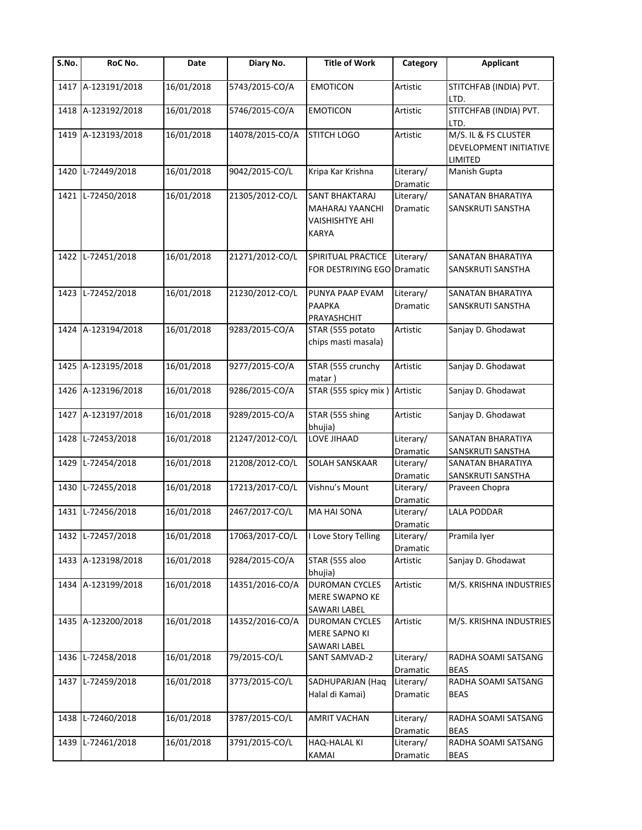| S.No. | RoC No.            | Date       | Diary No.       | <b>Title of Work</b>                                                                      | Category              | <b>Applicant</b>                                          |
|-------|--------------------|------------|-----------------|-------------------------------------------------------------------------------------------|-----------------------|-----------------------------------------------------------|
|       | 1417 A-123191/2018 | 16/01/2018 | 5743/2015-CO/A  | <b>EMOTICON</b>                                                                           | Artistic              | STITCHFAB (INDIA) PVT.<br>LTD.                            |
|       | 1418 A-123192/2018 | 16/01/2018 | 5746/2015-CO/A  | <b>EMOTICON</b>                                                                           | Artistic              | STITCHFAB (INDIA) PVT.<br>LTD.                            |
|       | 1419 A-123193/2018 | 16/01/2018 | 14078/2015-CO/A | <b>STITCH LOGO</b>                                                                        | Artistic              | M/S. IL & FS CLUSTER<br>DEVELOPMENT INITIATIVE<br>LIMITED |
| 1420  | L-72449/2018       | 16/01/2018 | 9042/2015-CO/L  | Kripa Kar Krishna                                                                         | Literary/<br>Dramatic | Manish Gupta                                              |
|       | 1421 L-72450/2018  | 16/01/2018 | 21305/2012-CO/L | <b>SANT BHAKTARAJ</b><br><b>MAHARAJ YAANCHI</b><br><b>VAISHISHTYE AHI</b><br><b>KARYA</b> | Literary/<br>Dramatic | SANATAN BHARATIYA<br>SANSKRUTI SANSTHA                    |
|       | 1422 L-72451/2018  | 16/01/2018 | 21271/2012-CO/L | SPIRITUAL PRACTICE<br>FOR DESTRIYING EGO Dramatic                                         | Literary/             | SANATAN BHARATIYA<br>SANSKRUTI SANSTHA                    |
|       | 1423 L-72452/2018  | 16/01/2018 | 21230/2012-CO/L | PUNYA PAAP EVAM<br><b>PAAPKA</b><br>PRAYASHCHIT                                           | Literary/<br>Dramatic | SANATAN BHARATIYA<br>SANSKRUTI SANSTHA                    |
|       | 1424 A-123194/2018 | 16/01/2018 | 9283/2015-CO/A  | STAR (555 potato<br>chips masti masala)                                                   | Artistic              | Sanjay D. Ghodawat                                        |
|       | 1425 A-123195/2018 | 16/01/2018 | 9277/2015-CO/A  | STAR (555 crunchy<br>matar)                                                               | Artistic              | Sanjay D. Ghodawat                                        |
|       | 1426 A-123196/2018 | 16/01/2018 | 9286/2015-CO/A  | STAR (555 spicy mix)                                                                      | Artistic              | Sanjay D. Ghodawat                                        |
| 1427  | A-123197/2018      | 16/01/2018 | 9289/2015-CO/A  | STAR (555 shing<br>bhujia)                                                                | Artistic              | Sanjay D. Ghodawat                                        |
| 1428  | L-72453/2018       | 16/01/2018 | 21247/2012-CO/L | LOVE JIHAAD                                                                               | Literary/<br>Dramatic | SANATAN BHARATIYA<br>SANSKRUTI SANSTHA                    |
| 1429  | L-72454/2018       | 16/01/2018 | 21208/2012-CO/L | SOLAH SANSKAAR                                                                            | Literary/<br>Dramatic | SANATAN BHARATIYA<br>SANSKRUTI SANSTHA                    |
| 1430  | L-72455/2018       | 16/01/2018 | 17213/2017-CO/L | Vishnu's Mount                                                                            | Literary/<br>Dramatic | Praveen Chopra                                            |
| 1431  | L-72456/2018       | 16/01/2018 | 2467/2017-CO/L  | MA HAI SONA                                                                               | Literary/<br>Dramatic | <b>LALA PODDAR</b>                                        |
|       | 1432 L-72457/2018  | 16/01/2018 | 17063/2017-CO/L | I Love Story Telling                                                                      | Literary/<br>Dramatic | Pramila Iyer                                              |
|       | 1433 A-123198/2018 | 16/01/2018 | 9284/2015-CO/A  | STAR (555 aloo<br>bhujia)                                                                 | Artistic              | Sanjay D. Ghodawat                                        |
|       | 1434 A-123199/2018 | 16/01/2018 | 14351/2016-CO/A | <b>DUROMAN CYCLES</b><br>MERE SWAPNO KE<br>SAWARI LABEL                                   | Artistic              | M/S. KRISHNA INDUSTRIES                                   |
|       | 1435 A-123200/2018 | 16/01/2018 | 14352/2016-CO/A | <b>DUROMAN CYCLES</b><br><b>MERE SAPNO KI</b><br>SAWARI LABEL                             | Artistic              | M/S. KRISHNA INDUSTRIES                                   |
| 1436  | L-72458/2018       | 16/01/2018 | 79/2015-CO/L    | SANT SAMVAD-2                                                                             | Literary/<br>Dramatic | RADHA SOAMI SATSANG<br><b>BEAS</b>                        |
| 1437  | L-72459/2018       | 16/01/2018 | 3773/2015-CO/L  | SADHUPARJAN (Haq<br>Halal di Kamai)                                                       | Literary/<br>Dramatic | RADHA SOAMI SATSANG<br><b>BEAS</b>                        |
| 1438  | L-72460/2018       | 16/01/2018 | 3787/2015-CO/L  | <b>AMRIT VACHAN</b>                                                                       | Literary/<br>Dramatic | RADHA SOAMI SATSANG<br><b>BEAS</b>                        |
| 1439  | L-72461/2018       | 16/01/2018 | 3791/2015-CO/L  | HAQ-HALAL KI<br>KAMAI                                                                     | Literary/<br>Dramatic | RADHA SOAMI SATSANG<br>BEAS                               |
|       |                    |            |                 |                                                                                           |                       |                                                           |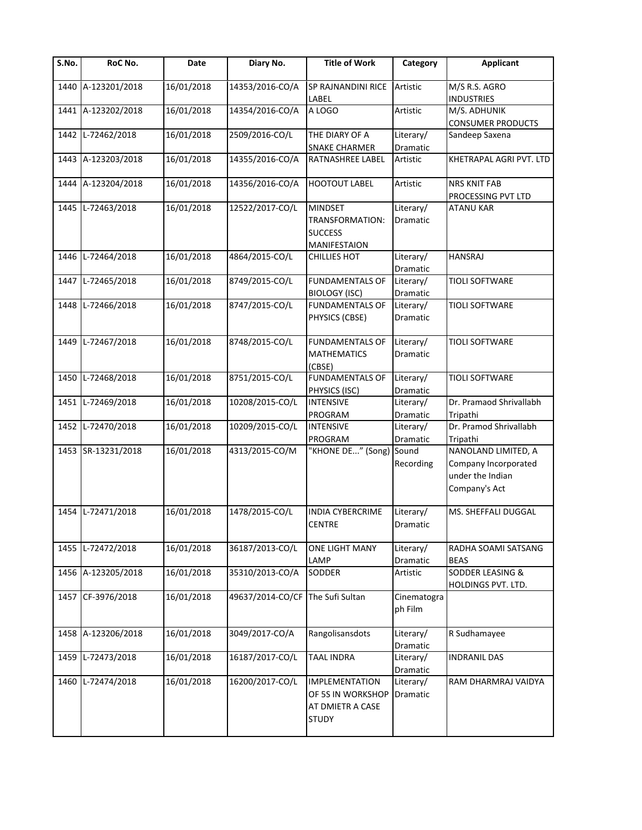| $\overline{\mathsf{S}}$ . No. | RoC No.            | Date       | Diary No.        | <b>Title of Work</b>                                                           | Category               | <b>Applicant</b>                                                                 |
|-------------------------------|--------------------|------------|------------------|--------------------------------------------------------------------------------|------------------------|----------------------------------------------------------------------------------|
| 1440                          | A-123201/2018      | 16/01/2018 | 14353/2016-CO/A  | SP RAJNANDINI RICE<br>LABEL                                                    | Artistic               | M/S R.S. AGRO<br><b>INDUSTRIES</b>                                               |
| 1441                          | A-123202/2018      | 16/01/2018 | 14354/2016-CO/A  | A LOGO                                                                         | Artistic               | M/S. ADHUNIK<br><b>CONSUMER PRODUCTS</b>                                         |
| 1442                          | L-72462/2018       | 16/01/2018 | 2509/2016-CO/L   | THE DIARY OF A<br><b>SNAKE CHARMER</b>                                         | Literary/<br>Dramatic  | Sandeep Saxena                                                                   |
|                               | 1443 A-123203/2018 | 16/01/2018 | 14355/2016-CO/A  | RATNASHREE LABEL                                                               | Artistic               | KHETRAPAL AGRI PVT. LTD                                                          |
|                               | 1444 A-123204/2018 | 16/01/2018 | 14356/2016-CO/A  | <b>HOOTOUT LABEL</b>                                                           | Artistic               | <b>NRS KNIT FAB</b><br>PROCESSING PVT LTD                                        |
| 1445                          | L-72463/2018       | 16/01/2018 | 12522/2017-CO/L  | <b>MINDSET</b><br>TRANSFORMATION:<br><b>SUCCESS</b><br>MANIFESTAION            | Literary/<br>Dramatic  | <b>ATANU KAR</b>                                                                 |
| 1446                          | L-72464/2018       | 16/01/2018 | 4864/2015-CO/L   | <b>CHILLIES HOT</b>                                                            | Literary/<br>Dramatic  | <b>HANSRAJ</b>                                                                   |
| 1447                          | L-72465/2018       | 16/01/2018 | 8749/2015-CO/L   | <b>FUNDAMENTALS OF</b><br>BIOLOGY (ISC)                                        | Literary/<br>Dramatic  | <b>TIOLI SOFTWARE</b>                                                            |
| 1448                          | L-72466/2018       | 16/01/2018 | 8747/2015-CO/L   | <b>FUNDAMENTALS OF</b><br>PHYSICS (CBSE)                                       | Literary/<br>Dramatic  | <b>TIOLI SOFTWARE</b>                                                            |
| 1449                          | L-72467/2018       | 16/01/2018 | 8748/2015-CO/L   | <b>FUNDAMENTALS OF</b><br><b>MATHEMATICS</b><br>(CBSE)                         | Literary/<br>Dramatic  | <b>TIOLI SOFTWARE</b>                                                            |
| 1450                          | L-72468/2018       | 16/01/2018 | 8751/2015-CO/L   | <b>FUNDAMENTALS OF</b><br>PHYSICS (ISC)                                        | Literary/<br>Dramatic  | <b>TIOLI SOFTWARE</b>                                                            |
| 1451                          | L-72469/2018       | 16/01/2018 | 10208/2015-CO/L  | <b>INTENSIVE</b><br>PROGRAM                                                    | Literary/<br>Dramatic  | Dr. Pramaod Shrivallabh<br>Tripathi                                              |
| 1452                          | L-72470/2018       | 16/01/2018 | 10209/2015-CO/L  | INTENSIVE<br>PROGRAM                                                           | Literary/<br>Dramatic  | Dr. Pramod Shrivallabh<br>Tripathi                                               |
|                               | 1453 SR-13231/2018 | 16/01/2018 | 4313/2015-CO/M   | 'KHONE DE" (Song)                                                              | Sound<br>Recording     | NANOLAND LIMITED, A<br>Company Incorporated<br>under the Indian<br>Company's Act |
| 1454                          | L-72471/2018       | 16/01/2018 | 1478/2015-CO/L   | INDIA CYBERCRIME<br><b>CENTRE</b>                                              | Literary/<br>Dramatic  | MS. SHEFFALI DUGGAL                                                              |
|                               | 1455 L-72472/2018  | 16/01/2018 | 36187/2013-CO/L  | ONE LIGHT MANY<br>LAMP                                                         | Literary/<br>Dramatic  | RADHA SOAMI SATSANG<br><b>BEAS</b>                                               |
|                               | 1456 A-123205/2018 | 16/01/2018 | 35310/2013-CO/A  | SODDER                                                                         | Artistic               | <b>SODDER LEASING &amp;</b><br>HOLDINGS PVT. LTD.                                |
|                               | 1457 CF-3976/2018  | 16/01/2018 | 49637/2014-CO/CF | The Sufi Sultan                                                                | Cinematogra<br>ph Film |                                                                                  |
|                               | 1458 A-123206/2018 | 16/01/2018 | 3049/2017-CO/A   | Rangolisansdots                                                                | Literary/<br>Dramatic  | R Sudhamayee                                                                     |
| 1459                          | L-72473/2018       | 16/01/2018 | 16187/2017-CO/L  | <b>TAAL INDRA</b>                                                              | Literary/<br>Dramatic  | <b>INDRANIL DAS</b>                                                              |
| 1460                          | L-72474/2018       | 16/01/2018 | 16200/2017-CO/L  | <b>IMPLEMENTATION</b><br>OF 5S IN WORKSHOP<br>AT DMIETR A CASE<br><b>STUDY</b> | Literary/<br>Dramatic  | RAM DHARMRAJ VAIDYA                                                              |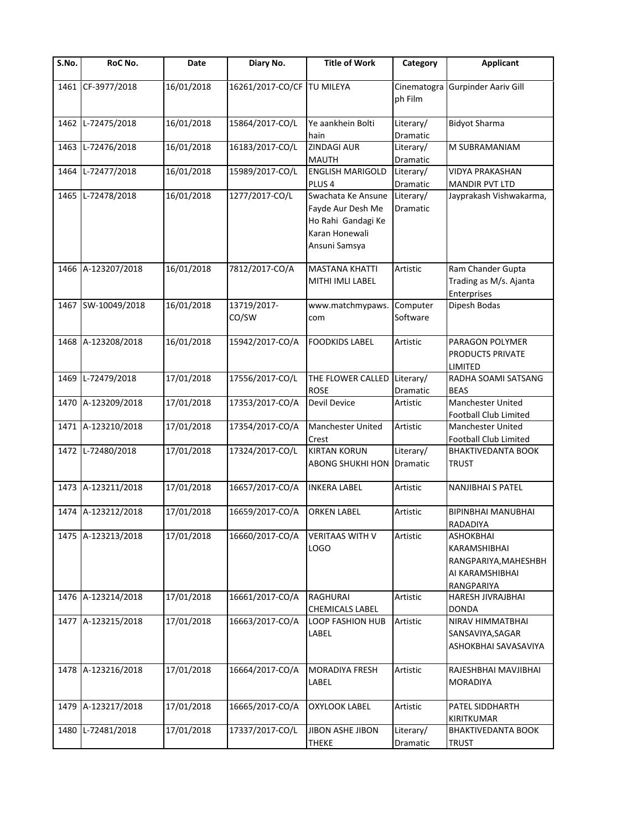| S.No. | RoC No.            | Date       | Diary No.                  | <b>Title of Work</b>                                                                             | Category               | <b>Applicant</b>                                                                   |
|-------|--------------------|------------|----------------------------|--------------------------------------------------------------------------------------------------|------------------------|------------------------------------------------------------------------------------|
| 1461  | CF-3977/2018       | 16/01/2018 | 16261/2017-CO/CF TU MILEYA |                                                                                                  | Cinematogra<br>ph Film | <b>Gurpinder Aariv Gill</b>                                                        |
| 1462  | L-72475/2018       | 16/01/2018 | 15864/2017-CO/L            | Ye aankhein Bolti<br>hain                                                                        | Literary/<br>Dramatic  | <b>Bidyot Sharma</b>                                                               |
| 1463  | L-72476/2018       | 16/01/2018 | 16183/2017-CO/L            | <b>ZINDAGI AUR</b><br><b>MAUTH</b>                                                               | Literary/<br>Dramatic  | M SUBRAMANIAM                                                                      |
| 1464  | L-72477/2018       | 16/01/2018 | 15989/2017-CO/L            | <b>ENGLISH MARIGOLD</b><br>PLUS <sub>4</sub>                                                     | Literary/<br>Dramatic  | <b>VIDYA PRAKASHAN</b><br><b>MANDIR PVT LTD</b>                                    |
| 1465  | L-72478/2018       | 16/01/2018 | 1277/2017-CO/L             | Swachata Ke Ansune<br>Fayde Aur Desh Me<br>Ho Rahi Gandagi Ke<br>Karan Honewali<br>Ansuni Samsya | Literary/<br>Dramatic  | Jayprakash Vishwakarma,                                                            |
|       | 1466 A-123207/2018 | 16/01/2018 | 7812/2017-CO/A             | <b>MASTANA KHATTI</b><br>MITHI IMLI LABEL                                                        | Artistic               | Ram Chander Gupta<br>Trading as M/s. Ajanta<br>Enterprises                         |
|       | 1467 SW-10049/2018 | 16/01/2018 | 13719/2017-<br>CO/SW       | www.matchmypaws.<br>com                                                                          | Computer<br>Software   | Dipesh Bodas                                                                       |
|       | 1468 A-123208/2018 | 16/01/2018 | 15942/2017-CO/A            | <b>FOODKIDS LABEL</b>                                                                            | Artistic               | PARAGON POLYMER<br>PRODUCTS PRIVATE<br>LIMITED                                     |
|       | 1469 L-72479/2018  | 17/01/2018 | 17556/2017-CO/L            | THE FLOWER CALLED<br><b>ROSE</b>                                                                 | Literary/<br>Dramatic  | RADHA SOAMI SATSANG<br><b>BEAS</b>                                                 |
| 1470  | A-123209/2018      | 17/01/2018 | 17353/2017-CO/A            | Devil Device                                                                                     | Artistic               | Manchester United<br>Football Club Limited                                         |
| 1471  | A-123210/2018      | 17/01/2018 | 17354/2017-CO/A            | Manchester United<br>Crest                                                                       | Artistic               | Manchester United<br>Football Club Limited                                         |
|       | 1472 L-72480/2018  | 17/01/2018 | 17324/2017-CO/L            | <b>KIRTAN KORUN</b><br><b>ABONG SHUKHI HON</b>                                                   | Literary/<br>Dramatic  | <b>BHAKTIVEDANTA BOOK</b><br><b>TRUST</b>                                          |
|       | 1473 A-123211/2018 | 17/01/2018 | 16657/2017-CO/A            | <b>INKERA LABEL</b>                                                                              | Artistic               | <b>NANJIBHAI S PATEL</b>                                                           |
|       | 1474 A-123212/2018 | 17/01/2018 | 16659/2017-CO/A            | <b>ORKEN LABEL</b>                                                                               | Artistic               | BIPINBHAI MANUBHAI<br>RADADIYA                                                     |
|       | 1475 A-123213/2018 | 17/01/2018 | 16660/2017-CO/A            | <b>VERITAAS WITH V</b><br>LOGO                                                                   | Artistic               | ASHOKBHAI<br>KARAMSHIBHAI<br>RANGPARIYA, MAHESHBH<br>AI KARAMSHIBHAI<br>RANGPARIYA |
|       | 1476 A-123214/2018 | 17/01/2018 | 16661/2017-CO/A            | RAGHURAI<br><b>CHEMICALS LABEL</b>                                                               | Artistic               | HARESH JIVRAJBHAI<br><b>DONDA</b>                                                  |
|       | 1477 A-123215/2018 | 17/01/2018 | 16663/2017-CO/A            | <b>LOOP FASHION HUB</b><br>LABEL                                                                 | Artistic               | NIRAV HIMMATBHAI<br>SANSAVIYA, SAGAR<br>ASHOKBHAI SAVASAVIYA                       |
|       | 1478 A-123216/2018 | 17/01/2018 | 16664/2017-CO/A            | <b>MORADIYA FRESH</b><br>LABEL                                                                   | Artistic               | RAJESHBHAI MAVJIBHAI<br>MORADIYA                                                   |
|       | 1479 A-123217/2018 | 17/01/2018 | 16665/2017-CO/A            | <b>OXYLOOK LABEL</b>                                                                             | Artistic               | PATEL SIDDHARTH<br>KIRITKUMAR                                                      |
| 1480  | L-72481/2018       | 17/01/2018 | 17337/2017-CO/L            | JIBON ASHE JIBON<br><b>THEKE</b>                                                                 | Literary/<br>Dramatic  | <b>BHAKTIVEDANTA BOOK</b><br><b>TRUST</b>                                          |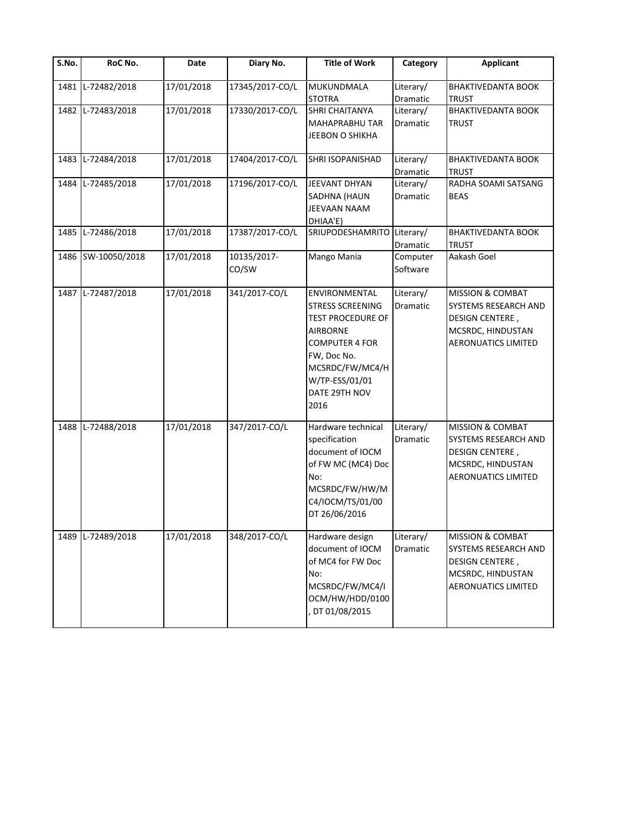| S.No. | RoC No.            | Date       | Diary No.            | <b>Title of Work</b>                                                                                                                                                                   | Category                     | <b>Applicant</b>                                                                                                                 |
|-------|--------------------|------------|----------------------|----------------------------------------------------------------------------------------------------------------------------------------------------------------------------------------|------------------------------|----------------------------------------------------------------------------------------------------------------------------------|
| 1481  | L-72482/2018       | 17/01/2018 | 17345/2017-CO/L      | MUKUNDMALA<br><b>STOTRA</b>                                                                                                                                                            | Literary/<br>Dramatic        | <b>BHAKTIVEDANTA BOOK</b><br><b>TRUST</b>                                                                                        |
| 1482  | L-72483/2018       | 17/01/2018 | 17330/2017-CO/L      | <b>SHRI CHAITANYA</b><br>MAHAPRABHU TAR<br>JEEBON O SHIKHA                                                                                                                             | Literary/<br>Dramatic        | <b>BHAKTIVEDANTA BOOK</b><br><b>TRUST</b>                                                                                        |
| 1483  | L-72484/2018       | 17/01/2018 | 17404/2017-CO/L      | SHRI ISOPANISHAD                                                                                                                                                                       | Literary/<br>Dramatic        | <b>BHAKTIVEDANTA BOOK</b><br><b>TRUST</b>                                                                                        |
| 1484  | L-72485/2018       | 17/01/2018 | 17196/2017-CO/L      | JEEVANT DHYAN<br>SADHNA (HAUN<br>JEEVAAN NAAM<br>DHIAA'E)                                                                                                                              | Literary/<br>Dramatic        | RADHA SOAMI SATSANG<br><b>BEAS</b>                                                                                               |
| 1485  | L-72486/2018       | 17/01/2018 | 17387/2017-CO/L      | SRIUPODESHAMRITO                                                                                                                                                                       | Literary/<br>Dramatic        | <b>BHAKTIVEDANTA BOOK</b><br><b>TRUST</b>                                                                                        |
|       | 1486 SW-10050/2018 | 17/01/2018 | 10135/2017-<br>CO/SW | Mango Mania                                                                                                                                                                            | Computer<br>Software         | Aakash Goel                                                                                                                      |
|       | 1487 L-72487/2018  | 17/01/2018 | 341/2017-CO/L        | ENVIRONMENTAL<br><b>STRESS SCREENING</b><br><b>TEST PROCEDURE OF</b><br>AIRBORNE<br><b>COMPUTER 4 FOR</b><br>FW, Doc No.<br>MCSRDC/FW/MC4/H<br>W/TP-ESS/01/01<br>DATE 29TH NOV<br>2016 | Literary/<br><b>Dramatic</b> | MISSION & COMBAT<br>SYSTEMS RESEARCH AND<br><b>DESIGN CENTERE,</b><br>MCSRDC, HINDUSTAN<br><b>AERONUATICS LIMITED</b>            |
| 1488  | L-72488/2018       | 17/01/2018 | 347/2017-CO/L        | Hardware technical<br>specification<br>document of IOCM<br>of FW MC (MC4) Doc<br>No:<br>MCSRDC/FW/HW/M<br>C4/IOCM/TS/01/00<br>DT 26/06/2016                                            | Literary/<br>Dramatic        | <b>MISSION &amp; COMBAT</b><br>SYSTEMS RESEARCH AND<br><b>DESIGN CENTERE,</b><br>MCSRDC, HINDUSTAN<br><b>AERONUATICS LIMITED</b> |
| 1489  | L-72489/2018       | 17/01/2018 | 348/2017-CO/L        | Hardware design<br>document of IOCM<br>of MC4 for FW Doc<br>No:<br>MCSRDC/FW/MC4/I<br>OCM/HW/HDD/0100<br>DT 01/08/2015                                                                 | Literary/<br>Dramatic        | <b>MISSION &amp; COMBAT</b><br>SYSTEMS RESEARCH AND<br><b>DESIGN CENTERE,</b><br>MCSRDC, HINDUSTAN<br><b>AERONUATICS LIMITED</b> |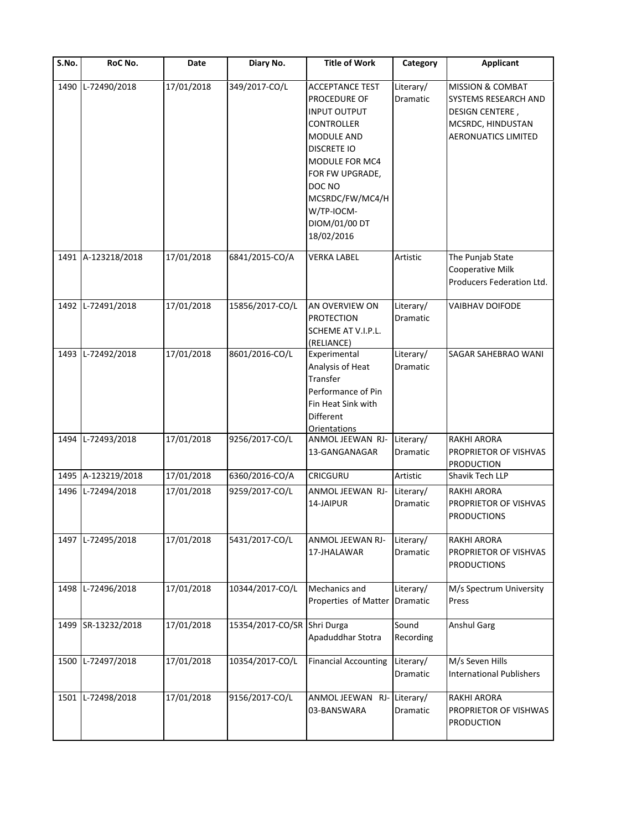| $\overline{\mathsf{S}}$ . No. | RoC No.            | Date       | Diary No.                   | <b>Title of Work</b>                                                                                                                                                                                                                         | Category              | <b>Applicant</b>                                                                                                                 |
|-------------------------------|--------------------|------------|-----------------------------|----------------------------------------------------------------------------------------------------------------------------------------------------------------------------------------------------------------------------------------------|-----------------------|----------------------------------------------------------------------------------------------------------------------------------|
| 1490                          | L-72490/2018       | 17/01/2018 | 349/2017-CO/L               | <b>ACCEPTANCE TEST</b><br>PROCEDURE OF<br><b>INPUT OUTPUT</b><br><b>CONTROLLER</b><br><b>MODULE AND</b><br><b>DISCRETE IO</b><br>MODULE FOR MC4<br>FOR FW UPGRADE,<br>DOC NO<br>MCSRDC/FW/MC4/H<br>W/TP-IOCM-<br>DIOM/01/00 DT<br>18/02/2016 | Literary/<br>Dramatic | <b>MISSION &amp; COMBAT</b><br>SYSTEMS RESEARCH AND<br><b>DESIGN CENTERE,</b><br>MCSRDC, HINDUSTAN<br><b>AERONUATICS LIMITED</b> |
|                               | 1491 A-123218/2018 | 17/01/2018 | 6841/2015-CO/A              | <b>VERKA LABEL</b>                                                                                                                                                                                                                           | Artistic              | The Punjab State<br>Cooperative Milk<br>Producers Federation Ltd.                                                                |
|                               | 1492 L-72491/2018  | 17/01/2018 | 15856/2017-CO/L             | AN OVERVIEW ON<br><b>PROTECTION</b><br>SCHEME AT V.I.P.L.<br>(RELIANCE)                                                                                                                                                                      | Literary/<br>Dramatic | VAIBHAV DOIFODE                                                                                                                  |
| 1493                          | L-72492/2018       | 17/01/2018 | 8601/2016-CO/L              | Experimental<br>Analysis of Heat<br>Transfer<br>Performance of Pin<br>Fin Heat Sink with<br>Different<br><b>Orientations</b>                                                                                                                 | Literary/<br>Dramatic | <b>SAGAR SAHEBRAO WANI</b>                                                                                                       |
|                               | 1494 L-72493/2018  | 17/01/2018 | 9256/2017-CO/L              | ANMOL JEEWAN RJ-<br>13-GANGANAGAR                                                                                                                                                                                                            | Literary/<br>Dramatic | <b>RAKHI ARORA</b><br>PROPRIETOR OF VISHVAS<br><b>PRODUCTION</b>                                                                 |
|                               | 1495 A-123219/2018 | 17/01/2018 | 6360/2016-CO/A              | <b>CRICGURU</b>                                                                                                                                                                                                                              | Artistic              | Shavik Tech LLP                                                                                                                  |
|                               | 1496 L-72494/2018  | 17/01/2018 | 9259/2017-CO/L              | ANMOL JEEWAN RJ-<br>14-JAIPUR                                                                                                                                                                                                                | Literary/<br>Dramatic | <b>RAKHI ARORA</b><br>PROPRIETOR OF VISHVAS<br><b>PRODUCTIONS</b>                                                                |
|                               | 1497 L-72495/2018  | 17/01/2018 | 5431/2017-CO/L              | ANMOL JEEWAN RJ-<br>17-JHALAWAR                                                                                                                                                                                                              | Literary/<br>Dramatic | <b>RAKHI ARORA</b><br>PROPRIETOR OF VISHVAS<br><b>PRODUCTIONS</b>                                                                |
|                               | 1498 L-72496/2018  | 17/01/2018 | 10344/2017-CO/L             | Mechanics and<br>Properties of Matter                                                                                                                                                                                                        | Literary/<br>Dramatic | M/s Spectrum University<br>Press                                                                                                 |
|                               | 1499 SR-13232/2018 | 17/01/2018 | 15354/2017-CO/SR Shri Durga | Apaduddhar Stotra                                                                                                                                                                                                                            | Sound<br>Recording    | <b>Anshul Garg</b>                                                                                                               |
| 1500                          | L-72497/2018       | 17/01/2018 | 10354/2017-CO/L             | <b>Financial Accounting</b>                                                                                                                                                                                                                  | Literary/<br>Dramatic | M/s Seven Hills<br><b>International Publishers</b>                                                                               |
| 1501                          | L-72498/2018       | 17/01/2018 | 9156/2017-CO/L              | ANMOL JEEWAN RJ-<br>03-BANSWARA                                                                                                                                                                                                              | Literary/<br>Dramatic | <b>RAKHI ARORA</b><br>PROPRIETOR OF VISHWAS<br><b>PRODUCTION</b>                                                                 |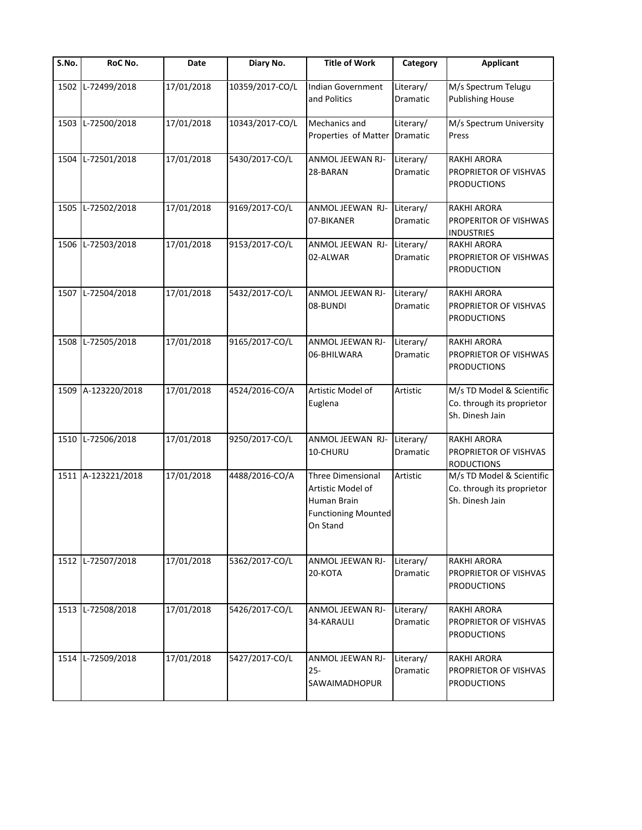| S.No. | RoC No.            | Date       | Diary No.       | <b>Title of Work</b>                                                                                   | Category                     | <b>Applicant</b>                                                           |
|-------|--------------------|------------|-----------------|--------------------------------------------------------------------------------------------------------|------------------------------|----------------------------------------------------------------------------|
| 1502  | L-72499/2018       | 17/01/2018 | 10359/2017-CO/L | Indian Government<br>and Politics                                                                      | Literary/<br>Dramatic        | M/s Spectrum Telugu<br><b>Publishing House</b>                             |
| 1503  | L-72500/2018       | 17/01/2018 | 10343/2017-CO/L | Mechanics and<br>Properties of Matter Dramatic                                                         | Literary/                    | M/s Spectrum University<br>Press                                           |
| 1504  | L-72501/2018       | 17/01/2018 | 5430/2017-CO/L  | ANMOL JEEWAN RJ-<br>28-BARAN                                                                           | Literary/<br>Dramatic        | <b>RAKHI ARORA</b><br>PROPRIETOR OF VISHVAS<br><b>PRODUCTIONS</b>          |
| 1505  | L-72502/2018       | 17/01/2018 | 9169/2017-CO/L  | ANMOL JEEWAN RJ-<br>07-BIKANER                                                                         | Literary/<br>Dramatic        | <b>RAKHI ARORA</b><br>PROPERITOR OF VISHWAS<br><b>INDUSTRIES</b>           |
| 1506  | L-72503/2018       | 17/01/2018 | 9153/2017-CO/L  | ANMOL JEEWAN RJ-<br>02-ALWAR                                                                           | Literary/<br>Dramatic        | <b>RAKHI ARORA</b><br>PROPRIETOR OF VISHWAS<br><b>PRODUCTION</b>           |
|       | 1507 L-72504/2018  | 17/01/2018 | 5432/2017-CO/L  | ANMOL JEEWAN RJ-<br>08-BUNDI                                                                           | Literary/<br><b>Dramatic</b> | RAKHI ARORA<br>PROPRIETOR OF VISHVAS<br><b>PRODUCTIONS</b>                 |
| 1508  | L-72505/2018       | 17/01/2018 | 9165/2017-CO/L  | ANMOL JEEWAN RJ-<br>06-BHILWARA                                                                        | Literary/<br>Dramatic        | <b>RAKHI ARORA</b><br>PROPRIETOR OF VISHWAS<br><b>PRODUCTIONS</b>          |
| 1509  | A-123220/2018      | 17/01/2018 | 4524/2016-CO/A  | Artistic Model of<br>Euglena                                                                           | Artistic                     | M/s TD Model & Scientific<br>Co. through its proprietor<br>Sh. Dinesh Jain |
| 1510  | L-72506/2018       | 17/01/2018 | 9250/2017-CO/L  | ANMOL JEEWAN RJ-<br>10-CHURU                                                                           | Literary/<br>Dramatic        | RAKHI ARORA<br>PROPRIETOR OF VISHVAS<br><b>RODUCTIONS</b>                  |
|       | 1511 A-123221/2018 | 17/01/2018 | 4488/2016-CO/A  | <b>Three Dimensional</b><br>Artistic Model of<br>Human Brain<br><b>Functioning Mounted</b><br>On Stand | Artistic                     | M/s TD Model & Scientific<br>Co. through its proprietor<br>Sh. Dinesh Jain |
| 1512  | L-72507/2018       | 17/01/2018 | 5362/2017-CO/L  | ANMOL JEEWAN RJ-<br>20-KOTA                                                                            | Literary/<br>Dramatic        | RAKHI ARORA<br>PROPRIETOR OF VISHVAS<br><b>PRODUCTIONS</b>                 |
| 1513  | L-72508/2018       | 17/01/2018 | 5426/2017-CO/L  | ANMOL JEEWAN RJ-<br>34-KARAULI                                                                         | Literary/<br>Dramatic        | <b>RAKHI ARORA</b><br>PROPRIETOR OF VISHVAS<br><b>PRODUCTIONS</b>          |
| 1514  | L-72509/2018       | 17/01/2018 | 5427/2017-CO/L  | ANMOL JEEWAN RJ-<br>$25 -$<br>SAWAIMADHOPUR                                                            | Literary/<br>Dramatic        | RAKHI ARORA<br>PROPRIETOR OF VISHVAS<br><b>PRODUCTIONS</b>                 |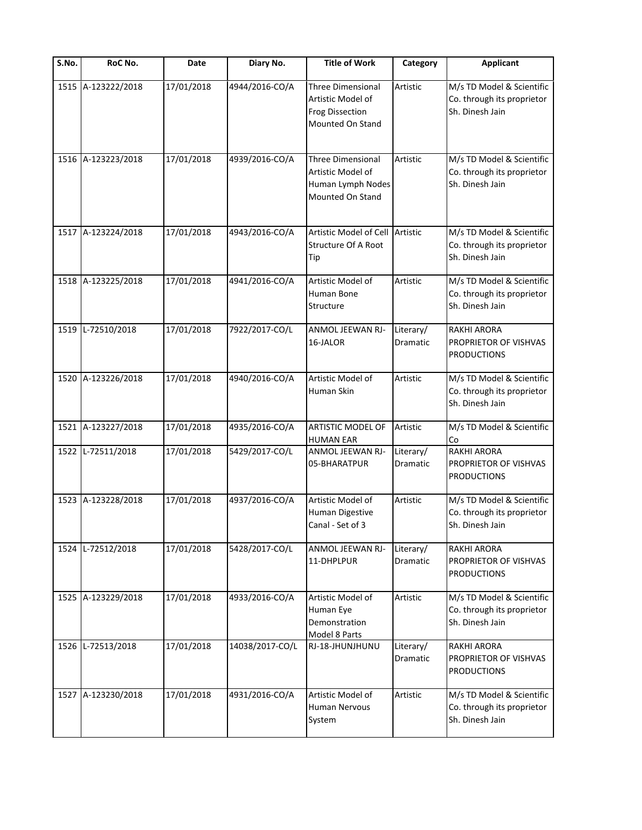| S.No. | RoC No.            | Date       | Diary No.       | <b>Title of Work</b>                                                                        | Category              | <b>Applicant</b>                                                           |
|-------|--------------------|------------|-----------------|---------------------------------------------------------------------------------------------|-----------------------|----------------------------------------------------------------------------|
| 1515  | A-123222/2018      | 17/01/2018 | 4944/2016-CO/A  | <b>Three Dimensional</b><br>Artistic Model of<br><b>Frog Dissection</b><br>Mounted On Stand | Artistic              | M/s TD Model & Scientific<br>Co. through its proprietor<br>Sh. Dinesh Jain |
| 1516  | A-123223/2018      | 17/01/2018 | 4939/2016-CO/A  | <b>Three Dimensional</b><br>Artistic Model of<br>Human Lymph Nodes<br>Mounted On Stand      | Artistic              | M/s TD Model & Scientific<br>Co. through its proprietor<br>Sh. Dinesh Jain |
|       | 1517 A-123224/2018 | 17/01/2018 | 4943/2016-CO/A  | Artistic Model of Cell<br><b>Structure Of A Root</b><br>Tip                                 | Artistic              | M/s TD Model & Scientific<br>Co. through its proprietor<br>Sh. Dinesh Jain |
|       | 1518 A-123225/2018 | 17/01/2018 | 4941/2016-CO/A  | Artistic Model of<br>Human Bone<br>Structure                                                | Artistic              | M/s TD Model & Scientific<br>Co. through its proprietor<br>Sh. Dinesh Jain |
| 1519  | L-72510/2018       | 17/01/2018 | 7922/2017-CO/L  | ANMOL JEEWAN RJ-<br>16-JALOR                                                                | Literary/<br>Dramatic | <b>RAKHI ARORA</b><br>PROPRIETOR OF VISHVAS<br><b>PRODUCTIONS</b>          |
| 1520  | A-123226/2018      | 17/01/2018 | 4940/2016-CO/A  | Artistic Model of<br>Human Skin                                                             | Artistic              | M/s TD Model & Scientific<br>Co. through its proprietor<br>Sh. Dinesh Jain |
| 1521  | A-123227/2018      | 17/01/2018 | 4935/2016-CO/A  | ARTISTIC MODEL OF<br><b>HUMAN EAR</b>                                                       | Artistic              | M/s TD Model & Scientific<br>Co                                            |
| 1522  | L-72511/2018       | 17/01/2018 | 5429/2017-CO/L  | ANMOL JEEWAN RJ-<br>05-BHARATPUR                                                            | Literary/<br>Dramatic | <b>RAKHI ARORA</b><br>PROPRIETOR OF VISHVAS<br><b>PRODUCTIONS</b>          |
| 1523  | A-123228/2018      | 17/01/2018 | 4937/2016-CO/A  | Artistic Model of<br>Human Digestive<br>Canal - Set of 3                                    | Artistic              | M/s TD Model & Scientific<br>Co. through its proprietor<br>Sh. Dinesh Jain |
| 1524  | L-72512/2018       | 17/01/2018 | 5428/2017-CO/L  | ANMOL JEEWAN RJ-<br>11-DHPLPUR                                                              | Literary/<br>Dramatic | <b>RAKHI ARORA</b><br>PROPRIETOR OF VISHVAS<br><b>PRODUCTIONS</b>          |
| 1525  | A-123229/2018      | 17/01/2018 | 4933/2016-CO/A  | Artistic Model of<br>Human Eye<br>Demonstration<br>Model 8 Parts                            | Artistic              | M/s TD Model & Scientific<br>Co. through its proprietor<br>Sh. Dinesh Jain |
| 1526  | L-72513/2018       | 17/01/2018 | 14038/2017-CO/L | RJ-18-JHUNJHUNU                                                                             | Literary/<br>Dramatic | <b>RAKHI ARORA</b><br>PROPRIETOR OF VISHVAS<br><b>PRODUCTIONS</b>          |
|       | 1527 A-123230/2018 | 17/01/2018 | 4931/2016-CO/A  | Artistic Model of<br>Human Nervous<br>System                                                | Artistic              | M/s TD Model & Scientific<br>Co. through its proprietor<br>Sh. Dinesh Jain |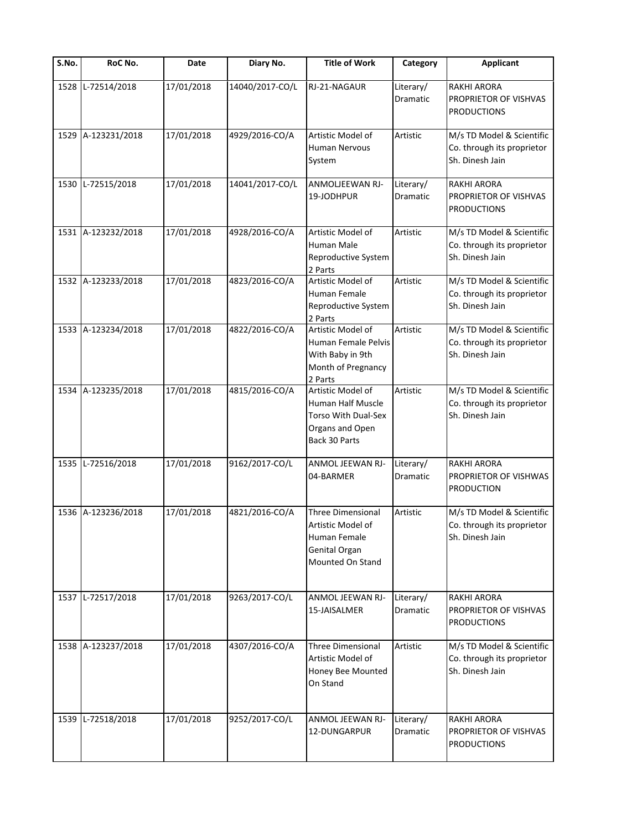| S.No. | RoC No.            | Date       | Diary No.       | <b>Title of Work</b>                                                                               | Category                     | <b>Applicant</b>                                                           |
|-------|--------------------|------------|-----------------|----------------------------------------------------------------------------------------------------|------------------------------|----------------------------------------------------------------------------|
| 1528  | L-72514/2018       | 17/01/2018 | 14040/2017-CO/L | RJ-21-NAGAUR                                                                                       | Literary/<br>Dramatic        | <b>RAKHI ARORA</b><br>PROPRIETOR OF VISHVAS<br><b>PRODUCTIONS</b>          |
|       | 1529 A-123231/2018 | 17/01/2018 | 4929/2016-CO/A  | Artistic Model of<br>Human Nervous<br>System                                                       | Artistic                     | M/s TD Model & Scientific<br>Co. through its proprietor<br>Sh. Dinesh Jain |
| 1530  | L-72515/2018       | 17/01/2018 | 14041/2017-CO/L | ANMOLJEEWAN RJ-<br>19-JODHPUR                                                                      | Literary/<br>Dramatic        | RAKHI ARORA<br>PROPRIETOR OF VISHVAS<br><b>PRODUCTIONS</b>                 |
|       | 1531 A-123232/2018 | 17/01/2018 | 4928/2016-CO/A  | Artistic Model of<br>Human Male<br>Reproductive System<br>2 Parts                                  | Artistic                     | M/s TD Model & Scientific<br>Co. through its proprietor<br>Sh. Dinesh Jain |
|       | 1532 A-123233/2018 | 17/01/2018 | 4823/2016-CO/A  | Artistic Model of<br>Human Female<br>Reproductive System<br>2 Parts                                | Artistic                     | M/s TD Model & Scientific<br>Co. through its proprietor<br>Sh. Dinesh Jain |
|       | 1533 A-123234/2018 | 17/01/2018 | 4822/2016-CO/A  | Artistic Model of<br>Human Female Pelvis<br>With Baby in 9th<br>Month of Pregnancy<br>2 Parts      | Artistic                     | M/s TD Model & Scientific<br>Co. through its proprietor<br>Sh. Dinesh Jain |
|       | 1534 A-123235/2018 | 17/01/2018 | 4815/2016-CO/A  | Artistic Model of<br>Human Half Muscle<br>Torso With Dual-Sex<br>Organs and Open<br>Back 30 Parts  | Artistic                     | M/s TD Model & Scientific<br>Co. through its proprietor<br>Sh. Dinesh Jain |
| 1535  | L-72516/2018       | 17/01/2018 | 9162/2017-CO/L  | ANMOL JEEWAN RJ-<br>04-BARMER                                                                      | Literary/<br><b>Dramatic</b> | RAKHI ARORA<br>PROPRIETOR OF VISHWAS<br><b>PRODUCTION</b>                  |
|       | 1536 A-123236/2018 | 17/01/2018 | 4821/2016-CO/A  | <b>Three Dimensional</b><br>Artistic Model of<br>Human Female<br>Genital Organ<br>Mounted On Stand | Artistic                     | M/s TD Model & Scientific<br>Co. through its proprietor<br>Sh. Dinesh Jain |
|       | 1537 L-72517/2018  | 17/01/2018 | 9263/2017-CO/L  | ANMOL JEEWAN RJ-<br>15-JAISALMER                                                                   | Literary/<br>Dramatic        | <b>RAKHI ARORA</b><br>PROPRIETOR OF VISHVAS<br><b>PRODUCTIONS</b>          |
|       | 1538 A-123237/2018 | 17/01/2018 | 4307/2016-CO/A  | <b>Three Dimensional</b><br>Artistic Model of<br>Honey Bee Mounted<br>On Stand                     | Artistic                     | M/s TD Model & Scientific<br>Co. through its proprietor<br>Sh. Dinesh Jain |
|       | 1539 L-72518/2018  | 17/01/2018 | 9252/2017-CO/L  | ANMOL JEEWAN RJ-<br>12-DUNGARPUR                                                                   | Literary/<br>Dramatic        | <b>RAKHI ARORA</b><br>PROPRIETOR OF VISHVAS<br><b>PRODUCTIONS</b>          |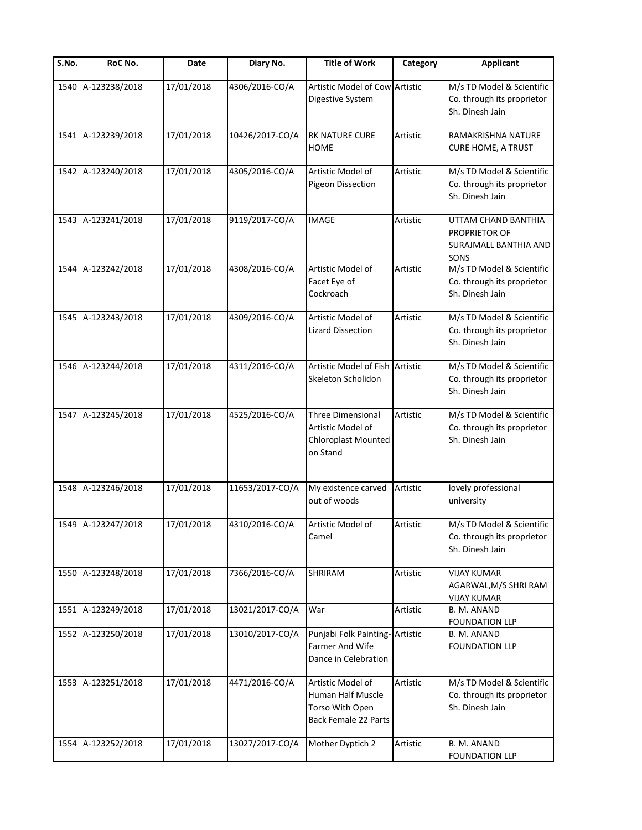| S.No. | RoC No.            | Date       | Diary No.       | <b>Title of Work</b>                                                              | Category | <b>Applicant</b>                                                           |
|-------|--------------------|------------|-----------------|-----------------------------------------------------------------------------------|----------|----------------------------------------------------------------------------|
|       | 1540 A-123238/2018 | 17/01/2018 | 4306/2016-CO/A  | Artistic Model of Cow Artistic<br>Digestive System                                |          | M/s TD Model & Scientific<br>Co. through its proprietor<br>Sh. Dinesh Jain |
|       | 1541 A-123239/2018 | 17/01/2018 | 10426/2017-CO/A | <b>RK NATURE CURE</b><br><b>HOME</b>                                              | Artistic | RAMAKRISHNA NATURE<br><b>CURE HOME, A TRUST</b>                            |
|       | 1542 A-123240/2018 | 17/01/2018 | 4305/2016-CO/A  | Artistic Model of<br>Pigeon Dissection                                            | Artistic | M/s TD Model & Scientific<br>Co. through its proprietor<br>Sh. Dinesh Jain |
|       | 1543 A-123241/2018 | 17/01/2018 | 9119/2017-CO/A  | <b>IMAGE</b>                                                                      | Artistic | UTTAM CHAND BANTHIA<br>PROPRIETOR OF<br>SURAJMALL BANTHIA AND<br>SONS      |
|       | 1544 A-123242/2018 | 17/01/2018 | 4308/2016-CO/A  | Artistic Model of<br>Facet Eye of<br>Cockroach                                    | Artistic | M/s TD Model & Scientific<br>Co. through its proprietor<br>Sh. Dinesh Jain |
|       | 1545 A-123243/2018 | 17/01/2018 | 4309/2016-CO/A  | Artistic Model of<br><b>Lizard Dissection</b>                                     | Artistic | M/s TD Model & Scientific<br>Co. through its proprietor<br>Sh. Dinesh Jain |
|       | 1546 A-123244/2018 | 17/01/2018 | 4311/2016-CO/A  | Artistic Model of Fish Artistic<br>Skeleton Scholidon                             |          | M/s TD Model & Scientific<br>Co. through its proprietor<br>Sh. Dinesh Jain |
|       | 1547 A-123245/2018 | 17/01/2018 | 4525/2016-CO/A  | Three Dimensional<br>Artistic Model of<br>Chloroplast Mounted<br>on Stand         | Artistic | M/s TD Model & Scientific<br>Co. through its proprietor<br>Sh. Dinesh Jain |
|       | 1548 A-123246/2018 | 17/01/2018 | 11653/2017-CO/A | My existence carved<br>out of woods                                               | Artistic | lovely professional<br>university                                          |
|       | 1549 A-123247/2018 | 17/01/2018 | 4310/2016-CO/A  | Artistic Model of<br>Camel                                                        | Artistic | M/s TD Model & Scientific<br>Co. through its proprietor<br>Sh. Dinesh Jain |
|       | 1550 A-123248/2018 | 17/01/2018 | 7366/2016-CO/A  | SHRIRAM                                                                           | Artistic | <b>VIJAY KUMAR</b><br>AGARWAL,M/S SHRI RAM<br>VIJAY KUMAR                  |
|       | 1551 A-123249/2018 | 17/01/2018 | 13021/2017-CO/A | War                                                                               | Artistic | B. M. ANAND<br>FOUNDATION LLP                                              |
|       | 1552 A-123250/2018 | 17/01/2018 | 13010/2017-CO/A | Punjabi Folk Painting- Artistic<br>Farmer And Wife<br>Dance in Celebration        |          | B. M. ANAND<br><b>FOUNDATION LLP</b>                                       |
|       | 1553 A-123251/2018 | 17/01/2018 | 4471/2016-CO/A  | Artistic Model of<br>Human Half Muscle<br>Torso With Open<br>Back Female 22 Parts | Artistic | M/s TD Model & Scientific<br>Co. through its proprietor<br>Sh. Dinesh Jain |
|       | 1554 A-123252/2018 | 17/01/2018 | 13027/2017-CO/A | Mother Dyptich 2                                                                  | Artistic | B. M. ANAND<br><b>FOUNDATION LLP</b>                                       |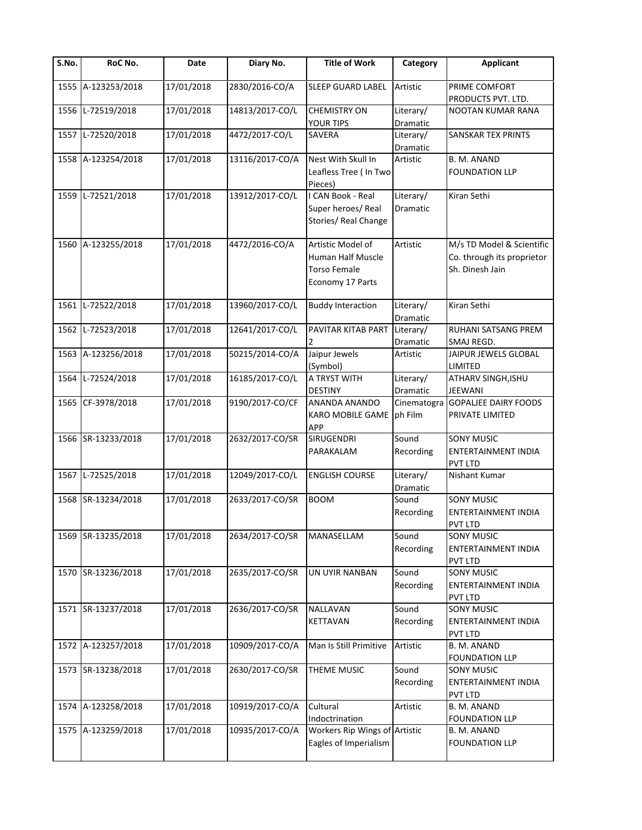| S.No. | RoC No.            | Date       | Diary No.       | <b>Title of Work</b>                                                              | Category                     | <b>Applicant</b>                                                           |
|-------|--------------------|------------|-----------------|-----------------------------------------------------------------------------------|------------------------------|----------------------------------------------------------------------------|
|       | 1555 A-123253/2018 | 17/01/2018 | 2830/2016-CO/A  | <b>SLEEP GUARD LABEL</b>                                                          | Artistic                     | PRIME COMFORT<br>PRODUCTS PVT. LTD.                                        |
| 1556  | L-72519/2018       | 17/01/2018 | 14813/2017-CO/L | <b>CHEMISTRY ON</b><br>YOUR TIPS                                                  | Literary/<br>Dramatic        | NOOTAN KUMAR RANA                                                          |
|       | 1557 L-72520/2018  | 17/01/2018 | 4472/2017-CO/L  | SAVERA                                                                            | Literary/<br>Dramatic        | SANSKAR TEX PRINTS                                                         |
|       | 1558 A-123254/2018 | 17/01/2018 | 13116/2017-CO/A | Nest With Skull In<br>Leafless Tree (In Two<br>Pieces)                            | Artistic                     | B. M. ANAND<br><b>FOUNDATION LLP</b>                                       |
| 1559  | L-72521/2018       | 17/01/2018 | 13912/2017-CO/L | <b>I CAN Book - Real</b><br>Super heroes/Real<br>Stories/ Real Change             | Literary/<br><b>Dramatic</b> | Kiran Sethi                                                                |
|       | 1560 A-123255/2018 | 17/01/2018 | 4472/2016-CO/A  | Artistic Model of<br>Human Half Muscle<br><b>Torso Female</b><br>Economy 17 Parts | Artistic                     | M/s TD Model & Scientific<br>Co. through its proprietor<br>Sh. Dinesh Jain |
|       | 1561 L-72522/2018  | 17/01/2018 | 13960/2017-CO/L | <b>Buddy Interaction</b>                                                          | Literary/<br>Dramatic        | Kiran Sethi                                                                |
|       | 1562 L-72523/2018  | 17/01/2018 | 12641/2017-CO/L | PAVITAR KITAB PART                                                                | Literary/<br>Dramatic        | RUHANI SATSANG PREM<br>SMAJ REGD.                                          |
|       | 1563 A-123256/2018 | 17/01/2018 | 50215/2014-CO/A | Jaipur Jewels<br>(Symbol)                                                         | Artistic                     | JAIPUR JEWELS GLOBAL<br>LIMITED                                            |
| 1564  | L-72524/2018       | 17/01/2018 | 16185/2017-CO/L | A TRYST WITH<br><b>DESTINY</b>                                                    | Literary/<br>Dramatic        | ATHARV SINGH, ISHU<br><b>JEEWANI</b>                                       |
|       | 1565 CF-3978/2018  | 17/01/2018 | 9190/2017-CO/CF | ANANDA ANANDO<br>KARO MOBILE GAME<br>APP                                          | Cinematogra<br>ph Film       | <b>GOPALIEE DAIRY FOODS</b><br>PRIVATE LIMITED                             |
|       | 1566 SR-13233/2018 | 17/01/2018 | 2632/2017-CO/SR | SIRUGENDRI<br>PARAKALAM                                                           | Sound<br>Recording           | <b>SONY MUSIC</b><br>ENTERTAINMENT INDIA<br>PVT LTD                        |
|       | 1567 L-72525/2018  | 17/01/2018 | 12049/2017-CO/L | <b>ENGLISH COURSE</b>                                                             | Literary/<br>Dramatic        | Nishant Kumar                                                              |
|       | 1568 SR-13234/2018 | 17/01/2018 | 2633/2017-CO/SR | <b>BOOM</b>                                                                       | Sound<br>Recording           | <b>SONY MUSIC</b><br>ENTERTAINMENT INDIA<br><b>PVT LTD</b>                 |
|       | 1569 SR-13235/2018 | 17/01/2018 | 2634/2017-CO/SR | MANASELLAM                                                                        | Sound<br>Recording           | <b>SONY MUSIC</b><br>ENTERTAINMENT INDIA<br>PVT LTD                        |
|       | 1570 SR-13236/2018 | 17/01/2018 | 2635/2017-CO/SR | UN UYIR NANBAN                                                                    | Sound<br>Recording           | <b>SONY MUSIC</b><br>ENTERTAINMENT INDIA<br>PVT LTD                        |
|       | 1571 SR-13237/2018 | 17/01/2018 | 2636/2017-CO/SR | NALLAVAN<br>KETTAVAN                                                              | Sound<br>Recording           | <b>SONY MUSIC</b><br>ENTERTAINMENT INDIA<br>PVT LTD                        |
|       | 1572 A-123257/2018 | 17/01/2018 | 10909/2017-CO/A | Man Is Still Primitive                                                            | Artistic                     | B. M. ANAND<br><b>FOUNDATION LLP</b>                                       |
|       | 1573 SR-13238/2018 | 17/01/2018 | 2630/2017-CO/SR | THEME MUSIC                                                                       | Sound<br>Recording           | <b>SONY MUSIC</b><br>ENTERTAINMENT INDIA<br>PVT LTD                        |
|       | 1574 A-123258/2018 | 17/01/2018 | 10919/2017-CO/A | Cultural<br>Indoctrination                                                        | Artistic                     | B. M. ANAND<br><b>FOUNDATION LLP</b>                                       |
|       | 1575 A-123259/2018 | 17/01/2018 | 10935/2017-CO/A | Workers Rip Wings of Artistic<br>Eagles of Imperialism                            |                              | B. M. ANAND<br><b>FOUNDATION LLP</b>                                       |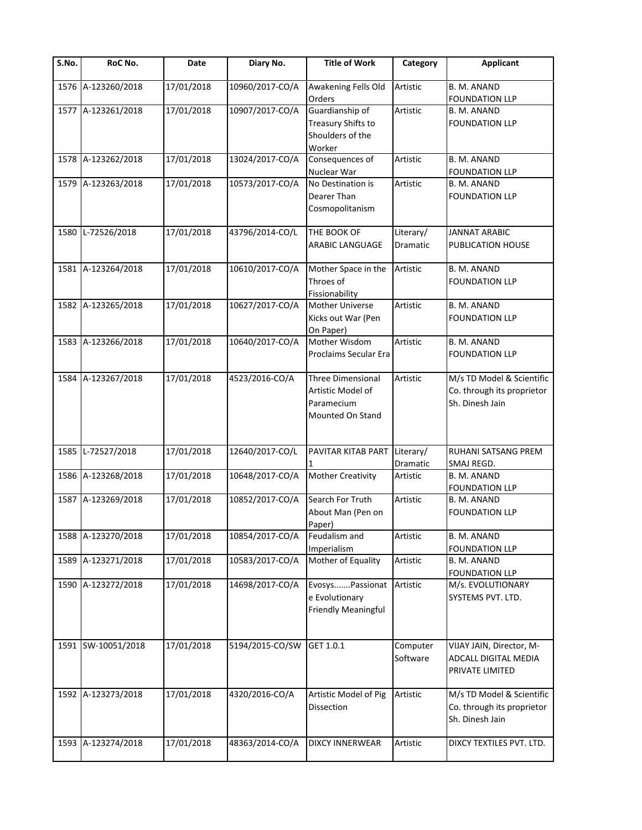| S.No. | RoC No.            | Date       | Diary No.       | <b>Title of Work</b>                                                     | Category              | <b>Applicant</b>                                                           |
|-------|--------------------|------------|-----------------|--------------------------------------------------------------------------|-----------------------|----------------------------------------------------------------------------|
|       | 1576 A-123260/2018 | 17/01/2018 | 10960/2017-CO/A | Awakening Fells Old<br>Orders                                            | Artistic              | B. M. ANAND<br><b>FOUNDATION LLP</b>                                       |
|       | 1577 A-123261/2018 | 17/01/2018 | 10907/2017-CO/A | Guardianship of<br>Treasury Shifts to<br>Shoulders of the<br>Worker      | Artistic              | B. M. ANAND<br><b>FOUNDATION LLP</b>                                       |
|       | 1578 A-123262/2018 | 17/01/2018 | 13024/2017-CO/A | Consequences of<br>Nuclear War                                           | Artistic              | <b>B. M. ANAND</b><br><b>FOUNDATION LLP</b>                                |
|       | 1579 A-123263/2018 | 17/01/2018 | 10573/2017-CO/A | No Destination is<br>Dearer Than<br>Cosmopolitanism                      | Artistic              | B. M. ANAND<br><b>FOUNDATION LLP</b>                                       |
|       | 1580 L-72526/2018  | 17/01/2018 | 43796/2014-CO/L | THE BOOK OF<br>ARABIC LANGUAGE                                           | Literary/<br>Dramatic | <b>JANNAT ARABIC</b><br>PUBLICATION HOUSE                                  |
|       | 1581 A-123264/2018 | 17/01/2018 | 10610/2017-CO/A | Mother Space in the<br>Throes of<br>Fissionability                       | Artistic              | B. M. ANAND<br><b>FOUNDATION LLP</b>                                       |
|       | 1582 A-123265/2018 | 17/01/2018 | 10627/2017-CO/A | <b>Mother Universe</b><br>Kicks out War (Pen<br>On Paper)                | Artistic              | B. M. ANAND<br><b>FOUNDATION LLP</b>                                       |
|       | 1583 A-123266/2018 | 17/01/2018 | 10640/2017-CO/A | Mother Wisdom<br>Proclaims Secular Era                                   | Artistic              | B. M. ANAND<br><b>FOUNDATION LLP</b>                                       |
|       | 1584 A-123267/2018 | 17/01/2018 | 4523/2016-CO/A  | Three Dimensional<br>Artistic Model of<br>Paramecium<br>Mounted On Stand | Artistic              | M/s TD Model & Scientific<br>Co. through its proprietor<br>Sh. Dinesh Jain |
|       | 1585 L-72527/2018  | 17/01/2018 | 12640/2017-CO/L | PAVITAR KITAB PART                                                       | Literary/<br>Dramatic | RUHANI SATSANG PREM<br>SMAJ REGD.                                          |
|       | 1586 A-123268/2018 | 17/01/2018 | 10648/2017-CO/A | <b>Mother Creativity</b>                                                 | Artistic              | B. M. ANAND<br><b>FOUNDATION LLP</b>                                       |
|       | 1587 A-123269/2018 | 17/01/2018 | 10852/2017-CO/A | Search For Truth<br>About Man (Pen on<br>Paper)                          | Artistic              | B. M. ANAND<br><b>FOUNDATION LLP</b>                                       |
|       | 1588 A-123270/2018 | 17/01/2018 | 10854/2017-CO/A | Feudalism and<br>Imperialism                                             | Artistic              | B. M. ANAND<br><b>FOUNDATION LLP</b>                                       |
|       | 1589 A-123271/2018 | 17/01/2018 | 10583/2017-CO/A | Mother of Equality                                                       | Artistic              | B. M. ANAND<br><b>FOUNDATION LLP</b>                                       |
|       | 1590 A-123272/2018 | 17/01/2018 | 14698/2017-CO/A | EvosysPassionat<br>e Evolutionary<br>Friendly Meaningful                 | Artistic              | M/s. EVOLUTIONARY<br>SYSTEMS PVT. LTD.                                     |
|       | 1591 SW-10051/2018 | 17/01/2018 | 5194/2015-CO/SW | GET 1.0.1                                                                | Computer<br>Software  | VIJAY JAIN, Director, M-<br>ADCALL DIGITAL MEDIA<br>PRIVATE LIMITED        |
|       | 1592 A-123273/2018 | 17/01/2018 | 4320/2016-CO/A  | Artistic Model of Pig<br>Dissection                                      | Artistic              | M/s TD Model & Scientific<br>Co. through its proprietor<br>Sh. Dinesh Jain |
|       | 1593 A-123274/2018 | 17/01/2018 | 48363/2014-CO/A | <b>DIXCY INNERWEAR</b>                                                   | Artistic              | DIXCY TEXTILES PVT. LTD.                                                   |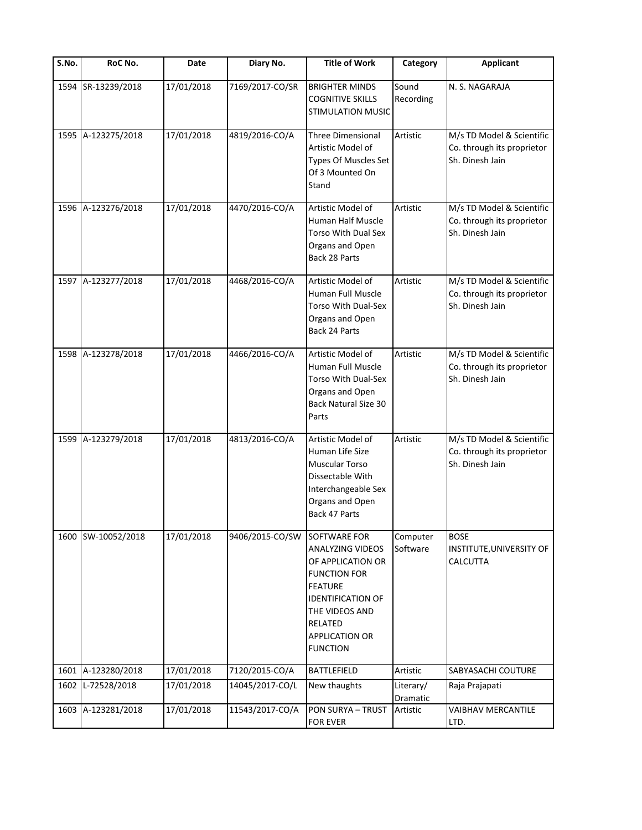| S.No. | RoC No.            | Date       | Diary No.       | <b>Title of Work</b>                                                                                                                                                                                | Category              | <b>Applicant</b>                                                           |
|-------|--------------------|------------|-----------------|-----------------------------------------------------------------------------------------------------------------------------------------------------------------------------------------------------|-----------------------|----------------------------------------------------------------------------|
| 1594  | SR-13239/2018      | 17/01/2018 | 7169/2017-CO/SR | <b>BRIGHTER MINDS</b><br><b>COGNITIVE SKILLS</b><br><b>STIMULATION MUSIC</b>                                                                                                                        | Sound<br>Recording    | N. S. NAGARAJA                                                             |
|       | 1595 A-123275/2018 | 17/01/2018 | 4819/2016-CO/A  | Three Dimensional<br>Artistic Model of<br>Types Of Muscles Set<br>Of 3 Mounted On<br>Stand                                                                                                          | Artistic              | M/s TD Model & Scientific<br>Co. through its proprietor<br>Sh. Dinesh Jain |
|       | 1596 A-123276/2018 | 17/01/2018 | 4470/2016-CO/A  | Artistic Model of<br>Human Half Muscle<br>Torso With Dual Sex<br>Organs and Open<br>Back 28 Parts                                                                                                   | Artistic              | M/s TD Model & Scientific<br>Co. through its proprietor<br>Sh. Dinesh Jain |
|       | 1597 A-123277/2018 | 17/01/2018 | 4468/2016-CO/A  | Artistic Model of<br>Human Full Muscle<br><b>Torso With Dual-Sex</b><br>Organs and Open<br>Back 24 Parts                                                                                            | Artistic              | M/s TD Model & Scientific<br>Co. through its proprietor<br>Sh. Dinesh Jain |
|       | 1598 A-123278/2018 | 17/01/2018 | 4466/2016-CO/A  | Artistic Model of<br>Human Full Muscle<br>Torso With Dual-Sex<br>Organs and Open<br><b>Back Natural Size 30</b><br>Parts                                                                            | Artistic              | M/s TD Model & Scientific<br>Co. through its proprietor<br>Sh. Dinesh Jain |
|       | 1599 A-123279/2018 | 17/01/2018 | 4813/2016-CO/A  | Artistic Model of<br>Human Life Size<br>Muscular Torso<br>Dissectable With<br>Interchangeable Sex<br>Organs and Open<br>Back 47 Parts                                                               | Artistic              | M/s TD Model & Scientific<br>Co. through its proprietor<br>Sh. Dinesh Jain |
|       | 1600 SW-10052/2018 | 17/01/2018 | 9406/2015-CO/SW | SOFTWARE FOR<br>ANALYZING VIDEOS<br>OF APPLICATION OR<br><b>FUNCTION FOR</b><br><b>FEATURE</b><br><b>IDENTIFICATION OF</b><br>THE VIDEOS AND<br>RELATED<br><b>APPLICATION OR</b><br><b>FUNCTION</b> | Computer<br>Software  | <b>BOSE</b><br>INSTITUTE, UNIVERSITY OF<br>CALCUTTA                        |
|       | 1601 A-123280/2018 | 17/01/2018 | 7120/2015-CO/A  | <b>BATTLEFIELD</b>                                                                                                                                                                                  | Artistic              | SABYASACHI COUTURE                                                         |
| 1602  | L-72528/2018       | 17/01/2018 | 14045/2017-CO/L | New thaughts                                                                                                                                                                                        | Literary/<br>Dramatic | Raja Prajapati                                                             |
|       | 1603 A-123281/2018 | 17/01/2018 | 11543/2017-CO/A | PON SURYA - TRUST<br>FOR EVER                                                                                                                                                                       | Artistic              | VAIBHAV MERCANTILE<br>LTD.                                                 |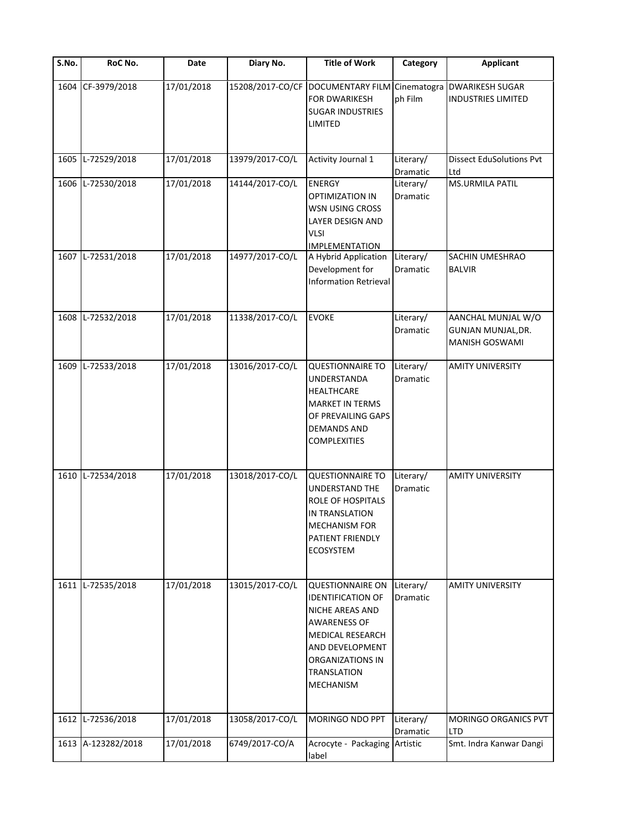| S.No. | RoC No.            | Date       | Diary No.       | <b>Title of Work</b>                                                                                                                                                                               | Category                     | <b>Applicant</b>                                                  |
|-------|--------------------|------------|-----------------|----------------------------------------------------------------------------------------------------------------------------------------------------------------------------------------------------|------------------------------|-------------------------------------------------------------------|
| 1604  | CF-3979/2018       | 17/01/2018 |                 | 15208/2017-CO/CF DOCUMENTARY FILM Cinematogra DWARIKESH SUGAR<br>FOR DWARIKESH<br><b>SUGAR INDUSTRIES</b><br>LIMITED                                                                               | ph Film                      | <b>INDUSTRIES LIMITED</b>                                         |
| 1605  | L-72529/2018       | 17/01/2018 | 13979/2017-CO/L | <b>Activity Journal 1</b>                                                                                                                                                                          | Literary/<br>Dramatic        | <b>Dissect EduSolutions Pvt</b><br>Ltd                            |
| 1606  | L-72530/2018       | 17/01/2018 | 14144/2017-CO/L | <b>ENERGY</b><br>OPTIMIZATION IN<br>WSN USING CROSS<br>LAYER DESIGN AND<br><b>VLSI</b><br><b>IMPLEMENTATION</b>                                                                                    | Literary/<br>Dramatic        | MS.URMILA PATIL                                                   |
| 1607  | L-72531/2018       | 17/01/2018 | 14977/2017-CO/L | A Hybrid Application<br>Development for<br><b>Information Retrieval</b>                                                                                                                            | Literary/<br>Dramatic        | SACHIN UMESHRAO<br><b>BALVIR</b>                                  |
| 1608  | L-72532/2018       | 17/01/2018 | 11338/2017-CO/L | <b>EVOKE</b>                                                                                                                                                                                       | Literary/<br>Dramatic        | AANCHAL MUNJAL W/O<br>GUNJAN MUNJAL, DR.<br><b>MANISH GOSWAMI</b> |
| 1609  | L-72533/2018       | 17/01/2018 | 13016/2017-CO/L | <b>QUESTIONNAIRE TO</b><br>UNDERSTANDA<br>HEALTHCARE<br><b>MARKET IN TERMS</b><br>OF PREVAILING GAPS<br><b>DEMANDS AND</b><br><b>COMPLEXITIES</b>                                                  | Literary/<br><b>Dramatic</b> | <b>AMITY UNIVERSITY</b>                                           |
| 1610  | L-72534/2018       | 17/01/2018 | 13018/2017-CO/L | <b>QUESTIONNAIRE TO</b><br>UNDERSTAND THE<br>ROLE OF HOSPITALS<br>IN TRANSLATION<br><b>MECHANISM FOR</b><br>PATIENT FRIENDLY<br><b>ECOSYSTEM</b>                                                   | Literary/<br><b>Dramatic</b> | <b>AMITY UNIVERSITY</b>                                           |
| 1611  | L-72535/2018       | 17/01/2018 | 13015/2017-CO/L | <b>QUESTIONNAIRE ON</b><br><b>IDENTIFICATION OF</b><br>NICHE AREAS AND<br><b>AWARENESS OF</b><br><b>MEDICAL RESEARCH</b><br>AND DEVELOPMENT<br>ORGANIZATIONS IN<br><b>TRANSLATION</b><br>MECHANISM | Literary/<br>Dramatic        | <b>AMITY UNIVERSITY</b>                                           |
| 1612  | L-72536/2018       | 17/01/2018 | 13058/2017-CO/L | MORINGO NDO PPT                                                                                                                                                                                    | Literary/<br>Dramatic        | MORINGO ORGANICS PVT<br><b>LTD</b>                                |
|       | 1613 A-123282/2018 | 17/01/2018 | 6749/2017-CO/A  | Acrocyte - Packaging Artistic<br>label                                                                                                                                                             |                              | Smt. Indra Kanwar Dangi                                           |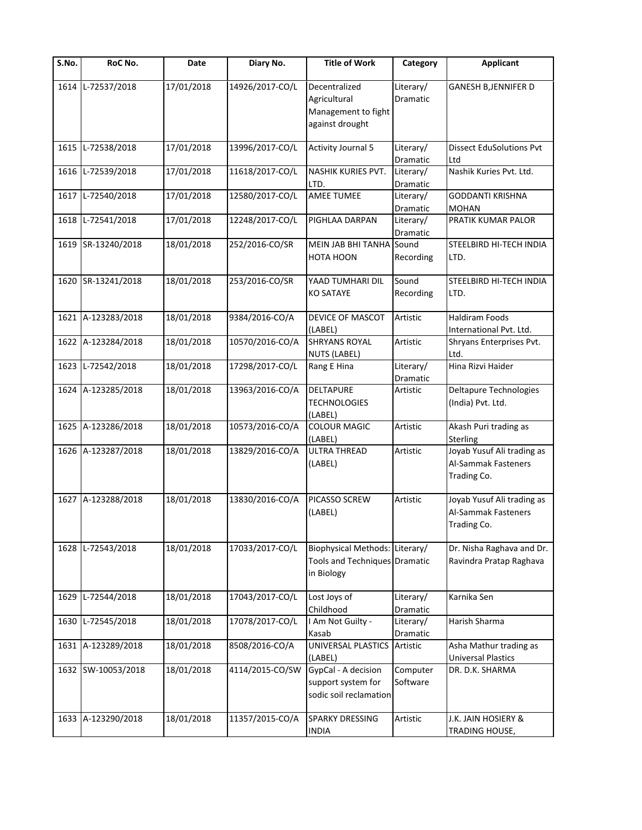| $\overline{\mathsf{S}}$ . No. | RoC No.            | Date       | Diary No.       | <b>Title of Work</b>                                                          | Category              | <b>Applicant</b>                                                 |
|-------------------------------|--------------------|------------|-----------------|-------------------------------------------------------------------------------|-----------------------|------------------------------------------------------------------|
| 1614                          | L-72537/2018       | 17/01/2018 | 14926/2017-CO/L | Decentralized<br>Agricultural<br>Management to fight<br>against drought       | Literary/<br>Dramatic | GANESH B, JENNIFER D                                             |
| 1615                          | L-72538/2018       | 17/01/2018 | 13996/2017-CO/L | <b>Activity Journal 5</b>                                                     | Literary/<br>Dramatic | <b>Dissect EduSolutions Pvt</b><br>Ltd                           |
|                               | 1616 L-72539/2018  | 17/01/2018 | 11618/2017-CO/L | NASHIK KURIES PVT.<br>LTD.                                                    | Literary/<br>Dramatic | Nashik Kuries Pvt. Ltd.                                          |
| 1617                          | L-72540/2018       | 17/01/2018 | 12580/2017-CO/L | AMEE TUMEE                                                                    | Literary/<br>Dramatic | <b>GODDANTI KRISHNA</b><br><b>MOHAN</b>                          |
| 1618                          | L-72541/2018       | 17/01/2018 | 12248/2017-CO/L | PIGHLAA DARPAN                                                                | Literary/<br>Dramatic | PRATIK KUMAR PALOR                                               |
|                               | 1619 SR-13240/2018 | 18/01/2018 | 252/2016-CO/SR  | MEIN JAB BHI TANHA Sound<br>HOTA HOON                                         | Recording             | STEELBIRD HI-TECH INDIA<br>LTD.                                  |
|                               | 1620 SR-13241/2018 | 18/01/2018 | 253/2016-CO/SR  | YAAD TUMHARI DIL<br><b>KO SATAYE</b>                                          | Sound<br>Recording    | STEELBIRD HI-TECH INDIA<br>LTD.                                  |
|                               | 1621 A-123283/2018 | 18/01/2018 | 9384/2016-CO/A  | DEVICE OF MASCOT<br>(LABEL)                                                   | Artistic              | <b>Haldiram Foods</b><br>International Pvt. Ltd.                 |
|                               | 1622 A-123284/2018 | 18/01/2018 | 10570/2016-CO/A | <b>SHRYANS ROYAL</b><br><b>NUTS (LABEL)</b>                                   | Artistic              | Shryans Enterprises Pvt.<br>Ltd.                                 |
| 1623                          | L-72542/2018       | 18/01/2018 | 17298/2017-CO/L | Rang E Hina                                                                   | Literary/<br>Dramatic | Hina Rizvi Haider                                                |
|                               | 1624 A-123285/2018 | 18/01/2018 | 13963/2016-CO/A | <b>DELTAPURE</b><br><b>TECHNOLOGIES</b><br>(LABEL)                            | Artistic              | Deltapure Technologies<br>(India) Pvt. Ltd.                      |
|                               | 1625 A-123286/2018 | 18/01/2018 | 10573/2016-CO/A | <b>COLOUR MAGIC</b><br>(LABEL)                                                | Artistic              | Akash Puri trading as<br>Sterling                                |
|                               | 1626 A-123287/2018 | 18/01/2018 | 13829/2016-CO/A | <b>ULTRA THREAD</b><br>(LABEL)                                                | Artistic              | Joyab Yusuf Ali trading as<br>Al-Sammak Fasteners<br>Trading Co. |
|                               | 1627 A-123288/2018 | 18/01/2018 | 13830/2016-CO/A | PICASSO SCREW<br>(LABEL)                                                      | Artistic              | Joyab Yusuf Ali trading as<br>Al-Sammak Fasteners<br>Trading Co. |
| 1628                          | L-72543/2018       | 18/01/2018 | 17033/2017-CO/L | Biophysical Methods: Literary/<br>Tools and Techniques Dramatic<br>in Biology |                       | Dr. Nisha Raghava and Dr.<br>Ravindra Pratap Raghava             |
| 1629                          | L-72544/2018       | 18/01/2018 | 17043/2017-CO/L | Lost Joys of<br>Childhood                                                     | Literary/<br>Dramatic | Karnika Sen                                                      |
| 1630                          | L-72545/2018       | 18/01/2018 | 17078/2017-CO/L | I Am Not Guilty -<br>Kasab                                                    | Literary/<br>Dramatic | Harish Sharma                                                    |
|                               | 1631 A-123289/2018 | 18/01/2018 | 8508/2016-CO/A  | UNIVERSAL PLASTICS<br>(LABEL)                                                 | Artistic              | Asha Mathur trading as<br><b>Universal Plastics</b>              |
|                               | 1632 SW-10053/2018 | 18/01/2018 | 4114/2015-CO/SW | GypCal - A decision<br>support system for<br>sodic soil reclamation           | Computer<br>Software  | DR. D.K. SHARMA                                                  |
|                               | 1633 A-123290/2018 | 18/01/2018 | 11357/2015-CO/A | <b>SPARKY DRESSING</b><br><b>INDIA</b>                                        | Artistic              | J.K. JAIN HOSIERY &<br>TRADING HOUSE,                            |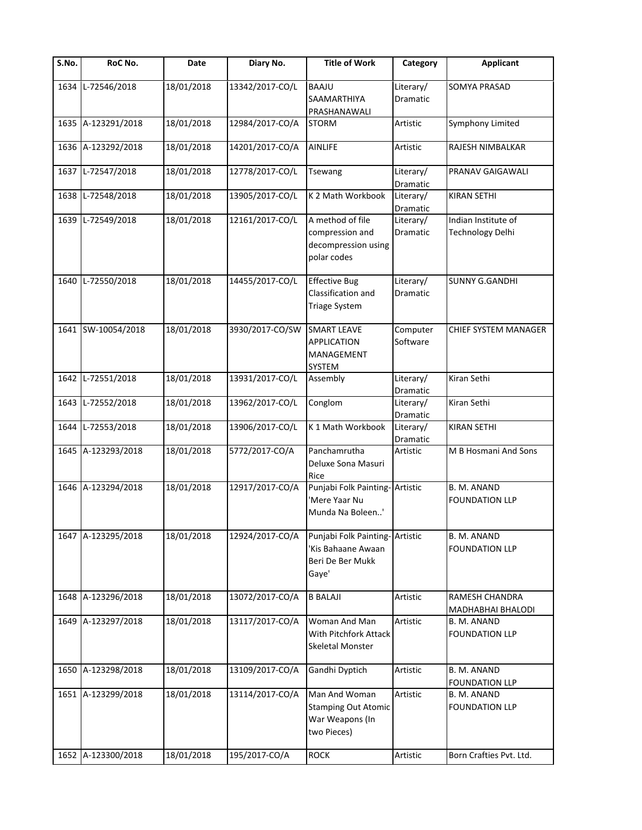| $\overline{\mathsf{S}}$ . No. | RoC No.            | Date       | Diary No.       | <b>Title of Work</b>                                                               | Category              | <b>Applicant</b>                        |
|-------------------------------|--------------------|------------|-----------------|------------------------------------------------------------------------------------|-----------------------|-----------------------------------------|
| 1634                          | L-72546/2018       | 18/01/2018 | 13342/2017-CO/L | <b>BAAJU</b><br>SAAMARTHIYA<br>PRASHANAWALI                                        | Literary/<br>Dramatic | SOMYA PRASAD                            |
| 1635                          | A-123291/2018      | 18/01/2018 | 12984/2017-CO/A | <b>STORM</b>                                                                       | Artistic              | Symphony Limited                        |
| 1636                          | A-123292/2018      | 18/01/2018 | 14201/2017-CO/A | <b>AINLIFE</b>                                                                     | Artistic              | RAJESH NIMBALKAR                        |
| 1637                          | L-72547/2018       | 18/01/2018 | 12778/2017-CO/L | <b>Tsewang</b>                                                                     | Literary/<br>Dramatic | PRANAV GAIGAWALI                        |
| 1638                          | L-72548/2018       | 18/01/2018 | 13905/2017-CO/L | K 2 Math Workbook                                                                  | Literary/<br>Dramatic | <b>KIRAN SETHI</b>                      |
| 1639                          | L-72549/2018       | 18/01/2018 | 12161/2017-CO/L | A method of file<br>compression and<br>decompression using<br>polar codes          | Literary/<br>Dramatic | Indian Institute of<br>Technology Delhi |
| 1640                          | L-72550/2018       | 18/01/2018 | 14455/2017-CO/L | <b>Effective Bug</b><br>Classification and<br><b>Triage System</b>                 | Literary/<br>Dramatic | <b>SUNNY G.GANDHI</b>                   |
| 1641                          | SW-10054/2018      | 18/01/2018 | 3930/2017-CO/SW | <b>SMART LEAVE</b><br><b>APPLICATION</b><br>MANAGEMENT<br>SYSTEM                   | Computer<br>Software  | CHIEF SYSTEM MANAGER                    |
| 1642                          | L-72551/2018       | 18/01/2018 | 13931/2017-CO/L | Assembly                                                                           | Literary/<br>Dramatic | Kiran Sethi                             |
| 1643                          | L-72552/2018       | 18/01/2018 | 13962/2017-CO/L | Conglom                                                                            | Literary/<br>Dramatic | Kiran Sethi                             |
| 1644                          | L-72553/2018       | 18/01/2018 | 13906/2017-CO/L | K 1 Math Workbook                                                                  | Literary/<br>Dramatic | <b>KIRAN SETHI</b>                      |
| 1645                          | A-123293/2018      | 18/01/2018 | 5772/2017-CO/A  | Panchamrutha<br>Deluxe Sona Masuri<br>Rice                                         | Artistic              | M B Hosmani And Sons                    |
| 1646                          | A-123294/2018      | 18/01/2018 | 12917/2017-CO/A | Punjabi Folk Painting-Artistic<br>'Mere Yaar Nu<br>Munda Na Boleen'                |                       | B. M. ANAND<br><b>FOUNDATION LLP</b>    |
|                               | 1647 A-123295/2018 | 18/01/2018 | 12924/2017-CO/A | Punjabi Folk Painting- Artistic<br>'Kis Bahaane Awaan<br>Beri De Ber Mukk<br>Gaye' |                       | B. M. ANAND<br><b>FOUNDATION LLP</b>    |
| 1648                          | A-123296/2018      | 18/01/2018 | 13072/2017-CO/A | <b>B BALAJI</b>                                                                    | Artistic              | RAMESH CHANDRA<br>MADHABHAI BHALODI     |
| 1649                          | A-123297/2018      | 18/01/2018 | 13117/2017-CO/A | Woman And Man<br>With Pitchfork Attack<br>Skeletal Monster                         | Artistic              | B. M. ANAND<br><b>FOUNDATION LLP</b>    |
| 1650                          | A-123298/2018      | 18/01/2018 | 13109/2017-CO/A | Gandhi Dyptich                                                                     | Artistic              | B. M. ANAND<br><b>FOUNDATION LLP</b>    |
| 1651                          | A-123299/2018      | 18/01/2018 | 13114/2017-CO/A | Man And Woman<br><b>Stamping Out Atomic</b><br>War Weapons (In<br>two Pieces)      | Artistic              | B. M. ANAND<br><b>FOUNDATION LLP</b>    |
| 1652                          | A-123300/2018      | 18/01/2018 | 195/2017-CO/A   | <b>ROCK</b>                                                                        | Artistic              | Born Crafties Pvt. Ltd.                 |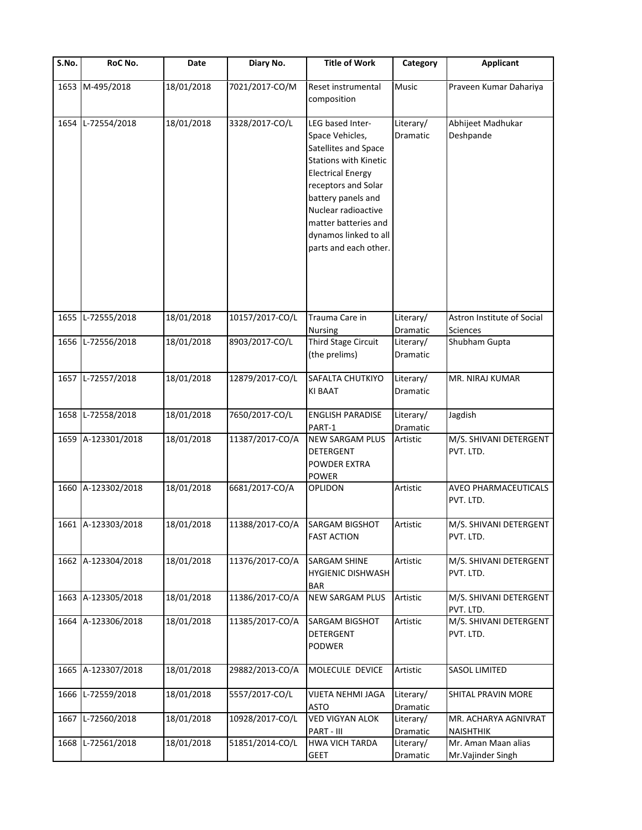| $\overline{\mathsf{S}}$ . No. | RoC No.            | Date       | Diary No.       | <b>Title of Work</b>                                                                                                                                                                                                                                                  | Category              | <b>Applicant</b>                              |
|-------------------------------|--------------------|------------|-----------------|-----------------------------------------------------------------------------------------------------------------------------------------------------------------------------------------------------------------------------------------------------------------------|-----------------------|-----------------------------------------------|
| 1653                          | M-495/2018         | 18/01/2018 | 7021/2017-CO/M  | Reset instrumental<br>composition                                                                                                                                                                                                                                     | Music                 | Praveen Kumar Dahariya                        |
| 1654                          | L-72554/2018       | 18/01/2018 | 3328/2017-CO/L  | LEG based Inter-<br>Space Vehicles,<br>Satellites and Space<br><b>Stations with Kinetic</b><br><b>Electrical Energy</b><br>receptors and Solar<br>battery panels and<br>Nuclear radioactive<br>matter batteries and<br>dynamos linked to all<br>parts and each other. | Literary/<br>Dramatic | Abhijeet Madhukar<br>Deshpande                |
| 1655                          | L-72555/2018       | 18/01/2018 | 10157/2017-CO/L | Trauma Care in<br>Nursing                                                                                                                                                                                                                                             | Literary/<br>Dramatic | Astron Institute of Social<br><b>Sciences</b> |
| 1656                          | L-72556/2018       | 18/01/2018 | 8903/2017-CO/L  | Third Stage Circuit<br>(the prelims)                                                                                                                                                                                                                                  | Literary/<br>Dramatic | Shubham Gupta                                 |
| 1657                          | L-72557/2018       | 18/01/2018 | 12879/2017-CO/L | SAFALTA CHUTKIYO<br><b>KI BAAT</b>                                                                                                                                                                                                                                    | Literary/<br>Dramatic | MR. NIRAJ KUMAR                               |
| 1658                          | L-72558/2018       | 18/01/2018 | 7650/2017-CO/L  | <b>ENGLISH PARADISE</b><br>PART-1                                                                                                                                                                                                                                     | Literary/<br>Dramatic | Jagdish                                       |
| 1659                          | A-123301/2018      | 18/01/2018 | 11387/2017-CO/A | <b>NEW SARGAM PLUS</b><br><b>DETERGENT</b><br><b>POWDER EXTRA</b><br><b>POWER</b>                                                                                                                                                                                     | Artistic              | M/S. SHIVANI DETERGENT<br>PVT. LTD.           |
| 1660                          | A-123302/2018      | 18/01/2018 | 6681/2017-CO/A  | OPLIDON                                                                                                                                                                                                                                                               | Artistic              | AVEO PHARMACEUTICALS<br>PVT. LTD.             |
|                               | 1661 A-123303/2018 | 18/01/2018 |                 | 11388/2017-CO/A SARGAM BIGSHOT<br><b>FAST ACTION</b>                                                                                                                                                                                                                  | Artistic              | M/S. SHIVANI DETERGENT<br>PVT. LTD.           |
|                               | 1662 A-123304/2018 | 18/01/2018 | 11376/2017-CO/A | <b>SARGAM SHINE</b><br><b>HYGIENIC DISHWASH</b><br><b>BAR</b>                                                                                                                                                                                                         | Artistic              | M/S. SHIVANI DETERGENT<br>PVT. LTD.           |
| 1663                          | A-123305/2018      | 18/01/2018 | 11386/2017-CO/A | <b>NEW SARGAM PLUS</b>                                                                                                                                                                                                                                                | Artistic              | M/S. SHIVANI DETERGENT<br>PVT. LTD.           |
| 1664                          | A-123306/2018      | 18/01/2018 | 11385/2017-CO/A | SARGAM BIGSHOT<br>DETERGENT<br>PODWER                                                                                                                                                                                                                                 | Artistic              | M/S. SHIVANI DETERGENT<br>PVT. LTD.           |
| 1665                          | A-123307/2018      | 18/01/2018 | 29882/2013-CO/A | MOLECULE DEVICE                                                                                                                                                                                                                                                       | Artistic              | <b>SASOL LIMITED</b>                          |
| 1666                          | L-72559/2018       | 18/01/2018 | 5557/2017-CO/L  | VIJETA NEHMI JAGA<br><b>ASTO</b>                                                                                                                                                                                                                                      | Literary/<br>Dramatic | SHITAL PRAVIN MORE                            |
| 1667                          | L-72560/2018       | 18/01/2018 | 10928/2017-CO/L | <b>VED VIGYAN ALOK</b><br>PART - III                                                                                                                                                                                                                                  | Literary/<br>Dramatic | MR. ACHARYA AGNIVRAT<br><b>NAISHTHIK</b>      |
| 1668                          | L-72561/2018       | 18/01/2018 | 51851/2014-CO/L | <b>HWA VICH TARDA</b><br><b>GEET</b>                                                                                                                                                                                                                                  | Literary/<br>Dramatic | Mr. Aman Maan alias<br>Mr. Vajinder Singh     |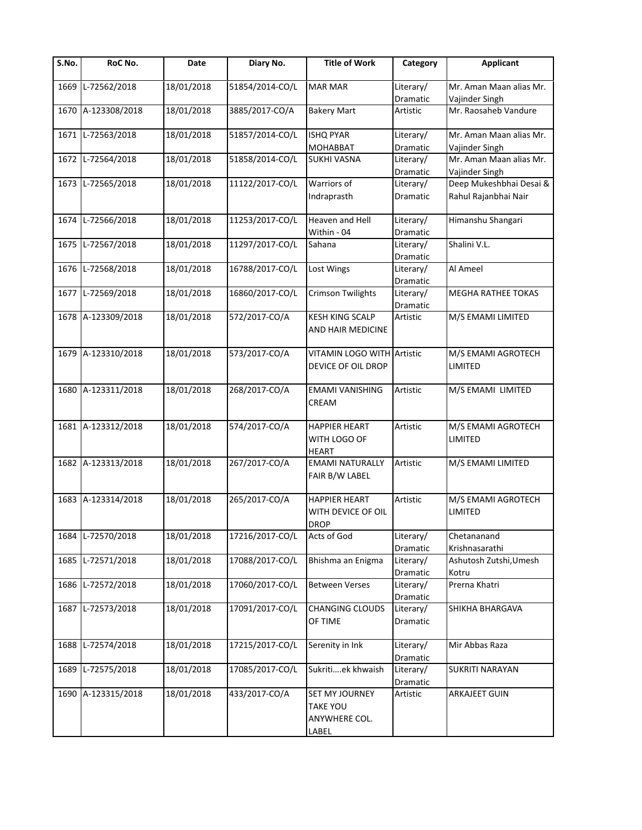| S.No. | RoC No.            | Date       | Diary No.       | <b>Title of Work</b>                                               | Category              | <b>Applicant</b>                          |
|-------|--------------------|------------|-----------------|--------------------------------------------------------------------|-----------------------|-------------------------------------------|
| 1669  | L-72562/2018       | 18/01/2018 | 51854/2014-CO/L | <b>MAR MAR</b>                                                     | Literary/<br>Dramatic | Mr. Aman Maan alias Mr.<br>Vajinder Singh |
| 1670  | A-123308/2018      | 18/01/2018 | 3885/2017-CO/A  | <b>Bakery Mart</b>                                                 | Artistic              | Mr. Raosaheb Vandure                      |
| 1671  | L-72563/2018       | 18/01/2018 | 51857/2014-CO/L | <b>ISHQ PYAR</b>                                                   | Literary/             | Mr. Aman Maan alias Mr.                   |
|       |                    |            |                 | <b>MOHABBAT</b>                                                    | Dramatic              | Vajinder Singh                            |
|       | 1672 L-72564/2018  | 18/01/2018 | 51858/2014-CO/L | <b>SUKHI VASNA</b>                                                 | Literary/<br>Dramatic | Mr. Aman Maan alias Mr.<br>Vajinder Singh |
|       | 1673 L-72565/2018  | 18/01/2018 | 11122/2017-CO/L | Warriors of                                                        | Literary/             | Deep Mukeshbhai Desai &                   |
|       |                    |            |                 | Indraprasth                                                        | Dramatic              | Rahul Rajanbhai Nair                      |
| 1674  | L-72566/2018       | 18/01/2018 | 11253/2017-CO/L | Heaven and Hell                                                    | Literary/             | Himanshu Shangari                         |
|       |                    |            |                 | Within - 04                                                        | Dramatic              |                                           |
|       | 1675 L-72567/2018  | 18/01/2018 | 11297/2017-CO/L | Sahana                                                             | Literary/             | Shalini V.L.                              |
|       |                    |            |                 |                                                                    | Dramatic              |                                           |
|       | 1676 L-72568/2018  | 18/01/2018 | 16788/2017-CO/L | Lost Wings                                                         | Literary/<br>Dramatic | Al Ameel                                  |
|       | 1677 L-72569/2018  | 18/01/2018 | 16860/2017-CO/L | <b>Crimson Twilights</b>                                           | Literary/             | <b>MEGHA RATHEE TOKAS</b>                 |
|       |                    |            |                 |                                                                    | Dramatic              |                                           |
|       | 1678 A-123309/2018 | 18/01/2018 | 572/2017-CO/A   | <b>KESH KING SCALP</b><br>AND HAIR MEDICINE                        | Artistic              | M/S EMAMI LIMITED                         |
|       | 1679 A-123310/2018 | 18/01/2018 | 573/2017-CO/A   | VITAMIN LOGO WITH Artistic<br>DEVICE OF OIL DROP                   |                       | M/S EMAMI AGROTECH<br>LIMITED             |
| 1680  | A-123311/2018      | 18/01/2018 | 268/2017-CO/A   | <b>EMAMI VANISHING</b><br>CREAM                                    | Artistic              | M/S EMAMI LIMITED                         |
|       | 1681 A-123312/2018 | 18/01/2018 | 574/2017-CO/A   | <b>HAPPIER HEART</b><br>WITH LOGO OF<br><b>HEART</b>               | Artistic              | M/S EMAMI AGROTECH<br>LIMITED             |
|       | 1682 A-123313/2018 | 18/01/2018 | 267/2017-CO/A   | <b>EMAMI NATURALLY</b><br>FAIR B/W LABEL                           | Artistic              | M/S EMAMI LIMITED                         |
| 1683  | A-123314/2018      | 18/01/2018 | 265/2017-CO/A   | <b>HAPPIER HEART</b>                                               | Artistic              | M/S EMAMI AGROTECH                        |
|       |                    |            |                 | WITH DEVICE OF OIL<br><b>DROP</b>                                  |                       | LIMITED                                   |
| 1684  | L-72570/2018       | 18/01/2018 | 17216/2017-CO/L | Acts of God                                                        | Literary/             | Chetananand                               |
|       |                    |            |                 |                                                                    | Dramatic              | Krishnasarathi                            |
| 1685  | L-72571/2018       | 18/01/2018 | 17088/2017-CO/L | Bhishma an Enigma                                                  | Literary/             | Ashutosh Zutshi, Umesh                    |
|       |                    |            |                 |                                                                    | Dramatic              | Kotru                                     |
| 1686  | L-72572/2018       | 18/01/2018 | 17060/2017-CO/L | <b>Between Verses</b>                                              | Literary/<br>Dramatic | Prerna Khatri                             |
| 1687  | L-72573/2018       | 18/01/2018 | 17091/2017-CO/L | <b>CHANGING CLOUDS</b><br>OF TIME                                  | Literary/<br>Dramatic | SHIKHA BHARGAVA                           |
| 1688  | L-72574/2018       | 18/01/2018 | 17215/2017-CO/L | Serenity in Ink                                                    | Literary/<br>Dramatic | Mir Abbas Raza                            |
| 1689  | L-72575/2018       | 18/01/2018 | 17085/2017-CO/L | Sukritiek khwaish                                                  | Literary/<br>Dramatic | <b>SUKRITI NARAYAN</b>                    |
|       | 1690 A-123315/2018 | 18/01/2018 | 433/2017-CO/A   | <b>SET MY JOURNEY</b><br><b>TAKE YOU</b><br>ANYWHERE COL.<br>LABEL | Artistic              | ARKAJEET GUIN                             |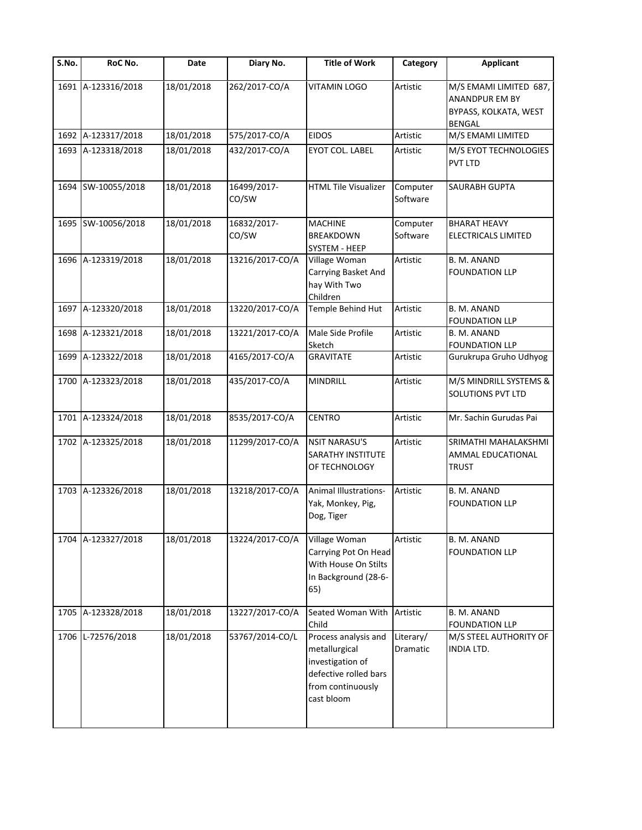| $\overline{\mathsf{S}}$ . No. | RoC No.            | Date       | Diary No.            | <b>Title of Work</b>                                                                                                  | Category              | <b>Applicant</b>                                                                   |
|-------------------------------|--------------------|------------|----------------------|-----------------------------------------------------------------------------------------------------------------------|-----------------------|------------------------------------------------------------------------------------|
|                               | 1691 A-123316/2018 | 18/01/2018 | 262/2017-CO/A        | <b>VITAMIN LOGO</b>                                                                                                   | Artistic              | M/S EMAMI LIMITED 687,<br>ANANDPUR EM BY<br>BYPASS, KOLKATA, WEST<br><b>BENGAL</b> |
|                               | 1692 A-123317/2018 | 18/01/2018 | 575/2017-CO/A        | <b>EIDOS</b>                                                                                                          | Artistic              | M/S EMAMI LIMITED                                                                  |
|                               | 1693 A-123318/2018 | 18/01/2018 | 432/2017-CO/A        | EYOT COL. LABEL                                                                                                       | Artistic              | M/S EYOT TECHNOLOGIES<br>PVT LTD                                                   |
|                               | 1694 SW-10055/2018 | 18/01/2018 | 16499/2017-<br>CO/SW | <b>HTML Tile Visualizer</b>                                                                                           | Computer<br>Software  | SAURABH GUPTA                                                                      |
|                               | 1695 SW-10056/2018 | 18/01/2018 | 16832/2017-<br>CO/SW | <b>MACHINE</b><br><b>BREAKDOWN</b><br>SYSTEM - HEEP                                                                   | Computer<br>Software  | <b>BHARAT HEAVY</b><br>ELECTRICALS LIMITED                                         |
| 1696                          | A-123319/2018      | 18/01/2018 | 13216/2017-CO/A      | Village Woman<br>Carrying Basket And<br>hay With Two<br>Children                                                      | Artistic              | B. M. ANAND<br><b>FOUNDATION LLP</b>                                               |
| 1697                          | A-123320/2018      | 18/01/2018 | 13220/2017-CO/A      | Temple Behind Hut                                                                                                     | Artistic              | <b>B. M. ANAND</b><br><b>FOUNDATION LLP</b>                                        |
| 1698                          | A-123321/2018      | 18/01/2018 | 13221/2017-CO/A      | Male Side Profile<br>Sketch                                                                                           | Artistic              | B. M. ANAND<br><b>FOUNDATION LLP</b>                                               |
| 1699                          | A-123322/2018      | 18/01/2018 | 4165/2017-CO/A       | <b>GRAVITATE</b>                                                                                                      | Artistic              | Gurukrupa Gruho Udhyog                                                             |
|                               | 1700 A-123323/2018 | 18/01/2018 | 435/2017-CO/A        | <b>MINDRILL</b>                                                                                                       | Artistic              | M/S MINDRILL SYSTEMS &<br><b>SOLUTIONS PVT LTD</b>                                 |
|                               | 1701 A-123324/2018 | 18/01/2018 | 8535/2017-CO/A       | <b>CENTRO</b>                                                                                                         | Artistic              | Mr. Sachin Gurudas Pai                                                             |
|                               | 1702 A-123325/2018 | 18/01/2018 | 11299/2017-CO/A      | <b>NSIT NARASU'S</b><br><b>SARATHY INSTITUTE</b><br>OF TECHNOLOGY                                                     | Artistic              | SRIMATHI MAHALAKSHMI<br>AMMAL EDUCATIONAL<br><b>TRUST</b>                          |
|                               | 1703 A-123326/2018 | 18/01/2018 | 13218/2017-CO/A      | <b>Animal Illustrations-</b><br>Yak, Monkey, Pig,<br>Dog, Tiger                                                       | Artistic              | B. M. ANAND<br><b>FOUNDATION LLP</b>                                               |
|                               | 1704 A-123327/2018 | 18/01/2018 | 13224/2017-CO/A      | Village Woman<br>Carrying Pot On Head<br>With House On Stilts<br>In Background (28-6-<br>65)                          | Artistic              | B. M. ANAND<br><b>FOUNDATION LLP</b>                                               |
|                               | 1705 A-123328/2018 | 18/01/2018 | 13227/2017-CO/A      | Seated Woman With<br>Child                                                                                            | Artistic              | B. M. ANAND<br><b>FOUNDATION LLP</b>                                               |
|                               | 1706 L-72576/2018  | 18/01/2018 | 53767/2014-CO/L      | Process analysis and<br>metallurgical<br>investigation of<br>defective rolled bars<br>from continuously<br>cast bloom | Literary/<br>Dramatic | M/S STEEL AUTHORITY OF<br>INDIA LTD.                                               |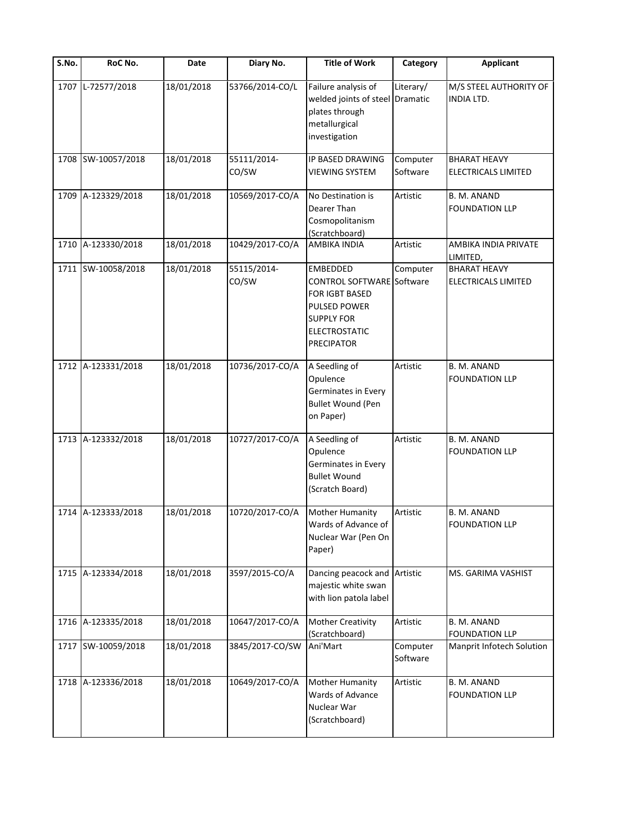| S.No. | RoC No.            | Date       | Diary No.            | <b>Title of Work</b>                                                                                                                                    | Category             | <b>Applicant</b>                                  |
|-------|--------------------|------------|----------------------|---------------------------------------------------------------------------------------------------------------------------------------------------------|----------------------|---------------------------------------------------|
| 1707  | L-72577/2018       | 18/01/2018 | 53766/2014-CO/L      | Failure analysis of<br>welded joints of steel Dramatic<br>plates through<br>metallurgical<br>investigation                                              | Literary/            | M/S STEEL AUTHORITY OF<br>INDIA LTD.              |
|       | 1708 SW-10057/2018 | 18/01/2018 | 55111/2014-<br>CO/SW | IP BASED DRAWING<br><b>VIEWING SYSTEM</b>                                                                                                               | Computer<br>Software | <b>BHARAT HEAVY</b><br><b>ELECTRICALS LIMITED</b> |
| 1709  | A-123329/2018      | 18/01/2018 | 10569/2017-CO/A      | No Destination is<br>Dearer Than<br>Cosmopolitanism<br>(Scratchboard)                                                                                   | Artistic             | B. M. ANAND<br><b>FOUNDATION LLP</b>              |
|       | 1710 A-123330/2018 | 18/01/2018 | 10429/2017-CO/A      | <b>AMBIKA INDIA</b>                                                                                                                                     | Artistic             | AMBIKA INDIA PRIVATE<br>LIMITED,                  |
|       | 1711 SW-10058/2018 | 18/01/2018 | 55115/2014-<br>CO/SW | EMBEDDED<br><b>CONTROL SOFTWARE</b> Software<br>FOR IGBT BASED<br><b>PULSED POWER</b><br><b>SUPPLY FOR</b><br><b>ELECTROSTATIC</b><br><b>PRECIPATOR</b> | Computer             | <b>BHARAT HEAVY</b><br>ELECTRICALS LIMITED        |
|       | 1712 A-123331/2018 | 18/01/2018 | 10736/2017-CO/A      | A Seedling of<br>Opulence<br>Germinates in Every<br><b>Bullet Wound (Pen</b><br>on Paper)                                                               | Artistic             | B. M. ANAND<br><b>FOUNDATION LLP</b>              |
|       | 1713 A-123332/2018 | 18/01/2018 | 10727/2017-CO/A      | A Seedling of<br>Opulence<br>Germinates in Every<br><b>Bullet Wound</b><br>(Scratch Board)                                                              | Artistic             | B. M. ANAND<br><b>FOUNDATION LLP</b>              |
|       | 1714 A-123333/2018 | 18/01/2018 | 10720/2017-CO/A      | <b>Mother Humanity</b><br>Wards of Advance of<br>Nuclear War (Pen On<br>Paper)                                                                          | Artistic             | B. M. ANAND<br><b>FOUNDATION LLP</b>              |
| 1715  | A-123334/2018      | 18/01/2018 | 3597/2015-CO/A       | Dancing peacock and Artistic<br>majestic white swan<br>with lion patola label                                                                           |                      | MS. GARIMA VASHIST                                |
|       | 1716 A-123335/2018 | 18/01/2018 | 10647/2017-CO/A      | <b>Mother Creativity</b><br>(Scratchboard)                                                                                                              | Artistic             | B. M. ANAND<br><b>FOUNDATION LLP</b>              |
|       | 1717 SW-10059/2018 | 18/01/2018 | 3845/2017-CO/SW      | Ani'Mart                                                                                                                                                | Computer<br>Software | Manprit Infotech Solution                         |
|       | 1718 A-123336/2018 | 18/01/2018 | 10649/2017-CO/A      | Mother Humanity<br>Wards of Advance<br>Nuclear War<br>(Scratchboard)                                                                                    | Artistic             | B. M. ANAND<br><b>FOUNDATION LLP</b>              |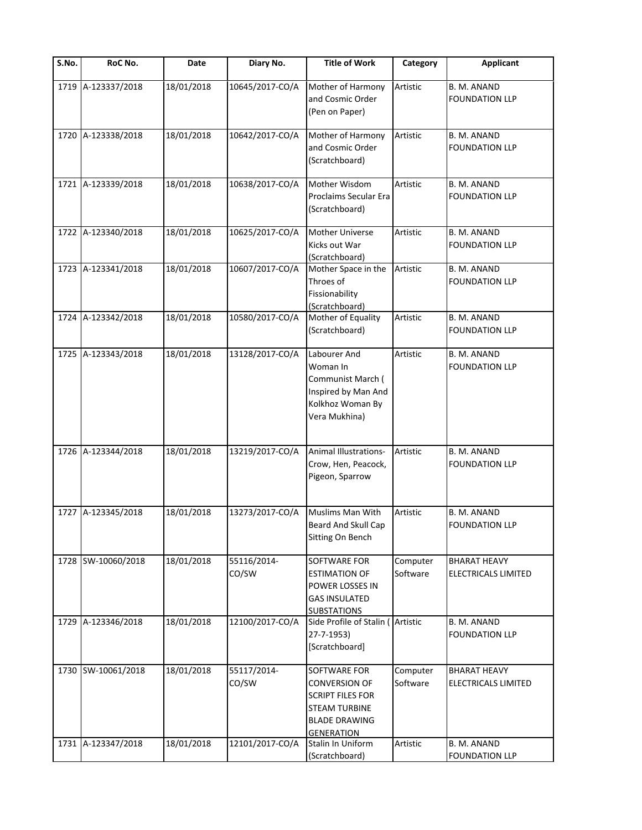| $\overline{\mathsf{S}}$ . No. | RoC No.            | Date       | Diary No.            | <b>Title of Work</b>                                                                                                                 | Category             | <b>Applicant</b>                           |
|-------------------------------|--------------------|------------|----------------------|--------------------------------------------------------------------------------------------------------------------------------------|----------------------|--------------------------------------------|
| 1719                          | A-123337/2018      | 18/01/2018 | 10645/2017-CO/A      | Mother of Harmony<br>and Cosmic Order<br>(Pen on Paper)                                                                              | Artistic             | B. M. ANAND<br><b>FOUNDATION LLP</b>       |
| 1720                          | A-123338/2018      | 18/01/2018 | 10642/2017-CO/A      | Mother of Harmony<br>and Cosmic Order<br>(Scratchboard)                                                                              | Artistic             | B. M. ANAND<br><b>FOUNDATION LLP</b>       |
| 1721                          | A-123339/2018      | 18/01/2018 | 10638/2017-CO/A      | Mother Wisdom<br>Proclaims Secular Era<br>(Scratchboard)                                                                             | Artistic             | B. M. ANAND<br><b>FOUNDATION LLP</b>       |
| 1722                          | A-123340/2018      | 18/01/2018 | 10625/2017-CO/A      | Mother Universe<br>Kicks out War<br>(Scratchboard)                                                                                   | Artistic             | B. M. ANAND<br><b>FOUNDATION LLP</b>       |
|                               | 1723 A-123341/2018 | 18/01/2018 | 10607/2017-CO/A      | Mother Space in the<br>Throes of<br>Fissionability<br>(Scratchboard)                                                                 | Artistic             | B. M. ANAND<br><b>FOUNDATION LLP</b>       |
|                               | 1724 A-123342/2018 | 18/01/2018 | 10580/2017-CO/A      | Mother of Equality<br>(Scratchboard)                                                                                                 | Artistic             | B. M. ANAND<br><b>FOUNDATION LLP</b>       |
|                               | 1725 A-123343/2018 | 18/01/2018 | 13128/2017-CO/A      | Labourer And<br>Woman In<br>Communist March (<br>Inspired by Man And<br>Kolkhoz Woman By<br>Vera Mukhina)                            | Artistic             | B. M. ANAND<br><b>FOUNDATION LLP</b>       |
|                               | 1726 A-123344/2018 | 18/01/2018 | 13219/2017-CO/A      | <b>Animal Illustrations-</b><br>Crow, Hen, Peacock,<br>Pigeon, Sparrow                                                               | Artistic             | B. M. ANAND<br><b>FOUNDATION LLP</b>       |
| 1727                          | A-123345/2018      | 18/01/2018 | 13273/2017-CO/A      | Muslims Man With<br>Beard And Skull Cap<br>Sitting On Bench                                                                          | Artistic             | B. M. ANAND<br><b>FOUNDATION LLP</b>       |
| 1728                          | SW-10060/2018      | 18/01/2018 | 55116/2014-<br>CO/SW | SOFTWARE FOR<br><b>ESTIMATION OF</b><br>POWER LOSSES IN<br>GAS INSULATED<br><b>SUBSTATIONS</b>                                       | Computer<br>Software | <b>BHARAT HEAVY</b><br>ELECTRICALS LIMITED |
| 1729                          | A-123346/2018      | 18/01/2018 | 12100/2017-CO/A      | Side Profile of Stalin (Artistic<br>27-7-1953)<br>[Scratchboard]                                                                     |                      | B. M. ANAND<br><b>FOUNDATION LLP</b>       |
| 1730                          | SW-10061/2018      | 18/01/2018 | 55117/2014-<br>CO/SW | SOFTWARE FOR<br><b>CONVERSION OF</b><br><b>SCRIPT FILES FOR</b><br><b>STEAM TURBINE</b><br><b>BLADE DRAWING</b><br><b>GENERATION</b> | Computer<br>Software | <b>BHARAT HEAVY</b><br>ELECTRICALS LIMITED |
| 1731                          | A-123347/2018      | 18/01/2018 | 12101/2017-CO/A      | Stalin In Uniform<br>(Scratchboard)                                                                                                  | Artistic             | B. M. ANAND<br><b>FOUNDATION LLP</b>       |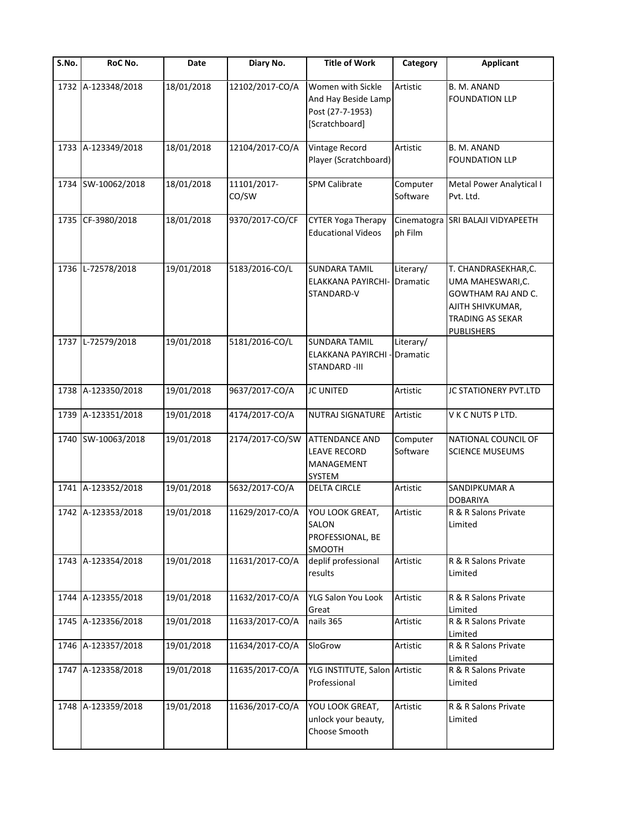| S.No. | RoC No.            | Date       | Diary No.            | <b>Title of Work</b>                                                           | Category                     | <b>Applicant</b>                                                                                                                  |
|-------|--------------------|------------|----------------------|--------------------------------------------------------------------------------|------------------------------|-----------------------------------------------------------------------------------------------------------------------------------|
| 1732  | A-123348/2018      | 18/01/2018 | 12102/2017-CO/A      | Women with Sickle<br>And Hay Beside Lamp<br>Post (27-7-1953)<br>[Scratchboard] | Artistic                     | B. M. ANAND<br><b>FOUNDATION LLP</b>                                                                                              |
| 1733  | A-123349/2018      | 18/01/2018 | 12104/2017-CO/A      | Vintage Record<br>Player (Scratchboard)                                        | Artistic                     | B. M. ANAND<br><b>FOUNDATION LLP</b>                                                                                              |
| 1734  | SW-10062/2018      | 18/01/2018 | 11101/2017-<br>CO/SW | <b>SPM Calibrate</b>                                                           | Computer<br>Software         | Metal Power Analytical I<br>Pvt. Ltd.                                                                                             |
| 1735  | CF-3980/2018       | 18/01/2018 | 9370/2017-CO/CF      | <b>CYTER Yoga Therapy</b><br><b>Educational Videos</b>                         | Cinematogra<br>ph Film       | SRI BALAJI VIDYAPEETH                                                                                                             |
| 1736  | L-72578/2018       | 19/01/2018 | 5183/2016-CO/L       | <b>SUNDARA TAMIL</b><br><b>ELAKKANA PAYIRCHI-</b><br>STANDARD-V                | Literary/<br><b>Dramatic</b> | T. CHANDRASEKHAR,C.<br>UMA MAHESWARI,C.<br>GOWTHAM RAJ AND C.<br>AJITH SHIVKUMAR,<br><b>TRADING AS SEKAR</b><br><b>PUBLISHERS</b> |
| 1737  | L-72579/2018       | 19/01/2018 | 5181/2016-CO/L       | <b>SUNDARA TAMIL</b><br><b>ELAKKANA PAYIRCHI -</b><br><b>STANDARD-III</b>      | Literary/<br><b>Dramatic</b> |                                                                                                                                   |
| 1738  | A-123350/2018      | 19/01/2018 | 9637/2017-CO/A       | <b>JC UNITED</b>                                                               | Artistic                     | JC STATIONERY PVT.LTD                                                                                                             |
| 1739  | A-123351/2018      | 19/01/2018 | 4174/2017-CO/A       | <b>NUTRAJ SIGNATURE</b>                                                        | Artistic                     | V K C NUTS P LTD.                                                                                                                 |
|       | 1740 SW-10063/2018 | 19/01/2018 | 2174/2017-CO/SW      | <b>ATTENDANCE AND</b><br><b>LEAVE RECORD</b><br>MANAGEMENT<br>SYSTEM           | Computer<br>Software         | NATIONAL COUNCIL OF<br><b>SCIENCE MUSEUMS</b>                                                                                     |
| 1741  | A-123352/2018      | 19/01/2018 | 5632/2017-CO/A       | <b>DELTA CIRCLE</b>                                                            | Artistic                     | SANDIPKUMAR A<br><b>DOBARIYA</b>                                                                                                  |
| 1742  | A-123353/2018      | 19/01/2018 | 11629/2017-CO/A      | YOU LOOK GREAT,<br>SALON<br>PROFESSIONAL, BE<br>SMOOTH                         | Artistic                     | R & R Salons Private<br>Limited                                                                                                   |
| 1743  | A-123354/2018      | 19/01/2018 | 11631/2017-CO/A      | deplif professional<br>results                                                 | Artistic                     | R & R Salons Private<br>Limited                                                                                                   |
| 1744  | A-123355/2018      | 19/01/2018 | 11632/2017-CO/A      | YLG Salon You Look<br>Great                                                    | Artistic                     | R & R Salons Private<br>Limited                                                                                                   |
| 1745  | A-123356/2018      | 19/01/2018 | 11633/2017-CO/A      | nails 365                                                                      | Artistic                     | R & R Salons Private<br>Limited                                                                                                   |
| 1746  | A-123357/2018      | 19/01/2018 | 11634/2017-CO/A      | SloGrow                                                                        | Artistic                     | R & R Salons Private<br>Limited                                                                                                   |
|       | 1747 A-123358/2018 | 19/01/2018 | 11635/2017-CO/A      | YLG INSTITUTE, Salon Artistic<br>Professional                                  |                              | R & R Salons Private<br>Limited                                                                                                   |
| 1748  | A-123359/2018      | 19/01/2018 | 11636/2017-CO/A      | YOU LOOK GREAT,<br>unlock your beauty,<br>Choose Smooth                        | Artistic                     | R & R Salons Private<br>Limited                                                                                                   |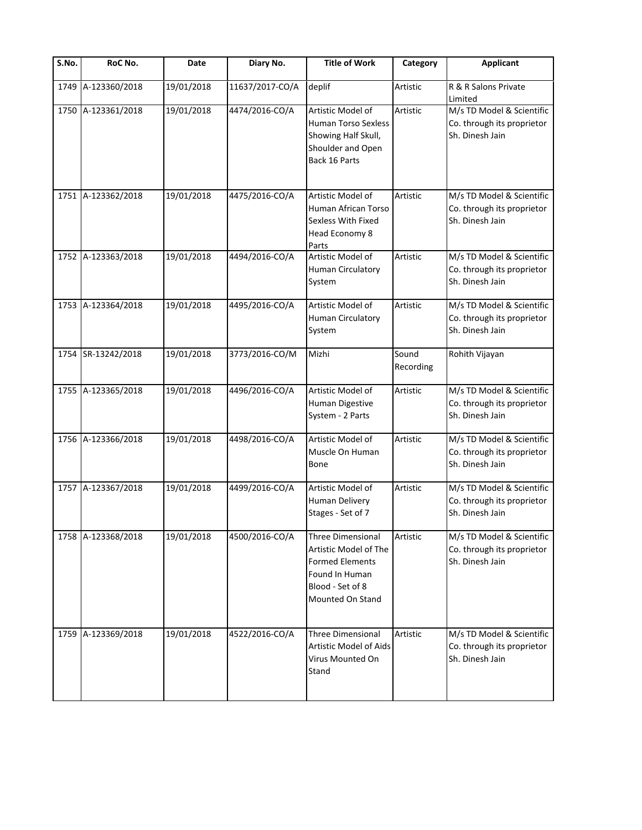| S.No. | RoC No.            | Date       | Diary No.       | <b>Title of Work</b>                                                                                                                  | Category           | <b>Applicant</b>                                                           |
|-------|--------------------|------------|-----------------|---------------------------------------------------------------------------------------------------------------------------------------|--------------------|----------------------------------------------------------------------------|
| 1749  | A-123360/2018      | 19/01/2018 | 11637/2017-CO/A | deplif                                                                                                                                | Artistic           | R & R Salons Private<br>Limited                                            |
| 1750  | A-123361/2018      | 19/01/2018 | 4474/2016-CO/A  | Artistic Model of<br><b>Human Torso Sexless</b><br>Showing Half Skull,<br>Shoulder and Open<br>Back 16 Parts                          | Artistic           | M/s TD Model & Scientific<br>Co. through its proprietor<br>Sh. Dinesh Jain |
| 1751  | A-123362/2018      | 19/01/2018 | 4475/2016-CO/A  | Artistic Model of<br>Human African Torso<br>Sexless With Fixed<br>Head Economy 8<br>Parts                                             | Artistic           | M/s TD Model & Scientific<br>Co. through its proprietor<br>Sh. Dinesh Jain |
| 1752  | A-123363/2018      | 19/01/2018 | 4494/2016-CO/A  | Artistic Model of<br><b>Human Circulatory</b><br>System                                                                               | Artistic           | M/s TD Model & Scientific<br>Co. through its proprietor<br>Sh. Dinesh Jain |
|       | 1753 A-123364/2018 | 19/01/2018 | 4495/2016-CO/A  | Artistic Model of<br>Human Circulatory<br>System                                                                                      | Artistic           | M/s TD Model & Scientific<br>Co. through its proprietor<br>Sh. Dinesh Jain |
|       | 1754 SR-13242/2018 | 19/01/2018 | 3773/2016-CO/M  | Mizhi                                                                                                                                 | Sound<br>Recording | Rohith Vijayan                                                             |
| 1755  | A-123365/2018      | 19/01/2018 | 4496/2016-CO/A  | Artistic Model of<br>Human Digestive<br>System - 2 Parts                                                                              | Artistic           | M/s TD Model & Scientific<br>Co. through its proprietor<br>Sh. Dinesh Jain |
| 1756  | A-123366/2018      | 19/01/2018 | 4498/2016-CO/A  | Artistic Model of<br>Muscle On Human<br>Bone                                                                                          | Artistic           | M/s TD Model & Scientific<br>Co. through its proprietor<br>Sh. Dinesh Jain |
|       | 1757 A-123367/2018 | 19/01/2018 | 4499/2016-CO/A  | Artistic Model of<br>Human Delivery<br>Stages - Set of 7                                                                              | Artistic           | M/s TD Model & Scientific<br>Co. through its proprietor<br>Sh. Dinesh Jain |
|       | 1758 A-123368/2018 | 19/01/2018 | 4500/2016-CO/A  | <b>Three Dimensional</b><br>Artistic Model of The<br><b>Formed Elements</b><br>Found In Human<br>Blood - Set of 8<br>Mounted On Stand | Artistic           | M/s TD Model & Scientific<br>Co. through its proprietor<br>Sh. Dinesh Jain |
| 1759  | A-123369/2018      | 19/01/2018 | 4522/2016-CO/A  | <b>Three Dimensional</b><br><b>Artistic Model of Aids</b><br>Virus Mounted On<br>Stand                                                | Artistic           | M/s TD Model & Scientific<br>Co. through its proprietor<br>Sh. Dinesh Jain |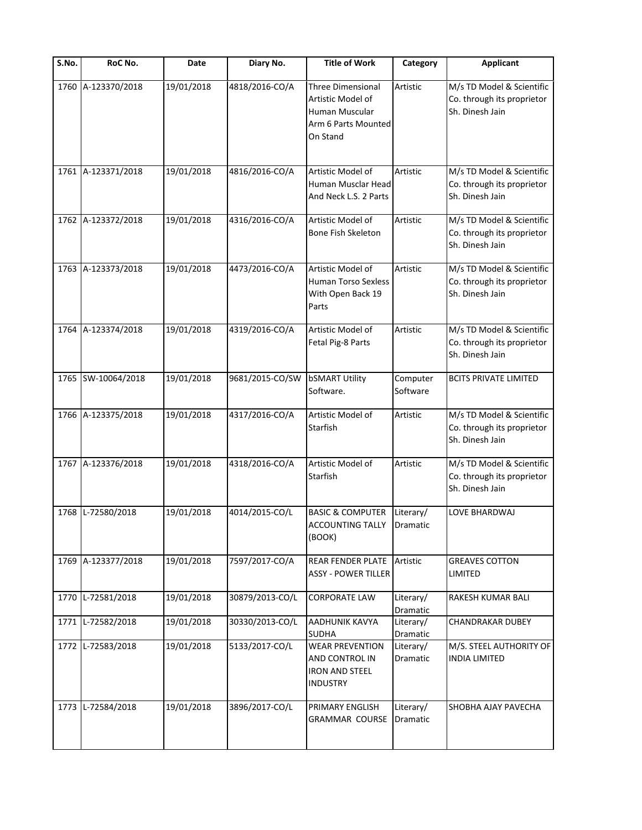| S.No. | RoC No.            | Date       | Diary No.       | <b>Title of Work</b>                                                                               | Category              | <b>Applicant</b>                                                           |
|-------|--------------------|------------|-----------------|----------------------------------------------------------------------------------------------------|-----------------------|----------------------------------------------------------------------------|
| 1760  | A-123370/2018      | 19/01/2018 | 4818/2016-CO/A  | <b>Three Dimensional</b><br>Artistic Model of<br>Human Muscular<br>Arm 6 Parts Mounted<br>On Stand | Artistic              | M/s TD Model & Scientific<br>Co. through its proprietor<br>Sh. Dinesh Jain |
| 1761  | A-123371/2018      | 19/01/2018 | 4816/2016-CO/A  | Artistic Model of<br>Human Musclar Head<br>And Neck L.S. 2 Parts                                   | Artistic              | M/s TD Model & Scientific<br>Co. through its proprietor<br>Sh. Dinesh Jain |
| 1762  | A-123372/2018      | 19/01/2018 | 4316/2016-CO/A  | Artistic Model of<br><b>Bone Fish Skeleton</b>                                                     | Artistic              | M/s TD Model & Scientific<br>Co. through its proprietor<br>Sh. Dinesh Jain |
| 1763  | A-123373/2018      | 19/01/2018 | 4473/2016-CO/A  | Artistic Model of<br><b>Human Torso Sexless</b><br>With Open Back 19<br>Parts                      | Artistic              | M/s TD Model & Scientific<br>Co. through its proprietor<br>Sh. Dinesh Jain |
| 1764  | A-123374/2018      | 19/01/2018 | 4319/2016-CO/A  | Artistic Model of<br>Fetal Pig-8 Parts                                                             | Artistic              | M/s TD Model & Scientific<br>Co. through its proprietor<br>Sh. Dinesh Jain |
|       | 1765 SW-10064/2018 | 19/01/2018 | 9681/2015-CO/SW | <b>bSMART Utility</b><br>Software.                                                                 | Computer<br>Software  | <b>BCITS PRIVATE LIMITED</b>                                               |
| 1766  | A-123375/2018      | 19/01/2018 | 4317/2016-CO/A  | Artistic Model of<br>Starfish                                                                      | Artistic              | M/s TD Model & Scientific<br>Co. through its proprietor<br>Sh. Dinesh Jain |
| 1767  | A-123376/2018      | 19/01/2018 | 4318/2016-CO/A  | Artistic Model of<br><b>Starfish</b>                                                               | Artistic              | M/s TD Model & Scientific<br>Co. through its proprietor<br>Sh. Dinesh Jain |
| 1768  | L-72580/2018       | 19/01/2018 | 4014/2015-CO/L  | <b>BASIC &amp; COMPUTER</b><br><b>ACCOUNTING TALLY   Dramatic</b><br>(BOOK)                        | Literary/             | LOVE BHARDWAJ                                                              |
| 1769  | A-123377/2018      | 19/01/2018 | 7597/2017-CO/A  | <b>REAR FENDER PLATE</b><br><b>ASSY - POWER TILLER</b>                                             | Artistic              | <b>GREAVES COTTON</b><br>LIMITED                                           |
| 1770  | L-72581/2018       | 19/01/2018 | 30879/2013-CO/L | <b>CORPORATE LAW</b>                                                                               | Literary/<br>Dramatic | RAKESH KUMAR BALI                                                          |
| 1771  | L-72582/2018       | 19/01/2018 | 30330/2013-CO/L | <b>AADHUNIK KAVYA</b><br><b>SUDHA</b>                                                              | Literary/<br>Dramatic | CHANDRAKAR DUBEY                                                           |
| 1772  | L-72583/2018       | 19/01/2018 | 5133/2017-CO/L  | <b>WEAR PREVENTION</b><br>AND CONTROL IN<br><b>IRON AND STEEL</b><br><b>INDUSTRY</b>               | Literary/<br>Dramatic | M/S. STEEL AUTHORITY OF<br><b>INDIA LIMITED</b>                            |
| 1773  | L-72584/2018       | 19/01/2018 | 3896/2017-CO/L  | PRIMARY ENGLISH<br><b>GRAMMAR COURSE</b>                                                           | Literary/<br>Dramatic | SHOBHA AJAY PAVECHA                                                        |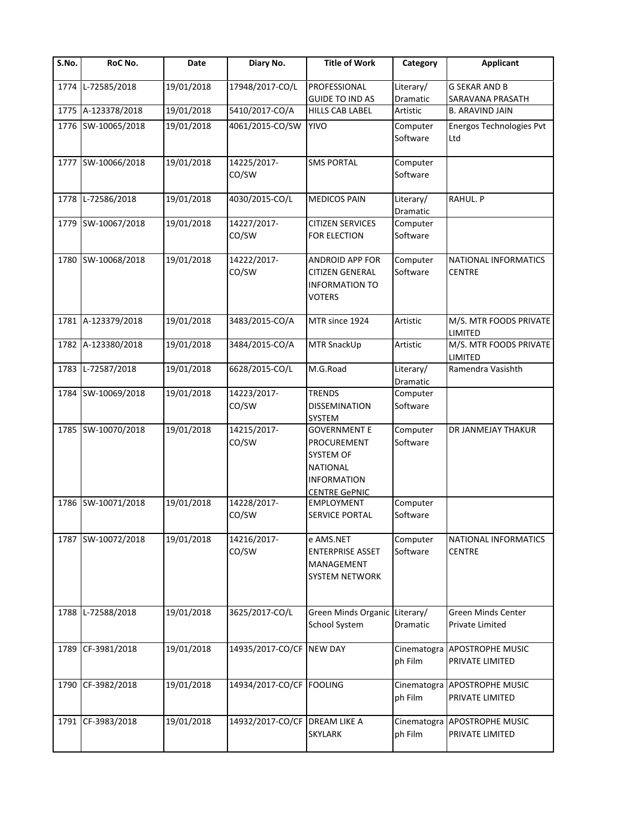| S.No. | RoC No.            | Date       | Diary No.                     | <b>Title of Work</b>                                                                                             | Category                     | <b>Applicant</b>                           |
|-------|--------------------|------------|-------------------------------|------------------------------------------------------------------------------------------------------------------|------------------------------|--------------------------------------------|
| 1774  | L-72585/2018       | 19/01/2018 | 17948/2017-CO/L               | PROFESSIONAL<br><b>GUIDE TO IND AS</b>                                                                           | Literary/<br>Dramatic        | <b>G SEKAR AND B</b><br>SARAVANA PRASATH   |
|       | 1775 A-123378/2018 | 19/01/2018 | 5410/2017-CO/A                | <b>HILLS CAB LABEL</b>                                                                                           | Artistic                     | <b>B. ARAVIND JAIN</b>                     |
| 1776  | SW-10065/2018      | 19/01/2018 | 4061/2015-CO/SW               | <b>YIVO</b>                                                                                                      | Computer<br>Software         | Energos Technologies Pvt<br>Ltd            |
|       | 1777 SW-10066/2018 | 19/01/2018 | 14225/2017-<br>CO/SW          | <b>SMS PORTAL</b>                                                                                                | Computer<br>Software         |                                            |
| 1778  | L-72586/2018       | 19/01/2018 | 4030/2015-CO/L                | <b>MEDICOS PAIN</b>                                                                                              | Literary/<br><b>Dramatic</b> | RAHUL. P                                   |
| 1779  | SW-10067/2018      | 19/01/2018 | 14227/2017-<br>CO/SW          | <b>CITIZEN SERVICES</b><br><b>FOR ELECTION</b>                                                                   | Computer<br>Software         |                                            |
| 1780  | SW-10068/2018      | 19/01/2018 | 14222/2017-<br>CO/SW          | <b>ANDROID APP FOR</b><br><b>CITIZEN GENERAL</b><br><b>INFORMATION TO</b><br><b>VOTERS</b>                       | Computer<br>Software         | NATIONAL INFORMATICS<br><b>CENTRE</b>      |
| 1781  | A-123379/2018      | 19/01/2018 | 3483/2015-CO/A                | MTR since 1924                                                                                                   | Artistic                     | M/S. MTR FOODS PRIVATE<br>LIMITED          |
| 1782  | A-123380/2018      | 19/01/2018 | 3484/2015-CO/A                | MTR SnackUp                                                                                                      | Artistic                     | M/S. MTR FOODS PRIVATE<br>LIMITED          |
| 1783  | L-72587/2018       | 19/01/2018 | 6628/2015-CO/L                | M.G.Road                                                                                                         | Literary/<br>Dramatic        | Ramendra Vasishth                          |
|       | 1784 SW-10069/2018 | 19/01/2018 | 14223/2017-<br>CO/SW          | <b>TRENDS</b><br>DISSEMINATION<br>SYSTEM                                                                         | Computer<br>Software         |                                            |
|       | 1785 SW-10070/2018 | 19/01/2018 | 14215/2017-<br>CO/SW          | <b>GOVERNMENT E</b><br>PROCUREMENT<br>SYSTEM OF<br><b>NATIONAL</b><br><b>INFORMATION</b><br><b>CENTRE GePNIC</b> | Computer<br>Software         | DR JANMEJAY THAKUR                         |
| 1786  | SW-10071/2018      | 19/01/2018 | 14228/2017-<br>CO/SW          | <b>EMPLOYMENT</b><br>SERVICE PORTAL                                                                              | Computer<br>Software         |                                            |
|       | 1787 SW-10072/2018 | 19/01/2018 | 14216/2017-<br>CO/SW          | e AMS.NET<br><b>ENTERPRISE ASSET</b><br>MANAGEMENT<br>SYSTEM NETWORK                                             | Computer<br>Software         | NATIONAL INFORMATICS<br><b>CENTRE</b>      |
| 1788  | L-72588/2018       | 19/01/2018 | 3625/2017-CO/L                | Green Minds Organic Literary/<br><b>School System</b>                                                            | Dramatic                     | Green Minds Center<br>Private Limited      |
| 1789  | CF-3981/2018       | 19/01/2018 | 14935/2017-CO/CF              | <b>NEW DAY</b>                                                                                                   | Cinematogra<br>ph Film       | <b>APOSTROPHE MUSIC</b><br>PRIVATE LIMITED |
| 1790  | CF-3982/2018       | 19/01/2018 | 14934/2017-CO/CF FOOLING      |                                                                                                                  | Cinematogra<br>ph Film       | <b>APOSTROPHE MUSIC</b><br>PRIVATE LIMITED |
| 1791  | CF-3983/2018       | 19/01/2018 | 14932/2017-CO/CF DREAM LIKE A | <b>SKYLARK</b>                                                                                                   | Cinematogra<br>ph Film       | APOSTROPHE MUSIC<br>PRIVATE LIMITED        |
|       |                    |            |                               |                                                                                                                  |                              |                                            |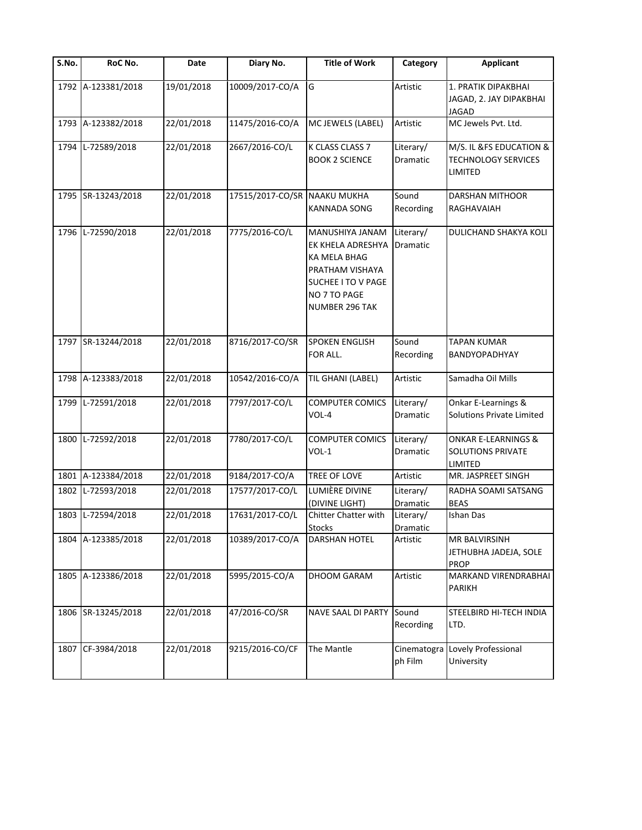| S.No. | RoC No.            | Date       | Diary No.        | <b>Title of Work</b>                                                                                                            | Category               | <b>Applicant</b>                                                      |
|-------|--------------------|------------|------------------|---------------------------------------------------------------------------------------------------------------------------------|------------------------|-----------------------------------------------------------------------|
|       | 1792 A-123381/2018 | 19/01/2018 | 10009/2017-CO/A  | G                                                                                                                               | Artistic               | 1. PRATIK DIPAKBHAI<br>JAGAD, 2. JAY DIPAKBHAI<br><b>JAGAD</b>        |
|       | 1793 A-123382/2018 | 22/01/2018 | 11475/2016-CO/A  | MC JEWELS (LABEL)                                                                                                               | Artistic               | MC Jewels Pvt. Ltd.                                                   |
| 1794  | L-72589/2018       | 22/01/2018 | 2667/2016-CO/L   | K CLASS CLASS 7<br><b>BOOK 2 SCIENCE</b>                                                                                        | Literary/<br>Dramatic  | M/S. IL &FS EDUCATION &<br><b>TECHNOLOGY SERVICES</b><br>LIMITED      |
|       | 1795 SR-13243/2018 | 22/01/2018 | 17515/2017-CO/SR | <b>NAAKU MUKHA</b><br>KANNADA SONG                                                                                              | Sound<br>Recording     | <b>DARSHAN MITHOOR</b><br>RAGHAVAIAH                                  |
| 1796  | L-72590/2018       | 22/01/2018 | 7775/2016-CO/L   | MANUSHIYA JANAM<br>EK KHELA ADRESHYA<br>KA MELA BHAG<br>PRATHAM VISHAYA<br>SUCHEE I TO V PAGE<br>NO 7 TO PAGE<br>NUMBER 296 TAK | Literary/<br>Dramatic  | DULICHAND SHAKYA KOLI                                                 |
|       | 1797 SR-13244/2018 | 22/01/2018 | 8716/2017-CO/SR  | <b>SPOKEN ENGLISH</b><br>FOR ALL.                                                                                               | Sound<br>Recording     | <b>TAPAN KUMAR</b><br>BANDYOPADHYAY                                   |
|       | 1798 A-123383/2018 | 22/01/2018 | 10542/2016-CO/A  | TIL GHANI (LABEL)                                                                                                               | Artistic               | Samadha Oil Mills                                                     |
|       | 1799 L-72591/2018  | 22/01/2018 | 7797/2017-CO/L   | <b>COMPUTER COMICS</b><br>VOL-4                                                                                                 | Literary/<br>Dramatic  | Onkar E-Learnings &<br><b>Solutions Private Limited</b>               |
| 1800  | L-72592/2018       | 22/01/2018 | 7780/2017-CO/L   | <b>COMPUTER COMICS</b><br>VOL-1                                                                                                 | Literary/<br>Dramatic  | <b>ONKAR E-LEARNINGS &amp;</b><br><b>SOLUTIONS PRIVATE</b><br>LIMITED |
|       | 1801 A-123384/2018 | 22/01/2018 | 9184/2017-CO/A   | TREE OF LOVE                                                                                                                    | Artistic               | MR. JASPREET SINGH                                                    |
| 1802  | L-72593/2018       | 22/01/2018 | 17577/2017-CO/L  | LUMIÈRE DIVINE<br>(DIVINE LIGHT)                                                                                                | Literary/<br>Dramatic  | RADHA SOAMI SATSANG<br><b>BEAS</b>                                    |
|       | 1803 L-72594/2018  | 22/01/2018 | 17631/2017-CO/L  | Chitter Chatter with<br><b>Stocks</b>                                                                                           | Literary/<br>Dramatic  | Ishan Das                                                             |
|       | 1804 A-123385/2018 | 22/01/2018 | 10389/2017-CO/A  | DARSHAN HOTEL                                                                                                                   | Artistic               | MR BALVIRSINH<br>JETHUBHA JADEJA, SOLE<br><b>PROP</b>                 |
|       | 1805 A-123386/2018 | 22/01/2018 | 5995/2015-CO/A   | DHOOM GARAM                                                                                                                     | Artistic               | MARKAND VIRENDRABHAI<br>PARIKH                                        |
|       | 1806 SR-13245/2018 | 22/01/2018 | 47/2016-CO/SR    | NAVE SAAL DI PARTY                                                                                                              | Sound<br>Recording     | STEELBIRD HI-TECH INDIA<br>LTD.                                       |
|       | 1807 CF-3984/2018  | 22/01/2018 | 9215/2016-CO/CF  | The Mantle                                                                                                                      | Cinematogra<br>ph Film | Lovely Professional<br>University                                     |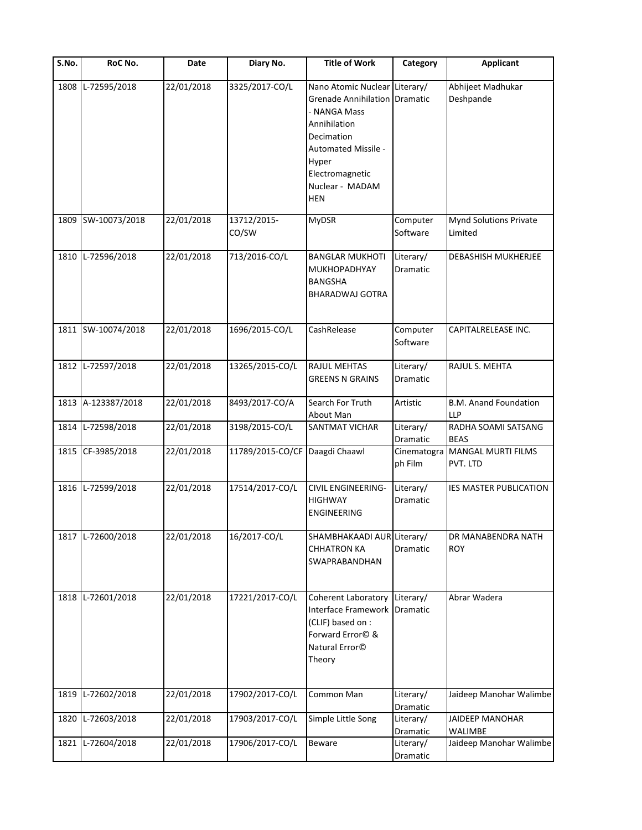| S.No. | RoC No.            | Date       | Diary No.                      | <b>Title of Work</b>                                                                                                                                                                                    | Category                     | <b>Applicant</b>                           |
|-------|--------------------|------------|--------------------------------|---------------------------------------------------------------------------------------------------------------------------------------------------------------------------------------------------------|------------------------------|--------------------------------------------|
| 1808  | L-72595/2018       | 22/01/2018 | 3325/2017-CO/L                 | Nano Atomic Nuclear Literary/<br><b>Grenade Annihilation Dramatic</b><br>- NANGA Mass<br>Annihilation<br>Decimation<br>Automated Missile -<br>Hyper<br>Electromagnetic<br>Nuclear - MADAM<br><b>HEN</b> |                              | Abhijeet Madhukar<br>Deshpande             |
| 1809  | SW-10073/2018      | 22/01/2018 | 13712/2015-<br>CO/SW           | <b>MyDSR</b>                                                                                                                                                                                            | Computer<br>Software         | Mynd Solutions Private<br>Limited          |
| 1810  | L-72596/2018       | 22/01/2018 | 713/2016-CO/L                  | <b>BANGLAR MUKHOTI</b><br><b>MUKHOPADHYAY</b><br><b>BANGSHA</b><br><b>BHARADWAJ GOTRA</b>                                                                                                               | Literary/<br><b>Dramatic</b> | <b>DEBASHISH MUKHERJEE</b>                 |
|       | 1811 SW-10074/2018 | 22/01/2018 | 1696/2015-CO/L                 | CashRelease                                                                                                                                                                                             | Computer<br>Software         | CAPITALRELEASE INC.                        |
|       | 1812 L-72597/2018  | 22/01/2018 | 13265/2015-CO/L                | <b>RAJUL MEHTAS</b><br><b>GREENS N GRAINS</b>                                                                                                                                                           | Literary/<br>Dramatic        | RAJUL S. MEHTA                             |
|       | 1813 A-123387/2018 | 22/01/2018 | 8493/2017-CO/A                 | Search For Truth<br>About Man                                                                                                                                                                           | Artistic                     | <b>B.M. Anand Foundation</b><br><b>LLP</b> |
| 1814  | L-72598/2018       | 22/01/2018 | 3198/2015-CO/L                 | <b>SANTMAT VICHAR</b>                                                                                                                                                                                   | Literary/<br>Dramatic        | RADHA SOAMI SATSANG<br><b>BEAS</b>         |
|       | 1815 CF-3985/2018  | 22/01/2018 | 11789/2015-CO/CF Daagdi Chaawl |                                                                                                                                                                                                         | Cinematogra<br>ph Film       | MANGAL MURTI FILMS<br>PVT. LTD             |
|       | 1816 L-72599/2018  | 22/01/2018 | 17514/2017-CO/L                | <b>CIVIL ENGINEERING-</b><br><b>HIGHWAY</b><br><b>ENGINEERING</b>                                                                                                                                       | Literary/<br>Dramatic        | <b>IES MASTER PUBLICATION</b>              |
|       | 1817 L-72600/2018  | 22/01/2018 | 16/2017-CO/L                   | SHAMBHAKAADI AUR Literary/<br><b>CHHATRON KA</b><br>SWAPRABANDHAN                                                                                                                                       | Dramatic                     | DR MANABENDRA NATH<br><b>ROY</b>           |
| 1818  | L-72601/2018       | 22/01/2018 | 17221/2017-CO/L                | Coherent Laboratory<br>Interface Framework<br>(CLIF) based on :<br>Forward Error© &<br>Natural Error <sup>©</sup><br>Theory                                                                             | Literary/<br>Dramatic        | Abrar Wadera                               |
| 1819  | L-72602/2018       | 22/01/2018 | 17902/2017-CO/L                | Common Man                                                                                                                                                                                              | Literary/<br>Dramatic        | Jaideep Manohar Walimbe                    |
| 1820  | L-72603/2018       | 22/01/2018 | 17903/2017-CO/L                | Simple Little Song                                                                                                                                                                                      | Literary/<br>Dramatic        | <b>JAIDEEP MANOHAR</b><br><b>WALIMBE</b>   |
| 1821  | L-72604/2018       | 22/01/2018 | 17906/2017-CO/L                | Beware                                                                                                                                                                                                  | Literary/<br>Dramatic        | Jaideep Manohar Walimbe                    |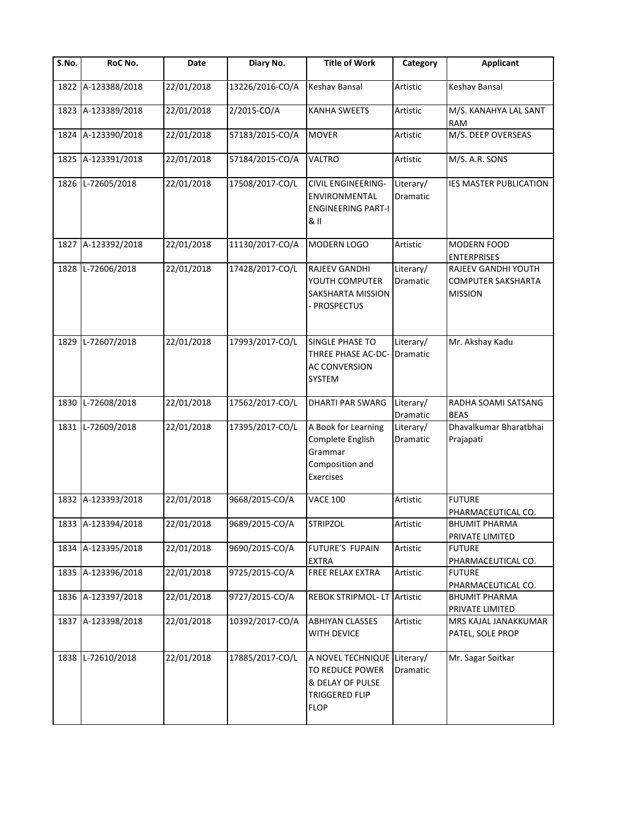| S.No. | RoC No.            | Date       | Diary No.       | <b>Title of Work</b>                                                                                       | Category                     | <b>Applicant</b>                                            |
|-------|--------------------|------------|-----------------|------------------------------------------------------------------------------------------------------------|------------------------------|-------------------------------------------------------------|
| 1822  | A-123388/2018      | 22/01/2018 | 13226/2016-CO/A | Keshav Bansal                                                                                              | Artistic                     | Keshav Bansal                                               |
|       | 1823 A-123389/2018 | 22/01/2018 | 2/2015-CO/A     | <b>KANHA SWEETS</b>                                                                                        | Artistic                     | M/S. KANAHYA LAL SANT<br><b>RAM</b>                         |
|       | 1824 A-123390/2018 | 22/01/2018 | 57183/2015-CO/A | <b>MOVER</b>                                                                                               | Artistic                     | M/S. DEEP OVERSEAS                                          |
|       | 1825 A-123391/2018 | 22/01/2018 | 57184/2015-CO/A | VALTRO                                                                                                     | Artistic                     | M/S. A.R. SONS                                              |
| 1826  | L-72605/2018       | 22/01/2018 | 17508/2017-CO/L | <b>CIVIL ENGINEERING-</b><br><b>ENVIRONMENTAL</b><br><b>ENGINEERING PART-I</b><br>& II                     | Literary/<br>Dramatic        | <b>IES MASTER PUBLICATION</b>                               |
|       | 1827 A-123392/2018 | 22/01/2018 | 11130/2017-CO/A | MODERN LOGO                                                                                                | Artistic                     | MODERN FOOD<br><b>ENTERPRISES</b>                           |
|       | 1828 L-72606/2018  | 22/01/2018 | 17428/2017-CO/L | <b>RAJEEV GANDHI</b><br>YOUTH COMPUTER<br>SAKSHARTA MISSION<br>PROSPECTUS                                  | Literary/<br>Dramatic        | RAJEEV GANDHI YOUTH<br>COMPUTER SAKSHARTA<br><b>MISSION</b> |
| 1829  | L-72607/2018       | 22/01/2018 | 17993/2017-CO/L | <b>SINGLE PHASE TO</b><br>THREE PHASE AC-DC-<br><b>AC CONVERSION</b><br>SYSTEM                             | Literary/<br><b>Dramatic</b> | Mr. Akshay Kadu                                             |
|       | 1830 L-72608/2018  | 22/01/2018 | 17562/2017-CO/L | <b>DHARTI PAR SWARG</b>                                                                                    | Literary/<br>Dramatic        | RADHA SOAMI SATSANG<br><b>BEAS</b>                          |
| 1831  | L-72609/2018       | 22/01/2018 | 17395/2017-CO/L | A Book for Learning<br>Complete English<br>Grammar<br>Composition and<br>Exercises                         | Literary/<br>Dramatic        | Dhavalkumar Bharatbhai<br>Prajapati                         |
|       | 1832 A-123393/2018 | 22/01/2018 | 9668/2015-CO/A  | <b>VACE 100</b>                                                                                            | Artistic                     | <b>FUTURE</b><br>PHARMACEUTICAL CO.                         |
|       | 1833 A-123394/2018 | 22/01/2018 | 9689/2015-CO/A  | <b>STRIPZOL</b>                                                                                            | Artistic                     | <b>BHUMIT PHARMA</b><br>PRIVATE LIMITED                     |
|       | 1834 A-123395/2018 | 22/01/2018 | 9690/2015-CO/A  | FUTURE'S FUPAIN<br><b>EXTRA</b>                                                                            | Artistic                     | <b>FUTURE</b><br>PHARMACEUTICAL CO.                         |
|       | 1835 A-123396/2018 | 22/01/2018 | 9725/2015-CO/A  | FREE RELAX EXTRA                                                                                           | Artistic                     | <b>FUTURE</b><br>PHARMACEUTICAL CO.                         |
|       | 1836 A-123397/2018 | 22/01/2018 | 9727/2015-CO/A  | <b>REBOK STRIPMOL-LT</b>                                                                                   | Artistic                     | <b>BHUMIT PHARMA</b><br>PRIVATE LIMITED                     |
|       | 1837 A-123398/2018 | 22/01/2018 | 10392/2017-CO/A | <b>ABHIYAN CLASSES</b><br>WITH DEVICE                                                                      | Artistic                     | MRS KAJAL JANAKKUMAR<br>PATEL, SOLE PROP                    |
|       | 1838 L-72610/2018  | 22/01/2018 | 17885/2017-CO/L | A NOVEL TECHNIQUE Literary/<br>TO REDUCE POWER<br>& DELAY OF PULSE<br><b>TRIGGERED FLIP</b><br><b>FLOP</b> | Dramatic                     | Mr. Sagar Soitkar                                           |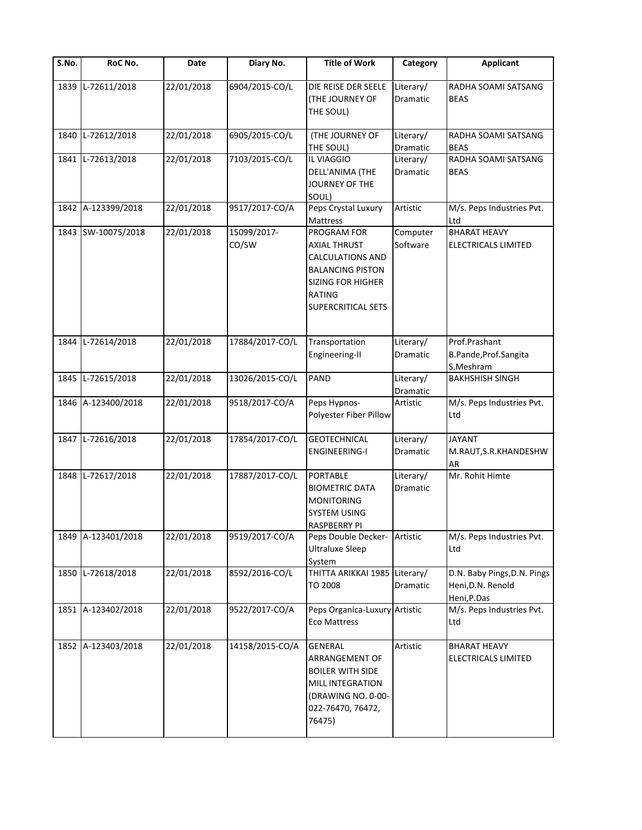| S.No. | RoC No.            | Date       | Diary No.            | <b>Title of Work</b>                                                                                                                                 | Category                     | <b>Applicant</b>                                                |
|-------|--------------------|------------|----------------------|------------------------------------------------------------------------------------------------------------------------------------------------------|------------------------------|-----------------------------------------------------------------|
| 1839  | L-72611/2018       | 22/01/2018 | 6904/2015-CO/L       | DIE REISE DER SEELE<br><b>(THE JOURNEY OF</b><br>THE SOUL)                                                                                           | Literary/<br>Dramatic        | RADHA SOAMI SATSANG<br><b>BEAS</b>                              |
| 1840  | L-72612/2018       | 22/01/2018 | 6905/2015-CO/L       | (THE JOURNEY OF<br>THE SOUL)                                                                                                                         | Literary/<br>Dramatic        | RADHA SOAMI SATSANG<br><b>BEAS</b>                              |
|       | 1841 L-72613/2018  | 22/01/2018 | 7103/2015-CO/L       | IL VIAGGIO<br>DELL'ANIMA (THE<br>JOURNEY OF THE<br>SOUL)                                                                                             | Literary/<br>Dramatic        | RADHA SOAMI SATSANG<br><b>BEAS</b>                              |
|       | 1842 A-123399/2018 | 22/01/2018 | 9517/2017-CO/A       | Peps Crystal Luxury<br>Mattress                                                                                                                      | Artistic                     | M/s. Peps Industries Pvt.<br>Ltd                                |
|       | 1843 SW-10075/2018 | 22/01/2018 | 15099/2017-<br>CO/SW | PROGRAM FOR<br>AXIAL THRUST<br>CALCULATIONS AND<br><b>BALANCING PISTON</b><br><b>SIZING FOR HIGHER</b><br><b>RATING</b><br><b>SUPERCRITICAL SETS</b> | Computer<br>Software         | <b>BHARAT HEAVY</b><br>ELECTRICALS LIMITED                      |
|       | 1844 L-72614/2018  | 22/01/2018 | 17884/2017-CO/L      | Transportation<br>Engineering-II                                                                                                                     | Literary/<br>Dramatic        | Prof.Prashant<br>B.Pande, Prof.Sangita<br>S.Meshram             |
| 1845  | L-72615/2018       | 22/01/2018 | 13026/2015-CO/L      | PAND                                                                                                                                                 | Literary/<br>Dramatic        | <b>BAKHSHISH SINGH</b>                                          |
|       | 1846 A-123400/2018 | 22/01/2018 | 9518/2017-CO/A       | Peps Hypnos-<br>Polyester Fiber Pillow                                                                                                               | Artistic                     | M/s. Peps Industries Pvt.<br>Ltd                                |
|       | 1847 L-72616/2018  | 22/01/2018 | 17854/2017-CO/L      | <b>GEOTECHNICAL</b><br><b>ENGINEERING-I</b>                                                                                                          | Literary/<br>Dramatic        | <b>JAYANT</b><br>M.RAUT, S.R. KHANDESHW<br>AR                   |
|       | 1848 L-72617/2018  | 22/01/2018 | 17887/2017-CO/L      | <b>PORTABLE</b><br><b>BIOMETRIC DATA</b><br><b>MONITORING</b><br><b>SYSTEM USING</b><br>RASPBERRY PI                                                 | Literary/<br><b>Dramatic</b> | Mr. Rohit Himte                                                 |
|       | 1849 A-123401/2018 | 22/01/2018 | 9519/2017-CO/A       | Peps Double Decker-<br><b>Ultraluxe Sleep</b><br>System                                                                                              | Artistic                     | M/s. Peps Industries Pvt.<br>Ltd                                |
|       | 1850 L-72618/2018  | 22/01/2018 | 8592/2016-CO/L       | THITTA ARIKKAI 1985<br>TO 2008                                                                                                                       | Literary/<br>Dramatic        | D.N. Baby Pings, D.N. Pings<br>Heni, D.N. Renold<br>Heni, P.Das |
|       | 1851 A-123402/2018 | 22/01/2018 | 9522/2017-CO/A       | Peps Organica-Luxury Artistic<br><b>Eco Mattress</b>                                                                                                 |                              | M/s. Peps Industries Pvt.<br>Ltd                                |
|       | 1852 A-123403/2018 | 22/01/2018 | 14158/2015-CO/A      | <b>GENERAL</b><br>ARRANGEMENT OF<br><b>BOILER WITH SIDE</b><br>MILL INTEGRATION<br>(DRAWING NO. 0-00-<br>022-76470, 76472,<br>76475)                 | Artistic                     | <b>BHARAT HEAVY</b><br>ELECTRICALS LIMITED                      |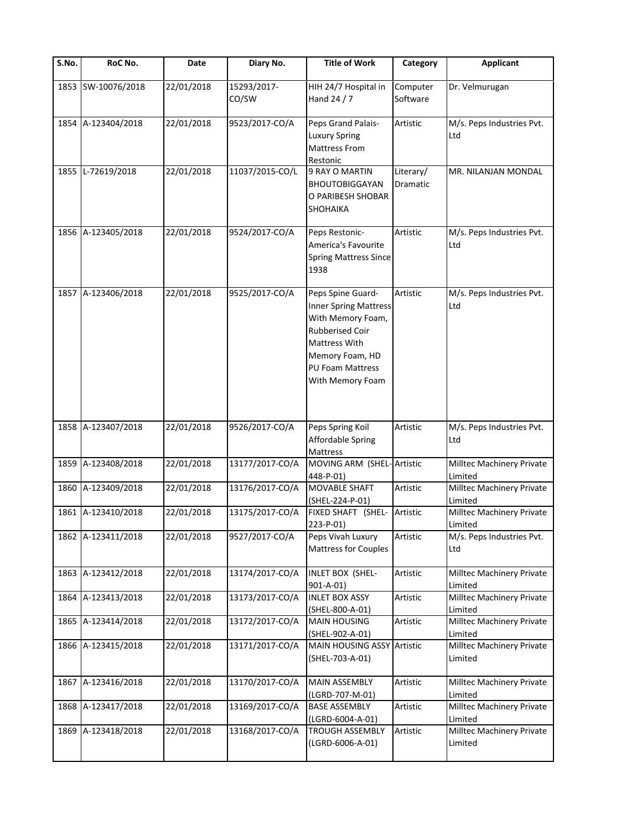| $\overline{\mathsf{S}}$ . No. | RoC No.            | Date       | Diary No.            | <b>Title of Work</b>                                                                                                                                                                | Category              | <b>Applicant</b>                     |
|-------------------------------|--------------------|------------|----------------------|-------------------------------------------------------------------------------------------------------------------------------------------------------------------------------------|-----------------------|--------------------------------------|
| 1853                          | SW-10076/2018      | 22/01/2018 | 15293/2017-<br>CO/SW | HIH 24/7 Hospital in<br>Hand 24 / 7                                                                                                                                                 | Computer<br>Software  | Dr. Velmurugan                       |
| 1854                          | A-123404/2018      | 22/01/2018 | 9523/2017-CO/A       | Peps Grand Palais-<br><b>Luxury Spring</b><br><b>Mattress From</b><br>Restonic                                                                                                      | Artistic              | M/s. Peps Industries Pvt.<br>Ltd     |
| 1855                          | L-72619/2018       | 22/01/2018 | 11037/2015-CO/L      | 9 RAY O MARTIN<br>BHOUTOBIGGAYAN<br>O PARIBESH SHOBAR<br>SHOHAIKA                                                                                                                   | Literary/<br>Dramatic | MR. NILANJAN MONDAL                  |
| 1856                          | A-123405/2018      | 22/01/2018 | 9524/2017-CO/A       | Peps Restonic-<br>America's Favourite<br><b>Spring Mattress Since</b><br>1938                                                                                                       | Artistic              | M/s. Peps Industries Pvt.<br>Ltd     |
| 1857                          | A-123406/2018      | 22/01/2018 | 9525/2017-CO/A       | Peps Spine Guard-<br><b>Inner Spring Mattress</b><br>With Memory Foam,<br><b>Rubberised Coir</b><br><b>Mattress With</b><br>Memory Foam, HD<br>PU Foam Mattress<br>With Memory Foam | Artistic              | M/s. Peps Industries Pvt.<br>Ltd     |
| 1858                          | A-123407/2018      | 22/01/2018 | 9526/2017-CO/A       | Peps Spring Koil<br>Affordable Spring<br>Mattress                                                                                                                                   | Artistic              | M/s. Peps Industries Pvt.<br>Ltd     |
| 1859                          | A-123408/2018      | 22/01/2018 | 13177/2017-CO/A      | MOVING ARM (SHEL-Artistic<br>448-P-01)                                                                                                                                              |                       | Milltec Machinery Private<br>Limited |
| 1860                          | A-123409/2018      | 22/01/2018 | 13176/2017-CO/A      | MOVABLE SHAFT<br>(SHEL-224-P-01)                                                                                                                                                    | Artistic              | Milltec Machinery Private<br>Limited |
| 1861                          | A-123410/2018      | 22/01/2018 | 13175/2017-CO/A      | FIXED SHAFT (SHEL-<br>223-P-01)                                                                                                                                                     | Artistic              | Milltec Machinery Private<br>Limited |
|                               | 1862 A-123411/2018 | 22/01/2018 | 9527/2017-CO/A       | Peps Vivah Luxury<br><b>Mattress for Couples</b>                                                                                                                                    | Artistic              | M/s. Peps Industries Pvt.<br>Ltd     |
| 1863                          | A-123412/2018      | 22/01/2018 | 13174/2017-CO/A      | <b>INLET BOX (SHEL-</b><br>$901 - A - 01$                                                                                                                                           | Artistic              | Milltec Machinery Private<br>Limited |
| 1864                          | A-123413/2018      | 22/01/2018 | 13173/2017-CO/A      | <b>INLET BOX ASSY</b><br>(SHEL-800-A-01)                                                                                                                                            | Artistic              | Milltec Machinery Private<br>Limited |
| 1865                          | A-123414/2018      | 22/01/2018 | 13172/2017-CO/A      | <b>MAIN HOUSING</b><br>(SHEL-902-A-01)                                                                                                                                              | Artistic              | Milltec Machinery Private<br>Limited |
| 1866                          | A-123415/2018      | 22/01/2018 | 13171/2017-CO/A      | MAIN HOUSING ASSY Artistic<br>(SHEL-703-A-01)                                                                                                                                       |                       | Milltec Machinery Private<br>Limited |
| 1867                          | A-123416/2018      | 22/01/2018 | 13170/2017-CO/A      | MAIN ASSEMBLY<br>(LGRD-707-M-01)                                                                                                                                                    | Artistic              | Milltec Machinery Private<br>Limited |
| 1868                          | A-123417/2018      | 22/01/2018 | 13169/2017-CO/A      | <b>BASE ASSEMBLY</b><br>(LGRD-6004-A-01)                                                                                                                                            | Artistic              | Milltec Machinery Private<br>Limited |
| 1869                          | A-123418/2018      | 22/01/2018 | 13168/2017-CO/A      | <b>TROUGH ASSEMBLY</b><br>(LGRD-6006-A-01)                                                                                                                                          | Artistic              | Milltec Machinery Private<br>Limited |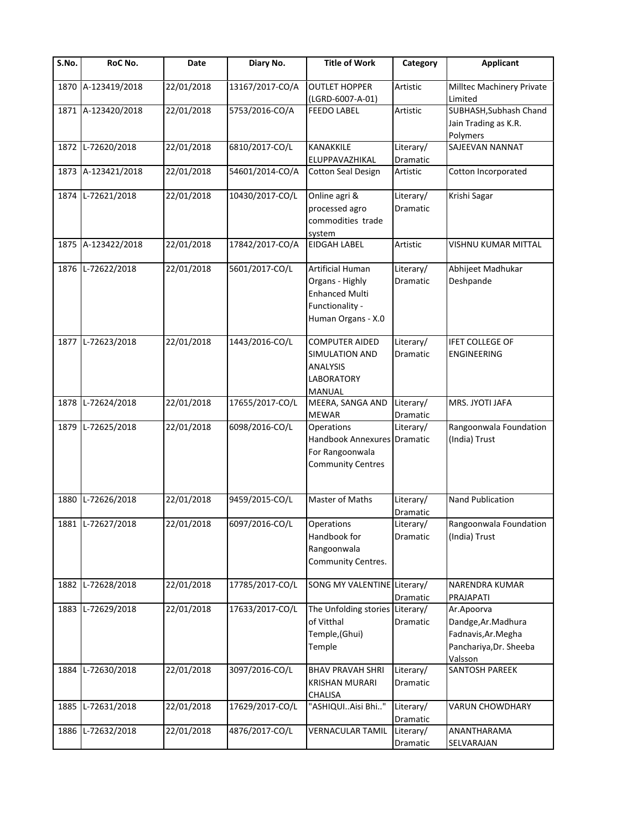| $\overline{\mathsf{S}}$ . No. | RoC No.            | Date       | Diary No.       | <b>Title of Work</b>                                                                                  | Category                     | <b>Applicant</b>                                                                              |
|-------------------------------|--------------------|------------|-----------------|-------------------------------------------------------------------------------------------------------|------------------------------|-----------------------------------------------------------------------------------------------|
| 1870                          | A-123419/2018      | 22/01/2018 | 13167/2017-CO/A | <b>OUTLET HOPPER</b><br>(LGRD-6007-A-01)                                                              | Artistic                     | Milltec Machinery Private<br>Limited                                                          |
|                               | 1871 A-123420/2018 | 22/01/2018 | 5753/2016-CO/A  | <b>FEEDO LABEL</b>                                                                                    | Artistic                     | SUBHASH, Subhash Chand<br>Jain Trading as K.R.<br>Polymers                                    |
| 1872                          | L-72620/2018       | 22/01/2018 | 6810/2017-CO/L  | KANAKKILE<br>ELUPPAVAZHIKAL                                                                           | Literary/<br>Dramatic        | SAJEEVAN NANNAT                                                                               |
| 1873                          | A-123421/2018      | 22/01/2018 | 54601/2014-CO/A | <b>Cotton Seal Design</b>                                                                             | Artistic                     | Cotton Incorporated                                                                           |
| 1874                          | L-72621/2018       | 22/01/2018 | 10430/2017-CO/L | Online agri &<br>processed agro<br>commodities trade<br>system                                        | Literary/<br><b>Dramatic</b> | Krishi Sagar                                                                                  |
| 1875                          | A-123422/2018      | 22/01/2018 | 17842/2017-CO/A | <b>EIDGAH LABEL</b>                                                                                   | Artistic                     | VISHNU KUMAR MITTAL                                                                           |
| 1876                          | L-72622/2018       | 22/01/2018 | 5601/2017-CO/L  | Artificial Human<br>Organs - Highly<br><b>Enhanced Multi</b><br>Functionality -<br>Human Organs - X.0 | Literary/<br><b>Dramatic</b> | Abhijeet Madhukar<br>Deshpande                                                                |
| 1877                          | L-72623/2018       | 22/01/2018 | 1443/2016-CO/L  | <b>COMPUTER AIDED</b><br>SIMULATION AND<br><b>ANALYSIS</b><br><b>LABORATORY</b><br>MANUAL             | Literary/<br>Dramatic        | <b>IFET COLLEGE OF</b><br><b>ENGINEERING</b>                                                  |
| 1878                          | L-72624/2018       | 22/01/2018 | 17655/2017-CO/L | MEERA, SANGA AND<br><b>MEWAR</b>                                                                      | Literary/<br>Dramatic        | MRS. JYOTI JAFA                                                                               |
| 1879                          | L-72625/2018       | 22/01/2018 | 6098/2016-CO/L  | Operations<br>Handbook Annexures Dramatic<br>For Rangoonwala<br><b>Community Centres</b>              | Literary/                    | Rangoonwala Foundation<br>(India) Trust                                                       |
| 1880                          | L-72626/2018       | 22/01/2018 | 9459/2015-CO/L  | Master of Maths                                                                                       | Literary/<br>Dramatic        | Nand Publication                                                                              |
|                               | 1881 L-72627/2018  | 22/01/2018 | 6097/2016-CO/L  | Operations<br>Handbook for<br>Rangoonwala<br>Community Centres.                                       | Literary/<br>Dramatic        | Rangoonwala Foundation<br>(India) Trust                                                       |
| 1882                          | L-72628/2018       | 22/01/2018 | 17785/2017-CO/L | SONG MY VALENTINE Literary/                                                                           | Dramatic                     | NARENDRA KUMAR<br>PRAJAPATI                                                                   |
| 1883                          | L-72629/2018       | 22/01/2018 | 17633/2017-CO/L | The Unfolding stories Literary/<br>of Vitthal<br>Temple,(Ghui)<br>Temple                              | Dramatic                     | Ar.Apoorva<br>Dandge, Ar. Madhura<br>Fadnavis, Ar. Megha<br>Panchariya, Dr. Sheeba<br>Valsson |
| 1884                          | L-72630/2018       | 22/01/2018 | 3097/2016-CO/L  | <b>BHAV PRAVAH SHRI</b><br><b>KRISHAN MURARI</b><br>CHALISA                                           | Literary/<br>Dramatic        | SANTOSH PAREEK                                                                                |
| 1885                          | L-72631/2018       | 22/01/2018 | 17629/2017-CO/L | "ASHIQUIAisi Bhi"                                                                                     | Literary/<br>Dramatic        | <b>VARUN CHOWDHARY</b>                                                                        |
| 1886                          | L-72632/2018       | 22/01/2018 | 4876/2017-CO/L  | <b>VERNACULAR TAMIL</b>                                                                               | Literary/<br>Dramatic        | ANANTHARAMA<br>SELVARAJAN                                                                     |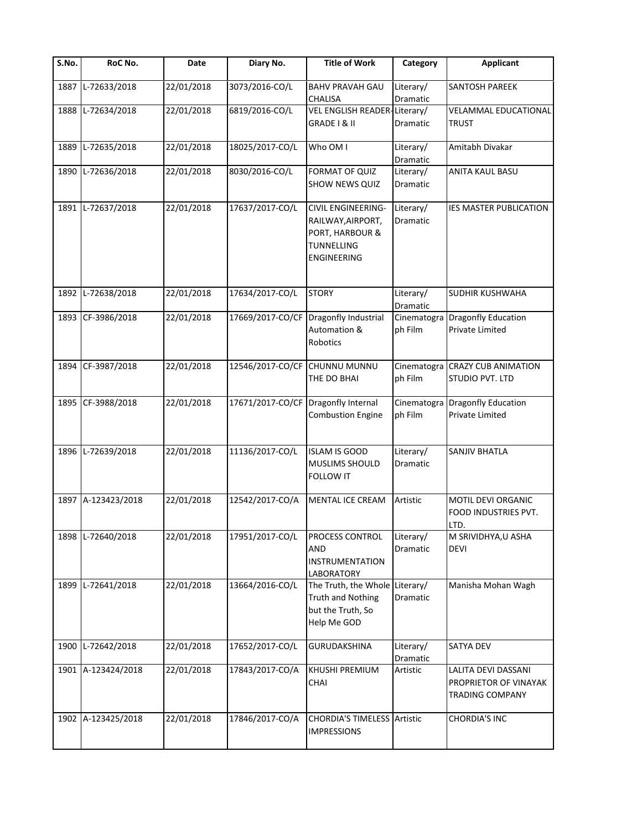| S.No. | RoC No.            | Date       | Diary No.                     | <b>Title of Work</b>                                                                                  | Category               | <b>Applicant</b>                                                       |
|-------|--------------------|------------|-------------------------------|-------------------------------------------------------------------------------------------------------|------------------------|------------------------------------------------------------------------|
| 1887  | L-72633/2018       | 22/01/2018 | 3073/2016-CO/L                | <b>BAHV PRAVAH GAU</b><br>CHALISA                                                                     | Literary/<br>Dramatic  | <b>SANTOSH PAREEK</b>                                                  |
| 1888  | L-72634/2018       | 22/01/2018 | 6819/2016-CO/L                | VEL ENGLISH READER-Literary/<br>GRADE I & II                                                          | Dramatic               | <b>VELAMMAL EDUCATIONAL</b><br><b>TRUST</b>                            |
| 1889  | L-72635/2018       | 22/01/2018 | 18025/2017-CO/L               | Who OM I                                                                                              | Literary/<br>Dramatic  | Amitabh Divakar                                                        |
| 1890  | L-72636/2018       | 22/01/2018 | 8030/2016-CO/L                | FORMAT OF QUIZ<br><b>SHOW NEWS QUIZ</b>                                                               | Literary/<br>Dramatic  | <b>ANITA KAUL BASU</b>                                                 |
|       | 1891 L-72637/2018  | 22/01/2018 | 17637/2017-CO/L               | <b>CIVIL ENGINEERING-</b><br>RAILWAY, AIRPORT,<br>PORT, HARBOUR &<br>TUNNELLING<br><b>ENGINEERING</b> | Literary/<br>Dramatic  | <b>IES MASTER PUBLICATION</b>                                          |
|       | 1892 L-72638/2018  | 22/01/2018 | 17634/2017-CO/L               | <b>STORY</b>                                                                                          | Literary/<br>Dramatic  | <b>SUDHIR KUSHWAHA</b>                                                 |
|       | 1893 CF-3986/2018  | 22/01/2018 | 17669/2017-CO/CF              | Dragonfly Industrial<br>Automation &<br>Robotics                                                      | Cinematogra<br>ph Film | <b>Dragonfly Education</b><br>Private Limited                          |
| 1894  | CF-3987/2018       | 22/01/2018 | 12546/2017-CO/CF CHUNNU MUNNU | THE DO BHAI                                                                                           | Cinematogra<br>ph Film | <b>CRAZY CUB ANIMATION</b><br>STUDIO PVT. LTD                          |
|       | 1895 CF-3988/2018  | 22/01/2018 | 17671/2017-CO/CF              | Dragonfly Internal<br><b>Combustion Engine</b>                                                        | Cinematogra<br>ph Film | <b>Dragonfly Education</b><br>Private Limited                          |
| 1896  | L-72639/2018       | 22/01/2018 | 11136/2017-CO/L               | <b>ISLAM IS GOOD</b><br>MUSLIMS SHOULD<br><b>FOLLOW IT</b>                                            | Literary/<br>Dramatic  | <b>SANJIV BHATLA</b>                                                   |
|       | 1897 A-123423/2018 | 22/01/2018 | 12542/2017-CO/A               | MENTAL ICE CREAM                                                                                      | Artistic               | MOTIL DEVI ORGANIC<br>FOOD INDUSTRIES PVT.<br>LTD.                     |
|       | 1898 L-72640/2018  | 22/01/2018 | 17951/2017-CO/L               | PROCESS CONTROL<br>AND<br><b>INSTRUMENTATION</b><br>LABORATORY                                        | Literary/<br>Dramatic  | M SRIVIDHYA, U ASHA<br><b>DEVI</b>                                     |
| 1899  | L-72641/2018       | 22/01/2018 | 13664/2016-CO/L               | The Truth, the Whole<br><b>Truth and Nothing</b><br>but the Truth, So<br>Help Me GOD                  | Literary/<br>Dramatic  | Manisha Mohan Wagh                                                     |
| 1900  | L-72642/2018       | 22/01/2018 | 17652/2017-CO/L               | <b>GURUDAKSHINA</b>                                                                                   | Literary/<br>Dramatic  | <b>SATYA DEV</b>                                                       |
|       | 1901 A-123424/2018 | 22/01/2018 | 17843/2017-CO/A               | KHUSHI PREMIUM<br>CHAI                                                                                | Artistic               | LALITA DEVI DASSANI<br>PROPRIETOR OF VINAYAK<br><b>TRADING COMPANY</b> |
|       | 1902 A-123425/2018 | 22/01/2018 | 17846/2017-CO/A               | <b>CHORDIA'S TIMELESS Artistic</b><br><b>IMPRESSIONS</b>                                              |                        | <b>CHORDIA'S INC</b>                                                   |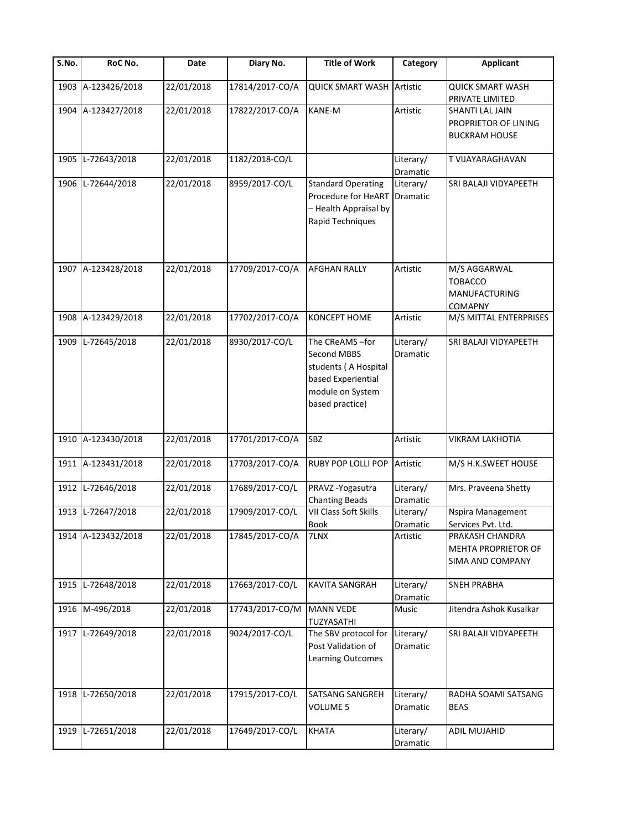| $\overline{\mathsf{S}}$ . No. | RoC No.            | Date       | Diary No.       | <b>Title of Work</b>                                                                                               | Category                     | <b>Applicant</b>                                                       |
|-------------------------------|--------------------|------------|-----------------|--------------------------------------------------------------------------------------------------------------------|------------------------------|------------------------------------------------------------------------|
| 1903                          | A-123426/2018      | 22/01/2018 | 17814/2017-CO/A | <b>QUICK SMART WASH Artistic</b>                                                                                   |                              | <b>QUICK SMART WASH</b><br>PRIVATE LIMITED                             |
|                               | 1904 A-123427/2018 | 22/01/2018 | 17822/2017-CO/A | <b>KANE-M</b>                                                                                                      | Artistic                     | <b>SHANTI LAL JAIN</b><br>PROPRIETOR OF LINING<br><b>BUCKRAM HOUSE</b> |
| 1905                          | L-72643/2018       | 22/01/2018 | 1182/2018-CO/L  |                                                                                                                    | Literary/<br>Dramatic        | T VIJAYARAGHAVAN                                                       |
| 1906                          | L-72644/2018       | 22/01/2018 | 8959/2017-CO/L  | <b>Standard Operating</b><br>Procedure for HeART<br>- Health Appraisal by<br>Rapid Techniques                      | Literary/<br>Dramatic        | SRI BALAJI VIDYAPEETH                                                  |
|                               | 1907 A-123428/2018 | 22/01/2018 | 17709/2017-CO/A | <b>AFGHAN RALLY</b>                                                                                                | Artistic                     | M/S AGGARWAL<br><b>TOBACCO</b><br><b>MANUFACTURING</b><br>COMAPNY      |
| 1908                          | A-123429/2018      | 22/01/2018 | 17702/2017-CO/A | <b>KONCEPT HOME</b>                                                                                                | Artistic                     | M/S MITTAL ENTERPRISES                                                 |
| 1909                          | L-72645/2018       | 22/01/2018 | 8930/2017-CO/L  | The CReAMS-for<br>Second MBBS<br>students (A Hospital<br>based Experiential<br>module on System<br>based practice) | Literary/<br><b>Dramatic</b> | SRI BALAJI VIDYAPEETH                                                  |
|                               | 1910 A-123430/2018 | 22/01/2018 | 17701/2017-CO/A | <b>SBZ</b>                                                                                                         | Artistic                     | <b>VIKRAM LAKHOTIA</b>                                                 |
|                               | 1911 A-123431/2018 | 22/01/2018 | 17703/2017-CO/A | RUBY POP LOLLI POP                                                                                                 | Artistic                     | M/S H.K.SWEET HOUSE                                                    |
|                               | 1912 L-72646/2018  | 22/01/2018 | 17689/2017-CO/L | PRAVZ-Yogasutra<br><b>Chanting Beads</b>                                                                           | Literary/<br>Dramatic        | Mrs. Praveena Shetty                                                   |
|                               | 1913 L-72647/2018  | 22/01/2018 | 17909/2017-CO/L | VII Class Soft Skills<br>Book                                                                                      | Literary/<br>Dramatic        | Nspira Management<br>Services Pvt. Ltd.                                |
|                               | 1914 A-123432/2018 | 22/01/2018 | 17845/2017-CO/A | 7LNX                                                                                                               | Artistic                     | PRAKASH CHANDRA<br>MEHTA PROPRIETOR OF<br>SIMA AND COMPANY             |
| 1915                          | L-72648/2018       | 22/01/2018 | 17663/2017-CO/L | KAVITA SANGRAH                                                                                                     | Literary/<br><b>Dramatic</b> | <b>SNEH PRABHA</b>                                                     |
|                               | 1916 M-496/2018    | 22/01/2018 | 17743/2017-CO/M | <b>MANN VEDE</b><br>TUZYASATHI                                                                                     | Music                        | Jitendra Ashok Kusalkar                                                |
|                               | 1917 L-72649/2018  | 22/01/2018 | 9024/2017-CO/L  | The SBV protocol for<br>Post Validation of<br>Learning Outcomes                                                    | Literary/<br>Dramatic        | SRI BALAJI VIDYAPEETH                                                  |
| 1918                          | L-72650/2018       | 22/01/2018 | 17915/2017-CO/L | SATSANG SANGREH<br><b>VOLUME 5</b>                                                                                 | Literary/<br>Dramatic        | RADHA SOAMI SATSANG<br><b>BEAS</b>                                     |
| 1919                          | L-72651/2018       | 22/01/2018 | 17649/2017-CO/L | <b>KHATA</b>                                                                                                       | Literary/<br>Dramatic        | ADIL MUJAHID                                                           |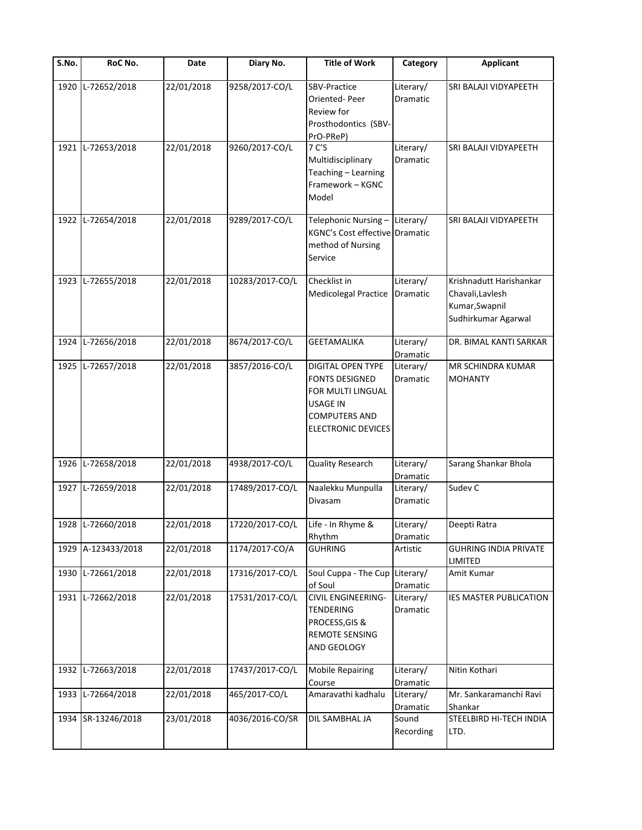| $\overline{\mathsf{S}}$ . No. | RoC No.            | Date       | Diary No.       | <b>Title of Work</b>                                                                                                                           | Category                     | <b>Applicant</b>                                                                     |
|-------------------------------|--------------------|------------|-----------------|------------------------------------------------------------------------------------------------------------------------------------------------|------------------------------|--------------------------------------------------------------------------------------|
| 1920                          | L-72652/2018       | 22/01/2018 | 9258/2017-CO/L  | <b>SBV-Practice</b><br>Oriented-Peer<br><b>Review for</b><br>Prosthodontics (SBV-<br>PrO-PReP)                                                 | Literary/<br>Dramatic        | SRI BALAJI VIDYAPEETH                                                                |
| 1921                          | L-72653/2018       | 22/01/2018 | 9260/2017-CO/L  | 7 C'S<br>Multidisciplinary<br>Teaching - Learning<br>Framework - KGNC<br>Model                                                                 | Literary/<br>Dramatic        | SRI BALAJI VIDYAPEETH                                                                |
| 1922                          | L-72654/2018       | 22/01/2018 | 9289/2017-CO/L  | Telephonic Nursing-<br><b>KGNC's Cost effective Dramatic</b><br>method of Nursing<br>Service                                                   | Literary/                    | SRI BALAJI VIDYAPEETH                                                                |
|                               | 1923 L-72655/2018  | 22/01/2018 | 10283/2017-CO/L | Checklist in<br><b>Medicolegal Practice</b>                                                                                                    | Literary/<br>Dramatic        | Krishnadutt Harishankar<br>Chavali, Lavlesh<br>Kumar, Swapnil<br>Sudhirkumar Agarwal |
| 1924                          | L-72656/2018       | 22/01/2018 | 8674/2017-CO/L  | <b>GEETAMALIKA</b>                                                                                                                             | Literary/<br><b>Dramatic</b> | DR. BIMAL KANTI SARKAR                                                               |
| 1925                          | L-72657/2018       | 22/01/2018 | 3857/2016-CO/L  | <b>DIGITAL OPEN TYPE</b><br><b>FONTS DESIGNED</b><br>FOR MULTI LINGUAL<br><b>USAGE IN</b><br><b>COMPUTERS AND</b><br><b>ELECTRONIC DEVICES</b> | Literary/<br>Dramatic        | <b>MR SCHINDRA KUMAR</b><br><b>MOHANTY</b>                                           |
|                               | 1926 L-72658/2018  | 22/01/2018 | 4938/2017-CO/L  | <b>Quality Research</b>                                                                                                                        | Literary/<br>Dramatic        | Sarang Shankar Bhola                                                                 |
|                               | 1927 L-72659/2018  | 22/01/2018 | 17489/2017-CO/L | Naalekku Munpulla<br>Divasam                                                                                                                   | Literary/<br>Dramatic        | Sudev <sub>C</sub>                                                                   |
|                               | 1928 L-72660/2018  | 22/01/2018 | 17220/2017-CO/L | Life - In Rhyme &<br>Rhythm                                                                                                                    | Literary/<br>Dramatic        | Deepti Ratra                                                                         |
|                               | 1929 A-123433/2018 | 22/01/2018 | 1174/2017-CO/A  | <b>GUHRING</b>                                                                                                                                 | Artistic                     | <b>GUHRING INDIA PRIVATE</b><br>LIMITED                                              |
| 1930                          | L-72661/2018       | 22/01/2018 | 17316/2017-CO/L | Soul Cuppa - The Cup<br>of Soul                                                                                                                | Literary/<br>Dramatic        | Amit Kumar                                                                           |
| 1931                          | L-72662/2018       | 22/01/2018 | 17531/2017-CO/L | CIVIL ENGINEERING-<br><b>TENDERING</b><br>PROCESS, GIS &<br>REMOTE SENSING<br>AND GEOLOGY                                                      | Literary/<br>Dramatic        | IES MASTER PUBLICATION                                                               |
| 1932                          | L-72663/2018       | 22/01/2018 | 17437/2017-CO/L | <b>Mobile Repairing</b><br>Course                                                                                                              | Literary/<br>Dramatic        | Nitin Kothari                                                                        |
| 1933                          | L-72664/2018       | 22/01/2018 | 465/2017-CO/L   | Amaravathi kadhalu                                                                                                                             | Literary/<br>Dramatic        | Mr. Sankaramanchi Ravi<br>Shankar                                                    |
|                               | 1934 SR-13246/2018 | 23/01/2018 | 4036/2016-CO/SR | DIL SAMBHAL JA                                                                                                                                 | Sound<br>Recording           | STEELBIRD HI-TECH INDIA<br>LTD.                                                      |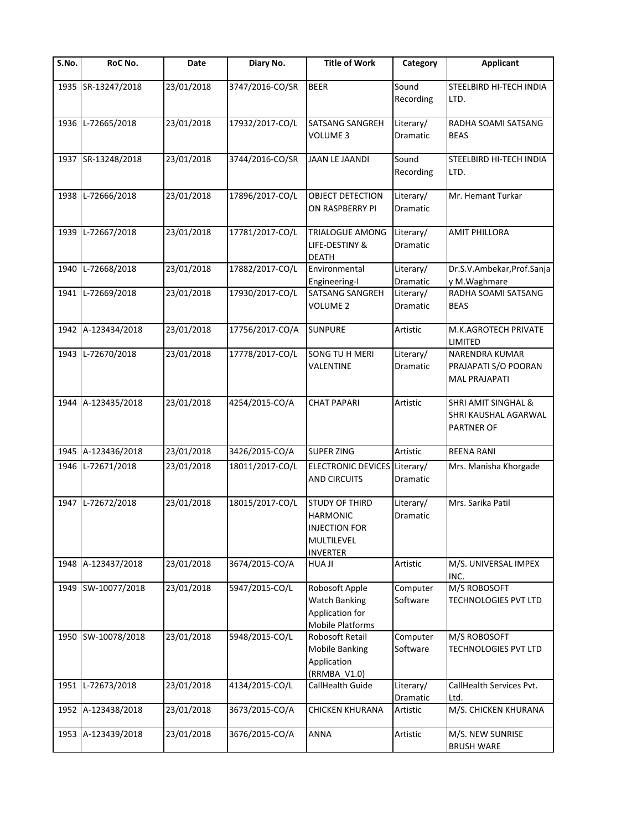| $\overline{\mathsf{S}}$ . No. | RoC No.            | Date       | Diary No.       | <b>Title of Work</b>                                                                              | Category                     | <b>Applicant</b>                                               |
|-------------------------------|--------------------|------------|-----------------|---------------------------------------------------------------------------------------------------|------------------------------|----------------------------------------------------------------|
|                               | 1935 SR-13247/2018 | 23/01/2018 | 3747/2016-CO/SR | <b>BEER</b>                                                                                       | Sound<br>Recording           | STEELBIRD HI-TECH INDIA<br>LTD.                                |
| 1936                          | L-72665/2018       | 23/01/2018 | 17932/2017-CO/L | <b>SATSANG SANGREH</b><br><b>VOLUME 3</b>                                                         | Literary/<br>Dramatic        | RADHA SOAMI SATSANG<br><b>BEAS</b>                             |
|                               | 1937 SR-13248/2018 | 23/01/2018 | 3744/2016-CO/SR | <b>JAAN LE JAANDI</b>                                                                             | Sound<br>Recording           | STEELBIRD HI-TECH INDIA<br>LTD.                                |
| 1938                          | L-72666/2018       | 23/01/2018 | 17896/2017-CO/L | OBJECT DETECTION<br>ON RASPBERRY PI                                                               | Literary/<br>Dramatic        | Mr. Hemant Turkar                                              |
| 1939                          | L-72667/2018       | 23/01/2018 | 17781/2017-CO/L | TRIALOGUE AMONG<br>LIFE-DESTINY &<br><b>DEATH</b>                                                 | Literary/<br>Dramatic        | <b>AMIT PHILLORA</b>                                           |
| 1940                          | L-72668/2018       | 23/01/2018 | 17882/2017-CO/L | Environmental<br>Engineering-I                                                                    | Literary/<br>Dramatic        | Dr.S.V.Ambekar, Prof.Sanja<br>y M.Waghmare                     |
| 1941                          | L-72669/2018       | 23/01/2018 | 17930/2017-CO/L | <b>SATSANG SANGREH</b><br><b>VOLUME 2</b>                                                         | Literary/<br>Dramatic        | RADHA SOAMI SATSANG<br><b>BEAS</b>                             |
| 1942                          | A-123434/2018      | 23/01/2018 | 17756/2017-CO/A | <b>SUNPURE</b>                                                                                    | Artistic                     | M.K.AGROTECH PRIVATE<br>LIMITED                                |
| 1943                          | L-72670/2018       | 23/01/2018 | 17778/2017-CO/L | <b>SONG TU H MERI</b><br>VALENTINE                                                                | Literary/<br>Dramatic        | NARENDRA KUMAR<br>PRAJAPATI S/O POORAN<br><b>MAL PRAJAPATI</b> |
| 1944                          | A-123435/2018      | 23/01/2018 | 4254/2015-CO/A  | <b>CHAT PAPARI</b>                                                                                | Artistic                     | SHRI AMIT SINGHAL &<br>SHRI KAUSHAL AGARWAL<br>PARTNER OF      |
| 1945                          | A-123436/2018      | 23/01/2018 | 3426/2015-CO/A  | <b>SUPER ZING</b>                                                                                 | Artistic                     | <b>REENA RANI</b>                                              |
| 1946                          | L-72671/2018       | 23/01/2018 | 18011/2017-CO/L | <b>ELECTRONIC DEVICES</b><br><b>AND CIRCUITS</b>                                                  | Literary/<br><b>Dramatic</b> | Mrs. Manisha Khorgade                                          |
| 1947                          | L-72672/2018       | 23/01/2018 | 18015/2017-CO/L | <b>STUDY OF THIRD</b><br><b>HARMONIC</b><br><b>INJECTION FOR</b><br>MULTILEVEL<br><b>INVERTER</b> | Literary/<br>Dramatic        | Mrs. Sarika Patil                                              |
| 1948                          | A-123437/2018      | 23/01/2018 | 3674/2015-CO/A  | <b>HUA JI</b>                                                                                     | Artistic                     | M/S. UNIVERSAL IMPEX<br>INC.                                   |
| 1949                          | SW-10077/2018      | 23/01/2018 | 5947/2015-CO/L  | Robosoft Apple<br><b>Watch Banking</b><br>Application for<br>Mobile Platforms                     | Computer<br>Software         | M/S ROBOSOFT<br>TECHNOLOGIES PVT LTD                           |
|                               | 1950 SW-10078/2018 | 23/01/2018 | 5948/2015-CO/L  | Robosoft Retail<br><b>Mobile Banking</b><br>Application<br>(RRMBA_V1.0)                           | Computer<br>Software         | M/S ROBOSOFT<br>TECHNOLOGIES PVT LTD                           |
| 1951                          | L-72673/2018       | 23/01/2018 | 4134/2015-CO/L  | CallHealth Guide                                                                                  | Literary/<br>Dramatic        | CallHealth Services Pvt.<br>Ltd.                               |
| 1952                          | A-123438/2018      | 23/01/2018 | 3673/2015-CO/A  | <b>CHICKEN KHURANA</b>                                                                            | Artistic                     | M/S. CHICKEN KHURANA                                           |
| 1953                          | A-123439/2018      | 23/01/2018 | 3676/2015-CO/A  | ANNA                                                                                              | Artistic                     | M/S. NEW SUNRISE<br><b>BRUSH WARE</b>                          |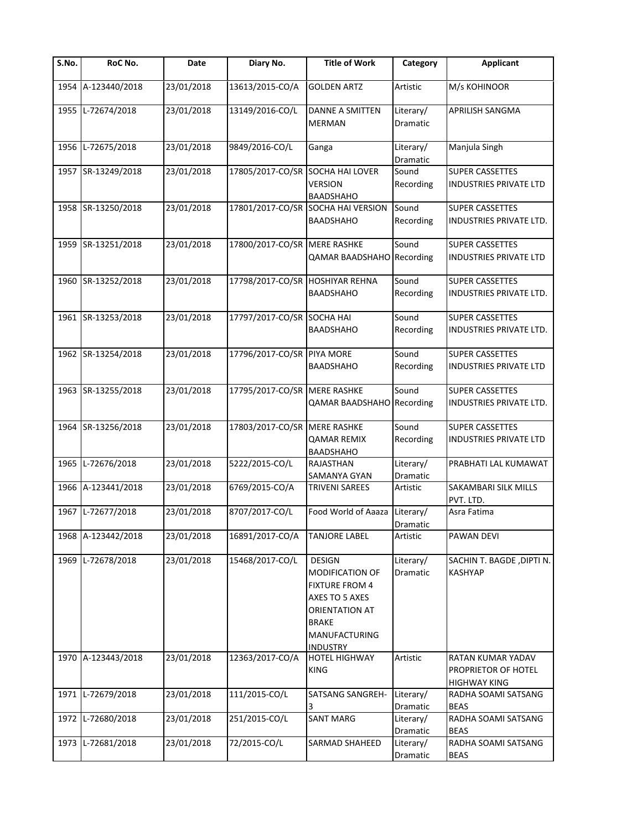| $\overline{\mathsf{S}}$ . No. | RoC No.            | Date       | Diary No.                       | <b>Title of Work</b>                                                                                                                                            | Category                     | <b>Applicant</b>                                                |
|-------------------------------|--------------------|------------|---------------------------------|-----------------------------------------------------------------------------------------------------------------------------------------------------------------|------------------------------|-----------------------------------------------------------------|
| 1954                          | A-123440/2018      | 23/01/2018 | 13613/2015-CO/A                 | <b>GOLDEN ARTZ</b>                                                                                                                                              | Artistic                     | M/s KOHINOOR                                                    |
| 1955                          | L-72674/2018       | 23/01/2018 | 13149/2016-CO/L                 | <b>DANNE A SMITTEN</b><br><b>MERMAN</b>                                                                                                                         | Literary/<br>Dramatic        | <b>APRILISH SANGMA</b>                                          |
| 1956                          | L-72675/2018       | 23/01/2018 | 9849/2016-CO/L                  | Ganga                                                                                                                                                           | Literary/<br>Dramatic        | Manjula Singh                                                   |
| 1957                          | SR-13249/2018      | 23/01/2018 | 17805/2017-CO/SR                | <b>SOCHA HAI LOVER</b><br><b>VERSION</b><br><b>BAADSHAHO</b>                                                                                                    | Sound<br>Recording           | <b>SUPER CASSETTES</b><br>INDUSTRIES PRIVATE LTD                |
| 1958                          | SR-13250/2018      | 23/01/2018 | 17801/2017-CO/SR                | SOCHA HAI VERSION<br><b>BAADSHAHO</b>                                                                                                                           | Sound<br>Recording           | <b>SUPER CASSETTES</b><br>INDUSTRIES PRIVATE LTD.               |
|                               | 1959 SR-13251/2018 | 23/01/2018 | 17800/2017-CO/SR MERE RASHKE    | <b>QAMAR BAADSHAHO</b>                                                                                                                                          | Sound<br>Recording           | <b>SUPER CASSETTES</b><br>INDUSTRIES PRIVATE LTD                |
|                               | 1960 SR-13252/2018 | 23/01/2018 | 17798/2017-CO/SR HOSHIYAR REHNA | <b>BAADSHAHO</b>                                                                                                                                                | Sound<br>Recording           | <b>SUPER CASSETTES</b><br>INDUSTRIES PRIVATE LTD.               |
| 1961                          | SR-13253/2018      | 23/01/2018 | 17797/2017-CO/SR                | <b>SOCHA HAI</b><br><b>BAADSHAHO</b>                                                                                                                            | Sound<br>Recording           | <b>SUPER CASSETTES</b><br>INDUSTRIES PRIVATE LTD.               |
|                               | 1962 SR-13254/2018 | 23/01/2018 | 17796/2017-CO/SR                | PIYA MORE<br><b>BAADSHAHO</b>                                                                                                                                   | Sound<br>Recording           | <b>SUPER CASSETTES</b><br>INDUSTRIES PRIVATE LTD                |
| 1963                          | SR-13255/2018      | 23/01/2018 | 17795/2017-CO/SR                | <b>MERE RASHKE</b><br><b>QAMAR BAADSHAHO</b>                                                                                                                    | Sound<br>Recording           | <b>SUPER CASSETTES</b><br>INDUSTRIES PRIVATE LTD.               |
| 1964                          | SR-13256/2018      | 23/01/2018 | 17803/2017-CO/SR MERE RASHKE    | <b>QAMAR REMIX</b><br><b>BAADSHAHO</b>                                                                                                                          | Sound<br>Recording           | <b>SUPER CASSETTES</b><br>INDUSTRIES PRIVATE LTD                |
| 1965                          | L-72676/2018       | 23/01/2018 | 5222/2015-CO/L                  | RAJASTHAN<br>SAMANYA GYAN                                                                                                                                       | Literary/<br>Dramatic        | PRABHATI LAL KUMAWAT                                            |
| 1966                          | A-123441/2018      | 23/01/2018 | 6769/2015-CO/A                  | <b>TRIVENI SAREES</b>                                                                                                                                           | Artistic                     | SAKAMBARI SILK MILLS<br>PVT. LTD.                               |
| 1967                          | L-72677/2018       | 23/01/2018 | 8707/2017-CO/L                  | Food World of Aaaza                                                                                                                                             | Literary/<br><b>Dramatic</b> | Asra Fatima                                                     |
| 1968                          | A-123442/2018      | 23/01/2018 | 16891/2017-CO/A                 | <b>TANJORE LABEL</b>                                                                                                                                            | Artistic                     | <b>PAWAN DEVI</b>                                               |
| 1969                          | L-72678/2018       | 23/01/2018 | 15468/2017-CO/L                 | <b>DESIGN</b><br><b>MODIFICATION OF</b><br><b>FIXTURE FROM 4</b><br>AXES TO 5 AXES<br>ORIENTATION AT<br><b>BRAKE</b><br><b>MANUFACTURING</b><br><b>INDUSTRY</b> | Literary/<br><b>Dramatic</b> | SACHIN T. BAGDE, DIPTI N.<br><b>KASHYAP</b>                     |
| 1970                          | A-123443/2018      | 23/01/2018 | 12363/2017-CO/A                 | <b>HOTEL HIGHWAY</b><br><b>KING</b>                                                                                                                             | Artistic                     | RATAN KUMAR YADAV<br>PROPRIETOR OF HOTEL<br><b>HIGHWAY KING</b> |
| 1971                          | L-72679/2018       | 23/01/2018 | 111/2015-CO/L                   | SATSANG SANGREH-<br>3                                                                                                                                           | Literary/<br>Dramatic        | RADHA SOAMI SATSANG<br><b>BEAS</b>                              |
| 1972                          | L-72680/2018       | 23/01/2018 | 251/2015-CO/L                   | <b>SANT MARG</b>                                                                                                                                                | Literary/<br>Dramatic        | RADHA SOAMI SATSANG<br><b>BEAS</b>                              |
| 1973                          | L-72681/2018       | 23/01/2018 | 72/2015-CO/L                    | SARMAD SHAHEED                                                                                                                                                  | Literary/<br>Dramatic        | RADHA SOAMI SATSANG<br><b>BEAS</b>                              |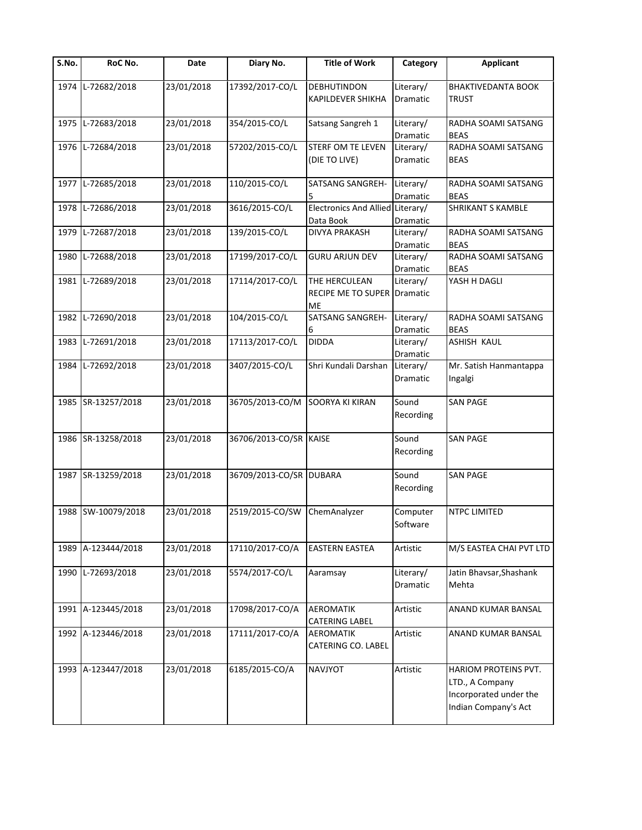| S.No. | RoC No.            | Date       | Diary No.               | <b>Title of Work</b>                               | Category                     | <b>Applicant</b>                                                                          |
|-------|--------------------|------------|-------------------------|----------------------------------------------------|------------------------------|-------------------------------------------------------------------------------------------|
| 1974  | L-72682/2018       | 23/01/2018 | 17392/2017-CO/L         | <b>DEBHUTINDON</b><br><b>KAPILDEVER SHIKHA</b>     | Literary/<br>Dramatic        | <b>BHAKTIVEDANTA BOOK</b><br>TRUST                                                        |
| 1975  | L-72683/2018       | 23/01/2018 | 354/2015-CO/L           | Satsang Sangreh 1                                  | Literary/<br>Dramatic        | RADHA SOAMI SATSANG<br><b>BEAS</b>                                                        |
| 1976  | L-72684/2018       | 23/01/2018 | 57202/2015-CO/L         | <b>STERF OM TE LEVEN</b><br>(DIE TO LIVE)          | Literary/<br>Dramatic        | RADHA SOAMI SATSANG<br><b>BEAS</b>                                                        |
| 1977  | L-72685/2018       | 23/01/2018 | 110/2015-CO/L           | SATSANG SANGREH-<br>5                              | Literary/<br>Dramatic        | RADHA SOAMI SATSANG<br><b>BEAS</b>                                                        |
| 1978  | L-72686/2018       | 23/01/2018 | 3616/2015-CO/L          | Electronics And Allied Literary/<br>Data Book      | Dramatic                     | <b>SHRIKANT S KAMBLE</b>                                                                  |
| 1979  | L-72687/2018       | 23/01/2018 | 139/2015-CO/L           | DIVYA PRAKASH                                      | Literary/<br>Dramatic        | RADHA SOAMI SATSANG<br><b>BEAS</b>                                                        |
| 1980  | L-72688/2018       | 23/01/2018 | 17199/2017-CO/L         | <b>GURU ARJUN DEV</b>                              | Literary/<br>Dramatic        | RADHA SOAMI SATSANG<br><b>BEAS</b>                                                        |
|       | 1981 L-72689/2018  | 23/01/2018 | 17114/2017-CO/L         | THE HERCULEAN<br>RECIPE ME TO SUPER Dramatic<br>МE | Literary/                    | YASH H DAGLI                                                                              |
| 1982  | L-72690/2018       | 23/01/2018 | 104/2015-CO/L           | <b>SATSANG SANGREH-</b><br>6                       | Literary/<br>Dramatic        | RADHA SOAMI SATSANG<br><b>BEAS</b>                                                        |
| 1983  | L-72691/2018       | 23/01/2018 | 17113/2017-CO/L         | <b>DIDDA</b>                                       | Literary/<br><b>Dramatic</b> | <b>ASHISH KAUL</b>                                                                        |
| 1984  | L-72692/2018       | 23/01/2018 | 3407/2015-CO/L          | Shri Kundali Darshan                               | Literary/<br>Dramatic        | Mr. Satish Hanmantappa<br>Ingalgi                                                         |
|       | 1985 SR-13257/2018 | 23/01/2018 | 36705/2013-CO/M         | SOORYA KI KIRAN                                    | Sound<br>Recording           | <b>SAN PAGE</b>                                                                           |
|       | 1986 SR-13258/2018 | 23/01/2018 | 36706/2013-CO/SR KAISE  |                                                    | Sound<br>Recording           | <b>SAN PAGE</b>                                                                           |
|       | 1987 SR-13259/2018 | 23/01/2018 | 36709/2013-CO/SR DUBARA |                                                    | Sound<br>Recording           | <b>SAN PAGE</b>                                                                           |
|       | 1988 SW-10079/2018 | 23/01/2018 | 2519/2015-CO/SW         | ChemAnalyzer                                       | Computer<br>Software         | <b>NTPC LIMITED</b>                                                                       |
| 1989  | A-123444/2018      | 23/01/2018 | 17110/2017-CO/A         | EASTERN EASTEA                                     | Artistic                     | M/S EASTEA CHAI PVT LTD                                                                   |
| 1990  | L-72693/2018       | 23/01/2018 | 5574/2017-CO/L          | Aaramsay                                           | Literary/<br>Dramatic        | Jatin Bhavsar, Shashank<br>Mehta                                                          |
| 1991  | A-123445/2018      | 23/01/2018 | 17098/2017-CO/A         | <b>AEROMATIK</b><br>CATERING LABEL                 | Artistic                     | ANAND KUMAR BANSAL                                                                        |
| 1992  | A-123446/2018      | 23/01/2018 | 17111/2017-CO/A         | <b>AEROMATIK</b><br>CATERING CO. LABEL             | Artistic                     | ANAND KUMAR BANSAL                                                                        |
|       | 1993 A-123447/2018 | 23/01/2018 | 6185/2015-CO/A          | NAVJYOT                                            | Artistic                     | HARIOM PROTEINS PVT.<br>LTD., A Company<br>Incorporated under the<br>Indian Company's Act |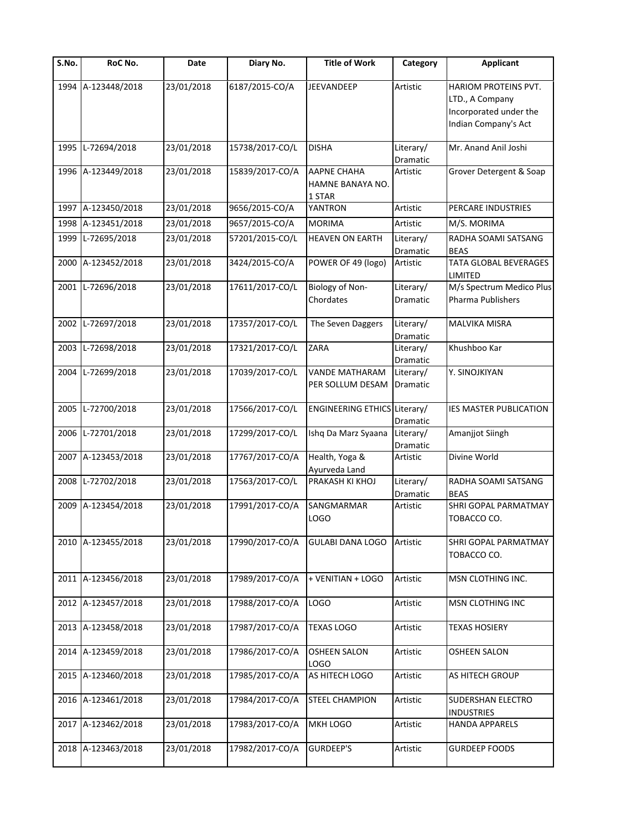| $\overline{\mathsf{S}}$ . No. | RoC No.            | Date       | Diary No.       | <b>Title of Work</b>                             | Category              | <b>Applicant</b>                                                                          |
|-------------------------------|--------------------|------------|-----------------|--------------------------------------------------|-----------------------|-------------------------------------------------------------------------------------------|
|                               | 1994 A-123448/2018 | 23/01/2018 | 6187/2015-CO/A  | <b>JEEVANDEEP</b>                                | Artistic              | HARIOM PROTEINS PVT.<br>LTD., A Company<br>Incorporated under the<br>Indian Company's Act |
| 1995                          | L-72694/2018       | 23/01/2018 | 15738/2017-CO/L | <b>DISHA</b>                                     | Literary/<br>Dramatic | Mr. Anand Anil Joshi                                                                      |
|                               | 1996 A-123449/2018 | 23/01/2018 | 15839/2017-CO/A | <b>AAPNE CHAHA</b><br>HAMNE BANAYA NO.<br>1 STAR | Artistic              | Grover Detergent & Soap                                                                   |
|                               | 1997 A-123450/2018 | 23/01/2018 | 9656/2015-CO/A  | YANTRON                                          | Artistic              | PERCARE INDUSTRIES                                                                        |
| 1998                          | A-123451/2018      | 23/01/2018 | 9657/2015-CO/A  | <b>MORIMA</b>                                    | Artistic              | M/S. MORIMA                                                                               |
| 1999                          | L-72695/2018       | 23/01/2018 | 57201/2015-CO/L | <b>HEAVEN ON EARTH</b>                           | Literary/<br>Dramatic | RADHA SOAMI SATSANG<br><b>BEAS</b>                                                        |
| 2000                          | A-123452/2018      | 23/01/2018 | 3424/2015-CO/A  | POWER OF 49 (logo)                               | Artistic              | <b>TATA GLOBAL BEVERAGES</b><br>LIMITED                                                   |
|                               | 2001 L-72696/2018  | 23/01/2018 | 17611/2017-CO/L | Biology of Non-<br>Chordates                     | Literary/<br>Dramatic | M/s Spectrum Medico Plus<br>Pharma Publishers                                             |
| 2002                          | L-72697/2018       | 23/01/2018 | 17357/2017-CO/L | The Seven Daggers                                | Literary/<br>Dramatic | MALVIKA MISRA                                                                             |
| 2003                          | L-72698/2018       | 23/01/2018 | 17321/2017-CO/L | <b>ZARA</b>                                      | Literary/<br>Dramatic | Khushboo Kar                                                                              |
| 2004                          | L-72699/2018       | 23/01/2018 | 17039/2017-CO/L | VANDE MATHARAM<br>PER SOLLUM DESAM               | Literary/<br>Dramatic | Y. SINOJKIYAN                                                                             |
| 2005                          | L-72700/2018       | 23/01/2018 | 17566/2017-CO/L | ENGINEERING ETHICS Literary/                     | Dramatic              | IES MASTER PUBLICATION                                                                    |
| 2006                          | L-72701/2018       | 23/01/2018 | 17299/2017-CO/L | Ishq Da Marz Syaana Literary/                    | Dramatic              | Amanjjot Siingh                                                                           |
|                               | 2007 A-123453/2018 | 23/01/2018 | 17767/2017-CO/A | Health, Yoga &<br>Ayurveda Land                  | Artistic              | Divine World                                                                              |
| 2008                          | L-72702/2018       | 23/01/2018 | 17563/2017-CO/L | PRAKASH KI KHOJ                                  | Literary/<br>Dramatic | RADHA SOAMI SATSANG<br><b>BEAS</b>                                                        |
| 2009                          | A-123454/2018      | 23/01/2018 | 17991/2017-CO/A | SANGMARMAR<br>LOGO                               | Artistic              | SHRI GOPAL PARMATMAY<br>TOBACCO CO.                                                       |
|                               | 2010 A-123455/2018 | 23/01/2018 | 17990/2017-CO/A | <b>GULABI DANA LOGO</b>                          | Artistic              | SHRI GOPAL PARMATMAY<br>TOBACCO CO.                                                       |
|                               | 2011 A-123456/2018 | 23/01/2018 | 17989/2017-CO/A | + VENITIAN + LOGO                                | Artistic              | MSN CLOTHING INC.                                                                         |
|                               | 2012 A-123457/2018 | 23/01/2018 | 17988/2017-CO/A | LOGO                                             | Artistic              | MSN CLOTHING INC                                                                          |
|                               | 2013 A-123458/2018 | 23/01/2018 | 17987/2017-CO/A | <b>TEXAS LOGO</b>                                | Artistic              | <b>TEXAS HOSIERY</b>                                                                      |
|                               | 2014 A-123459/2018 | 23/01/2018 | 17986/2017-CO/A | <b>OSHEEN SALON</b><br>LOGO                      | Artistic              | <b>OSHEEN SALON</b>                                                                       |
|                               | 2015 A-123460/2018 | 23/01/2018 | 17985/2017-CO/A | AS HITECH LOGO                                   | Artistic              | AS HITECH GROUP                                                                           |
|                               | 2016 A-123461/2018 | 23/01/2018 | 17984/2017-CO/A | <b>STEEL CHAMPION</b>                            | Artistic              | SUDERSHAN ELECTRO<br><b>INDUSTRIES</b>                                                    |
|                               | 2017 A-123462/2018 | 23/01/2018 | 17983/2017-CO/A | MKH LOGO                                         | Artistic              | <b>HANDA APPARELS</b>                                                                     |
| 2018                          | A-123463/2018      | 23/01/2018 | 17982/2017-CO/A | GURDEEP'S                                        | Artistic              | <b>GURDEEP FOODS</b>                                                                      |
|                               |                    |            |                 |                                                  |                       |                                                                                           |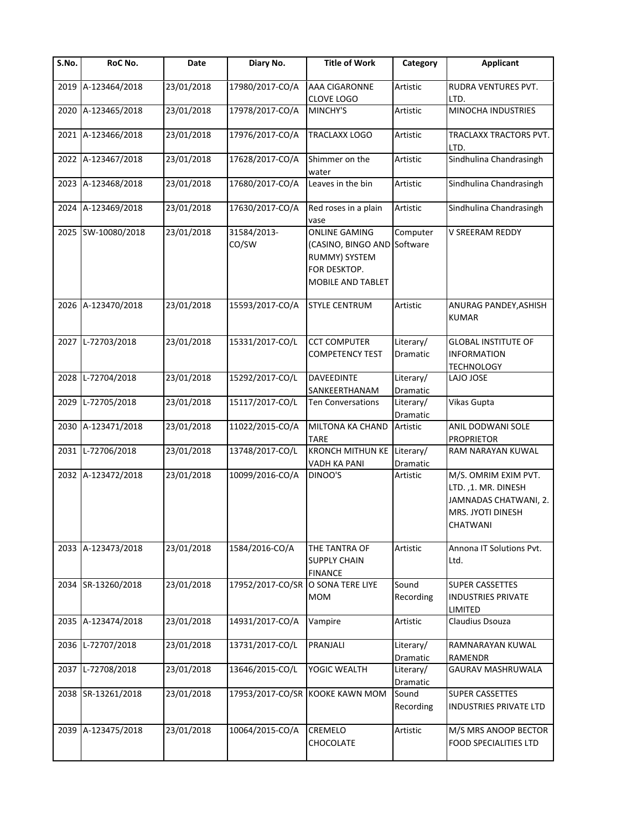| $\overline{\mathsf{S}}$ . No. | RoC No.            | Date       | Diary No.                         | <b>Title of Work</b>                                                                             | Category              | <b>Applicant</b>                                                                                             |
|-------------------------------|--------------------|------------|-----------------------------------|--------------------------------------------------------------------------------------------------|-----------------------|--------------------------------------------------------------------------------------------------------------|
| 2019                          | A-123464/2018      | 23/01/2018 | 17980/2017-CO/A                   | AAA CIGARONNE<br>CLOVE LOGO                                                                      | Artistic              | RUDRA VENTURES PVT.<br>LTD.                                                                                  |
| 2020                          | A-123465/2018      | 23/01/2018 | 17978/2017-CO/A                   | MINCHY'S                                                                                         | Artistic              | MINOCHA INDUSTRIES                                                                                           |
|                               | 2021 A-123466/2018 | 23/01/2018 | 17976/2017-CO/A                   | TRACLAXX LOGO                                                                                    | Artistic              | TRACLAXX TRACTORS PVT.<br>LTD.                                                                               |
|                               | 2022 A-123467/2018 | 23/01/2018 | 17628/2017-CO/A                   | Shimmer on the<br>water                                                                          | Artistic              | Sindhulina Chandrasingh                                                                                      |
|                               | 2023 A-123468/2018 | 23/01/2018 | 17680/2017-CO/A                   | Leaves in the bin                                                                                | Artistic              | Sindhulina Chandrasingh                                                                                      |
| 2024                          | A-123469/2018      | 23/01/2018 | 17630/2017-CO/A                   | Red roses in a plain<br>vase                                                                     | Artistic              | Sindhulina Chandrasingh                                                                                      |
|                               | 2025 SW-10080/2018 | 23/01/2018 | 31584/2013-<br>CO/SW              | <b>ONLINE GAMING</b><br>(CASINO, BINGO AND<br>RUMMY) SYSTEM<br>FOR DESKTOP.<br>MOBILE AND TABLET | Computer<br>Software  | V SREERAM REDDY                                                                                              |
|                               | 2026 A-123470/2018 | 23/01/2018 | 15593/2017-CO/A                   | <b>STYLE CENTRUM</b>                                                                             | Artistic              | ANURAG PANDEY, ASHISH<br><b>KUMAR</b>                                                                        |
|                               | 2027 L-72703/2018  | 23/01/2018 | 15331/2017-CO/L                   | <b>CCT COMPUTER</b><br><b>COMPETENCY TEST</b>                                                    | Literary/<br>Dramatic | <b>GLOBAL INSTITUTE OF</b><br><b>INFORMATION</b><br><b>TECHNOLOGY</b>                                        |
| 2028                          | L-72704/2018       | 23/01/2018 | 15292/2017-CO/L                   | <b>DAVEEDINTE</b><br>SANKEERTHANAM                                                               | Literary/<br>Dramatic | LAJO JOSE                                                                                                    |
| 2029                          | L-72705/2018       | 23/01/2018 | 15117/2017-CO/L                   | <b>Ten Conversations</b>                                                                         | Literary/<br>Dramatic | Vikas Gupta                                                                                                  |
| 2030                          | A-123471/2018      | 23/01/2018 | 11022/2015-CO/A                   | MILTONA KA CHAND<br><b>TARE</b>                                                                  | Artistic              | ANIL DODWANI SOLE<br><b>PROPRIETOR</b>                                                                       |
| 2031                          | L-72706/2018       | 23/01/2018 | 13748/2017-CO/L                   | <b>KRONCH MITHUN KE</b><br><b>VADH KA PANI</b>                                                   | Literary/<br>Dramatic | RAM NARAYAN KUWAL                                                                                            |
|                               | 2032 A-123472/2018 | 23/01/2018 | 10099/2016-CO/A                   | DINOO'S                                                                                          | Artistic              | M/S. OMRIM EXIM PVT.<br>LTD., 1. MR. DINESH<br>JAMNADAS CHATWANI, 2.<br>MRS. JYOTI DINESH<br><b>CHATWANI</b> |
|                               | 2033 A-123473/2018 | 23/01/2018 | 1584/2016-CO/A                    | THE TANTRA OF<br><b>SUPPLY CHAIN</b><br><b>FINANCE</b>                                           | Artistic              | Annona IT Solutions Pvt.<br>Ltd.                                                                             |
|                               | 2034 SR-13260/2018 | 23/01/2018 | 17952/2017-CO/SR O SONA TERE LIYE | <b>MOM</b>                                                                                       | Sound<br>Recording    | <b>SUPER CASSETTES</b><br><b>INDUSTRIES PRIVATE</b><br>LIMITED                                               |
|                               | 2035 A-123474/2018 | 23/01/2018 | 14931/2017-CO/A                   | Vampire                                                                                          | Artistic              | Claudius Dsouza                                                                                              |
| 2036                          | L-72707/2018       | 23/01/2018 | 13731/2017-CO/L                   | PRANJALI                                                                                         | Literary/<br>Dramatic | RAMNARAYAN KUWAL<br><b>RAMENDR</b>                                                                           |
|                               | 2037 L-72708/2018  | 23/01/2018 | 13646/2015-CO/L                   | YOGIC WEALTH                                                                                     | Literary/<br>Dramatic | <b>GAURAV MASHRUWALA</b>                                                                                     |
|                               | 2038 SR-13261/2018 | 23/01/2018 |                                   | 17953/2017-CO/SR KOOKE KAWN MOM                                                                  | Sound<br>Recording    | <b>SUPER CASSETTES</b><br>INDUSTRIES PRIVATE LTD                                                             |
|                               | 2039 A-123475/2018 | 23/01/2018 | 10064/2015-CO/A                   | CREMELO<br>CHOCOLATE                                                                             | Artistic              | M/S MRS ANOOP BECTOR<br><b>FOOD SPECIALITIES LTD</b>                                                         |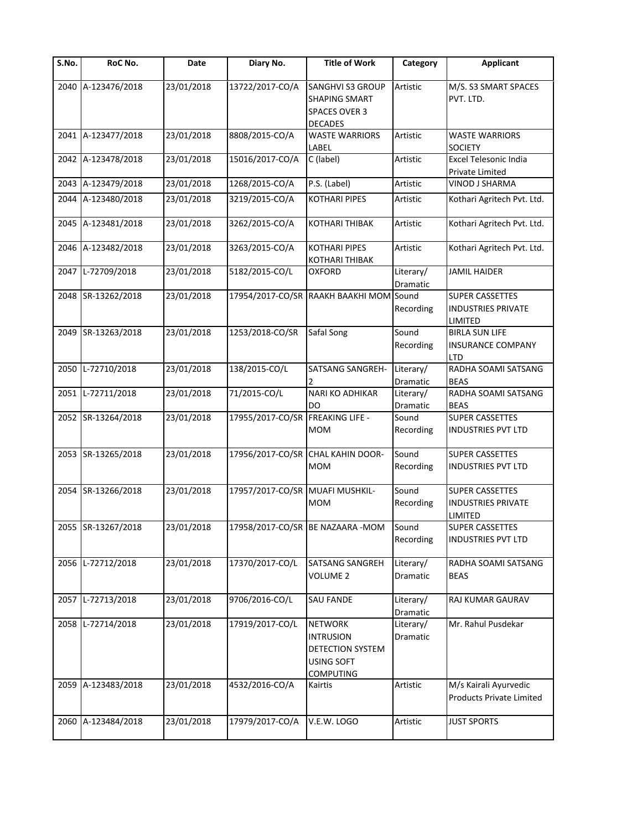| $\overline{\mathsf{S}}$ . No. | RoC No.            | Date       | Diary No.        | <b>Title of Work</b>                                                                     | Category              | <b>Applicant</b>                                               |
|-------------------------------|--------------------|------------|------------------|------------------------------------------------------------------------------------------|-----------------------|----------------------------------------------------------------|
|                               | 2040 A-123476/2018 | 23/01/2018 | 13722/2017-CO/A  | SANGHVI S3 GROUP<br><b>SHAPING SMART</b><br>SPACES OVER 3<br><b>DECADES</b>              | Artistic              | M/S. S3 SMART SPACES<br>PVT. LTD.                              |
|                               | 2041 A-123477/2018 | 23/01/2018 | 8808/2015-CO/A   | <b>WASTE WARRIORS</b><br>LABEL                                                           | Artistic              | <b>WASTE WARRIORS</b><br><b>SOCIETY</b>                        |
|                               | 2042 A-123478/2018 | 23/01/2018 | 15016/2017-CO/A  | C (label)                                                                                | Artistic              | Excel Telesonic India<br><b>Private Limited</b>                |
|                               | 2043 A-123479/2018 | 23/01/2018 | 1268/2015-CO/A   | P.S. (Label)                                                                             | Artistic              | VINOD J SHARMA                                                 |
|                               | 2044 A-123480/2018 | 23/01/2018 | 3219/2015-CO/A   | <b>KOTHARI PIPES</b>                                                                     | Artistic              | Kothari Agritech Pvt. Ltd.                                     |
|                               | 2045 A-123481/2018 | 23/01/2018 | 3262/2015-CO/A   | <b>KOTHARI THIBAK</b>                                                                    | Artistic              | Kothari Agritech Pvt. Ltd.                                     |
|                               | 2046 A-123482/2018 | 23/01/2018 | 3263/2015-CO/A   | <b>KOTHARI PIPES</b><br>KOTHARI THIBAK                                                   | Artistic              | Kothari Agritech Pvt. Ltd.                                     |
| 2047                          | L-72709/2018       | 23/01/2018 | 5182/2015-CO/L   | <b>OXFORD</b>                                                                            | Literary/<br>Dramatic | <b>JAMIL HAIDER</b>                                            |
|                               | 2048 SR-13262/2018 | 23/01/2018 |                  | 17954/2017-CO/SR RAAKH BAAKHI MOM Sound                                                  | Recording             | <b>SUPER CASSETTES</b><br><b>INDUSTRIES PRIVATE</b><br>LIMITED |
|                               | 2049 SR-13263/2018 | 23/01/2018 | 1253/2018-CO/SR  | Safal Song                                                                               | Sound<br>Recording    | <b>BIRLA SUN LIFE</b><br><b>INSURANCE COMPANY</b><br>LTD       |
|                               | 2050 L-72710/2018  | 23/01/2018 | 138/2015-CO/L    | SATSANG SANGREH-                                                                         | Literary/<br>Dramatic | RADHA SOAMI SATSANG<br><b>BEAS</b>                             |
|                               | 2051 L-72711/2018  | 23/01/2018 | 71/2015-CO/L     | NARI KO ADHIKAR<br>DO                                                                    | Literary/<br>Dramatic | RADHA SOAMI SATSANG<br><b>BEAS</b>                             |
|                               | 2052 SR-13264/2018 | 23/01/2018 | 17955/2017-CO/SR | <b>FREAKING LIFE -</b><br><b>MOM</b>                                                     | Sound<br>Recording    | <b>SUPER CASSETTES</b><br><b>INDUSTRIES PVT LTD</b>            |
|                               | 2053 SR-13265/2018 | 23/01/2018 |                  | 17956/2017-CO/SR CHAL KAHIN DOOR-<br><b>MOM</b>                                          | Sound<br>Recording    | <b>SUPER CASSETTES</b><br><b>INDUSTRIES PVT LTD</b>            |
|                               | 2054 SR-13266/2018 | 23/01/2018 | 17957/2017-CO/SR | <b>MUAFI MUSHKIL-</b><br><b>MOM</b>                                                      | Sound<br>Recording    | <b>SUPER CASSETTES</b><br><b>INDUSTRIES PRIVATE</b><br>LIMITED |
|                               | 2055 SR-13267/2018 | 23/01/2018 |                  | 17958/2017-CO/SR BE NAZAARA - MOM                                                        | Sound<br>Recording    | <b>SUPER CASSETTES</b><br><b>INDUSTRIES PVT LTD</b>            |
|                               | 2056 L-72712/2018  | 23/01/2018 | 17370/2017-CO/L  | SATSANG SANGREH<br><b>VOLUME 2</b>                                                       | Literary/<br>Dramatic | RADHA SOAMI SATSANG<br><b>BEAS</b>                             |
|                               | 2057 L-72713/2018  | 23/01/2018 | 9706/2016-CO/L   | <b>SAU FANDE</b>                                                                         | Literary/<br>Dramatic | RAJ KUMAR GAURAV                                               |
| 2058                          | L-72714/2018       | 23/01/2018 | 17919/2017-CO/L  | <b>NETWORK</b><br><b>INTRUSION</b><br>DETECTION SYSTEM<br>USING SOFT<br><b>COMPUTING</b> | Literary/<br>Dramatic | Mr. Rahul Pusdekar                                             |
|                               | 2059 A-123483/2018 | 23/01/2018 | 4532/2016-CO/A   | Kairtis                                                                                  | Artistic              | M/s Kairali Ayurvedic<br>Products Private Limited              |
|                               | 2060 A-123484/2018 | 23/01/2018 | 17979/2017-CO/A  | V.E.W. LOGO                                                                              | Artistic              | <b>JUST SPORTS</b>                                             |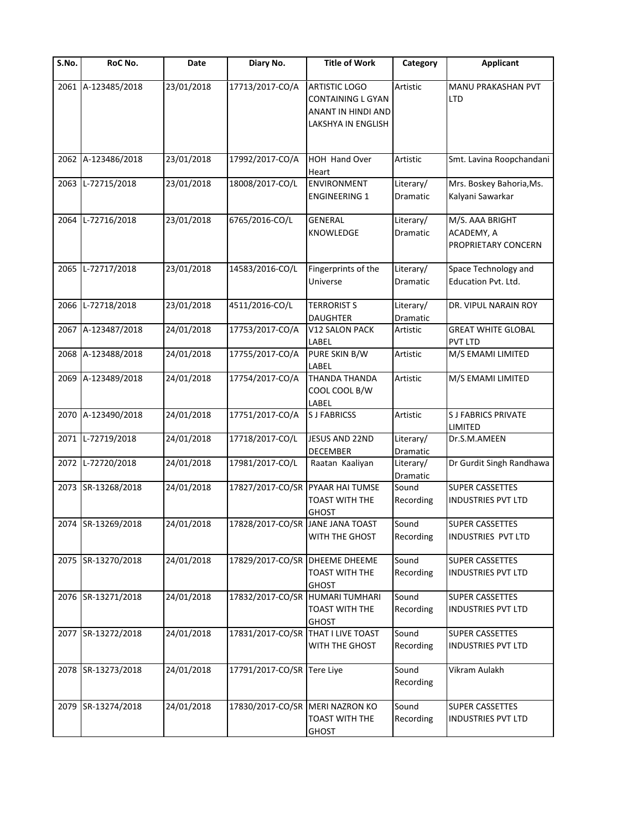| S.No. | RoC No.            | Date       | Diary No.                          | <b>Title of Work</b>                                                                  | Category              | <b>Applicant</b>                                     |
|-------|--------------------|------------|------------------------------------|---------------------------------------------------------------------------------------|-----------------------|------------------------------------------------------|
|       | 2061 A-123485/2018 | 23/01/2018 | 17713/2017-CO/A                    | <b>ARTISTIC LOGO</b><br>CONTAINING L GYAN<br>ANANT IN HINDI AND<br>LAKSHYA IN ENGLISH | Artistic              | MANU PRAKASHAN PVT<br><b>LTD</b>                     |
|       | 2062 A-123486/2018 | 23/01/2018 | 17992/2017-CO/A                    | HOH Hand Over<br>Heart                                                                | Artistic              | Smt. Lavina Roopchandani                             |
| 2063  | L-72715/2018       | 23/01/2018 | 18008/2017-CO/L                    | <b>ENVIRONMENT</b><br><b>ENGINEERING 1</b>                                            | Literary/<br>Dramatic | Mrs. Boskey Bahoria, Ms.<br>Kalyani Sawarkar         |
| 2064  | L-72716/2018       | 23/01/2018 | 6765/2016-CO/L                     | <b>GENERAL</b><br>KNOWLEDGE                                                           | Literary/<br>Dramatic | M/S. AAA BRIGHT<br>ACADEMY, A<br>PROPRIETARY CONCERN |
|       | 2065 L-72717/2018  | 23/01/2018 | 14583/2016-CO/L                    | Fingerprints of the<br>Universe                                                       | Literary/<br>Dramatic | Space Technology and<br>Education Pvt. Ltd.          |
|       | 2066 L-72718/2018  | 23/01/2018 | 4511/2016-CO/L                     | <b>TERRORIST S</b><br><b>DAUGHTER</b>                                                 | Literary/<br>Dramatic | DR. VIPUL NARAIN ROY                                 |
|       | 2067 A-123487/2018 | 24/01/2018 | 17753/2017-CO/A                    | <b>V12 SALON PACK</b><br>LABEL                                                        | Artistic              | <b>GREAT WHITE GLOBAL</b><br>PVT LTD                 |
|       | 2068 A-123488/2018 | 24/01/2018 | 17755/2017-CO/A                    | PURE SKIN B/W<br>LABEL                                                                | Artistic              | M/S EMAMI LIMITED                                    |
|       | 2069 A-123489/2018 | 24/01/2018 | 17754/2017-CO/A                    | <b>THANDA THANDA</b><br>COOL COOL B/W<br>LABEL                                        | Artistic              | M/S EMAMI LIMITED                                    |
|       | 2070 A-123490/2018 | 24/01/2018 | 17751/2017-CO/A                    | <b>SJ FABRICSS</b>                                                                    | Artistic              | <b>SJ FABRICS PRIVATE</b><br>LIMITED                 |
|       | 2071 L-72719/2018  | 24/01/2018 | 17718/2017-CO/L                    | JESUS AND 22ND<br>DECEMBER                                                            | Literary/<br>Dramatic | Dr.S.M.AMEEN                                         |
|       | 2072 L-72720/2018  | 24/01/2018 | 17981/2017-CO/L                    | Raatan Kaaliyan                                                                       | Literary/<br>Dramatic | Dr Gurdit Singh Randhawa                             |
|       | 2073 SR-13268/2018 | 24/01/2018 | 17827/2017-CO/SR PYAAR HAI TUMSE   | TOAST WITH THE<br><b>GHOST</b>                                                        | Sound<br>Recording    | <b>SUPER CASSETTES</b><br><b>INDUSTRIES PVT LTD</b>  |
|       | 2074 SR-13269/2018 | 24/01/2018 | 17828/2017-CO/SR JANE JANA TOAST   | WITH THE GHOST                                                                        | Sound<br>Recording    | <b>SUPER CASSETTES</b><br>INDUSTRIES PVT LTD         |
|       | 2075 SR-13270/2018 | 24/01/2018 | 17829/2017-CO/SR                   | <b>DHEEME DHEEME</b><br><b>TOAST WITH THE</b><br><b>GHOST</b>                         | Sound<br>Recording    | <b>SUPER CASSETTES</b><br>INDUSTRIES PVT LTD         |
|       | 2076 SR-13271/2018 | 24/01/2018 | 17832/2017-CO/SR                   | <b>HUMARI TUMHARI</b><br>TOAST WITH THE<br><b>GHOST</b>                               | Sound<br>Recording    | <b>SUPER CASSETTES</b><br>INDUSTRIES PVT LTD         |
|       | 2077 SR-13272/2018 | 24/01/2018 | 17831/2017-CO/SR THAT I LIVE TOAST | WITH THE GHOST                                                                        | Sound<br>Recording    | <b>SUPER CASSETTES</b><br>INDUSTRIES PVT LTD         |
|       | 2078 SR-13273/2018 | 24/01/2018 | 17791/2017-CO/SR Tere Liye         |                                                                                       | Sound<br>Recording    | Vikram Aulakh                                        |
|       | 2079 SR-13274/2018 | 24/01/2018 | 17830/2017-CO/SR MERI NAZRON KO    | TOAST WITH THE<br><b>GHOST</b>                                                        | Sound<br>Recording    | <b>SUPER CASSETTES</b><br>INDUSTRIES PVT LTD         |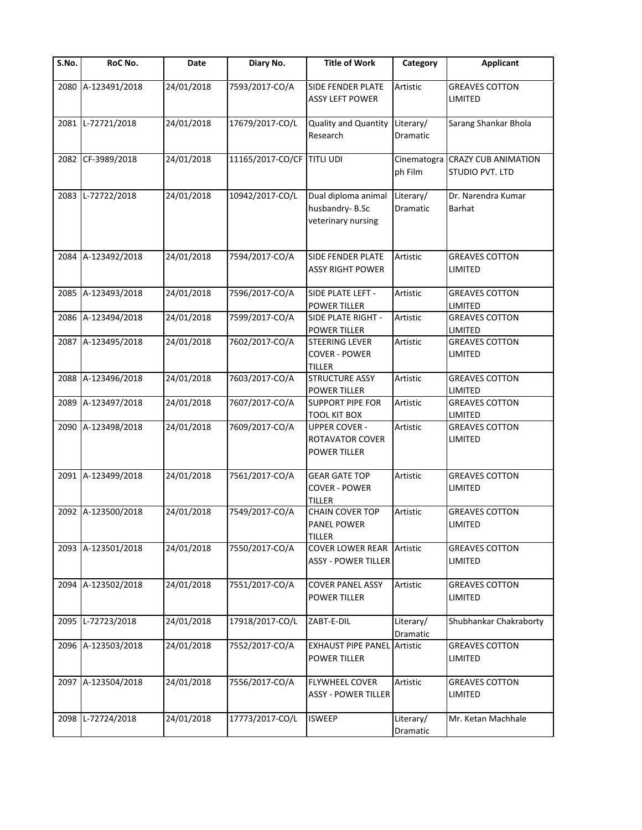| $\overline{\mathsf{S}}$ . No. | RoC No.            | Date       | Diary No.                  | <b>Title of Work</b>                                           | Category              | <b>Applicant</b>                                          |
|-------------------------------|--------------------|------------|----------------------------|----------------------------------------------------------------|-----------------------|-----------------------------------------------------------|
| 2080                          | A-123491/2018      | 24/01/2018 | 7593/2017-CO/A             | SIDE FENDER PLATE<br><b>ASSY LEFT POWER</b>                    | Artistic              | <b>GREAVES COTTON</b><br>LIMITED                          |
|                               | 2081 L-72721/2018  | 24/01/2018 | 17679/2017-CO/L            | <b>Quality and Quantity</b><br>Research                        | Literary/<br>Dramatic | Sarang Shankar Bhola                                      |
| 2082                          | CF-3989/2018       | 24/01/2018 | 11165/2017-CO/CF TITLI UDI |                                                                | ph Film               | Cinematogra CRAZY CUB ANIMATION<br><b>STUDIO PVT. LTD</b> |
| 2083                          | L-72722/2018       | 24/01/2018 | 10942/2017-CO/L            | Dual diploma animal<br>husbandry-B.Sc<br>veterinary nursing    | Literary/<br>Dramatic | Dr. Narendra Kumar<br><b>Barhat</b>                       |
| 2084                          | A-123492/2018      | 24/01/2018 | 7594/2017-CO/A             | <b>SIDE FENDER PLATE</b><br><b>ASSY RIGHT POWER</b>            | Artistic              | <b>GREAVES COTTON</b><br>LIMITED                          |
|                               | 2085 A-123493/2018 | 24/01/2018 | 7596/2017-CO/A             | SIDE PLATE LEFT -<br><b>POWER TILLER</b>                       | Artistic              | <b>GREAVES COTTON</b><br>LIMITED                          |
|                               | 2086 A-123494/2018 | 24/01/2018 | 7599/2017-CO/A             | SIDE PLATE RIGHT -<br>POWER TILLER                             | Artistic              | <b>GREAVES COTTON</b><br>LIMITED                          |
|                               | 2087 A-123495/2018 | 24/01/2018 | 7602/2017-CO/A             | <b>STEERING LEVER</b><br><b>COVER - POWER</b><br><b>TILLER</b> | Artistic              | <b>GREAVES COTTON</b><br>LIMITED                          |
|                               | 2088 A-123496/2018 | 24/01/2018 | 7603/2017-CO/A             | <b>STRUCTURE ASSY</b><br><b>POWER TILLER</b>                   | Artistic              | <b>GREAVES COTTON</b><br>LIMITED                          |
| 2089                          | A-123497/2018      | 24/01/2018 | 7607/2017-CO/A             | <b>SUPPORT PIPE FOR</b><br><b>TOOL KIT BOX</b>                 | Artistic              | <b>GREAVES COTTON</b><br>LIMITED                          |
| 2090                          | A-123498/2018      | 24/01/2018 | 7609/2017-CO/A             | <b>UPPER COVER -</b><br>ROTAVATOR COVER<br>POWER TILLER        | Artistic              | <b>GREAVES COTTON</b><br>LIMITED                          |
|                               | 2091 A-123499/2018 | 24/01/2018 | 7561/2017-CO/A             | <b>GEAR GATE TOP</b><br><b>COVER - POWER</b><br><b>TILLER</b>  | Artistic              | <b>GREAVES COTTON</b><br>LIMITED                          |
|                               | 2092 A-123500/2018 | 24/01/2018 | 7549/2017-CO/A             | <b>CHAIN COVER TOP</b><br><b>PANEL POWER</b><br><b>TILLER</b>  | Artistic              | <b>GREAVES COTTON</b><br>LIMITED                          |
|                               | 2093 A-123501/2018 | 24/01/2018 | 7550/2017-CO/A             | <b>COVER LOWER REAR Artistic</b><br><b>ASSY - POWER TILLER</b> |                       | <b>GREAVES COTTON</b><br>LIMITED                          |
|                               | 2094 A-123502/2018 | 24/01/2018 | 7551/2017-CO/A             | <b>COVER PANEL ASSY</b><br>POWER TILLER                        | Artistic              | <b>GREAVES COTTON</b><br>LIMITED                          |
| 2095                          | L-72723/2018       | 24/01/2018 | 17918/2017-CO/L            | ZABT-E-DIL                                                     | Literary/<br>Dramatic | Shubhankar Chakraborty                                    |
|                               | 2096 A-123503/2018 | 24/01/2018 | 7552/2017-CO/A             | <b>EXHAUST PIPE PANEL Artistic</b><br>POWER TILLER             |                       | <b>GREAVES COTTON</b><br>LIMITED                          |
|                               | 2097 A-123504/2018 | 24/01/2018 | 7556/2017-CO/A             | FLYWHEEL COVER<br><b>ASSY - POWER TILLER</b>                   | Artistic              | <b>GREAVES COTTON</b><br>LIMITED                          |
| 2098                          | L-72724/2018       | 24/01/2018 | 17773/2017-CO/L            | <b>ISWEEP</b>                                                  | Literary/<br>Dramatic | Mr. Ketan Machhale                                        |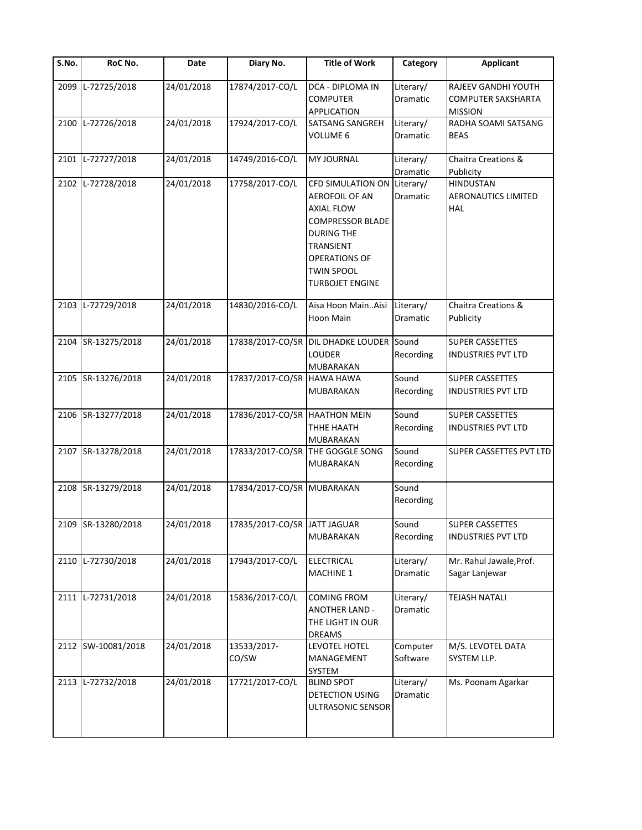| S.No. | RoC No.            | Date       | Diary No.                     | <b>Title of Work</b>                                                                                                                                                                                                 | Category              | <b>Applicant</b>                                             |
|-------|--------------------|------------|-------------------------------|----------------------------------------------------------------------------------------------------------------------------------------------------------------------------------------------------------------------|-----------------------|--------------------------------------------------------------|
| 2099  | L-72725/2018       | 24/01/2018 | 17874/2017-CO/L               | DCA - DIPLOMA IN<br><b>COMPUTER</b><br><b>APPLICATION</b>                                                                                                                                                            | Literary/<br>Dramatic | RAJEEV GANDHI YOUTH<br>COMPUTER SAKSHARTA<br><b>MISSION</b>  |
| 2100  | L-72726/2018       | 24/01/2018 | 17924/2017-CO/L               | <b>SATSANG SANGREH</b><br>VOLUME 6                                                                                                                                                                                   | Literary/<br>Dramatic | RADHA SOAMI SATSANG<br><b>BEAS</b>                           |
| 2101  | L-72727/2018       | 24/01/2018 | 14749/2016-CO/L               | <b>MY JOURNAL</b>                                                                                                                                                                                                    | Literary/<br>Dramatic | Chaitra Creations &<br>Publicity                             |
| 2102  | L-72728/2018       | 24/01/2018 | 17758/2017-CO/L               | CFD SIMULATION ON Literary/<br><b>AEROFOIL OF AN</b><br><b>AXIAL FLOW</b><br><b>COMPRESSOR BLADE</b><br><b>DURING THE</b><br><b>TRANSIENT</b><br><b>OPERATIONS OF</b><br><b>TWIN SPOOL</b><br><b>TURBOJET ENGINE</b> | Dramatic              | <b>HINDUSTAN</b><br><b>AERONAUTICS LIMITED</b><br><b>HAL</b> |
|       | 2103 L-72729/2018  | 24/01/2018 | 14830/2016-CO/L               | Aisa Hoon MainAisi<br>Hoon Main                                                                                                                                                                                      | Literary/<br>Dramatic | Chaitra Creations &<br>Publicity                             |
| 2104  | SR-13275/2018      | 24/01/2018 | 17838/2017-CO/SR              | DIL DHADKE LOUDER Sound<br><b>LOUDER</b><br><b>MUBARAKAN</b>                                                                                                                                                         | Recording             | <b>SUPER CASSETTES</b><br><b>INDUSTRIES PVT LTD</b>          |
|       | 2105 SR-13276/2018 | 24/01/2018 | 17837/2017-CO/SR HAWA HAWA    | MUBARAKAN                                                                                                                                                                                                            | Sound<br>Recording    | <b>SUPER CASSETTES</b><br><b>INDUSTRIES PVT LTD</b>          |
|       | 2106 SR-13277/2018 | 24/01/2018 | 17836/2017-CO/SR HAATHON MEIN | THHE HAATH<br>MUBARAKAN                                                                                                                                                                                              | Sound<br>Recording    | SUPER CASSETTES<br>INDUSTRIES PVT LTD                        |
|       | 2107 SR-13278/2018 | 24/01/2018 |                               | 17833/2017-CO/SR THE GOGGLE SONG<br>MUBARAKAN                                                                                                                                                                        | Sound<br>Recording    | SUPER CASSETTES PVT LTD                                      |
|       | 2108 SR-13279/2018 | 24/01/2018 | 17834/2017-CO/SR MUBARAKAN    |                                                                                                                                                                                                                      | Sound<br>Recording    |                                                              |
|       | 2109 SR-13280/2018 | 24/01/2018 | 17835/2017-CO/SR JATT JAGUAR  | <b>MUBARAKAN</b>                                                                                                                                                                                                     | Sound<br>Recording    | <b>SUPER CASSETTES</b><br><b>INDUSTRIES PVT LTD</b>          |
|       | 2110 L-72730/2018  | 24/01/2018 | 17943/2017-CO/L               | <b>ELECTRICAL</b><br><b>MACHINE 1</b>                                                                                                                                                                                | Literary/<br>Dramatic | Mr. Rahul Jawale, Prof.<br>Sagar Lanjewar                    |
| 2111  | L-72731/2018       | 24/01/2018 | 15836/2017-CO/L               | <b>COMING FROM</b><br><b>ANOTHER LAND -</b><br>THE LIGHT IN OUR<br><b>DREAMS</b>                                                                                                                                     | Literary/<br>Dramatic | <b>TEJASH NATALI</b>                                         |
|       | 2112 SW-10081/2018 | 24/01/2018 | 13533/2017-<br>CO/SW          | LEVOTEL HOTEL<br>MANAGEMENT<br><b>SYSTEM</b>                                                                                                                                                                         | Computer<br>Software  | M/S. LEVOTEL DATA<br>SYSTEM LLP.                             |
|       | 2113 L-72732/2018  | 24/01/2018 | 17721/2017-CO/L               | <b>BLIND SPOT</b><br>DETECTION USING<br>ULTRASONIC SENSOR                                                                                                                                                            | Literary/<br>Dramatic | Ms. Poonam Agarkar                                           |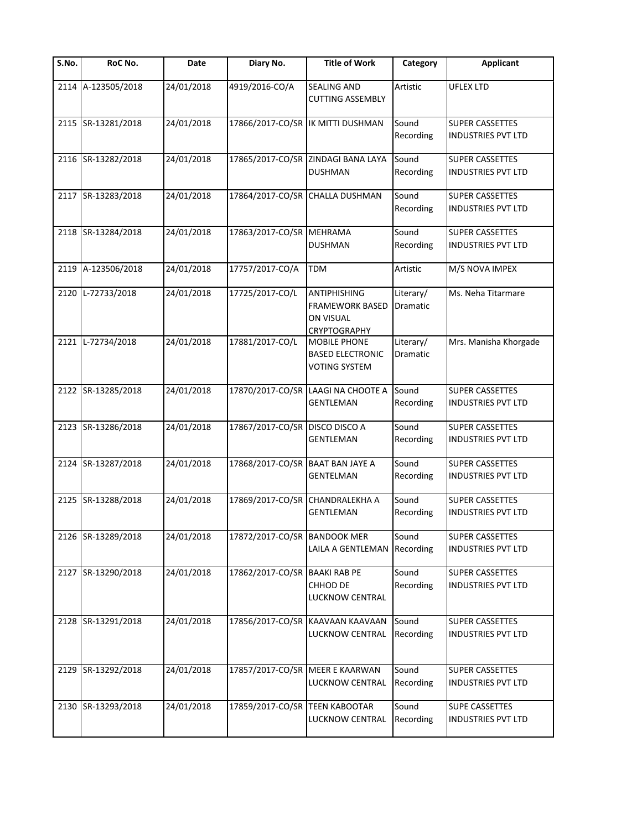| S.No. | RoC No.            | Date       | Diary No.                        | <b>Title of Work</b>                                                              | Category                     | <b>Applicant</b>                                    |
|-------|--------------------|------------|----------------------------------|-----------------------------------------------------------------------------------|------------------------------|-----------------------------------------------------|
| 2114  | A-123505/2018      | 24/01/2018 | 4919/2016-CO/A                   | <b>SEALING AND</b><br><b>CUTTING ASSEMBLY</b>                                     | Artistic                     | <b>UFLEX LTD</b>                                    |
|       | 2115 SR-13281/2018 | 24/01/2018 |                                  | 17866/2017-CO/SR IK MITTI DUSHMAN                                                 | Sound<br>Recording           | <b>SUPER CASSETTES</b><br><b>INDUSTRIES PVT LTD</b> |
|       | 2116 SR-13282/2018 | 24/01/2018 | 17865/2017-CO/SR                 | <b>ZINDAGI BANA LAYA</b><br><b>DUSHMAN</b>                                        | Sound<br>Recording           | <b>SUPER CASSETTES</b><br><b>INDUSTRIES PVT LTD</b> |
|       | 2117 SR-13283/2018 | 24/01/2018 | 17864/2017-CO/SR                 | <b>CHALLA DUSHMAN</b>                                                             | Sound<br>Recording           | <b>SUPER CASSETTES</b><br><b>INDUSTRIES PVT LTD</b> |
|       | 2118 SR-13284/2018 | 24/01/2018 | 17863/2017-CO/SR                 | <b>MEHRAMA</b><br><b>DUSHMAN</b>                                                  | Sound<br>Recording           | <b>SUPER CASSETTES</b><br><b>INDUSTRIES PVT LTD</b> |
| 2119  | A-123506/2018      | 24/01/2018 | 17757/2017-CO/A                  | <b>TDM</b>                                                                        | Artistic                     | M/S NOVA IMPEX                                      |
| 2120  | L-72733/2018       | 24/01/2018 | 17725/2017-CO/L                  | <b>ANTIPHISHING</b><br>FRAMEWORK BASED<br><b>ON VISUAL</b><br><b>CRYPTOGRAPHY</b> | Literary/<br><b>Dramatic</b> | Ms. Neha Titarmare                                  |
| 2121  | L-72734/2018       | 24/01/2018 | 17881/2017-CO/L                  | MOBILE PHONE<br><b>BASED ELECTRONIC</b><br><b>VOTING SYSTEM</b>                   | Literary/<br><b>Dramatic</b> | Mrs. Manisha Khorgade                               |
|       | 2122 SR-13285/2018 | 24/01/2018 | 17870/2017-CO/SR                 | LAAGI NA CHOOTE A<br><b>GENTLEMAN</b>                                             | Sound<br>Recording           | <b>SUPER CASSETTES</b><br><b>INDUSTRIES PVT LTD</b> |
|       | 2123 SR-13286/2018 | 24/01/2018 | 17867/2017-CO/SR                 | <b>DISCO DISCO A</b><br><b>GENTLEMAN</b>                                          | Sound<br>Recording           | <b>SUPER CASSETTES</b><br><b>INDUSTRIES PVT LTD</b> |
|       | 2124 SR-13287/2018 | 24/01/2018 | 17868/2017-CO/SR BAAT BAN JAYE A | <b>GENTELMAN</b>                                                                  | Sound<br>Recording           | <b>SUPER CASSETTES</b><br><b>INDUSTRIES PVT LTD</b> |
|       | 2125 SR-13288/2018 | 24/01/2018 | 17869/2017-CO/SR                 | <b>CHANDRALEKHA A</b><br><b>GENTLEMAN</b>                                         | Sound<br>Recording           | <b>SUPER CASSETTES</b><br><b>INDUSTRIES PVT LTD</b> |
|       | 2126 SR-13289/2018 | 24/01/2018 | 17872/2017-CO/SR                 | <b>BANDOOK MER</b><br>LAILA A GENTLEMAN                                           | Sound<br>Recording           | <b>SUPER CASSETTES</b><br><b>INDUSTRIES PVT LTD</b> |
|       | 2127 SR-13290/2018 | 24/01/2018 | 17862/2017-CO/SR                 | <b>BAAKI RAB PE</b><br>CHHOD DE<br><b>LUCKNOW CENTRAL</b>                         | Sound<br>Recording           | <b>SUPER CASSETTES</b><br><b>INDUSTRIES PVT LTD</b> |
|       | 2128 SR-13291/2018 | 24/01/2018 |                                  | 17856/2017-CO/SR KAAVAAN KAAVAAN<br><b>LUCKNOW CENTRAL</b>                        | Sound<br>Recording           | <b>SUPER CASSETTES</b><br><b>INDUSTRIES PVT LTD</b> |
|       | 2129 SR-13292/2018 | 24/01/2018 | 17857/2017-CO/SR MEER E KAARWAN  | LUCKNOW CENTRAL                                                                   | Sound<br>Recording           | <b>SUPER CASSETTES</b><br><b>INDUSTRIES PVT LTD</b> |
|       | 2130 SR-13293/2018 | 24/01/2018 | 17859/2017-CO/SR                 | <b>TEEN KABOOTAR</b><br>LUCKNOW CENTRAL                                           | Sound<br>Recording           | <b>SUPE CASSETTES</b><br><b>INDUSTRIES PVT LTD</b>  |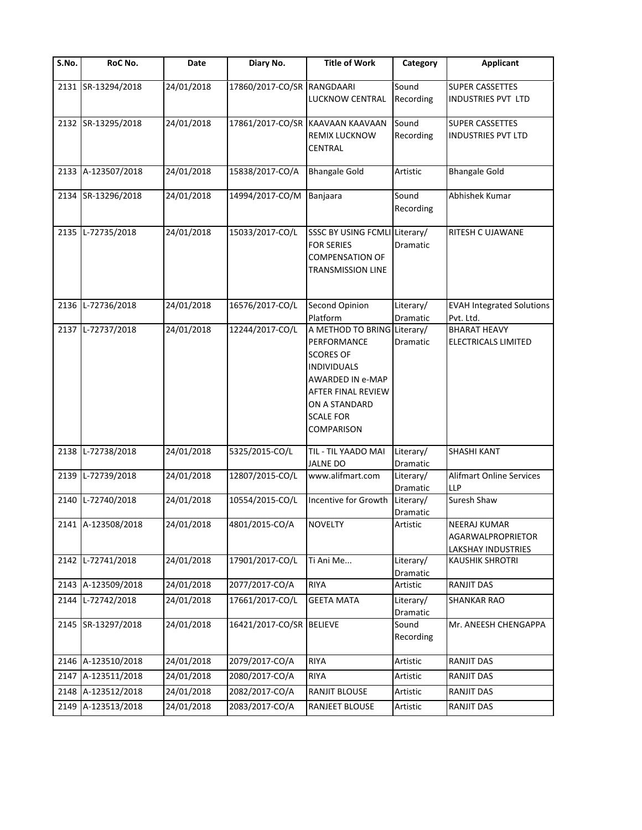| $\overline{\mathsf{S}}$ . No. | RoC No.            | Date       | Diary No.                  | <b>Title of Work</b>                                                                                                                                                                     | Category                     | <b>Applicant</b>                                               |
|-------------------------------|--------------------|------------|----------------------------|------------------------------------------------------------------------------------------------------------------------------------------------------------------------------------------|------------------------------|----------------------------------------------------------------|
|                               | 2131 SR-13294/2018 | 24/01/2018 | 17860/2017-CO/SR RANGDAARI | LUCKNOW CENTRAL                                                                                                                                                                          | Sound<br>Recording           | <b>SUPER CASSETTES</b><br>INDUSTRIES PVT LTD                   |
|                               | 2132 SR-13295/2018 | 24/01/2018 |                            | 17861/2017-CO/SR KAAVAAN KAAVAAN<br>REMIX LUCKNOW<br><b>CENTRAL</b>                                                                                                                      | Sound<br>Recording           | <b>SUPER CASSETTES</b><br><b>INDUSTRIES PVT LTD</b>            |
|                               | 2133 A-123507/2018 | 24/01/2018 | 15838/2017-CO/A            | <b>Bhangale Gold</b>                                                                                                                                                                     | Artistic                     | <b>Bhangale Gold</b>                                           |
|                               | 2134 SR-13296/2018 | 24/01/2018 | 14994/2017-CO/M            | Banjaara                                                                                                                                                                                 | Sound<br>Recording           | Abhishek Kumar                                                 |
| 2135                          | L-72735/2018       | 24/01/2018 | 15033/2017-CO/L            | SSSC BY USING FCMLI Literary/<br><b>FOR SERIES</b><br><b>COMPENSATION OF</b><br><b>TRANSMISSION LINE</b>                                                                                 | Dramatic                     | RITESH C UJAWANE                                               |
| 2136                          | L-72736/2018       | 24/01/2018 | 16576/2017-CO/L            | Second Opinion<br>Platform                                                                                                                                                               | Literary/<br><b>Dramatic</b> | <b>EVAH Integrated Solutions</b><br>Pvt. Ltd.                  |
| 2137                          | L-72737/2018       | 24/01/2018 | 12244/2017-CO/L            | A METHOD TO BRING Literary/<br>PERFORMANCE<br><b>SCORES OF</b><br><b>INDIVIDUALS</b><br>AWARDED IN e-MAP<br>AFTER FINAL REVIEW<br>ON A STANDARD<br><b>SCALE FOR</b><br><b>COMPARISON</b> | Dramatic                     | <b>BHARAT HEAVY</b><br>ELECTRICALS LIMITED                     |
| 2138                          | L-72738/2018       | 24/01/2018 | 5325/2015-CO/L             | TIL - TIL YAADO MAI<br><b>JALNE DO</b>                                                                                                                                                   | Literary/<br>Dramatic        | <b>SHASHI KANT</b>                                             |
| 2139                          | L-72739/2018       | 24/01/2018 | 12807/2015-CO/L            | www.alifmart.com                                                                                                                                                                         | Literary/<br>Dramatic        | <b>Alifmart Online Services</b><br><b>LLP</b>                  |
| 2140                          | L-72740/2018       | 24/01/2018 | 10554/2015-CO/L            | Incentive for Growth                                                                                                                                                                     | Literary/<br>Dramatic        | Suresh Shaw                                                    |
|                               | 2141 A-123508/2018 | 24/01/2018 | 4801/2015-CO/A             | <b>NOVELTY</b>                                                                                                                                                                           | Artistic                     | <b>NEERAJ KUMAR</b><br>AGARWALPROPRIETOR<br>LAKSHAY INDUSTRIES |
| 2142                          | L-72741/2018       | 24/01/2018 | 17901/2017-CO/L            | Ti Ani Me                                                                                                                                                                                | Literary/<br>Dramatic        | <b>KAUSHIK SHROTRI</b>                                         |
|                               | 2143 A-123509/2018 | 24/01/2018 | 2077/2017-CO/A             | <b>RIYA</b>                                                                                                                                                                              | Artistic                     | <b>RANJIT DAS</b>                                              |
| 2144                          | L-72742/2018       | 24/01/2018 | 17661/2017-CO/L            | <b>GEETA MATA</b>                                                                                                                                                                        | Literary/<br>Dramatic        | <b>SHANKAR RAO</b>                                             |
|                               | 2145 SR-13297/2018 | 24/01/2018 | 16421/2017-CO/SR BELIEVE   |                                                                                                                                                                                          | Sound<br>Recording           | Mr. ANEESH CHENGAPPA                                           |
|                               | 2146 A-123510/2018 | 24/01/2018 | 2079/2017-CO/A             | <b>RIYA</b>                                                                                                                                                                              | Artistic                     | RANJIT DAS                                                     |
|                               | 2147 A-123511/2018 | 24/01/2018 | 2080/2017-CO/A             | <b>RIYA</b>                                                                                                                                                                              | Artistic                     | RANJIT DAS                                                     |
|                               | 2148 A-123512/2018 | 24/01/2018 | 2082/2017-CO/A             | RANJIT BLOUSE                                                                                                                                                                            | Artistic                     | RANJIT DAS                                                     |
| 2149                          | A-123513/2018      | 24/01/2018 | 2083/2017-CO/A             | RANJEET BLOUSE                                                                                                                                                                           | Artistic                     | RANJIT DAS                                                     |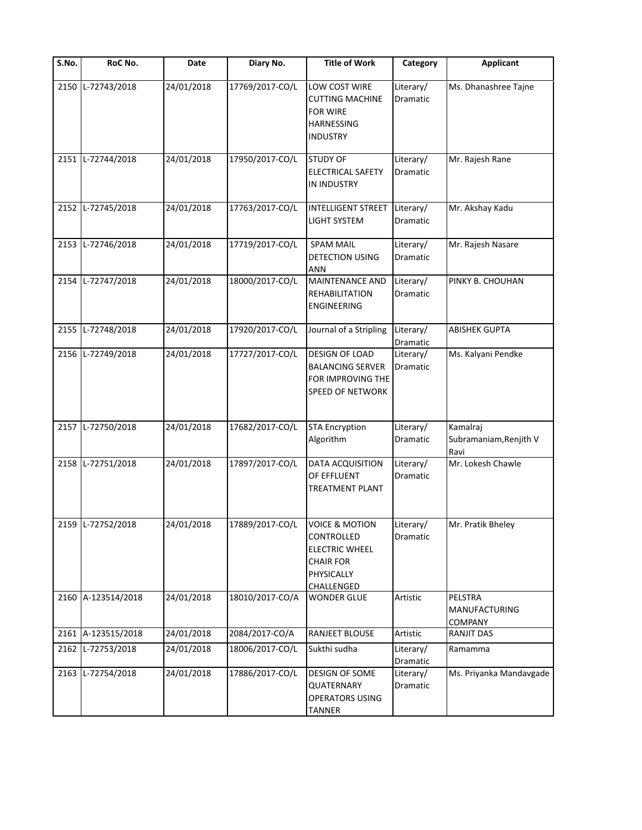| $\overline{\mathsf{S}}$ . No. | RoC No.            | Date       | Diary No.       | <b>Title of Work</b>                                                                                                    | Category              | <b>Applicant</b>                                  |
|-------------------------------|--------------------|------------|-----------------|-------------------------------------------------------------------------------------------------------------------------|-----------------------|---------------------------------------------------|
| 2150                          | L-72743/2018       | 24/01/2018 | 17769/2017-CO/L | LOW COST WIRE<br><b>CUTTING MACHINE</b><br><b>FOR WIRE</b><br>HARNESSING<br>INDUSTRY                                    | Literary/<br>Dramatic | Ms. Dhanashree Tajne                              |
| 2151                          | L-72744/2018       | 24/01/2018 | 17950/2017-CO/L | <b>STUDY OF</b><br>ELECTRICAL SAFETY<br>IN INDUSTRY                                                                     | Literary/<br>Dramatic | Mr. Rajesh Rane                                   |
| 2152                          | L-72745/2018       | 24/01/2018 | 17763/2017-CO/L | <b>INTELLIGENT STREET</b><br>LIGHT SYSTEM                                                                               | Literary/<br>Dramatic | Mr. Akshay Kadu                                   |
| 2153                          | L-72746/2018       | 24/01/2018 | 17719/2017-CO/L | <b>SPAM MAIL</b><br>DETECTION USING<br>ANN                                                                              | Literary/<br>Dramatic | Mr. Rajesh Nasare                                 |
| 2154                          | L-72747/2018       | 24/01/2018 | 18000/2017-CO/L | <b>MAINTENANCE AND</b><br>REHABILITATION<br><b>ENGINEERING</b>                                                          | Literary/<br>Dramatic | PINKY B. CHOUHAN                                  |
| 2155                          | L-72748/2018       | 24/01/2018 | 17920/2017-CO/L | Journal of a Stripling                                                                                                  | Literary/<br>Dramatic | <b>ABISHEK GUPTA</b>                              |
| 2156                          | L-72749/2018       | 24/01/2018 | 17727/2017-CO/L | <b>DESIGN OF LOAD</b><br><b>BALANCING SERVER</b><br>FOR IMPROVING THE<br>SPEED OF NETWORK                               | Literary/<br>Dramatic | Ms. Kalyani Pendke                                |
| 2157                          | L-72750/2018       | 24/01/2018 | 17682/2017-CO/L | <b>STA Encryption</b><br>Algorithm                                                                                      | Literary/<br>Dramatic | Kamalraj<br>Subramaniam, Renjith V<br>Ravi        |
| 2158                          | L-72751/2018       | 24/01/2018 | 17897/2017-CO/L | DATA ACQUISITION<br>OF EFFLUENT<br>TREATMENT PLANT                                                                      | Literary/<br>Dramatic | Mr. Lokesh Chawle                                 |
|                               | 2159 L-72752/2018  | 24/01/2018 | 17889/2017-CO/L | <b>VOICE &amp; MOTION</b><br>CONTROLLED<br><b>ELECTRIC WHEEL</b><br><b>CHAIR FOR</b><br>PHYSICALLY<br><b>CHALLENGED</b> | Literary/<br>Dramatic | Mr. Pratik Bheley                                 |
| 2160                          | A-123514/2018      | 24/01/2018 | 18010/2017-CO/A | <b>WONDER GLUE</b>                                                                                                      | Artistic              | PELSTRA<br><b>MANUFACTURING</b><br><b>COMPANY</b> |
|                               | 2161 A-123515/2018 | 24/01/2018 | 2084/2017-CO/A  | <b>RANJEET BLOUSE</b>                                                                                                   | Artistic              | <b>RANJIT DAS</b>                                 |
| 2162                          | L-72753/2018       | 24/01/2018 | 18006/2017-CO/L | Sukthi sudha                                                                                                            | Literary/<br>Dramatic | Ramamma                                           |
| 2163                          | L-72754/2018       | 24/01/2018 | 17886/2017-CO/L | DESIGN OF SOME<br>QUATERNARY<br>OPERATORS USING<br><b>TANNER</b>                                                        | Literary/<br>Dramatic | Ms. Priyanka Mandavgade                           |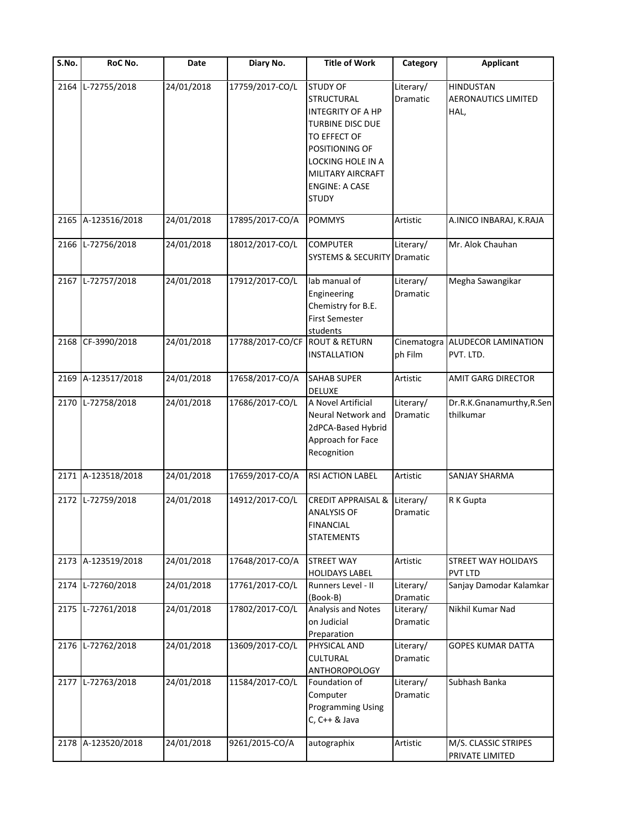| S.No. | RoC No.            | Date       | Diary No.        | <b>Title of Work</b>                                                                                                                                                                                      | Category               | <b>Applicant</b>                                       |
|-------|--------------------|------------|------------------|-----------------------------------------------------------------------------------------------------------------------------------------------------------------------------------------------------------|------------------------|--------------------------------------------------------|
| 2164  | L-72755/2018       | 24/01/2018 | 17759/2017-CO/L  | <b>STUDY OF</b><br>STRUCTURAL<br><b>INTEGRITY OF A HP</b><br><b>TURBINE DISC DUE</b><br>TO EFFECT OF<br>POSITIONING OF<br>LOCKING HOLE IN A<br>MILITARY AIRCRAFT<br><b>ENGINE: A CASE</b><br><b>STUDY</b> | Literary/<br>Dramatic  | <b>HINDUSTAN</b><br><b>AERONAUTICS LIMITED</b><br>HAL, |
| 2165  | A-123516/2018      | 24/01/2018 | 17895/2017-CO/A  | <b>POMMYS</b>                                                                                                                                                                                             | Artistic               | A.INICO INBARAJ, K.RAJA                                |
| 2166  | L-72756/2018       | 24/01/2018 | 18012/2017-CO/L  | <b>COMPUTER</b><br><b>SYSTEMS &amp; SECURITY</b>                                                                                                                                                          | Literary/<br>Dramatic  | Mr. Alok Chauhan                                       |
|       | 2167 L-72757/2018  | 24/01/2018 | 17912/2017-CO/L  | lab manual of<br>Engineering<br>Chemistry for B.E.<br><b>First Semester</b><br>students                                                                                                                   | Literary/<br>Dramatic  | Megha Sawangikar                                       |
| 2168  | CF-3990/2018       | 24/01/2018 | 17788/2017-CO/CF | <b>ROUT &amp; RETURN</b><br><b>INSTALLATION</b>                                                                                                                                                           | Cinematogra<br>ph Film | ALUDECOR LAMINATION<br>PVT. LTD.                       |
| 2169  | A-123517/2018      | 24/01/2018 | 17658/2017-CO/A  | <b>SAHAB SUPER</b><br>DELUXE                                                                                                                                                                              | Artistic               | <b>AMIT GARG DIRECTOR</b>                              |
| 2170  | L-72758/2018       | 24/01/2018 | 17686/2017-CO/L  | A Novel Artificial<br>Neural Network and<br>2dPCA-Based Hybrid<br>Approach for Face<br>Recognition                                                                                                        | Literary/<br>Dramatic  | Dr.R.K.Gnanamurthy,R.Sen<br>thilkumar                  |
|       | 2171 A-123518/2018 | 24/01/2018 | 17659/2017-CO/A  | <b>RSI ACTION LABEL</b>                                                                                                                                                                                   | Artistic               | SANJAY SHARMA                                          |
|       | 2172 L-72759/2018  | 24/01/2018 | 14912/2017-CO/L  | <b>CREDIT APPRAISAL &amp;</b><br><b>ANALYSIS OF</b><br><b>FINANCIAL</b><br><b>STATEMENTS</b>                                                                                                              | Literary/<br>Dramatic  | R K Gupta                                              |
|       | 2173 A-123519/2018 | 24/01/2018 | 17648/2017-CO/A  | <b>STREET WAY</b><br><b>HOLIDAYS LABEL</b>                                                                                                                                                                | Artistic               | STREET WAY HOLIDAYS<br><b>PVT LTD</b>                  |
| 2174  | L-72760/2018       | 24/01/2018 | 17761/2017-CO/L  | Runners Level - II<br>(Book-B)                                                                                                                                                                            | Literary/<br>Dramatic  | Sanjay Damodar Kalamkar                                |
| 2175  | L-72761/2018       | 24/01/2018 | 17802/2017-CO/L  | Analysis and Notes<br>on Judicial<br>Preparation                                                                                                                                                          | Literary/<br>Dramatic  | Nikhil Kumar Nad                                       |
| 2176  | L-72762/2018       | 24/01/2018 | 13609/2017-CO/L  | PHYSICAL AND<br>CULTURAL<br>ANTHOROPOLOGY                                                                                                                                                                 | Literary/<br>Dramatic  | GOPES KUMAR DATTA                                      |
|       | 2177 L-72763/2018  | 24/01/2018 | 11584/2017-CO/L  | Foundation of<br>Computer<br><b>Programming Using</b><br>C, C++ & Java                                                                                                                                    | Literary/<br>Dramatic  | Subhash Banka                                          |
|       | 2178 A-123520/2018 | 24/01/2018 | 9261/2015-CO/A   | autographix                                                                                                                                                                                               | Artistic               | M/S. CLASSIC STRIPES<br>PRIVATE LIMITED                |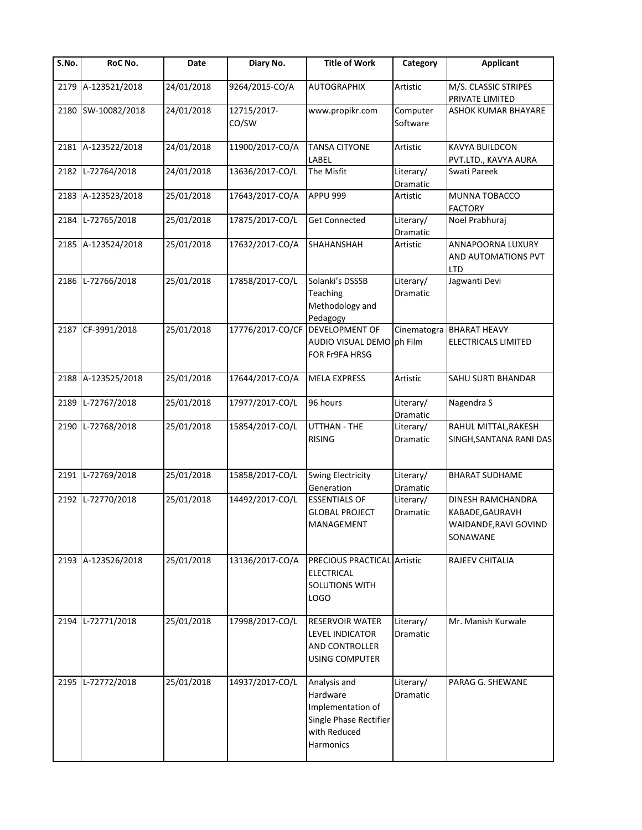| $\overline{\mathsf{S}}$ . No. | RoC No.            | Date       | Diary No.            | <b>Title of Work</b>                                                                                 | Category                     | <b>Applicant</b>                                                          |
|-------------------------------|--------------------|------------|----------------------|------------------------------------------------------------------------------------------------------|------------------------------|---------------------------------------------------------------------------|
| 2179                          | A-123521/2018      | 24/01/2018 | 9264/2015-CO/A       | <b>AUTOGRAPHIX</b>                                                                                   | Artistic                     | M/S. CLASSIC STRIPES<br>PRIVATE LIMITED                                   |
| 2180                          | SW-10082/2018      | 24/01/2018 | 12715/2017-<br>CO/SW | www.propikr.com                                                                                      | Computer<br>Software         | ASHOK KUMAR BHAYARE                                                       |
|                               | 2181 A-123522/2018 | 24/01/2018 | 11900/2017-CO/A      | <b>TANSA CITYONE</b><br>LABEL                                                                        | Artistic                     | KAVYA BUILDCON<br>PVT.LTD., KAVYA AURA                                    |
| 2182                          | L-72764/2018       | 24/01/2018 | 13636/2017-CO/L      | The Misfit                                                                                           | Literary/<br>Dramatic        | Swati Pareek                                                              |
| 2183                          | A-123523/2018      | 25/01/2018 | 17643/2017-CO/A      | APPU 999                                                                                             | Artistic                     | MUNNA TOBACCO<br><b>FACTORY</b>                                           |
| 2184                          | L-72765/2018       | 25/01/2018 | 17875/2017-CO/L      | <b>Get Connected</b>                                                                                 | Literary/<br>Dramatic        | Noel Prabhuraj                                                            |
|                               | 2185 A-123524/2018 | 25/01/2018 | 17632/2017-CO/A      | SHAHANSHAH                                                                                           | Artistic                     | ANNAPOORNA LUXURY<br>AND AUTOMATIONS PVT<br><b>LTD</b>                    |
|                               | 2186 L-72766/2018  | 25/01/2018 | 17858/2017-CO/L      | Solanki's DSSSB<br><b>Teaching</b><br>Methodology and<br>Pedagogy                                    | Literary/<br><b>Dramatic</b> | Jagwanti Devi                                                             |
| 2187                          | CF-3991/2018       | 25/01/2018 | 17776/2017-CO/CF     | <b>DEVELOPMENT OF</b><br>AUDIO VISUAL DEMO ph Film<br>FOR Fr9FA HRSG                                 |                              | Cinematogra BHARAT HEAVY<br>ELECTRICALS LIMITED                           |
|                               | 2188 A-123525/2018 | 25/01/2018 | 17644/2017-CO/A      | <b>MELA EXPRESS</b>                                                                                  | Artistic                     | SAHU SURTI BHANDAR                                                        |
| 2189                          | L-72767/2018       | 25/01/2018 | 17977/2017-CO/L      | 96 hours                                                                                             | Literary/<br>Dramatic        | Nagendra S                                                                |
| 2190                          | L-72768/2018       | 25/01/2018 | 15854/2017-CO/L      | UTTHAN - THE<br><b>RISING</b>                                                                        | Literary/<br>Dramatic        | RAHUL MITTAL, RAKESH<br>SINGH, SANTANA RANI DAS                           |
|                               | 2191 L-72769/2018  | 25/01/2018 | 15858/2017-CO/L      | <b>Swing Electricity</b><br>Generation                                                               | Literary/<br>Dramatic        | <b>BHARAT SUDHAME</b>                                                     |
| 2192                          | L-72770/2018       | 25/01/2018 | 14492/2017-CO/L      | <b>ESSENTIALS OF</b><br><b>GLOBAL PROJECT</b><br>MANAGEMENT                                          | Literary/<br>Dramatic        | DINESH RAMCHANDRA<br>KABADE, GAURAVH<br>WAIDANDE, RAVI GOVIND<br>SONAWANE |
|                               | 2193 A-123526/2018 | 25/01/2018 | 13136/2017-CO/A      | PRECIOUS PRACTICAL Artistic<br><b>ELECTRICAL</b><br><b>SOLUTIONS WITH</b><br>LOGO                    |                              | RAJEEV CHITALIA                                                           |
| 2194                          | L-72771/2018       | 25/01/2018 | 17998/2017-CO/L      | RESERVOIR WATER<br>LEVEL INDICATOR<br>AND CONTROLLER<br><b>USING COMPUTER</b>                        | Literary/<br>Dramatic        | Mr. Manish Kurwale                                                        |
| 2195                          | L-72772/2018       | 25/01/2018 | 14937/2017-CO/L      | Analysis and<br>Hardware<br>Implementation of<br>Single Phase Rectifier<br>with Reduced<br>Harmonics | Literary/<br>Dramatic        | PARAG G. SHEWANE                                                          |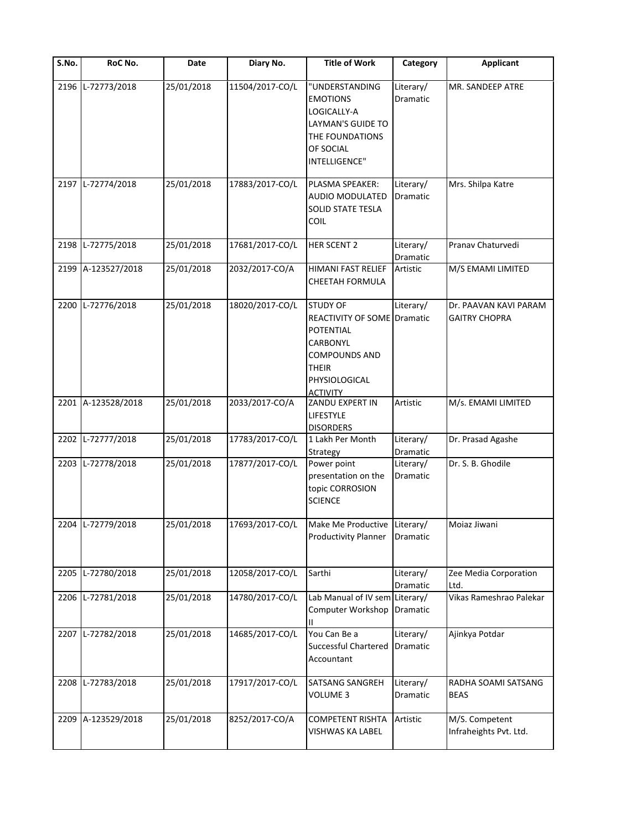| S.No. | RoC No.            | Date       | Diary No.       | <b>Title of Work</b>                                                                                                                                | Category                     | <b>Applicant</b>                              |
|-------|--------------------|------------|-----------------|-----------------------------------------------------------------------------------------------------------------------------------------------------|------------------------------|-----------------------------------------------|
|       | 2196 L-72773/2018  | 25/01/2018 | 11504/2017-CO/L | "UNDERSTANDING<br><b>EMOTIONS</b><br>LOGICALLY-A<br>LAYMAN'S GUIDE TO<br>THE FOUNDATIONS<br>OF SOCIAL<br>INTELLIGENCE"                              | Literary/<br>Dramatic        | MR. SANDEEP ATRE                              |
|       | 2197 L-72774/2018  | 25/01/2018 | 17883/2017-CO/L | PLASMA SPEAKER:<br>AUDIO MODULATED<br>SOLID STATE TESLA<br>COIL                                                                                     | Literary/<br><b>Dramatic</b> | Mrs. Shilpa Katre                             |
|       | 2198 L-72775/2018  | 25/01/2018 | 17681/2017-CO/L | HER SCENT 2                                                                                                                                         | Literary/<br>Dramatic        | Pranav Chaturvedi                             |
|       | 2199 A-123527/2018 | 25/01/2018 | 2032/2017-CO/A  | HIMANI FAST RELIEF<br>CHEETAH FORMULA                                                                                                               | Artistic                     | M/S EMAMI LIMITED                             |
|       | 2200 L-72776/2018  | 25/01/2018 | 18020/2017-CO/L | <b>STUDY OF</b><br><b>REACTIVITY OF SOME Dramatic</b><br>POTENTIAL<br>CARBONYL<br>COMPOUNDS AND<br><b>THEIR</b><br>PHYSIOLOGICAL<br><b>ACTIVITY</b> | Literary/                    | Dr. PAAVAN KAVI PARAM<br><b>GAITRY CHOPRA</b> |
|       | 2201 A-123528/2018 | 25/01/2018 | 2033/2017-CO/A  | ZANDU EXPERT IN<br>LIFESTYLE<br><b>DISORDERS</b>                                                                                                    | Artistic                     | M/s. EMAMI LIMITED                            |
|       | 2202 L-72777/2018  | 25/01/2018 | 17783/2017-CO/L | 1 Lakh Per Month<br>Strategy                                                                                                                        | Literary/<br>Dramatic        | Dr. Prasad Agashe                             |
|       | 2203 L-72778/2018  | 25/01/2018 | 17877/2017-CO/L | Power point<br>presentation on the<br>topic CORROSION<br><b>SCIENCE</b>                                                                             | Literary/<br>Dramatic        | Dr. S. B. Ghodile                             |
|       | 2204 L-72779/2018  | 25/01/2018 | 17693/2017-CO/L | Make Me Productive Literary/<br>Productivity Planner Dramatic                                                                                       |                              | Moiaz Jiwani                                  |
|       | 2205 L-72780/2018  | 25/01/2018 | 12058/2017-CO/L | Sarthi                                                                                                                                              | Literary/<br>Dramatic        | Zee Media Corporation<br>Ltd.                 |
|       | 2206 L-72781/2018  | 25/01/2018 | 14780/2017-CO/L | Lab Manual of IV sem Literary/<br>Computer Workshop                                                                                                 | Dramatic                     | Vikas Rameshrao Palekar                       |
|       | 2207 L-72782/2018  | 25/01/2018 | 14685/2017-CO/L | You Can Be a<br>Successful Chartered<br>Accountant                                                                                                  | Literary/<br>Dramatic        | Ajinkya Potdar                                |
|       | 2208 L-72783/2018  | 25/01/2018 | 17917/2017-CO/L | SATSANG SANGREH<br>VOLUME 3                                                                                                                         | Literary/<br>Dramatic        | RADHA SOAMI SATSANG<br><b>BEAS</b>            |
|       | 2209 A-123529/2018 | 25/01/2018 | 8252/2017-CO/A  | COMPETENT RISHTA<br>VISHWAS KA LABEL                                                                                                                | Artistic                     | M/S. Competent<br>Infraheights Pvt. Ltd.      |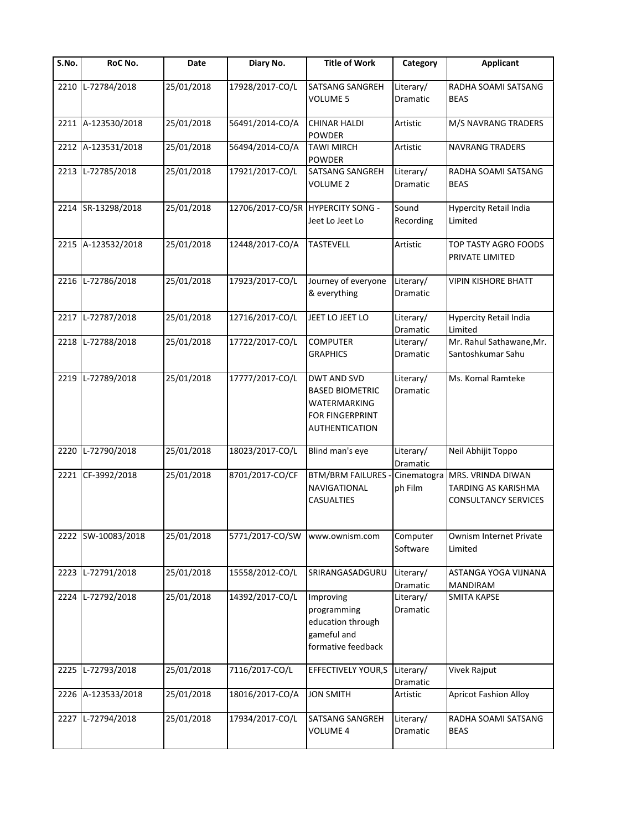| $\overline{\mathsf{S}}$ . No. | RoC No.            | Date       | Diary No.                         | <b>Title of Work</b>                                                                                     | Category                     | <b>Applicant</b>                                                        |
|-------------------------------|--------------------|------------|-----------------------------------|----------------------------------------------------------------------------------------------------------|------------------------------|-------------------------------------------------------------------------|
| 2210                          | L-72784/2018       | 25/01/2018 | 17928/2017-CO/L                   | SATSANG SANGREH<br><b>VOLUME 5</b>                                                                       | Literary/<br>Dramatic        | RADHA SOAMI SATSANG<br><b>BEAS</b>                                      |
|                               | 2211 A-123530/2018 | 25/01/2018 | 56491/2014-CO/A                   | <b>CHINAR HALDI</b><br><b>POWDER</b>                                                                     | Artistic                     | M/S NAVRANG TRADERS                                                     |
|                               | 2212 A-123531/2018 | 25/01/2018 | 56494/2014-CO/A                   | <b>TAWI MIRCH</b><br><b>POWDER</b>                                                                       | Artistic                     | <b>NAVRANG TRADERS</b>                                                  |
|                               | 2213 L-72785/2018  | 25/01/2018 | 17921/2017-CO/L                   | <b>SATSANG SANGREH</b><br><b>VOLUME 2</b>                                                                | Literary/<br>Dramatic        | RADHA SOAMI SATSANG<br><b>BEAS</b>                                      |
|                               | 2214 SR-13298/2018 | 25/01/2018 | 12706/2017-CO/SR HYPERCITY SONG - | Jeet Lo Jeet Lo                                                                                          | Sound<br>Recording           | <b>Hypercity Retail India</b><br>Limited                                |
|                               | 2215 A-123532/2018 | 25/01/2018 | 12448/2017-CO/A                   | <b>TASTEVELL</b>                                                                                         | Artistic                     | TOP TASTY AGRO FOODS<br>PRIVATE LIMITED                                 |
|                               | 2216 L-72786/2018  | 25/01/2018 | 17923/2017-CO/L                   | Journey of everyone<br>& everything                                                                      | Literary/<br><b>Dramatic</b> | <b>VIPIN KISHORE BHATT</b>                                              |
|                               | 2217 L-72787/2018  | 25/01/2018 | 12716/2017-CO/L                   | JEET LO JEET LO                                                                                          | Literary/<br><b>Dramatic</b> | <b>Hypercity Retail India</b><br>Limited                                |
| 2218                          | L-72788/2018       | 25/01/2018 | 17722/2017-CO/L                   | <b>COMPUTER</b><br><b>GRAPHICS</b>                                                                       | Literary/<br>Dramatic        | Mr. Rahul Sathawane, Mr.<br>Santoshkumar Sahu                           |
|                               | 2219 L-72789/2018  | 25/01/2018 | 17777/2017-CO/L                   | <b>DWT AND SVD</b><br><b>BASED BIOMETRIC</b><br>WATERMARKING<br>FOR FINGERPRINT<br><b>AUTHENTICATION</b> | Literary/<br>Dramatic        | Ms. Komal Ramteke                                                       |
| 2220                          | L-72790/2018       | 25/01/2018 | 18023/2017-CO/L                   | Blind man's eye                                                                                          | Literary/<br>Dramatic        | Neil Abhijit Toppo                                                      |
|                               | 2221 CF-3992/2018  | 25/01/2018 | 8701/2017-CO/CF                   | <b>BTM/BRM FAILURES</b><br>NAVIGATIONAL<br><b>CASUALTIES</b>                                             | Cinematogra<br>ph Film       | MRS. VRINDA DIWAN<br>TARDING AS KARISHMA<br><b>CONSULTANCY SERVICES</b> |
|                               | 2222 SW-10083/2018 | 25/01/2018 | 5771/2017-CO/SW                   | www.ownism.com                                                                                           | Computer<br>Software         | Ownism Internet Private<br>Limited                                      |
| 2223                          | L-72791/2018       | 25/01/2018 | 15558/2012-CO/L                   | SRIRANGASADGURU                                                                                          | Literary/<br>Dramatic        | ASTANGA YOGA VIJNANA<br><b>MANDIRAM</b>                                 |
| 2224                          | L-72792/2018       | 25/01/2018 | 14392/2017-CO/L                   | Improving<br>programming<br>education through<br>gameful and<br>formative feedback                       | Literary/<br>Dramatic        | <b>SMITA KAPSE</b>                                                      |
| 2225                          | L-72793/2018       | 25/01/2018 | 7116/2017-CO/L                    | EFFECTIVELY YOUR,S                                                                                       | Literary/<br>Dramatic        | Vivek Rajput                                                            |
|                               | 2226 A-123533/2018 | 25/01/2018 | 18016/2017-CO/A                   | <b>JON SMITH</b>                                                                                         | Artistic                     | <b>Apricot Fashion Alloy</b>                                            |
|                               | 2227 L-72794/2018  | 25/01/2018 | 17934/2017-CO/L                   | SATSANG SANGREH<br><b>VOLUME 4</b>                                                                       | Literary/<br>Dramatic        | RADHA SOAMI SATSANG<br><b>BEAS</b>                                      |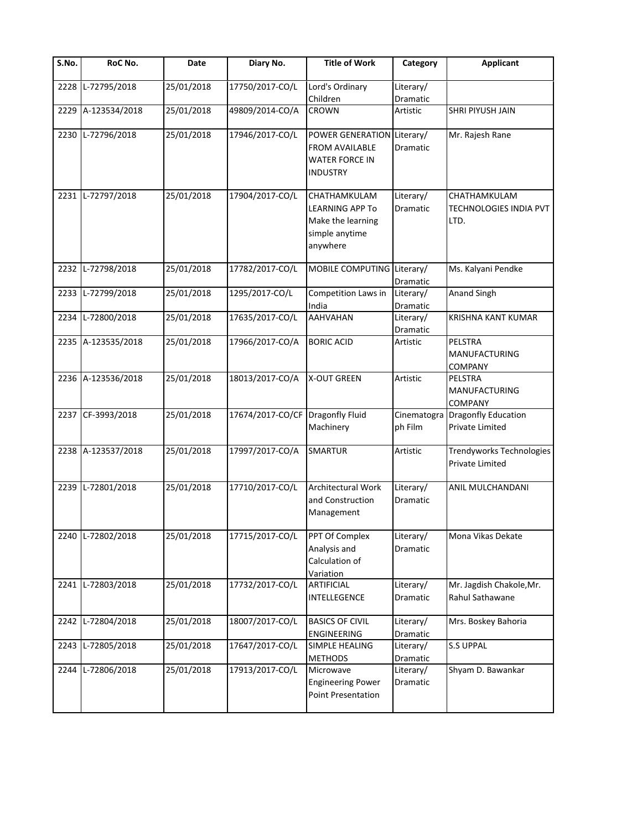| S.No. | RoC No.            | Date       | Diary No.        | <b>Title of Work</b>                                                                             | Category                     | Applicant                                             |
|-------|--------------------|------------|------------------|--------------------------------------------------------------------------------------------------|------------------------------|-------------------------------------------------------|
| 2228  | L-72795/2018       | 25/01/2018 | 17750/2017-CO/L  | Lord's Ordinary<br>Children                                                                      | Literary/<br>Dramatic        |                                                       |
| 2229  | A-123534/2018      | 25/01/2018 | 49809/2014-CO/A  | CROWN                                                                                            | Artistic                     | SHRI PIYUSH JAIN                                      |
| 2230  | L-72796/2018       | 25/01/2018 | 17946/2017-CO/L  | POWER GENERATION Literary/<br><b>FROM AVAILABLE</b><br><b>WATER FORCE IN</b><br><b>INDUSTRY</b>  | Dramatic                     | Mr. Rajesh Rane                                       |
| 2231  | L-72797/2018       | 25/01/2018 | 17904/2017-CO/L  | <b>CHATHAMKULAM</b><br><b>LEARNING APP To</b><br>Make the learning<br>simple anytime<br>anywhere | Literary/<br>Dramatic        | CHATHAMKULAM<br><b>TECHNOLOGIES INDIA PVT</b><br>LTD. |
| 2232  | L-72798/2018       | 25/01/2018 | 17782/2017-CO/L  | MOBILE COMPUTING Literary/                                                                       | Dramatic                     | Ms. Kalyani Pendke                                    |
| 2233  | L-72799/2018       | 25/01/2018 | 1295/2017-CO/L   | Competition Laws in<br>India                                                                     | Literary/<br>Dramatic        | Anand Singh                                           |
| 2234  | L-72800/2018       | 25/01/2018 | 17635/2017-CO/L  | <b>AAHVAHAN</b>                                                                                  | Literary/<br><b>Dramatic</b> | <b>KRISHNA KANT KUMAR</b>                             |
| 2235  | A-123535/2018      | 25/01/2018 | 17966/2017-CO/A  | <b>BORIC ACID</b>                                                                                | Artistic                     | PELSTRA<br>MANUFACTURING<br><b>COMPANY</b>            |
|       | 2236 A-123536/2018 | 25/01/2018 | 18013/2017-CO/A  | <b>X-OUT GREEN</b>                                                                               | Artistic                     | PELSTRA<br><b>MANUFACTURING</b><br>COMPANY            |
| 2237  | CF-3993/2018       | 25/01/2018 | 17674/2017-CO/CF | <b>Dragonfly Fluid</b><br>Machinery                                                              | Cinematogra<br>ph Film       | <b>Dragonfly Education</b><br>Private Limited         |
| 2238  | A-123537/2018      | 25/01/2018 | 17997/2017-CO/A  | <b>SMARTUR</b>                                                                                   | Artistic                     | Trendyworks Technologies<br><b>Private Limited</b>    |
| 2239  | L-72801/2018       | 25/01/2018 | 17710/2017-CO/L  | Architectural Work<br>and Construction<br>Management                                             | Literary/<br>Dramatic        | ANIL MULCHANDANI                                      |
| 2240  | L-72802/2018       | 25/01/2018 | 17715/2017-CO/L  | PPT Of Complex<br>Analysis and<br>Calculation of<br>Variation                                    | Literary/<br>Dramatic        | Mona Vikas Dekate                                     |
| 2241  | L-72803/2018       | 25/01/2018 | 17732/2017-CO/L  | <b>ARTIFICIAL</b><br>INTELLEGENCE                                                                | Literary/<br>Dramatic        | Mr. Jagdish Chakole, Mr.<br>Rahul Sathawane           |
| 2242  | L-72804/2018       | 25/01/2018 | 18007/2017-CO/L  | <b>BASICS OF CIVIL</b><br>ENGINEERING                                                            | Literary/<br>Dramatic        | Mrs. Boskey Bahoria                                   |
| 2243  | L-72805/2018       | 25/01/2018 | 17647/2017-CO/L  | SIMPLE HEALING<br><b>METHODS</b>                                                                 | Literary/<br>Dramatic        | <b>S.S UPPAL</b>                                      |
| 2244  | L-72806/2018       | 25/01/2018 | 17913/2017-CO/L  | Microwave<br><b>Engineering Power</b><br>Point Presentation                                      | Literary/<br>Dramatic        | Shyam D. Bawankar                                     |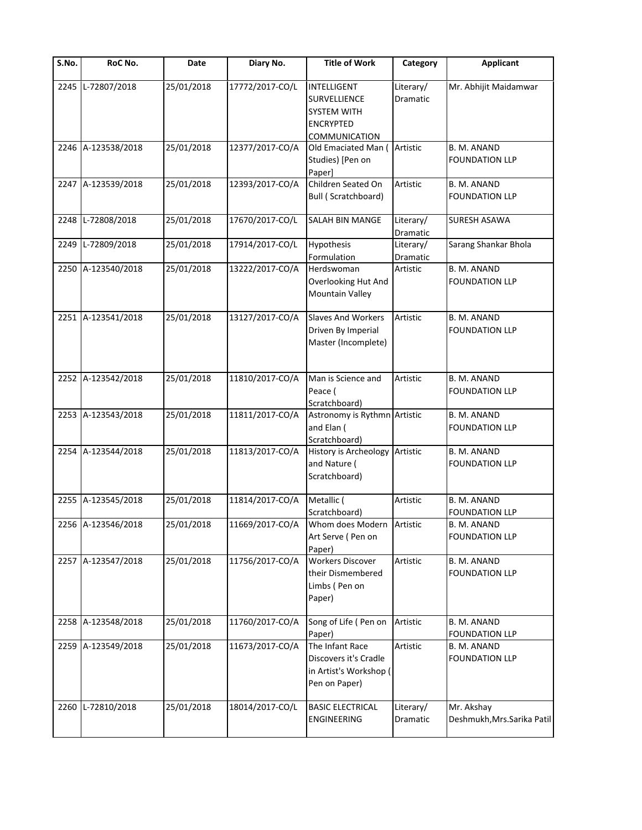| $\overline{\mathsf{S}}$ . No. | RoC No.            | Date       | Diary No.       | <b>Title of Work</b>                                                                          | Category              | <b>Applicant</b>                            |
|-------------------------------|--------------------|------------|-----------------|-----------------------------------------------------------------------------------------------|-----------------------|---------------------------------------------|
| 2245                          | L-72807/2018       | 25/01/2018 | 17772/2017-CO/L | <b>INTELLIGENT</b><br>SURVELLIENCE<br><b>SYSTEM WITH</b><br><b>ENCRYPTED</b><br>COMMUNICATION | Literary/<br>Dramatic | Mr. Abhijit Maidamwar                       |
| 2246                          | A-123538/2018      | 25/01/2018 | 12377/2017-CO/A | Old Emaciated Man (<br>Studies) [Pen on<br>Paper]                                             | Artistic              | B. M. ANAND<br><b>FOUNDATION LLP</b>        |
|                               | 2247 A-123539/2018 | 25/01/2018 | 12393/2017-CO/A | Children Seated On<br><b>Bull (Scratchboard)</b>                                              | Artistic              | B. M. ANAND<br><b>FOUNDATION LLP</b>        |
| 2248                          | L-72808/2018       | 25/01/2018 | 17670/2017-CO/L | SALAH BIN MANGE                                                                               | Literary/<br>Dramatic | SURESH ASAWA                                |
| 2249                          | L-72809/2018       | 25/01/2018 | 17914/2017-CO/L | <b>Hypothesis</b><br>Formulation                                                              | Literary/<br>Dramatic | Sarang Shankar Bhola                        |
| 2250                          | A-123540/2018      | 25/01/2018 | 13222/2017-CO/A | Herdswoman<br>Overlooking Hut And<br><b>Mountain Valley</b>                                   | Artistic              | B. M. ANAND<br><b>FOUNDATION LLP</b>        |
|                               | 2251 A-123541/2018 | 25/01/2018 | 13127/2017-CO/A | <b>Slaves And Workers</b><br>Driven By Imperial<br>Master (Incomplete)                        | Artistic              | B. M. ANAND<br><b>FOUNDATION LLP</b>        |
|                               | 2252 A-123542/2018 | 25/01/2018 | 11810/2017-CO/A | Man is Science and<br>Peace (<br>Scratchboard)                                                | Artistic              | B. M. ANAND<br><b>FOUNDATION LLP</b>        |
|                               | 2253 A-123543/2018 | 25/01/2018 | 11811/2017-CO/A | Astronomy is Rythmn Artistic<br>and Elan (<br>Scratchboard)                                   |                       | B. M. ANAND<br><b>FOUNDATION LLP</b>        |
|                               | 2254 A-123544/2018 | 25/01/2018 | 11813/2017-CO/A | <b>History is Archeology</b><br>and Nature (<br>Scratchboard)                                 | Artistic              | B. M. ANAND<br><b>FOUNDATION LLP</b>        |
|                               | 2255 A-123545/2018 | 25/01/2018 | 11814/2017-CO/A | Metallic (<br>Scratchboard)                                                                   | Artistic              | B. M. ANAND<br><b>FOUNDATION LLP</b>        |
|                               | 2256 A-123546/2018 | 25/01/2018 | 11669/2017-CO/A | Whom does Modern Artistic<br>Art Serve (Pen on<br>Paper)                                      |                       | <b>B. M. ANAND</b><br><b>FOUNDATION LLP</b> |
|                               | 2257 A-123547/2018 | 25/01/2018 | 11756/2017-CO/A | <b>Workers Discover</b><br>their Dismembered<br>Limbs (Pen on<br>Paper)                       | Artistic              | B. M. ANAND<br><b>FOUNDATION LLP</b>        |
| 2258                          | A-123548/2018      | 25/01/2018 | 11760/2017-CO/A | Song of Life (Pen on<br>Paper)                                                                | Artistic              | B. M. ANAND<br><b>FOUNDATION LLP</b>        |
|                               | 2259 A-123549/2018 | 25/01/2018 | 11673/2017-CO/A | The Infant Race<br>Discovers it's Cradle<br>in Artist's Workshop (<br>Pen on Paper)           | Artistic              | B. M. ANAND<br><b>FOUNDATION LLP</b>        |
| 2260                          | L-72810/2018       | 25/01/2018 | 18014/2017-CO/L | <b>BASIC ELECTRICAL</b><br><b>ENGINEERING</b>                                                 | Literary/<br>Dramatic | Mr. Akshay<br>Deshmukh, Mrs. Sarika Patil   |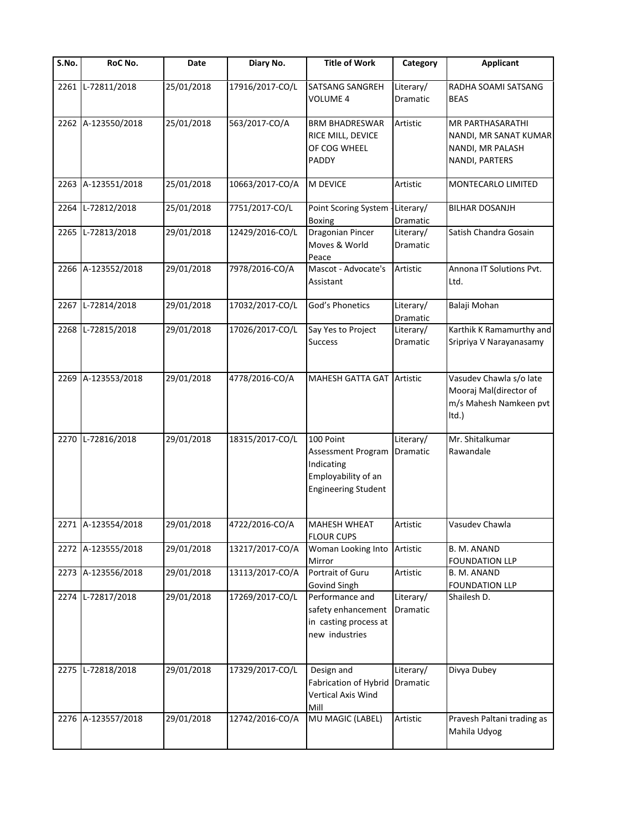| $\overline{\mathsf{S}}$ . No. | RoC No.            | Date       | Diary No.       | <b>Title of Work</b>                                                                               | Category              | <b>Applicant</b>                                                                       |
|-------------------------------|--------------------|------------|-----------------|----------------------------------------------------------------------------------------------------|-----------------------|----------------------------------------------------------------------------------------|
| 2261                          | L-72811/2018       | 25/01/2018 | 17916/2017-CO/L | <b>SATSANG SANGREH</b><br>VOLUME 4                                                                 | Literary/<br>Dramatic | RADHA SOAMI SATSANG<br><b>BEAS</b>                                                     |
|                               | 2262 A-123550/2018 | 25/01/2018 | 563/2017-CO/A   | <b>BRM BHADRESWAR</b><br>RICE MILL, DEVICE<br>OF COG WHEEL<br>PADDY                                | Artistic              | <b>MR PARTHASARATHI</b><br>NANDI, MR SANAT KUMAR<br>NANDI, MR PALASH<br>NANDI, PARTERS |
| 2263                          | A-123551/2018      | 25/01/2018 | 10663/2017-CO/A | M DEVICE                                                                                           | Artistic              | MONTECARLO LIMITED                                                                     |
| 2264                          | L-72812/2018       | 25/01/2018 | 7751/2017-CO/L  | Point Scoring System<br><b>Boxing</b>                                                              | Literary/<br>Dramatic | <b>BILHAR DOSANJH</b>                                                                  |
|                               | 2265 L-72813/2018  | 29/01/2018 | 12429/2016-CO/L | Dragonian Pincer<br>Moves & World<br>Peace                                                         | Literary/<br>Dramatic | Satish Chandra Gosain                                                                  |
|                               | 2266 A-123552/2018 | 29/01/2018 | 7978/2016-CO/A  | Mascot - Advocate's<br>Assistant                                                                   | Artistic              | Annona IT Solutions Pvt.<br>Ltd.                                                       |
|                               | 2267 L-72814/2018  | 29/01/2018 | 17032/2017-CO/L | God's Phonetics                                                                                    | Literary/<br>Dramatic | Balaji Mohan                                                                           |
| 2268                          | L-72815/2018       | 29/01/2018 | 17026/2017-CO/L | Say Yes to Project<br><b>Success</b>                                                               | Literary/<br>Dramatic | Karthik K Ramamurthy and<br>Sripriya V Narayanasamy                                    |
|                               | 2269 A-123553/2018 | 29/01/2018 | 4778/2016-CO/A  | MAHESH GATTA GAT                                                                                   | Artistic              | Vasudev Chawla s/o late<br>Mooraj Mal(director of<br>m/s Mahesh Namkeen pvt<br>Itd.)   |
| 2270                          | L-72816/2018       | 29/01/2018 | 18315/2017-CO/L | 100 Point<br>Assessment Program<br>Indicating<br>Employability of an<br><b>Engineering Student</b> | Literary/<br>Dramatic | Mr. Shitalkumar<br>Rawandale                                                           |
|                               | 2271 A-123554/2018 | 29/01/2018 | 4722/2016-CO/A  | MAHESH WHEAT<br><b>FLOUR CUPS</b>                                                                  | Artistic              | Vasudev Chawla                                                                         |
|                               | 2272 A-123555/2018 | 29/01/2018 | 13217/2017-CO/A | Woman Looking Into<br>Mirror                                                                       | Artistic              | B. M. ANAND<br><b>FOUNDATION LLP</b>                                                   |
|                               | 2273 A-123556/2018 | 29/01/2018 | 13113/2017-CO/A | Portrait of Guru<br>Govind Singh                                                                   | Artistic              | B. M. ANAND<br><b>FOUNDATION LLP</b>                                                   |
| 2274                          | L-72817/2018       | 29/01/2018 | 17269/2017-CO/L | Performance and<br>safety enhancement<br>in casting process at<br>new industries                   | Literary/<br>Dramatic | Shailesh D.                                                                            |
|                               | 2275 L-72818/2018  | 29/01/2018 | 17329/2017-CO/L | Design and<br>Fabrication of Hybrid<br>Vertical Axis Wind<br>Mill                                  | Literary/<br>Dramatic | Divya Dubey                                                                            |
|                               | 2276 A-123557/2018 | 29/01/2018 | 12742/2016-CO/A | MU MAGIC (LABEL)                                                                                   | Artistic              | Pravesh Paltani trading as<br>Mahila Udyog                                             |
|                               |                    |            |                 |                                                                                                    |                       |                                                                                        |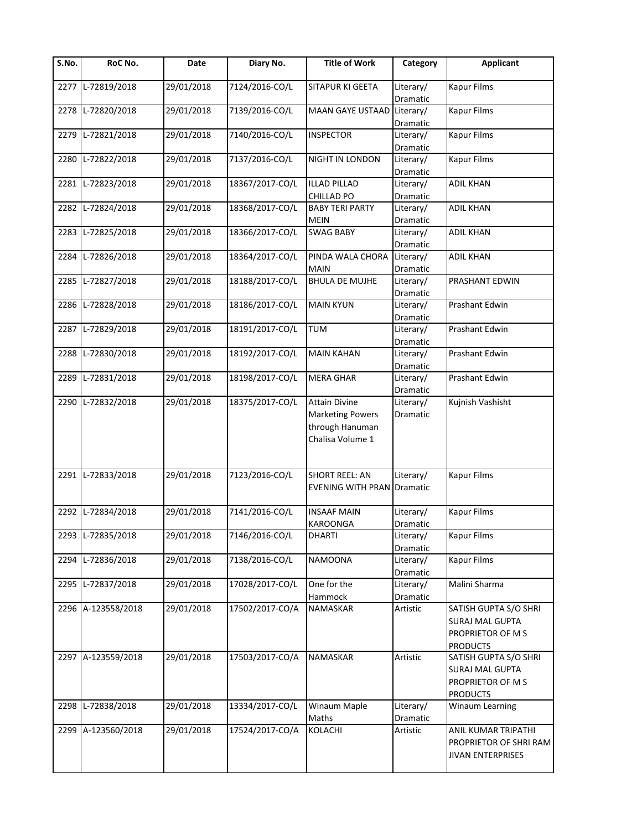| S.No. | RoC No.            | Date       | Diary No.       | <b>Title of Work</b>              | Category              | <b>Applicant</b>         |
|-------|--------------------|------------|-----------------|-----------------------------------|-----------------------|--------------------------|
| 2277  | L-72819/2018       | 29/01/2018 | 7124/2016-CO/L  | SITAPUR KI GEETA                  | Literary/             | <b>Kapur Films</b>       |
|       |                    |            |                 |                                   | Dramatic              |                          |
| 2278  | L-72820/2018       | 29/01/2018 | 7139/2016-CO/L  | <b>MAAN GAYE USTAAD</b>           | Literary/<br>Dramatic | <b>Kapur Films</b>       |
| 2279  | L-72821/2018       | 29/01/2018 | 7140/2016-CO/L  | <b>INSPECTOR</b>                  | Literary/             | <b>Kapur Films</b>       |
|       |                    |            |                 |                                   | Dramatic              |                          |
| 2280  | L-72822/2018       | 29/01/2018 | 7137/2016-CO/L  | NIGHT IN LONDON                   | Literary/             | <b>Kapur Films</b>       |
|       |                    |            |                 |                                   | Dramatic              |                          |
| 2281  | L-72823/2018       | 29/01/2018 | 18367/2017-CO/L | <b>ILLAD PILLAD</b>               | Literary/             | <b>ADIL KHAN</b>         |
|       |                    |            |                 | CHILLAD PO                        | Dramatic              |                          |
| 2282  | L-72824/2018       | 29/01/2018 | 18368/2017-CO/L | <b>BABY TERI PARTY</b>            | Literary/             | <b>ADIL KHAN</b>         |
|       |                    |            |                 | <b>MEIN</b>                       | Dramatic              |                          |
| 2283  | L-72825/2018       | 29/01/2018 | 18366/2017-CO/L | <b>SWAG BABY</b>                  | Literary/             | <b>ADIL KHAN</b>         |
|       |                    |            |                 |                                   | Dramatic              |                          |
| 2284  | L-72826/2018       | 29/01/2018 | 18364/2017-CO/L | PINDA WALA CHORA                  | Literary/             | <b>ADIL KHAN</b>         |
|       |                    |            |                 | <b>MAIN</b>                       | Dramatic              |                          |
| 2285  | L-72827/2018       | 29/01/2018 | 18188/2017-CO/L | <b>BHULA DE MUJHE</b>             | Literary/             | PRASHANT EDWIN           |
|       |                    |            |                 |                                   | Dramatic              |                          |
| 2286  | L-72828/2018       | 29/01/2018 | 18186/2017-CO/L | <b>MAIN KYUN</b>                  | Literary/             | Prashant Edwin           |
|       |                    |            |                 |                                   | Dramatic              |                          |
| 2287  | L-72829/2018       | 29/01/2018 | 18191/2017-CO/L | <b>TUM</b>                        | Literary/             | Prashant Edwin           |
|       |                    |            |                 |                                   | Dramatic              |                          |
| 2288  | L-72830/2018       | 29/01/2018 | 18192/2017-CO/L | <b>MAIN KAHAN</b>                 | Literary/             | Prashant Edwin           |
|       |                    |            |                 |                                   | Dramatic              |                          |
| 2289  | L-72831/2018       | 29/01/2018 | 18198/2017-CO/L | <b>MERA GHAR</b>                  | Literary/             | Prashant Edwin           |
|       |                    |            |                 |                                   | Dramatic              |                          |
| 2290  | L-72832/2018       | 29/01/2018 | 18375/2017-CO/L | <b>Attain Divine</b>              | Literary/             | Kujnish Vashisht         |
|       |                    |            |                 | <b>Marketing Powers</b>           | Dramatic              |                          |
|       |                    |            |                 | through Hanuman                   |                       |                          |
|       |                    |            |                 | Chalisa Volume 1                  |                       |                          |
|       |                    |            |                 |                                   |                       |                          |
|       |                    |            |                 |                                   |                       |                          |
| 2291  | L-72833/2018       | 29/01/2018 | 7123/2016-CO/L  | <b>SHORT REEL: AN</b>             | Literary/             | <b>Kapur Films</b>       |
|       |                    |            |                 | <b>EVENING WITH PRAN Dramatic</b> |                       |                          |
|       |                    |            |                 |                                   |                       |                          |
| 2292  | L-72834/2018       | 29/01/2018 | 7141/2016-CO/L  | <b>INSAAF MAIN</b>                | Literary/             | <b>Kapur Films</b>       |
|       |                    |            |                 | KAROONGA                          | Dramatic              |                          |
| 2293  | L-72835/2018       | 29/01/2018 | 7146/2016-CO/L  | <b>DHARTI</b>                     | Literary/             | <b>Kapur Films</b>       |
|       |                    |            |                 |                                   | Dramatic              |                          |
| 2294  | L-72836/2018       | 29/01/2018 | 7138/2016-CO/L  | NAMOONA                           | Literary/             | Kapur Films              |
| 2295  | L-72837/2018       | 29/01/2018 | 17028/2017-CO/L | One for the                       | Dramatic              | Malini Sharma            |
|       |                    |            |                 | Hammock                           | Literary/<br>Dramatic |                          |
|       | 2296 A-123558/2018 | 29/01/2018 | 17502/2017-CO/A | NAMASKAR                          | Artistic              | SATISH GUPTA S/O SHRI    |
|       |                    |            |                 |                                   |                       | <b>SURAJ MAL GUPTA</b>   |
|       |                    |            |                 |                                   |                       | PROPRIETOR OF M S        |
|       |                    |            |                 |                                   |                       | <b>PRODUCTS</b>          |
|       | 2297 A-123559/2018 | 29/01/2018 | 17503/2017-CO/A | NAMASKAR                          | Artistic              | SATISH GUPTA S/O SHRI    |
|       |                    |            |                 |                                   |                       | <b>SURAJ MAL GUPTA</b>   |
|       |                    |            |                 |                                   |                       | PROPRIETOR OF M S        |
|       |                    |            |                 |                                   |                       | <b>PRODUCTS</b>          |
| 2298  | L-72838/2018       | 29/01/2018 | 13334/2017-CO/L | Winaum Maple                      | Literary/             | Winaum Learning          |
|       |                    |            |                 | Maths                             | Dramatic              |                          |
| 2299  | A-123560/2018      | 29/01/2018 | 17524/2017-CO/A | KOLACHI                           | Artistic              | ANIL KUMAR TRIPATHI      |
|       |                    |            |                 |                                   |                       | PROPRIETOR OF SHRI RAM   |
|       |                    |            |                 |                                   |                       | <b>JIVAN ENTERPRISES</b> |
|       |                    |            |                 |                                   |                       |                          |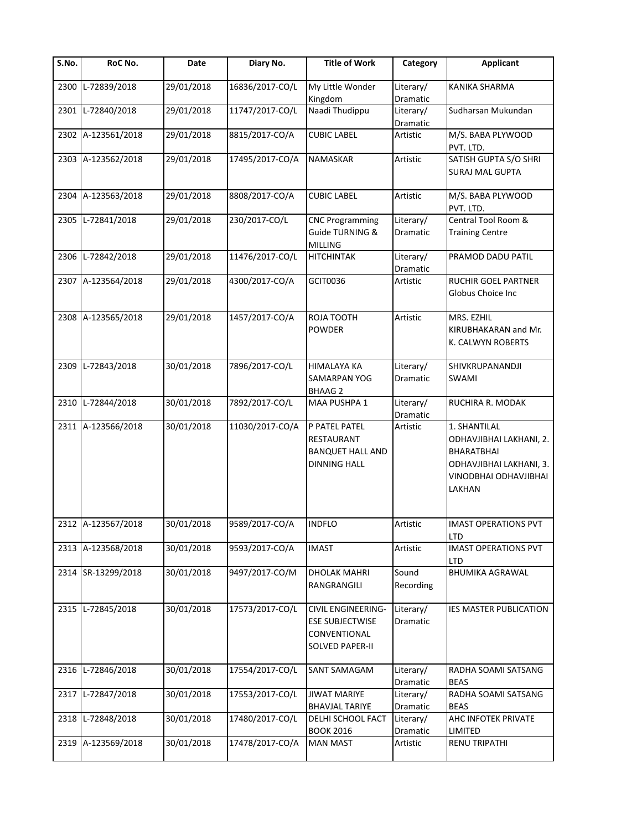| $\overline{\mathsf{S}}$ . No. | RoC No.            | Date       | Diary No.       | <b>Title of Work</b>                                                                          | Category              | <b>Applicant</b>                                                                                                    |
|-------------------------------|--------------------|------------|-----------------|-----------------------------------------------------------------------------------------------|-----------------------|---------------------------------------------------------------------------------------------------------------------|
| 2300                          | L-72839/2018       | 29/01/2018 | 16836/2017-CO/L | My Little Wonder<br>Kingdom                                                                   | Literary/<br>Dramatic | KANIKA SHARMA                                                                                                       |
| 2301                          | L-72840/2018       | 29/01/2018 | 11747/2017-CO/L | Naadi Thudippu                                                                                | Literary/<br>Dramatic | Sudharsan Mukundan                                                                                                  |
|                               | 2302 A-123561/2018 | 29/01/2018 | 8815/2017-CO/A  | <b>CUBIC LABEL</b>                                                                            | Artistic              | M/S. BABA PLYWOOD<br>PVT. LTD.                                                                                      |
|                               | 2303 A-123562/2018 | 29/01/2018 | 17495/2017-CO/A | NAMASKAR                                                                                      | Artistic              | SATISH GUPTA S/O SHRI<br><b>SURAJ MAL GUPTA</b>                                                                     |
| 2304                          | A-123563/2018      | 29/01/2018 | 8808/2017-CO/A  | <b>CUBIC LABEL</b>                                                                            | Artistic              | M/S. BABA PLYWOOD<br>PVT. LTD.                                                                                      |
| 2305                          | L-72841/2018       | 29/01/2018 | 230/2017-CO/L   | <b>CNC Programming</b><br>Guide TURNING &<br><b>MILLING</b>                                   | Literary/<br>Dramatic | Central Tool Room &<br><b>Training Centre</b>                                                                       |
| 2306                          | L-72842/2018       | 29/01/2018 | 11476/2017-CO/L | <b>HITCHINTAK</b>                                                                             | Literary/<br>Dramatic | PRAMOD DADU PATIL                                                                                                   |
|                               | 2307 A-123564/2018 | 29/01/2018 | 4300/2017-CO/A  | <b>GCIT0036</b>                                                                               | Artistic              | RUCHIR GOEL PARTNER<br>Globus Choice Inc                                                                            |
|                               | 2308 A-123565/2018 | 29/01/2018 | 1457/2017-CO/A  | ROJA TOOTH<br><b>POWDER</b>                                                                   | Artistic              | MRS. EZHIL<br>KIRUBHAKARAN and Mr.<br>K. CALWYN ROBERTS                                                             |
| 2309                          | L-72843/2018       | 30/01/2018 | 7896/2017-CO/L  | HIMALAYA KA<br><b>SAMARPAN YOG</b><br><b>BHAAG 2</b>                                          | Literary/<br>Dramatic | SHIVKRUPANANDJI<br>SWAMI                                                                                            |
| 2310                          | L-72844/2018       | 30/01/2018 | 7892/2017-CO/L  | MAA PUSHPA 1                                                                                  | Literary/<br>Dramatic | RUCHIRA R. MODAK                                                                                                    |
|                               | 2311 A-123566/2018 | 30/01/2018 | 11030/2017-CO/A | P PATEL PATEL<br>RESTAURANT<br><b>BANQUET HALL AND</b><br><b>DINNING HALL</b>                 | Artistic              | 1. SHANTILAL<br>ODHAVJIBHAI LAKHANI, 2.<br>BHARATBHAI<br>ODHAVJIBHAI LAKHANI, 3.<br>VINODBHAI ODHAVJIBHAI<br>LAKHAN |
|                               | 2312 A-123567/2018 | 30/01/2018 | 9589/2017-CO/A  | <b>INDFLO</b>                                                                                 | Artistic              | <b>IMAST OPERATIONS PVT</b><br>LTD                                                                                  |
|                               | 2313 A-123568/2018 | 30/01/2018 | 9593/2017-CO/A  | <b>IMAST</b>                                                                                  | Artistic              | <b>IMAST OPERATIONS PVT</b><br>LTD                                                                                  |
| 2314                          | SR-13299/2018      | 30/01/2018 | 9497/2017-CO/M  | <b>DHOLAK MAHRI</b><br>RANGRANGILI                                                            | Sound<br>Recording    | <b>BHUMIKA AGRAWAL</b>                                                                                              |
|                               | 2315 L-72845/2018  | 30/01/2018 | 17573/2017-CO/L | <b>CIVIL ENGINEERING-</b><br><b>ESE SUBJECTWISE</b><br>CONVENTIONAL<br><b>SOLVED PAPER-II</b> | Literary/<br>Dramatic | IES MASTER PUBLICATION                                                                                              |
| 2316                          | L-72846/2018       | 30/01/2018 | 17554/2017-CO/L | SANT SAMAGAM                                                                                  | Literary/<br>Dramatic | RADHA SOAMI SATSANG<br><b>BEAS</b>                                                                                  |
|                               | 2317 L-72847/2018  | 30/01/2018 | 17553/2017-CO/L | <b>JIWAT MARIYE</b><br><b>BHAVJAL TARIYE</b>                                                  | Literary/<br>Dramatic | RADHA SOAMI SATSANG<br><b>BEAS</b>                                                                                  |
| 2318                          | L-72848/2018       | 30/01/2018 | 17480/2017-CO/L | DELHI SCHOOL FACT<br><b>BOOK 2016</b>                                                         | Literary/<br>Dramatic | AHC INFOTEK PRIVATE<br>LIMITED                                                                                      |
|                               | 2319 A-123569/2018 | 30/01/2018 | 17478/2017-CO/A | <b>MAN MAST</b>                                                                               | Artistic              | <b>RENU TRIPATHI</b>                                                                                                |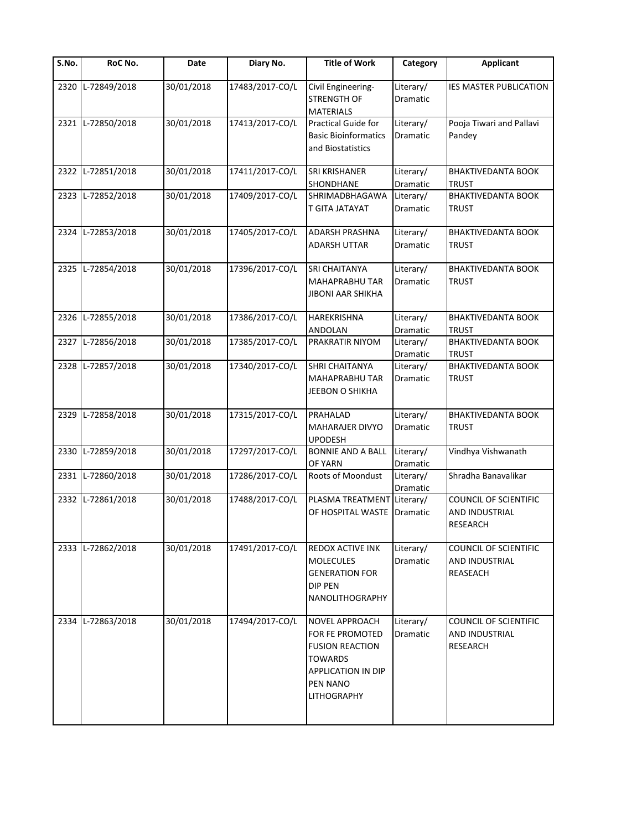| S.No. | RoC No.           | Date       | Diary No.       | <b>Title of Work</b>                     | Category              | <b>Applicant</b>          |
|-------|-------------------|------------|-----------------|------------------------------------------|-----------------------|---------------------------|
| 2320  | L-72849/2018      | 30/01/2018 | 17483/2017-CO/L | Civil Engineering-<br><b>STRENGTH OF</b> | Literary/<br>Dramatic | IES MASTER PUBLICATION    |
|       |                   |            |                 | <b>MATERIALS</b>                         |                       |                           |
|       | 2321 L-72850/2018 | 30/01/2018 | 17413/2017-CO/L | <b>Practical Guide for</b>               | Literary/             | Pooja Tiwari and Pallavi  |
|       |                   |            |                 | <b>Basic Bioinformatics</b>              | Dramatic              | Pandey                    |
|       |                   |            |                 | and Biostatistics                        |                       |                           |
| 2322  | L-72851/2018      | 30/01/2018 | 17411/2017-CO/L | SRI KRISHANER                            | Literary/             | <b>BHAKTIVEDANTA BOOK</b> |
|       |                   |            |                 | SHONDHANE                                | Dramatic              | <b>TRUST</b>              |
| 2323  | L-72852/2018      | 30/01/2018 | 17409/2017-CO/L | SHRIMADBHAGAWA                           | Literary/             | <b>BHAKTIVEDANTA BOOK</b> |
|       |                   |            |                 | T GITA JATAYAT                           | Dramatic              | <b>TRUST</b>              |
|       | 2324 L-72853/2018 | 30/01/2018 | 17405/2017-CO/L | ADARSH PRASHNA                           | Literary/             | <b>BHAKTIVEDANTA BOOK</b> |
|       |                   |            |                 | <b>ADARSH UTTAR</b>                      | Dramatic              | <b>TRUST</b>              |
|       |                   |            |                 |                                          |                       |                           |
|       | 2325 L-72854/2018 | 30/01/2018 | 17396/2017-CO/L | <b>SRI CHAITANYA</b>                     | Literary/             | <b>BHAKTIVEDANTA BOOK</b> |
|       |                   |            |                 | <b>MAHAPRABHU TAR</b>                    | Dramatic              | <b>TRUST</b>              |
|       |                   |            |                 | <b>JIBONI AAR SHIKHA</b>                 |                       |                           |
| 2326  | L-72855/2018      | 30/01/2018 | 17386/2017-CO/L | <b>HAREKRISHNA</b>                       | Literary/             | <b>BHAKTIVEDANTA BOOK</b> |
|       |                   |            |                 | ANDOLAN                                  | Dramatic              | <b>TRUST</b>              |
| 2327  | L-72856/2018      | 30/01/2018 | 17385/2017-CO/L | PRAKRATIR NIYOM                          | Literary/             | <b>BHAKTIVEDANTA BOOK</b> |
|       |                   |            |                 |                                          | Dramatic              | <b>TRUST</b>              |
| 2328  | L-72857/2018      | 30/01/2018 | 17340/2017-CO/L | SHRI CHAITANYA                           | Literary/             | <b>BHAKTIVEDANTA BOOK</b> |
|       |                   |            |                 | MAHAPRABHU TAR                           | Dramatic              | <b>TRUST</b>              |
|       |                   |            |                 | JEEBON O SHIKHA                          |                       |                           |
|       |                   |            |                 |                                          |                       |                           |
|       | 2329 L-72858/2018 | 30/01/2018 | 17315/2017-CO/L | PRAHALAD                                 | Literary/             | <b>BHAKTIVEDANTA BOOK</b> |
|       |                   |            |                 | <b>MAHARAJER DIVYO</b>                   | Dramatic              | <b>TRUST</b>              |
|       |                   |            |                 | <b>UPODESH</b>                           |                       |                           |
| 2330  | L-72859/2018      | 30/01/2018 | 17297/2017-CO/L | <b>BONNIE AND A BALL</b>                 | Literary/             | Vindhya Vishwanath        |
|       |                   |            |                 | OF YARN                                  | Dramatic              |                           |
|       | 2331 L-72860/2018 | 30/01/2018 | 17286/2017-CO/L | Roots of Moondust                        | Literary/             | Shradha Banavalikar       |
|       |                   |            |                 |                                          | Dramatic              |                           |
| 2332  | L-72861/2018      | 30/01/2018 | 17488/2017-CO/L | PLASMA TREATMENT Literary/               |                       | COUNCIL OF SCIENTIFIC     |
|       |                   |            |                 | OF HOSPITAL WASTE Dramatic               |                       | AND INDUSTRIAL            |
|       |                   |            |                 |                                          |                       | <b>RESEARCH</b>           |
|       | 2333 L-72862/2018 | 30/01/2018 | 17491/2017-CO/L | REDOX ACTIVE INK                         | Literary/             | COUNCIL OF SCIENTIFIC     |
|       |                   |            |                 | <b>MOLECULES</b>                         | Dramatic              | AND INDUSTRIAL            |
|       |                   |            |                 | <b>GENERATION FOR</b>                    |                       | REASEACH                  |
|       |                   |            |                 | <b>DIP PEN</b>                           |                       |                           |
|       |                   |            |                 | <b>NANOLITHOGRAPHY</b>                   |                       |                           |
|       |                   |            |                 |                                          |                       |                           |
| 2334  | L-72863/2018      | 30/01/2018 | 17494/2017-CO/L | NOVEL APPROACH                           | Literary/             | COUNCIL OF SCIENTIFIC     |
|       |                   |            |                 | <b>FOR FE PROMOTED</b>                   | Dramatic              | AND INDUSTRIAL            |
|       |                   |            |                 | <b>FUSION REACTION</b>                   |                       | <b>RESEARCH</b>           |
|       |                   |            |                 | <b>TOWARDS</b>                           |                       |                           |
|       |                   |            |                 | <b>APPLICATION IN DIP</b>                |                       |                           |
|       |                   |            |                 | PEN NANO                                 |                       |                           |
|       |                   |            |                 | <b>LITHOGRAPHY</b>                       |                       |                           |
|       |                   |            |                 |                                          |                       |                           |
|       |                   |            |                 |                                          |                       |                           |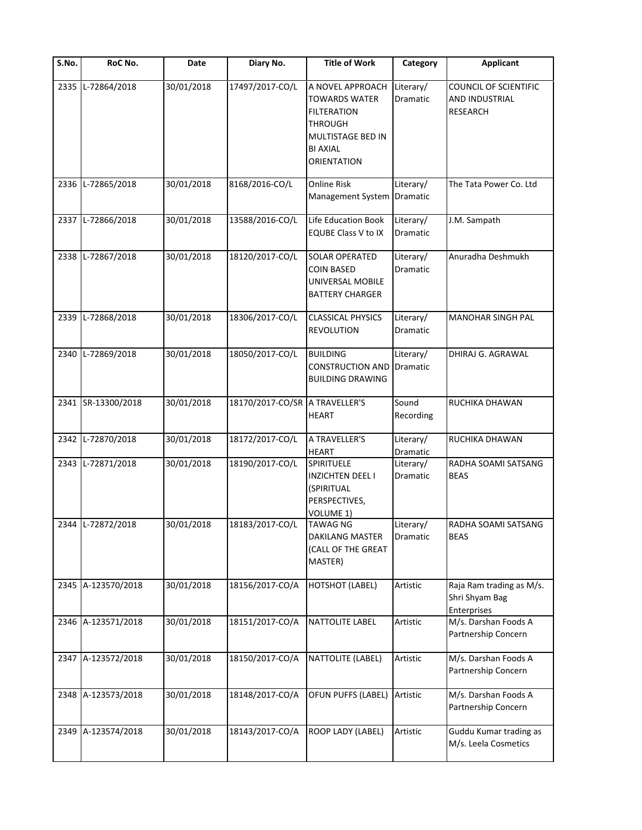| S.No. | RoC No.            | Date       | Diary No.                      | <b>Title of Work</b>                                                                                                                           | Category                     | <b>Applicant</b>                                                  |
|-------|--------------------|------------|--------------------------------|------------------------------------------------------------------------------------------------------------------------------------------------|------------------------------|-------------------------------------------------------------------|
| 2335  | L-72864/2018       | 30/01/2018 | 17497/2017-CO/L                | A NOVEL APPROACH<br><b>TOWARDS WATER</b><br><b>FILTERATION</b><br><b>THROUGH</b><br>MULTISTAGE BED IN<br><b>BI AXIAL</b><br><b>ORIENTATION</b> | Literary/<br>Dramatic        | <b>COUNCIL OF SCIENTIFIC</b><br>AND INDUSTRIAL<br><b>RESEARCH</b> |
| 2336  | L-72865/2018       | 30/01/2018 | 8168/2016-CO/L                 | <b>Online Risk</b><br>Management System                                                                                                        | Literary/<br>Dramatic        | The Tata Power Co. Ltd                                            |
|       | 2337 L-72866/2018  | 30/01/2018 | 13588/2016-CO/L                | Life Education Book<br><b>EQUBE Class V to IX</b>                                                                                              | Literary/<br>Dramatic        | J.M. Sampath                                                      |
| 2338  | L-72867/2018       | 30/01/2018 | 18120/2017-CO/L                | <b>SOLAR OPERATED</b><br><b>COIN BASED</b><br>UNIVERSAL MOBILE<br><b>BATTERY CHARGER</b>                                                       | Literary/<br>Dramatic        | Anuradha Deshmukh                                                 |
|       | 2339 L-72868/2018  | 30/01/2018 | 18306/2017-CO/L                | <b>CLASSICAL PHYSICS</b><br><b>REVOLUTION</b>                                                                                                  | Literary/<br>Dramatic        | <b>MANOHAR SINGH PAL</b>                                          |
| 2340  | L-72869/2018       | 30/01/2018 | 18050/2017-CO/L                | <b>BUILDING</b><br><b>CONSTRUCTION AND</b><br><b>BUILDING DRAWING</b>                                                                          | Literary/<br><b>Dramatic</b> | DHIRAJ G. AGRAWAL                                                 |
|       | 2341 SR-13300/2018 | 30/01/2018 | 18170/2017-CO/SR A TRAVELLER'S | <b>HEART</b>                                                                                                                                   | Sound<br>Recording           | RUCHIKA DHAWAN                                                    |
| 2342  | L-72870/2018       | 30/01/2018 | 18172/2017-CO/L                | A TRAVELLER'S<br><b>HEART</b>                                                                                                                  | Literary/<br>Dramatic        | RUCHIKA DHAWAN                                                    |
| 2343  | L-72871/2018       | 30/01/2018 | 18190/2017-CO/L                | SPIRITUELE<br><b>INZICHTEN DEEL I</b><br>(SPIRITUAL<br>PERSPECTIVES,<br>VOLUME 1)                                                              | Literary/<br>Dramatic        | RADHA SOAMI SATSANG<br><b>BEAS</b>                                |
|       | 2344 L-72872/2018  | 30/01/2018 | 18183/2017-CO/L                | <b>TAWAG NG</b><br>DAKILANG MASTER<br>(CALL OF THE GREAT<br>MASTER)                                                                            | Literary/<br>Dramatic        | RADHA SOAMI SATSANG<br><b>BEAS</b>                                |
|       | 2345 A-123570/2018 | 30/01/2018 | 18156/2017-CO/A                | <b>HOTSHOT (LABEL)</b>                                                                                                                         | Artistic                     | Raja Ram trading as M/s.<br>Shri Shyam Bag<br>Enterprises         |
|       | 2346 A-123571/2018 | 30/01/2018 | 18151/2017-CO/A                | <b>NATTOLITE LABEL</b>                                                                                                                         | Artistic                     | M/s. Darshan Foods A<br>Partnership Concern                       |
|       | 2347 A-123572/2018 | 30/01/2018 | 18150/2017-CO/A                | NATTOLITE (LABEL)                                                                                                                              | Artistic                     | M/s. Darshan Foods A<br>Partnership Concern                       |
|       | 2348 A-123573/2018 | 30/01/2018 | 18148/2017-CO/A                | OFUN PUFFS (LABEL)                                                                                                                             | Artistic                     | M/s. Darshan Foods A<br>Partnership Concern                       |
|       | 2349 A-123574/2018 | 30/01/2018 | 18143/2017-CO/A                | ROOP LADY (LABEL)                                                                                                                              | Artistic                     | Guddu Kumar trading as<br>M/s. Leela Cosmetics                    |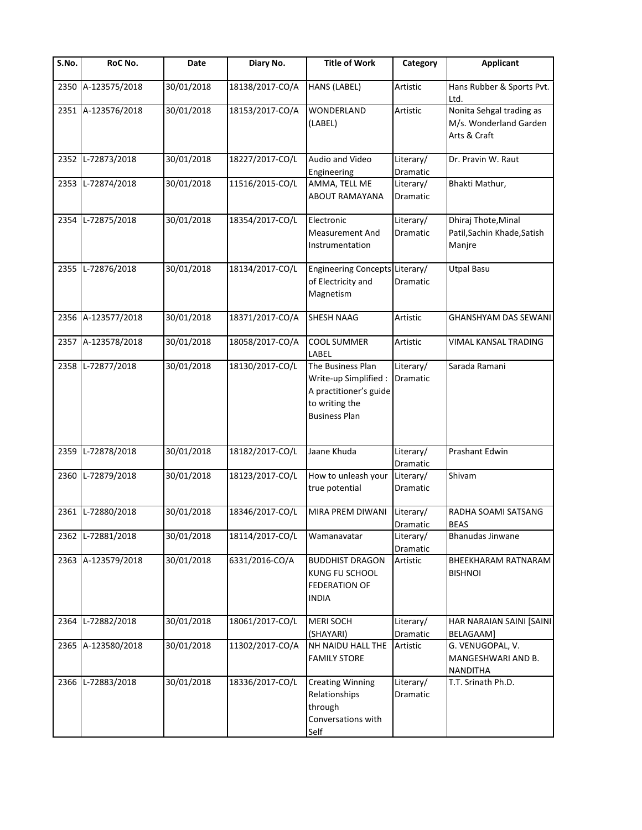| S.No. | RoC No.            | Date       | Diary No.       | <b>Title of Work</b>                                                                                           | Category                     | <b>Applicant</b>                                                   |
|-------|--------------------|------------|-----------------|----------------------------------------------------------------------------------------------------------------|------------------------------|--------------------------------------------------------------------|
| 2350  | A-123575/2018      | 30/01/2018 | 18138/2017-CO/A | HANS (LABEL)                                                                                                   | Artistic                     | Hans Rubber & Sports Pvt.<br>Ltd.                                  |
|       | 2351 A-123576/2018 | 30/01/2018 | 18153/2017-CO/A | <b>WONDERLAND</b><br>(LABEL)                                                                                   | Artistic                     | Nonita Sehgal trading as<br>M/s. Wonderland Garden<br>Arts & Craft |
| 2352  | L-72873/2018       | 30/01/2018 | 18227/2017-CO/L | Audio and Video<br>Engineering                                                                                 | Literary/<br>Dramatic        | Dr. Pravin W. Raut                                                 |
|       | 2353 L-72874/2018  | 30/01/2018 | 11516/2015-CO/L | AMMA, TELL ME<br>ABOUT RAMAYANA                                                                                | Literary/<br><b>Dramatic</b> | Bhakti Mathur,                                                     |
|       | 2354 L-72875/2018  | 30/01/2018 | 18354/2017-CO/L | Electronic<br><b>Measurement And</b><br>Instrumentation                                                        | Literary/<br>Dramatic        | Dhiraj Thote, Minal<br>Patil, Sachin Khade, Satish<br>Manjre       |
|       | 2355 L-72876/2018  | 30/01/2018 | 18134/2017-CO/L | Engineering Concepts Literary/<br>of Electricity and<br>Magnetism                                              | Dramatic                     | <b>Utpal Basu</b>                                                  |
|       | 2356 A-123577/2018 | 30/01/2018 | 18371/2017-CO/A | <b>SHESH NAAG</b>                                                                                              | Artistic                     | <b>GHANSHYAM DAS SEWANI</b>                                        |
|       | 2357 A-123578/2018 | 30/01/2018 | 18058/2017-CO/A | COOL SUMMER<br>LABEL                                                                                           | Artistic                     | VIMAL KANSAL TRADING                                               |
|       | 2358 L-72877/2018  | 30/01/2018 | 18130/2017-CO/L | The Business Plan<br>Write-up Simplified :<br>A practitioner's guide<br>to writing the<br><b>Business Plan</b> | Literary/<br><b>Dramatic</b> | Sarada Ramani                                                      |
| 2359  | L-72878/2018       | 30/01/2018 | 18182/2017-CO/L | Jaane Khuda                                                                                                    | Literary/<br>Dramatic        | Prashant Edwin                                                     |
| 2360  | L-72879/2018       | 30/01/2018 | 18123/2017-CO/L | How to unleash your<br>true potential                                                                          | Literary/<br>Dramatic        | Shivam                                                             |
|       | 2361 L-72880/2018  | 30/01/2018 | 18346/2017-CO/L | MIRA PREM DIWANI                                                                                               | Literary/<br>Dramatic        | RADHA SOAMI SATSANG<br><b>BEAS</b>                                 |
|       | 2362 L-72881/2018  | 30/01/2018 | 18114/2017-CO/L | Wamanavatar                                                                                                    | Literary/<br>Dramatic        | <b>Bhanudas Jinwane</b>                                            |
|       | 2363 A-123579/2018 | 30/01/2018 | 6331/2016-CO/A  | <b>BUDDHIST DRAGON</b><br>KUNG FU SCHOOL<br><b>FEDERATION OF</b><br><b>INDIA</b>                               | Artistic                     | <b>BHEEKHARAM RATNARAM</b><br><b>BISHNOI</b>                       |
|       | 2364 L-72882/2018  | 30/01/2018 | 18061/2017-CO/L | <b>MERI SOCH</b><br>(SHAYARI)                                                                                  | Literary/<br>Dramatic        | HAR NARAIAN SAINI [SAINI<br>BELAGAAM]                              |
|       | 2365 A-123580/2018 | 30/01/2018 | 11302/2017-CO/A | NH NAIDU HALL THE<br><b>FAMILY STORE</b>                                                                       | Artistic                     | G. VENUGOPAL, V.<br>MANGESHWARI AND B.<br><b>NANDITHA</b>          |
| 2366  | L-72883/2018       | 30/01/2018 | 18336/2017-CO/L | <b>Creating Winning</b><br>Relationships<br>through<br>Conversations with<br>Self                              | Literary/<br>Dramatic        | T.T. Srinath Ph.D.                                                 |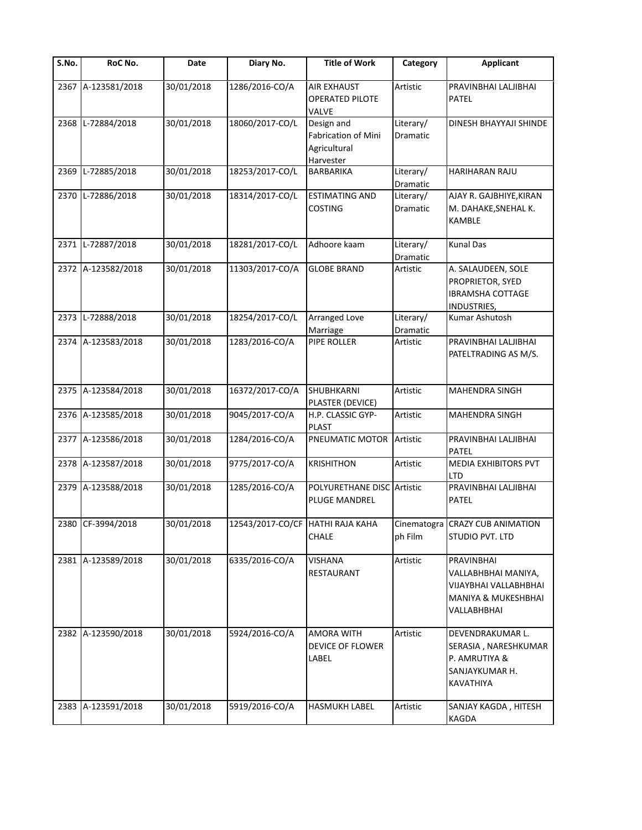| S.No. | RoC No.            | Date       | Diary No.                        | <b>Title of Work</b>                                           | Category              | <b>Applicant</b>                                                                                 |
|-------|--------------------|------------|----------------------------------|----------------------------------------------------------------|-----------------------|--------------------------------------------------------------------------------------------------|
|       | 2367 A-123581/2018 | 30/01/2018 | 1286/2016-CO/A                   | <b>AIR EXHAUST</b><br><b>OPERATED PILOTE</b><br>VALVE          | Artistic              | PRAVINBHAI LALJIBHAI<br><b>PATEL</b>                                                             |
|       | 2368 L-72884/2018  | 30/01/2018 | 18060/2017-CO/L                  | Design and<br>Fabrication of Mini<br>Agricultural<br>Harvester | Literary/<br>Dramatic | DINESH BHAYYAJI SHINDE                                                                           |
| 2369  | L-72885/2018       | 30/01/2018 | 18253/2017-CO/L                  | BARBARIKA                                                      | Literary/<br>Dramatic | HARIHARAN RAJU                                                                                   |
| 2370  | L-72886/2018       | 30/01/2018 | 18314/2017-CO/L                  | <b>ESTIMATING AND</b><br><b>COSTING</b>                        | Literary/<br>Dramatic | AJAY R. GAJBHIYE, KIRAN<br>M. DAHAKE, SNEHAL K.<br><b>KAMBLE</b>                                 |
|       | 2371 L-72887/2018  | 30/01/2018 | 18281/2017-CO/L                  | Adhoore kaam                                                   | Literary/<br>Dramatic | <b>Kunal Das</b>                                                                                 |
|       | 2372 A-123582/2018 | 30/01/2018 | 11303/2017-CO/A                  | <b>GLOBE BRAND</b>                                             | Artistic              | A. SALAUDEEN, SOLE<br>PROPRIETOR, SYED<br><b>IBRAMSHA COTTAGE</b><br>INDUSTRIES,                 |
|       | 2373 L-72888/2018  | 30/01/2018 | 18254/2017-CO/L                  | <b>Arranged Love</b><br>Marriage                               | Literary/<br>Dramatic | Kumar Ashutosh                                                                                   |
|       | 2374 A-123583/2018 | 30/01/2018 | 1283/2016-CO/A                   | PIPE ROLLER                                                    | Artistic              | PRAVINBHAI LALJIBHAI<br>PATELTRADING AS M/S.                                                     |
|       | 2375 A-123584/2018 | 30/01/2018 | 16372/2017-CO/A                  | SHUBHKARNI<br>PLASTER (DEVICE)                                 | Artistic              | MAHENDRA SINGH                                                                                   |
|       | 2376 A-123585/2018 | 30/01/2018 | 9045/2017-CO/A                   | H.P. CLASSIC GYP-<br><b>PLAST</b>                              | Artistic              | MAHENDRA SINGH                                                                                   |
|       | 2377 A-123586/2018 | 30/01/2018 | 1284/2016-CO/A                   | PNEUMATIC MOTOR                                                | Artistic              | PRAVINBHAI LALJIBHAI<br><b>PATEL</b>                                                             |
|       | 2378 A-123587/2018 | 30/01/2018 | 9775/2017-CO/A                   | <b>KRISHITHON</b>                                              | Artistic              | MEDIA EXHIBITORS PVT<br><b>LTD</b>                                                               |
|       | 2379 A-123588/2018 | 30/01/2018 | 1285/2016-CO/A                   | POLYURETHANE DISC Artistic<br>PLUGE MANDREL                    |                       | PRAVINBHAI LALJIBHAI<br>PATEL                                                                    |
|       | 2380 CF-3994/2018  | 30/01/2018 | 12543/2017-СО/СГ НАТНІ RAJA КАНА | CHALE                                                          | ph Film               | Cinematogra CRAZY CUB ANIMATION<br>STUDIO PVT. LTD                                               |
|       | 2381 A-123589/2018 | 30/01/2018 | 6335/2016-CO/A                   | <b>VISHANA</b><br>RESTAURANT                                   | Artistic              | PRAVINBHAI<br>VALLABHBHAI MANIYA,<br>VIJAYBHAI VALLABHBHAI<br>MANIYA & MUKESHBHAI<br>VALLABHBHAI |
|       | 2382 A-123590/2018 | 30/01/2018 | 5924/2016-CO/A                   | AMORA WITH<br>DEVICE OF FLOWER<br>LABEL                        | Artistic              | DEVENDRAKUMAR L.<br>SERASIA, NARESHKUMAR<br>P. AMRUTIYA &<br>SANJAYKUMAR H.<br>KAVATHIYA         |
|       | 2383 A-123591/2018 | 30/01/2018 | 5919/2016-CO/A                   | HASMUKH LABEL                                                  | Artistic              | SANJAY KAGDA, HITESH<br>KAGDA                                                                    |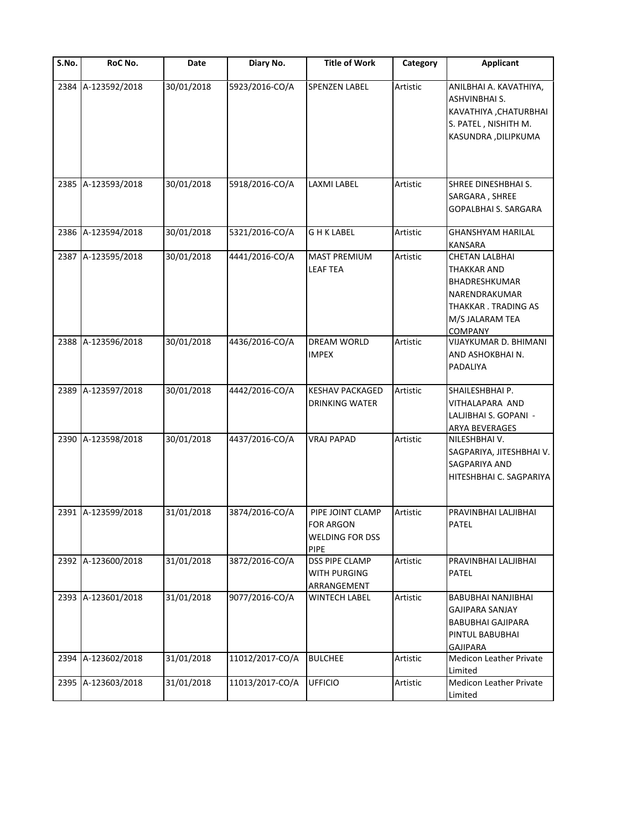| S.No. | RoC No.            | Date       | Diary No.       | <b>Title of Work</b>                                                   | Category | <b>Applicant</b>                                                                                                                          |
|-------|--------------------|------------|-----------------|------------------------------------------------------------------------|----------|-------------------------------------------------------------------------------------------------------------------------------------------|
| 2384  | A-123592/2018      | 30/01/2018 | 5923/2016-CO/A  | SPENZEN LABEL                                                          | Artistic | ANILBHAI A. KAVATHIYA,<br>ASHVINBHAI S.<br>KAVATHIYA, CHATURBHAI<br>S. PATEL, NISHITH M.<br>KASUNDRA , DILIPKUMA                          |
|       | 2385 A-123593/2018 | 30/01/2018 | 5918/2016-CO/A  | LAXMI LABEL                                                            | Artistic | SHREE DINESHBHAI S.<br>SARGARA, SHREE<br><b>GOPALBHAI S. SARGARA</b>                                                                      |
|       | 2386 A-123594/2018 | 30/01/2018 | 5321/2016-CO/A  | G H K LABEL                                                            | Artistic | <b>GHANSHYAM HARILAL</b><br><b>KANSARA</b>                                                                                                |
|       | 2387 A-123595/2018 | 30/01/2018 | 4441/2016-CO/A  | <b>MAST PREMIUM</b><br><b>LEAF TEA</b>                                 | Artistic | <b>CHETAN LALBHAI</b><br><b>THAKKAR AND</b><br>BHADRESHKUMAR<br>NARENDRAKUMAR<br>THAKKAR. TRADING AS<br>M/S JALARAM TEA<br><b>COMPANY</b> |
|       | 2388 A-123596/2018 | 30/01/2018 | 4436/2016-CO/A  | <b>DREAM WORLD</b><br><b>IMPEX</b>                                     | Artistic | VIJAYKUMAR D. BHIMANI<br>AND ASHOKBHAI N.<br>PADALIYA                                                                                     |
|       | 2389 A-123597/2018 | 30/01/2018 | 4442/2016-CO/A  | <b>KESHAV PACKAGED</b><br><b>DRINKING WATER</b>                        | Artistic | SHAILESHBHAI P.<br>VITHALAPARA AND<br>LALJIBHAI S. GOPANI -<br>ARYA BEVERAGES                                                             |
|       | 2390 A-123598/2018 | 30/01/2018 | 4437/2016-CO/A  | <b>VRAJ PAPAD</b>                                                      | Artistic | NILESHBHAI V.<br>SAGPARIYA, JITESHBHAI V.<br>SAGPARIYA AND<br>HITESHBHAI C. SAGPARIYA                                                     |
|       | 2391 A-123599/2018 | 31/01/2018 | 3874/2016-CO/A  | PIPE JOINT CLAMP<br>FOR ARGON<br><b>WELDING FOR DSS</b><br><b>PIPE</b> | Artistic | PRAVINBHAI LALJIBHAI<br><b>PATEL</b>                                                                                                      |
|       | 2392 A-123600/2018 | 31/01/2018 | 3872/2016-CO/A  | <b>DSS PIPE CLAMP</b><br>WITH PURGING<br>ARRANGEMENT                   | Artistic | PRAVINBHAI LALJIBHAI<br><b>PATEL</b>                                                                                                      |
|       | 2393 A-123601/2018 | 31/01/2018 | 9077/2016-CO/A  | <b>WINTECH LABEL</b>                                                   | Artistic | BABUBHAI NANJIBHAI<br><b>GAJIPARA SANJAY</b><br><b>BABUBHAI GAJIPARA</b><br>PINTUL BABUBHAI<br><b>GAJIPARA</b>                            |
| 2394  | A-123602/2018      | 31/01/2018 | 11012/2017-CO/A | <b>BULCHEE</b>                                                         | Artistic | <b>Medicon Leather Private</b><br>Limited                                                                                                 |
|       | 2395 A-123603/2018 | 31/01/2018 | 11013/2017-CO/A | <b>UFFICIO</b>                                                         | Artistic | <b>Medicon Leather Private</b><br>Limited                                                                                                 |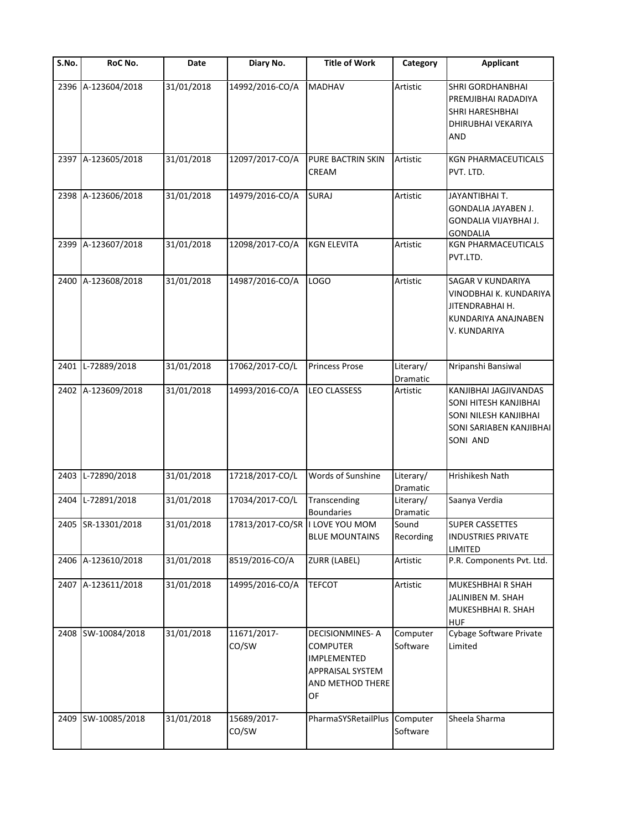| S.No. | RoC No.            | Date       | Diary No.                       | <b>Title of Work</b>                                                                                   | Category              | <b>Applicant</b>                                                                                               |
|-------|--------------------|------------|---------------------------------|--------------------------------------------------------------------------------------------------------|-----------------------|----------------------------------------------------------------------------------------------------------------|
| 2396  | A-123604/2018      | 31/01/2018 | 14992/2016-CO/A                 | <b>MADHAV</b>                                                                                          | Artistic              | <b>SHRI GORDHANBHAI</b><br>PREMJIBHAI RADADIYA<br><b>SHRI HARESHBHAI</b><br>DHIRUBHAI VEKARIYA<br><b>AND</b>   |
|       | 2397 A-123605/2018 | 31/01/2018 | 12097/2017-CO/A                 | PURE BACTRIN SKIN<br>CREAM                                                                             | Artistic              | <b>KGN PHARMACEUTICALS</b><br>PVT. LTD.                                                                        |
|       | 2398 A-123606/2018 | 31/01/2018 | 14979/2016-CO/A                 | <b>SURAJ</b>                                                                                           | Artistic              | JAYANTIBHAI T.<br>GONDALIA JAYABEN J.<br>GONDALIA VIJAYBHAI J.<br><b>GONDALIA</b>                              |
|       | 2399 A-123607/2018 | 31/01/2018 | 12098/2017-CO/A                 | <b>KGN ELEVITA</b>                                                                                     | Artistic              | KGN PHARMACEUTICALS<br>PVT.LTD.                                                                                |
|       | 2400 A-123608/2018 | 31/01/2018 | 14987/2016-CO/A                 | <b>LOGO</b>                                                                                            | Artistic              | <b>SAGAR V KUNDARIYA</b><br>VINODBHAI K. KUNDARIYA<br>JITENDRABHAI H.<br>KUNDARIYA ANAJNABEN<br>V. KUNDARIYA   |
| 2401  | L-72889/2018       | 31/01/2018 | 17062/2017-CO/L                 | <b>Princess Prose</b>                                                                                  | Literary/<br>Dramatic | Nripanshi Bansiwal                                                                                             |
|       | 2402 A-123609/2018 | 31/01/2018 | 14993/2016-CO/A                 | <b>LEO CLASSESS</b>                                                                                    | Artistic              | KANJIBHAI JAGJIVANDAS<br>SONI HITESH KANJIBHAI<br>SONI NILESH KANJIBHAI<br>SONI SARIABEN KANJIBHAI<br>SONI AND |
|       | 2403 L-72890/2018  | 31/01/2018 | 17218/2017-CO/L                 | Words of Sunshine                                                                                      | Literary/<br>Dramatic | Hrishikesh Nath                                                                                                |
| 2404  | L-72891/2018       | 31/01/2018 | 17034/2017-CO/L                 | Transcending<br><b>Boundaries</b>                                                                      | Literary/<br>Dramatic | Saanya Verdia                                                                                                  |
|       | 2405 SR-13301/2018 | 31/01/2018 | 17813/2017-CO/SR   LOVE YOU MOM | <b>BLUE MOUNTAINS</b>                                                                                  | Sound<br>Recording    | <b>SUPER CASSETTES</b><br><b>INDUSTRIES PRIVATE</b><br><b>LIMITED</b>                                          |
|       | 2406 A-123610/2018 | 31/01/2018 | 8519/2016-CO/A                  | <b>ZURR (LABEL)</b>                                                                                    | Artistic              | P.R. Components Pvt. Ltd.                                                                                      |
|       | 2407 A-123611/2018 | 31/01/2018 | 14995/2016-CO/A                 | <b>TEFCOT</b>                                                                                          | Artistic              | MUKESHBHAI R SHAH<br>JALINIBEN M. SHAH<br>MUKESHBHAI R. SHAH<br><b>HUF</b>                                     |
|       | 2408 SW-10084/2018 | 31/01/2018 | 11671/2017-<br>CO/SW            | <b>DECISIONMINES-A</b><br><b>COMPUTER</b><br>IMPLEMENTED<br>APPRAISAL SYSTEM<br>AND METHOD THERE<br>OF | Computer<br>Software  | <b>Cybage Software Private</b><br>Limited                                                                      |
| 2409  | SW-10085/2018      | 31/01/2018 | 15689/2017-<br>CO/SW            | PharmaSYSRetailPlus Computer                                                                           | Software              | Sheela Sharma                                                                                                  |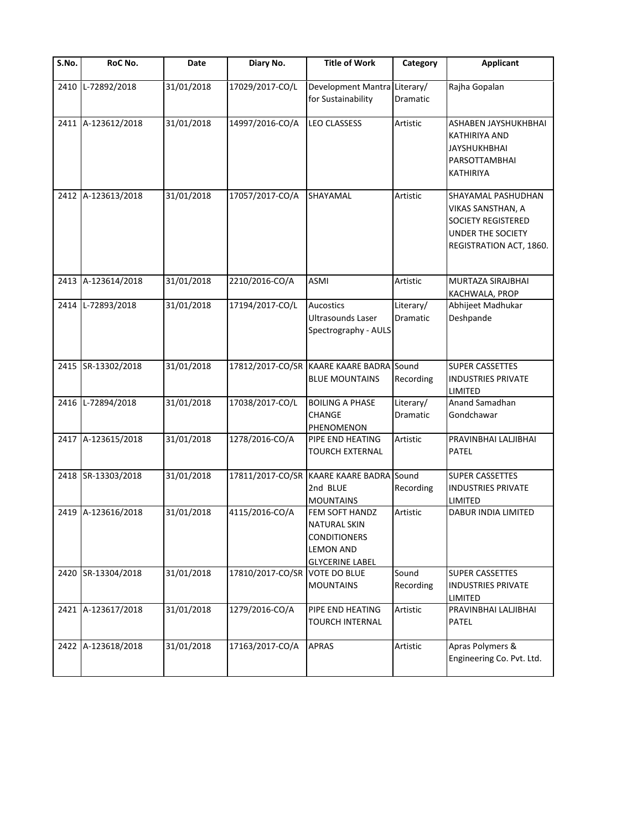| S.No. | RoC No.            | Date       | Diary No.        | <b>Title of Work</b>                                                                                       | Category                     | <b>Applicant</b>                                                                                                     |
|-------|--------------------|------------|------------------|------------------------------------------------------------------------------------------------------------|------------------------------|----------------------------------------------------------------------------------------------------------------------|
| 2410  | L-72892/2018       | 31/01/2018 | 17029/2017-CO/L  | Development Mantra Literary/<br>for Sustainability                                                         | Dramatic                     | Rajha Gopalan                                                                                                        |
|       | 2411 A-123612/2018 | 31/01/2018 | 14997/2016-CO/A  | <b>LEO CLASSESS</b>                                                                                        | Artistic                     | ASHABEN JAYSHUKHBHAI<br>KATHIRIYA AND<br><b>JAYSHUKHBHAI</b><br>PARSOTTAMBHAI<br>KATHIRIYA                           |
|       | 2412 A-123613/2018 | 31/01/2018 | 17057/2017-CO/A  | SHAYAMAL                                                                                                   | Artistic                     | SHAYAMAL PASHUDHAN<br>VIKAS SANSTHAN, A<br>SOCIETY REGISTERED<br><b>UNDER THE SOCIETY</b><br>REGISTRATION ACT, 1860. |
|       | 2413 A-123614/2018 | 31/01/2018 | 2210/2016-CO/A   | ASMI                                                                                                       | Artistic                     | MURTAZA SIRAJBHAI<br>KACHWALA, PROP                                                                                  |
|       | 2414 L-72893/2018  | 31/01/2018 | 17194/2017-CO/L  | <b>Aucostics</b><br>Ultrasounds Laser<br>Spectrography - AULS                                              | Literary/<br><b>Dramatic</b> | Abhijeet Madhukar<br>Deshpande                                                                                       |
|       | 2415 SR-13302/2018 | 31/01/2018 |                  | 17812/2017-CO/SR KAARE KAARE BADRA Sound<br><b>BLUE MOUNTAINS</b>                                          | Recording                    | <b>SUPER CASSETTES</b><br><b>INDUSTRIES PRIVATE</b><br>LIMITED                                                       |
|       | 2416 L-72894/2018  | 31/01/2018 | 17038/2017-CO/L  | <b>BOILING A PHASE</b><br>CHANGE<br>PHENOMENON                                                             | Literary/<br>Dramatic        | Anand Samadhan<br>Gondchawar                                                                                         |
|       | 2417 A-123615/2018 | 31/01/2018 | 1278/2016-CO/A   | PIPE END HEATING<br>TOURCH EXTERNAL                                                                        | Artistic                     | PRAVINBHAI LALJIBHAI<br>PATEL                                                                                        |
|       | 2418 SR-13303/2018 | 31/01/2018 |                  | 17811/2017-CO/SR KAARE KAARE BADRA Sound<br>2nd BLUE<br><b>MOUNTAINS</b>                                   | Recording                    | <b>SUPER CASSETTES</b><br><b>INDUSTRIES PRIVATE</b><br>LIMITED                                                       |
|       | 2419 A-123616/2018 | 31/01/2018 | 4115/2016-CO/A   | FEM SOFT HANDZ<br><b>NATURAL SKIN</b><br><b>CONDITIONERS</b><br><b>LEMON AND</b><br><b>GLYCERINE LABEL</b> | Artistic                     | <b>DABUR INDIA LIMITED</b>                                                                                           |
|       | 2420 SR-13304/2018 | 31/01/2018 | 17810/2017-CO/SR | <b>VOTE DO BLUE</b><br><b>MOUNTAINS</b>                                                                    | Sound<br>Recording           | <b>SUPER CASSETTES</b><br><b>INDUSTRIES PRIVATE</b><br>LIMITED                                                       |
|       | 2421 A-123617/2018 | 31/01/2018 | 1279/2016-CO/A   | PIPE END HEATING<br><b>TOURCH INTERNAL</b>                                                                 | Artistic                     | PRAVINBHAI LALJIBHAI<br>PATEL                                                                                        |
|       | 2422 A-123618/2018 | 31/01/2018 | 17163/2017-CO/A  | <b>APRAS</b>                                                                                               | Artistic                     | Apras Polymers &<br>Engineering Co. Pvt. Ltd.                                                                        |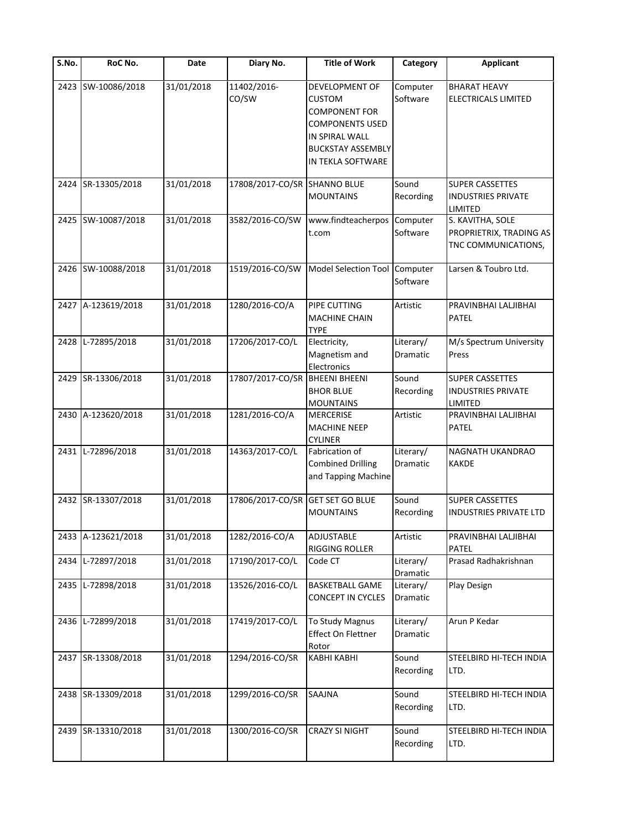| S.No. | RoC No.            | Date       | Diary No.                        | <b>Title of Work</b>                                                                                                                                 | Category                     | <b>Applicant</b>                                                      |
|-------|--------------------|------------|----------------------------------|------------------------------------------------------------------------------------------------------------------------------------------------------|------------------------------|-----------------------------------------------------------------------|
|       | 2423 SW-10086/2018 | 31/01/2018 | 11402/2016-<br>CO/SW             | DEVELOPMENT OF<br><b>CUSTOM</b><br><b>COMPONENT FOR</b><br><b>COMPONENTS USED</b><br>IN SPIRAL WALL<br><b>BUCKSTAY ASSEMBLY</b><br>IN TEKLA SOFTWARE | Computer<br>Software         | <b>BHARAT HEAVY</b><br><b>ELECTRICALS LIMITED</b>                     |
| 2424  | SR-13305/2018      | 31/01/2018 | 17808/2017-CO/SR SHANNO BLUE     | <b>MOUNTAINS</b>                                                                                                                                     | Sound<br>Recording           | <b>SUPER CASSETTES</b><br><b>INDUSTRIES PRIVATE</b><br><b>LIMITED</b> |
|       | 2425 SW-10087/2018 | 31/01/2018 | 3582/2016-CO/SW                  | www.findteacherpos<br>t.com                                                                                                                          | Computer<br>Software         | S. KAVITHA, SOLE<br>PROPRIETRIX, TRADING AS<br>TNC COMMUNICATIONS,    |
|       | 2426 SW-10088/2018 | 31/01/2018 | 1519/2016-CO/SW                  | Model Selection Tool Computer                                                                                                                        | Software                     | Larsen & Toubro Ltd.                                                  |
|       | 2427 A-123619/2018 | 31/01/2018 | 1280/2016-CO/A                   | PIPE CUTTING<br><b>MACHINE CHAIN</b><br><b>TYPE</b>                                                                                                  | Artistic                     | PRAVINBHAI LALJIBHAI<br><b>PATEL</b>                                  |
| 2428  | L-72895/2018       | 31/01/2018 | 17206/2017-CO/L                  | Electricity,<br>Magnetism and<br>Electronics                                                                                                         | Literary/<br><b>Dramatic</b> | M/s Spectrum University<br>Press                                      |
|       | 2429 SR-13306/2018 | 31/01/2018 | 17807/2017-CO/SR                 | <b>BHEENI BHEENI</b><br><b>BHOR BLUE</b><br><b>MOUNTAINS</b>                                                                                         | Sound<br>Recording           | <b>SUPER CASSETTES</b><br><b>INDUSTRIES PRIVATE</b><br>LIMITED        |
|       | 2430 A-123620/2018 | 31/01/2018 | 1281/2016-CO/A                   | <b>MERCERISE</b><br><b>MACHINE NEEP</b><br><b>CYLINER</b>                                                                                            | Artistic                     | PRAVINBHAI LALJIBHAI<br>PATEL                                         |
|       | 2431 L-72896/2018  | 31/01/2018 | 14363/2017-CO/L                  | Fabrication of<br><b>Combined Drilling</b><br>and Tapping Machine                                                                                    | Literary/<br>Dramatic        | NAGNATH UKANDRAO<br><b>KAKDE</b>                                      |
|       | 2432 SR-13307/2018 | 31/01/2018 | 17806/2017-CO/SR GET SET GO BLUE | <b>MOUNTAINS</b>                                                                                                                                     | Sound<br>Recording           | <b>SUPER CASSETTES</b><br><b>INDUSTRIES PRIVATE LTD</b>               |
|       | 2433 A-123621/2018 | 31/01/2018 | 1282/2016-CO/A                   | ADJUSTABLE<br>RIGGING ROLLER                                                                                                                         | Artistic                     | PRAVINBHAI LALJIBHAI<br>PATEL                                         |
| 2434  | L-72897/2018       | 31/01/2018 | 17190/2017-CO/L                  | Code CT                                                                                                                                              | Literary/<br>Dramatic        | Prasad Radhakrishnan                                                  |
| 2435  | L-72898/2018       | 31/01/2018 | 13526/2016-CO/L                  | <b>BASKETBALL GAME</b><br><b>CONCEPT IN CYCLES</b>                                                                                                   | Literary/<br>Dramatic        | Play Design                                                           |
| 2436  | L-72899/2018       | 31/01/2018 | 17419/2017-CO/L                  | To Study Magnus<br>Effect On Flettner<br>Rotor                                                                                                       | Literary/<br>Dramatic        | Arun P Kedar                                                          |
|       | 2437 SR-13308/2018 | 31/01/2018 | 1294/2016-CO/SR                  | <b>KABHI KABHI</b>                                                                                                                                   | Sound<br>Recording           | STEELBIRD HI-TECH INDIA<br>LTD.                                       |
|       | 2438 SR-13309/2018 | 31/01/2018 | 1299/2016-CO/SR                  | SAAJNA                                                                                                                                               | Sound<br>Recording           | STEELBIRD HI-TECH INDIA<br>LTD.                                       |
|       | 2439 SR-13310/2018 | 31/01/2018 | 1300/2016-CO/SR                  | <b>CRAZY SI NIGHT</b>                                                                                                                                | Sound<br>Recording           | STEELBIRD HI-TECH INDIA<br>LTD.                                       |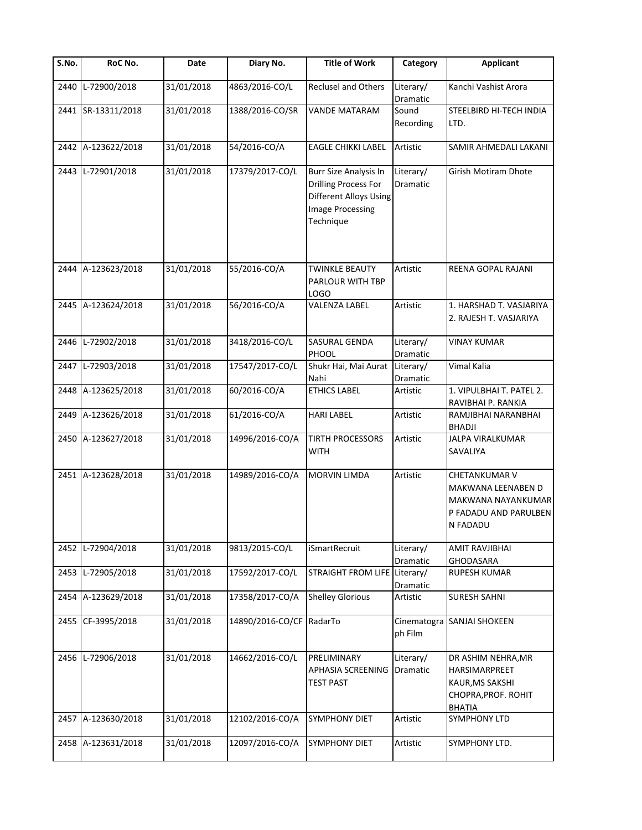| $\overline{\mathsf{S}}$ . No. | RoC No.            | Date       | Diary No.                | <b>Title of Work</b>                                                                                                          | Category              | <b>Applicant</b>                                                                                      |
|-------------------------------|--------------------|------------|--------------------------|-------------------------------------------------------------------------------------------------------------------------------|-----------------------|-------------------------------------------------------------------------------------------------------|
| 2440                          | L-72900/2018       | 31/01/2018 | 4863/2016-CO/L           | Reclusel and Others                                                                                                           | Literary/<br>Dramatic | Kanchi Vashist Arora                                                                                  |
|                               | 2441 SR-13311/2018 | 31/01/2018 | 1388/2016-CO/SR          | <b>VANDE MATARAM</b>                                                                                                          | Sound<br>Recording    | STEELBIRD HI-TECH INDIA<br>LTD.                                                                       |
| 2442                          | A-123622/2018      | 31/01/2018 | 54/2016-CO/A             | <b>EAGLE CHIKKI LABEL</b>                                                                                                     | Artistic              | SAMIR AHMEDALI LAKANI                                                                                 |
|                               | 2443 L-72901/2018  | 31/01/2018 | 17379/2017-CO/L          | <b>Burr Size Analysis In</b><br><b>Drilling Process For</b><br>Different Alloys Using<br><b>Image Processing</b><br>Technique | Literary/<br>Dramatic | <b>Girish Motiram Dhote</b>                                                                           |
|                               | 2444 A-123623/2018 | 31/01/2018 | 55/2016-CO/A             | <b>TWINKLE BEAUTY</b><br>PARLOUR WITH TBP<br>LOGO                                                                             | Artistic              | REENA GOPAL RAJANI                                                                                    |
|                               | 2445 A-123624/2018 | 31/01/2018 | 56/2016-CO/A             | VALENZA LABEL                                                                                                                 | Artistic              | 1. HARSHAD T. VASJARIYA<br>2. RAJESH T. VASJARIYA                                                     |
| 2446                          | L-72902/2018       | 31/01/2018 | 3418/2016-CO/L           | SASURAL GENDA<br>PHOOL                                                                                                        | Literary/<br>Dramatic | <b>VINAY KUMAR</b>                                                                                    |
| 2447                          | L-72903/2018       | 31/01/2018 | 17547/2017-CO/L          | Shukr Hai, Mai Aurat<br>Nahi                                                                                                  | Literary/<br>Dramatic | Vimal Kalia                                                                                           |
| 2448                          | A-123625/2018      | 31/01/2018 | 60/2016-CO/A             | <b>ETHICS LABEL</b>                                                                                                           | Artistic              | 1. VIPULBHAI T. PATEL 2.<br>RAVIBHAI P. RANKIA                                                        |
| 2449                          | A-123626/2018      | 31/01/2018 | 61/2016-CO/A             | <b>HARI LABEL</b>                                                                                                             | Artistic              | RAMJIBHAI NARANBHAI<br><b>BHADJI</b>                                                                  |
|                               | 2450 A-123627/2018 | 31/01/2018 | 14996/2016-CO/A          | TIRTH PROCESSORS<br><b>WITH</b>                                                                                               | Artistic              | JALPA VIRALKUMAR<br>SAVALIYA                                                                          |
|                               | 2451 A-123628/2018 | 31/01/2018 | 14989/2016-CO/A          | <b>MORVIN LIMDA</b>                                                                                                           | Artistic              | <b>CHETANKUMAR V</b><br>MAKWANA LEENABEN D<br>MAKWANA NAYANKUMAR<br>P FADADU AND PARULBEN<br>N FADADU |
| 2452                          | L-72904/2018       | 31/01/2018 | 9813/2015-CO/L           | iSmartRecruit                                                                                                                 | Literary/<br>Dramatic | <b>AMIT RAVJIBHAI</b><br>GHODASARA                                                                    |
| 2453                          | L-72905/2018       | 31/01/2018 | 17592/2017-CO/L          | STRAIGHT FROM LIFE Literary/                                                                                                  | Dramatic              | RUPESH KUMAR                                                                                          |
| 2454                          | A-123629/2018      | 31/01/2018 | 17358/2017-CO/A          | <b>Shelley Glorious</b>                                                                                                       | Artistic              | <b>SURESH SAHNI</b>                                                                                   |
| 2455                          | CF-3995/2018       | 31/01/2018 | 14890/2016-CO/CF RadarTo |                                                                                                                               | ph Film               | Cinematogra SANJAI SHOKEEN                                                                            |
| 2456                          | L-72906/2018       | 31/01/2018 | 14662/2016-CO/L          | PRELIMINARY<br>APHASIA SCREENING<br><b>TEST PAST</b>                                                                          | Literary/<br>Dramatic | DR ASHIM NEHRA, MR<br>HARSIMARPREET<br>KAUR, MS SAKSHI<br>CHOPRA, PROF. ROHIT<br><b>BHATIA</b>        |
| 2457                          | A-123630/2018      | 31/01/2018 | 12102/2016-CO/A          | <b>SYMPHONY DIET</b>                                                                                                          | Artistic              | <b>SYMPHONY LTD</b>                                                                                   |
| 2458                          | A-123631/2018      | 31/01/2018 | 12097/2016-CO/A          | <b>SYMPHONY DIET</b>                                                                                                          | Artistic              | SYMPHONY LTD.                                                                                         |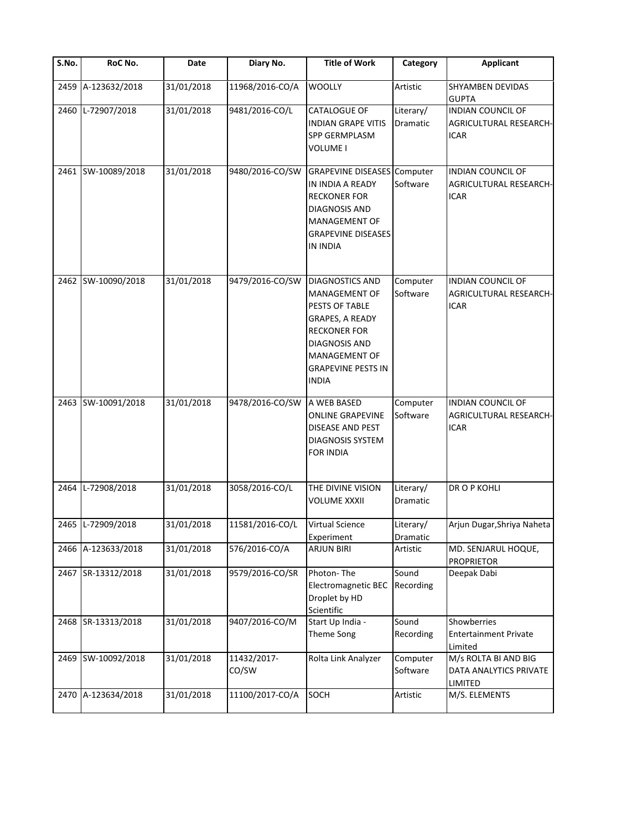| $\overline{\mathsf{S}}$ . No. | RoC No.            | Date       | Diary No.            | <b>Title of Work</b>                                                                                                                                                               | Category              | <b>Applicant</b>                                                  |
|-------------------------------|--------------------|------------|----------------------|------------------------------------------------------------------------------------------------------------------------------------------------------------------------------------|-----------------------|-------------------------------------------------------------------|
| 2459                          | A-123632/2018      | 31/01/2018 | 11968/2016-CO/A      | <b>WOOLLY</b>                                                                                                                                                                      | Artistic              | <b>SHYAMBEN DEVIDAS</b><br><b>GUPTA</b>                           |
|                               | 2460 L-72907/2018  | 31/01/2018 | 9481/2016-CO/L       | CATALOGUE OF<br><b>INDIAN GRAPE VITIS</b><br>SPP GERMPLASM<br>VOLUME I                                                                                                             | Literary/<br>Dramatic | <b>INDIAN COUNCIL OF</b><br>AGRICULTURAL RESEARCH-<br><b>ICAR</b> |
| 2461                          | SW-10089/2018      | 31/01/2018 | 9480/2016-CO/SW      | <b>GRAPEVINE DISEASES</b> Computer<br>IN INDIA A READY<br><b>RECKONER FOR</b><br>DIAGNOSIS AND<br>MANAGEMENT OF<br><b>GRAPEVINE DISEASES</b><br>IN INDIA                           | Software              | INDIAN COUNCIL OF<br>AGRICULTURAL RESEARCH-<br><b>ICAR</b>        |
|                               | 2462 SW-10090/2018 | 31/01/2018 | 9479/2016-CO/SW      | <b>DIAGNOSTICS AND</b><br>MANAGEMENT OF<br>PESTS OF TABLE<br>GRAPES, A READY<br><b>RECKONER FOR</b><br>DIAGNOSIS AND<br>MANAGEMENT OF<br><b>GRAPEVINE PESTS IN</b><br><b>INDIA</b> | Computer<br>Software  | <b>INDIAN COUNCIL OF</b><br>AGRICULTURAL RESEARCH-<br><b>ICAR</b> |
|                               | 2463 SW-10091/2018 | 31/01/2018 | 9478/2016-CO/SW      | A WEB BASED<br><b>ONLINE GRAPEVINE</b><br>DISEASE AND PEST<br><b>DIAGNOSIS SYSTEM</b><br><b>FOR INDIA</b>                                                                          | Computer<br>Software  | <b>INDIAN COUNCIL OF</b><br>AGRICULTURAL RESEARCH-<br><b>ICAR</b> |
|                               | 2464 L-72908/2018  | 31/01/2018 | 3058/2016-CO/L       | THE DIVINE VISION<br><b>VOLUME XXXII</b>                                                                                                                                           | Literary/<br>Dramatic | DR O P KOHLI                                                      |
|                               | 2465 L-72909/2018  | 31/01/2018 | 11581/2016-CO/L      | <b>Virtual Science</b><br>Experiment                                                                                                                                               | Literary/<br>Dramatic | Arjun Dugar, Shriya Naheta                                        |
|                               | 2466 A-123633/2018 | 31/01/2018 | 576/2016-CO/A        | <b>ARJUN BIRI</b>                                                                                                                                                                  | Artistic              | MD. SENJARUL HOQUE,<br><b>PROPRIETOR</b>                          |
|                               | 2467 SR-13312/2018 | 31/01/2018 | 9579/2016-CO/SR      | Photon-The<br>Electromagnetic BEC<br>Droplet by HD<br>Scientific                                                                                                                   | Sound<br>Recording    | Deepak Dabi                                                       |
|                               | 2468 SR-13313/2018 | 31/01/2018 | 9407/2016-CO/M       | Start Up India -<br>Theme Song                                                                                                                                                     | Sound<br>Recording    | Showberries<br><b>Entertainment Private</b><br>Limited            |
|                               | 2469 SW-10092/2018 | 31/01/2018 | 11432/2017-<br>CO/SW | Rolta Link Analyzer                                                                                                                                                                | Computer<br>Software  | M/s ROLTA BI AND BIG<br>DATA ANALYTICS PRIVATE<br>LIMITED         |
|                               | 2470 A-123634/2018 | 31/01/2018 | 11100/2017-CO/A      | SOCH                                                                                                                                                                               | Artistic              | M/S. ELEMENTS                                                     |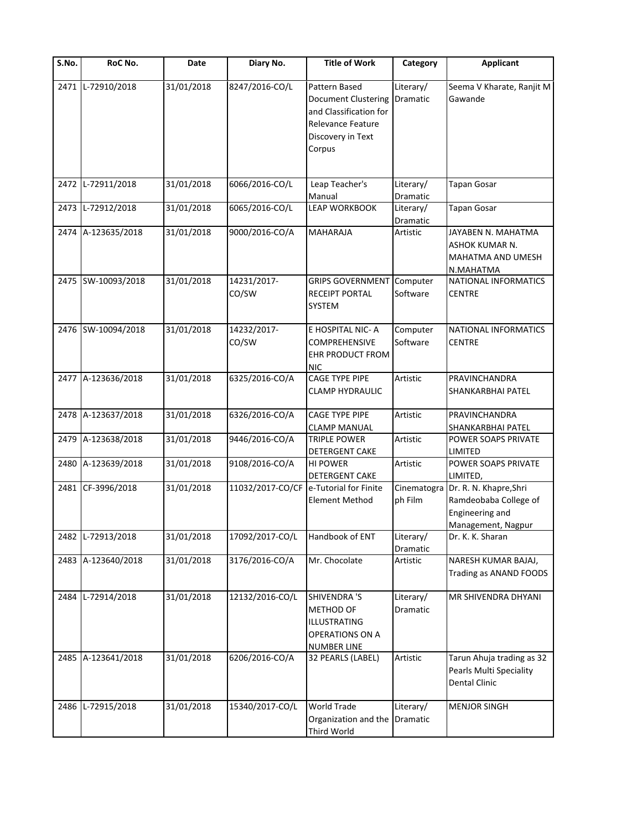| $\overline{\mathsf{S}}$ . No. | RoC No.            | Date       | Diary No.            | <b>Title of Work</b>                                                                                                             | Category              | <b>Applicant</b>                                                                                     |
|-------------------------------|--------------------|------------|----------------------|----------------------------------------------------------------------------------------------------------------------------------|-----------------------|------------------------------------------------------------------------------------------------------|
|                               | 2471 L-72910/2018  | 31/01/2018 | 8247/2016-CO/L       | Pattern Based<br><b>Document Clustering</b><br>and Classification for<br><b>Relevance Feature</b><br>Discovery in Text<br>Corpus | Literary/<br>Dramatic | Seema V Kharate, Ranjit M<br>Gawande                                                                 |
|                               | 2472 L-72911/2018  | 31/01/2018 | 6066/2016-CO/L       | Leap Teacher's<br>Manual                                                                                                         | Literary/<br>Dramatic | <b>Tapan Gosar</b>                                                                                   |
| 2473                          | L-72912/2018       | 31/01/2018 | 6065/2016-CO/L       | <b>LEAP WORKBOOK</b>                                                                                                             | Literary/<br>Dramatic | <b>Tapan Gosar</b>                                                                                   |
|                               | 2474 A-123635/2018 | 31/01/2018 | 9000/2016-CO/A       | MAHARAJA                                                                                                                         | Artistic              | JAYABEN N. MAHATMA<br>ASHOK KUMAR N.<br>MAHATMA AND UMESH<br>N.MAHATMA                               |
|                               | 2475 SW-10093/2018 | 31/01/2018 | 14231/2017-<br>CO/SW | <b>GRIPS GOVERNMENT</b><br>RECEIPT PORTAL<br><b>SYSTEM</b>                                                                       | Computer<br>Software  | NATIONAL INFORMATICS<br><b>CENTRE</b>                                                                |
|                               | 2476 SW-10094/2018 | 31/01/2018 | 14232/2017-<br>CO/SW | E HOSPITAL NIC-A<br>COMPREHENSIVE<br>EHR PRODUCT FROM<br><b>NIC</b>                                                              | Computer<br>Software  | NATIONAL INFORMATICS<br><b>CENTRE</b>                                                                |
|                               | 2477 A-123636/2018 | 31/01/2018 | 6325/2016-CO/A       | CAGE TYPE PIPE<br><b>CLAMP HYDRAULIC</b>                                                                                         | Artistic              | PRAVINCHANDRA<br>SHANKARBHAI PATEL                                                                   |
|                               | 2478 A-123637/2018 | 31/01/2018 | 6326/2016-CO/A       | CAGE TYPE PIPE<br><b>CLAMP MANUAL</b>                                                                                            | Artistic              | PRAVINCHANDRA<br>SHANKARBHAI PATEL                                                                   |
| 2479                          | A-123638/2018      | 31/01/2018 | 9446/2016-CO/A       | <b>TRIPLE POWER</b><br>DETERGENT CAKE                                                                                            | Artistic              | POWER SOAPS PRIVATE<br>LIMITED                                                                       |
| 2480                          | A-123639/2018      | 31/01/2018 | 9108/2016-CO/A       | <b>HI POWER</b><br><b>DETERGENT CAKE</b>                                                                                         | Artistic              | POWER SOAPS PRIVATE<br>LIMITED,                                                                      |
|                               | 2481 CF-3996/2018  | 31/01/2018 |                      | 11032/2017-CO/CF e-Tutorial for Finite<br><b>Element Method</b>                                                                  | ph Film               | Cinematogra Dr. R. N. Khapre, Shri<br>Ramdeobaba College of<br>Engineering and<br>Management, Nagpur |
|                               | 2482 L-72913/2018  | 31/01/2018 | 17092/2017-CO/L      | Handbook of ENT                                                                                                                  | Literary/<br>Dramatic | Dr. K. K. Sharan                                                                                     |
|                               | 2483 A-123640/2018 | 31/01/2018 | 3176/2016-CO/A       | Mr. Chocolate                                                                                                                    | Artistic              | NARESH KUMAR BAJAJ,<br>Trading as ANAND FOODS                                                        |
|                               | 2484 L-72914/2018  | 31/01/2018 | 12132/2016-CO/L      | SHIVENDRA 'S<br>METHOD OF<br>ILLUSTRATING<br>OPERATIONS ON A<br><b>NUMBER LINE</b>                                               | Literary/<br>Dramatic | MR SHIVENDRA DHYANI                                                                                  |
|                               | 2485 A-123641/2018 | 31/01/2018 | 6206/2016-CO/A       | 32 PEARLS (LABEL)                                                                                                                | Artistic              | Tarun Ahuja trading as 32<br>Pearls Multi Speciality<br><b>Dental Clinic</b>                         |
|                               | 2486 L-72915/2018  | 31/01/2018 | 15340/2017-CO/L      | World Trade<br>Organization and the<br>Third World                                                                               | Literary/<br>Dramatic | <b>MENJOR SINGH</b>                                                                                  |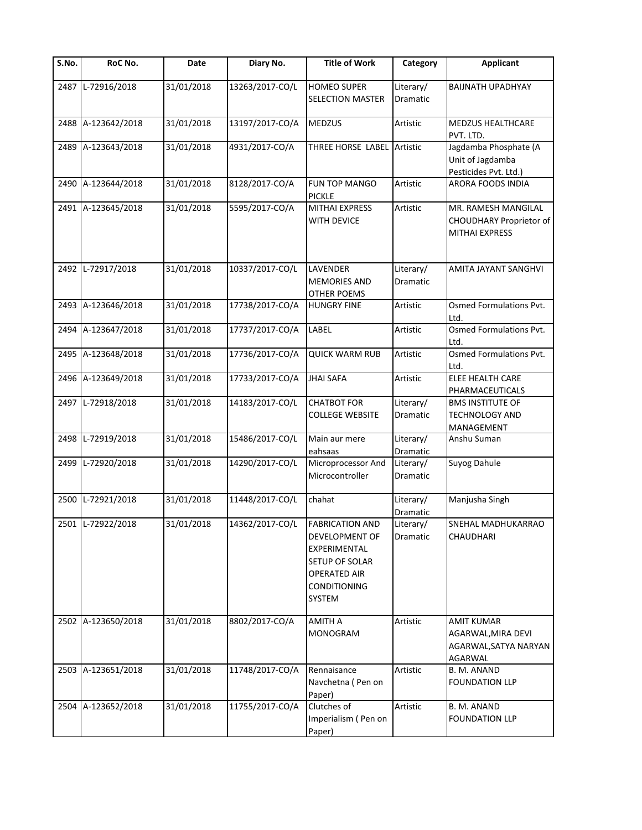| $\overline{\mathsf{S}}$ . No. | RoC No.            | Date       | Diary No.       | <b>Title of Work</b>                                                                                                                      | Category              | <b>Applicant</b>                                                            |
|-------------------------------|--------------------|------------|-----------------|-------------------------------------------------------------------------------------------------------------------------------------------|-----------------------|-----------------------------------------------------------------------------|
| 2487                          | L-72916/2018       | 31/01/2018 | 13263/2017-CO/L | <b>HOMEO SUPER</b><br>SELECTION MASTER                                                                                                    | Literary/<br>Dramatic | <b>BAIJNATH UPADHYAY</b>                                                    |
| 2488                          | A-123642/2018      | 31/01/2018 | 13197/2017-CO/A | <b>MEDZUS</b>                                                                                                                             | Artistic              | MEDZUS HEALTHCARE<br>PVT. LTD.                                              |
| 2489                          | A-123643/2018      | 31/01/2018 | 4931/2017-CO/A  | THREE HORSE LABEL Artistic                                                                                                                |                       | Jagdamba Phosphate (A<br>Unit of Jagdamba<br>Pesticides Pvt. Ltd.)          |
| 2490                          | A-123644/2018      | 31/01/2018 | 8128/2017-CO/A  | FUN TOP MANGO<br><b>PICKLE</b>                                                                                                            | Artistic              | ARORA FOODS INDIA                                                           |
|                               | 2491 A-123645/2018 | 31/01/2018 | 5595/2017-CO/A  | <b>MITHAI EXPRESS</b><br>WITH DEVICE                                                                                                      | Artistic              | MR. RAMESH MANGILAL<br>CHOUDHARY Proprietor of<br><b>MITHAI EXPRESS</b>     |
|                               | 2492 L-72917/2018  | 31/01/2018 | 10337/2017-CO/L | <b>LAVENDER</b><br><b>MEMORIES AND</b><br><b>OTHER POEMS</b>                                                                              | Literary/<br>Dramatic | AMITA JAYANT SANGHVI                                                        |
|                               | 2493 A-123646/2018 | 31/01/2018 | 17738/2017-CO/A | <b>HUNGRY FINE</b>                                                                                                                        | Artistic              | Osmed Formulations Pvt.<br>Ltd.                                             |
| 2494                          | A-123647/2018      | 31/01/2018 | 17737/2017-CO/A | LABEL                                                                                                                                     | Artistic              | Osmed Formulations Pvt.<br>Ltd.                                             |
|                               | 2495 A-123648/2018 | 31/01/2018 | 17736/2017-CO/A | <b>QUICK WARM RUB</b>                                                                                                                     | Artistic              | Osmed Formulations Pvt.<br>Ltd.                                             |
| 2496                          | A-123649/2018      | 31/01/2018 | 17733/2017-CO/A | <b>JHAI SAFA</b>                                                                                                                          | Artistic              | ELEE HEALTH CARE<br>PHARMACEUTICALS                                         |
|                               | 2497 L-72918/2018  | 31/01/2018 | 14183/2017-CO/L | <b>CHATBOT FOR</b><br><b>COLLEGE WEBSITE</b>                                                                                              | Literary/<br>Dramatic | <b>BMS INSTITUTE OF</b><br>TECHNOLOGY AND<br>MANAGEMENT                     |
| 2498                          | L-72919/2018       | 31/01/2018 | 15486/2017-CO/L | Main aur mere<br>eahsaas                                                                                                                  | Literary/<br>Dramatic | Anshu Suman                                                                 |
| 2499                          | L-72920/2018       | 31/01/2018 | 14290/2017-CO/L | Microprocessor And<br>Microcontroller                                                                                                     | Literary/<br>Dramatic | Suyog Dahule                                                                |
| 2500                          | L-72921/2018       | 31/01/2018 | 11448/2017-CO/L | chahat                                                                                                                                    | Literary/<br>Dramatic | Manjusha Singh                                                              |
|                               | 2501 L-72922/2018  | 31/01/2018 | 14362/2017-CO/L | <b>FABRICATION AND</b><br>DEVELOPMENT OF<br>EXPERIMENTAL<br>SETUP OF SOLAR<br><b>OPERATED AIR</b><br><b>CONDITIONING</b><br><b>SYSTEM</b> | Literary/<br>Dramatic | SNEHAL MADHUKARRAO<br>CHAUDHARI                                             |
|                               | 2502 A-123650/2018 | 31/01/2018 | 8802/2017-CO/A  | <b>AMITH A</b><br>MONOGRAM                                                                                                                | Artistic              | <b>AMIT KUMAR</b><br>AGARWAL, MIRA DEVI<br>AGARWAL, SATYA NARYAN<br>AGARWAL |
|                               | 2503 A-123651/2018 | 31/01/2018 | 11748/2017-CO/A | Rennaisance<br>Navchetna (Pen on<br>Paper)                                                                                                | Artistic              | B. M. ANAND<br><b>FOUNDATION LLP</b>                                        |
|                               | 2504 A-123652/2018 | 31/01/2018 | 11755/2017-CO/A | Clutches of<br>Imperialism (Pen on<br>Paper)                                                                                              | Artistic              | B. M. ANAND<br><b>FOUNDATION LLP</b>                                        |